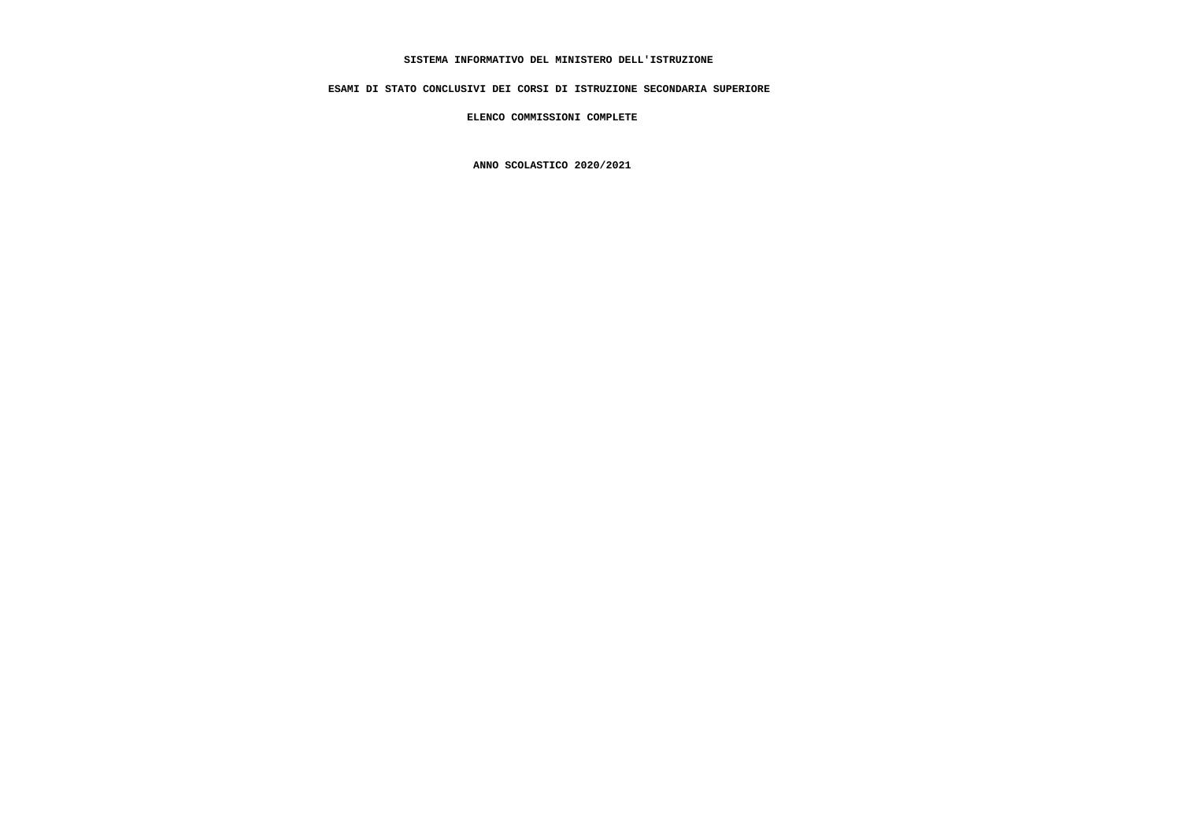# **SISTEMA INFORMATIVO DEL MINISTERO DELL'ISTRUZIONE**

 **ESAMI DI STATO CONCLUSIVI DEI CORSI DI ISTRUZIONE SECONDARIA SUPERIORE**

 **ELENCO COMMISSIONI COMPLETE**

 **ANNO SCOLASTICO 2020/2021**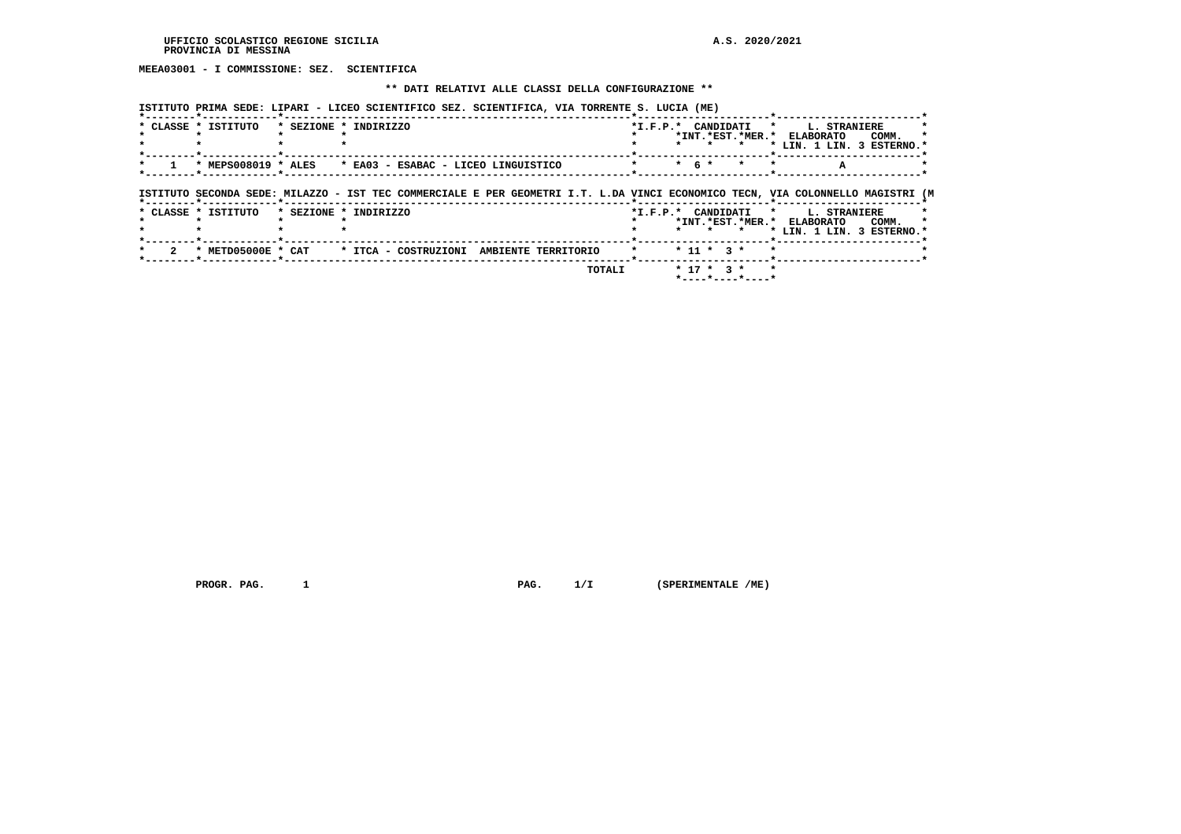**MEEA03001 - I COMMISSIONE: SEZ. SCIENTIFICA**

#### **\*\* DATI RELATIVI ALLE CLASSI DELLA CONFIGURAZIONE \*\***

 **ISTITUTO PRIMA SEDE: LIPARI - LICEO SCIENTIFICO SEZ. SCIENTIFICA, VIA TORRENTE S. LUCIA (ME)**

| * CLASSE * ISTITUTO | * SEZIONE * INDIRIZZO                                                                                                          |           |              |         | *I.F.P.* CANDIDATI * L. STRANIERE                       |       |  |
|---------------------|--------------------------------------------------------------------------------------------------------------------------------|-----------|--------------|---------|---------------------------------------------------------|-------|--|
|                     |                                                                                                                                |           |              |         | *INT.*EST.*MER.* ELABORATO<br>* LIN. 1 LIN. 3 ESTERNO.* | COMM. |  |
|                     | * MEPS008019 * ALES * EA03 - ESABAC - LICEO LINGUISTICO                                                                        | $*$ 6 $*$ |              | $\star$ |                                                         |       |  |
|                     | ISTITUTO SECONDA SEDE: MILAZZO - IST TEC COMMERCIALE E PER GEOMETRI I.T. L.DA VINCI ECONOMICO TECN, VIA COLONNELLO MAGISTRI (M |           |              |         |                                                         |       |  |
| * CLASSE * ISTITUTO | * SEZIONE * INDIRIZZO                                                                                                          |           |              |         | *I.F.P.* CANDIDATI * L. STRANIERE                       |       |  |
|                     |                                                                                                                                |           |              | $\star$ | *INT.*EST.*MER.* ELABORATO<br>* LIN. 1 LIN. 3 ESTERNO.* | COMM. |  |
| * METD05000E * CAT  | * ITCA - COSTRUZIONI AMBIENTE TERRITORIO                                                                                       |           | $* 11 * 3 *$ |         |                                                         |       |  |
|                     |                                                                                                                                |           |              |         |                                                         |       |  |

 **PROGR. PAG. 1 PAG. 1/I (SPERIMENTALE /ME)**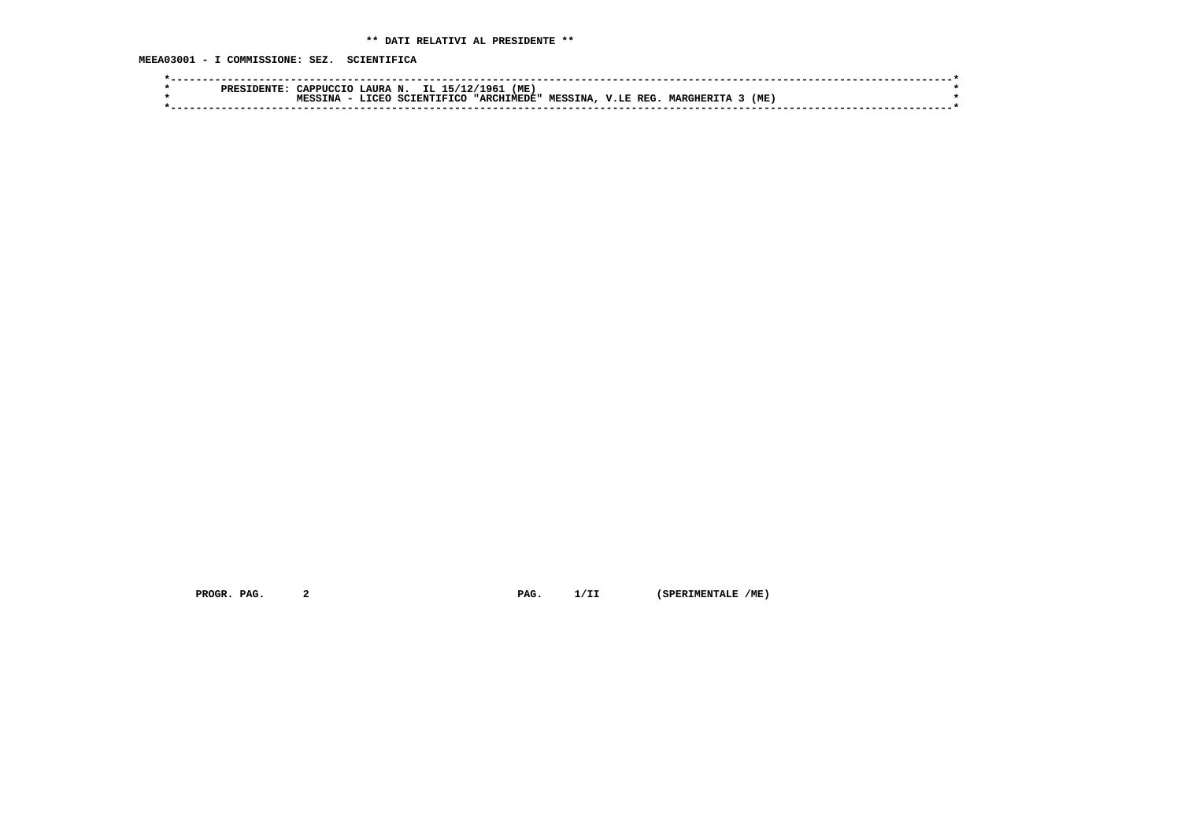**MEEA03001 - I COMMISSIONE: SEZ. SCIENTIFICA**

| PRES | "APPHCCTO          | N<br><b>LAURA</b> | IL<br>.15/7       | $'ME$ ,<br>1961 |                |               |                |     |  |
|------|--------------------|-------------------|-------------------|-----------------|----------------|---------------|----------------|-----|--|
|      | <b>MPCC</b><br>TNA | ּ זהרי די         | TETCC<br>ידגרם די | "ARCHIMEDE"     | <b>MESSINA</b> | REG<br>V.E.E. | <b>MARGHER</b> | (ME |  |
|      |                    |                   |                   |                 |                |               |                |     |  |
|      |                    |                   |                   |                 |                |               |                |     |  |

 **PROGR. PAG.** 2 **PAG.** 1/II (SPERIMENTALE /ME)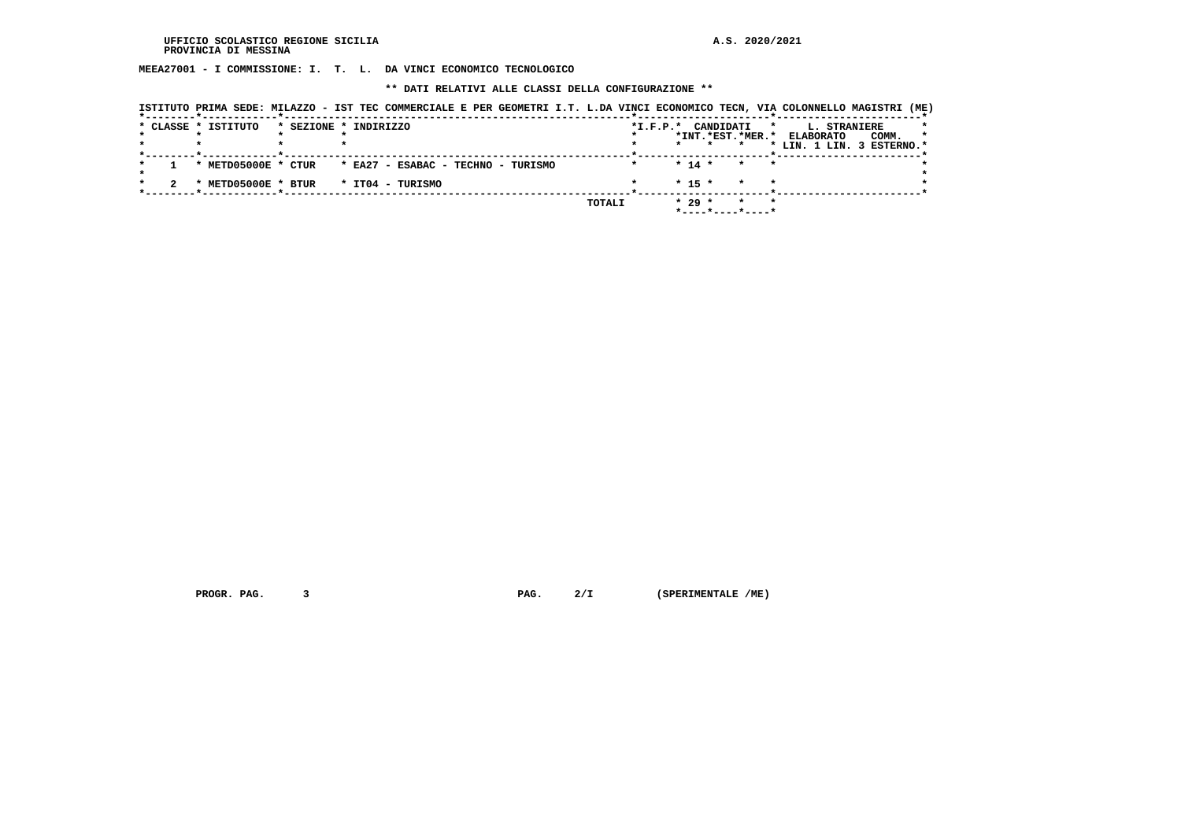**MEEA27001 - I COMMISSIONE: I. T. L. DA VINCI ECONOMICO TECNOLOGICO**

 **\*\* DATI RELATIVI ALLE CLASSI DELLA CONFIGURAZIONE \*\***

|  | ISTITUTO PRIMA SEDE: MILAZZO - IST TEC COMMERCIALE E PER GEOMETRI I.T. L.DA VINCI ECONOMICO TECN, VIA COLONNELLO MAGISTRI (ME) |                       |                                    |  |        |                |          |           |         |         |                                                                         |       |         |
|--|--------------------------------------------------------------------------------------------------------------------------------|-----------------------|------------------------------------|--|--------|----------------|----------|-----------|---------|---------|-------------------------------------------------------------------------|-------|---------|
|  | * CLASSE * ISTITUTO                                                                                                            | * SEZIONE * INDIRIZZO |                                    |  |        | $*$ I.F.P. $*$ |          | CANDIDATI |         | $\star$ | L. STRANIERE<br>*INT.*EST.*MER.* ELABORATO<br>* LIN. 1 LIN. 3 ESTERNO.* | COMM. | $\star$ |
|  | * METD05000E * CTUR                                                                                                            |                       | * EA27 - ESABAC - TECHNO - TURISMO |  |        |                | $* 14 *$ |           | $\star$ |         |                                                                         |       |         |
|  | * METD05000E * BTUR                                                                                                            |                       | * ITO4 - TURISMO                   |  |        |                | $* 15 *$ |           |         |         |                                                                         |       |         |
|  |                                                                                                                                |                       |                                    |  | TOTALI |                | $* 29 *$ |           |         |         |                                                                         |       |         |

 **PROGR. PAG.** 3 **PAG.** 2/I (SPERIMENTALE /ME)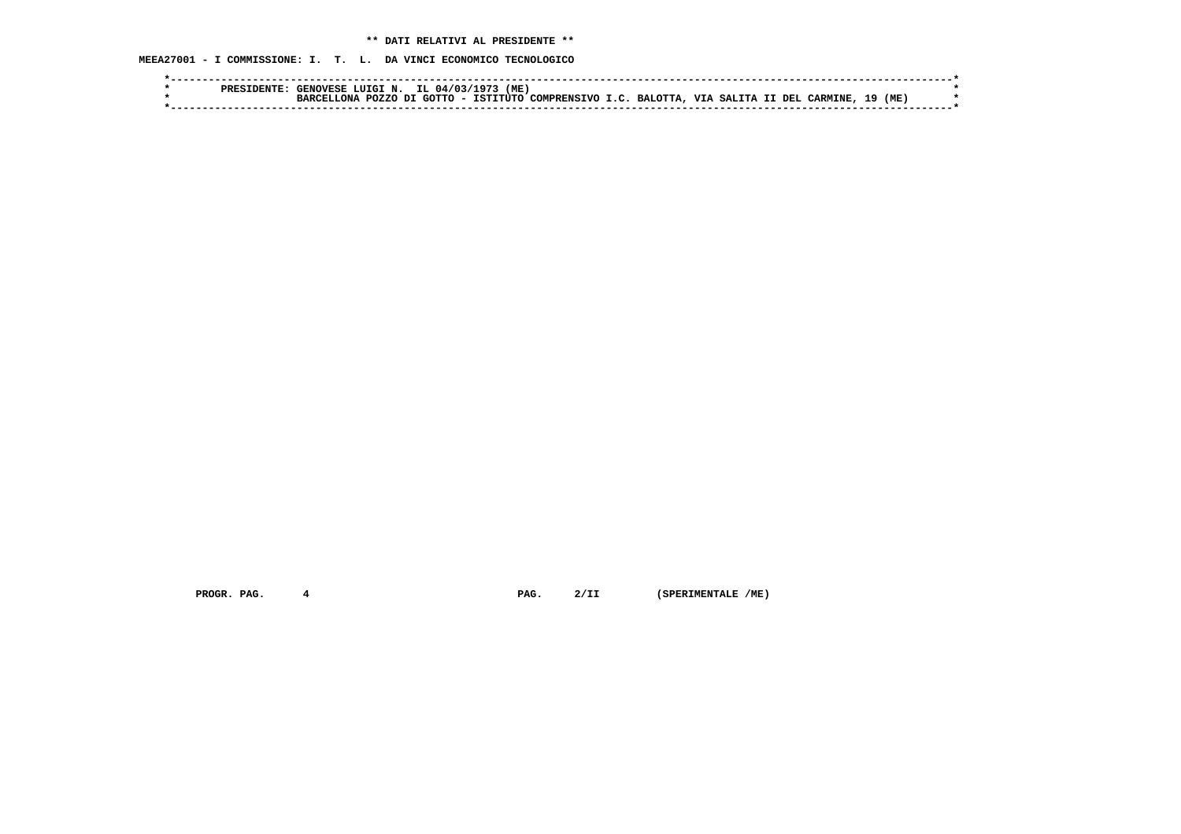**MEEA27001 - I COMMISSIONE: I. T. L. DA VINCI ECONOMICO TECNOLOGICO**

|  | <b>GENOVESE</b>      | LUIGI N.     | IL 04/03/1973 | (ME |                                                                         |  |  |  |     |     |  |
|--|----------------------|--------------|---------------|-----|-------------------------------------------------------------------------|--|--|--|-----|-----|--|
|  | אזה -<br><b>RARC</b> | <b>POZZO</b> | דת            |     | I GOTTO - ISTITUTO COMPRENSIVO I.C. BALOTTA, VIA SALITA II DEL CARMINE, |  |  |  | ٦٥. | (ME |  |
|  |                      |              |               |     |                                                                         |  |  |  |     |     |  |

 **PROGR. PAG.** 4 **PAG.** 2/II (SPERIMENTALE /ME)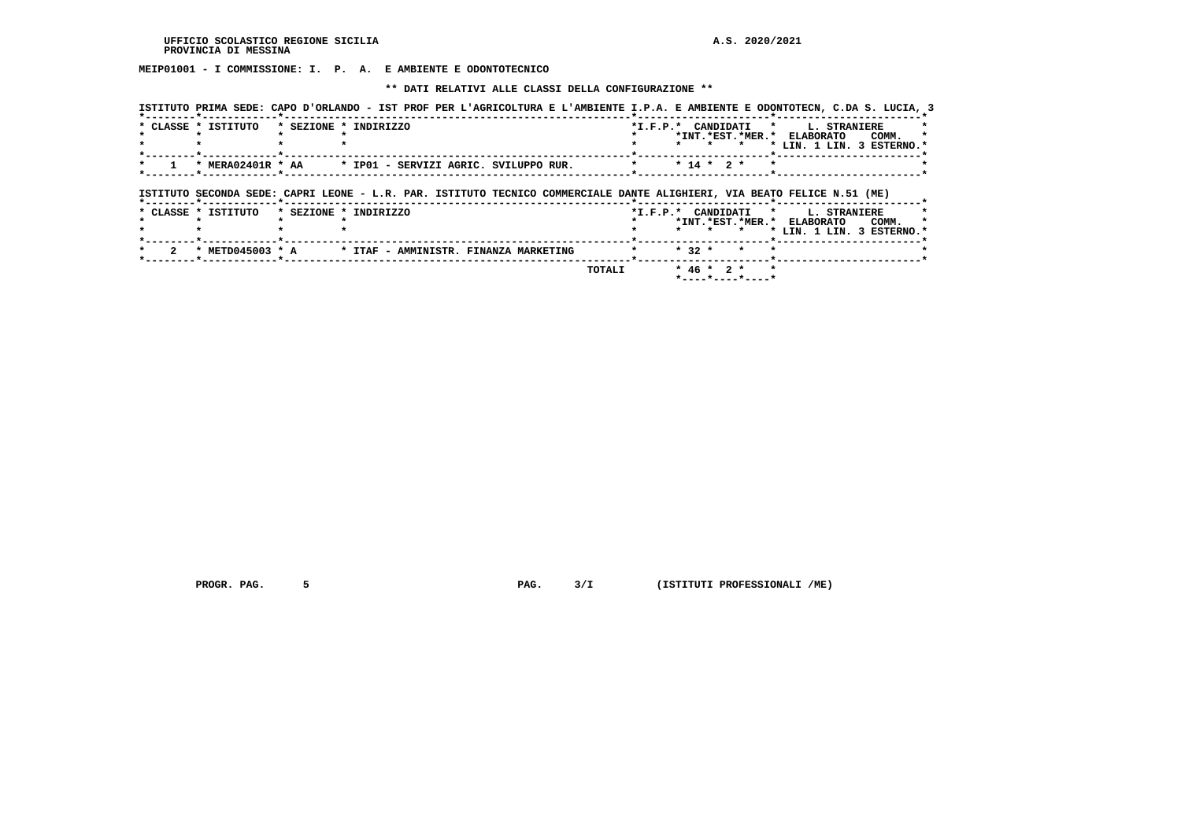**MEIP01001 - I COMMISSIONE: I. P. A. E AMBIENTE E ODONTOTECNICO**

 **\*\* DATI RELATIVI ALLE CLASSI DELLA CONFIGURAZIONE \*\***

|                                                                                                                         |                                       |  |  |                      |              |     |         |         | ISTITUTO PRIMA SEDE: CAPO D'ORLANDO - IST PROF PER L'AGRICOLTURA E L'AMBIENTE I.P.A. E AMBIENTE E ODONTOTECN, C.DA S. LUCIA, 3 |       |  |
|-------------------------------------------------------------------------------------------------------------------------|---------------------------------------|--|--|----------------------|--------------|-----|---------|---------|--------------------------------------------------------------------------------------------------------------------------------|-------|--|
| * CLASSE * ISTITUTO                                                                                                     | * SEZIONE * INDIRIZZO                 |  |  | *I.F.P.* CANDIDATI   |              |     | $\star$ | $\star$ | L. STRANIERE<br>*INT. *EST. *MER. * ELABORATO<br>* LIN. 1 LIN. 3 ESTERNO.*                                                     | COMM. |  |
| * MERA02401R * AA                                                                                                       | * IP01 - SERVIZI AGRIC. SVILUPPO RUR. |  |  |                      | $* 14 * 2 *$ |     |         |         |                                                                                                                                |       |  |
| ISTITUTO SECONDA SEDE: CAPRI LEONE - L.R. PAR. ISTITUTO TECNICO COMMERCIALE DANTE ALIGHIERI, VIA BEATO FELICE N.51 (ME) |                                       |  |  |                      |              |     |         |         |                                                                                                                                |       |  |
| * CLASSE * ISTITUTO                                                                                                     | * SEZIONE * INDIRIZZO                 |  |  | *I.F.P.* CANDIDATI * |              |     |         |         | L. STRANIERE                                                                                                                   |       |  |
|                                                                                                                         |                                       |  |  |                      |              | . . | $\star$ |         | *INT. *EST. *MER. * ELABORATO<br>* LIN. 1 LIN. 3 ESTERNO.*                                                                     | COMM. |  |
| * METD045003 * A                                                                                                        | * ITAF - AMMINISTR. FINANZA MARKETING |  |  |                      | $* 32 *$     |     | $\star$ |         |                                                                                                                                |       |  |

 **PROGR. PAG. 5 PAG. 3/I (ISTITUTI PROFESSIONALI /ME)**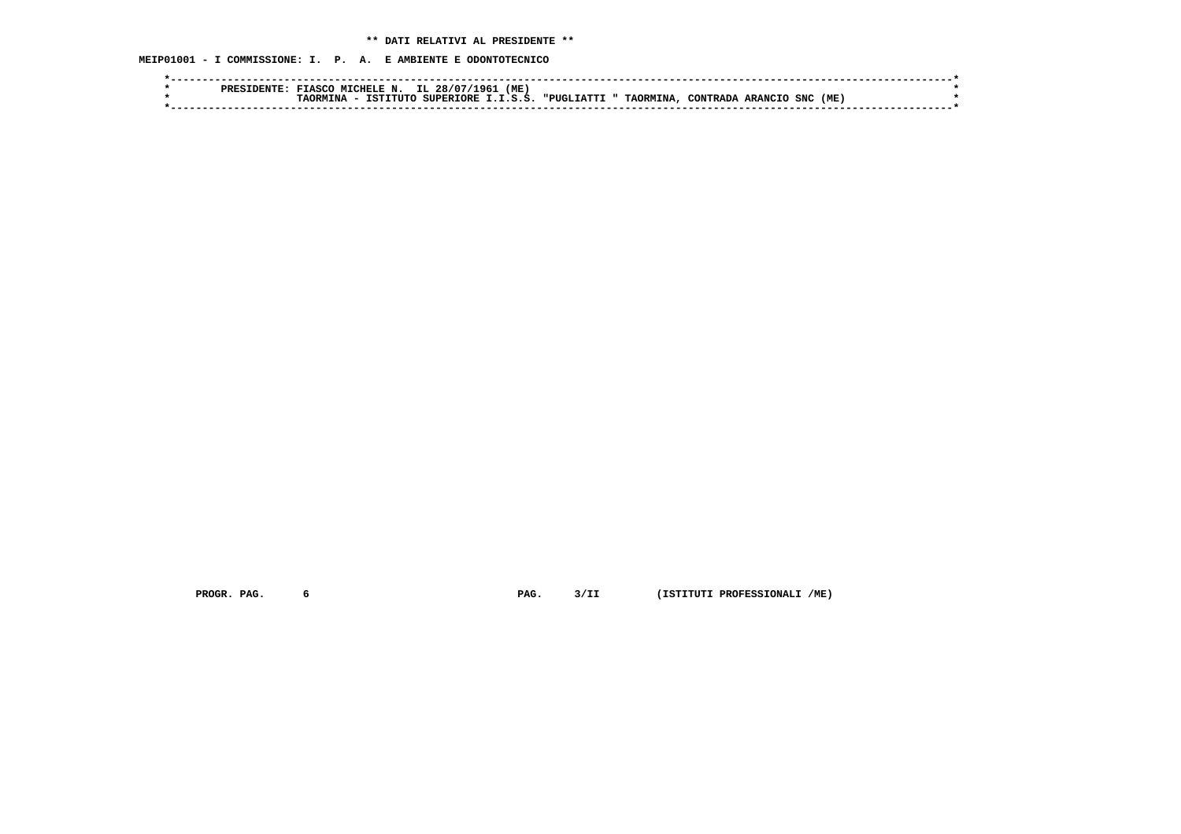**MEIP01001 - I COMMISSIONE: I. P. A. E AMBIENTE E ODONTOTECNICO**

|  | мт<br>יחים מ | CTF<br>ΈN.   | IL<br>28/07<br>1961 | (ME) |                   |                      |           |         |     |      |  |
|--|--------------|--------------|---------------------|------|-------------------|----------------------|-----------|---------|-----|------|--|
|  | ∩ษพ          | TST<br>TTITO | SUPERIORE I.I.S.S.  |      | <b>"PUGLIATTI</b> | <b>TAORMINA.</b><br> | CONTRADA. | ARANCIO | SNC | (ME) |  |
|  |              |              |                     |      |                   |                      |           |         |     |      |  |

 **PROGR. PAG. 6 PAG. 3/II (ISTITUTI PROFESSIONALI /ME)**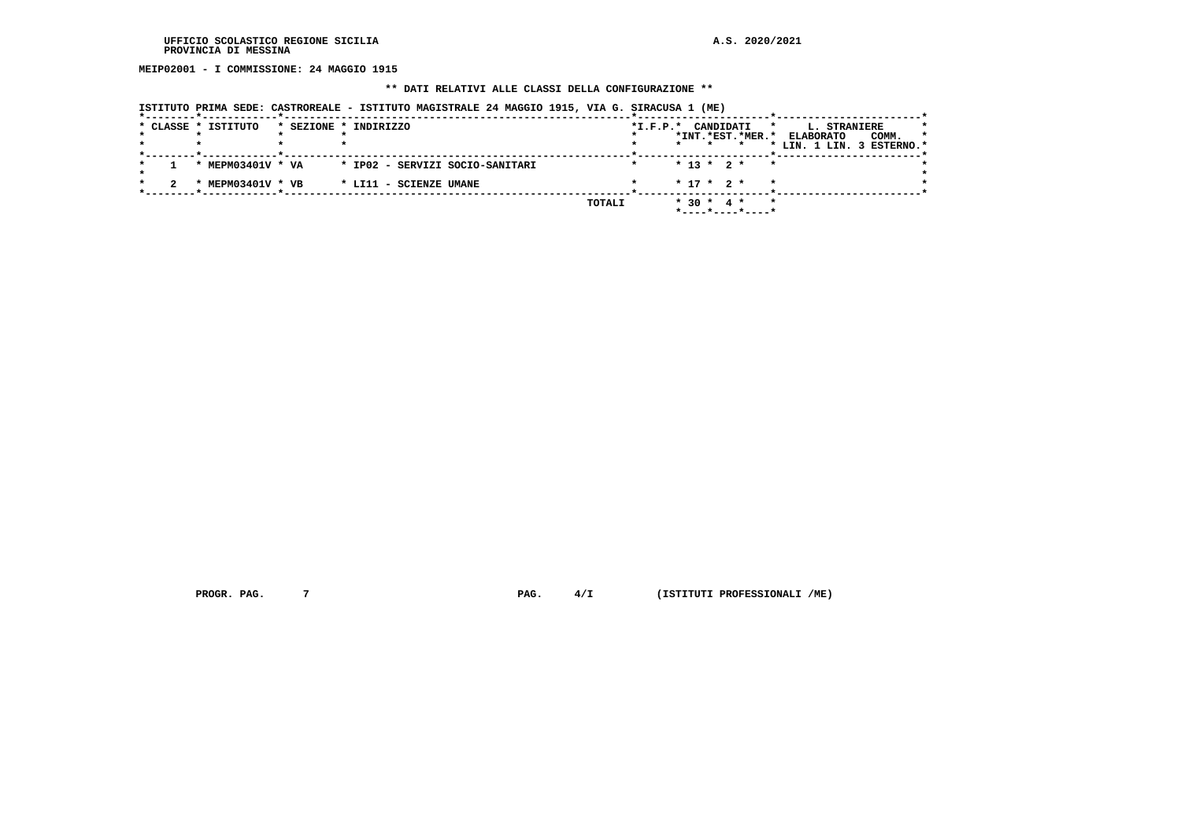**MEIP02001 - I COMMISSIONE: 24 MAGGIO 1915**

#### **\*\* DATI RELATIVI ALLE CLASSI DELLA CONFIGURAZIONE \*\***

| ISTITUTO PRIMA SEDE: CASTROREALE - ISTITUTO MAGISTRALE 24 MAGGIO 1915, VIA G. SIRACUSA 1 (ME) |                                 |  |        |            |         |                  |                  |         |                                                               |       |    |
|-----------------------------------------------------------------------------------------------|---------------------------------|--|--------|------------|---------|------------------|------------------|---------|---------------------------------------------------------------|-------|----|
| * CLASSE * ISTITUTO                                                                           | * SEZIONE * INDIRIZZO           |  |        | $*L.F.P.*$ | $\star$ | CANDIDATI        | *INT.*EST.*MER.* | *       | L. STRANIERE<br><b>ELABORATO</b><br>* LIN. 1 LIN. 3 ESTERNO.* | COMM. | 75 |
| * MEPM03401V * VA                                                                             | * IP02 - SERVIZI SOCIO-SANITARI |  |        |            |         | $* 13 * 2 *$     |                  | $\star$ |                                                               |       |    |
| MEPM03401V * VB<br>$\mathbf x$                                                                | * LI11 - SCIENZE UMANE          |  |        |            |         | $*$ 17 $*$ 2 $*$ |                  | $\star$ |                                                               |       |    |
|                                                                                               |                                 |  | TOTALI |            | $*30 *$ | 4 *              |                  | $\star$ |                                                               |       |    |

 **PROGR. PAG.** 7 **PROGR. 2 PAG.** 4/I (ISTITUTI PROFESSIONALI /ME)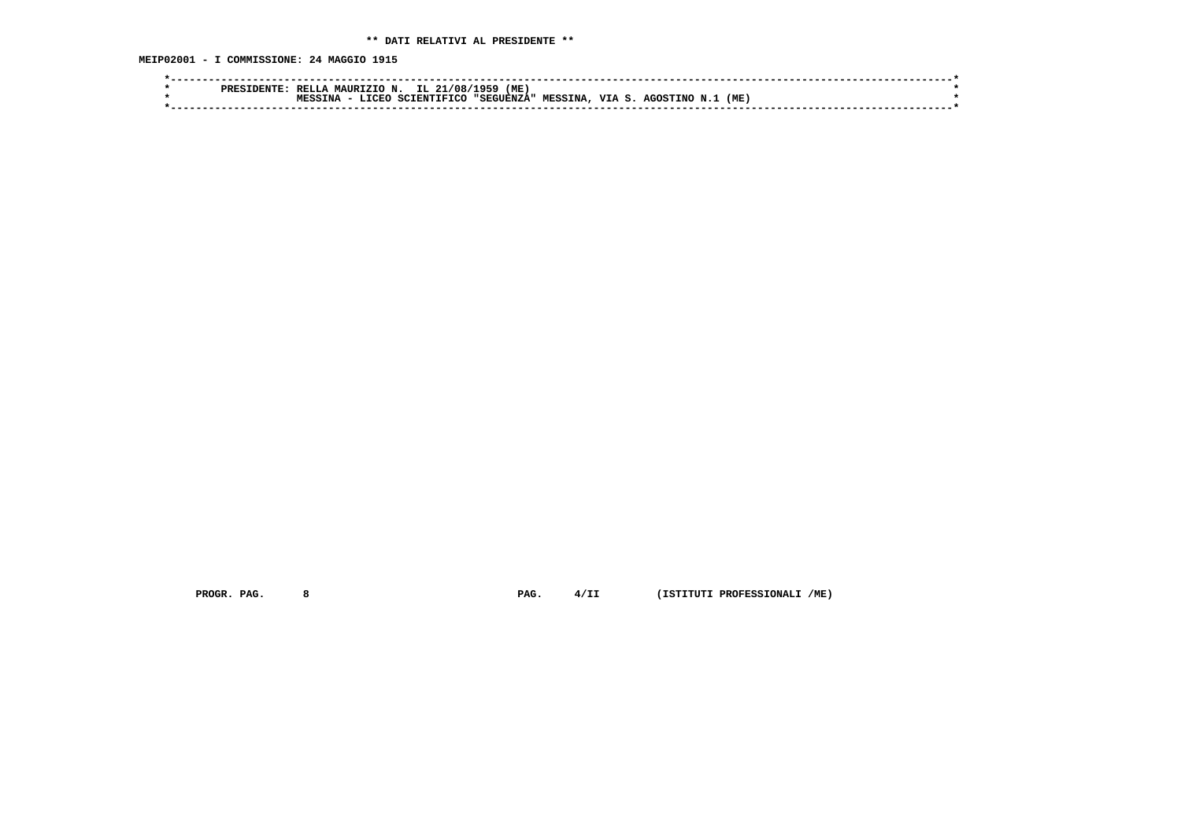**MEIP02001 - I COMMISSIONE: 24 MAGGIO 1915**

|  | חתחת<br>od de | RELLA | MAURIZIO N.   |                    | IL 21/08/1959 (ME, |                |              |                 |    |     |  |
|--|---------------|-------|---------------|--------------------|--------------------|----------------|--------------|-----------------|----|-----|--|
|  |               | TN A  | <b>T.TORO</b> | <b>SCIENTIFICO</b> | "SEGUENZA"         | <b>MESSINA</b> | <b>VTA</b> S | <b>AGOSTINO</b> | N. | (ME |  |
|  |               |       |               |                    |                    |                |              |                 |    |     |  |
|  |               |       |               |                    |                    |                |              |                 |    |     |  |

 **PROGR. PAG. 8 PAG. 4/II (ISTITUTI PROFESSIONALI /ME)**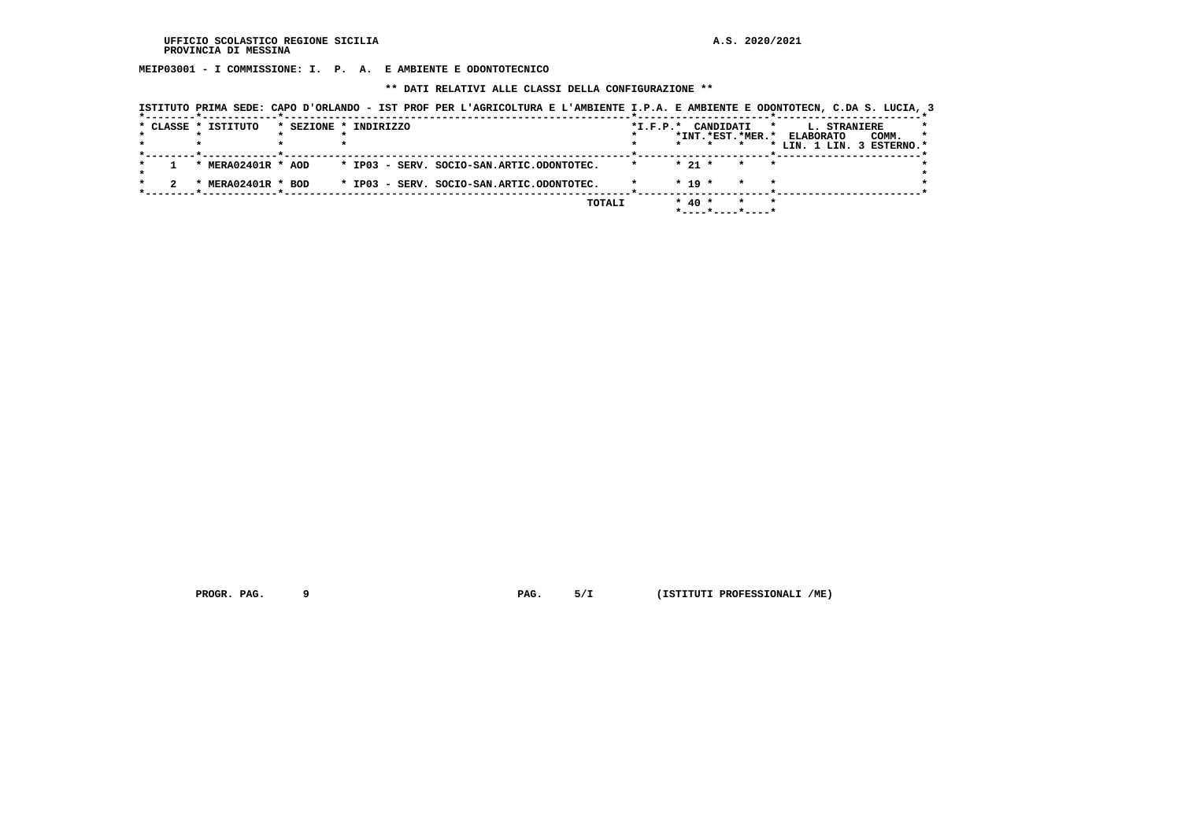**MEIP03001 - I COMMISSIONE: I. P. A. E AMBIENTE E ODONTOTECNICO**

 **\*\* DATI RELATIVI ALLE CLASSI DELLA CONFIGURAZIONE \*\***

|  |                     |                       | ISTITUTO PRIMA SEDE: CAPO D'ORLANDO - IST PROF PER L'AGRICOLTURA E L'AMBIENTE I.P.A. E AMBIENTE E ODONTOTECN, C.DA S. LUCIA, 3 |                        |                                   |                    |                                                                   |  |
|--|---------------------|-----------------------|--------------------------------------------------------------------------------------------------------------------------------|------------------------|-----------------------------------|--------------------|-------------------------------------------------------------------|--|
|  | * CLASSE * ISTITUTO | * SEZIONE * INDIRIZZO |                                                                                                                                | $*_{\texttt{I.F.P.}}*$ | CANDIDATI                         |                    | L. STRANIERE<br>$\star$<br>*INT. *EST. *MER. * ELABORATO<br>COMM. |  |
|  |                     |                       |                                                                                                                                |                        |                                   |                    | * LIN. 1 LIN. 3 ESTERNO.*                                         |  |
|  | * MERA02401R * AOD  |                       | * IP03 - SERV. SOCIO-SAN.ARTIC.ODONTOTEC.                                                                                      |                        | $* 21 *$                          | $\star$            |                                                                   |  |
|  | * MERA02401R * BOD  |                       | * IP03 - SERV. SOCIO-SAN.ARTIC.ODONTOTEC.                                                                                      |                        | $* 19 *$                          | $\star$            |                                                                   |  |
|  |                     |                       | TOTALI                                                                                                                         |                        | $*$ 40 $*$<br>$*$ ----*----*----* | $\star$<br>$\star$ |                                                                   |  |

 **PROGR. PAG.** 9 **PAG.** 5/I (ISTITUTI PROFESSIONALI /ME)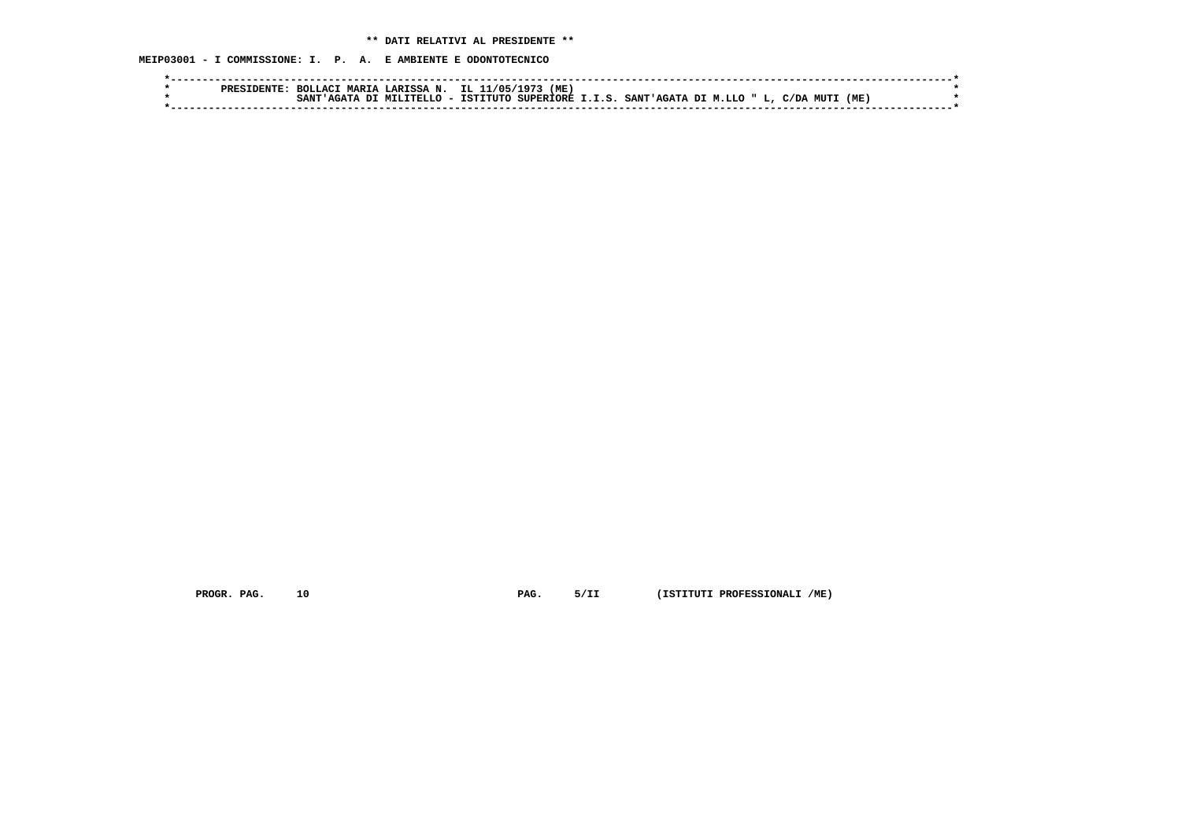**MEIP03001 - I COMMISSIONE: I. P. A. E AMBIENTE E ODONTOTECNICO**

|  | <b>MARTA</b><br><b>ROLLACT</b> | A LARTSSA N. | IL 11/05/1973 | (ME |                                                              |  |      |  |
|--|--------------------------------|--------------|---------------|-----|--------------------------------------------------------------|--|------|--|
|  | SANT                           | MTT.TTRT.T.O |               |     | ISTITUTO SUPERIORE I.I.S. SANT'AGATA DI M.LLO " L, C/DA MUTI |  | (ME) |  |
|  |                                |              |               |     |                                                              |  |      |  |

 **PROGR. PAG. 10 PAG. 5/II (ISTITUTI PROFESSIONALI /ME)**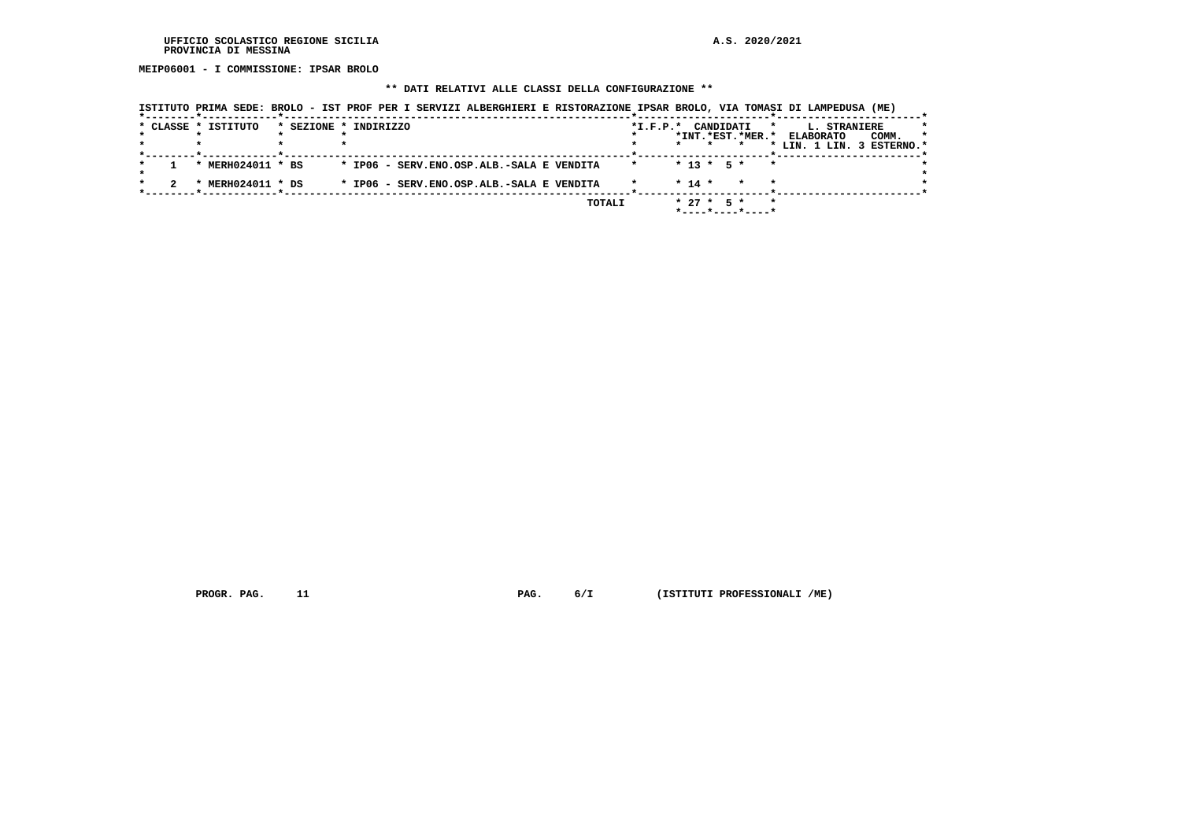**MEIP06001 - I COMMISSIONE: IPSAR BROLO**

#### **\*\* DATI RELATIVI ALLE CLASSI DELLA CONFIGURAZIONE \*\***

|  | * CLASSE * ISTITUTO | * SEZIONE * INDIRIZZO                     | *I.F.P.* CANDIDATI |            |              | $\star$<br>*INT.*EST.*MER.*                        | <b>L. STRANIERE</b><br><b>ELABORATO</b><br>COMM.<br>* LIN. 1 LIN. 3 ESTERNO.* | *<br>$\star$ |
|--|---------------------|-------------------------------------------|--------------------|------------|--------------|----------------------------------------------------|-------------------------------------------------------------------------------|--------------|
|  |                     |                                           |                    |            |              |                                                    |                                                                               |              |
|  | * MERH024011 * BS   | * IP06 - SERV.ENO.OSP.ALB.-SALA E VENDITA | $\star$            |            |              | $* 13 * 5 * * *$                                   |                                                                               |              |
|  | MERH024011 * DS     | * IP06 - SERV.ENO.OSP.ALB.-SALA E VENDITA |                    | $*$ 14 $*$ |              | $\star$<br>$\star$                                 |                                                                               |              |
|  |                     | TOTALI                                    |                    |            | $* 27 * 5 *$ | $\star$<br>$*$ - - - - $*$ - - - - $*$ - - - - $*$ |                                                                               |              |

 **ISTITUTO PRIMA SEDE: BROLO - IST PROF PER I SERVIZI ALBERGHIERI E RISTORAZIONE IPSAR BROLO, VIA TOMASI DI LAMPEDUSA (ME)**

 **PROGR. PAG.** 11 **PAG. PAG. 6/I** (ISTITUTI PROFESSIONALI /ME)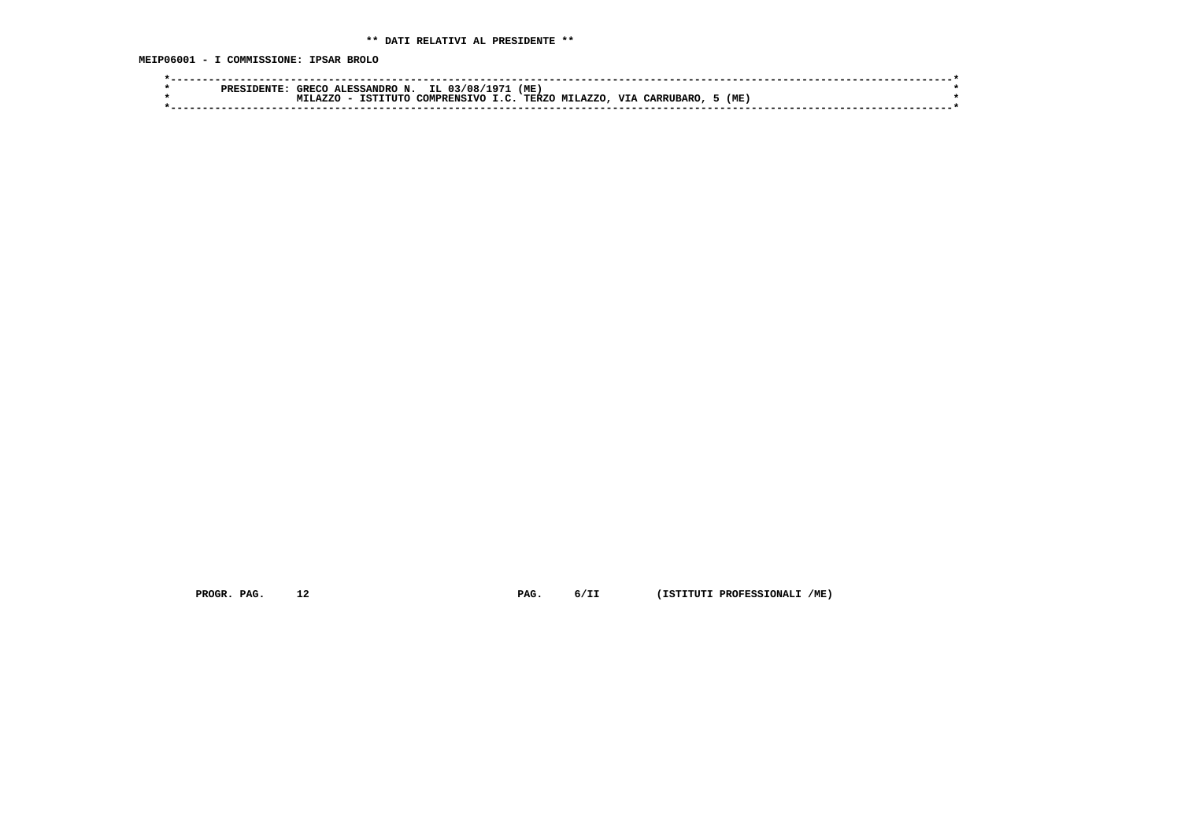**MEIP06001 - I COMMISSIONE: IPSAR BROLO**

|  | PRES | GRECC | <b>ALESSANDRO</b><br>N. | IL.<br>03/08 | ∶ 7″   | (ME          |                     |            |           |     |  |
|--|------|-------|-------------------------|--------------|--------|--------------|---------------------|------------|-----------|-----|--|
|  |      | A7.70 | гттто<br>TCT.           | COMPRENSTVO  | $\sim$ | <b>TERZO</b> | LAZZO<br><b>MTT</b> | <b>VTA</b> | CARRUBARO | (ME |  |
|  |      |       |                         |              |        |              |                     |            |           |     |  |
|  |      |       |                         |              |        |              |                     |            |           |     |  |

 **PROGR. PAG. 12 PAG. 6/II (ISTITUTI PROFESSIONALI /ME)**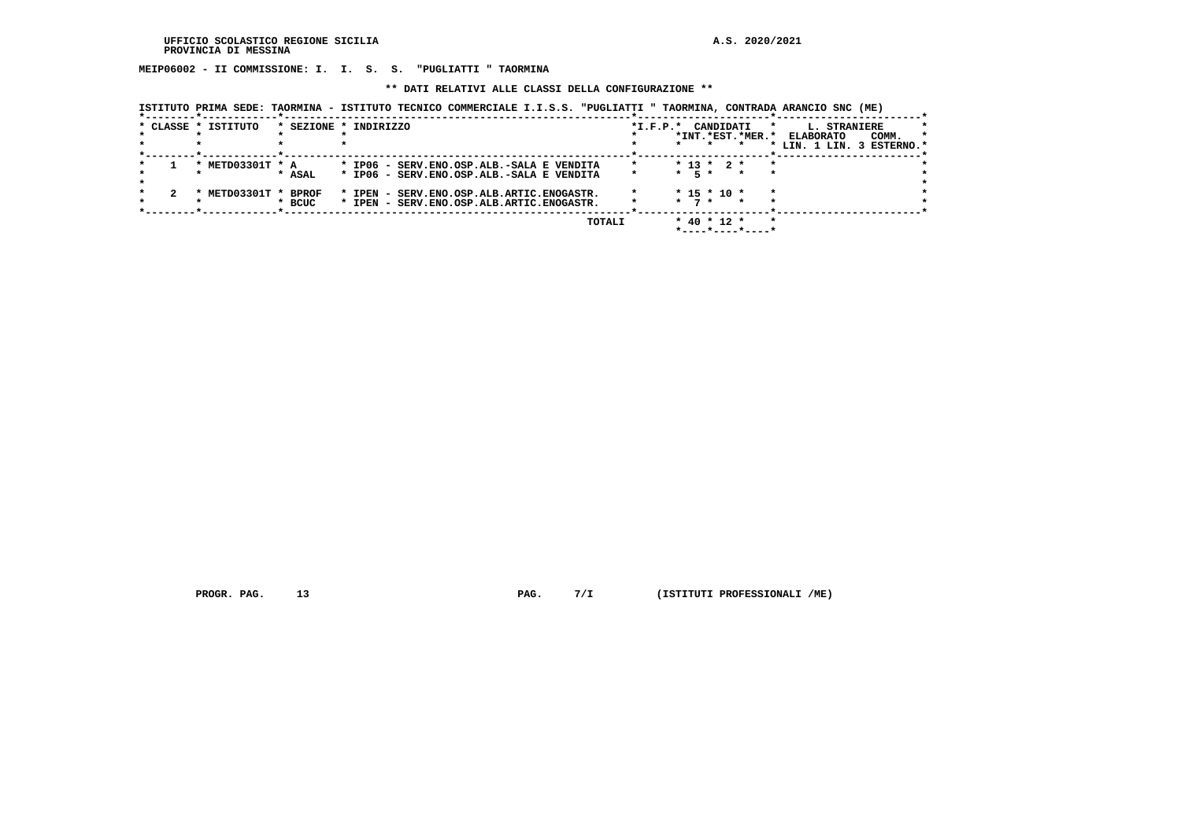**MEIP06002 - II COMMISSIONE: I. I. S. S. "PUGLIATTI " TAORMINA**

 **\*\* DATI RELATIVI ALLE CLASSI DELLA CONFIGURAZIONE \*\***

 **ISTITUTO PRIMA SEDE: TAORMINA - ISTITUTO TECNICO COMMERCIALE I.I.S.S. "PUGLIATTI " TAORMINA, CONTRADA ARANCIO SNC (ME)**

|  | * CLASSE * ISTITUTO           |          | * SEZIONE * INDIRIZZO                     | CANDIDATI<br>$*_{\texttt{I.F.P.}}*$ | L. STRANIERE<br>*                    |
|--|-------------------------------|----------|-------------------------------------------|-------------------------------------|--------------------------------------|
|  |                               |          |                                           | *INT.*EST.*MER.*                    | COMM.<br><b>ELABORATO</b><br>$\star$ |
|  |                               |          |                                           |                                     | * LIN. 1 LIN. 3 ESTERNO.*            |
|  |                               |          |                                           |                                     |                                      |
|  | METD03301T * A                |          | * IP06 - SERV.ENO.OSP.ALB.-SALA E VENDITA | $*$ 13 $*$ 2 $*$                    |                                      |
|  |                               | * ASAL   | * IP06 - SERV.ENO.OSP.ALB.-SALA E VENDITA | $*$ 5 $*$                           |                                      |
|  |                               |          |                                           |                                     |                                      |
|  | METD03301T * BPROF<br>$\cdot$ |          | * IPEN - SERV.ENO.OSP.ALB.ARTIC.ENOGASTR. | $*$ 15 $*$ 10 $*$                   |                                      |
|  |                               | $*$ BCUC | * IPEN - SERV.ENO.OSP.ALB.ARTIC.ENOGASTR. | 7 *<br>$\star$                      |                                      |
|  |                               |          |                                           |                                     |                                      |
|  |                               |          |                                           |                                     |                                      |
|  |                               |          | TOTALI                                    | $*$ 40 $*$ 12 $*$                   |                                      |
|  |                               |          |                                           | *----*----*----*                    |                                      |

 **PROGR. PAG. 13 PAG. 7/I (ISTITUTI PROFESSIONALI /ME)**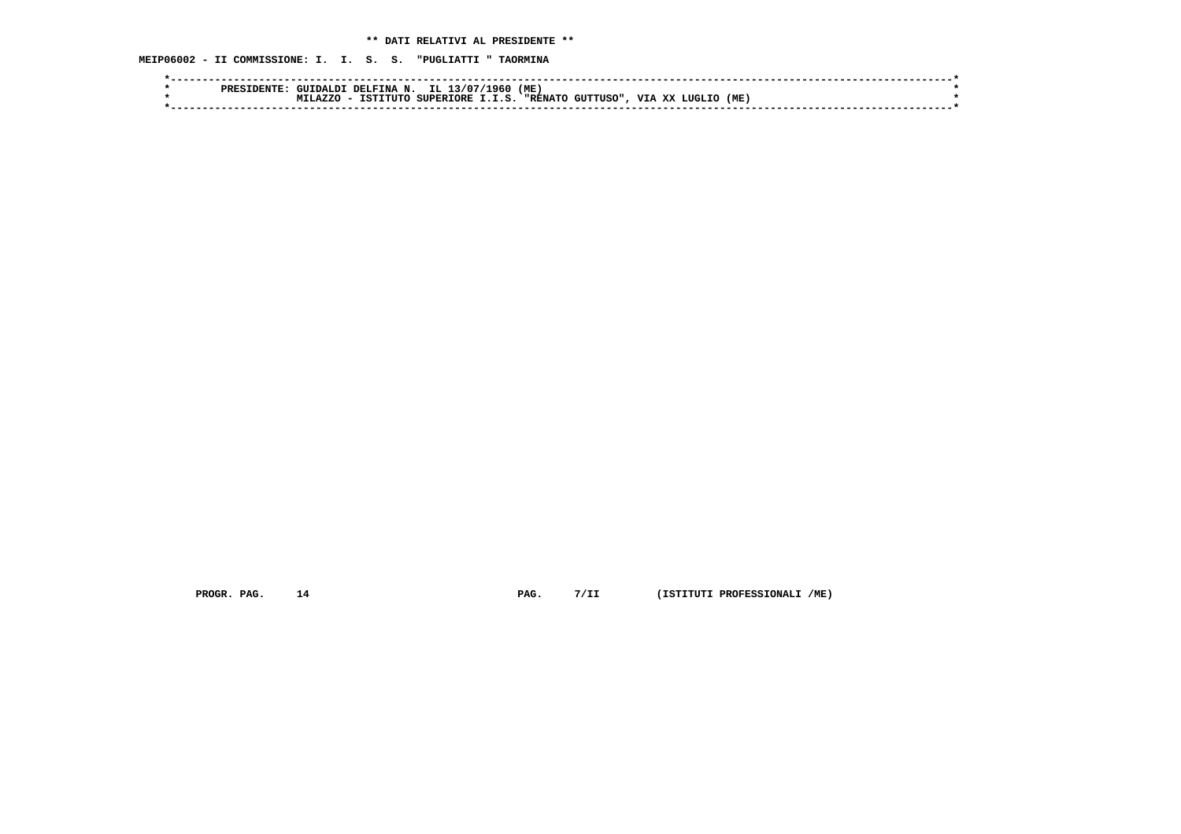**MEIP06002 - II COMMISSIONE: I. I. S. S. "PUGLIATTI " TAORMINA**

| PRES | <b>DELFINA</b><br>GIITDALDT. | L960<br>IL 1<br>، 7077 -<br>ΙМ.           | (ME)                         |                                   |     |  |
|------|------------------------------|-------------------------------------------|------------------------------|-----------------------------------|-----|--|
|      | A7.7.0<br><b>TCT1</b><br>7.6 | <b>SUPERTORE</b><br>T T C<br><b>CITTO</b> | <b>יי גזמים</b><br>GUTTISO". | <b>TTT</b><br>vv<br><b>T.TTCT</b> | (ME |  |
|      |                              |                                           |                              |                                   |     |  |
|      |                              |                                           |                              |                                   |     |  |

 **PROGR. PAG. 14 PAG. 7/II (ISTITUTI PROFESSIONALI /ME)**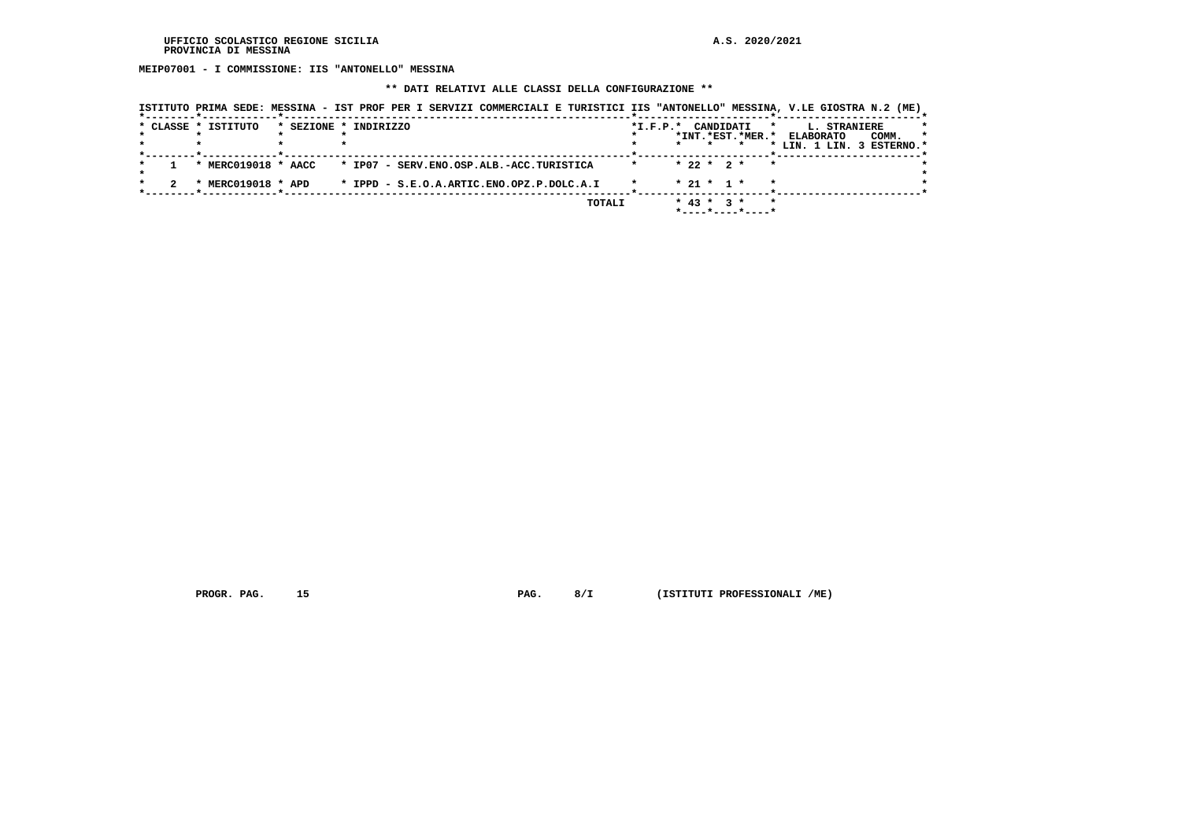**MEIP07001 - I COMMISSIONE: IIS "ANTONELLO" MESSINA**

#### **\*\* DATI RELATIVI ALLE CLASSI DELLA CONFIGURAZIONE \*\***

|                     | ISTITUTO PRIMA SEDE: MESSINA - IST PROF PER I SERVIZI COMMERCIALI E TURISTICI IIS "ANTONELLO" MESSINA, V.LE GIOSTRA N.2 (ME) |               |                |                  |           |                             |                           |              |       |              |
|---------------------|------------------------------------------------------------------------------------------------------------------------------|---------------|----------------|------------------|-----------|-----------------------------|---------------------------|--------------|-------|--------------|
| * CLASSE * ISTITUTO | * SEZIONE * INDIRIZZO                                                                                                        |               | $*$ I.F.P. $*$ |                  | CANDIDATI | $\star$                     | <b>ELABORATO</b>          | L. STRANIERE |       | *<br>$\star$ |
|                     |                                                                                                                              |               |                | $\star$          | $\star$   | *INT.*EST.*MER.*            | * LIN. 1 LIN. 3 ESTERNO.* |              | COMM. |              |
| * MERC019018 * AACC | * IP07 - SERV.ENO.OSP.ALB.-ACC.TURISTICA                                                                                     |               | $\star$        | $* 22 * 2 *$     |           | $\star$                     |                           |              |       |              |
| * MERC019018 * APD  | * IPPD - S.E.O.A.ARTIC.ENO.OPZ.P.DOLC.A.I                                                                                    |               |                | $* 21 * 1 *$     |           | $\star$                     |                           |              |       |              |
|                     |                                                                                                                              | <b>TOTALI</b> |                | $*$ 43 $*$ 3 $*$ |           | $\star$<br>*----*----*----* |                           |              |       |              |

 **PROGR. PAG. 15 PAG. 8/I (ISTITUTI PROFESSIONALI /ME)**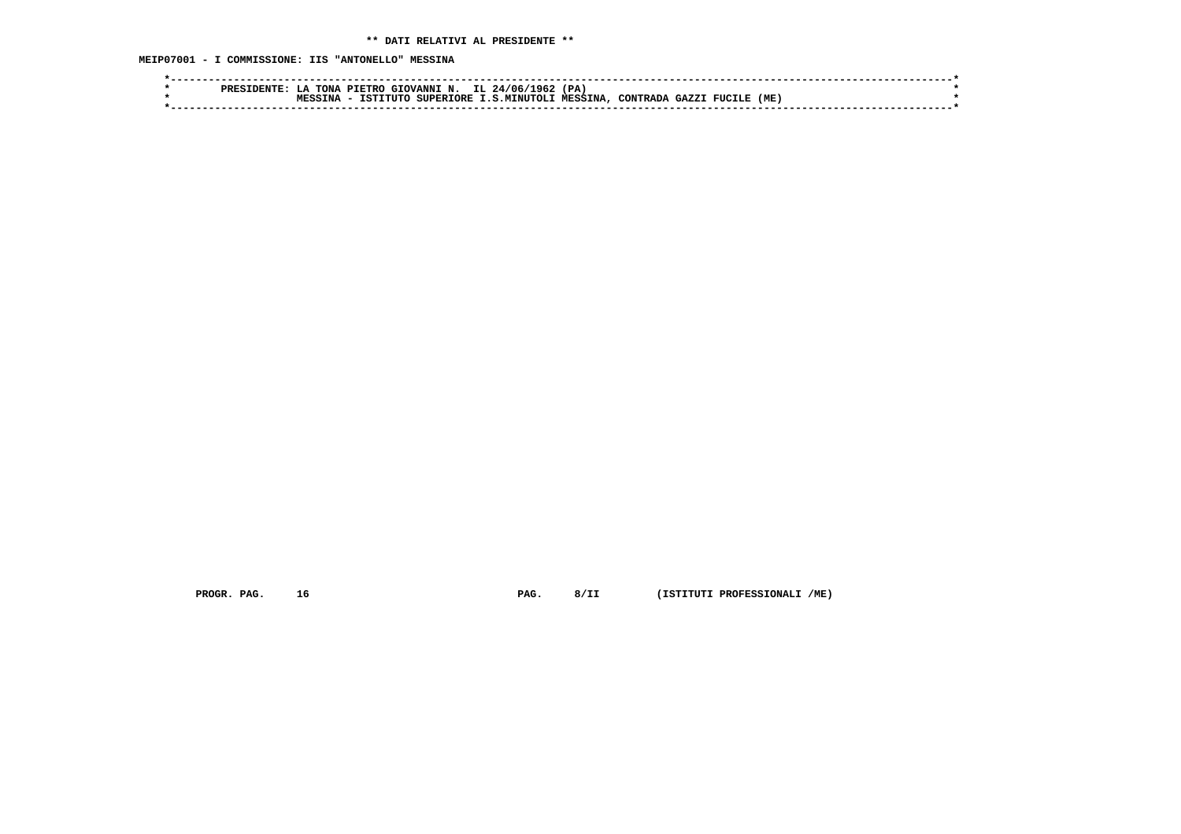**MEIP07001 - I COMMISSIONE: IIS "ANTONELLO" MESSINA**

| IL 24/06/<br>362 -<br>(PA)<br>TONA<br>GIOVANNI N.<br>PIETRO<br>PRES<br>$\mathbf{L} \cdot \mathbf{A}$              |  |
|-------------------------------------------------------------------------------------------------------------------|--|
| (ME)<br><b>MESSINA</b><br>TSTTTITO<br><b>SUPERTORE</b><br>.S.MTNUTOLT<br>C <sub>2</sub> 7.7<br>CONTRADA<br>FUCILE |  |
|                                                                                                                   |  |
|                                                                                                                   |  |

 **PROGR. PAG. 16 PAG. 8/II (ISTITUTI PROFESSIONALI /ME)**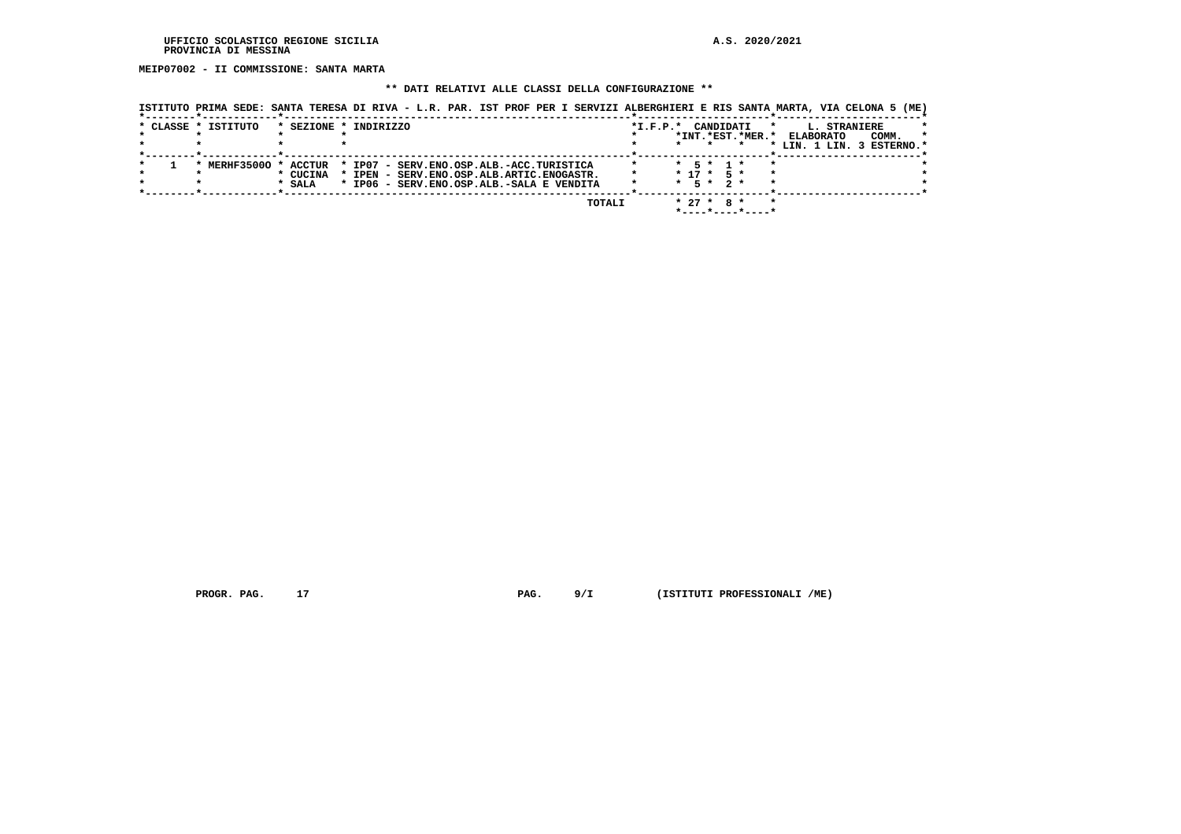**MEIP07002 - II COMMISSIONE: SANTA MARTA**

## **\*\* DATI RELATIVI ALLE CLASSI DELLA CONFIGURAZIONE \*\***

| * CLASSE * ISTITUTO |                                             | ISTITUTO PRIMA SEDE: SANTA TERESA DI RIVA - L.R. PAR. IST PROF PER I SERVIZI ALBERGHIERI E RIS SANTA MARTA, VIA CELONA 5 (ME)<br>* SEZIONE * INDIRIZZO | $*_{\texttt{I.F.P.}}*$ | CANDIDATI                                         | L. STRANIERE                                                    |
|---------------------|---------------------------------------------|--------------------------------------------------------------------------------------------------------------------------------------------------------|------------------------|---------------------------------------------------|-----------------------------------------------------------------|
|                     |                                             |                                                                                                                                                        |                        | *INT. *EST. *MER. *                               | <b>ELABORATO</b><br>COMM.<br>$\star$<br>LIN. 1 LIN. 3 ESTERNO.* |
|                     | * MERHF35000 * ACCTUR<br>* CUCINA<br>* SALA | * IP07 - SERV.ENO.OSP.ALB.-ACC.TURISTICA<br>* IPEN - SERV.ENO.OSP.ALB.ARTIC.ENOGASTR.<br>* IP06 - SERV.ENO.OSP.ALB.-SALA E VENDITA                     |                        | 5 * 1 *<br>$* 17 * 5 *$<br>$*$ 5 $*$ 2 $*$        |                                                                 |
|                     |                                             | TOTALI                                                                                                                                                 |                        | $* 27 * R *$<br>$*$ - - - - * - - - - * - - - - * |                                                                 |

 **PROGR. PAG.** 17 **PAG.** 9/I (ISTITUTI PROFESSIONALI /ME)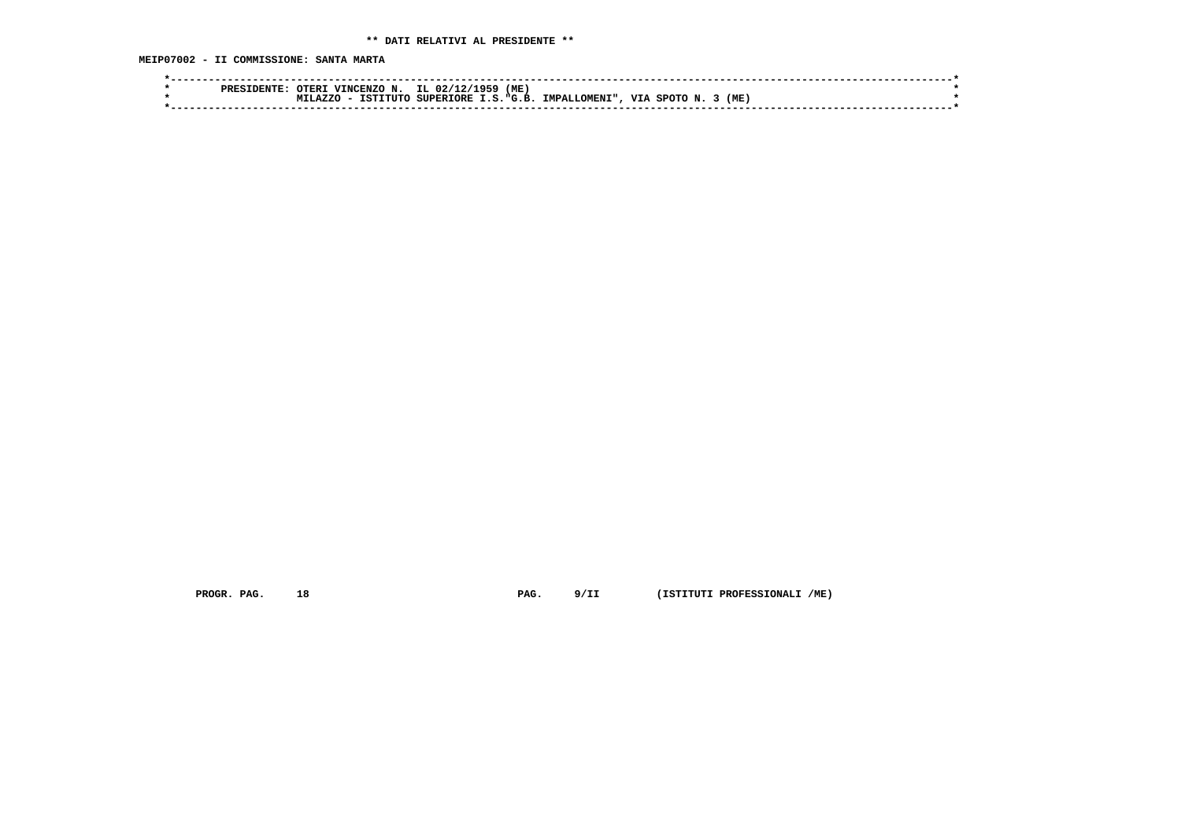**MEIP07002 - II COMMISSIONE: SANTA MARTA**

|  | <b>PRES</b> | <b>DTERI</b> | N.<br><b>VINCENZO</b> | IL 02/12/1959    | (ME       |                      |     |         |     |  |
|--|-------------|--------------|-----------------------|------------------|-----------|----------------------|-----|---------|-----|--|
|  |             | .1.277C      | TSTTTITC              | <b>SUPERIORE</b> | T.S.F.G.R | <b>IMPALLOMENI".</b> | VIA | ື່⊂¤ດπດ | (ME |  |
|  |             |              |                       |                  |           |                      |     |         |     |  |
|  |             |              |                       |                  |           |                      |     |         |     |  |

 **PROGR. PAG. 18 PAG. 9/II (ISTITUTI PROFESSIONALI /ME)**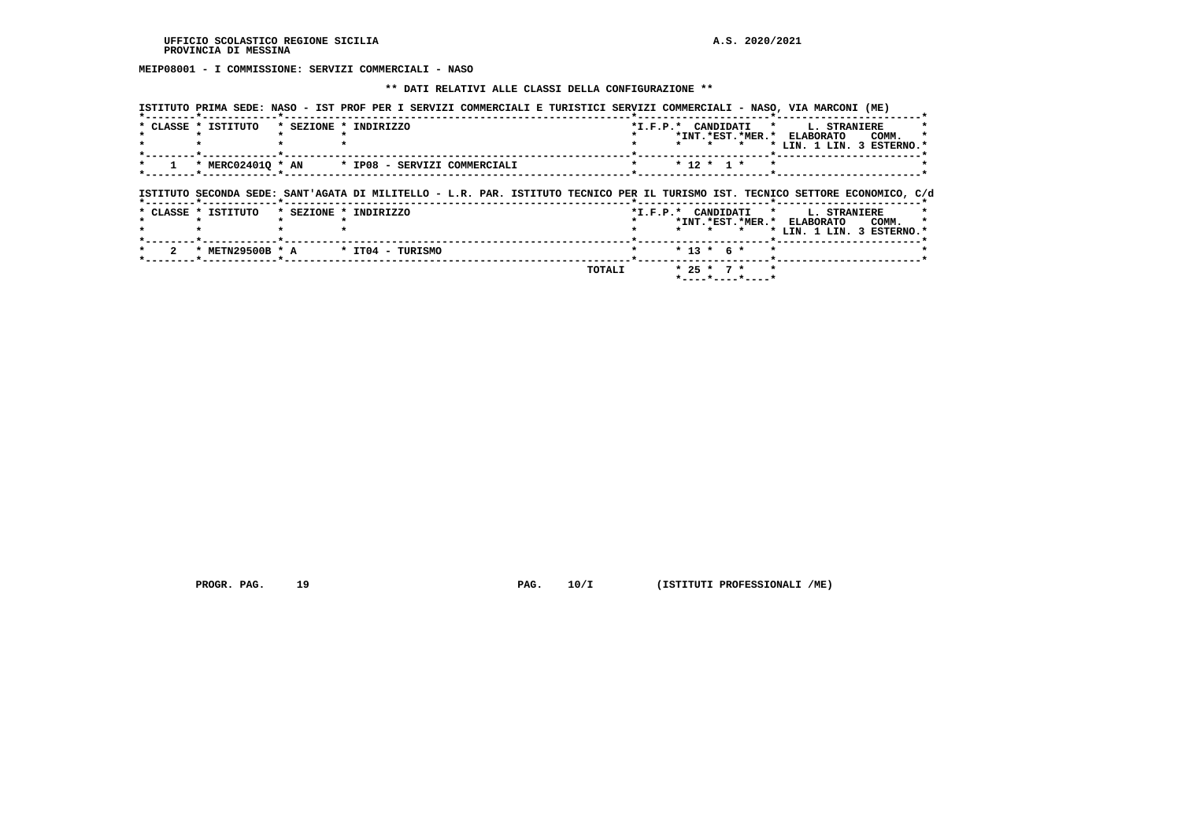**MEIP08001 - I COMMISSIONE: SERVIZI COMMERCIALI - NASO**

#### **\*\* DATI RELATIVI ALLE CLASSI DELLA CONFIGURAZIONE \*\***

|  |  |  |  |  |  |  | ISTITUTO PRIMA SEDE: NASO - IST PROF PER I SERVIZI COMMERCIALI E TURISTICI SERVIZI COMMERCIALI - NASO, VIA MARCONI (ME) |  |  |
|--|--|--|--|--|--|--|-------------------------------------------------------------------------------------------------------------------------|--|--|
|  |  |  |  |  |  |  |                                                                                                                         |  |  |

| * CLASSE * ISTITUTO | * SEZIONE * INDIRIZZO                                                                                                          |  |                  |         | *I.F.P.* CANDIDATI * L. STRANIERE<br>*INT.*EST.*MER.* ELABORATO<br>COMM. |
|---------------------|--------------------------------------------------------------------------------------------------------------------------------|--|------------------|---------|--------------------------------------------------------------------------|
|                     |                                                                                                                                |  |                  |         | * LIN. 1 LIN. 3 ESTERNO.*                                                |
|                     | * MERC024010 * AN * IP08 - SERVIZI COMMERCIALI                                                                                 |  | $*$ 12 $*$ 1 $*$ | $\star$ |                                                                          |
|                     | ISTITUTO SECONDA SEDE: SANT'AGATA DI MILITELLO - L.R. PAR. ISTITUTO TECNICO PER IL TURISMO IST. TECNICO SETTORE ECONOMICO, C/d |  |                  |         |                                                                          |
| * CLASSE * ISTITUTO | * SEZIONE * INDIRIZZO                                                                                                          |  |                  |         | *I.F.P.* CANDIDATI * L. STRANIERE                                        |
|                     |                                                                                                                                |  |                  | $\star$ | *INT.*EST.*MER.* ELABORATO<br>COMM.<br>* LIN. 1 LIN. 3 ESTERNO.*         |
| * METN29500B * A    | * ITO4 - TURISMO                                                                                                               |  | $* 13 * 6 *$     | $\star$ |                                                                          |

 **\*----\*----\*----\***

 **PROGR. PAG.** 19 **PAG.** 10/I (ISTITUTI PROFESSIONALI /ME)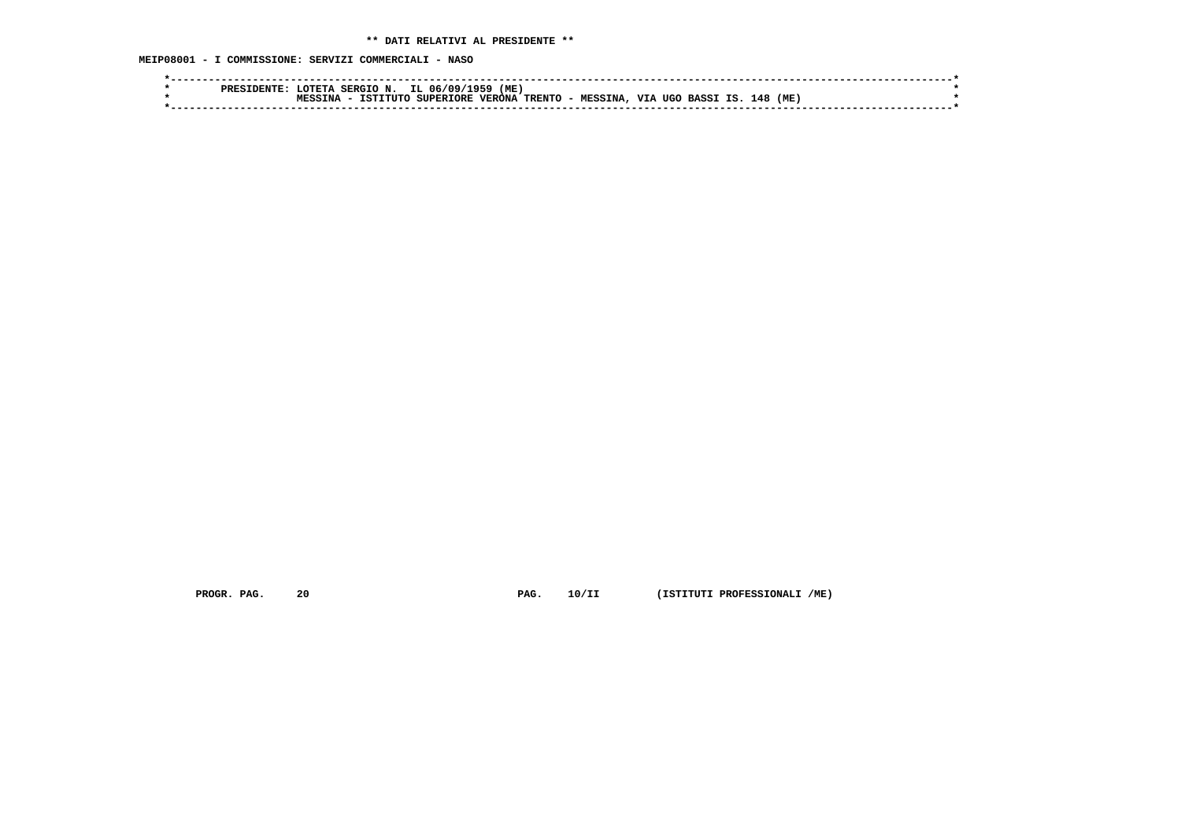**MEIP08001 - I COMMISSIONE: SERVIZI COMMERCIALI - NASO**

| IL.<br>(ME)<br>- חידור<br>SERGIO N<br>06.<br>، ۱۵۵<br><b>1956</b><br>סססם                                                            |  |
|--------------------------------------------------------------------------------------------------------------------------------------|--|
| <b>VTA</b><br>TRENTO -<br>(ME<br>148<br><b>VERONA</b><br><b>SUPERIORE</b><br>TSTITHO<br>TNA<br>UGO<br><b>MESSINA</b><br><b>BASS1</b> |  |
|                                                                                                                                      |  |
|                                                                                                                                      |  |

 **PROGR. PAG. 20 PAG. 10/II (ISTITUTI PROFESSIONALI /ME)**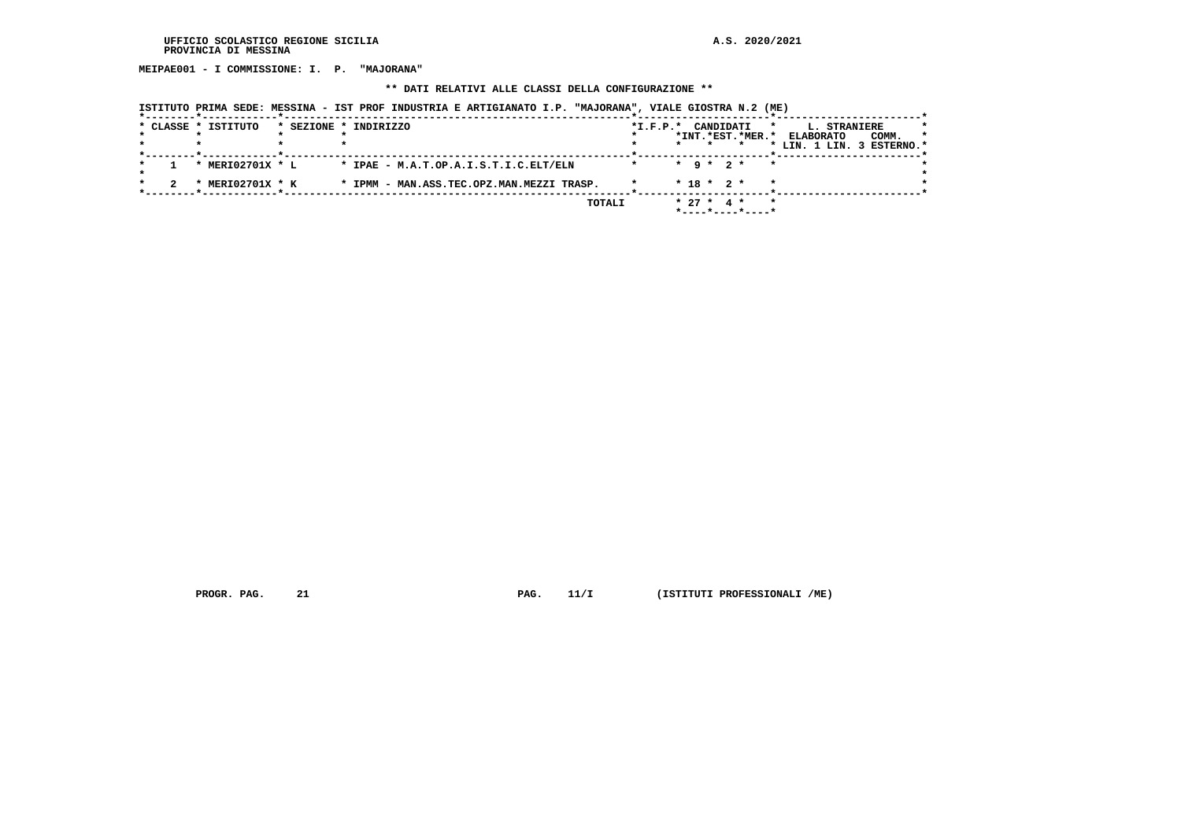**MEIPAE001 - I COMMISSIONE: I. P. "MAJORANA"**

#### **\*\* DATI RELATIVI ALLE CLASSI DELLA CONFIGURAZIONE \*\***

|  | * CLASSE * ISTITUTO | * SEZIONE * INDIRIZZO                     | $*I.F.P.*$ | CANDIDATI<br>*<br>*INT.*EST.*MER.* | L. STRANIERE<br>*<br>COMM.<br><b>ELABORATO</b><br>*<br>* LIN. 1 LIN. 3 ESTERNO.* |
|--|---------------------|-------------------------------------------|------------|------------------------------------|----------------------------------------------------------------------------------|
|  | * MERI02701X * L    | * IPAE - M.A.T.OP.A.I.S.T.I.C.ELT/ELN     |            | $*$ 9 $*$ 2 $*$<br>$\star$         |                                                                                  |
|  | MERI02701X * K      | * IPMM - MAN.ASS.TEC.OPZ.MAN.MEZZI TRASP. |            | $*$ 18 $*$ 2 $*$<br>$\star$        |                                                                                  |
|  |                     | TOTALI                                    |            | $* 27 *$<br>$\star$<br>4 *         |                                                                                  |

 **ISTITUTO PRIMA SEDE: MESSINA - IST PROF INDUSTRIA E ARTIGIANATO I.P. "MAJORANA", VIALE GIOSTRA N.2 (ME)**

 **PROGR. PAG.** 21 **PAG. 11/I** (ISTITUTI PROFESSIONALI /ME)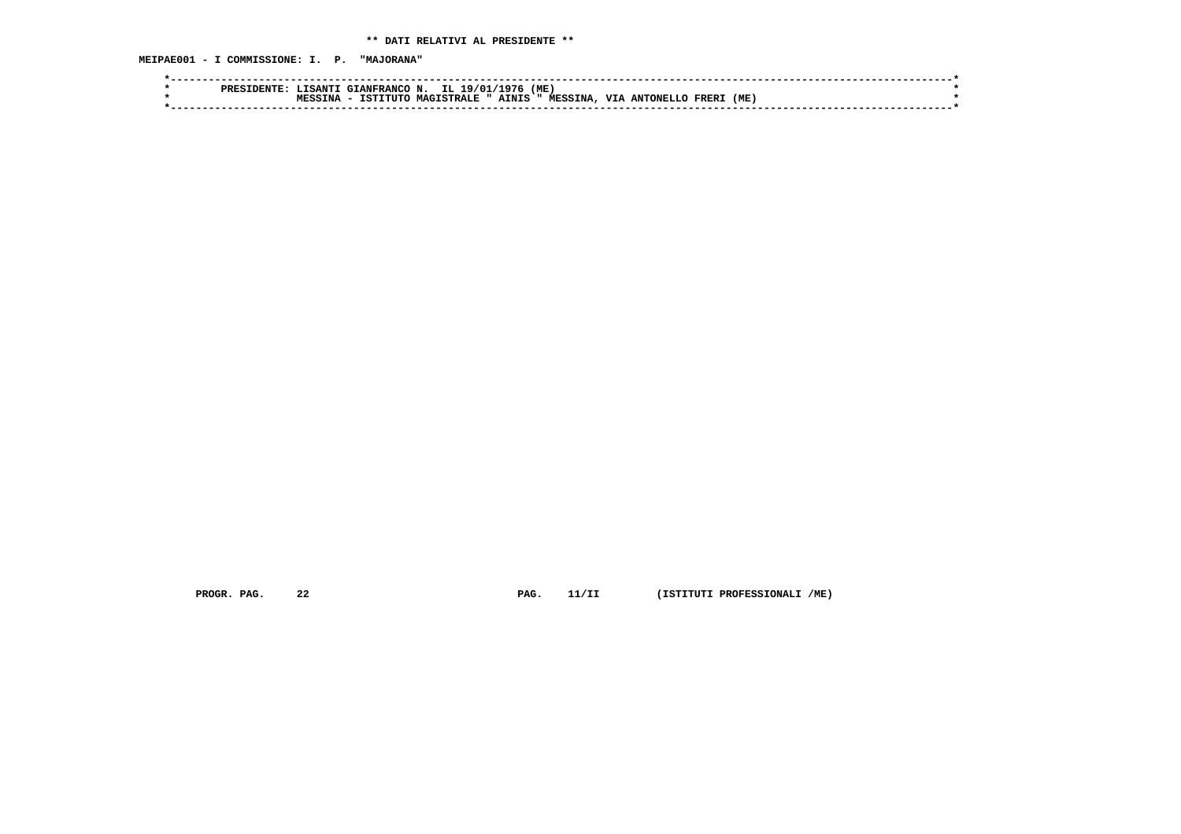**MEIPAE001 - I COMMISSIONE: I. P. "MAJORANA"**

| PRES | TSANTI              | GIANFRANCO N. | IL 1<br>19/01/    | 1976  | (ME)           |            |           |                   |      |  |
|------|---------------------|---------------|-------------------|-------|----------------|------------|-----------|-------------------|------|--|
|      | TNA.<br><b>MPCC</b> | TSTITITO      | <b>MAGTSTRALE</b> | AINIS | <b>MESSINA</b> | <b>VTA</b> | ANTONELLC | FRER <sub>1</sub> | (ME) |  |
|      |                     |               |                   |       |                |            |           |                   |      |  |
|      |                     |               |                   |       |                |            |           |                   |      |  |

 **PROGR. PAG. 22 PAG. 11/II (ISTITUTI PROFESSIONALI /ME)**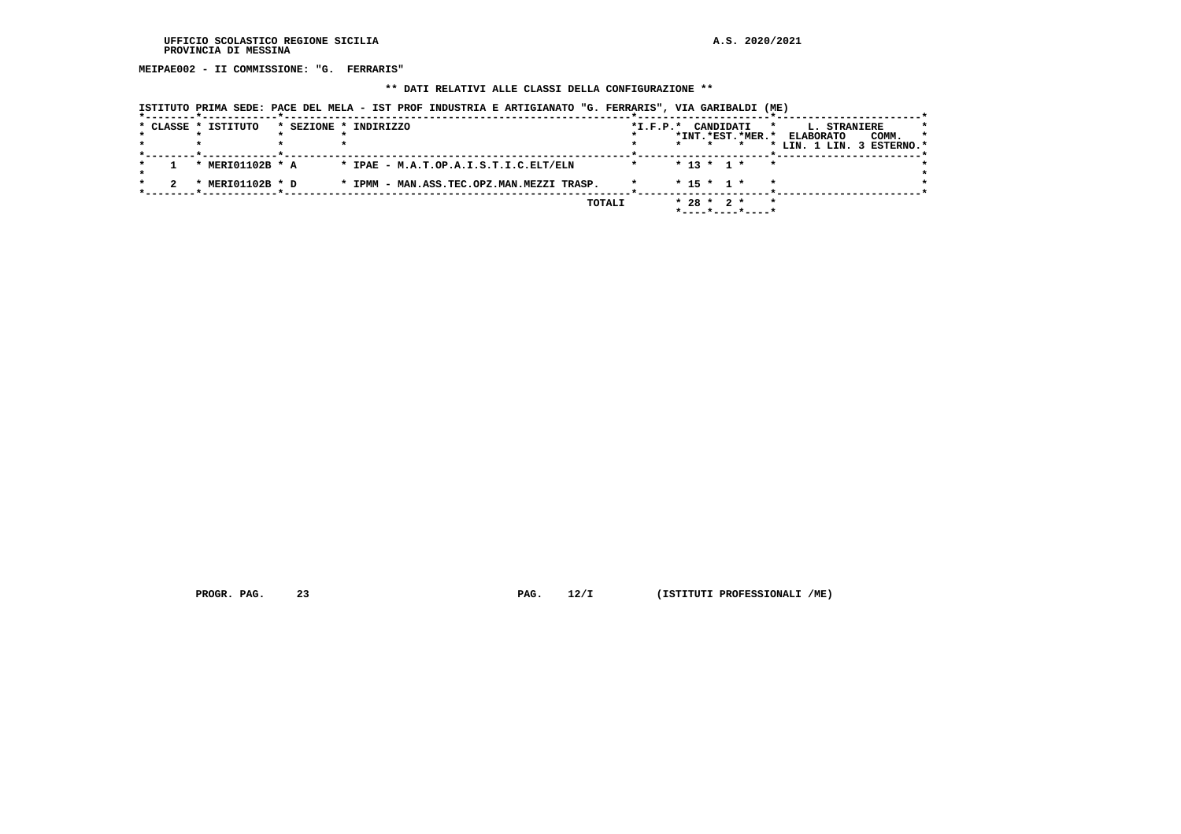**MEIPAE002 - II COMMISSIONE: "G. FERRARIS"**

#### **\*\* DATI RELATIVI ALLE CLASSI DELLA CONFIGURAZIONE \*\***

|              | * CLASSE * ISTITUTO | * SEZIONE * INDIRIZZO                     |        | $*I.F.P.*$ | CANDIDATI        | *INT.*EST.*MER.*                        | L. STRANIERE<br>*<br><b>ELABORATO</b> | COMM. | * |
|--------------|---------------------|-------------------------------------------|--------|------------|------------------|-----------------------------------------|---------------------------------------|-------|---|
|              |                     |                                           |        |            |                  |                                         | * LIN. 1 LIN. 3 ESTERNO.*             |       |   |
|              | * MERI01102B * A    | * IPAE - M.A.T.OP.A.I.S.T.I.C.ELT/ELN     |        |            | $* 13 * 1 *$     | $\star$                                 |                                       |       |   |
| $\mathbf{r}$ | MERI01102B * D      | * IPMM - MAN.ASS.TEC.OPZ.MAN.MEZZI TRASP. |        |            | $*$ 15 $*$ 1 $*$ |                                         | $\star$                               |       |   |
|              |                     |                                           | TOTALI |            | $* 28 * 2 *$     | $*$ - - - - $*$ - - - - $*$ - - - - $*$ | $\star$                               |       |   |

 **ISTITUTO PRIMA SEDE: PACE DEL MELA - IST PROF INDUSTRIA E ARTIGIANATO "G. FERRARIS", VIA GARIBALDI (ME)**

 **PROGR. PAG.** 23 **PROGR. PAG. 12/I** (ISTITUTI PROFESSIONALI /ME)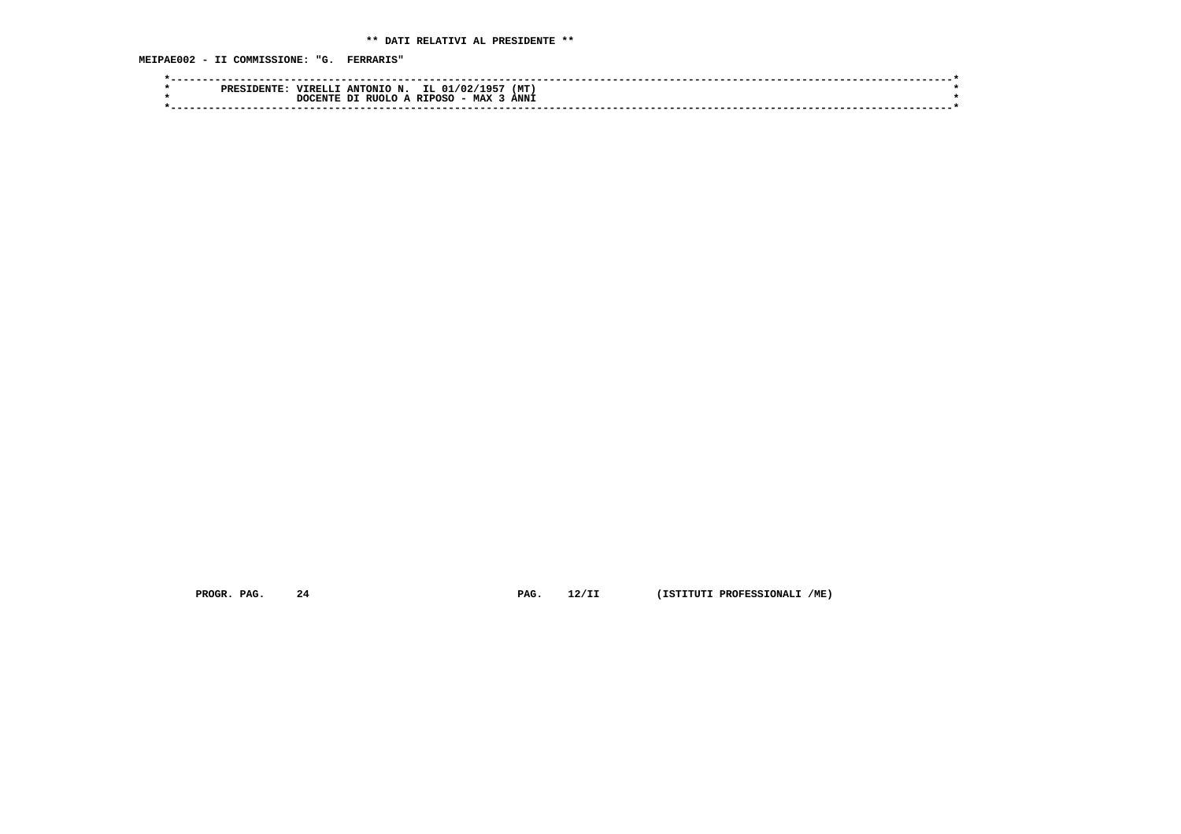**MEIPAE002 - II COMMISSIONE: "G. FERRARIS"**

| <b>PRES</b> | (MT<br>IL 01/02/<br>. 71957.<br>ANTONIO<br>'IRELL                       |  |
|-------------|-------------------------------------------------------------------------|--|
|             | ANN <sub>1</sub><br>- MAX<br>A RIPOSC<br>RIIOLO<br>ומ<br><b>DOCENTE</b> |  |
|             |                                                                         |  |

 **PROGR. PAG. 24 PAG. 12/II (ISTITUTI PROFESSIONALI /ME)**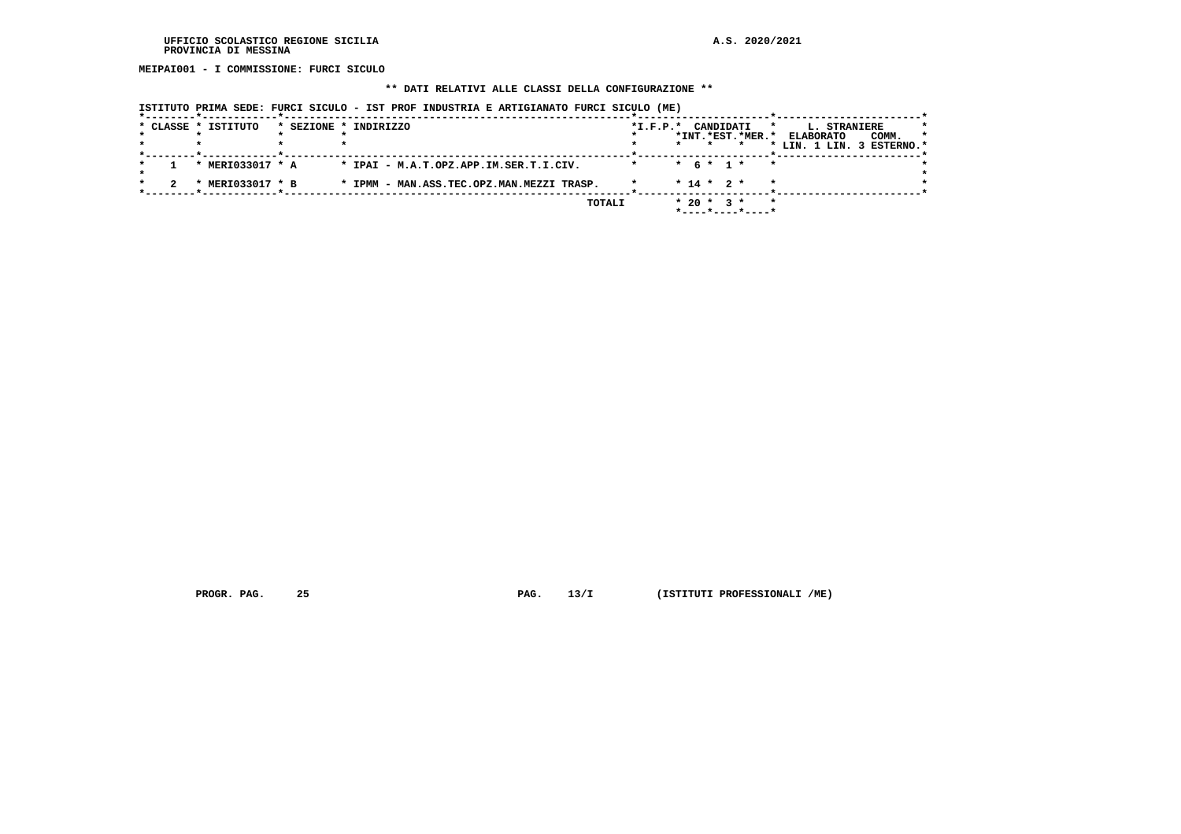**MEIPAI001 - I COMMISSIONE: FURCI SICULO**

## **\*\* DATI RELATIVI ALLE CLASSI DELLA CONFIGURAZIONE \*\***

| ISTITUTO PRIMA SEDE: FURCI SICULO - IST PROF INDUSTRIA E ARTIGIANATO FURCI SICULO (ME) |  |  |  |  |
|----------------------------------------------------------------------------------------|--|--|--|--|
|                                                                                        |  |  |  |  |

|  | * CLASSE * ISTITUTO           | * SEZIONE * INDIRIZZO                     | $*I.F.P.*$ | CANDIDATI<br>*                                                     | L. STRANIERE                                                      |
|--|-------------------------------|-------------------------------------------|------------|--------------------------------------------------------------------|-------------------------------------------------------------------|
|  |                               |                                           |            | *INT.*EST.*MER.*                                                   | <b>ELABORATO</b><br>COMM.<br>$\star$<br>* LIN. 1 LIN. 3 ESTERNO.* |
|  | * MERI033017 * A              | * IPAI - M.A.T.OPZ.APP.IM.SER.T.I.CIV.    |            | * 6 * 1 *<br>$\star$                                               |                                                                   |
|  | MERI033017 * B<br>$\mathbf x$ | * IPMM - MAN.ASS.TEC.OPZ.MAN.MEZZI TRASP. |            | $* 14 * 2 *$<br>$\star$                                            |                                                                   |
|  |                               | TOTALI                                    |            | $* 20 * 3 *$<br>$\star$<br>$*$ - - - - $*$ - - - - $*$ - - - - $*$ |                                                                   |

 **PROGR. PAG. 25 PAG. 13/I (ISTITUTI PROFESSIONALI /ME)**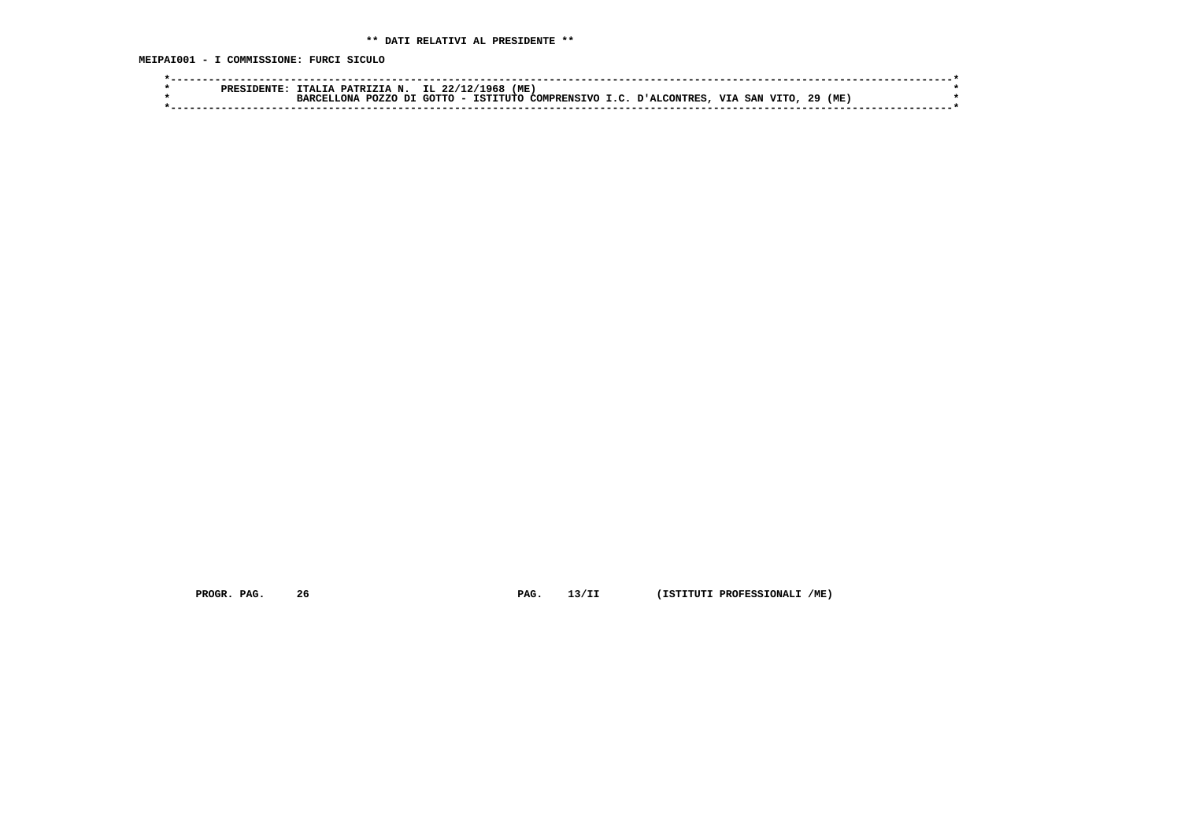**MEIPAI001 - I COMMISSIONE: FURCI SICULO**

|  | PATRIZIA N.<br>-тат.                       | ME<br>IL 22/<br>968.                                                                                                                |  |
|--|--------------------------------------------|-------------------------------------------------------------------------------------------------------------------------------------|--|
|  | דת<br>P <sub>0</sub> 7.7.0<br>ות ה<br>סמפת | (ME)<br>29<br>∩חידי∩<br>VIA<br><b>VTTO</b><br>TSTITITO<br><b>DIAT.CONTRRS</b><br>SAN<br>COMPRENCTVO I C<br>$\overline{\phantom{0}}$ |  |
|  |                                            |                                                                                                                                     |  |

 **PROGR. PAG. 26 PAG. 13/II (ISTITUTI PROFESSIONALI /ME)**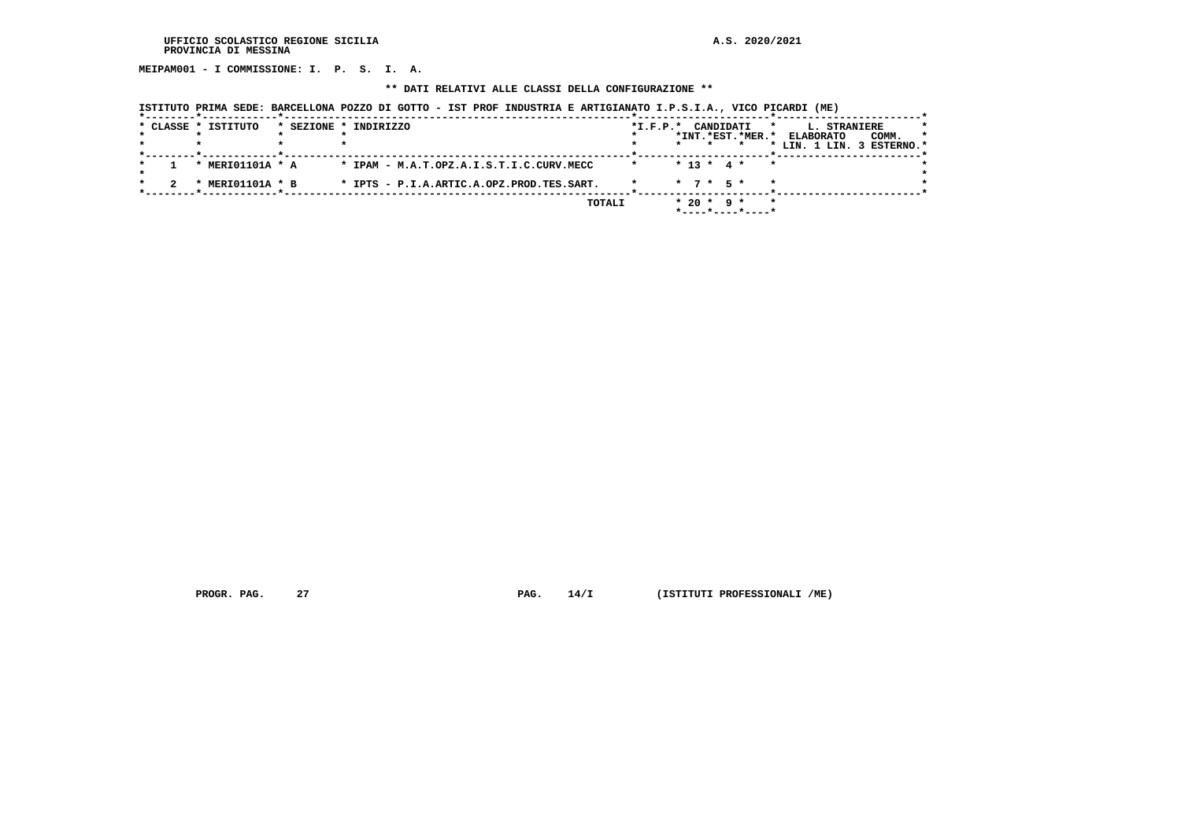**MEIPAM001 - I COMMISSIONE: I. P. S. I. A.**

## **\*\* DATI RELATIVI ALLE CLASSI DELLA CONFIGURAZIONE \*\***

| ISTITUTO PRIMA SEDE: BARCELLONA POZZO DI GOTTO - IST PROF INDUSTRIA E ARTIGIANATO I.P.S.I.A., VICO PICARDI (ME) |  |  |  |  |
|-----------------------------------------------------------------------------------------------------------------|--|--|--|--|
| الله المستخدمة المستخدمة المستخدمة والمستخدمة والمستخدمة والمستخدمة والمستخدمة والمستخدمة والمستخدمة المستخدمة  |  |  |  |  |

|  | * CLASSE * ISTITUTO | * SEZIONE * INDIRIZZO                     | $*I.F.P.*$ | CANDIDATI                                   | L. STRANIERE<br>$\star$   | *       |
|--|---------------------|-------------------------------------------|------------|---------------------------------------------|---------------------------|---------|
|  |                     |                                           |            | *INT.*EST.*MER.*                            | COMM.<br><b>ELABORATO</b> | $\star$ |
|  |                     |                                           |            | $\star$                                     | * LIN. 1 LIN. 3 ESTERNO.* |         |
|  | * MERIO1101A * A    | * IPAM - M.A.T.OPZ.A.I.S.T.I.C.CURV.MECC  | $\star$    | $* 13 * 4 *$<br>$\star$                     |                           |         |
|  | MERI01101A * B      | * IPTS - P.I.A.ARTIC.A.OPZ.PROD.TES.SART. |            | $\star$ 7 $\star$ 5 $\star$                 |                           |         |
|  |                     | TOTALI                                    |            | $* 20 * 9 *$<br>$\star$<br>*----*----*----* |                           |         |

 **PROGR. PAG.** 27 **PAG.** 14/I (ISTITUTI PROFESSIONALI /ME)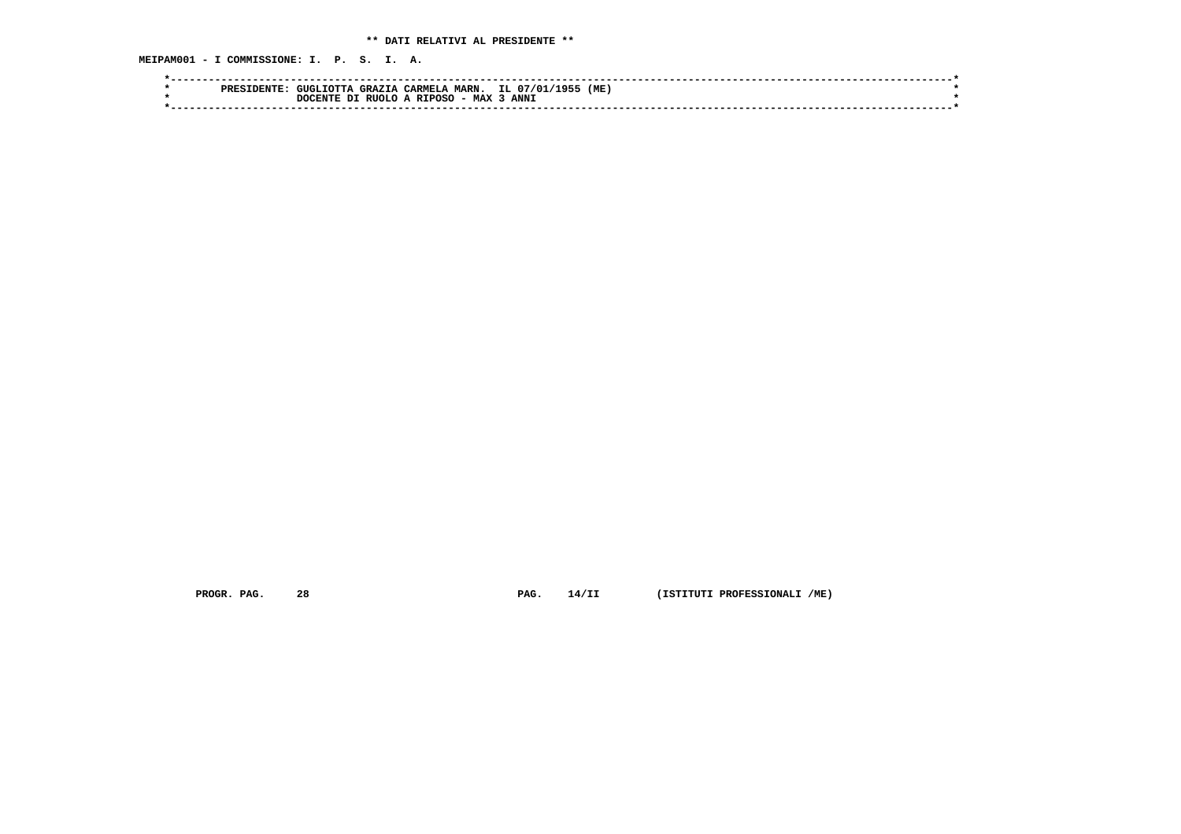**MEIPAM001 - I COMMISSIONE: I. P. S. I. A.**

|  | PRES | GUGLIOTTA | <b>GRAZIA</b> | CARMELA       | <b>MARN.</b> | IL 07/01<br>1 Q 도 | (ME) |  |
|--|------|-----------|---------------|---------------|--------------|-------------------|------|--|
|  |      | ידימידי   | RITOT O       | <b>RTPOSC</b> | <b>MAX</b>   | ANN <sub>3</sub>  |      |  |
|  |      |           |               |               |              |                   |      |  |

 **PROGR. PAG. 28 PAG. 14/II (ISTITUTI PROFESSIONALI /ME)**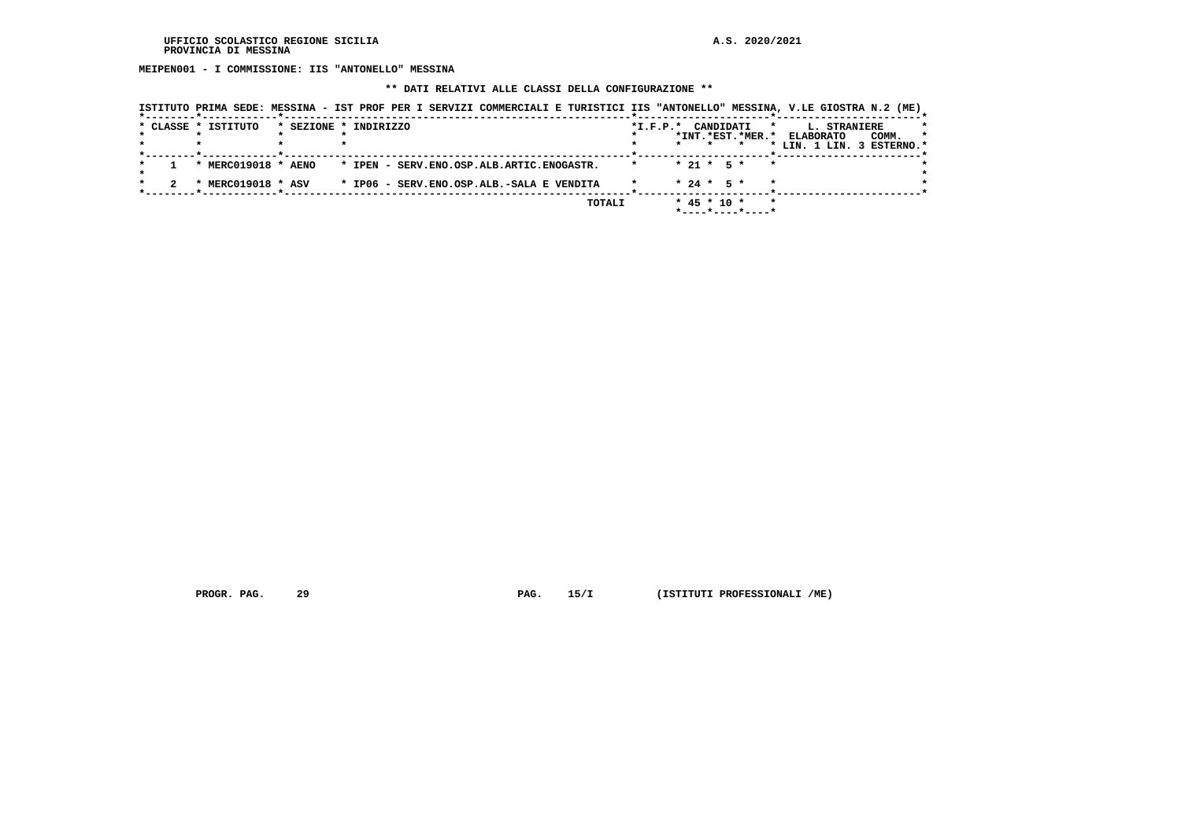**MEIPEN001 - I COMMISSIONE: IIS "ANTONELLO" MESSINA**

#### **\*\* DATI RELATIVI ALLE CLASSI DELLA CONFIGURAZIONE \*\***

| ISTITUTO PRIMA SEDE: MESSINA - IST PROF PER I SERVIZI COMMERCIALI E TURISTICI IIS "ANTONELLO" MESSINA, V.LE GIOSTRA N.2 (ME) |                                           |  |        |                    |         |                   |                  |                           |                     |       |         |
|------------------------------------------------------------------------------------------------------------------------------|-------------------------------------------|--|--------|--------------------|---------|-------------------|------------------|---------------------------|---------------------|-------|---------|
| * CLASSE * ISTITUTO                                                                                                          | * SEZIONE * INDIRIZZO                     |  |        | *I.F.P.* CANDIDATI |         |                   |                  | $\star$                   | <b>L. STRANIERE</b> |       | *       |
|                                                                                                                              |                                           |  |        |                    |         |                   | *INT.*EST.*MER.* |                           | <b>ELABORATO</b>    | COMM. | $\star$ |
|                                                                                                                              |                                           |  |        |                    | $\star$ | $\star$           | $\star$          | * LIN. 1 LIN. 3 ESTERNO.* |                     |       |         |
| * MERC019018 * AENO                                                                                                          | * IPEN - SERV.ENO.OSP.ALB.ARTIC.ENOGASTR. |  |        | $\star$            |         |                   | $* 21 * 5 *$     | $\bullet$                 |                     |       |         |
| * MERC019018 * ASV                                                                                                           | * IP06 - SERV.ENO.OSP.ALB.-SALA E VENDITA |  |        |                    |         | $* 24 * 5 *$      |                  | $\star$                   |                     |       |         |
|                                                                                                                              |                                           |  | TOTALI |                    |         | $*$ 45 $*$ 10 $*$ | *----*----*----* | $\star$                   |                     |       |         |

 **PROGR. PAG. 29 PAG. 15/I (ISTITUTI PROFESSIONALI /ME)**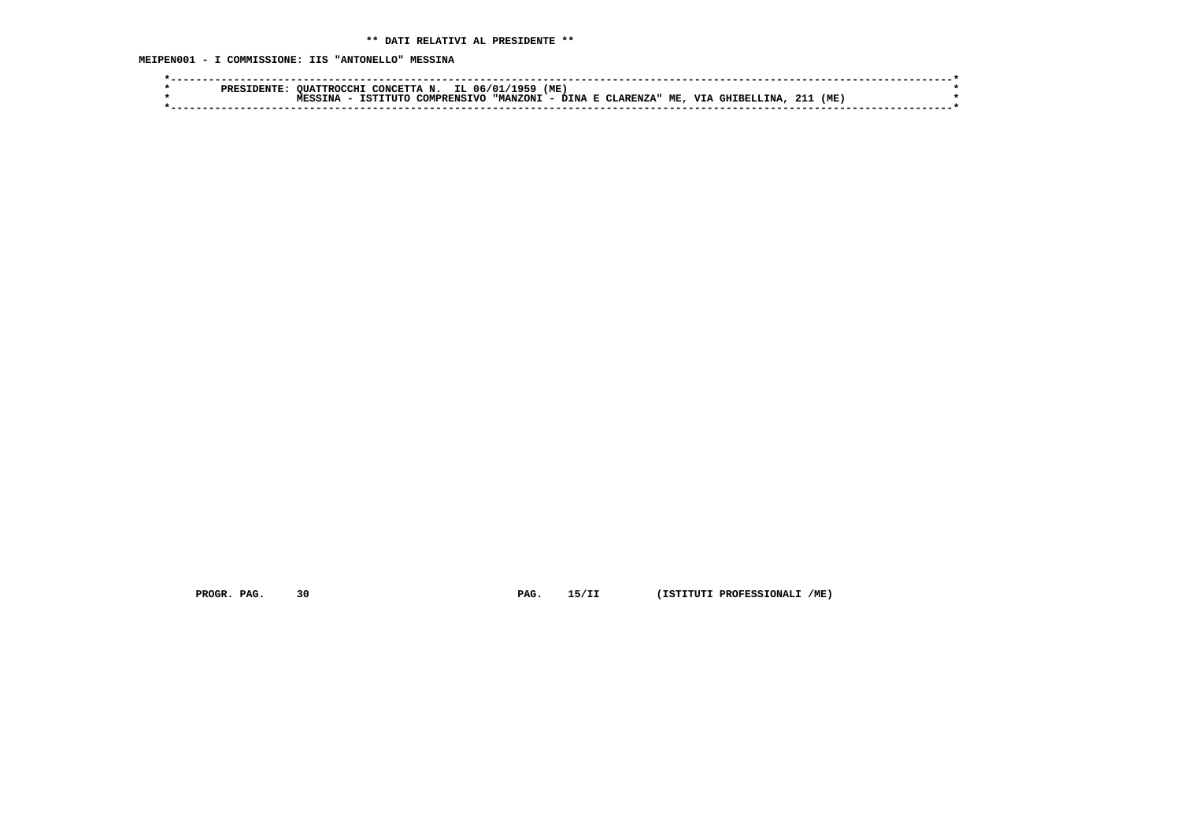**MEIPEN001 - I COMMISSIONE: IIS "ANTONELLO" MESSINA**

|  | PRES 1 | OUATTROCCHT | CONCETTA N. | IL 06/01/                      | (ME<br>1959 |             |           |            |     |     |  |
|--|--------|-------------|-------------|--------------------------------|-------------|-------------|-----------|------------|-----|-----|--|
|  |        | -           | TCTTTTTTC   | <b>"MANZONI</b><br>COMPRENSIVO | DTNA        | E CLARENZA" | 77T<br>ME | GHIBELLINA | 21. | (ME |  |
|  |        |             |             |                                |             |             |           |            |     |     |  |
|  |        |             |             |                                |             |             |           |            |     |     |  |

 **PROGR. PAG. 30 PAG. 15/II (ISTITUTI PROFESSIONALI /ME)**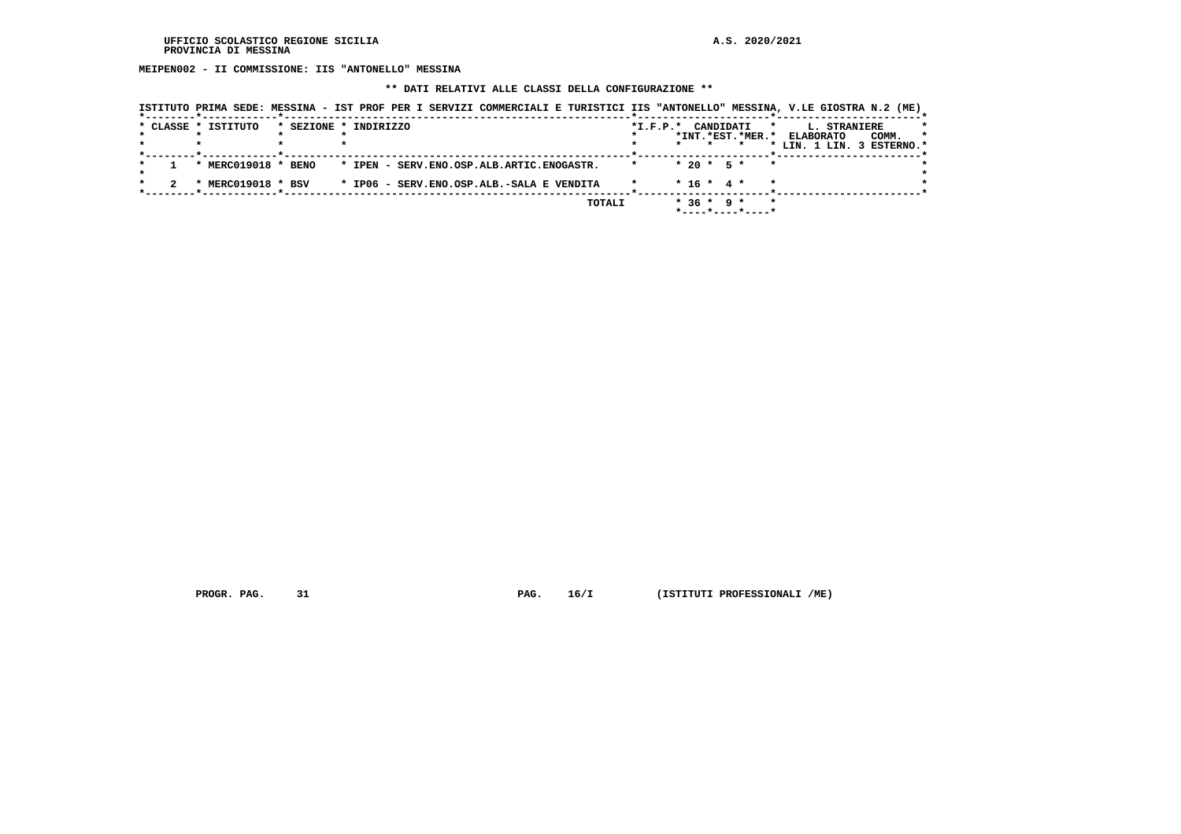**MEIPEN002 - II COMMISSIONE: IIS "ANTONELLO" MESSINA**

#### **\*\* DATI RELATIVI ALLE CLASSI DELLA CONFIGURAZIONE \*\***

| ISTITUTO PRIMA SEDE: MESSINA - IST PROF PER I SERVIZI COMMERCIALI E TURISTICI IIS "ANTONELLO" MESSINA, V.LE GIOSTRA N.2 (ME) |                       |  |                                           |        |                    |              |             |                  |                           |                     |       |         |
|------------------------------------------------------------------------------------------------------------------------------|-----------------------|--|-------------------------------------------|--------|--------------------|--------------|-------------|------------------|---------------------------|---------------------|-------|---------|
| * CLASSE * ISTITUTO                                                                                                          | * SEZIONE * INDIRIZZO |  |                                           |        | *I.F.P.* CANDIDATI |              |             |                  | $\star$                   | <b>L. STRANIERE</b> |       | *       |
|                                                                                                                              |                       |  |                                           |        |                    |              |             | *INT.*EST.*MER.* |                           | <b>ELABORATO</b>    | COMM. | $\star$ |
|                                                                                                                              |                       |  |                                           |        |                    | $\star$      | $\star$     | $\star$          | * LIN. 1 LIN. 3 ESTERNO.* |                     |       |         |
| * MERC019018 * BENO                                                                                                          |                       |  | * IPEN - SERV.ENO.OSP.ALB.ARTIC.ENOGASTR. |        |                    | $* 20 * 5 *$ |             | $\star$          |                           |                     |       |         |
| * MERC019018 * BSV                                                                                                           |                       |  | * IP06 - SERV.ENO.OSP.ALB.-SALA E VENDITA |        |                    | $* 16 * 4 *$ |             |                  | $\star$                   |                     |       |         |
|                                                                                                                              |                       |  |                                           | TOTALI |                    |              | $*36 * 9 *$ | *----*----*----* | $\star$                   |                     |       |         |

 **PROGR. PAG. 31 PAG. 16/I (ISTITUTI PROFESSIONALI /ME)**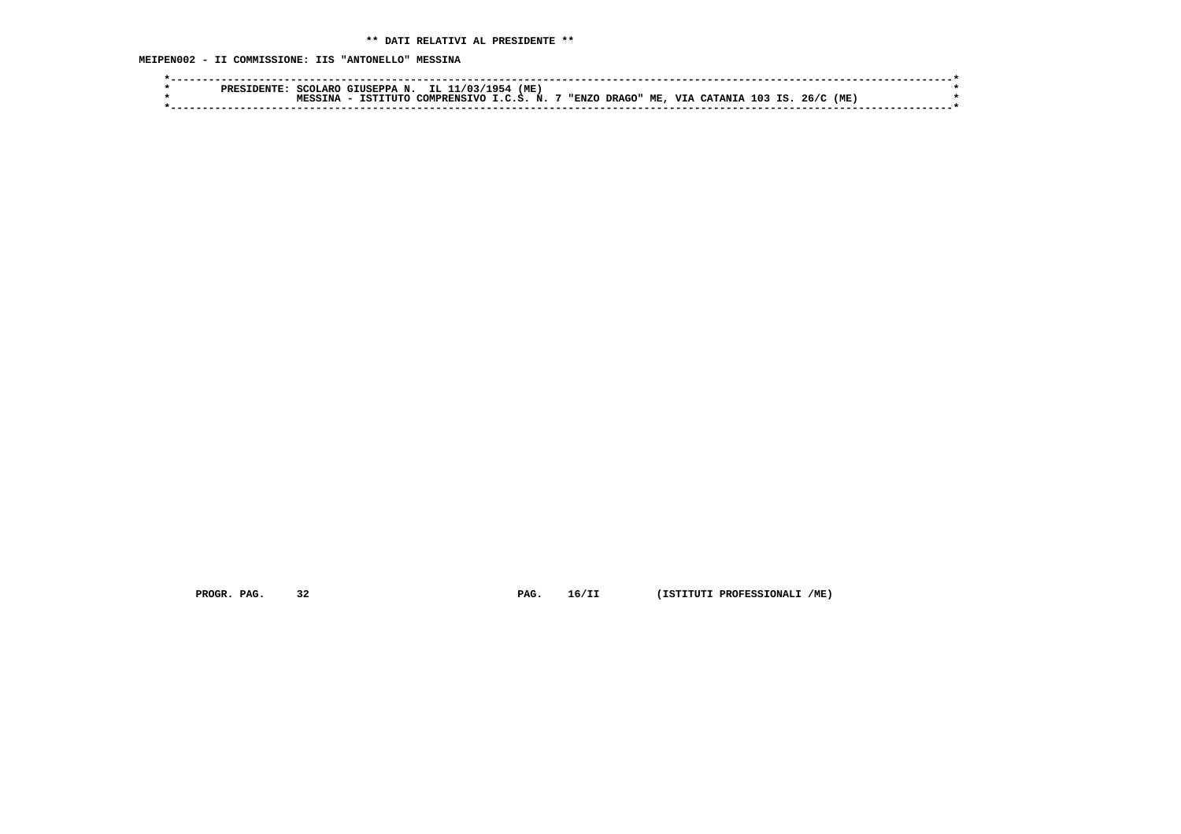**MEIPEN002 - II COMMISSIONE: IIS "ANTONELLO" MESSINA**

|  | SCOLARO | GIUSEPPA N. | TT. 11<br>1031                          | (ME)<br>71 Q 54 |     |            |                      |     |  |
|--|---------|-------------|-----------------------------------------|-----------------|-----|------------|----------------------|-----|--|
|  |         | TSTTTITO    | .J COMPRENSIVO I.C.S. N. 7 "ENZO DRAGO" |                 | ME, | <b>VIA</b> | CATANIA 103 IS. 26/C | (ME |  |
|  |         |             |                                         |                 |     |            |                      |     |  |

 **PROGR. PAG. 32 PAG. 16/II (ISTITUTI PROFESSIONALI /ME)**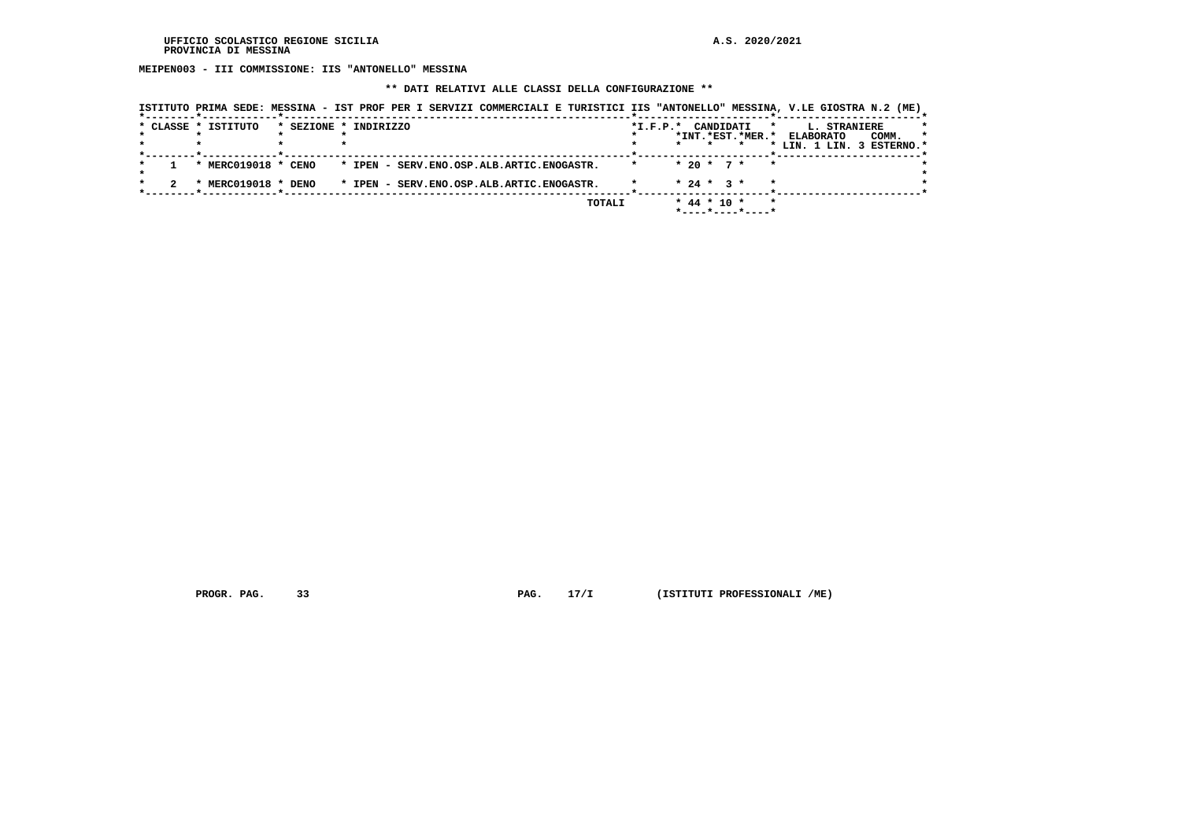**MEIPEN003 - III COMMISSIONE: IIS "ANTONELLO" MESSINA**

#### **\*\* DATI RELATIVI ALLE CLASSI DELLA CONFIGURAZIONE \*\***

|                     |                       | ISTITUTO PRIMA SEDE: MESSINA - IST PROF PER I SERVIZI COMMERCIALI E TURISTICI IIS "ANTONELLO" MESSINA, V.LE GIOSTRA N.2 (ME) |        |                    |         |                   |                  |                           |                     |       |         |
|---------------------|-----------------------|------------------------------------------------------------------------------------------------------------------------------|--------|--------------------|---------|-------------------|------------------|---------------------------|---------------------|-------|---------|
| * CLASSE * ISTITUTO | * SEZIONE * INDIRIZZO |                                                                                                                              |        | *I.F.P.* CANDIDATI |         |                   |                  | $\star$                   | <b>L. STRANIERE</b> |       | *       |
|                     |                       |                                                                                                                              |        |                    |         |                   | *INT.*EST.*MER.* | <b>ELABORATO</b>          |                     | COMM. | $\star$ |
|                     |                       |                                                                                                                              |        |                    | $\star$ | $\star$           | $\star$          | * LIN. 1 LIN. 3 ESTERNO.* |                     |       |         |
| * MERC019018 * CENO |                       | * IPEN - SERV.ENO.OSP.ALB.ARTIC.ENOGASTR.                                                                                    |        | $\star$            |         | * 20 * 7 *        | $\mathbf{r}$     |                           |                     |       |         |
| * MERC019018 * DENO |                       | * IPEN - SERV.ENO.OSP.ALB.ARTIC.ENOGASTR.                                                                                    |        |                    |         | $* 24 * 3 *$      | $\star$          |                           |                     |       |         |
|                     |                       |                                                                                                                              | TOTALI |                    |         | $*$ 44 $*$ 10 $*$ | *----*----*----* | $\star$                   |                     |       |         |

 **PROGR. PAG. 33 PAG. 17/I (ISTITUTI PROFESSIONALI /ME)**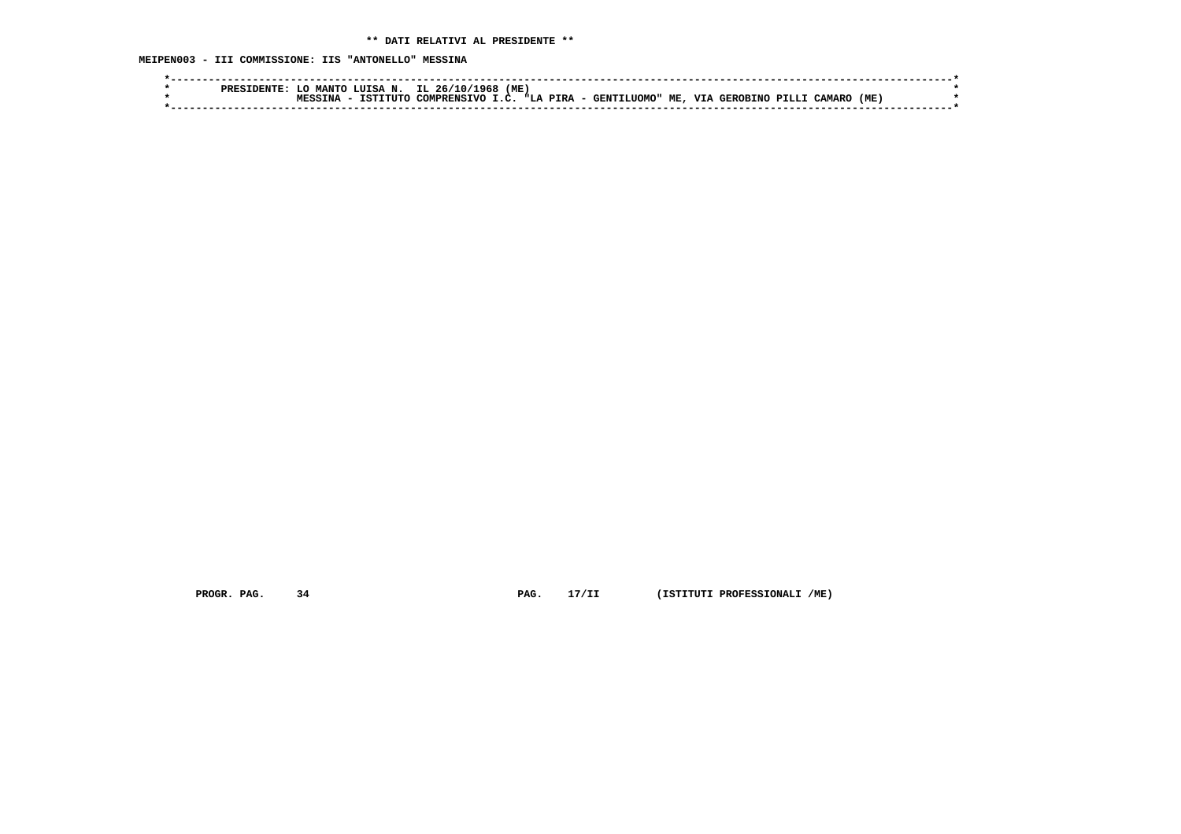**MEIPEN003 - III COMMISSIONE: IIS "ANTONELLO" MESSINA**

| MANTO LUISA N. IL 26/10/1968 (ME)<br>T.O                                                |      |
|-----------------------------------------------------------------------------------------|------|
| COMPRENSIVO I.C. "LA PIRA - GENTILUOMO" ME,<br>VIA GEROBINO PILLI<br>TSTTTITO<br>CAMARO | (ME) |
|                                                                                         |      |

 **PROGR. PAG. 34 PAG. 17/II (ISTITUTI PROFESSIONALI /ME)**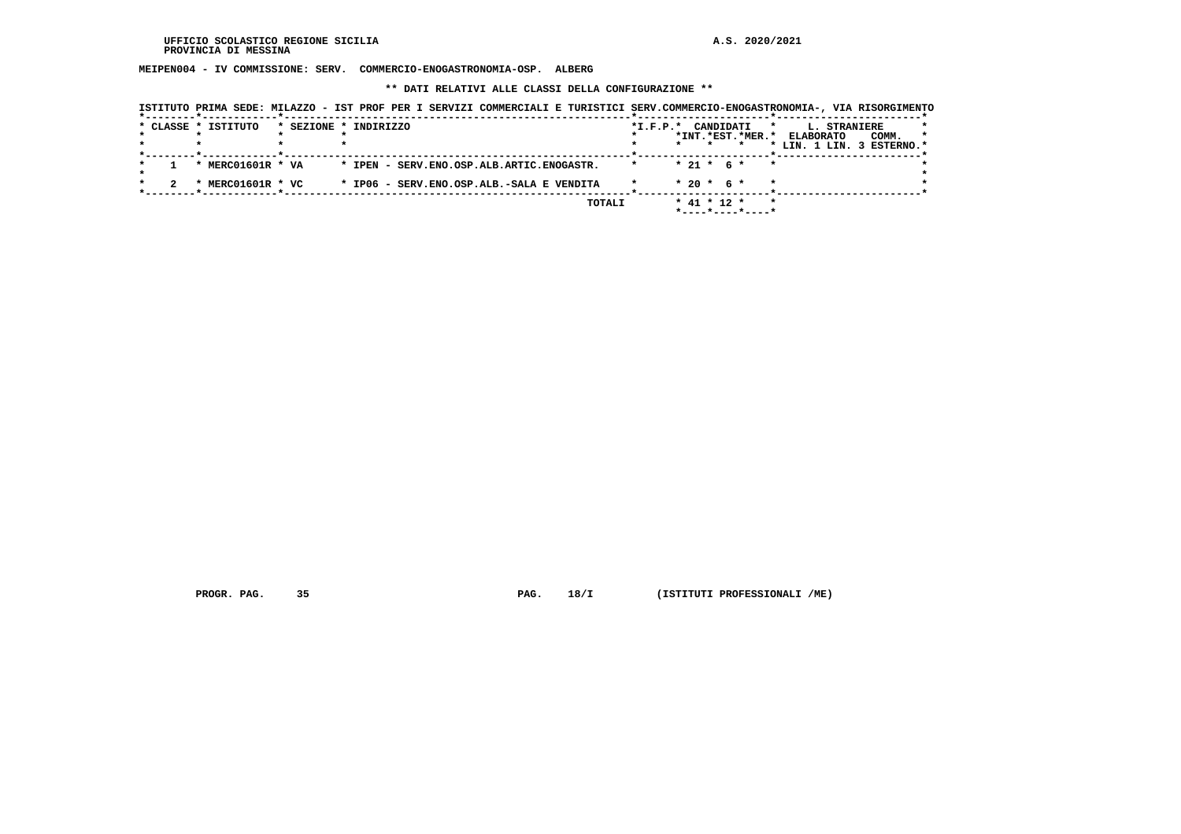**MEIPEN004 - IV COMMISSIONE: SERV. COMMERCIO-ENOGASTRONOMIA-OSP. ALBERG**

 **\*\* DATI RELATIVI ALLE CLASSI DELLA CONFIGURAZIONE \*\***

| ISTITUTO PRIMA SEDE: MILAZZO - IST PROF PER I SERVIZI COMMERCIALI E TURISTICI SERV.COMMERCIO-ENOGASTRONOMIA-, VIA RISORGIMENTO |                                           |  |        |                    |                   |                                         |                            |                     |       |         |
|--------------------------------------------------------------------------------------------------------------------------------|-------------------------------------------|--|--------|--------------------|-------------------|-----------------------------------------|----------------------------|---------------------|-------|---------|
| * CLASSE * ISTITUTO                                                                                                            | * SEZIONE * INDIRIZZO                     |  |        | *I.F.P.* CANDIDATI |                   |                                         | $\star$                    | <b>L. STRANIERE</b> |       |         |
|                                                                                                                                |                                           |  |        |                    |                   |                                         | *INT.*EST.*MER.* ELABORATO |                     | COMM. | $\star$ |
|                                                                                                                                |                                           |  |        |                    |                   |                                         | * LIN. 1 LIN. 3 ESTERNO.*  |                     |       |         |
| * MERC01601R * VA                                                                                                              | * IPEN - SERV.ENO.OSP.ALB.ARTIC.ENOGASTR. |  |        |                    | $* 21 * 6 *$      | $\star$                                 |                            |                     |       |         |
| * MERC01601R * VC                                                                                                              | * IP06 - SERV.ENO.OSP.ALB.-SALA E VENDITA |  |        |                    | $* 20 * 6 *$      |                                         |                            |                     |       |         |
|                                                                                                                                |                                           |  | TOTALI |                    | $*$ 41 $*$ 12 $*$ | $*$ - - - - $*$ - - - - $*$ - - - - $*$ | $\star$                    |                     |       |         |

 **PROGR. PAG. 35 PAG. 18/I (ISTITUTI PROFESSIONALI /ME)**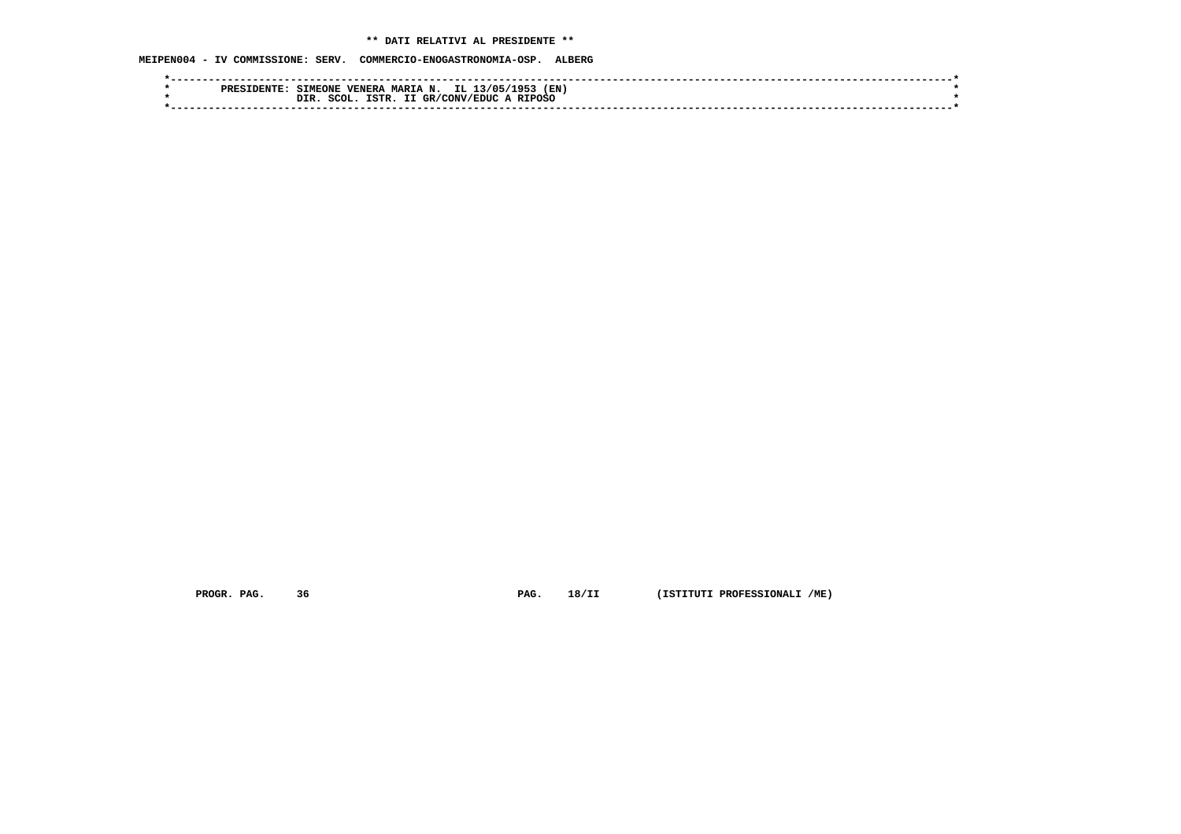# **\*\* DATI RELATIVI AL PRESIDENTE \*\***

 **MEIPEN004 - IV COMMISSIONE: SERV. COMMERCIO-ENOGASTRONOMIA-OSP. ALBERG**

| MARIA N. IL 13/05/1<br>(EN<br><b>SIMEONE</b><br><b>VENERA</b><br>1953<br><b>PRESI</b><br>ח אחת |  |
|------------------------------------------------------------------------------------------------|--|
| A RIPOSO<br>SCOL.<br>ISTR.<br>: GR/CONV/EDUC<br>DIR                                            |  |
|                                                                                                |  |

 **PROGR. PAG. 36 PAG. 18/II (ISTITUTI PROFESSIONALI /ME)**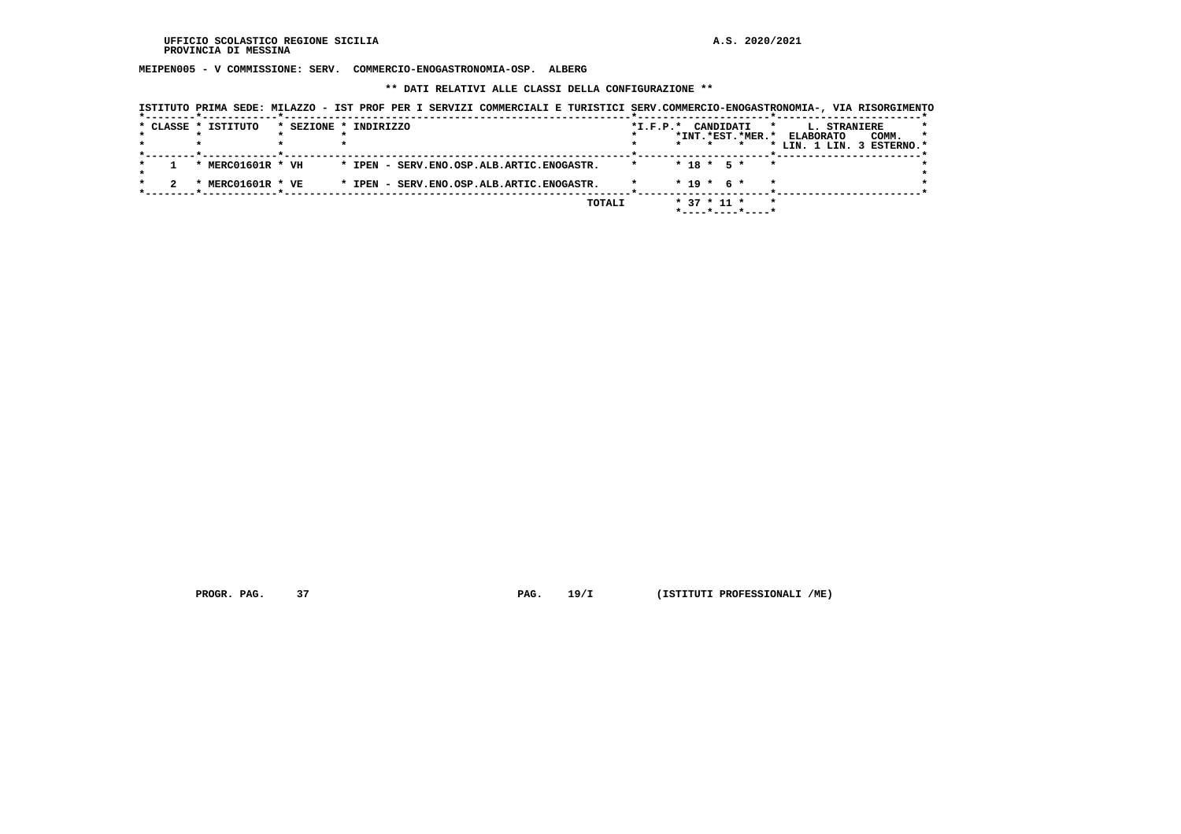**MEIPEN005 - V COMMISSIONE: SERV. COMMERCIO-ENOGASTRONOMIA-OSP. ALBERG**

 **\*\* DATI RELATIVI ALLE CLASSI DELLA CONFIGURAZIONE \*\***

|                     | ISTITUTO PRIMA SEDE: MILAZZO - IST PROF PER I SERVIZI COMMERCIALI E TURISTICI SERV.COMMERCIO-ENOGASTRONOMIA-, VIA RISORGIMENTO |  |        |                    |                   |                                         |              |                            |       |         |
|---------------------|--------------------------------------------------------------------------------------------------------------------------------|--|--------|--------------------|-------------------|-----------------------------------------|--------------|----------------------------|-------|---------|
| * CLASSE * ISTITUTO | * SEZIONE * INDIRIZZO                                                                                                          |  |        | *I.F.P.* CANDIDATI |                   |                                         | $\mathbf{r}$ | <b>L. STRANIERE</b>        |       |         |
|                     |                                                                                                                                |  |        |                    |                   |                                         |              | *INT.*EST.*MER.* ELABORATO | COMM. | $\star$ |
|                     |                                                                                                                                |  |        |                    |                   |                                         |              | * LIN. 1 LIN. 3 ESTERNO.*  |       |         |
|                     |                                                                                                                                |  |        |                    |                   |                                         |              |                            |       |         |
| * MERC01601R * VH   | * IPEN - SERV.ENO.OSP.ALB.ARTIC.ENOGASTR.                                                                                      |  |        |                    |                   | $* 18 * 5 *$                            | $\star$      |                            |       |         |
| * MERC01601R * VE   | * IPEN - SERV.ENO.OSP.ALB.ARTIC.ENOGASTR.                                                                                      |  |        |                    | $* 19 * 6 *$      |                                         |              |                            |       |         |
|                     |                                                                                                                                |  |        |                    |                   |                                         |              |                            |       |         |
|                     |                                                                                                                                |  | TOTALI |                    | $*$ 37 $*$ 11 $*$ |                                         | $\star$      |                            |       |         |
|                     |                                                                                                                                |  |        |                    |                   | $*$ - - - - $*$ - - - - $*$ - - - - $*$ |              |                            |       |         |

 **PROGR. PAG. 37 PAG. 19/I (ISTITUTI PROFESSIONALI /ME)**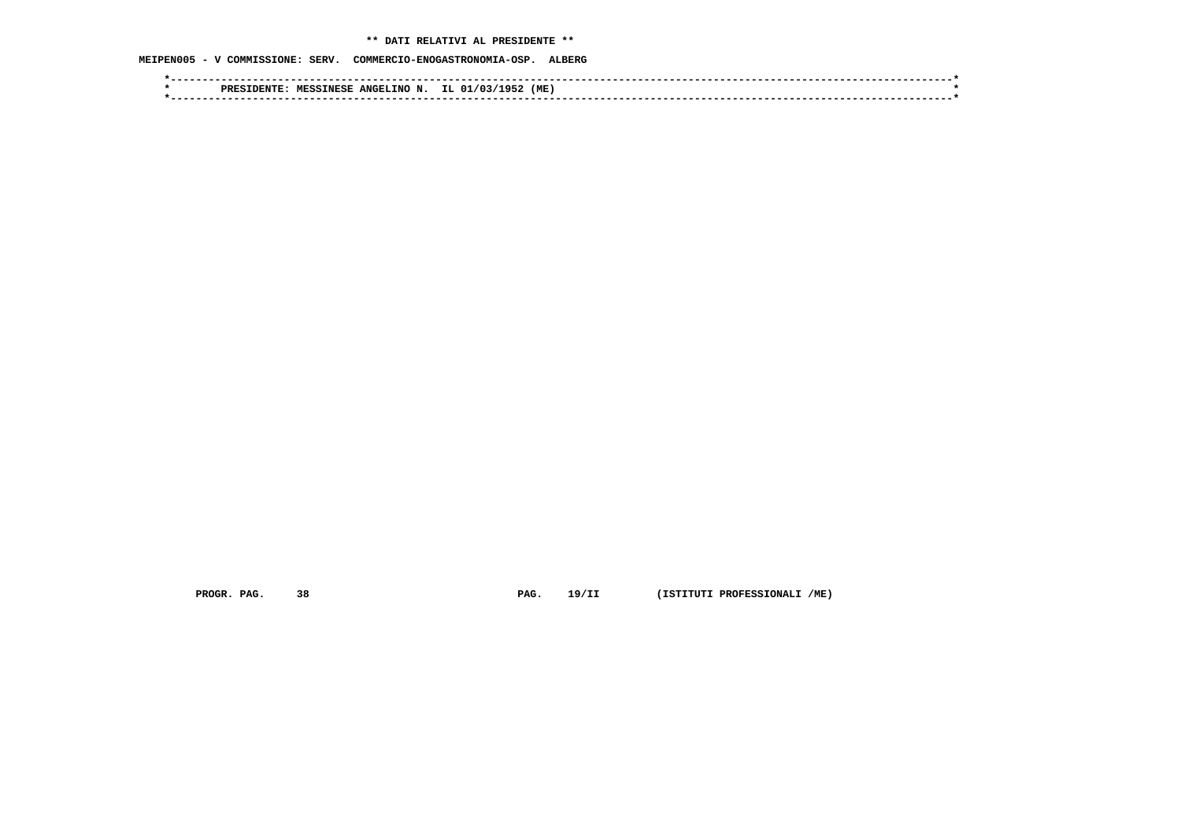# **\*\* DATI RELATIVI AL PRESIDENTE \*\***

# **MEIPEN005 - V COMMISSIONE: SERV. COMMERCIO-ENOGASTRONOMIA-OSP. ALBERG**

|  | INO<br>ANGEI<br><b>MESSINESE</b><br><b>PRES</b><br>TDEMI | (ME<br>ר מ<br>റ<br>ு |  |
|--|----------------------------------------------------------|----------------------|--|
|  |                                                          |                      |  |

 **PROGR. PAG. 38 PAG. 19/II (ISTITUTI PROFESSIONALI /ME)**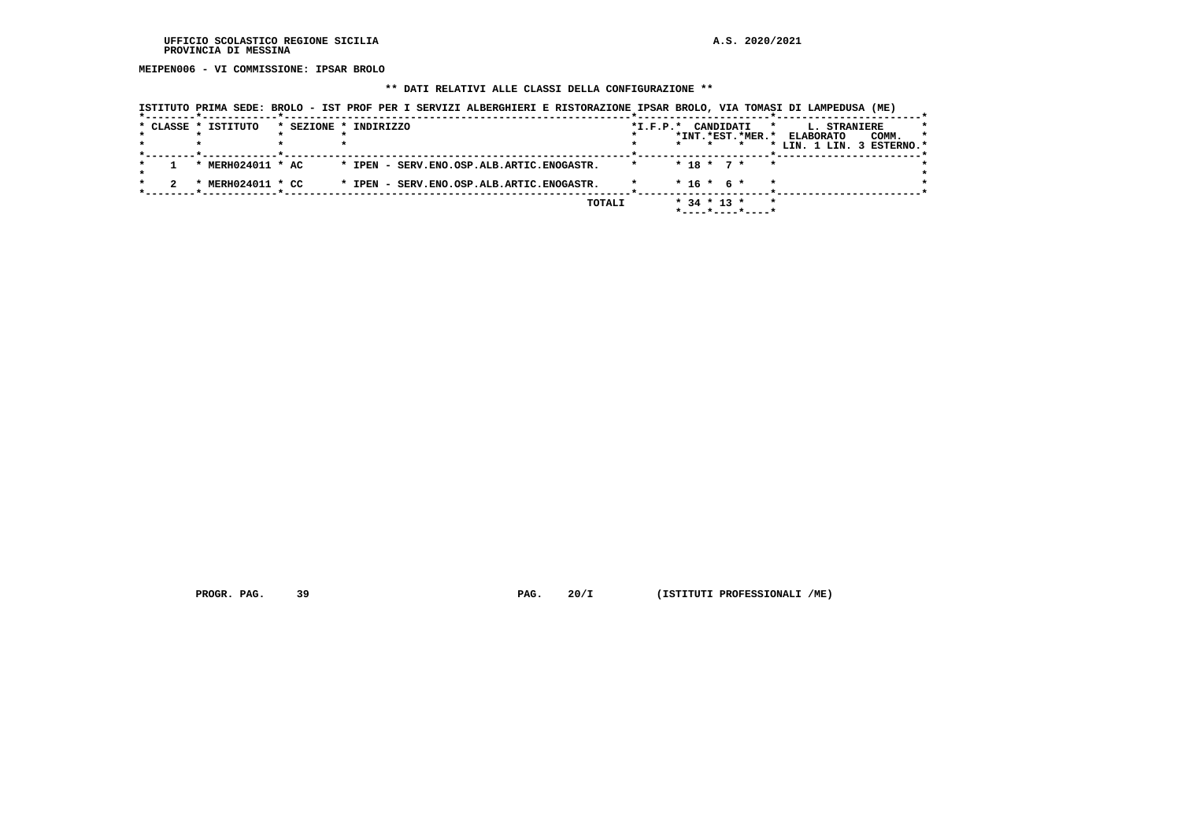**MEIPEN006 - VI COMMISSIONE: IPSAR BROLO**

### **\*\* DATI RELATIVI ALLE CLASSI DELLA CONFIGURAZIONE \*\***

|  | * CLASSE * ISTITUTO | * SEZIONE * INDIRIZZO                     | *I.F.P.* CANDIDATI<br>*INT.*EST.*MER.*   | $\star$ | <b>L. STRANIERE</b><br><b>ELABORATO</b><br>COMM. | *<br>$\star$ |
|--|---------------------|-------------------------------------------|------------------------------------------|---------|--------------------------------------------------|--------------|
|  |                     |                                           |                                          |         | * LIN. 1 LIN. 3 ESTERNO.*                        |              |
|  | * MERH024011 * AC   | * IPEN - SERV.ENO.OSP.ALB.ARTIC.ENOGASTR. | $* 18 * 7 * * *$                         |         |                                                  |              |
|  | MERH024011 * CC     | * IPEN - SERV.ENO.OSP.ALB.ARTIC.ENOGASTR. | $*$ 16 $*$ 6 $*$                         | $\star$ |                                                  |              |
|  |                     | TOTALI                                    | $*$ 34 $*$ 13 $*$<br>$*$ ----*----*----* | $\star$ |                                                  |              |

 **ISTITUTO PRIMA SEDE: BROLO - IST PROF PER I SERVIZI ALBERGHIERI E RISTORAZIONE IPSAR BROLO, VIA TOMASI DI LAMPEDUSA (ME)**

 **PROGR. PAG.** 39 **PROGR. PAG. 20/I** (ISTITUTI PROFESSIONALI /ME)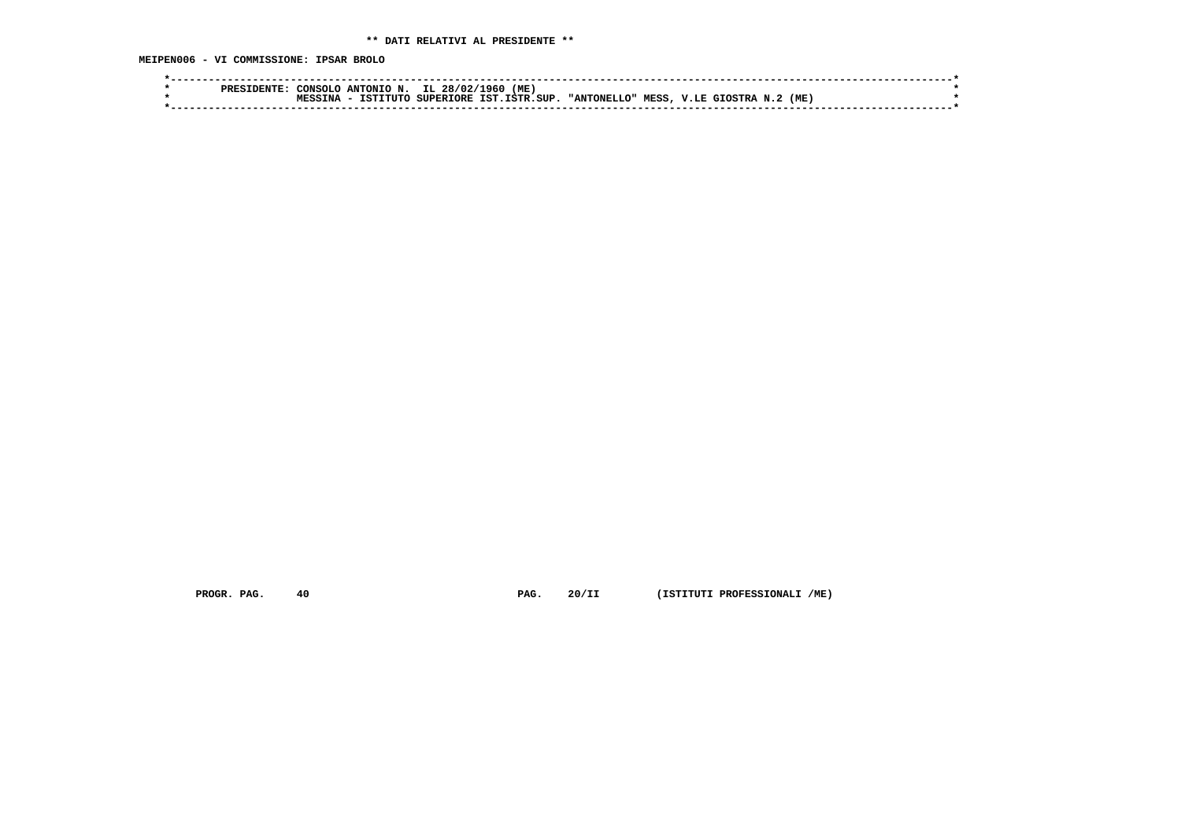**MEIPEN006 - VI COMMISSIONE: IPSAR BROLO**

| CONSOLO<br><b>PREF</b> | L960<br>(ME)<br>IL<br>ANTONIO N.<br>28/02/                                                                             |  |
|------------------------|------------------------------------------------------------------------------------------------------------------------|--|
|                        | סידפי דפי<br>(ME<br>. SIIP<br>TNA<br><b>MESS</b><br><b>⊺</b> פ פידידידי∩<br><b>SUPERTORE</b><br>" ANTONET.<br>T.O"<br> |  |
|                        |                                                                                                                        |  |
|                        |                                                                                                                        |  |

 **PROGR. PAG. 40 PAG. 20/II (ISTITUTI PROFESSIONALI /ME)**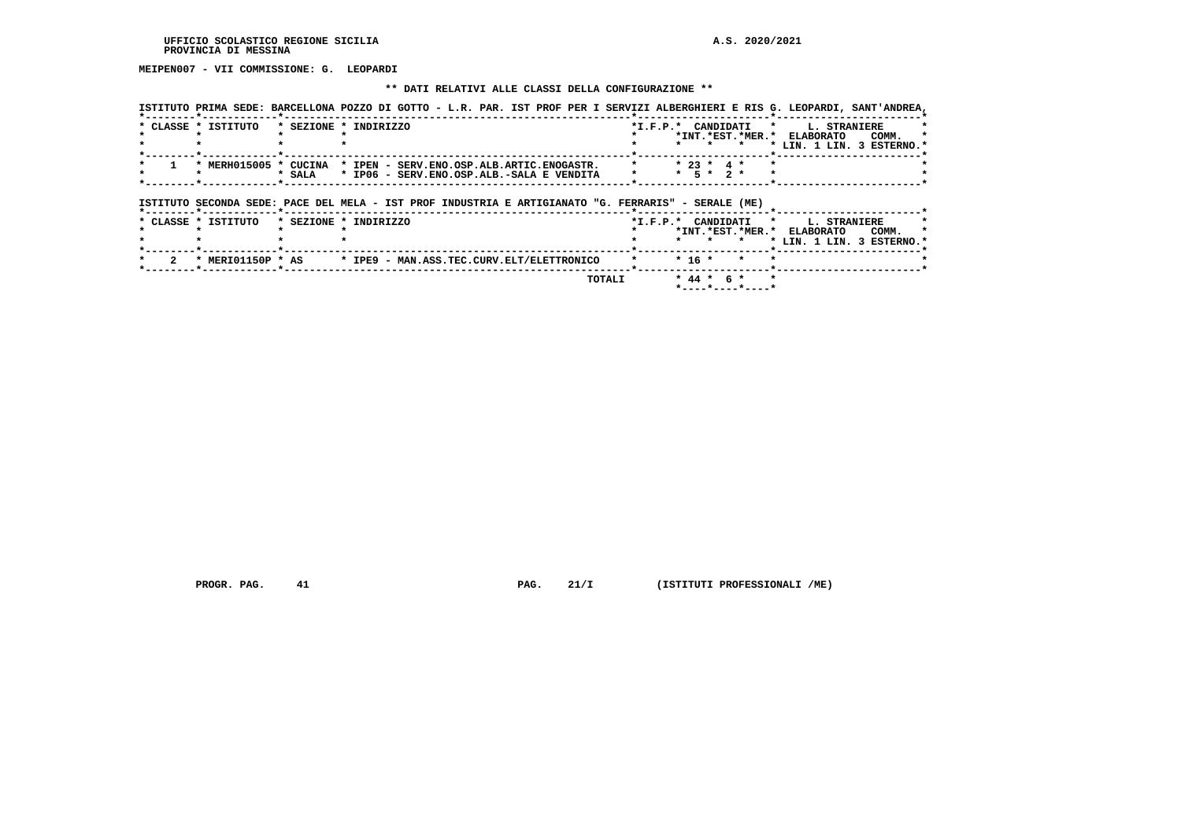# **MEIPEN007 - VII COMMISSIONE: G. LEOPARDI**

### **\*\* DATI RELATIVI ALLE CLASSI DELLA CONFIGURAZIONE \*\***

|                                           |                                                                 | ISTITUTO PRIMA SEDE: BARCELLONA POZZO DI GOTTO - L.R. PAR. IST PROF PER I SERVIZI ALBERGHIERI E RIS G. LEOPARDI, SANT'ANDREA, |
|-------------------------------------------|-----------------------------------------------------------------|-------------------------------------------------------------------------------------------------------------------------------|
| * CLASSE * ISTITUTO * SEZIONE * INDIRIZZO |                                                                 | *I.F.P.* CANDIDATI *<br><b>L. STRANIERE</b><br>*                                                                              |
|                                           |                                                                 | *INT.*EST.*MER.*<br><b>ELABORATO</b><br>COMM.<br>$\star$                                                                      |
|                                           |                                                                 | * LIN. 1 LIN. 3 ESTERNO.*                                                                                                     |
|                                           |                                                                 |                                                                                                                               |
|                                           | * MERH015005 * CUCINA * IPEN - SERV.ENO.OSP.ALB.ARTIC.ENOGASTR. | $* 23 * 4 *$                                                                                                                  |
| * SALA                                    | * IP06 - SERV.ENO.OSP.ALB.-SALA E VENDITA                       | * 5 * 2 *                                                                                                                     |
|                                           |                                                                 |                                                                                                                               |

# **ISTITUTO SECONDA SEDE: PACE DEL MELA - IST PROF INDUSTRIA E ARTIGIANATO "G. FERRARIS" - SERALE (ME)**

| * CLASSE * | ISTITUTO          | * SEZIONE * INDIRIZZO                     | $*I.F.P.*$ |                                            | CANDIDATI * L. STRANIERE  |  |
|------------|-------------------|-------------------------------------------|------------|--------------------------------------------|---------------------------|--|
|            |                   |                                           |            | *INT. *EST. *MER. * ELABORATO              | COMM.                     |  |
|            |                   |                                           |            |                                            | * LIN. 1 LIN. 3 ESTERNO.* |  |
|            |                   |                                           |            |                                            |                           |  |
|            | * MERI01150P * AS | * IPE9 - MAN.ASS.TEC.CURV.ELT/ELETTRONICO |            | $\star$ $\star$ 16 $\star$ $\star$ $\star$ |                           |  |
|            |                   | TOTAL T                                   |            | $* 44 * 6 * * *$                           |                           |  |

 **\*----\*----\*----\***

 **PROGR. PAG.** 41 **PAG. 21/I** (ISTITUTI PROFESSIONALI /ME)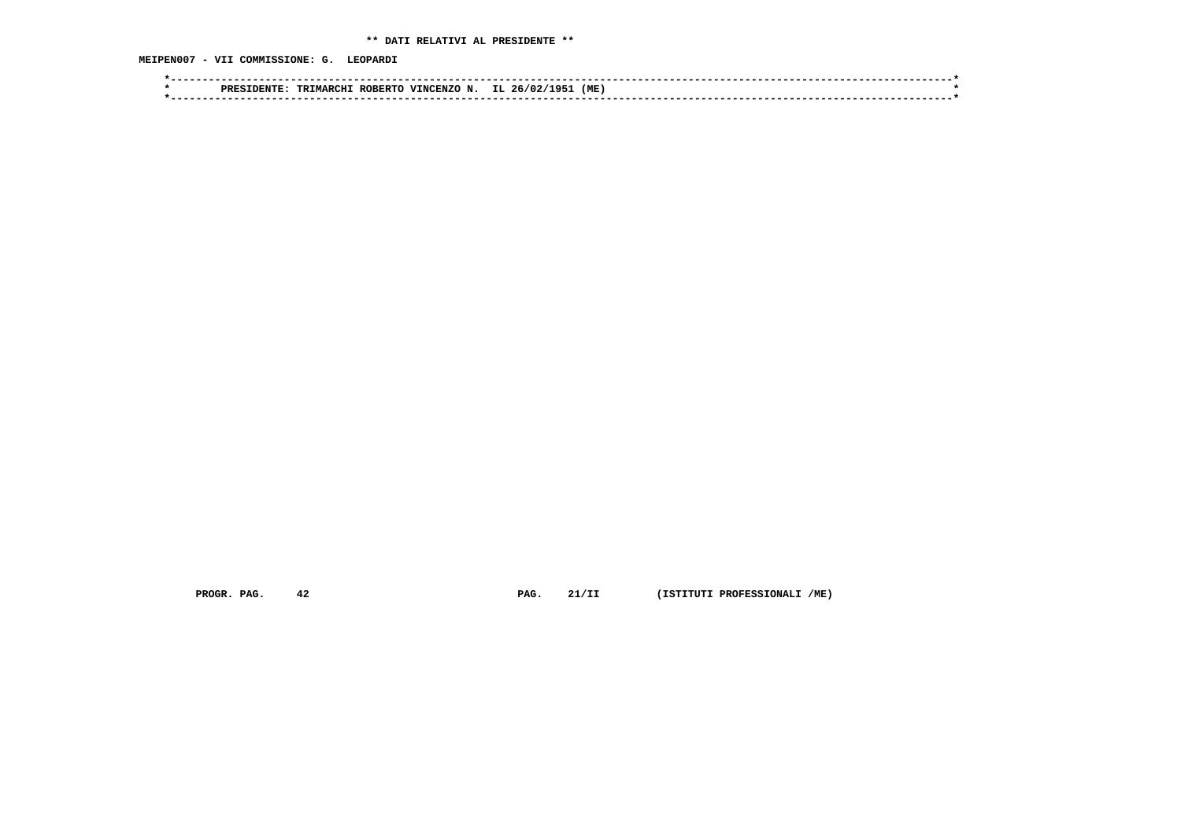# **\*\* DATI RELATIVI AL PRESIDENTE \*\***

 **MEIPEN007 - VII COMMISSIONE: G. LEOPARDI**

|  | ־יחסם | <b>TRIMARCH</b> | $T$ ROBER. | <b>TNC</b><br>∵ЕNZt. | $\ddot{\,}$ | (ME |  |  |  |
|--|-------|-----------------|------------|----------------------|-------------|-----|--|--|--|
|  |       |                 |            |                      |             |     |  |  |  |

 **PROGR. PAG. 42 PAG. 21/II (ISTITUTI PROFESSIONALI /ME)**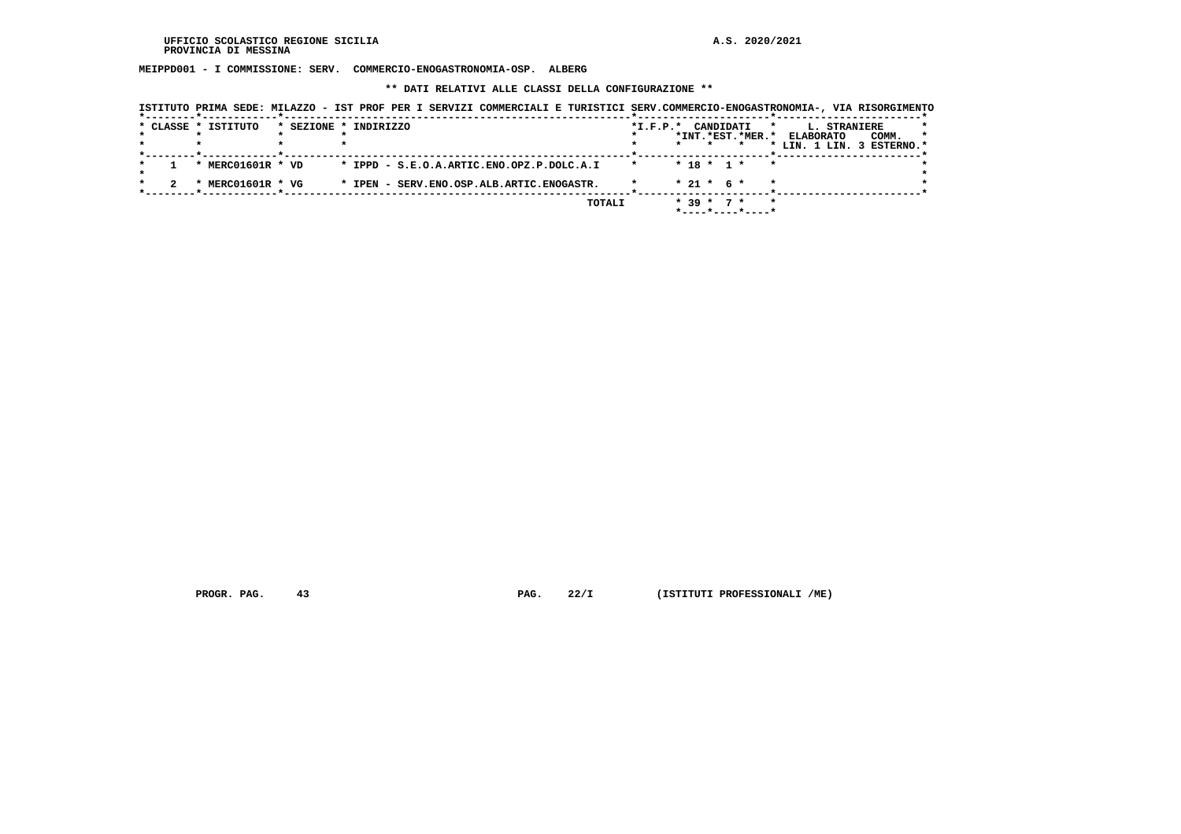**MEIPPD001 - I COMMISSIONE: SERV. COMMERCIO-ENOGASTRONOMIA-OSP. ALBERG**

 **\*\* DATI RELATIVI ALLE CLASSI DELLA CONFIGURAZIONE \*\***

| ISTITUTO PRIMA SEDE: MILAZZO - IST PROF PER I SERVIZI COMMERCIALI E TURISTICI SERV.COMMERCIO-ENOGASTRONOMIA-, VIA RISORGIMENTO |                                           |  |        |                    |  |                                                   |              |                                                                                |       |         |
|--------------------------------------------------------------------------------------------------------------------------------|-------------------------------------------|--|--------|--------------------|--|---------------------------------------------------|--------------|--------------------------------------------------------------------------------|-------|---------|
| * CLASSE * ISTITUTO                                                                                                            | * SEZIONE * INDIRIZZO                     |  |        | *I.F.P.* CANDIDATI |  |                                                   | $\mathbf{r}$ | <b>L. STRANIERE</b><br>*INT.*EST.*MER.* ELABORATO<br>* LIN. 1 LIN. 3 ESTERNO.* | COMM. | $\star$ |
| * MERC01601R * VD                                                                                                              | * IPPD - S.E.O.A.ARTIC.ENO.OPZ.P.DOLC.A.I |  |        | $\star$            |  | $* 18 * 1 *$                                      | $\star$      |                                                                                |       |         |
| * MERC01601R * VG                                                                                                              | * IPEN - SERV.ENO.OSP.ALB.ARTIC.ENOGASTR. |  |        |                    |  | $* 21 * 6 *$                                      |              |                                                                                |       |         |
|                                                                                                                                |                                           |  | TOTALI |                    |  | $* 39 * 7 *$<br>$*$ - - - - * - - - - * - - - - * | $\star$      |                                                                                |       |         |

 **PROGR. PAG. 43 PAG. 22/I (ISTITUTI PROFESSIONALI /ME)**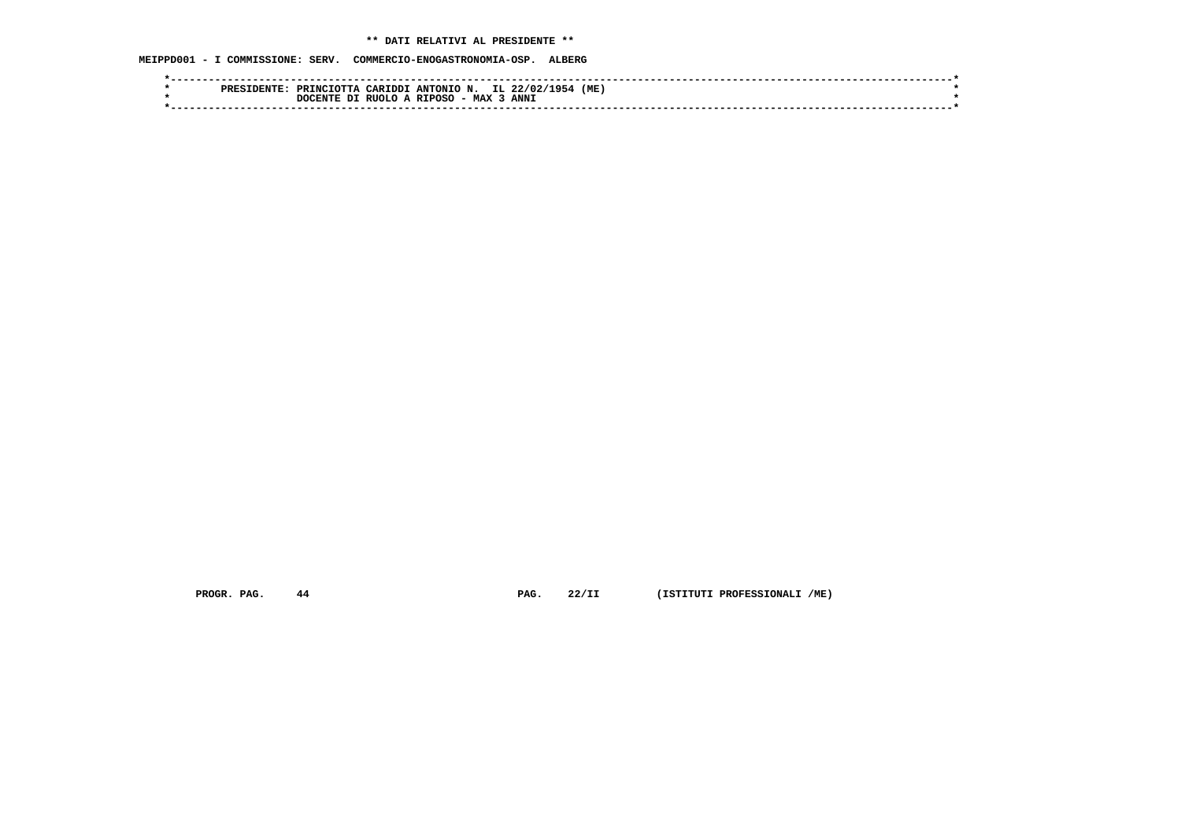# **\*\* DATI RELATIVI AL PRESIDENTE \*\***

 **MEIPPD001 - I COMMISSIONE: SERV. COMMERCIO-ENOGASTRONOMIA-OSP. ALBERG**

| (ME.<br>PRINCIOTTA CARIDDI ANTONIO N. IL 22/02/1954<br>PRESIDENTE |  |
|-------------------------------------------------------------------|--|
| RUOLO A RIPOSO - MAX<br>ANN <sub>J</sub><br>DI<br>י OCENTE.       |  |
|                                                                   |  |

 **PROGR. PAG. 44 PAG. 22/II (ISTITUTI PROFESSIONALI /ME)**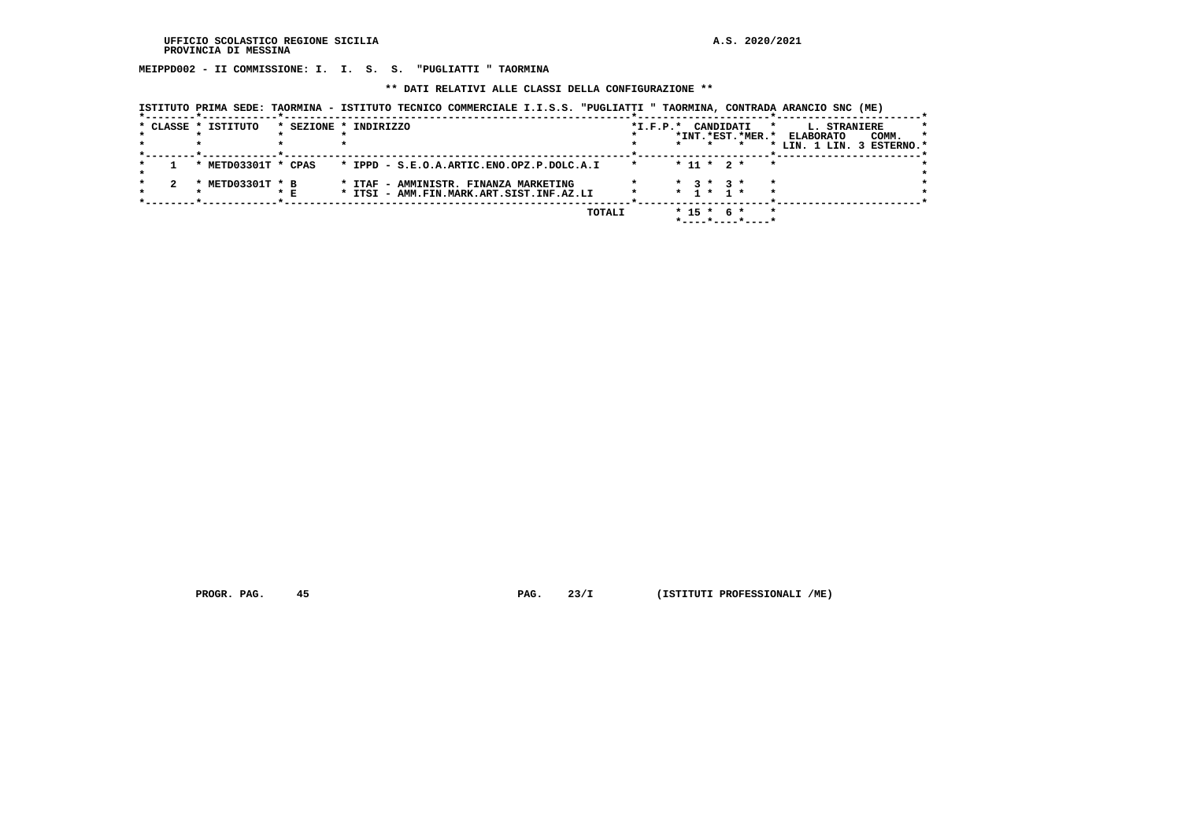**MEIPPD002 - II COMMISSIONE: I. I. S. S. "PUGLIATTI " TAORMINA**

 **\*\* DATI RELATIVI ALLE CLASSI DELLA CONFIGURAZIONE \*\***

|  |  | ISTITUTO PRIMA SEDE: TAORMINA - ISTITUTO TECNICO COMMERCIALE I.I.S.S. "PUGLIATTI " TAORMINA, CONTRADA ARANCIO SNC (ME) |  |  |  |
|--|--|------------------------------------------------------------------------------------------------------------------------|--|--|--|
|--|--|------------------------------------------------------------------------------------------------------------------------|--|--|--|

|  | * CLASSE * ISTITUTO       |     | * SEZIONE * INDIRIZZO                                                             | $*L.F.P.*$ |  |                              | CANDIDATI        | $\star$ | L. STRANIERE                                           | $\star$ |
|--|---------------------------|-----|-----------------------------------------------------------------------------------|------------|--|------------------------------|------------------|---------|--------------------------------------------------------|---------|
|  |                           |     |                                                                                   |            |  |                              | *INT.*EST.*MER.* |         | <b>ELABORATO</b><br>COMM.<br>* LIN. 1 LIN. 3 ESTERNO.* |         |
|  | * METD03301T * CPAS       |     | * IPPD - S.E.O.A.ARTIC.ENO.OPZ.P.DOLC.A.I                                         |            |  |                              | $* 11 * 2 *$     |         |                                                        |         |
|  | METD03301T * B<br>$\star$ | * E | * ITAF - AMMINISTR. FINANZA MARKETING<br>* ITSI - AMM.FIN.MARK.ART.SIST.INF.AZ.LI |            |  | $*$ 3 $*$ 3 $*$<br>* 1 * 1 * |                  | $\star$ |                                                        |         |
|  |                           |     | TOTALI                                                                            |            |  | $* 15 * 6 *$                 |                  |         |                                                        |         |

 **PROGR. PAG. 45 PAG. 23/I (ISTITUTI PROFESSIONALI /ME)**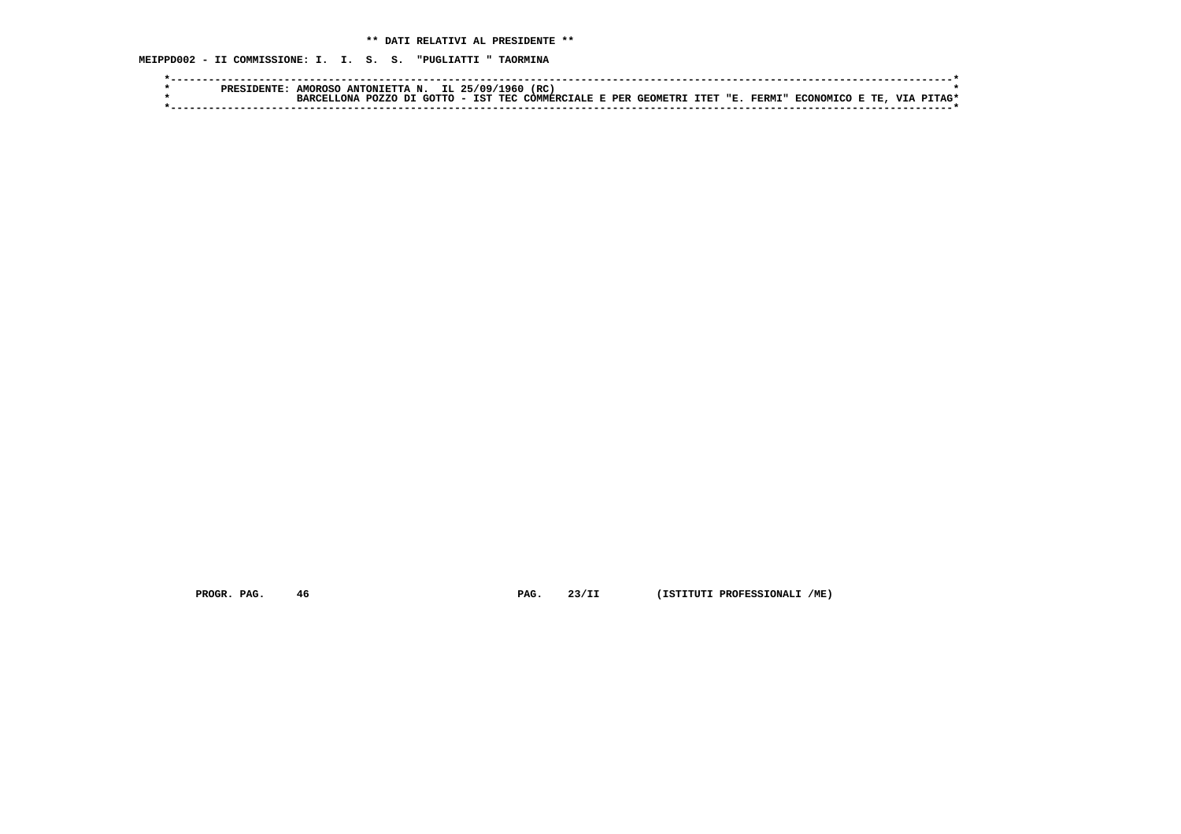**MEIPPD002 - II COMMISSIONE: I. I. S. S. "PUGLIATTI " TAORMINA**

|  | <b>PRESIDENTE</b> | <b>AMOROSO</b>      | ANTONIETTA N. IL 25/09/1960 |  |  | (RC                                             |  |  |                          |  |            |
|--|-------------------|---------------------|-----------------------------|--|--|-------------------------------------------------|--|--|--------------------------|--|------------|
|  |                   | $\ldots$ T $\ldots$ | POZZO DI GOTTO              |  |  | ) - IST TEC COMMERCIALE E PER GEOMETRI ITET "E. |  |  | . FERMI" ECONOMICO E TE. |  | VTA PTTAC* |
|  |                   |                     |                             |  |  |                                                 |  |  |                          |  |            |

 **PROGR. PAG. 46 PAG. 23/II (ISTITUTI PROFESSIONALI /ME)**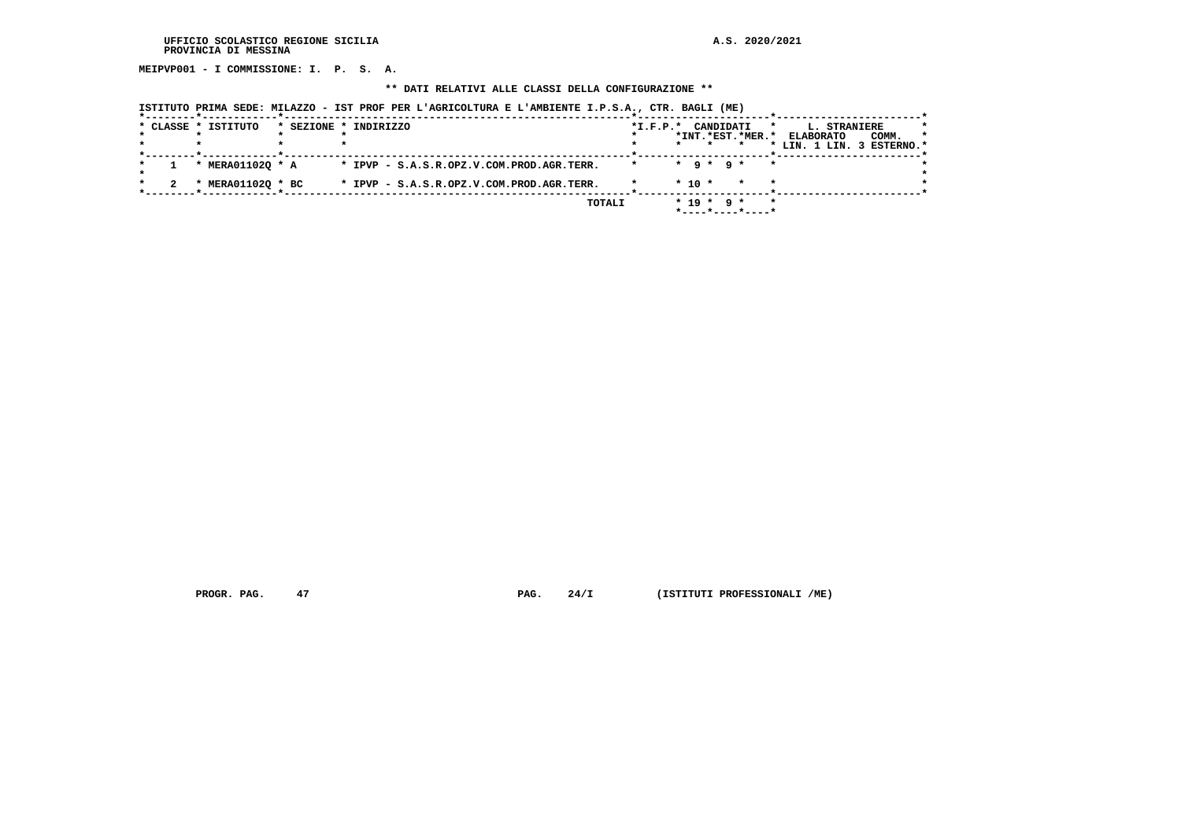**MEIPVP001 - I COMMISSIONE: I. P. S. A.**

### **\*\* DATI RELATIVI ALLE CLASSI DELLA CONFIGURAZIONE \*\***

| * CLASSE * ISTITUTO                    | * SEZIONE * INDIRIZZO                     | $*I.F.P.*$ |            | CANDIDATI                   | *INT. *EST. *MER. * | *       | L. STRANIERE<br><b>ELABORATO</b><br>* LIN. 1 LIN. 3 ESTERNO.* | COMM. |  |
|----------------------------------------|-------------------------------------------|------------|------------|-----------------------------|---------------------|---------|---------------------------------------------------------------|-------|--|
| * MERA011020 * A                       | * IPVP - S.A.S.R.OPZ.V.COM.PROD.AGR.TERR. |            |            | $\star$ a $\star$ a $\star$ |                     | $\star$ |                                                               |       |  |
| MERA011020 * BC<br>$\boldsymbol{\ast}$ | * IPVP - S.A.S.R.OPZ.V.COM.PROD.AGR.TERR. |            | $*$ 10 $*$ |                             | $\star$             | $\star$ |                                                               |       |  |
|                                        | TOTALI                                    |            | $* 19 *$   |                             | 9 *                 | $\star$ |                                                               |       |  |

 **ISTITUTO PRIMA SEDE: MILAZZO - IST PROF PER L'AGRICOLTURA E L'AMBIENTE I.P.S.A., CTR. BAGLI (ME)**

 **PROGR. PAG.** 47 **PROGR. PAG. 24/I (ISTITUTI PROFESSIONALI /ME)**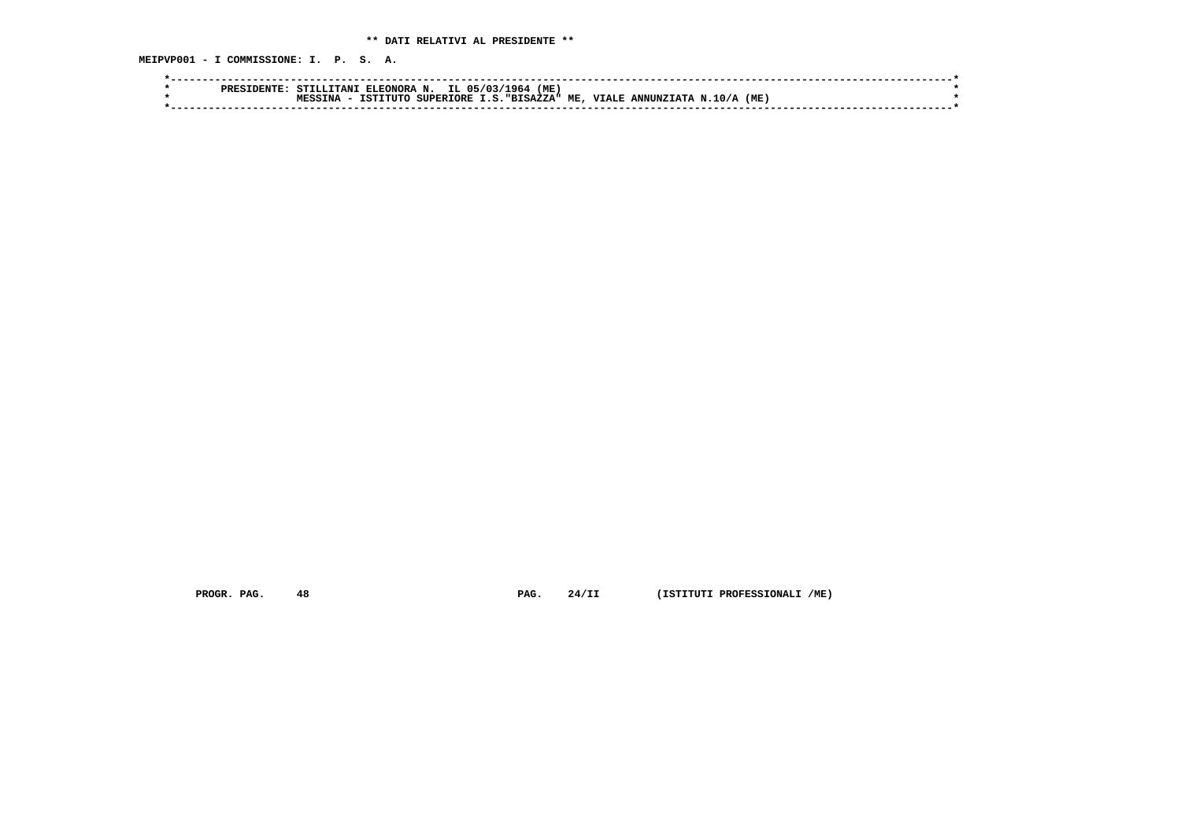**MEIPVP001 - I COMMISSIONE: I. P. S. A.**

| PRES | TTANI<br>ELEONORA N.<br>STILL. | 1964<br>IL.<br>05/03/ | (ME)                                                |               |  |
|------|--------------------------------|-----------------------|-----------------------------------------------------|---------------|--|
|      | TNA<br>TSTTTITO<br><b>MECC</b> | SUPERIORE             | I.S. "BISAZZA" ME,<br><b>VIALE</b><br>ANNINZTATA N. | (ME)<br>.10/A |  |
|      |                                |                       |                                                     |               |  |

 **PROGR. PAG. 48 PAG. 24/II (ISTITUTI PROFESSIONALI /ME)**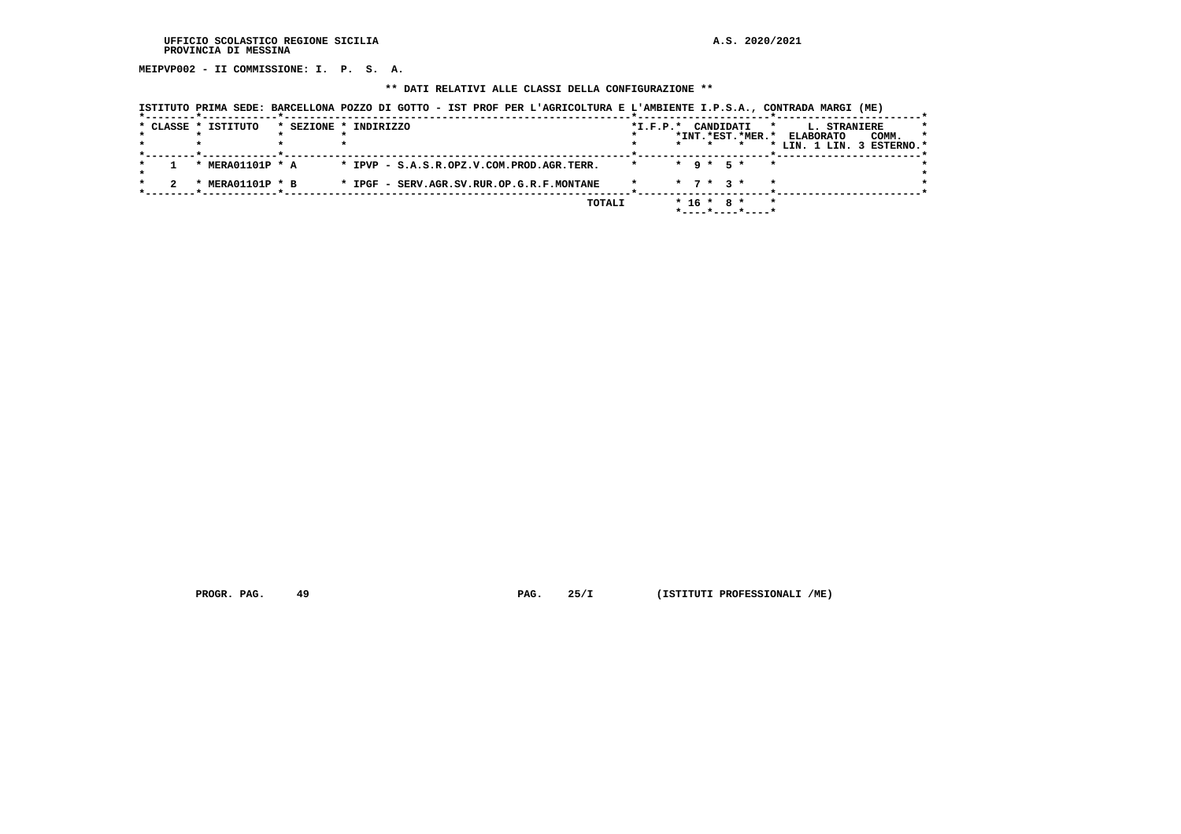**MEIPVP002 - II COMMISSIONE: I. P. S. A.**

### **\*\* DATI RELATIVI ALLE CLASSI DELLA CONFIGURAZIONE \*\***

|  | * CLASSE * ISTITUTO                          | * SEZIONE * INDIRIZZO                     | $*I.F.P.*$ |         | CANDIDATI                   |                  | $\star$ | L. STRANIERE     |                           |         |
|--|----------------------------------------------|-------------------------------------------|------------|---------|-----------------------------|------------------|---------|------------------|---------------------------|---------|
|  |                                              |                                           |            |         |                             | *INT.*EST.*MER.* |         | <b>ELABORATO</b> | COMM.                     | $\star$ |
|  |                                              |                                           |            | $\star$ |                             |                  |         |                  | * LIN. 1 LIN. 3 ESTERNO.* |         |
|  | * MERA01101P * A                             | * IPVP - S.A.S.R.OPZ.V.COM.PROD.AGR.TERR. | $\star$    |         | $*$ 9 $*$ 5 $*$             | $\star$          |         |                  |                           |         |
|  | <b>MERA01101P * B</b><br>$\boldsymbol{\ast}$ | * IPGF - SERV.AGR.SV.RUR.OP.G.R.F.MONTANE |            |         | $\star$ 7 $\star$ 3 $\star$ |                  | $\star$ |                  |                           |         |
|  |                                              | TOTALI                                    |            |         | $* 16 * 8 *$                |                  | $\star$ |                  |                           |         |
|  |                                              |                                           |            |         |                             | *----*----*----* |         |                  |                           |         |

 **ISTITUTO PRIMA SEDE: BARCELLONA POZZO DI GOTTO - IST PROF PER L'AGRICOLTURA E L'AMBIENTE I.P.S.A., CONTRADA MARGI (ME)**

 **PROGR. PAG.** 49 **PAG. 25/I** (ISTITUTI PROFESSIONALI /ME)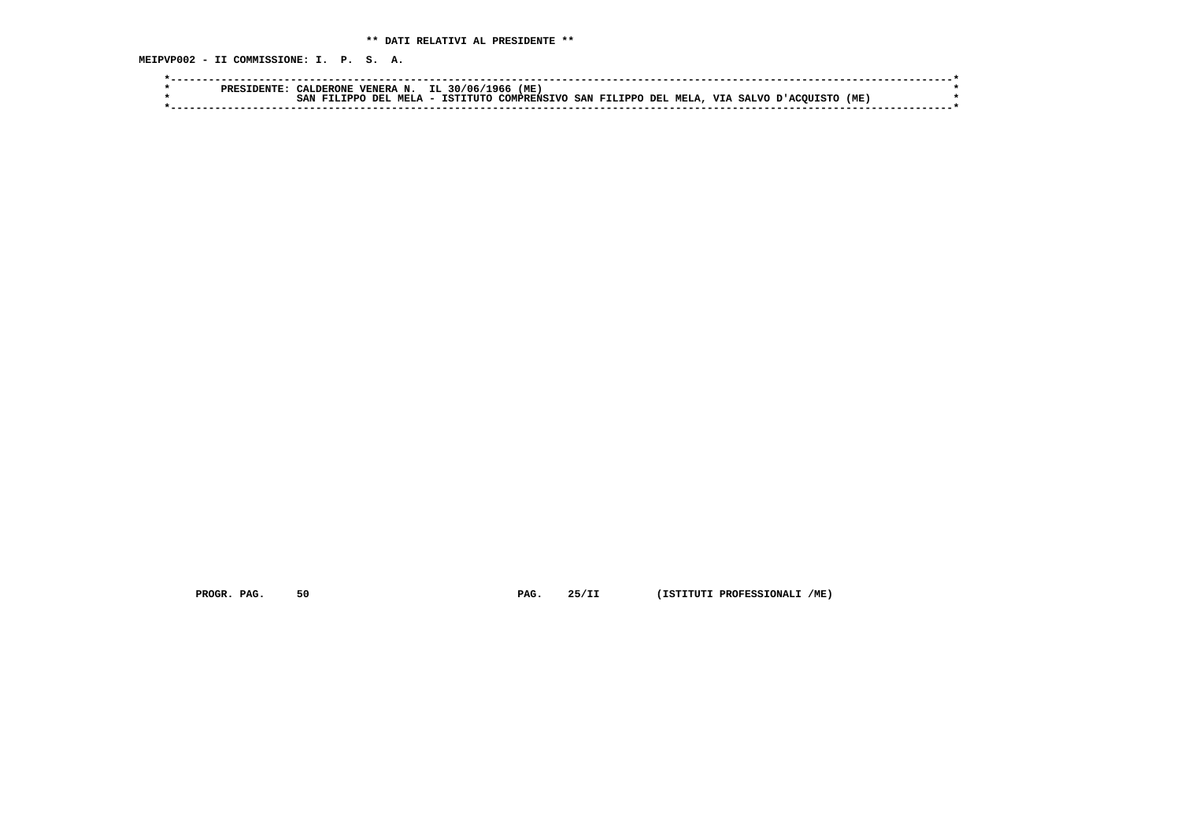**MEIPVP002 - II COMMISSIONE: I. P. S. A.**

|  | CALDERONE VENERA N. IL 30/06/1966 (ME) |                                                                                             |  |
|--|----------------------------------------|---------------------------------------------------------------------------------------------|--|
|  |                                        | SAN FILIPPO DEL MELA - ISTITUTO COMPRENSIVO SAN FILIPPO DEL MELA, VIA SALVO D'ACOUISTO (ME) |  |
|  |                                        |                                                                                             |  |

 **PROGR. PAG. 50 PAG. 25/II (ISTITUTI PROFESSIONALI /ME)**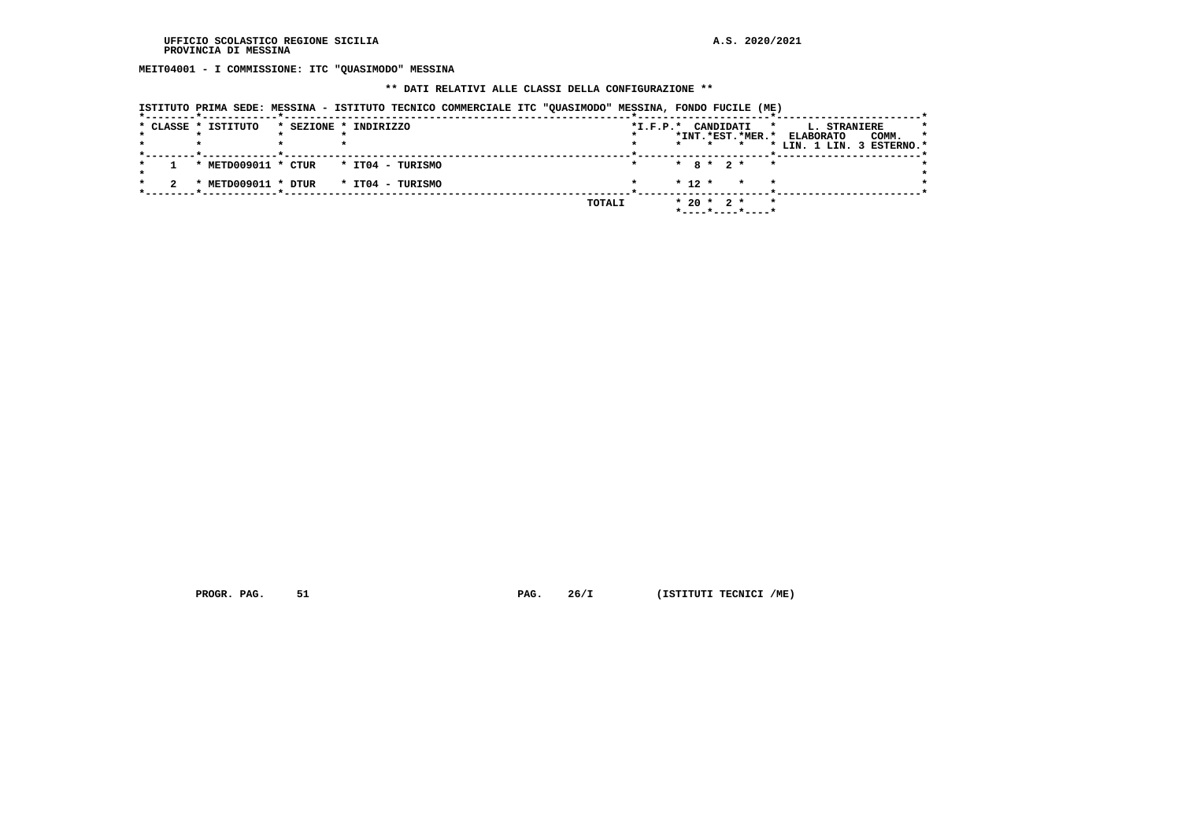**MEIT04001 - I COMMISSIONE: ITC "QUASIMODO" MESSINA**

### **\*\* DATI RELATIVI ALLE CLASSI DELLA CONFIGURAZIONE \*\***

| ISTITUTO PRIMA SEDE: MESSINA - ISTITUTO TECNICO COMMERCIALE ITC "OUASIMODO" MESSINA, FONDO FUCILE (ME) |  |  |  |  |  |
|--------------------------------------------------------------------------------------------------------|--|--|--|--|--|
|                                                                                                        |  |  |  |  |  |

|  | * CLASSE * ISTITUTO | * SEZIONE * INDIRIZZO                | $*I.F.P.*$ | CANDIDATI<br>$\star$<br>*INT.*EST.*MER.*<br>$\star$<br>$\star$     | <b>L. STRANIERE</b><br>$\star$<br>COMM.<br><b>ELABORATO</b><br>* LIN. 1 LIN. 3 ESTERNO.* |
|--|---------------------|--------------------------------------|------------|--------------------------------------------------------------------|------------------------------------------------------------------------------------------|
|  | * METD009011 * CTUR | * IT04 - TURISMO                     |            | $*$ 8 $*$ 2 $*$<br>$\star$                                         |                                                                                          |
|  |                     | * METD009011 * DTUR * IT04 - TURISMO |            | $* 12 *$<br>$\star$<br>$\star$                                     |                                                                                          |
|  |                     |                                      | TOTALI     | $* 20 * 2 *$<br>$\star$<br>$*$ - - - - $*$ - - - - $*$ - - - - $*$ |                                                                                          |

 **PROGR. PAG.** 51 **PAG.** 26/I (ISTITUTI TECNICI /ME)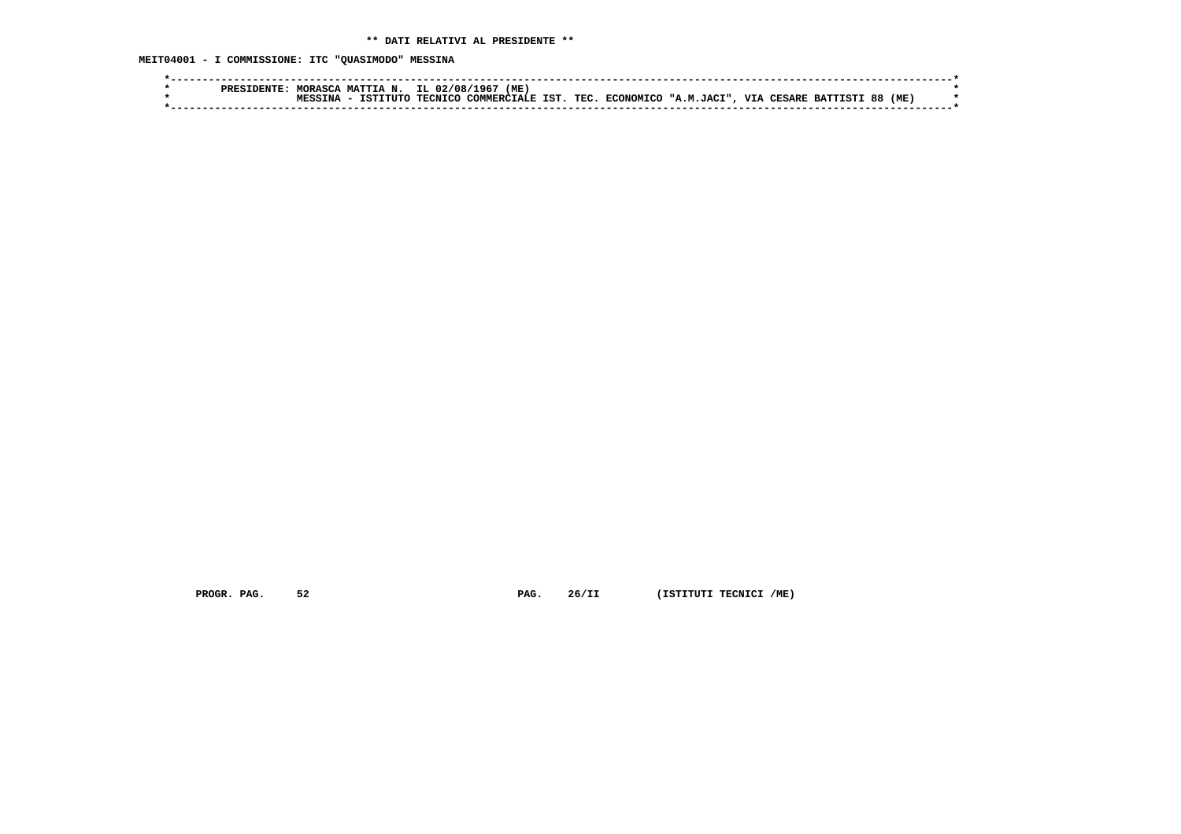**MEIT04001 - I COMMISSIONE: ITC "QUASIMODO" MESSINA**

|  | PRES | MORASCA | <b>MATTIA</b><br>N.   | IL.<br>02/08/  | '96 ا<br>(ME |     |      |           |                                  |     |               |                 |    |      |  |
|--|------|---------|-----------------------|----------------|--------------|-----|------|-----------|----------------------------------|-----|---------------|-----------------|----|------|--|
|  |      | TNA.    | <b>TCT</b><br>ידידידי | <b>TECNTCO</b> | COMMERCI.    | TST | TEC. | ECONOMICO | $\mathbf{M}$<br>TACT"<br><b></b> | VIA | <b>TESARE</b> | <b>BATTISTI</b> | 88 | (ME) |  |
|  |      |         |                       |                |              |     |      |           |                                  |     |               |                 |    |      |  |

 **PROGR. PAG.** 52 **PAG.** 26/II (ISTITUTI TECNICI /ME)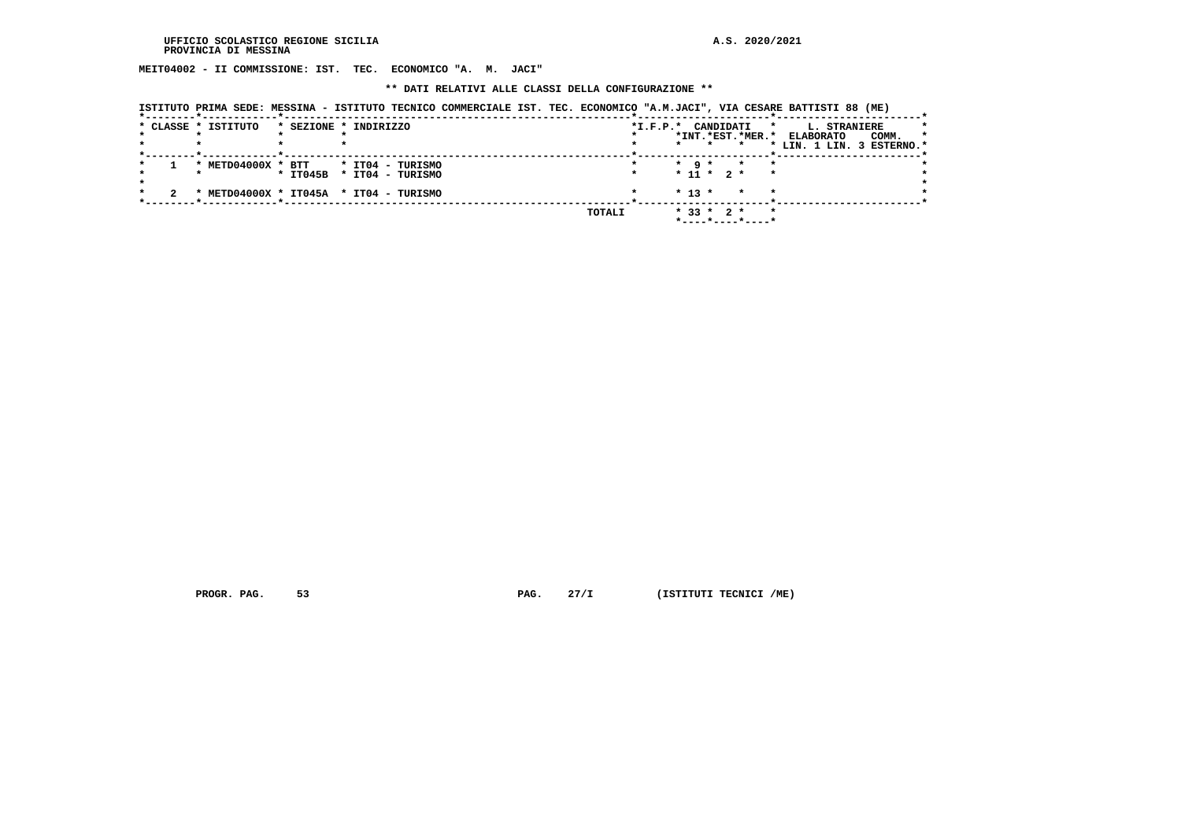**MEIT04002 - II COMMISSIONE: IST. TEC. ECONOMICO "A. M. JACI"**

 **\*\* DATI RELATIVI ALLE CLASSI DELLA CONFIGURAZIONE \*\***

| ISTITUTO PRIMA SEDE: MESSINA - ISTITUTO TECNICO COMMERCIALE IST. TEC. ECONOMICO "A.M.JACI", VIA CESARE BATTISTI 88 (ME) |  |  |  |
|-------------------------------------------------------------------------------------------------------------------------|--|--|--|
|                                                                                                                         |  |  |  |

|  | * CLASSE * ISTITUTO | * SEZIONE * INDIRIZZO                  | CANDIDATI<br>$*I.F.P.*$<br>$\star$           | L. STRANIERE                         |
|--|---------------------|----------------------------------------|----------------------------------------------|--------------------------------------|
|  |                     |                                        | *INT.*EST.*MER.*                             | COMM.<br><b>ELABORATO</b><br>$\star$ |
|  |                     |                                        | $\star$                                      | * LIN. 1 LIN. 3 ESTERNO.*            |
|  | * METD04000X * BTT  | * IT04 - TURISMO                       | $\star$ 9 $\star$<br>$\star$<br>$\mathbf{r}$ |                                      |
|  |                     | * IT045B * IT04 - TURISMO              | $* 11 * 2 *$<br>$\star$                      |                                      |
|  |                     | * METD04000X * IT045A * IT04 - TURISMO | $* 13 *$<br>$\star$<br>$\star$               |                                      |
|  |                     | TOTALI                                 | $\star$<br>$*$ 33 $*$ 2 $*$                  |                                      |
|  |                     |                                        | *----*----*----*                             |                                      |

 **PROGR. PAG.** 53 **PAG.** 27/I (ISTITUTI TECNICI /ME)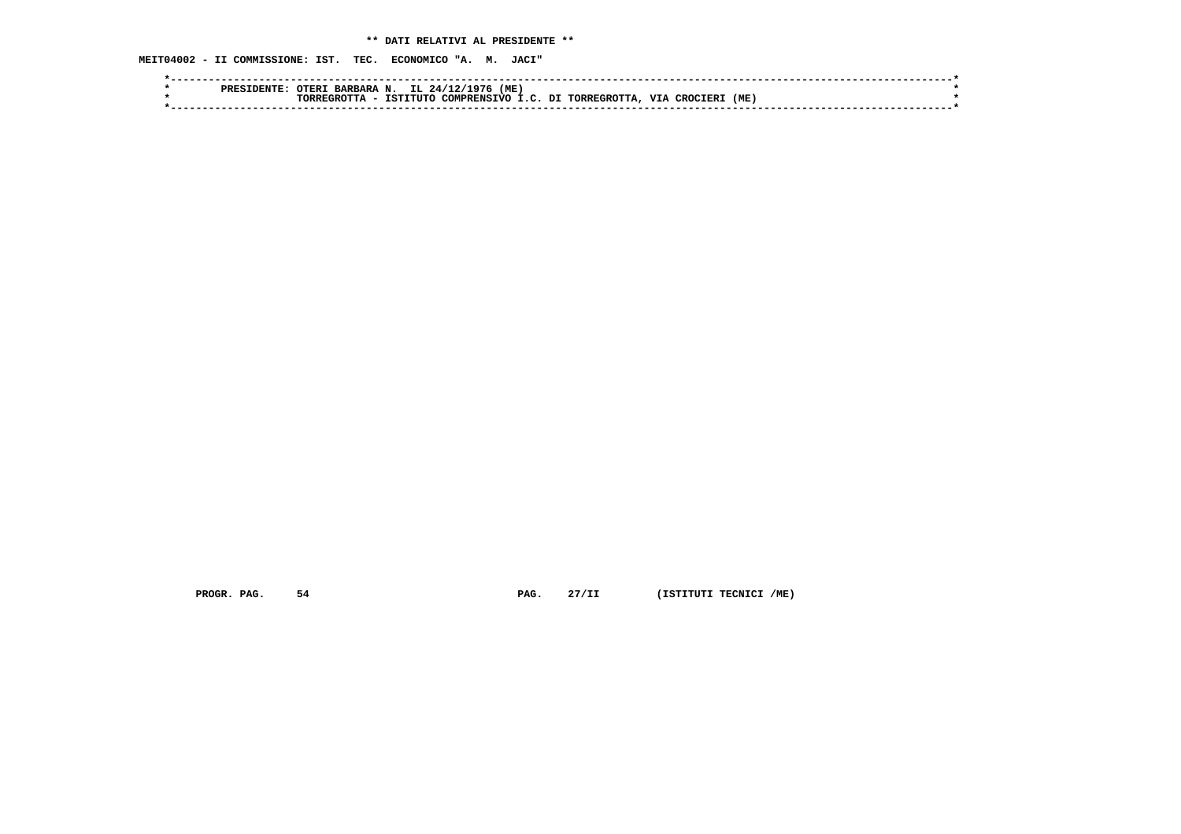**MEIT04002 - II COMMISSIONE: IST. TEC. ECONOMICO "A. M. JACI"**

|  | ה קסס | OTER.<br><b>BARBARA</b> | IL.<br>N                | (ME<br>24/1<br>07 ، |    |              |                    |     |  |
|--|-------|-------------------------|-------------------------|---------------------|----|--------------|--------------------|-----|--|
|  |       | חתספר.<br>ייהם          | <b>TOTT!</b><br>ר דדי ה | COMPRENCTVO         | דת | TORRECROTTA. | <b>VIA</b><br>∩סי∩ | (ME |  |
|  |       |                         |                         |                     |    |              |                    |     |  |
|  |       |                         |                         |                     |    |              |                    |     |  |

 **PROGR. PAG.** 54 **PAG.** 27/II (ISTITUTI TECNICI /ME)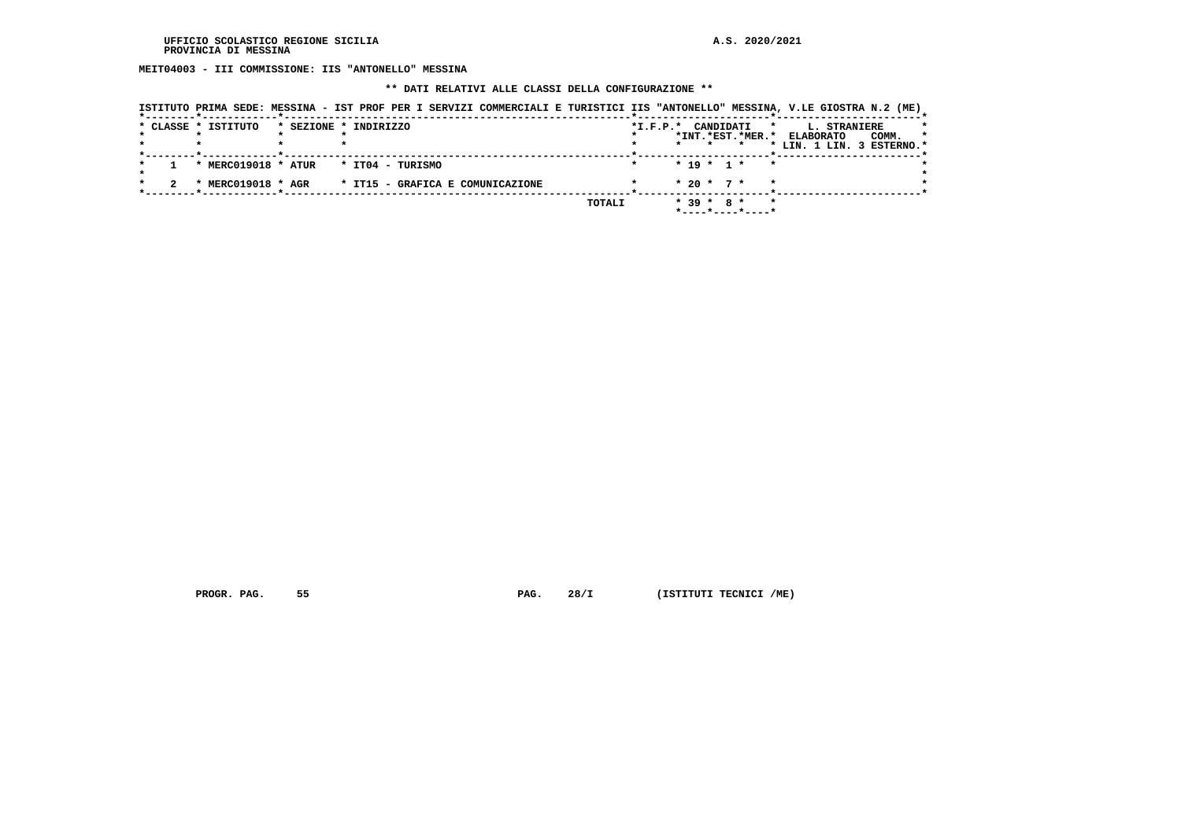**MEIT04003 - III COMMISSIONE: IIS "ANTONELLO" MESSINA**

### **\*\* DATI RELATIVI ALLE CLASSI DELLA CONFIGURAZIONE \*\***

|  | ISTITUTO PRIMA SEDE: MESSINA - IST PROF PER I SERVIZI COMMERCIALI E TURISTICI IIS "ANTONELLO" MESSINA, V.LE GIOSTRA N.2 (ME) |                       |                  |  |                                  |        |                        |  |              |                                         |         |                                               |                     |                  |
|--|------------------------------------------------------------------------------------------------------------------------------|-----------------------|------------------|--|----------------------------------|--------|------------------------|--|--------------|-----------------------------------------|---------|-----------------------------------------------|---------------------|------------------|
|  | * CLASSE * ISTITUTO                                                                                                          | * SEZIONE * INDIRIZZO |                  |  |                                  |        | $*_{\texttt{I.F.P.}}*$ |  |              | CANDIDATI<br>*INT.*EST.*MER.*           | $\star$ | <b>ELABORATO</b><br>* LIN. 1 LIN. 3 ESTERNO.* | <b>L. STRANIERE</b> | COMM.<br>$\star$ |
|  | * MERC019018 * ATUR                                                                                                          |                       | * IT04 - TURISMO |  |                                  |        |                        |  | $* 19 * 1 *$ |                                         | $\star$ |                                               |                     |                  |
|  | * MERC019018 * AGR                                                                                                           |                       |                  |  | * IT15 - GRAFICA E COMUNICAZIONE |        |                        |  | $* 20 * 7 *$ |                                         |         |                                               |                     |                  |
|  |                                                                                                                              |                       |                  |  |                                  | TOTALI |                        |  | $*39 * 8 *$  | $*$ - - - - $*$ - - - - $*$ - - - - $*$ | $\star$ |                                               |                     |                  |

 **PROGR. PAG.** 55 **PAG.** 28/I (ISTITUTI TECNICI /ME)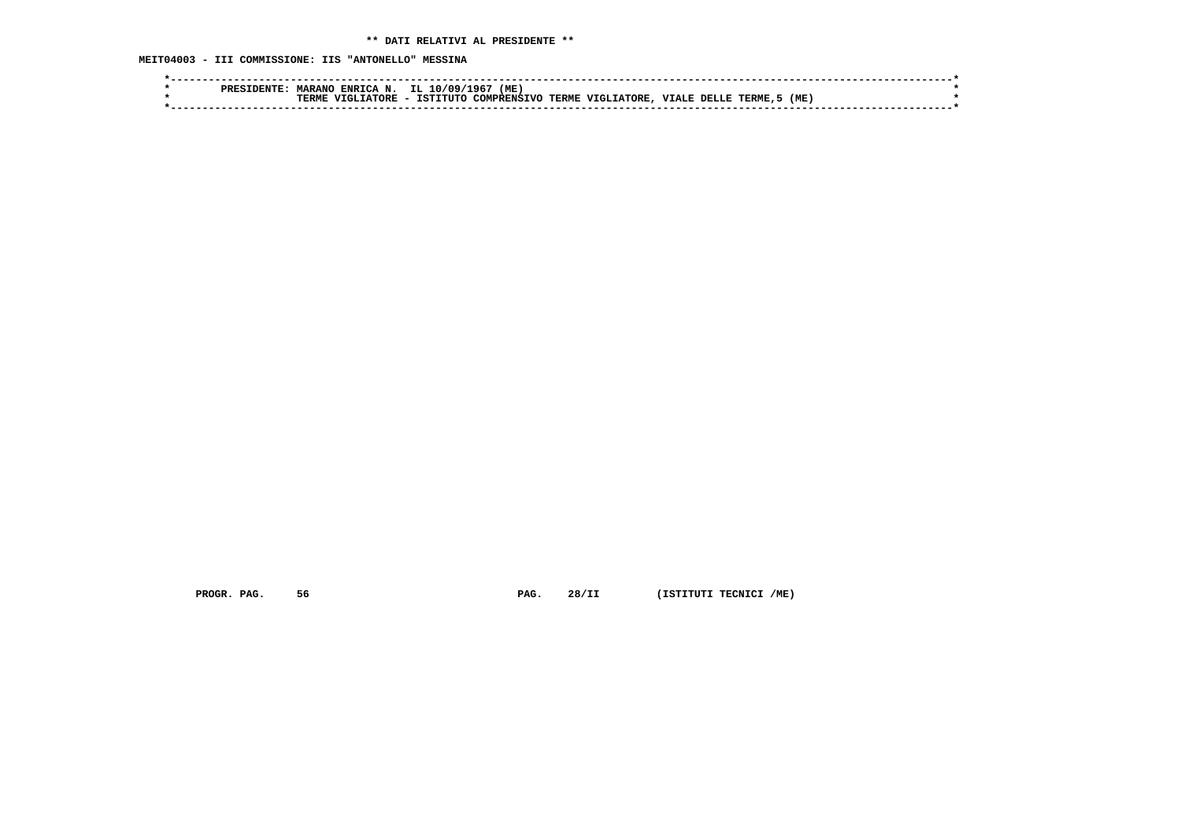**MEIT04003 - III COMMISSIONE: IIS "ANTONELLO" MESSINA**

| <b>MARAN</b><br><b>ENRTCA</b><br>N<br><b>PREF</b> | (ME)<br>1965<br>IL.<br>0۵ /                                                                  |  |
|---------------------------------------------------|----------------------------------------------------------------------------------------------|--|
| ᇚᇚᇚ<br>TORE<br>'N                                 | VIGLIATORE,<br>(ME<br>TCT)<br>VTALE DELLE<br>$-TTTTTTC$<br>TERME.<br>- האמדים<br>COMPRENSTVC |  |
|                                                   |                                                                                              |  |
|                                                   |                                                                                              |  |

 **PROGR. PAG.** 56 **PAG.** 28/II (ISTITUTI TECNICI /ME)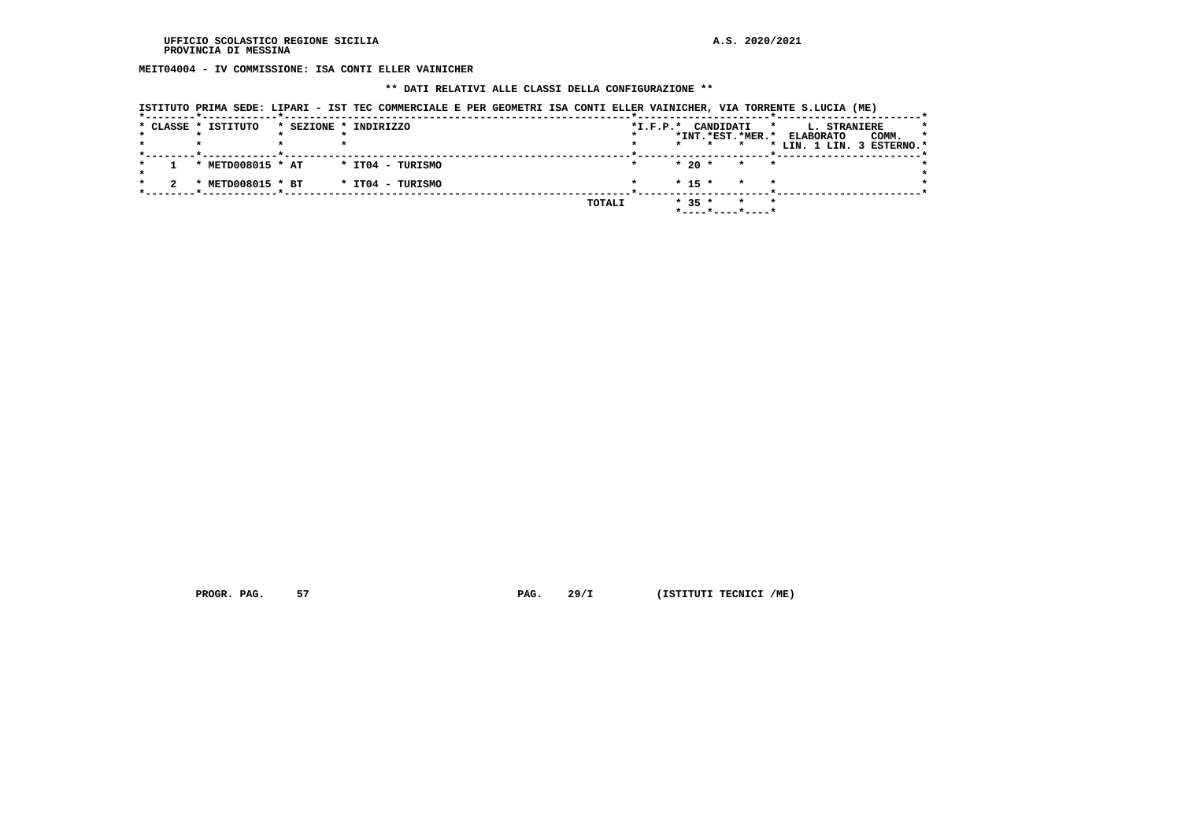**MEIT04004 - IV COMMISSIONE: ISA CONTI ELLER VAINICHER**

### **\*\* DATI RELATIVI ALLE CLASSI DELLA CONFIGURAZIONE \*\***

| ISTITUTO PRIMA SEDE: LIPARI - IST TEC COMMERCIALE E PER GEOMETRI ISA CONTI ELLER VAINICHER, VIA TORRENTE S.LUCIA (ME) |  |  |  |
|-----------------------------------------------------------------------------------------------------------------------|--|--|--|
|-----------------------------------------------------------------------------------------------------------------------|--|--|--|

|  | * CLASSE * ISTITUTO | * SEZIONE * INDIRIZZO | $*I.F.P.*$ | CANDIDATI                      | L. STRANIERE<br>*<br>*               |
|--|---------------------|-----------------------|------------|--------------------------------|--------------------------------------|
|  |                     |                       |            | *INT.*EST.*MER.*               | COMM.<br><b>ELABORATO</b><br>$\star$ |
|  |                     |                       |            | $\star$                        | * LIN. 1 LIN. 3 ESTERNO.*            |
|  | * METD008015 * AT   | * IT04 - TURISMO      |            | $*20$ *<br>$\star$ $\star$     |                                      |
|  | METD008015 * BT     | * IT04 - TURISMO      |            | $* 15 *$<br>$\star$<br>$\star$ |                                      |
|  |                     |                       | TOTALI     | $* 35 *$<br>$\star$<br>$\star$ |                                      |

 **PROGR. PAG.** 57 **PAG.** 29/I (ISTITUTI TECNICI /ME)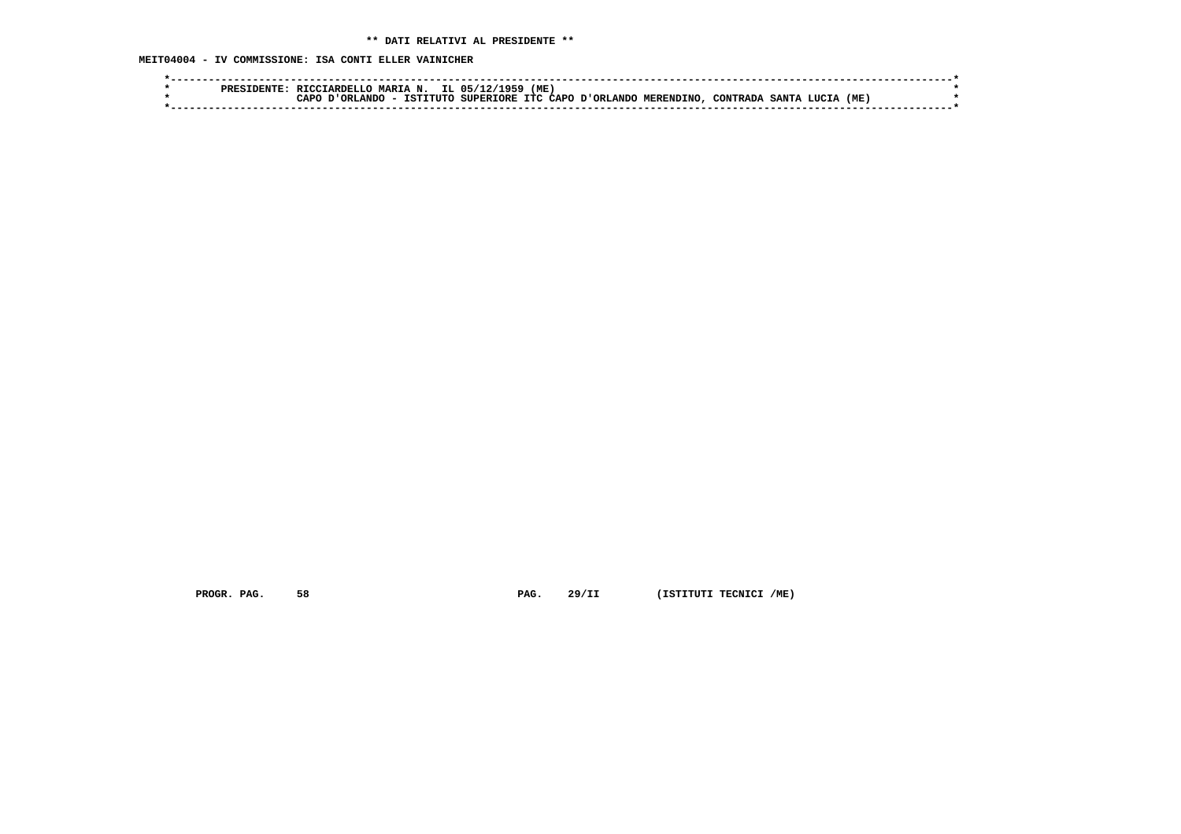**MEIT04004 - IV COMMISSIONE: ISA CONTI ELLER VAINICHER**

| MARIA N. IL 05/12/1959<br>'ME<br>RTCCTARDELLO                                                        |  |
|------------------------------------------------------------------------------------------------------|--|
| ISTITUTO SUPERIORE ITC CAPO D'ORLANDO MERENDINO, CONTRADA<br>(ME)<br>∩סבי∼<br>ORLANDO<br>SANTA LUCIA |  |
|                                                                                                      |  |
|                                                                                                      |  |

 **PROGR. PAG.** 58 **PAG.** 29/II (ISTITUTI TECNICI /ME)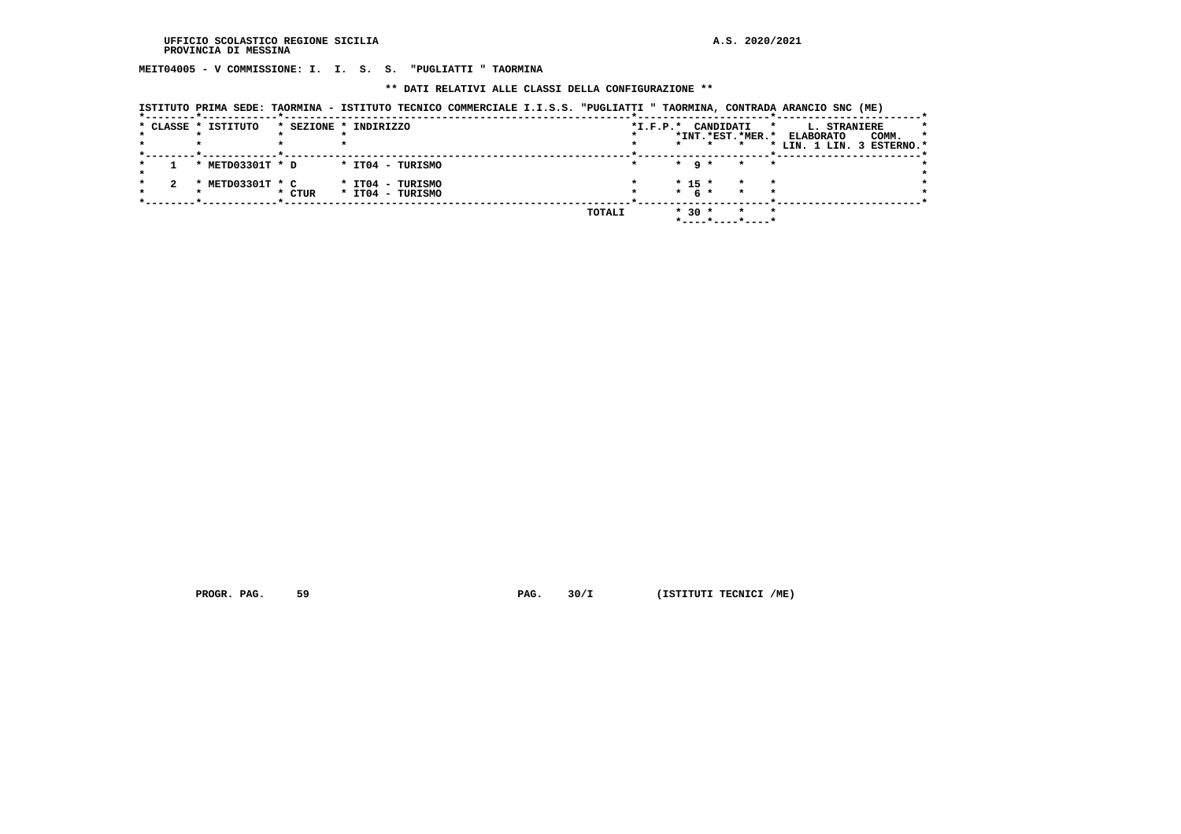**MEIT04005 - V COMMISSIONE: I. I. S. S. "PUGLIATTI " TAORMINA**

 **\*\* DATI RELATIVI ALLE CLASSI DELLA CONFIGURAZIONE \*\***

|  | * CLASSE * ISTITUTO |        | * SEZIONE * INDIRIZZO                | $*I.F.P.*$ |                       | CANDIDATI<br>$\star$ | L. STRANIERE              |   |
|--|---------------------|--------|--------------------------------------|------------|-----------------------|----------------------|---------------------------|---|
|  |                     |        |                                      |            |                       | *INT.*EST.*MER.*     | COMM.<br><b>ELABORATO</b> | * |
|  |                     |        |                                      |            | $\star$               |                      | * LIN. 1 LIN. 3 ESTERNO.* |   |
|  | * METD03301T * D    |        | * IT04 - TURISMO                     |            | $*$ 9 $*$             | $\star$<br>$\star$   |                           |   |
|  | * METD03301T * C    | * CTUR | * IT04 - TURISMO<br>* IT04 - TURISMO |            | $* 15 *$<br>$*$ 6 $*$ | $\star$              |                           |   |
|  |                     |        |                                      | TOTALI     | $* 30 *$              | $\star$<br>$\star$   |                           |   |

 **ISTITUTO PRIMA SEDE: TAORMINA - ISTITUTO TECNICO COMMERCIALE I.I.S.S. "PUGLIATTI " TAORMINA, CONTRADA ARANCIO SNC (ME)**

 **PROGR. PAG.** 59 **PROGR. PAG. 30/I** (ISTITUTI TECNICI /ME)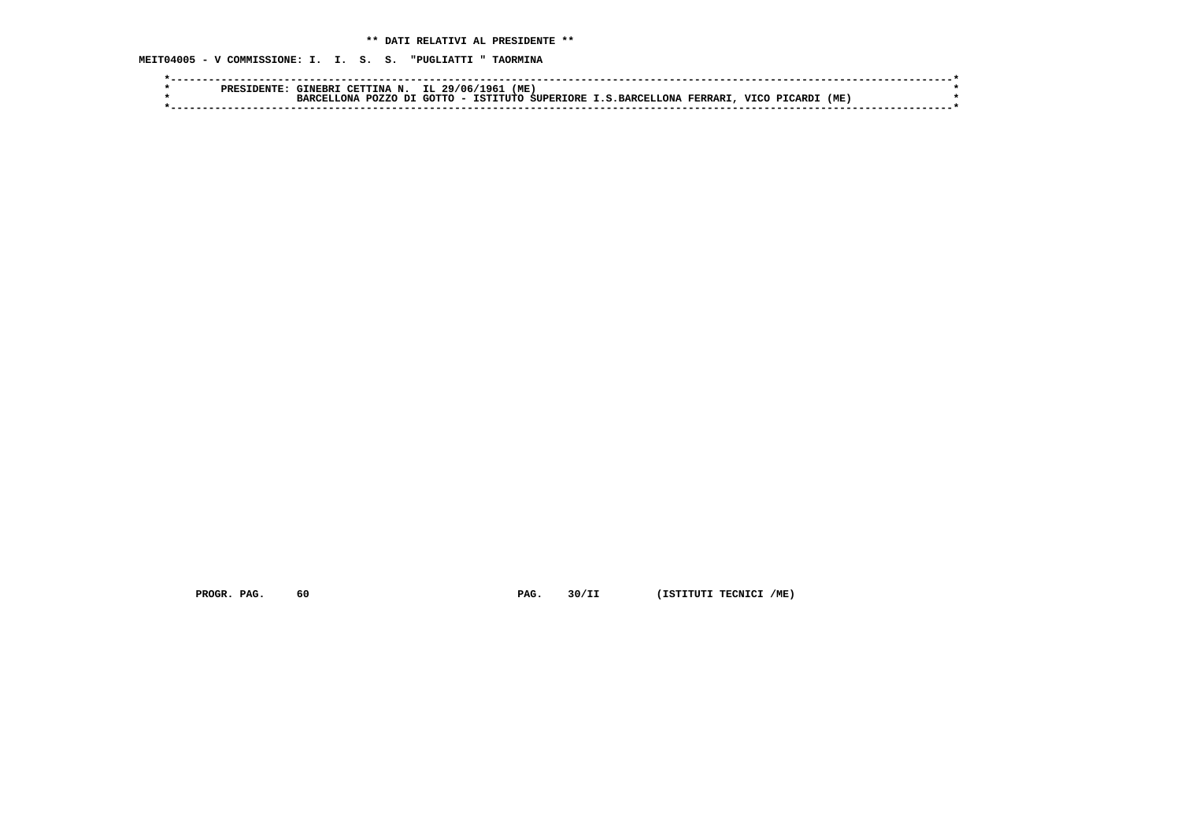**MEIT04005 - V COMMISSIONE: I. I. S. S. "PUGLIATTI " TAORMINA**

| סססם | 'ME<br>IL 29/06/<br>CETTINA N.<br>TNERR 1<br>1961                                                         |  |
|------|-----------------------------------------------------------------------------------------------------------|--|
|      | (ME<br>GOTTO - ISTITUTO SUPERIORE I.S.BARCELLONA<br>VICO<br>FERRARI<br>דת<br><b>POZZO</b><br>הזה `<br>RA. |  |
|      |                                                                                                           |  |

 **PROGR. PAG.** 60 **PAG.** 30/II (ISTITUTI TECNICI /ME)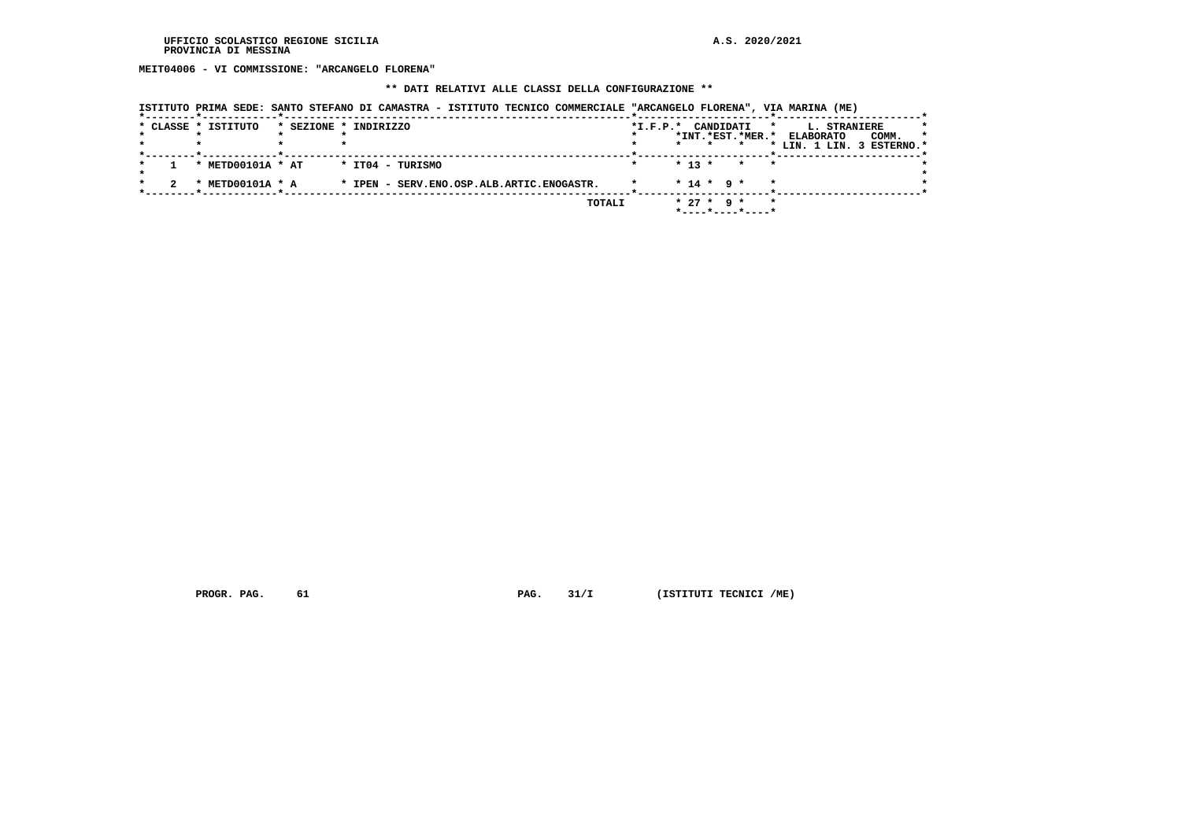**MEIT04006 - VI COMMISSIONE: "ARCANGELO FLORENA"**

# **\*\* DATI RELATIVI ALLE CLASSI DELLA CONFIGURAZIONE \*\***

| ISTITUTO PRIMA SEDE: SANTO STEFANO DI CAMASTRA - ISTITUTO TECNICO COMMERCIALE "ARCANGELO FLORENA", VIA MARINA (ME) |  |  |  |
|--------------------------------------------------------------------------------------------------------------------|--|--|--|
|                                                                                                                    |  |  |  |

|  | * CLASSE * ISTITUTO       | * SEZIONE * INDIRIZZO                     | $*I.F.P.*$ | CANDIDATI                      | L. STRANIERE<br>$\star$   | *       |
|--|---------------------------|-------------------------------------------|------------|--------------------------------|---------------------------|---------|
|  |                           |                                           |            | *INT.*EST.*MER.*               | COMM.<br><b>ELABORATO</b> | $\star$ |
|  |                           |                                           |            |                                | * LIN. 1 LIN. 3 ESTERNO.* |         |
|  |                           |                                           |            |                                |                           |         |
|  | * METD00101A * AT         | * IT04 - TURISMO                          |            | $* 13 *$<br>$\star$<br>$\star$ |                           |         |
|  | METD00101A * A<br>$\cdot$ | * IPEN - SERV.ENO.OSP.ALB.ARTIC.ENOGASTR. |            | $* 14 * 9 *$<br>$\star$        |                           |         |
|  |                           | TOTALI                                    |            | $* 27 * 9 *$<br>$\star$        |                           |         |
|  |                           |                                           |            | *----*----*----*               |                           |         |

 **PROGR. PAG.** 61 **PAG.** 31/I (ISTITUTI TECNICI /ME)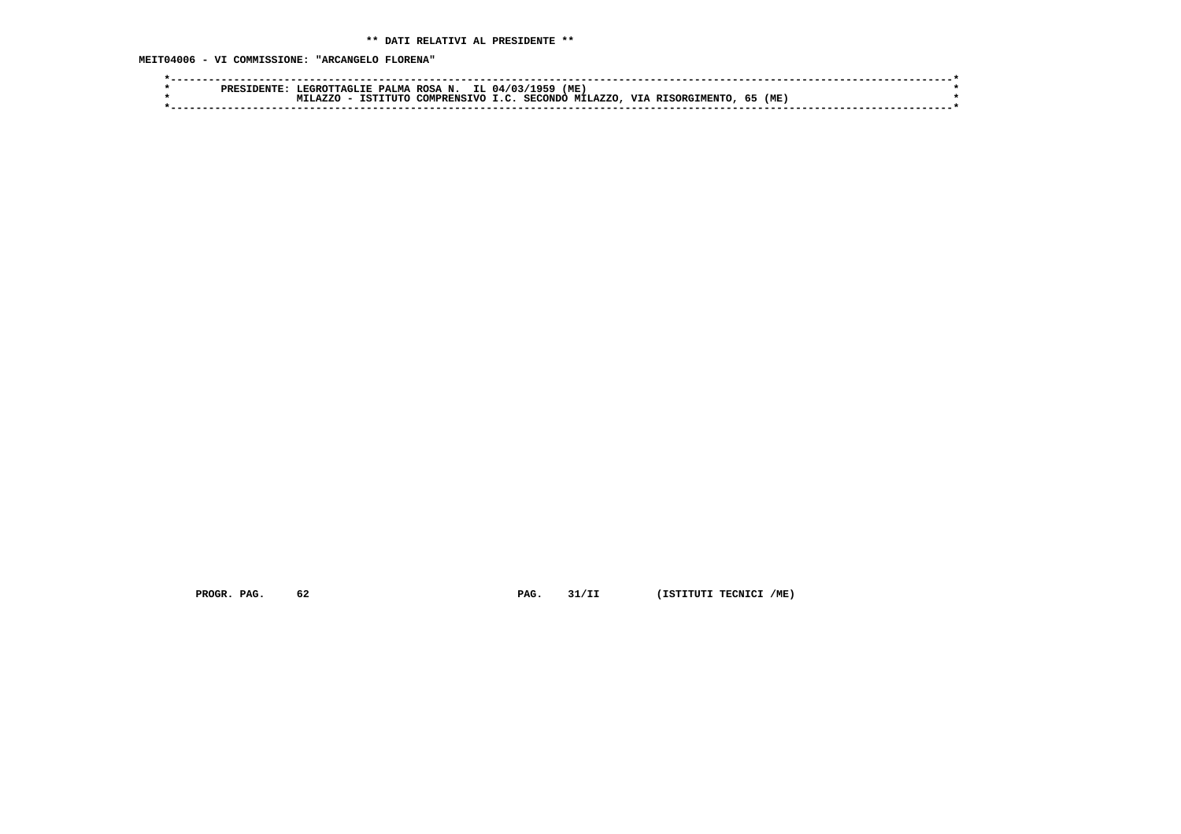**MEIT04006 - VI COMMISSIONE: "ARCANGELO FLORENA"**

| (ME<br>ᅂ<br>EGRO1<br>ΙL<br>N.<br>04/03<br><b>ROSA</b><br>PALMA<br>ס סם מ<br>TTACI.TR<br>(ME<br>37.70<br><b>SECONDO</b><br><b>TTT</b><br>.AZZC<br><b>MT1</b><br>$\sim$ $\sim$<br>TVO<br>ጣ፣ምር<br>rattu<br>COMPPRNS.<br><b>DTC</b><br>הסר |  |
|----------------------------------------------------------------------------------------------------------------------------------------------------------------------------------------------------------------------------------------|--|
|                                                                                                                                                                                                                                        |  |
|                                                                                                                                                                                                                                        |  |
|                                                                                                                                                                                                                                        |  |

 **PROGR. PAG.** 62 **PAG.** 31/II (ISTITUTI TECNICI /ME)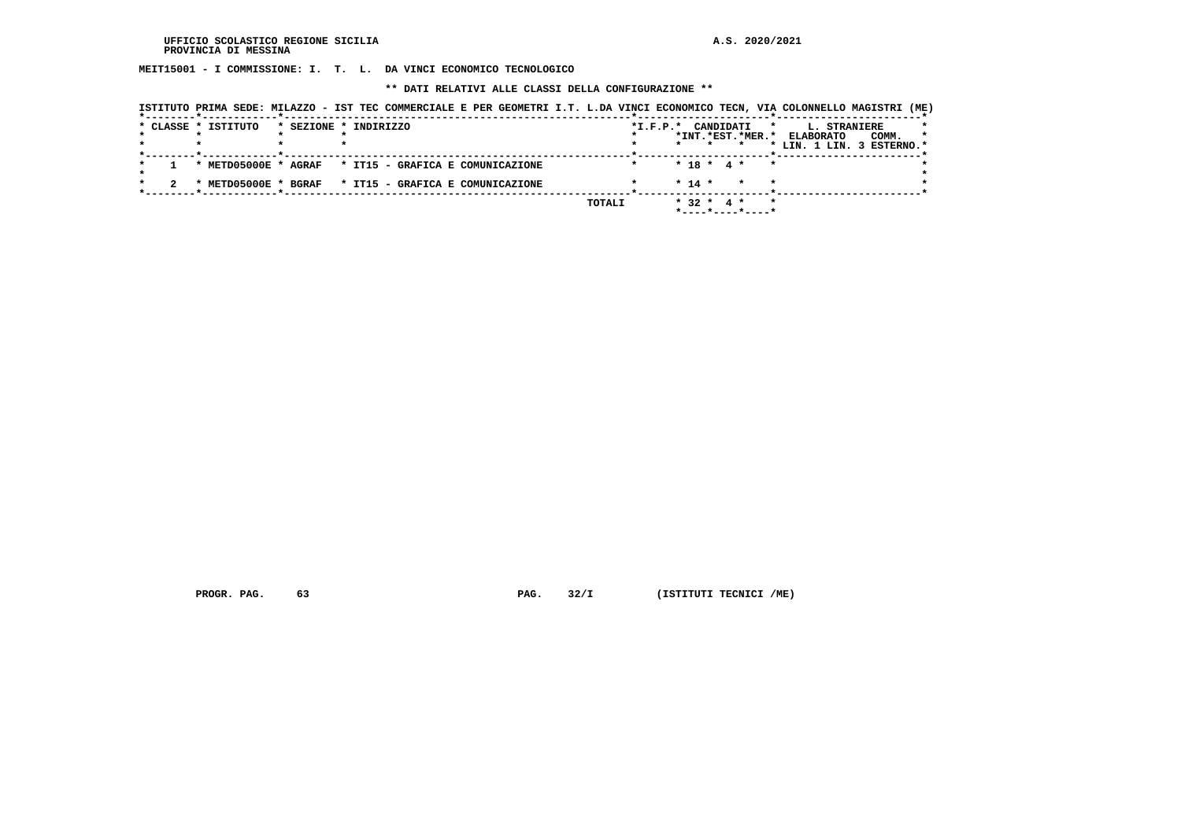**MEIT15001 - I COMMISSIONE: I. T. L. DA VINCI ECONOMICO TECNOLOGICO**

 **\*\* DATI RELATIVI ALLE CLASSI DELLA CONFIGURAZIONE \*\***

| *INT.*EST.*MER.* ELABORATO<br>$* 18 * 4 *$<br>* METD05000E * AGRAF * IT15 - GRAFICA E COMUNICAZIONE<br>$\star$ | COMM.<br>$\star$<br>* LIN. 1 LIN. 3 ESTERNO.* |
|----------------------------------------------------------------------------------------------------------------|-----------------------------------------------|
|                                                                                                                |                                               |
|                                                                                                                |                                               |
| $* 14 *$<br>* METD05000E * BGRAF * IT15 - GRAFICA E COMUNICAZIONE<br>$\star$                                   |                                               |

 **PROGR. PAG.** 63 **PAG.** 32/I (ISTITUTI TECNICI /ME)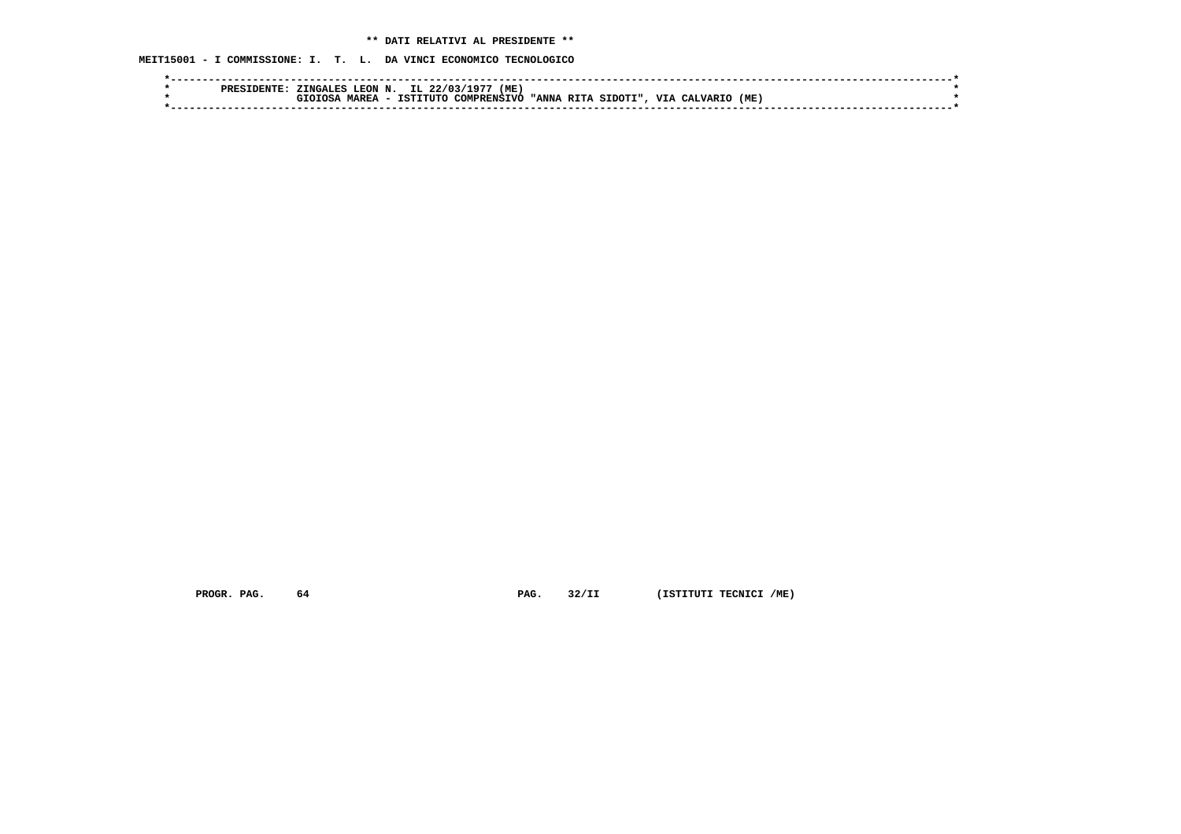# **\*\* DATI RELATIVI AL PRESIDENTE \*\***

 **MEIT15001 - I COMMISSIONE: I. T. L. DA VINCI ECONOMICO TECNOLOGICO**

|  | FNTF<br>PRES | ZINGALES     | LEON N.                                  | IL 22/03/ | (ME)<br>197 |                |         |                              |     |  |
|--|--------------|--------------|------------------------------------------|-----------|-------------|----------------|---------|------------------------------|-----|--|
|  |              | <b>ITOSA</b> | <b>MAREA</b><br>$\overline{\phantom{0}}$ | TSTTTTTTO | COMPRENSTVO | "ANNA<br>בידים | SIDOTI" | <b>VIA</b><br><b>CALVARI</b> | (ME |  |
|  |              |              |                                          |           |             |                |         |                              |     |  |
|  |              |              |                                          |           |             |                |         |                              |     |  |

 **PROGR. PAG.** 64 **PAG.** 32/II (ISTITUTI TECNICI /ME)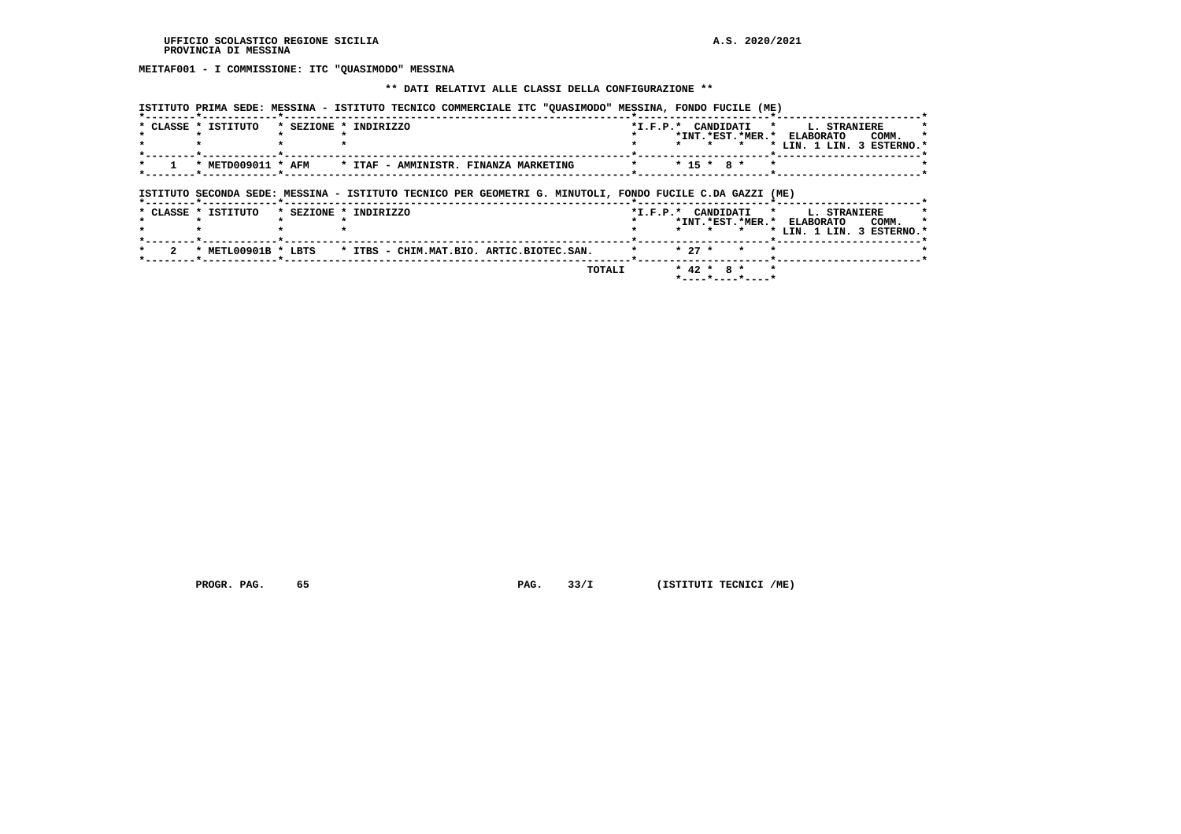# **MEITAF001 - I COMMISSIONE: ITC "QUASIMODO" MESSINA**

### **\*\* DATI RELATIVI ALLE CLASSI DELLA CONFIGURAZIONE \*\***

 **ISTITUTO PRIMA SEDE: MESSINA - ISTITUTO TECNICO COMMERCIALE ITC "QUASIMODO" MESSINA, FONDO FUCILE (ME)**

| * CLASSE * ISTITUTO         | * SEZIONE * INDIRIZZO                                                                                    | *I.F.P.* CANDIDATI * L. STRANIERE<br>*INT.*EST.*MER.* ELABORATO<br>COMM.<br>* LIN. 1 LIN. 3 ESTERNO.*                               |
|-----------------------------|----------------------------------------------------------------------------------------------------------|-------------------------------------------------------------------------------------------------------------------------------------|
|                             | * METD009011 * AFM * ITAF - AMMINISTR. FINANZA MARKETING                                                 | $* 15 * R *$                                                                                                                        |
| *--------*------------*---- | ISTITUTO SECONDA SEDE: MESSINA - ISTITUTO TECNICO PER GEOMETRI G. MINUTOLI, FONDO FUCILE C.DA GAZZI (ME) |                                                                                                                                     |
| * CLASSE * ISTITUTO         | * SEZIONE * INDIRIZZO                                                                                    | *I.F.P.* CANDIDATI * L. STRANIERE<br>*INT.*EST.*MER.* ELABORATO<br>COMM.<br>* LIN. 1 LIN. 3 ESTERNO.*<br>$\star$ $\star$<br>$\star$ |
|                             | * METL00901B * LBTS * ITBS - CHIM.MAT.BIO. ARTIC.BIOTEC.SAN.                                             | $* 27 *$                                                                                                                            |
|                             |                                                                                                          |                                                                                                                                     |

 **TOTALI \* 42 \* 8 \* \* \*----\*----\*----\***

 **PROGR. PAG.** 65 **PROGR. PAG. 33/I** (ISTITUTI TECNICI /ME)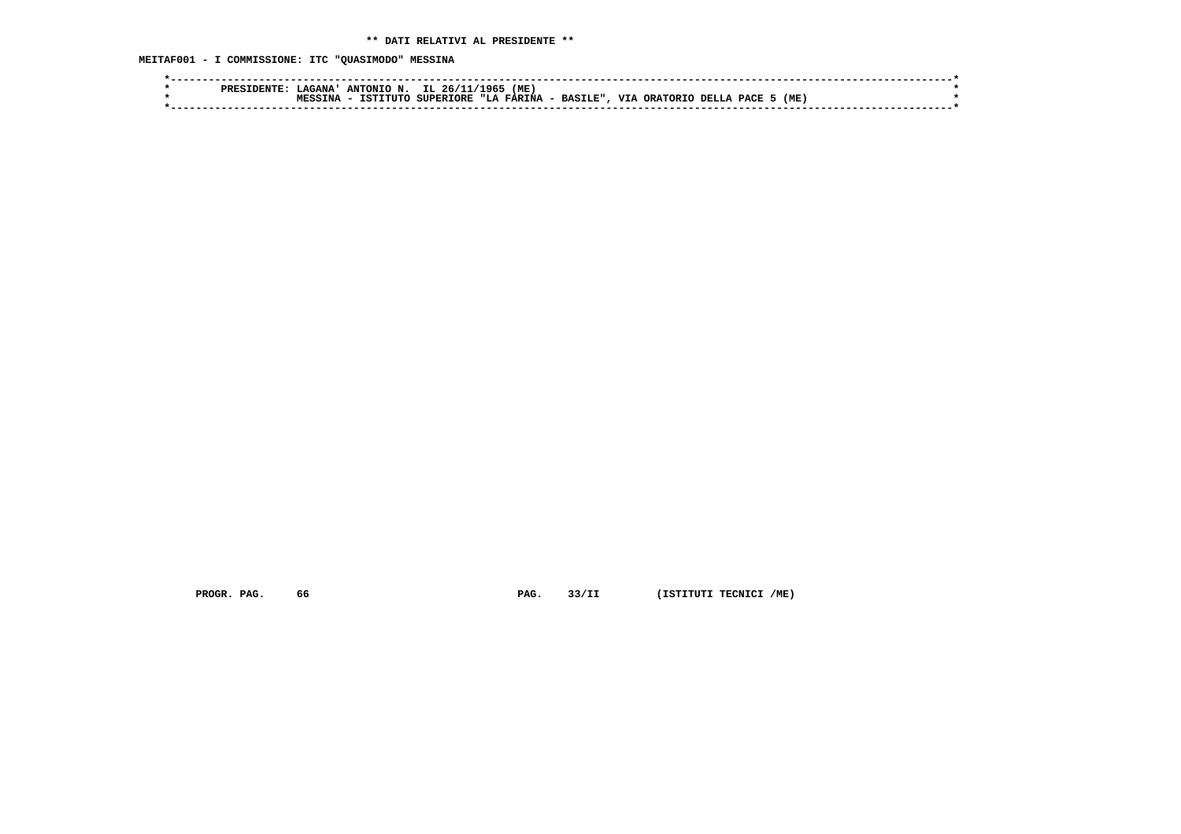**MEITAF001 - I COMMISSIONE: ITC "QUASIMODO" MESSINA**

| PRE. | <b>_AGANA '</b>     | ANTONIO N. | IL $26/1$        | (ME)<br>1965'                |           |                                 |                      |     |  |
|------|---------------------|------------|------------------|------------------------------|-----------|---------------------------------|----------------------|-----|--|
|      | TNA.<br><b>MESS</b> | TSTTTITO   | <b>SUPERIORE</b> | <b>FARINA</b><br><b>"Т.А</b> | - BASILE" | <b>TTT 2</b><br><b>ORATORTO</b> | <b>PACE</b><br>DELLA | (ME |  |
|      |                     |            |                  |                              |           |                                 |                      |     |  |
|      |                     |            |                  |                              |           |                                 |                      |     |  |

 **PROGR. PAG.** 66 **PAG.** 33/II (ISTITUTI TECNICI /ME)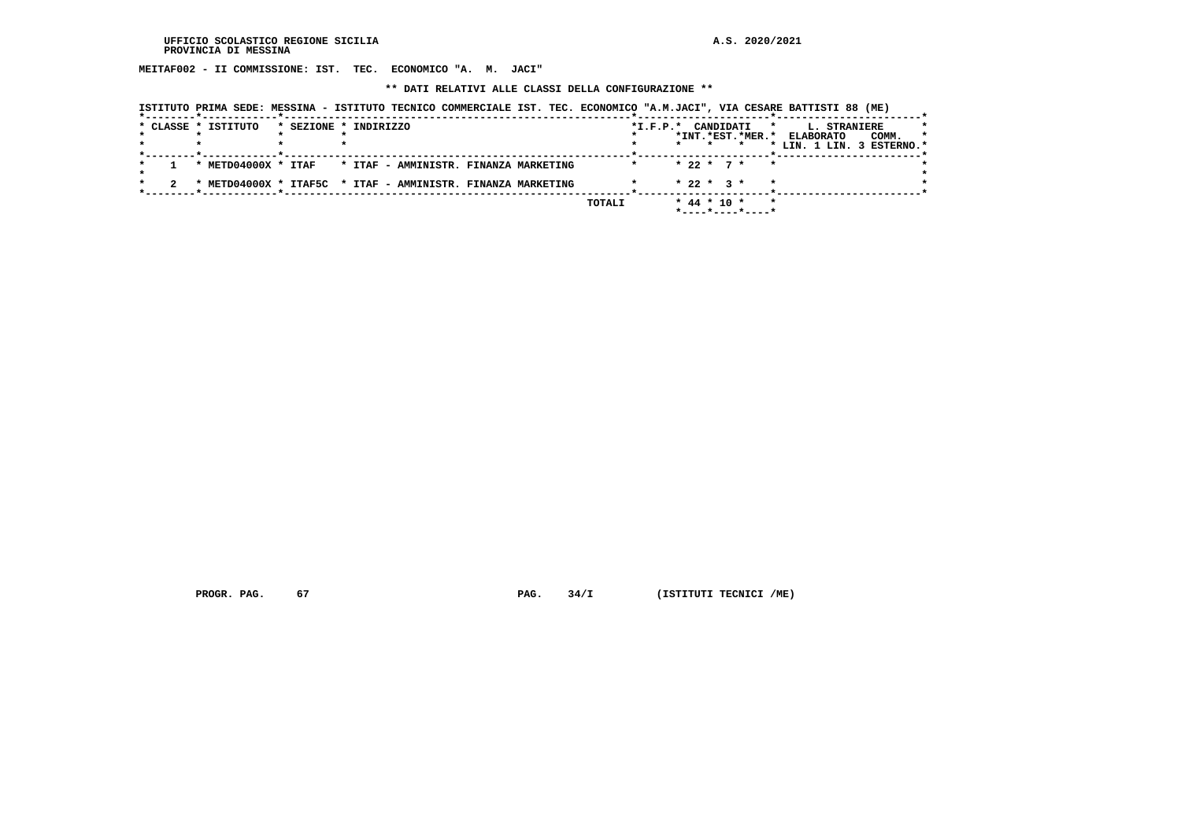**MEITAF002 - II COMMISSIONE: IST. TEC. ECONOMICO "A. M. JACI"**

 **\*\* DATI RELATIVI ALLE CLASSI DELLA CONFIGURAZIONE \*\***

 **ISTITUTO PRIMA SEDE: MESSINA - ISTITUTO TECNICO COMMERCIALE IST. TEC. ECONOMICO "A.M.JACI", VIA CESARE BATTISTI 88 (ME)**

|  | * CLASSE * ISTITUTO     | * SEZIONE * INDIRIZZO                                       | *I.F.P.* CANDIDATI<br>$\star$          | L. STRANIERE<br>*                    |
|--|-------------------------|-------------------------------------------------------------|----------------------------------------|--------------------------------------|
|  |                         |                                                             | *INT.*EST.*MER.*                       | $\star$<br><b>ELABORATO</b><br>COMM. |
|  |                         |                                                             |                                        | * LIN. 1 LIN. 3 ESTERNO.*            |
|  |                         |                                                             |                                        |                                      |
|  | * $METD04000X$ * $ITAF$ | * ITAF - AMMINISTR. FINANZA MARKETING                       | $* 22 * 7 * * *$                       |                                      |
|  |                         |                                                             |                                        |                                      |
|  |                         | * METD04000X * ITAF5C * ITAF - AMMINISTR. FINANZA MARKETING | $* 22 * 3 *$                           |                                      |
|  |                         |                                                             |                                        |                                      |
|  |                         |                                                             | $*$ 44 $*$ 10 $*$<br>TOTALI<br>$\star$ |                                      |
|  |                         |                                                             | *----*----*----*                       |                                      |
|  |                         |                                                             |                                        |                                      |

 **PROGR. PAG.** 67 **PAG.** 34/I (ISTITUTI TECNICI /ME)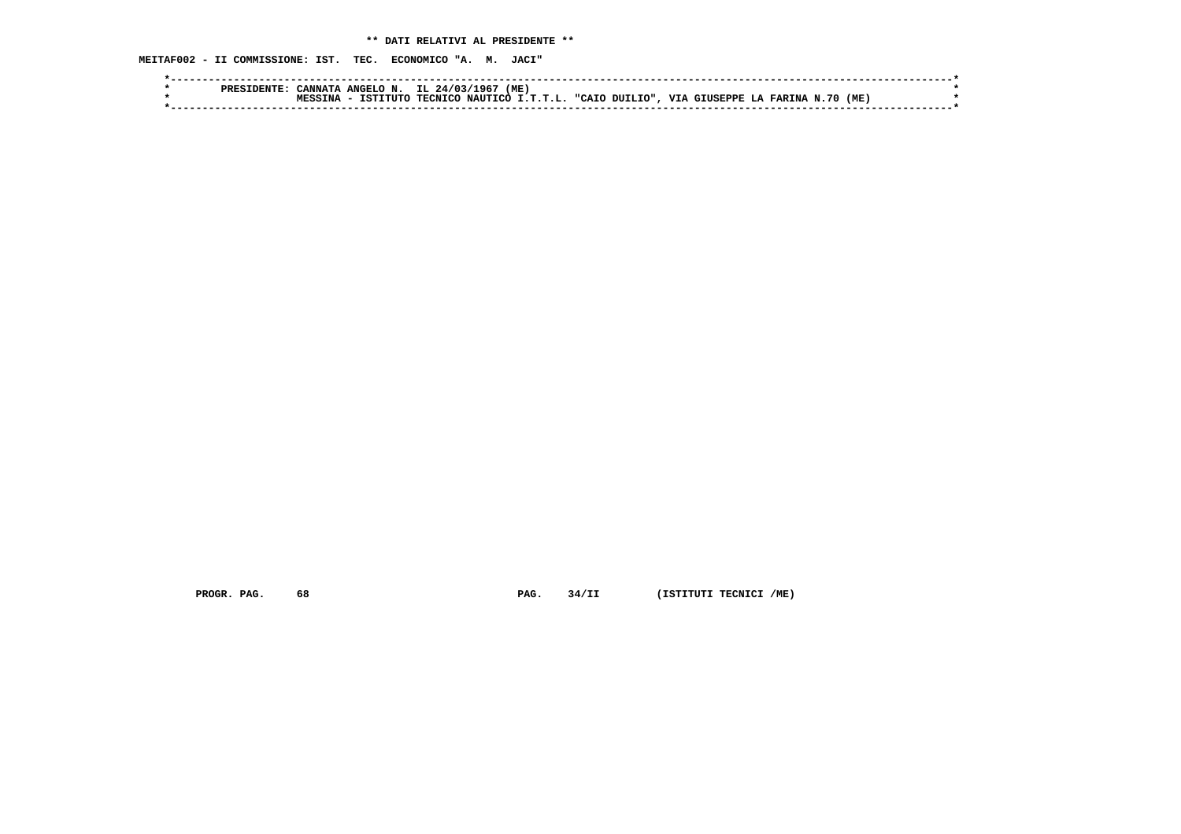**MEITAF002 - II COMMISSIONE: IST. TEC. ECONOMICO "A. M. JACI"**

| ANGELO N. IL 24/03/1967 (ME)<br><b>ANNATA</b>                                           |  |
|-----------------------------------------------------------------------------------------|--|
| TECNICO NAUTICO I.T.T.L. "CAIO DUILIO", VIA GIUSEPPE LA FARINA N.70<br>(ME)<br>TSTTTUTC |  |
|                                                                                         |  |
|                                                                                         |  |

 **PROGR. PAG.** 68 **PAG.** 34/II (ISTITUTI TECNICI /ME)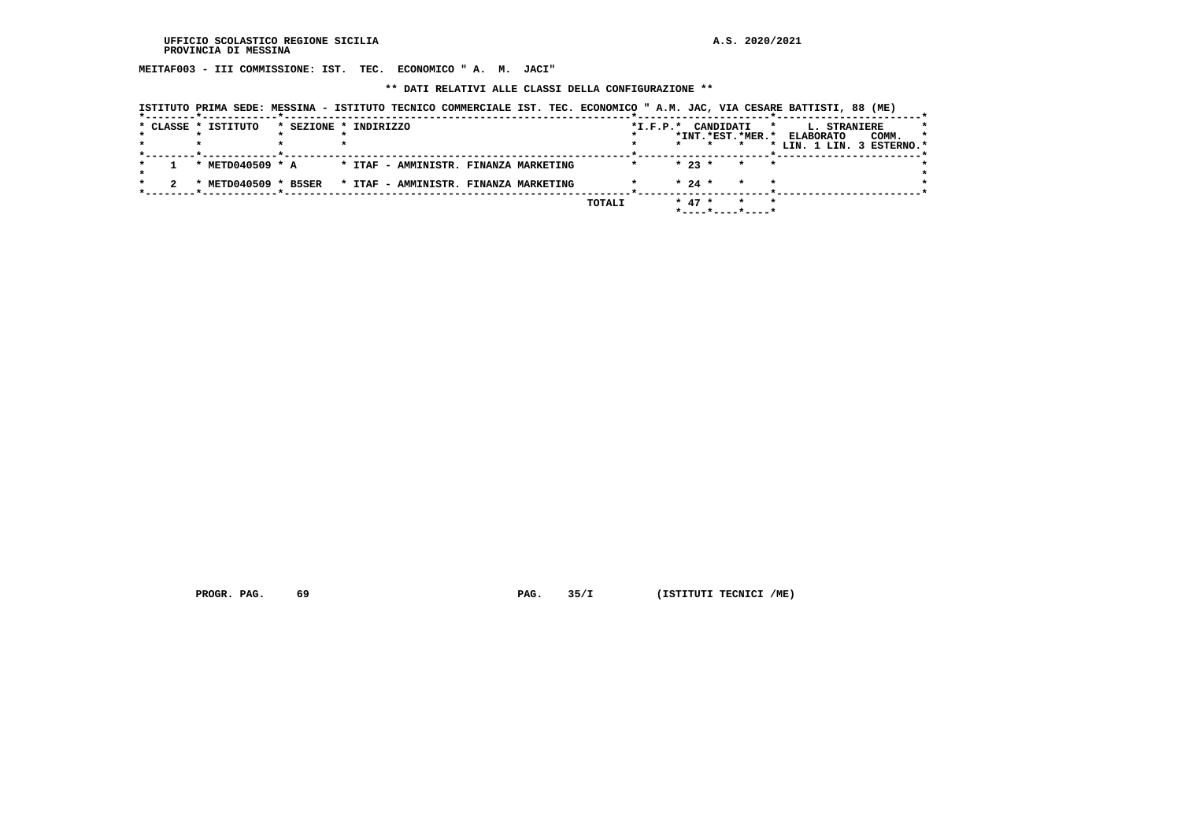**MEITAF003 - III COMMISSIONE: IST. TEC. ECONOMICO " A. M. JACI"**

 **\*\* DATI RELATIVI ALLE CLASSI DELLA CONFIGURAZIONE \*\***

|  | ISTITUTO PRIMA SEDE: MESSINA - ISTITUTO TECNICO COMMERCIALE IST. TEC. ECONOMICO " A.M. JAC, VIA CESARE BATTISTI, 88 (ME) |                       |                                       |        |            |           |                  |         |                  |              |                                    |  |
|--|--------------------------------------------------------------------------------------------------------------------------|-----------------------|---------------------------------------|--------|------------|-----------|------------------|---------|------------------|--------------|------------------------------------|--|
|  | * CLASSE * ISTITUTO                                                                                                      | * SEZIONE * INDIRIZZO |                                       |        | $*I.F.P.*$ | CANDIDATI |                  | $\star$ |                  | L. STRANIERE |                                    |  |
|  |                                                                                                                          |                       |                                       |        |            | $\star$   | *INT.*EST.*MER.* |         | <b>ELABORATO</b> |              | COMM.<br>* LIN. 1 LIN. 3 ESTERNO.* |  |
|  |                                                                                                                          |                       |                                       |        |            |           |                  |         |                  |              |                                    |  |
|  | * METD040509 * A                                                                                                         |                       | * ITAF - AMMINISTR. FINANZA MARKETING |        |            | $* 23 *$  | $\star$          | $\star$ |                  |              |                                    |  |
|  | * METD040509 * B5SER                                                                                                     |                       | * ITAF - AMMINISTR. FINANZA MARKETING |        |            | $* 24 *$  | $\star$          |         |                  |              |                                    |  |
|  |                                                                                                                          |                       |                                       | TOTALI |            | $* 47 *$  |                  | $\star$ |                  |              |                                    |  |
|  |                                                                                                                          |                       |                                       |        |            |           |                  |         |                  |              |                                    |  |

 **PROGR. PAG.** 69 **PAG.** 35/I (ISTITUTI TECNICI /ME)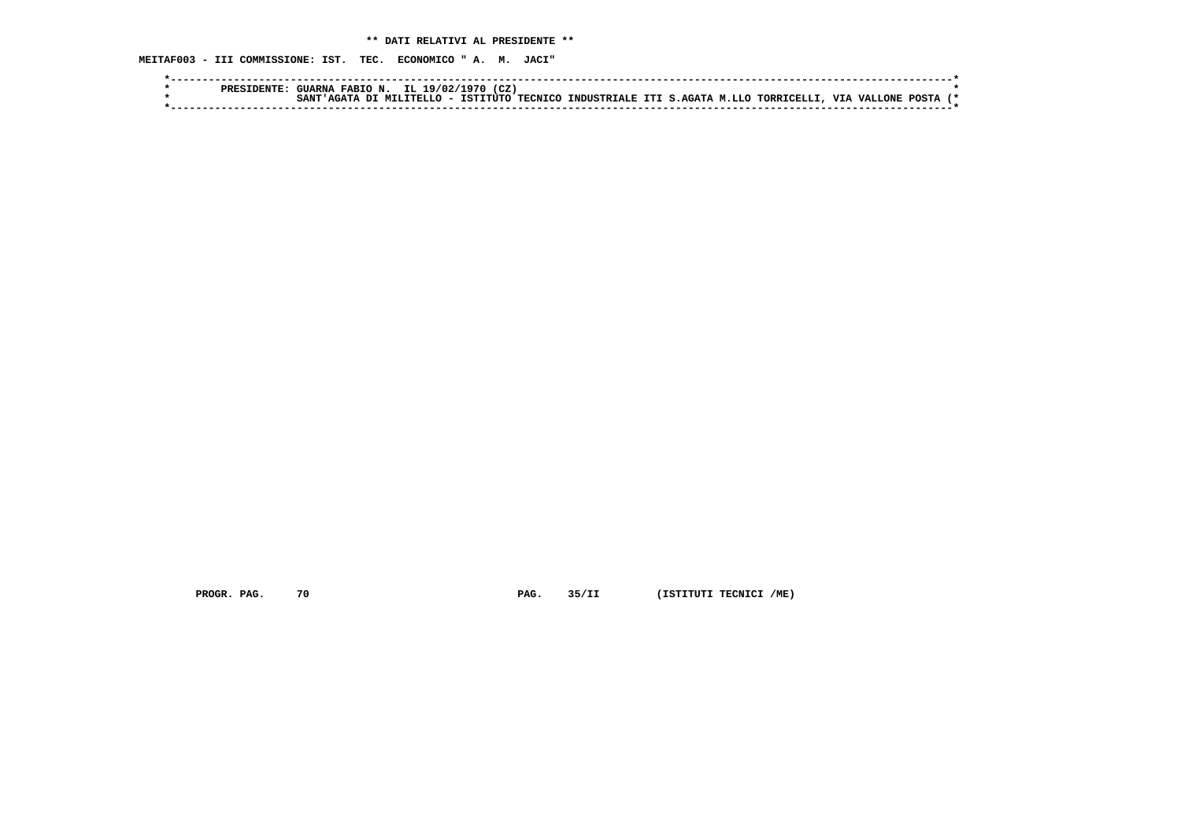**MEITAF003 - III COMMISSIONE: IST. TEC. ECONOMICO " A. M. JACI"**

|  | PRESIDENTF | <b>FABION.</b><br><b>FUARNA</b> | IL 19/02/1  | (CZ)<br>ີດໆ∩ |                |                                           |  |  |               |              |  |
|--|------------|---------------------------------|-------------|--------------|----------------|-------------------------------------------|--|--|---------------|--------------|--|
|  |            | ሮ እ እፐጥ                         | MTI.TTRI.LO | TSTTTITO     | <b>TECNICO</b> | INDUSTRIALE ITI S.AGATA M.LLO TORRICELLI. |  |  | , VIA VALLONE | <b>POSTA</b> |  |
|  |            |                                 |             |              |                |                                           |  |  |               |              |  |

 **PROGR. PAG.** 70 **PAG.** 35/II (ISTITUTI TECNICI /ME)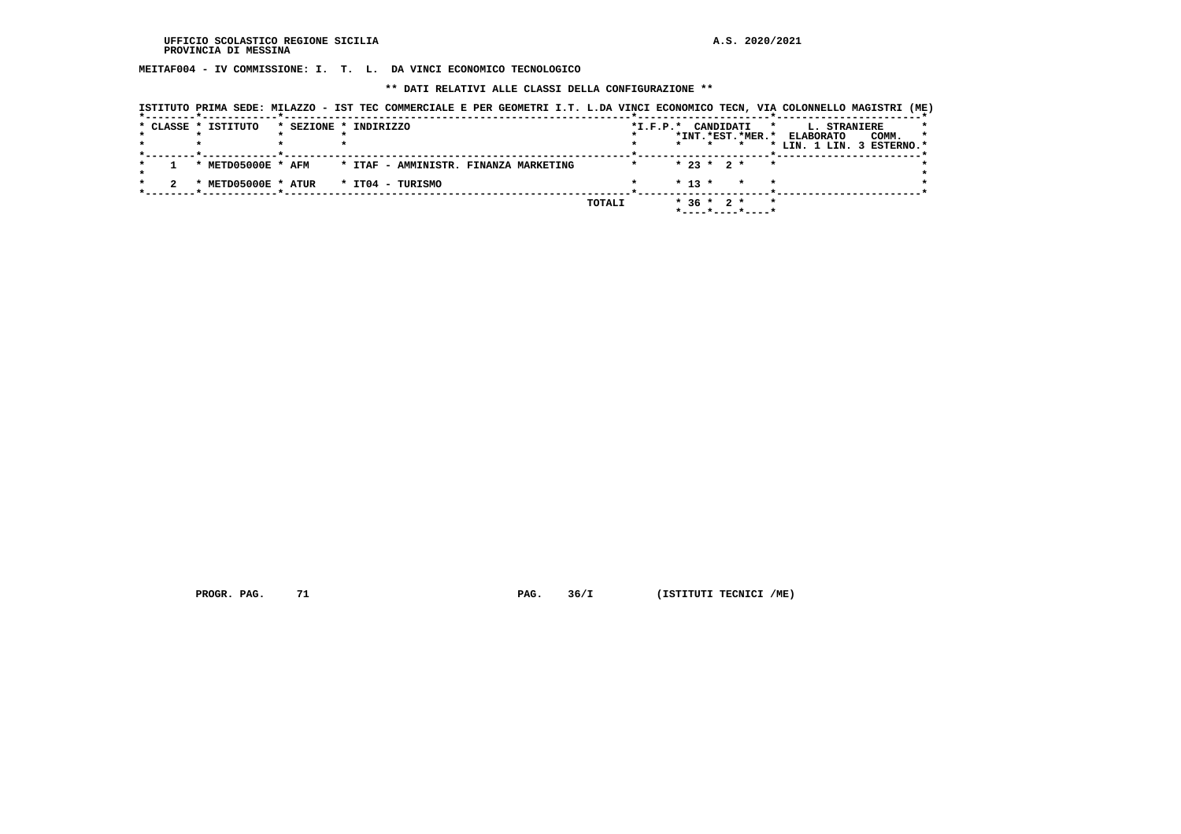**MEITAF004 - IV COMMISSIONE: I. T. L. DA VINCI ECONOMICO TECNOLOGICO**

 **\*\* DATI RELATIVI ALLE CLASSI DELLA CONFIGURAZIONE \*\***

|  | * CLASSE * ISTITUTO                        | * SEZIONE * INDIRIZZO |                                       |  |        | $*_{\texttt{I.F.P.}}*$ |                  | CANDIDATI        | $\star$ | <b>L. STRANIERE</b>                                     |       |
|--|--------------------------------------------|-----------------------|---------------------------------------|--|--------|------------------------|------------------|------------------|---------|---------------------------------------------------------|-------|
|  |                                            |                       |                                       |  |        |                        |                  |                  |         | *INT.*EST.*MER.* ELABORATO<br>* LIN. 1 LIN. 3 ESTERNO.* | COMM. |
|  | * METD05000E * AFM                         |                       | * ITAF - AMMINISTR. FINANZA MARKETING |  |        |                        | $* 23 * 2 *$     |                  | $\star$ |                                                         |       |
|  | $*$ METD05000E $*$ ATUR $*$ IT04 - TURISMO |                       |                                       |  |        |                        | $* 13 *$         |                  |         |                                                         |       |
|  |                                            |                       |                                       |  | TOTALI |                        | $*$ 36 $*$ 2 $*$ | *----*----*----* |         |                                                         |       |

 **PROGR. PAG.** 71 **PAG.** 36/I (ISTITUTI TECNICI /ME)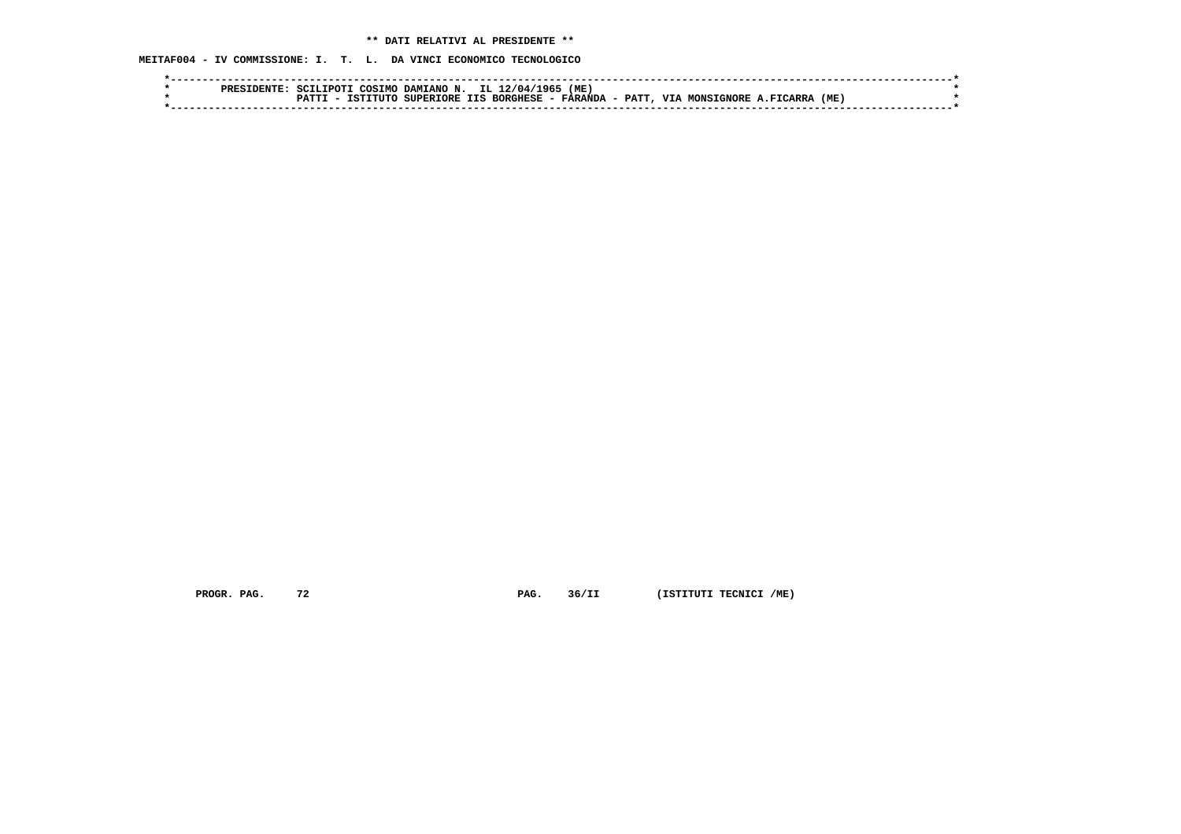**MEITAF004 - IV COMMISSIONE: I. T. L. DA VINCI ECONOMICO TECNOLOGICO**

|  | דפססם | SCTT.TDOT1 | COSTMO        | DAMIANO N.             | IL 1 | 1965'<br>2/04/ | (ME)           |       |            |                          |                |     |  |
|--|-------|------------|---------------|------------------------|------|----------------|----------------|-------|------------|--------------------------|----------------|-----|--|
|  |       | ־ידים מכד  | TTIITC<br>TST | SUPERIORE IIS BORGHESE |      |                | <b>FARANDA</b> | PATT, | <b>VTA</b> | <b>MONSTON</b><br>י הסרי | <b>FICARRA</b> | (ME |  |
|  |       |            |               |                        |      |                |                |       |            |                          |                |     |  |

 **PROGR. PAG.** 72 **PAG.** 36/II (ISTITUTI TECNICI /ME)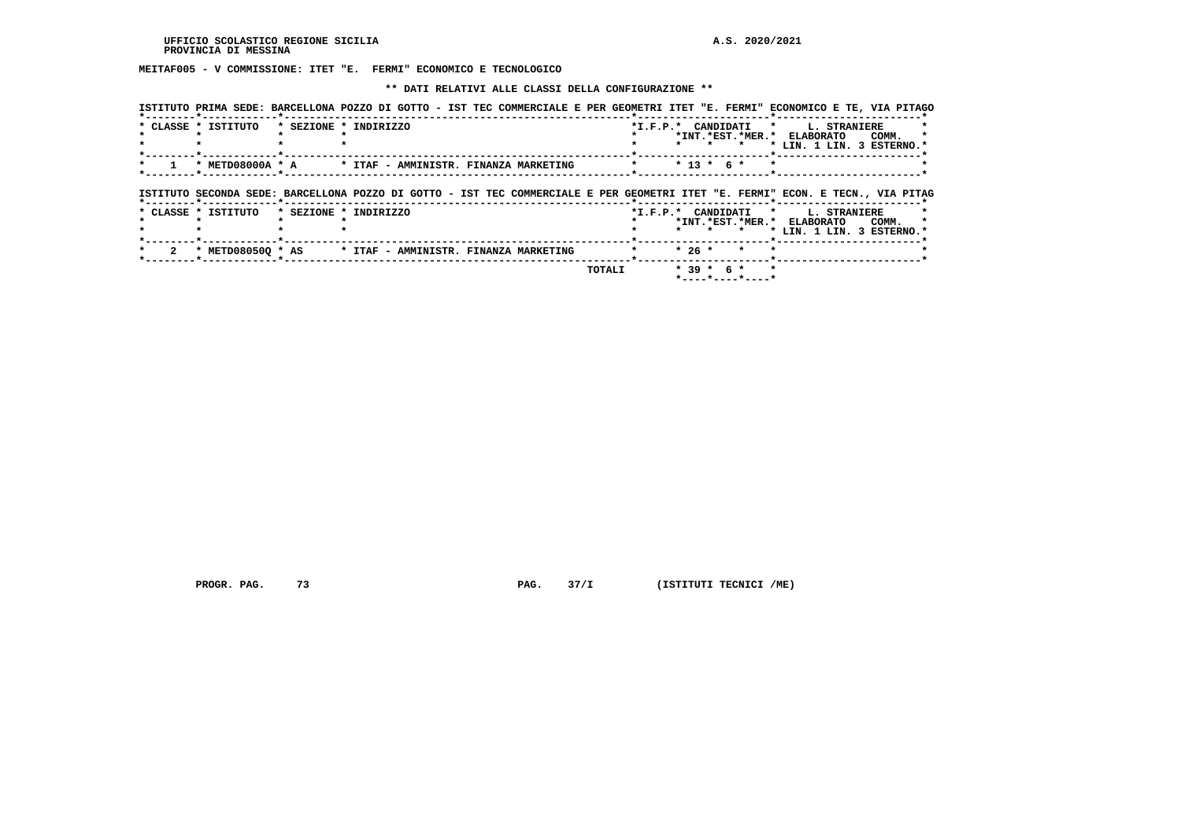**MEITAF005 - V COMMISSIONE: ITET "E. FERMI" ECONOMICO E TECNOLOGICO**

## **\*\* DATI RELATIVI ALLE CLASSI DELLA CONFIGURAZIONE \*\***

|                     |                       |  | ISTITUTO PRIMA SEDE: BARCELLONA POZZO DI GOTTO - IST TEC COMMERCIALE E PER GEOMETRI ITET "E. FERMI" ECONOMICO E TE, VIA PITAGO |        |        |              |                                                  |                                                         |                     |       |  |
|---------------------|-----------------------|--|--------------------------------------------------------------------------------------------------------------------------------|--------|--------|--------------|--------------------------------------------------|---------------------------------------------------------|---------------------|-------|--|
| * CLASSE * ISTITUTO | * SEZIONE * INDIRIZZO |  |                                                                                                                                |        |        |              | *I.F.P.* CANDIDATI *                             | *INT.*EST.*MER.* ELABORATO<br>* LIN. 1 LIN. 3 ESTERNO.* | <b>L. STRANIERE</b> | COMM. |  |
| * METD08000A * A    |                       |  | * ITAF - AMMINISTR. FINANZA MARKETING                                                                                          |        |        | $* 13 * 6 *$ |                                                  |                                                         |                     |       |  |
|                     |                       |  | ISTITUTO SECONDA SEDE: BARCELLONA POZZO DI GOTTO - IST TEC COMMERCIALE E PER GEOMETRI ITET "E. FERMI" ECON. E TECN., VIA PITAG |        |        |              |                                                  |                                                         |                     |       |  |
| * CLASSE * ISTITUTO | * SEZIONE * INDIRIZZO |  |                                                                                                                                |        |        |              | *I.F.P.* CANDIDATI *<br>$\star$                  | *INT.*EST.*MER.* ELABORATO<br>* LIN. 1 LIN. 3 ESTERNO.* | <b>L. STRANIERE</b> | COMM. |  |
| * METD080500 * AS   |                       |  | * ITAF - AMMINISTR. FINANZA MARKETING                                                                                          |        | $*26*$ |              | $\star$                                          |                                                         |                     |       |  |
|                     |                       |  |                                                                                                                                | TOTALI |        |              | $*39 * 6 *$<br>$*$ - - - - * - - - - * - - - - * |                                                         |                     |       |  |

 **PROGR. PAG.** 73 **PAG.** 37/I (ISTITUTI TECNICI /ME)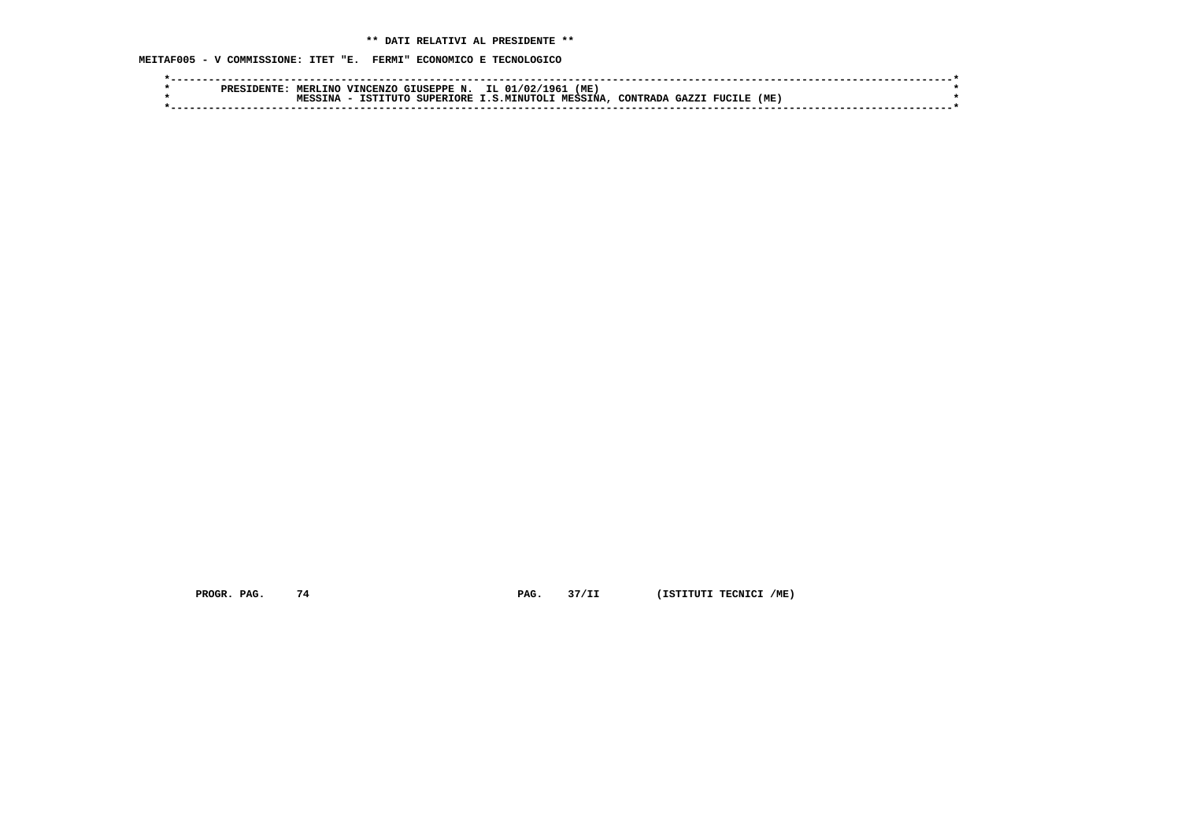**MEITAF005 - V COMMISSIONE: ITET "E. FERMI" ECONOMICO E TECNOLOGICO**

|  | <b>PRES</b> | MERLINO | VINCI<br>.CENZC           | GIUSEPPE N. | IL 01/02/1<br>1961  | (ME            |          |                |     |  |
|--|-------------|---------|---------------------------|-------------|---------------------|----------------|----------|----------------|-----|--|
|  |             | TNA     | TCTT.<br>$T$ דודיר $\sim$ | SUPERIORE   | <b>T.S.MTNUTOLT</b> | <b>MESSINA</b> | CONTRADA | CAYZ<br>FUCILE | (ME |  |
|  |             |         |                           |             |                     |                |          |                |     |  |

 **PROGR. PAG.** 74 **PAG.** 37/II (ISTITUTI TECNICI /ME)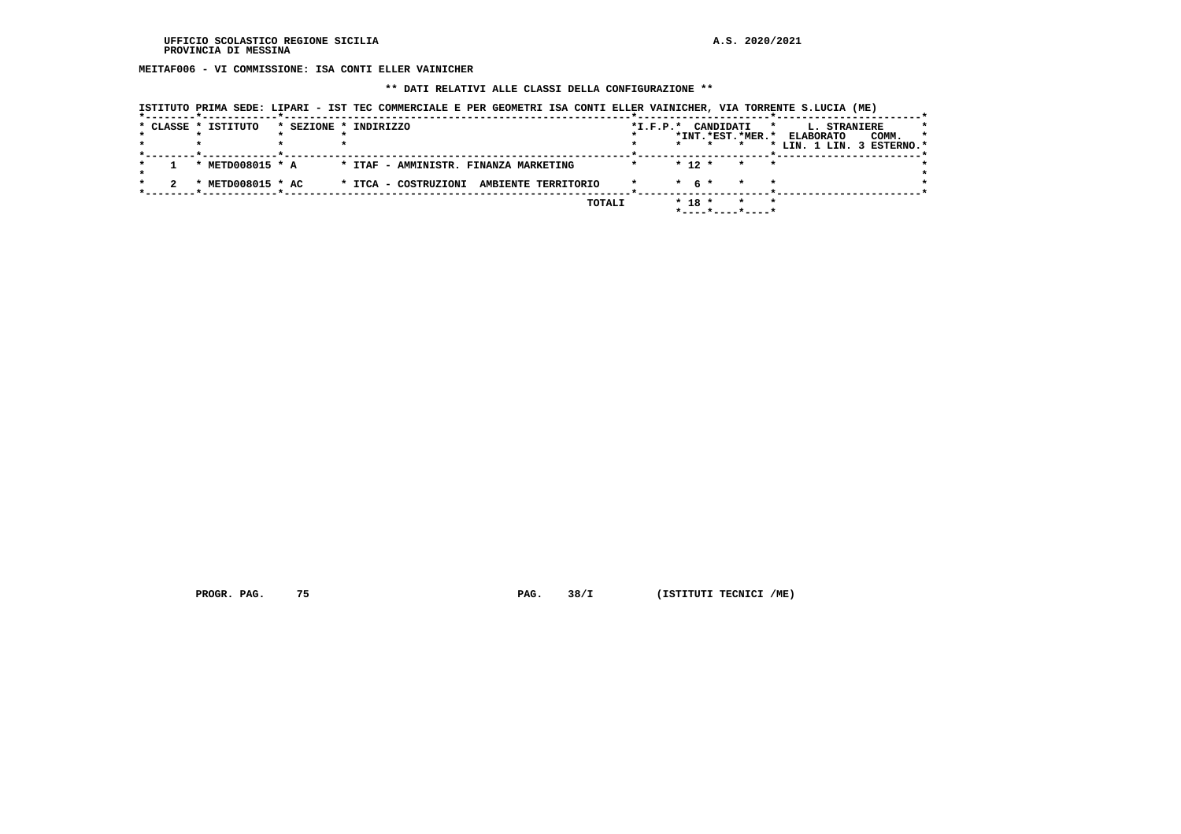**MEITAF006 - VI COMMISSIONE: ISA CONTI ELLER VAINICHER**

## **\*\* DATI RELATIVI ALLE CLASSI DELLA CONFIGURAZIONE \*\***

|  |  |  | ISTITUTO PRIMA SEDE: LIPARI - IST TEC COMMERCIALE E PER GEOMETRI ISA CONTI ELLER VAINICHER, VIA TORRENTE S.LUCIA (ME) |  |  |
|--|--|--|-----------------------------------------------------------------------------------------------------------------------|--|--|
|--|--|--|-----------------------------------------------------------------------------------------------------------------------|--|--|

|  | * CLASSE * ISTITUTO | * SEZIONE * INDIRIZZO                       | *I.F.P.* CANDIDATI       | $\star$ | <b>L. STRANIERE</b>       | $\star$ |
|--|---------------------|---------------------------------------------|--------------------------|---------|---------------------------|---------|
|  |                     |                                             | *INT.*EST.*MER.*         |         | <b>ELABORATO</b><br>COMM. | $\star$ |
|  |                     |                                             |                          |         | * LIN. 1 LIN. 3 ESTERNO.* |         |
|  |                     |                                             |                          |         |                           |         |
|  | * METD008015 * A    | * ITAF - AMMINISTR. FINANZA MARKETING       | $* 12 *$<br>$\mathbf{x}$ | $\star$ |                           |         |
|  |                     |                                             |                          |         |                           |         |
|  | * METD008015 * AC   | * ITCA - COSTRUZIONI<br>AMBIENTE TERRITORIO | $*$ 6 $*$                |         |                           |         |
|  |                     |                                             |                          |         |                           |         |
|  |                     | TOTALI                                      | $* 18 *$                 | $\star$ |                           |         |
|  |                     |                                             | *----*----*----*         |         |                           |         |

 **PROGR. PAG.** 75 **PAG.** 38/I (ISTITUTI TECNICI /ME)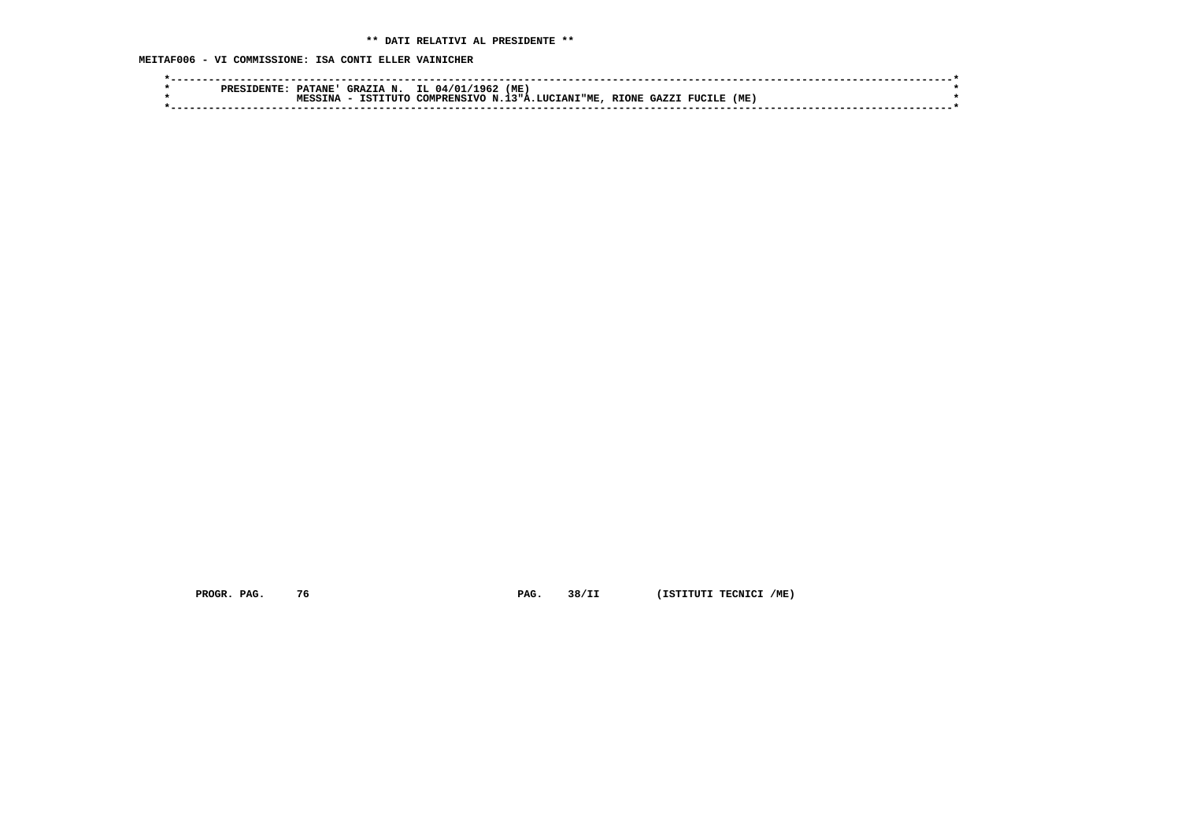**MEITAF006 - VI COMMISSIONE: ISA CONTI ELLER VAINICHER**

|  | ס סם מ | <b>PATANE'</b> | GRAZIA N. | IL 04/01/1962       | (ME                  |              |       |        |     |  |
|--|--------|----------------|-----------|---------------------|----------------------|--------------|-------|--------|-----|--|
|  |        | TNA            | TSTTTITO  | COMPRENSIVO N.13"A. | <b>A.LUCIANI"ME.</b> | <b>RIONE</b> | GAZZI | FUCILE | (ME |  |
|  |        |                |           |                     |                      |              |       |        |     |  |

 **PROGR. PAG.** 76 **PAG. PAG.** 38/II (ISTITUTI TECNICI /ME)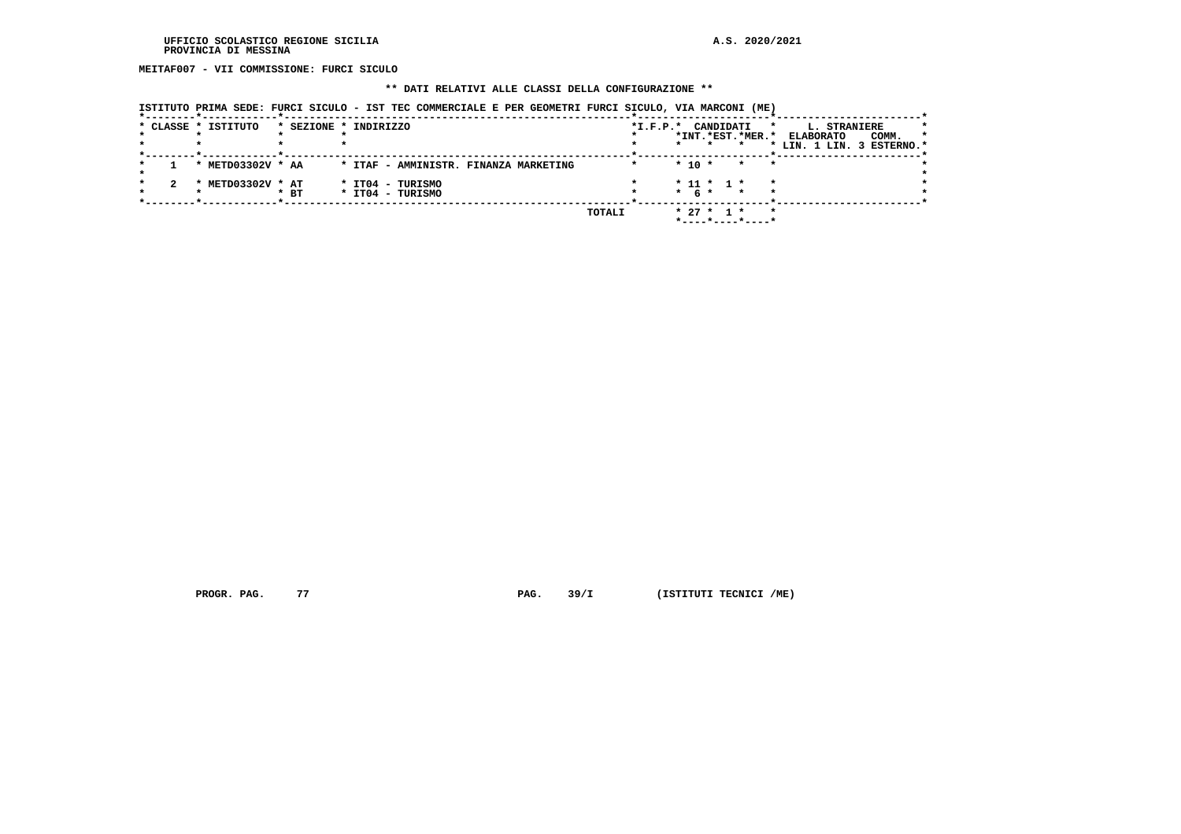**MEITAF007 - VII COMMISSIONE: FURCI SICULO**

# **\*\* DATI RELATIVI ALLE CLASSI DELLA CONFIGURAZIONE \*\***

|  | ISTITUTO PRIMA SEDE: FURCI SICULO - IST TEC COMMERCIALE E PER GEOMETRI FURCI SICULO, VIA MARCONI (ME) |  |
|--|-------------------------------------------------------------------------------------------------------|--|
|  |                                                                                                       |  |

|  | * CLASSE * ISTITUTO             |        | * SEZIONE * INDIRIZZO                 |        | CANDIDATI<br>$*I.F.P.*$<br>$\star$ | L. STRANIERE                         |
|--|---------------------------------|--------|---------------------------------------|--------|------------------------------------|--------------------------------------|
|  |                                 |        |                                       |        | *INT.*EST.*MER.*                   | COMM.<br><b>ELABORATO</b><br>$\star$ |
|  |                                 |        |                                       |        | $\star$                            | * LIN. 1 LIN. 3 ESTERNO.*            |
|  |                                 |        |                                       |        |                                    |                                      |
|  | * METD03302V * AA               |        | * ITAF - AMMINISTR. FINANZA MARKETING |        | $*$ 10 $*$<br>$\star$<br>$\star$   |                                      |
|  |                                 |        |                                       |        |                                    |                                      |
|  | METD03302V * AT<br>$\mathbf{r}$ |        | * IT04 - TURISMO                      |        | $* 11 * 1 *$<br>$\star$            |                                      |
|  |                                 | $*$ BT | * IT04 - TURISMO                      |        | $*$ 6 $*$ $*$<br>$\star$           |                                      |
|  |                                 |        |                                       |        |                                    |                                      |
|  |                                 |        |                                       | TOTALI | $* 27 * 1 *$<br>$\star$            |                                      |
|  |                                 |        |                                       |        | *----*----*----*                   |                                      |
|  |                                 |        |                                       |        |                                    |                                      |

 **PROGR. PAG.** 77 **PAG.** 39/I (ISTITUTI TECNICI /ME)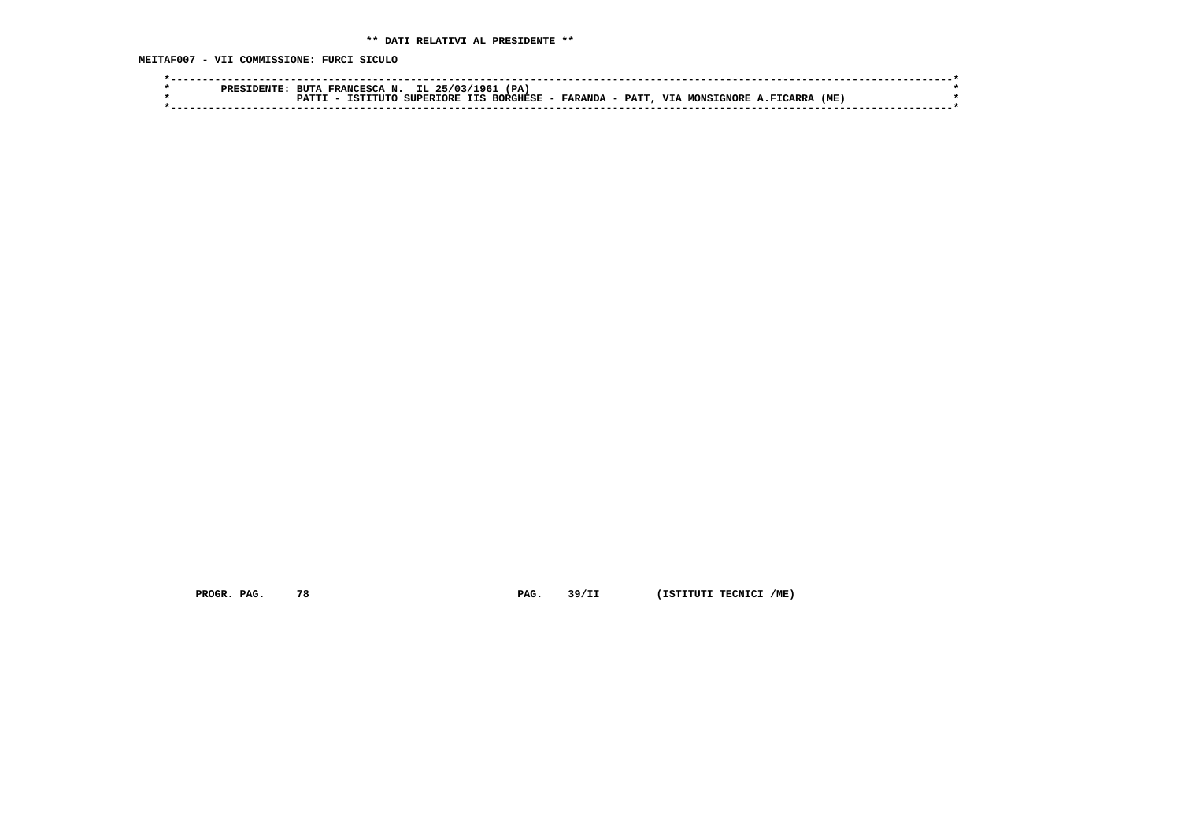**MEITAF007 - VII COMMISSIONE: FURCI SICULO**

| ~ттъ.<br>DDFC | IL.<br>' PA<br>25/03<br>196<br>RITTA<br><b>TRANCFSCA</b>                                                                                    |  |
|---------------|---------------------------------------------------------------------------------------------------------------------------------------------|--|
|               | <b>BORGHESE</b><br><b>PATT</b><br>(ME<br>SUPERIORE IIS<br><b>T7T7</b><br>י ידידי די<br>- FARANDA<br><b>GNORE</b><br>אד פא∩אז<br><b>ARRZ</b> |  |
|               |                                                                                                                                             |  |

 **PROGR. PAG.** 78 **PAG.** 39/II (ISTITUTI TECNICI /ME)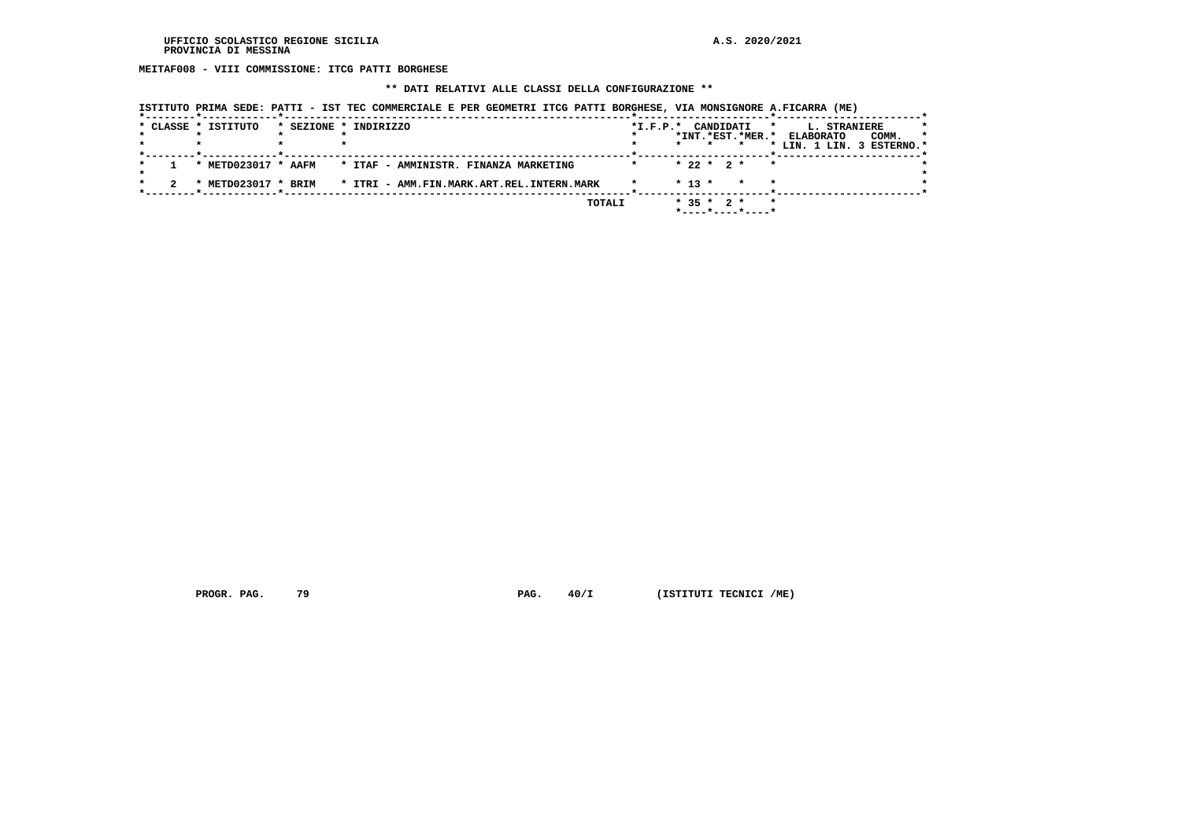**MEITAF008 - VIII COMMISSIONE: ITCG PATTI BORGHESE**

# **\*\* DATI RELATIVI ALLE CLASSI DELLA CONFIGURAZIONE \*\***

| ISTITUTO PRIMA SEDE: PATTI - IST TEC COMMERCIALE E PER GEOMETRI ITCG PATTI BORGHESE, VIA MONSIGNORE A.FICARRA (ME) |  |  |
|--------------------------------------------------------------------------------------------------------------------|--|--|
|                                                                                                                    |  |  |

|  | * CLASSE * ISTITUTO | * SEZIONE * INDIRIZZO                     | $*I.F.P.*$ |         |          | CANDIDATI                               | $\star$   | L. STRANIERE              | *       |
|--|---------------------|-------------------------------------------|------------|---------|----------|-----------------------------------------|-----------|---------------------------|---------|
|  |                     |                                           |            |         |          | *INT.*EST.*MER.*                        |           | COMM.<br><b>ELABORATO</b> | $\star$ |
|  |                     |                                           |            | $\star$ |          |                                         |           | * LIN. 1 LIN. 3 ESTERNO.* |         |
|  |                     |                                           |            |         |          |                                         |           |                           |         |
|  | * METD023017 * AAFM | * ITAF - AMMINISTR. FINANZA MARKETING     |            |         |          | $* 22 * 2 *$                            | $\bullet$ |                           |         |
|  |                     |                                           |            |         |          |                                         |           |                           |         |
|  | METD023017 * BRIM   | * ITRI - AMM.FIN.MARK.ART.REL.INTERN.MARK |            |         | $* 13 *$ | $\star$                                 | $\star$   |                           |         |
|  |                     |                                           |            |         |          |                                         |           |                           |         |
|  |                     | TOTALI                                    |            |         |          | $*$ 35 $*$ 2 $*$                        | $\star$   |                           |         |
|  |                     |                                           |            |         |          | $*$ - - - - $*$ - - - - $*$ - - - - $*$ |           |                           |         |

 **PROGR. PAG.** 79 **PAG.**  $40/I$  (ISTITUTI TECNICI /ME)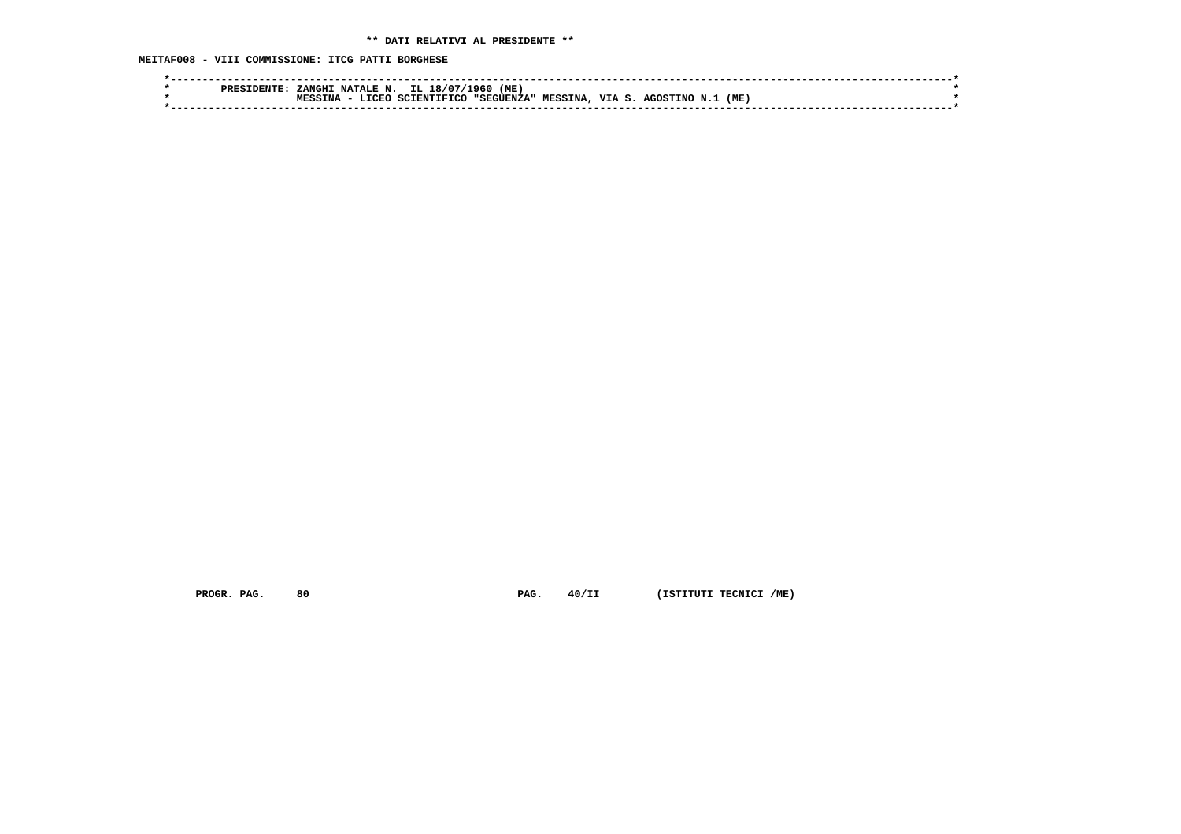**MEITAF008 - VIII COMMISSIONE: ITCG PATTI BORGHESE**

|  | <b>DENTE</b><br>PRESI | <b>ZANGHT</b> | NATALE N.     | $\therefore$ IL 18/07/ | (ME)<br>1960. |                |        |          |     |  |
|--|-----------------------|---------------|---------------|------------------------|---------------|----------------|--------|----------|-----|--|
|  |                       | ΓNΆ           | <b>T.TCEO</b> | SCIENTIFICO            | , "SEGUENZA"  | <b>MESSINA</b> | VTA S. | AGOSTINO | (ME |  |
|  |                       |               |               |                        |               |                |        |          |     |  |
|  |                       |               |               |                        |               |                |        |          |     |  |

 **PROGR. PAG.** 80 **PAG.** 40/II (ISTITUTI TECNICI /ME)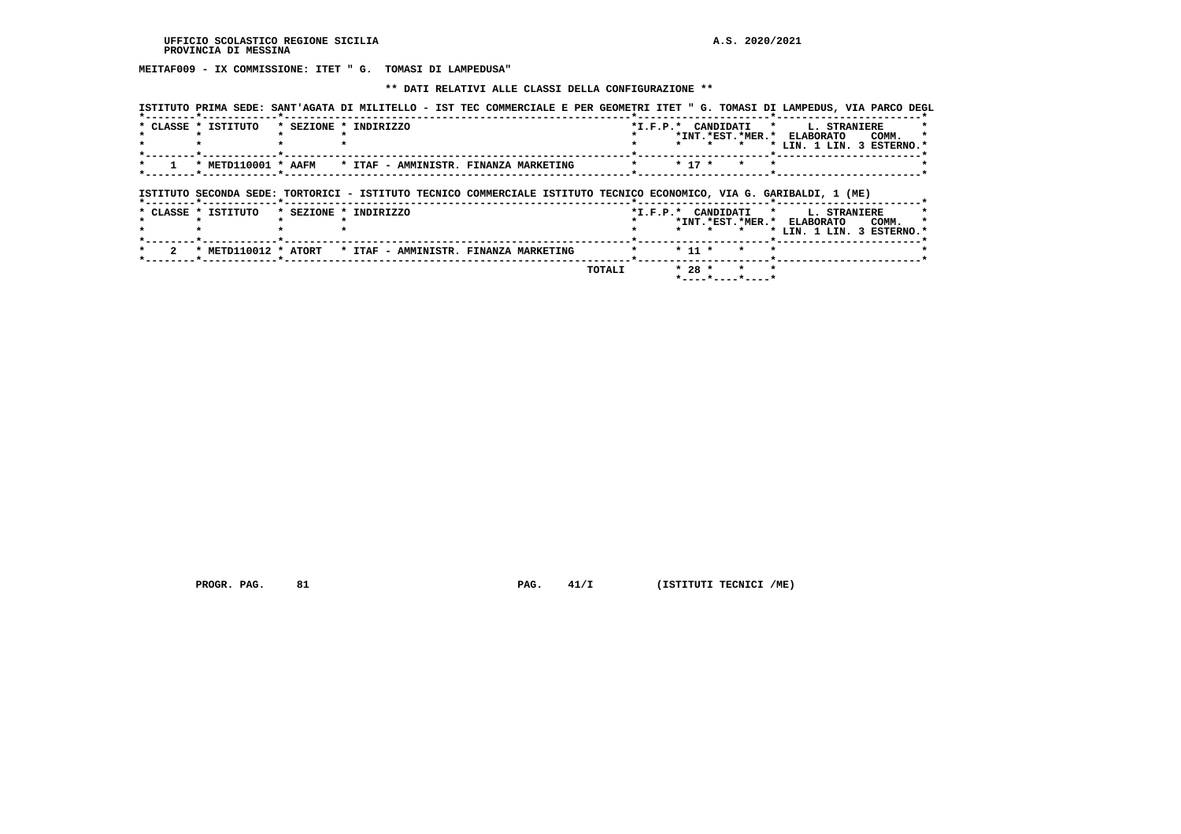**MEITAF009 - IX COMMISSIONE: ITET " G. TOMASI DI LAMPEDUSA"**

## **\*\* DATI RELATIVI ALLE CLASSI DELLA CONFIGURAZIONE \*\***

|                     |                       |  | ISTITUTO PRIMA SEDE: SANT'AGATA DI MILITELLO - IST TEC COMMERCIALE E PER GEOMETRI ITET " G. TOMASI DI LAMPEDUS, VIA PARCO DEGL |                    |          |         |                                       |              |                                    |
|---------------------|-----------------------|--|--------------------------------------------------------------------------------------------------------------------------------|--------------------|----------|---------|---------------------------------------|--------------|------------------------------------|
| * CLASSE * ISTITUTO | * SEZIONE * INDIRIZZO |  |                                                                                                                                | *I.F.P.* CANDIDATI |          | $\star$ | $\star$<br>*INT.*EST.*MER.* ELABORATO | L. STRANIERE | COMM.<br>* LIN. 1 LIN. 3 ESTERNO.* |
| * METD110001 * AAFM |                       |  | * ITAF - AMMINISTR. FINANZA MARKETING                                                                                          |                    | $* 17 *$ | $\star$ |                                       |              |                                    |
|                     |                       |  |                                                                                                                                |                    |          |         |                                       |              |                                    |
|                     |                       |  | ISTITUTO SECONDA SEDE: TORTORICI - ISTITUTO TECNICO COMMERCIALE ISTITUTO TECNICO ECONOMICO, VIA G. GARIBALDI, 1 (ME)           |                    |          |         |                                       |              |                                    |
| * CLASSE * ISTITUTO | * SEZIONE * INDIRIZZO |  |                                                                                                                                | *I.F.P.* CANDIDATI |          | $\star$ | $\star$<br>*INT.*EST.*MER.* ELABORATO | L. STRANIERE | COMM.<br>* LIN. 1 LIN. 3 ESTERNO.* |
|                     |                       |  | * METD110012 * ATORT * ITAF - AMMINISTR. FINANZA MARKETING                                                                     |                    | $* 11 *$ |         |                                       |              |                                    |

 **PROGR. PAG.** 81 **PAG. 41/I** (ISTITUTI TECNICI /ME)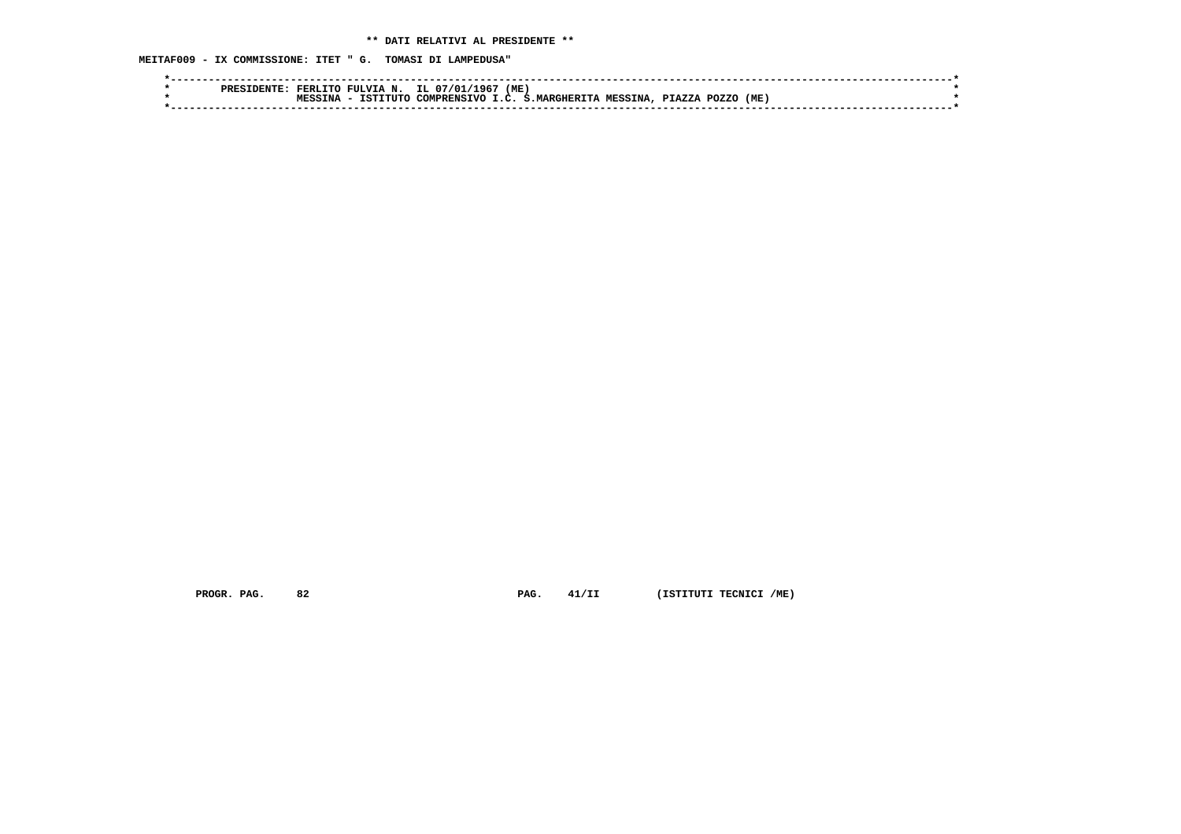**MEITAF009 - IX COMMISSIONE: ITET " G. TOMASI DI LAMPEDUSA"**

|  | סססם | FERLITO | N.<br>FULVIA | IL.<br>, 07/01/1967 | (ME)    |                   |         |        |       |      |  |
|--|------|---------|--------------|---------------------|---------|-------------------|---------|--------|-------|------|--|
|  |      | TNA     | TSTTTITO     | COMPRENSTVO         | $T$ $C$ | <b>MARGHERITA</b> | MESSINA | PTAZZA | POZZO | (ME) |  |
|  |      |         |              |                     |         |                   |         |        |       |      |  |
|  |      |         |              |                     |         |                   |         |        |       |      |  |

 **PROGR. PAG.** 82 **PAG.** 41/II (ISTITUTI TECNICI /ME)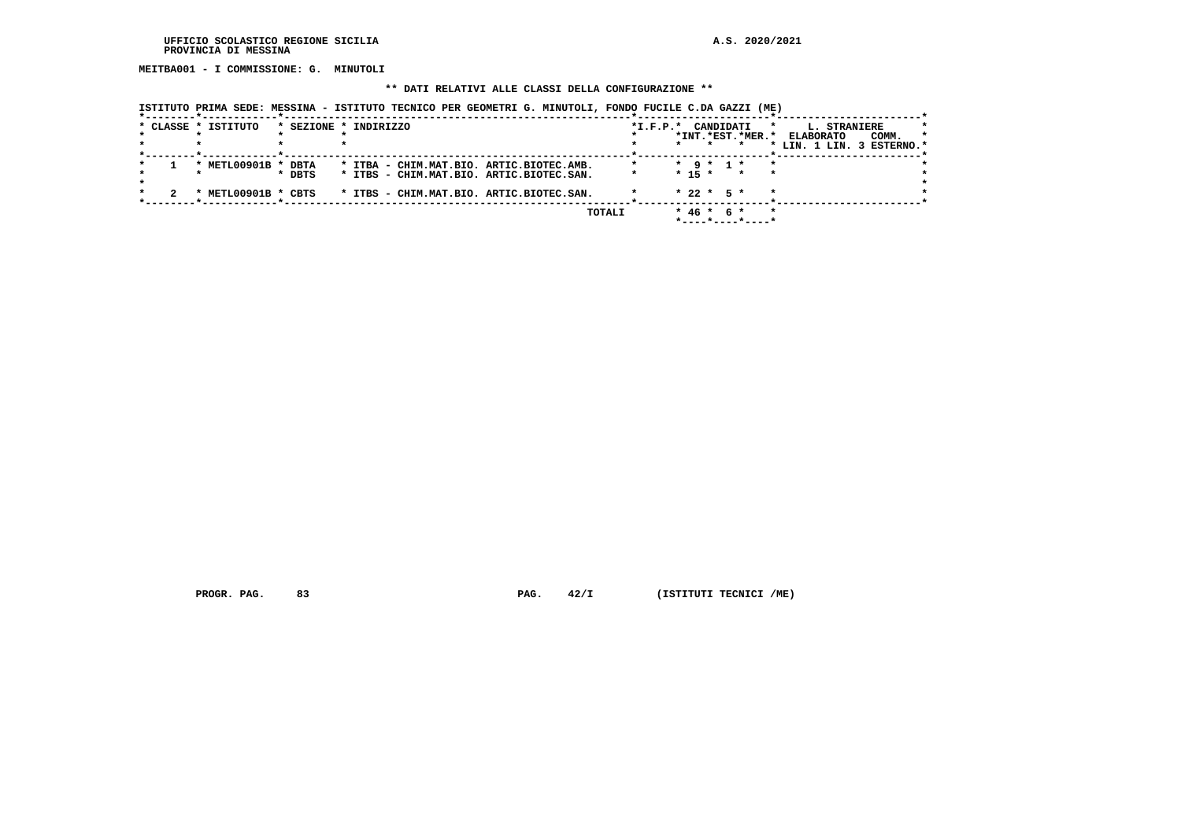**MEITBA001 - I COMMISSIONE: G. MINUTOLI**

## **\*\* DATI RELATIVI ALLE CLASSI DELLA CONFIGURAZIONE \*\***

 **ISTITUTO PRIMA SEDE: MESSINA - ISTITUTO TECNICO PER GEOMETRI G. MINUTOLI, FONDO FUCILE C.DA GAZZI (ME)**

| * CLASSE * ISTITUTO |        | * SEZIONE * INDIRIZZO                    | $*L.F.P.*$ | CANDIDATI<br>$\star$                            | L. STRANIERE                                                      |
|---------------------|--------|------------------------------------------|------------|-------------------------------------------------|-------------------------------------------------------------------|
|                     |        |                                          |            | *INT.*EST.*MER.*                                | <b>ELABORATO</b><br>COMM.<br>$\star$<br>* LIN. 1 LIN. 3 ESTERNO.* |
|                     |        |                                          |            |                                                 |                                                                   |
| * METL00901B * DBTA |        | * ITBA - CHIM.MAT.BIO. ARTIC.BIOTEC.AMB. |            | $\star$ 9 $\star$ 1 $\star$<br>$\star$          |                                                                   |
|                     | * DBTS | * ITBS - CHIM.MAT.BIO. ARTIC.BIOTEC.SAN. |            | $* 15 *$<br>$\star$<br>$\overline{\phantom{a}}$ |                                                                   |
| * METL00901B * CBTS |        | * ITBS - CHIM.MAT.BIO. ARTIC.BIOTEC.SAN. |            | $\star$<br>$* 22 * 5 *$                         |                                                                   |
|                     |        | <b>TOTALI</b>                            |            | $* 46 * 6 *$<br>$\star$                         |                                                                   |

 **PROGR. PAG.** 83 **PAG.** 42/I (ISTITUTI TECNICI /ME)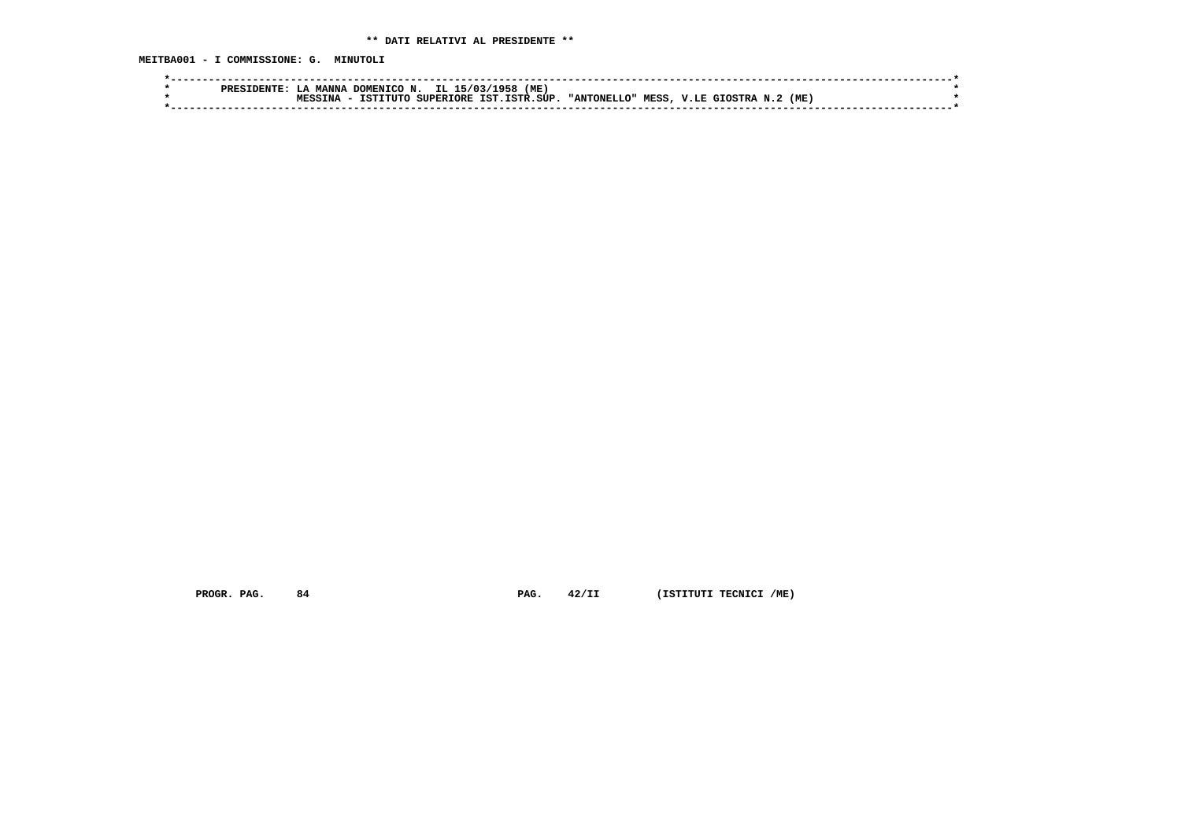**MEITBA001 - I COMMISSIONE: G. MINUTOLI**

|  | סססם | MANNA | . DOMENICO N. |                  | IL 15/03/1958<br>(ME |             |      |              |     |  |
|--|------|-------|---------------|------------------|----------------------|-------------|------|--------------|-----|--|
|  |      | TNA   | TSTTTITO      | <b>SUPERTORE</b> | TST. TSTR. SUP.      | "ANTONELLO" | MESS | V.LE GIOSTRA | (ME |  |
|  |      |       |               |                  |                      |             |      |              |     |  |
|  |      |       |               |                  |                      |             |      |              |     |  |

 **PROGR. PAG.** 84 **PAG.** 42/II (ISTITUTI TECNICI /ME)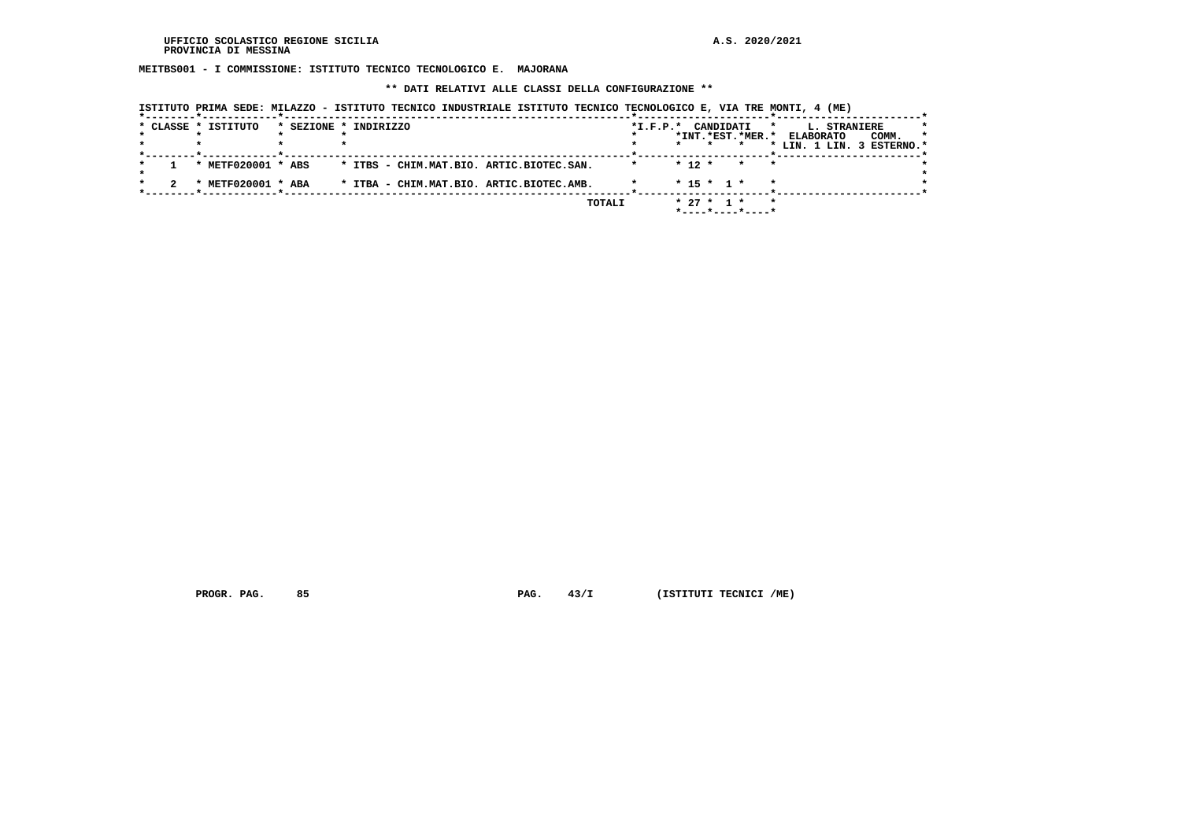**MEITBS001 - I COMMISSIONE: ISTITUTO TECNICO TECNOLOGICO E. MAJORANA**

 **\*\* DATI RELATIVI ALLE CLASSI DELLA CONFIGURAZIONE \*\***

|  | * CLASSE * ISTITUTO | * SEZIONE * INDIRIZZO                    |        | $*L.F.P.*$ |          | CANDIDATI    | *INT.*EST.*MER.*                        | L. STRANIERE<br>$\star$<br><b>ELABORATO</b><br>* LIN. 1 LIN. 3 ESTERNO.* | COMM. | $\star$ |
|--|---------------------|------------------------------------------|--------|------------|----------|--------------|-----------------------------------------|--------------------------------------------------------------------------|-------|---------|
|  | * METF020001 * ABS  | * ITBS - CHIM.MAT.BIO. ARTIC.BIOTEC.SAN. |        |            | $* 12 *$ |              | * *                                     |                                                                          |       |         |
|  | * METF020001 * ABA  | * ITBA - CHIM.MAT.BIO. ARTIC.BIOTEC.AMB. |        |            |          | $* 15 * 1 *$ |                                         |                                                                          |       |         |
|  |                     |                                          | TOTALI |            |          | $* 27 * 1 *$ | $*$ - - - - $*$ - - - - $*$ - - - - $*$ | $\star$                                                                  |       |         |

 **ISTITUTO PRIMA SEDE: MILAZZO - ISTITUTO TECNICO INDUSTRIALE ISTITUTO TECNICO TECNOLOGICO E, VIA TRE MONTI, 4 (ME)**

 **PROGR. PAG.** 85 **PAG. PAG.** 43/I (ISTITUTI TECNICI /ME)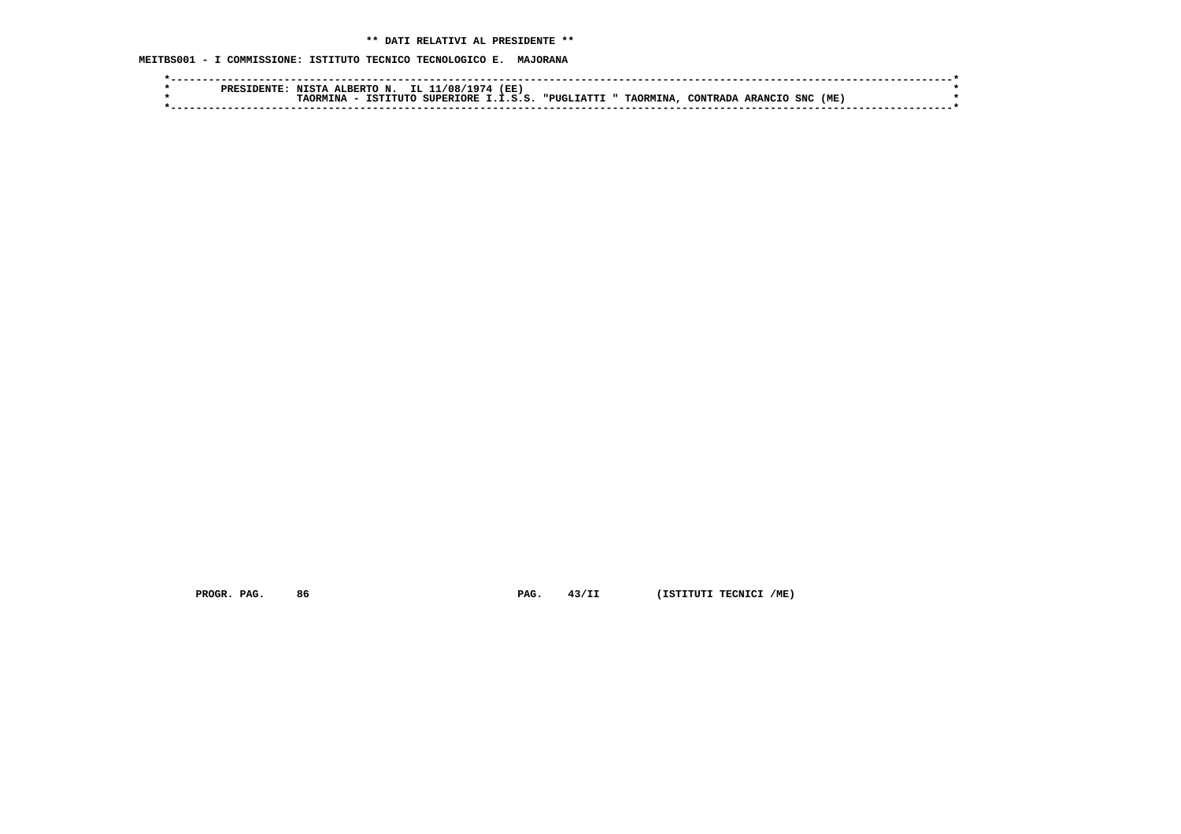**MEITBS001 - I COMMISSIONE: ISTITUTO TECNICO TECNOLOGICO E. MAJORANA**

|  | <b>PREC</b> | гста  | ALBERTO<br>N | IL 1<br>⁄ <i>∧</i> ∧ ، | (EE)               |                 |                  |           |                |            |      |  |
|--|-------------|-------|--------------|------------------------|--------------------|-----------------|------------------|-----------|----------------|------------|------|--|
|  |             | ־אפר. | TSTITITO.    | SUPERTORE T            | $\cdot$ . T. S. S. | דדת בדה באזופיי | <b>TAORMINA,</b> | CONTRADA. | <b>ARANCIL</b> | <b>SNC</b> | (ME) |  |
|  |             |       |              |                        |                    |                 |                  |           |                |            |      |  |

 **PROGR. PAG.** 86 **PAG.** 43/II (ISTITUTI TECNICI /ME)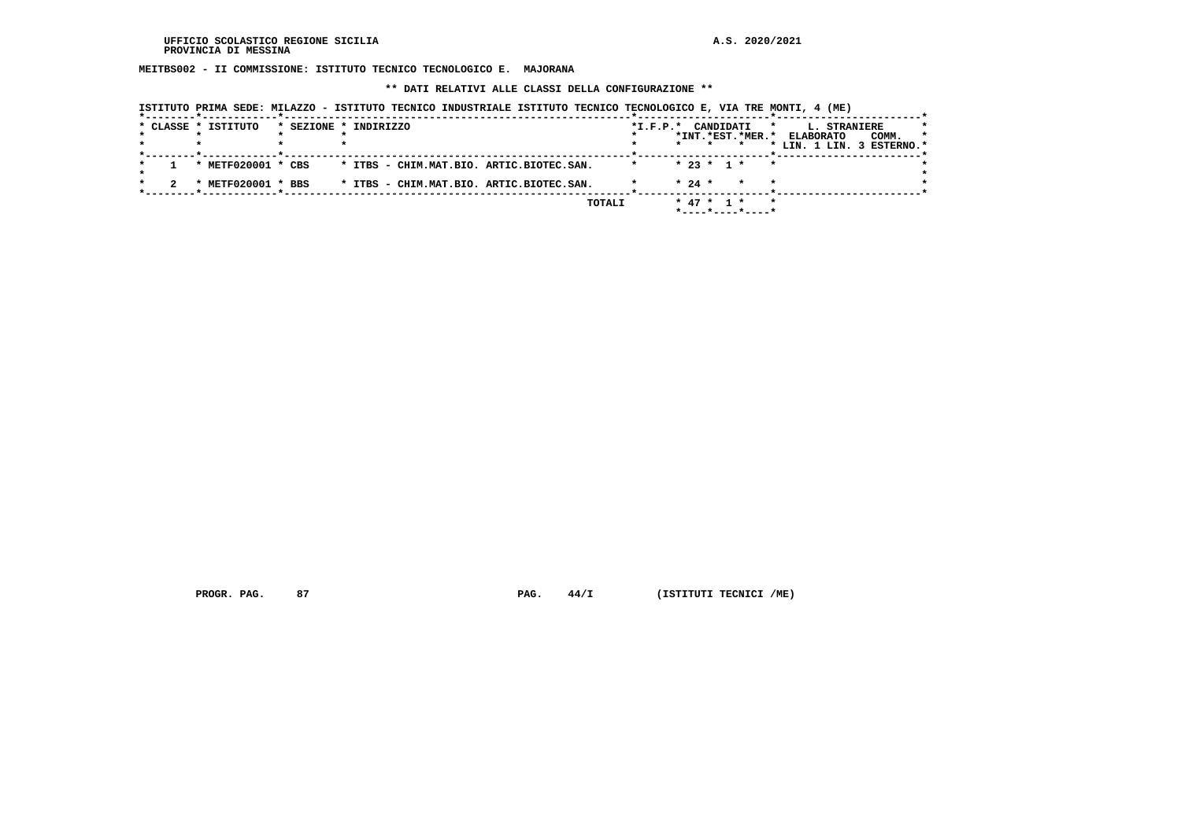**MEITBS002 - II COMMISSIONE: ISTITUTO TECNICO TECNOLOGICO E. MAJORANA**

 **\*\* DATI RELATIVI ALLE CLASSI DELLA CONFIGURAZIONE \*\***

|  | * CLASSE * ISTITUTO | * SEZIONE * INDIRIZZO                    | *I.F.P.* CANDIDATI<br>$\star$<br>*INT.*EST.*MER.*<br>$\star$     | <b>L. STRANIERE</b><br>$\star$<br><b>ELABORATO</b><br>COMM.<br>$\star$<br>* LIN. 1 LIN. 3 ESTERNO.* |
|--|---------------------|------------------------------------------|------------------------------------------------------------------|-----------------------------------------------------------------------------------------------------|
|  | * METF020001 * CBS  | * ITBS - CHIM.MAT.BIO. ARTIC.BIOTEC.SAN. | $* 23 * 1 *$<br>$\mathbf{r}$                                     |                                                                                                     |
|  | * METF020001 * BBS  | * ITBS - CHIM.MAT.BIO. ARTIC.BIOTEC.SAN. | $* 24 *$<br>$\star$                                              |                                                                                                     |
|  |                     | TOTALI                                   | * 47 * 1 *<br>$\star$<br>$*$ - - - - $*$ - - - - $*$ - - - - $*$ |                                                                                                     |

 **ISTITUTO PRIMA SEDE: MILAZZO - ISTITUTO TECNICO INDUSTRIALE ISTITUTO TECNICO TECNOLOGICO E, VIA TRE MONTI, 4 (ME)**

 **PROGR. PAG.** 87 **PAG. PAG.** 44/I (ISTITUTI TECNICI /ME)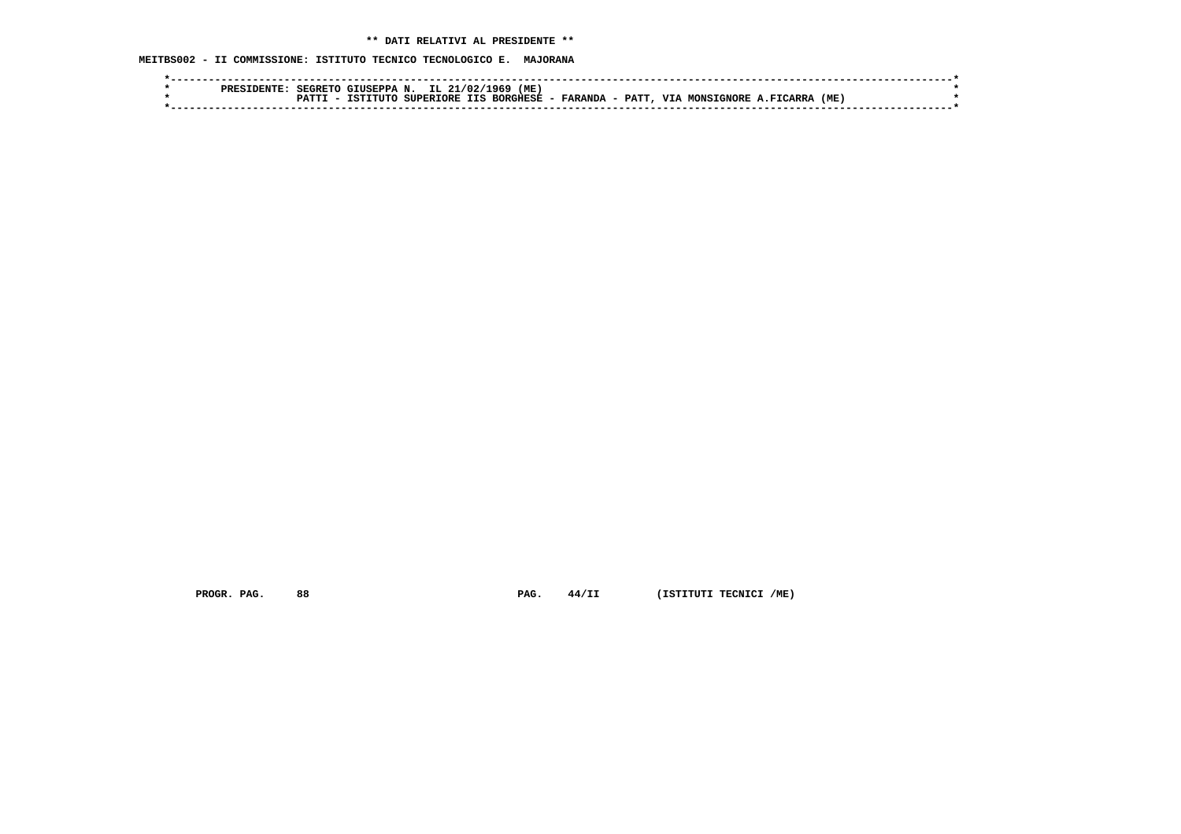**MEITBS002 - II COMMISSIONE: ISTITUTO TECNICO TECNOLOGICO E. MAJORANA**

|  | <b>ODF</b> C | SFGRETO | CTUSEPPA N |               | IL 21/02/1969 | (ME)            |           |      |            |            |         |     |  |
|--|--------------|---------|------------|---------------|---------------|-----------------|-----------|------|------------|------------|---------|-----|--|
|  |              |         | TSTTTITC   | SUPERTORE TTS |               | <b>BORGHESE</b> | - FARANDA | PATT | <b>TTT</b> | MONSTGNORE | FICARRA | (ME |  |
|  |              |         |            |               |               |                 |           |      |            |            |         |     |  |
|  |              |         |            |               |               |                 |           |      |            |            |         |     |  |

 **PROGR. PAG.** 88 **PAG.** 44/II (ISTITUTI TECNICI /ME)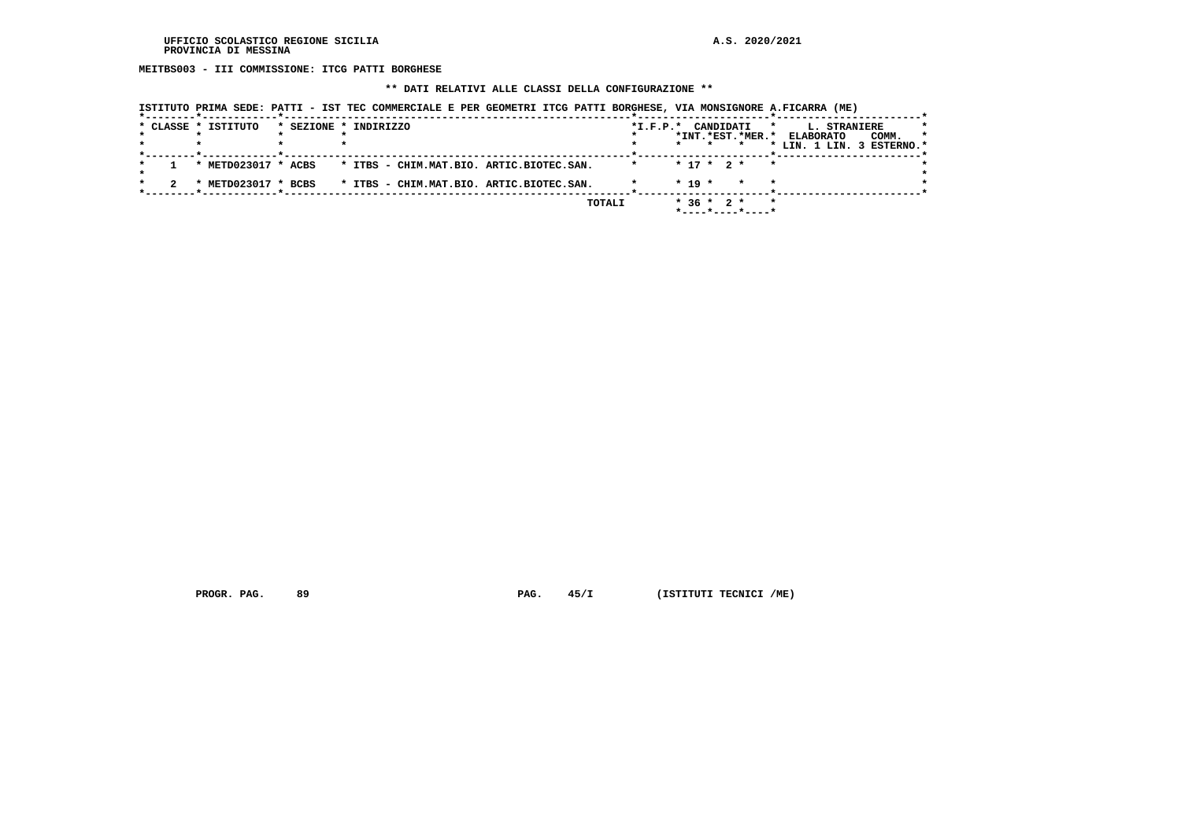**MEITBS003 - III COMMISSIONE: ITCG PATTI BORGHESE**

# **\*\* DATI RELATIVI ALLE CLASSI DELLA CONFIGURAZIONE \*\***

| ISTITUTO PRIMA SEDE: PATTI - IST TEC COMMERCIALE E PER GEOMETRI ITCG PATTI BORGHESE, VIA MONSIGNORE A.FICARRA (ME) |
|--------------------------------------------------------------------------------------------------------------------|
|--------------------------------------------------------------------------------------------------------------------|

|  | * CLASSE * ISTITUTO | * SEZIONE * INDIRIZZO                    | *I.F.P.* CANDIDATI |            |              | $\star$                                            | L. STRANIERE                                           | *       |
|--|---------------------|------------------------------------------|--------------------|------------|--------------|----------------------------------------------------|--------------------------------------------------------|---------|
|  |                     |                                          |                    |            |              | *INT.*EST.*MER.*                                   | <b>ELABORATO</b><br>COMM.<br>* LIN. 1 LIN. 3 ESTERNO.* | $\star$ |
|  | * METD023017 * ACBS | * ITBS - CHIM.MAT.BIO. ARTIC.BIOTEC.SAN. | $\star$            |            | $* 17 * 2 *$ | $\mathbf{r}$                                       |                                                        |         |
|  | * METD023017 * BCBS | * ITBS - CHIM.MAT.BIO. ARTIC.BIOTEC.SAN. |                    | $*$ 19 $*$ |              | $\star$                                            |                                                        |         |
|  |                     | TOTALI                                   |                    |            | $*36 * 2 *$  | $\star$<br>$*$ - - - - $*$ - - - - $*$ - - - - $*$ |                                                        |         |

 **PROGR. PAG.** 89 **PAG.** 45/I (ISTITUTI TECNICI /ME)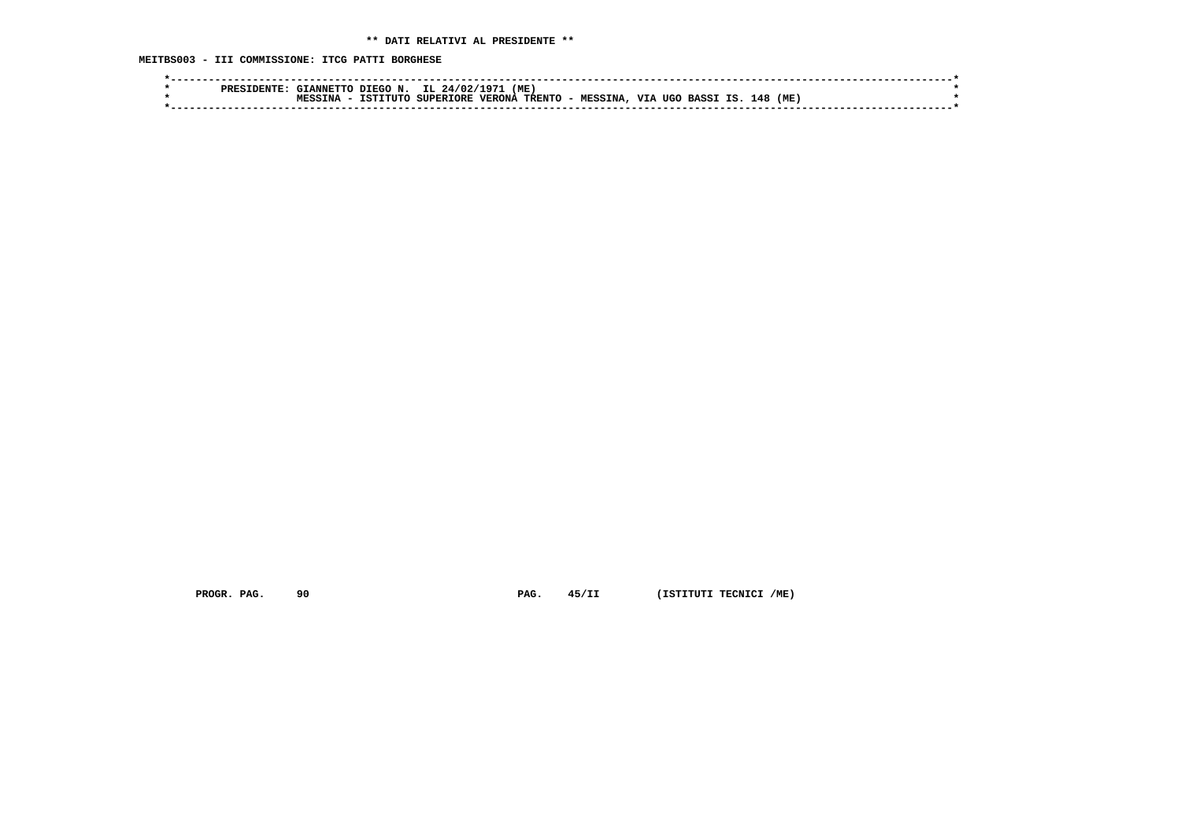**MEITBS003 - III COMMISSIONE: ITCG PATTI BORGHESE**

| ססס | TANNETT    | N<br>r FCO. | $24/0$           | ים 1          | 'ME    |                |             |                      |     |     |  |
|-----|------------|-------------|------------------|---------------|--------|----------------|-------------|----------------------|-----|-----|--|
|     | <b>TNA</b> | TSTTTITO    | <b>SUPERIORE</b> | <b>VERONA</b> | TRENTO | <b>MESSINA</b> | <b>TTTA</b> | TIGO<br><b>RASS1</b> | ⊥48 | (ME |  |
|     |            |             |                  |               |        |                |             |                      |     |     |  |
|     |            |             |                  |               |        |                |             |                      |     |     |  |

 **PROGR. PAG.** 90 **PAG.** 45/II (ISTITUTI TECNICI /ME)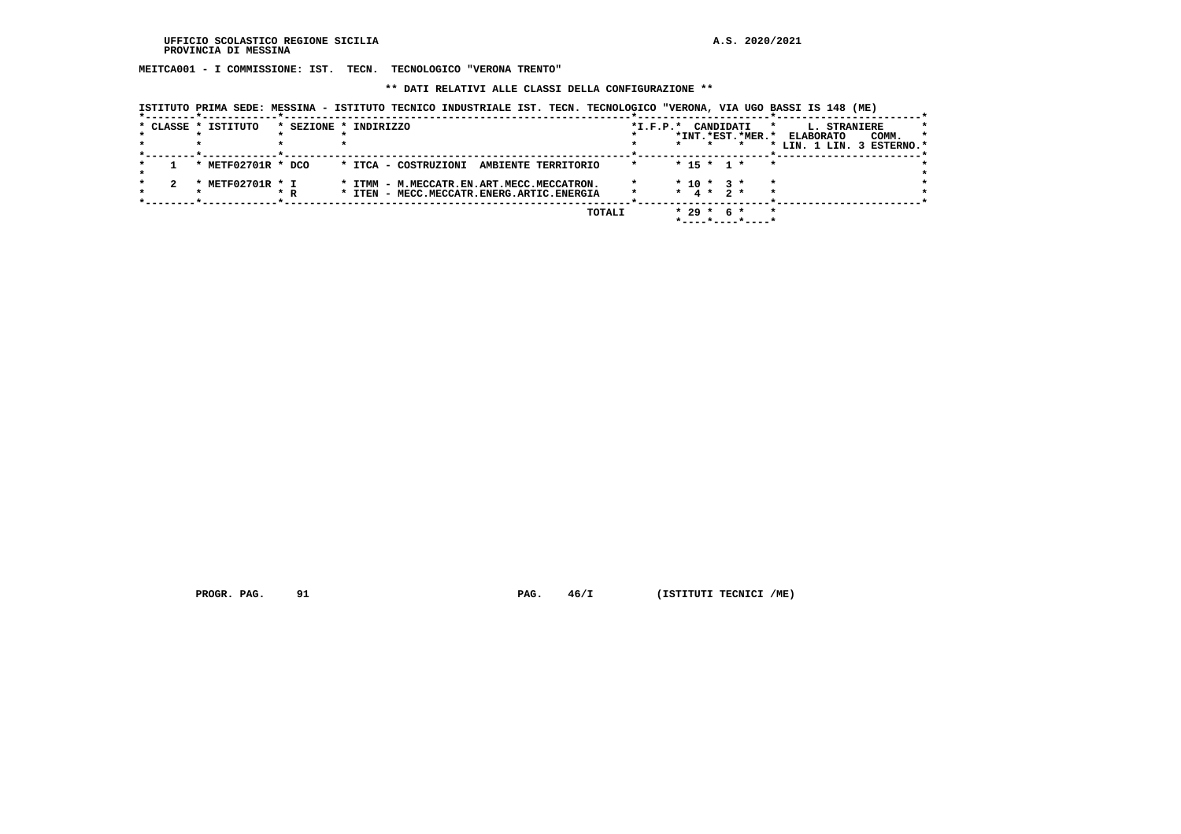**MEITCA001 - I COMMISSIONE: IST. TECN. TECNOLOGICO "VERONA TRENTO"**

 **\*\* DATI RELATIVI ALLE CLASSI DELLA CONFIGURAZIONE \*\***

|  | ISTITUTO PRIMA SEDE: MESSINA - ISTITUTO TECNICO INDUSTRIALE IST. TECN. TECNOLOGICO "VERONA, VIA UGO BASSI IS 148 (ME) |  |  |  |
|--|-----------------------------------------------------------------------------------------------------------------------|--|--|--|
|--|-----------------------------------------------------------------------------------------------------------------------|--|--|--|

|  | * CLASSE * ISTITUTO            |     | * SEZIONE * INDIRIZZO                       | CANDIDATI<br>$*L.F.P.*$                | L. STRANIERE                         |
|--|--------------------------------|-----|---------------------------------------------|----------------------------------------|--------------------------------------|
|  |                                |     |                                             | *INT.*EST.*MER.*                       | COMM.<br><b>ELABORATO</b><br>$\star$ |
|  |                                |     |                                             | $\mathbf{r}$                           | * LIN. 1 LIN. 3 ESTERNO.*            |
|  | * METF02701R * DCO             |     | AMBIENTE TERRITORIO<br>* ITCA - COSTRUZIONI | $*$ 15 $*$ 1 $*$<br>$\star$<br>$\star$ |                                      |
|  |                                |     |                                             |                                        |                                      |
|  | METF02701R * I<br>$\mathbf{x}$ |     | * ITMM - M.MECCATR.EN.ART.MECC.MECCATRON.   | $* 10 * 3 *$<br>$\star$                |                                      |
|  |                                | * R | * ITEN - MECC.MECCATR.ENERG.ARTIC.ENERGIA   | 4 * 2 *<br>$\star$                     |                                      |
|  |                                |     |                                             |                                        |                                      |
|  |                                |     | TOTALI                                      | $*29*$<br>-6 *                         |                                      |
|  |                                |     |                                             |                                        |                                      |

 **PROGR. PAG.** 91 **PAG.**  $46/I$  (ISTITUTI TECNICI /ME)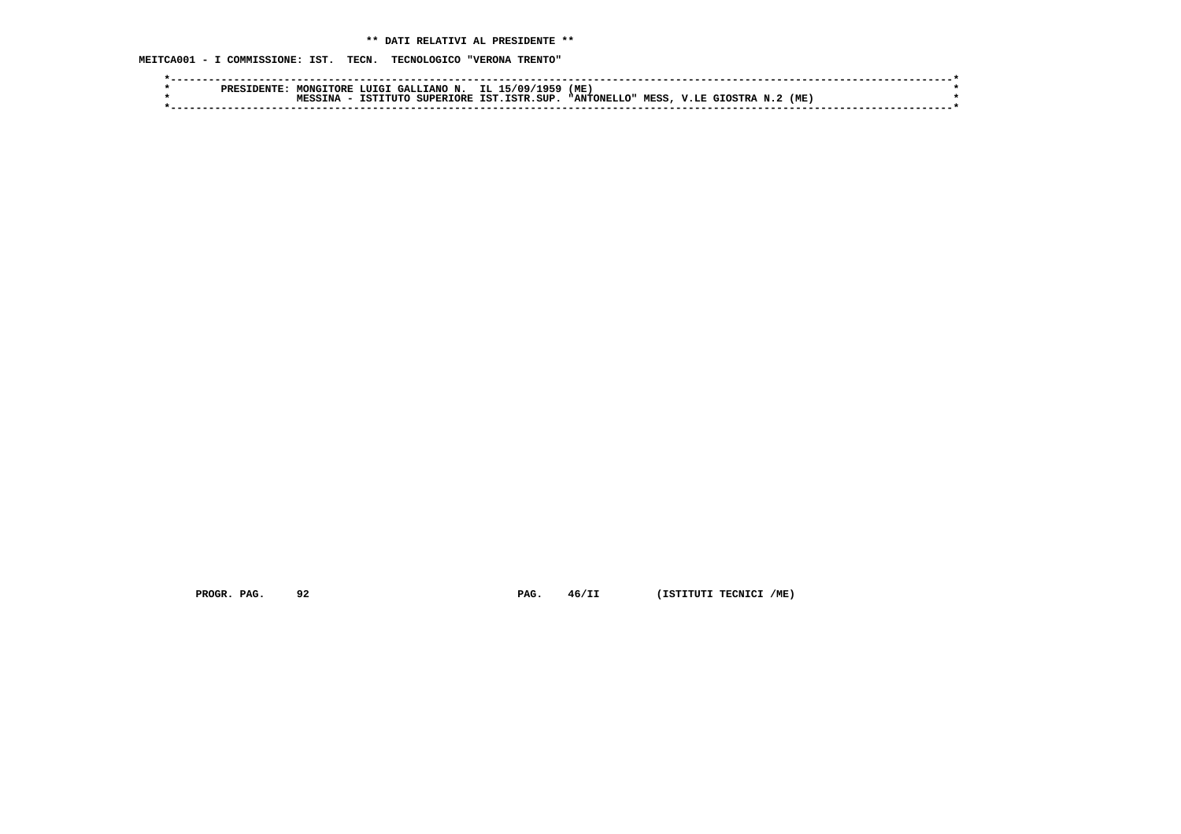# **\*\* DATI RELATIVI AL PRESIDENTE \*\***

 **MEITCA001 - I COMMISSIONE: IST. TECN. TECNOLOGICO "VERONA TRENTO"**

|  | nnpo t | MONGTTORE |           |                  | ∠ LUIGI GALLIANO N. IL 15/09/1959 | (ME)        |       |              |     |  |
|--|--------|-----------|-----------|------------------|-----------------------------------|-------------|-------|--------------|-----|--|
|  |        | TNA       | TCTTTTTTO | <b>SUPERTORE</b> | TST. TSTR. SUP.                   | "ANTONELLO" | MESS, | V.LE GIOSTRA | (ME |  |
|  |        |           |           |                  |                                   |             |       |              |     |  |

 **PROGR. PAG.** 92 **PAG.** 46/II (ISTITUTI TECNICI /ME)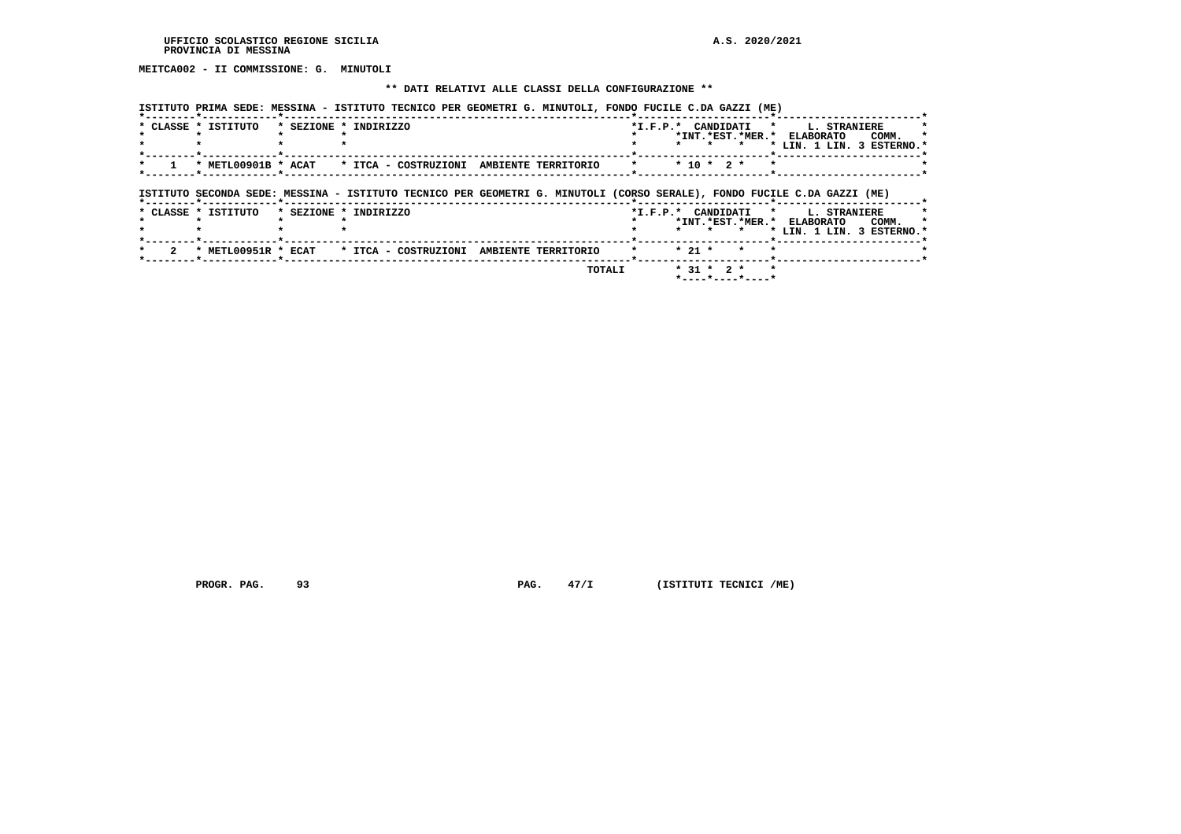**MEITCA002 - II COMMISSIONE: G. MINUTOLI**

## **\*\* DATI RELATIVI ALLE CLASSI DELLA CONFIGURAZIONE \*\***

 **ISTITUTO PRIMA SEDE: MESSINA - ISTITUTO TECNICO PER GEOMETRI G. MINUTOLI, FONDO FUCILE C.DA GAZZI (ME)**

| * CLASSE * ISTITUTO | * SEZIONE * INDIRIZZO                                                                                                   |  | *I.F.P.* CANDIDATI * |          |                  |         | *INT. *EST. *MER. * ELABORATO<br>* LIN. 1 LIN. 3 ESTERNO.* | <b>L. STRANIERE</b><br>COMM. |  |
|---------------------|-------------------------------------------------------------------------------------------------------------------------|--|----------------------|----------|------------------|---------|------------------------------------------------------------|------------------------------|--|
|                     | * METL00901B * ACAT * ITCA - COSTRUZIONI AMBIENTE TERRITORIO                                                            |  | $\star$              |          | $*$ 10 $*$ 2 $*$ |         |                                                            |                              |  |
|                     |                                                                                                                         |  |                      |          |                  |         |                                                            |                              |  |
|                     | ISTITUTO SECONDA SEDE: MESSINA - ISTITUTO TECNICO PER GEOMETRI G. MINUTOLI (CORSO SERALE), FONDO FUCILE C.DA GAZZI (ME) |  |                      |          |                  |         |                                                            |                              |  |
| * CLASSE * ISTITUTO | * SEZIONE * INDIRIZZO                                                                                                   |  | *I.F.P.* CANDIDATI * |          |                  | $\star$ | *INT.*EST.*MER.* ELABORATO                                 | <b>L. STRANIERE</b><br>COMM. |  |
| * METL00951R * ECAT | * ITCA - COSTRUZIONI AMBIENTE TERRITORIO                                                                                |  |                      | $* 21 *$ |                  |         | * LIN. 1 LIN. 3 ESTERNO.*                                  |                              |  |

 **PROGR. PAG.** 93 **PROGR. PAG. 47/I** (ISTITUTI TECNICI /ME)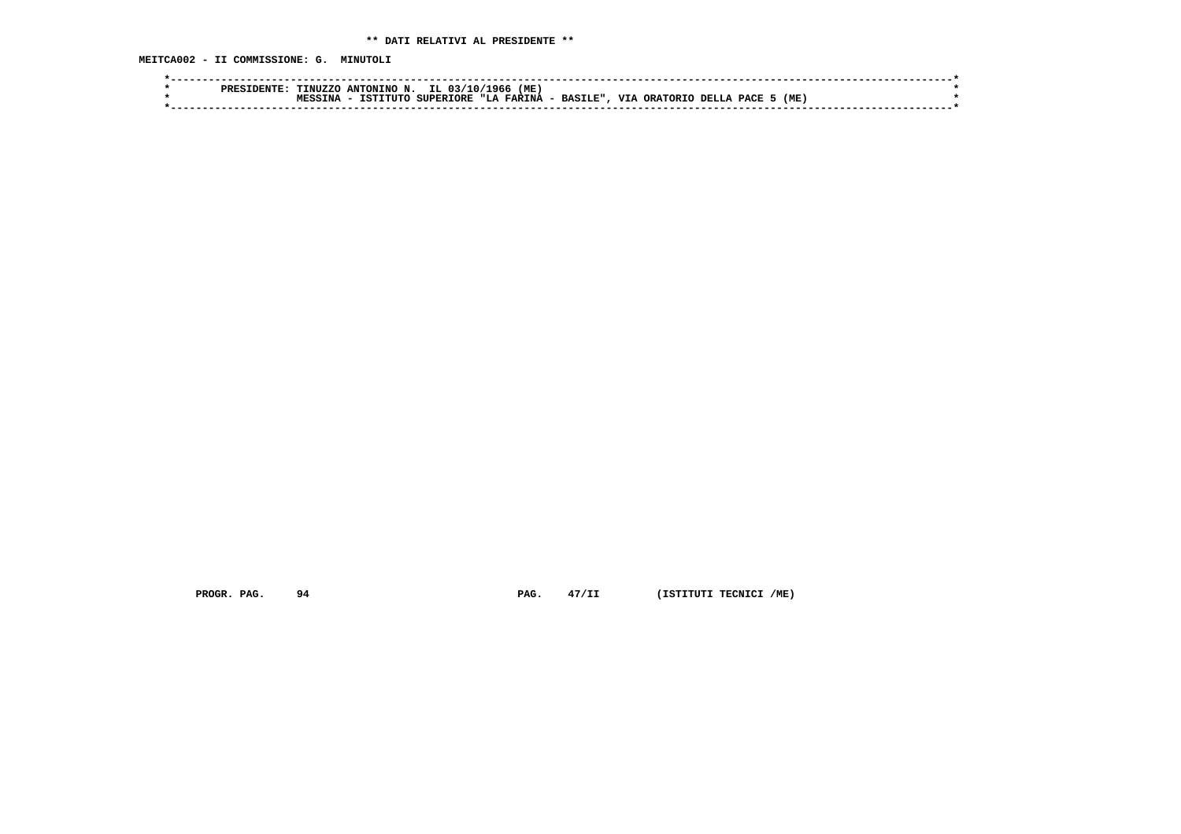**MEITCA002 - II COMMISSIONE: G. MINUTOLI**

|  | PRES | <b>INUZZC</b> | ANTONINO                | ΙL<br>10<br>03/  | (ME)<br>960                  |                |                  |               |     |  |
|--|------|---------------|-------------------------|------------------|------------------------------|----------------|------------------|---------------|-----|--|
|  |      | ΓNΆ           | דמד<br>רי דידי <i>-</i> | <b>SUPERIORE</b> | <b>FARINA</b><br><b>ит.а</b> | <b>BASILE"</b> | VTA<br>ORATORTO. | PACE<br>DELL- | (MI |  |
|  |      |               |                         |                  |                              |                |                  |               |     |  |

 **PROGR. PAG.** 94 **PAG. PAG.** 47/II (ISTITUTI TECNICI /ME)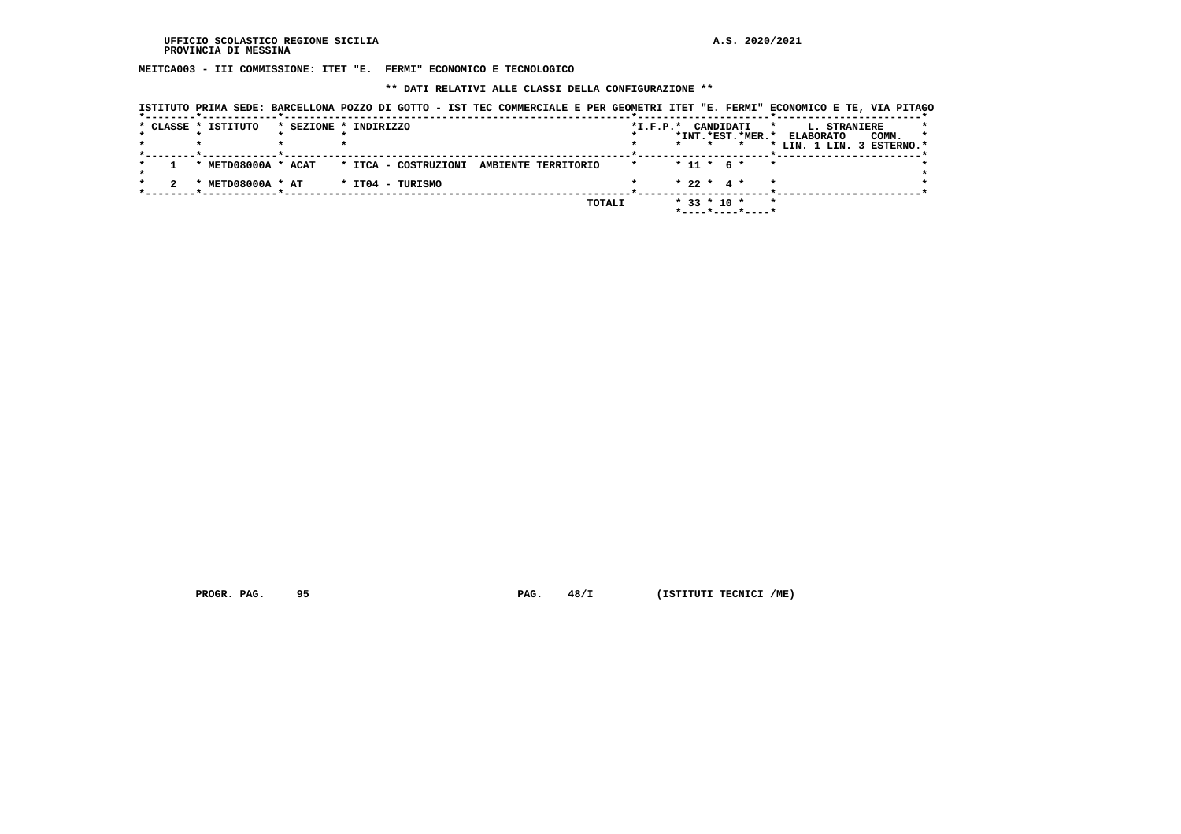**MEITCA003 - III COMMISSIONE: ITET "E. FERMI" ECONOMICO E TECNOLOGICO**

 **\*\* DATI RELATIVI ALLE CLASSI DELLA CONFIGURAZIONE \*\***

| * CLASSE * ISTITUTO |                                                            | * SEZIONE * INDIRIZZO |                     | $*$ I.F.P. $*$ |                   | CANDIDATI        | $\mathbf{r}$<br><b>L. STRANIERE</b>                     |                  |
|---------------------|------------------------------------------------------------|-----------------------|---------------------|----------------|-------------------|------------------|---------------------------------------------------------|------------------|
|                     | . _ _ _ _ _ _ _ _ _ <del>*</del> _ _ _ _ _ _ _ _ _ _ _ _ _ |                       |                     |                |                   |                  | *INT.*EST.*MER.* ELABORATO<br>* LIN. 1 LIN. 3 ESTERNO.* | COMM.<br>$\star$ |
| * METD08000A * ACAT |                                                            | * ITCA - COSTRUZIONI  | AMBIENTE TERRITORIO |                | $* 11 * 6 *$      |                  | $\star$                                                 |                  |
| * METD08000A * AT   |                                                            | * IT04 - TURISMO      |                     |                | $* 22 * 4 *$      |                  |                                                         |                  |
|                     |                                                            |                       | TOTALI              |                | $*$ 33 $*$ 10 $*$ | *----*----*----* |                                                         |                  |

 **PROGR. PAG.** 95 **PAG.** 48/I (ISTITUTI TECNICI /ME)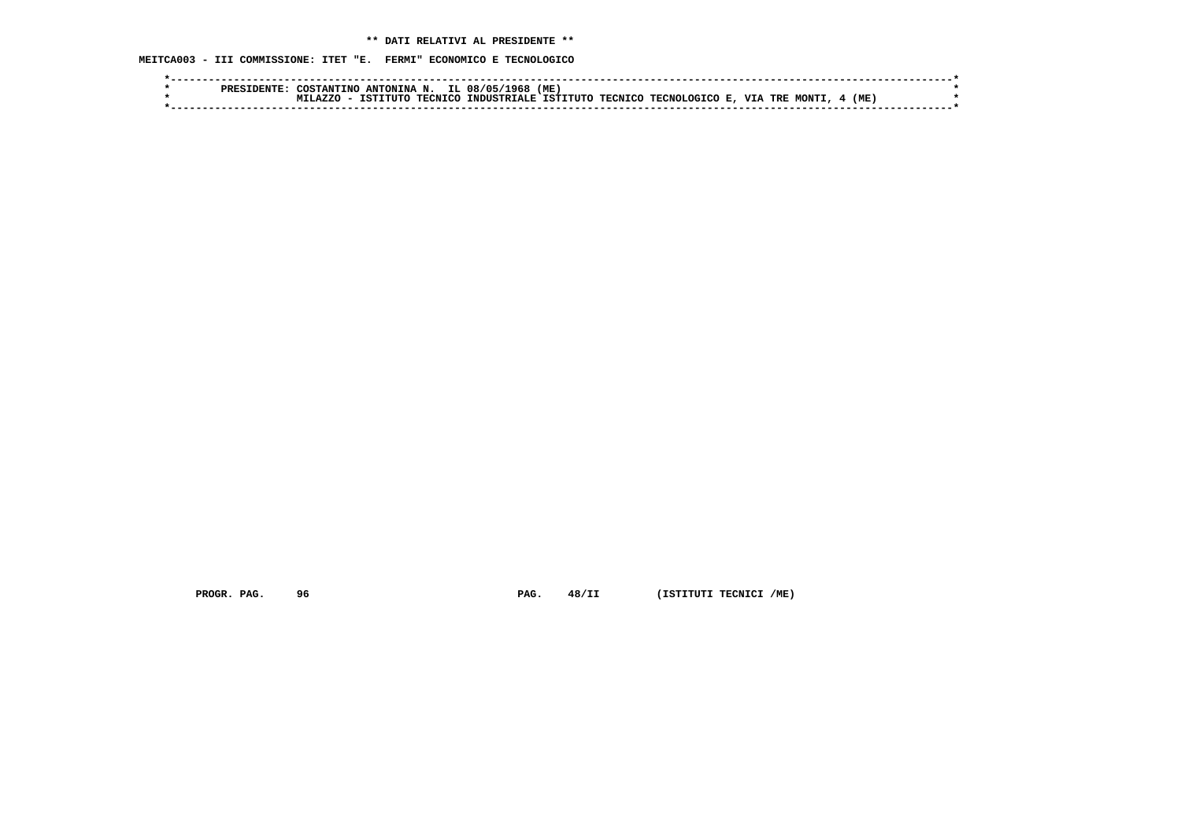**MEITCA003 - III COMMISSIONE: ITET "E. FERMI" ECONOMICO E TECNOLOGICO**

|  | PREST | COSTANTINO ANTONINA N. |          |                | IL 08/05<br>968              | (ME) |                        |       |      |  |
|--|-------|------------------------|----------|----------------|------------------------------|------|------------------------|-------|------|--|
|  |       | <b>A7.7C</b>           | TSTTTITC | <b>TECNICO</b> | INDUSTRIALE ISTITUTO TECNICO |      | TECNOLOGICO E, VIA TRE | MONTI | (ME) |  |
|  |       |                        |          |                |                              |      |                        |       |      |  |

 **PROGR. PAG.** 96 **PAG.** 48/II (ISTITUTI TECNICI /ME)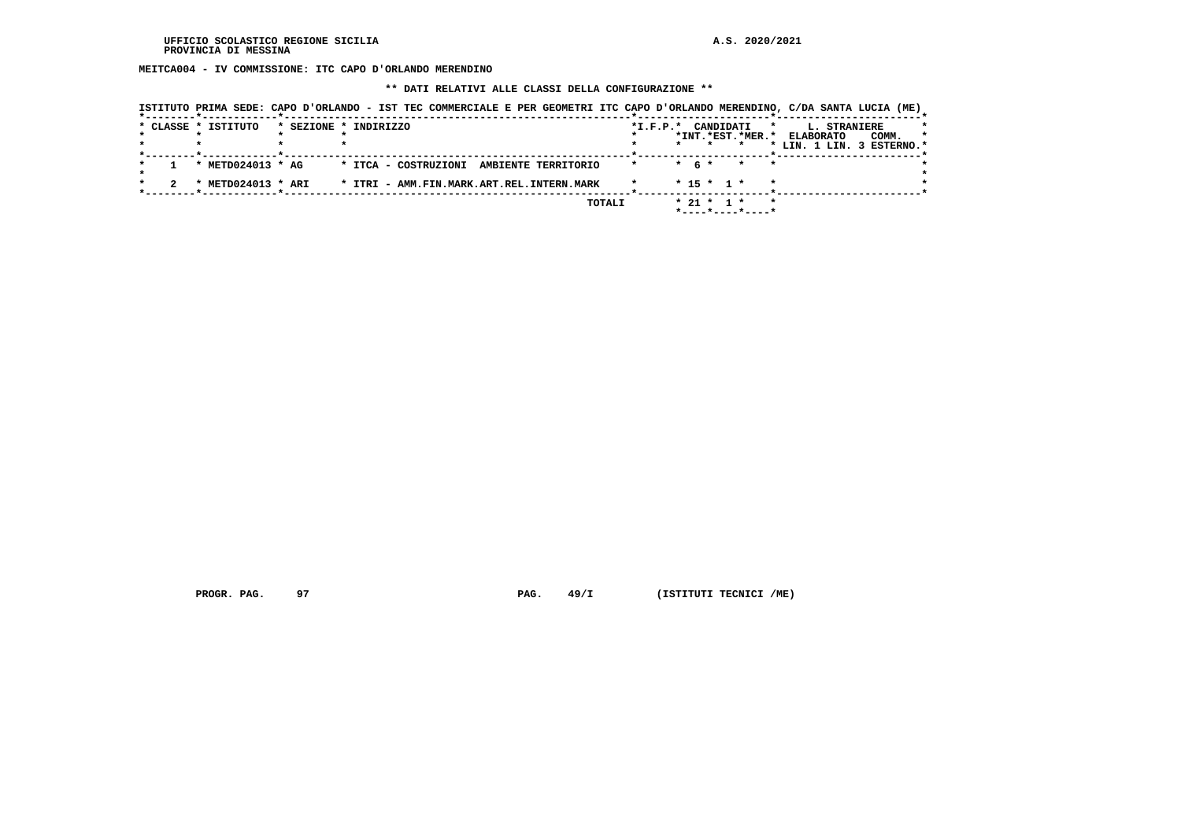**MEITCA004 - IV COMMISSIONE: ITC CAPO D'ORLANDO MERENDINO**

## **\*\* DATI RELATIVI ALLE CLASSI DELLA CONFIGURAZIONE \*\***

|                     | ISTITUTO PRIMA SEDE: CAPO D'ORLANDO - IST TEC COMMERCIALE E PER GEOMETRI ITC CAPO D'ORLANDO MERENDINO, C/DA SANTA LUCIA (ME) |                     |         |                                  |                    |                           |                  |
|---------------------|------------------------------------------------------------------------------------------------------------------------------|---------------------|---------|----------------------------------|--------------------|---------------------------|------------------|
| * CLASSE * ISTITUTO | * SEZIONE * INDIRIZZO                                                                                                        |                     |         | *I.F.P.* CANDIDATI               | *                  | <b>L. STRANIERE</b>       |                  |
|                     |                                                                                                                              |                     |         | *INT.*EST.*MER.*                 |                    | <b>ELABORATO</b>          | COMM.<br>$\star$ |
|                     |                                                                                                                              |                     |         | $\star$                          |                    | * LIN. 1 LIN. 3 ESTERNO.* |                  |
| * $METD024013$ * AG | * ITCA - COSTRUZIONI                                                                                                         | AMBIENTE TERRITORIO | $\star$ | $*$ 6 $*$                        | $\star$<br>$\star$ |                           |                  |
| * METD024013 * ARI  | * ITRI - AMM.FIN.MARK.ART.REL.INTERN.MARK                                                                                    |                     |         | $* 15 * 1 *$                     |                    |                           |                  |
|                     |                                                                                                                              |                     | TOTALI  | $* 21 * 1 *$<br>*----*----*----* | $\star$            |                           |                  |

 **PROGR. PAG.** 97 **PAG.** 49/I (ISTITUTI TECNICI /ME)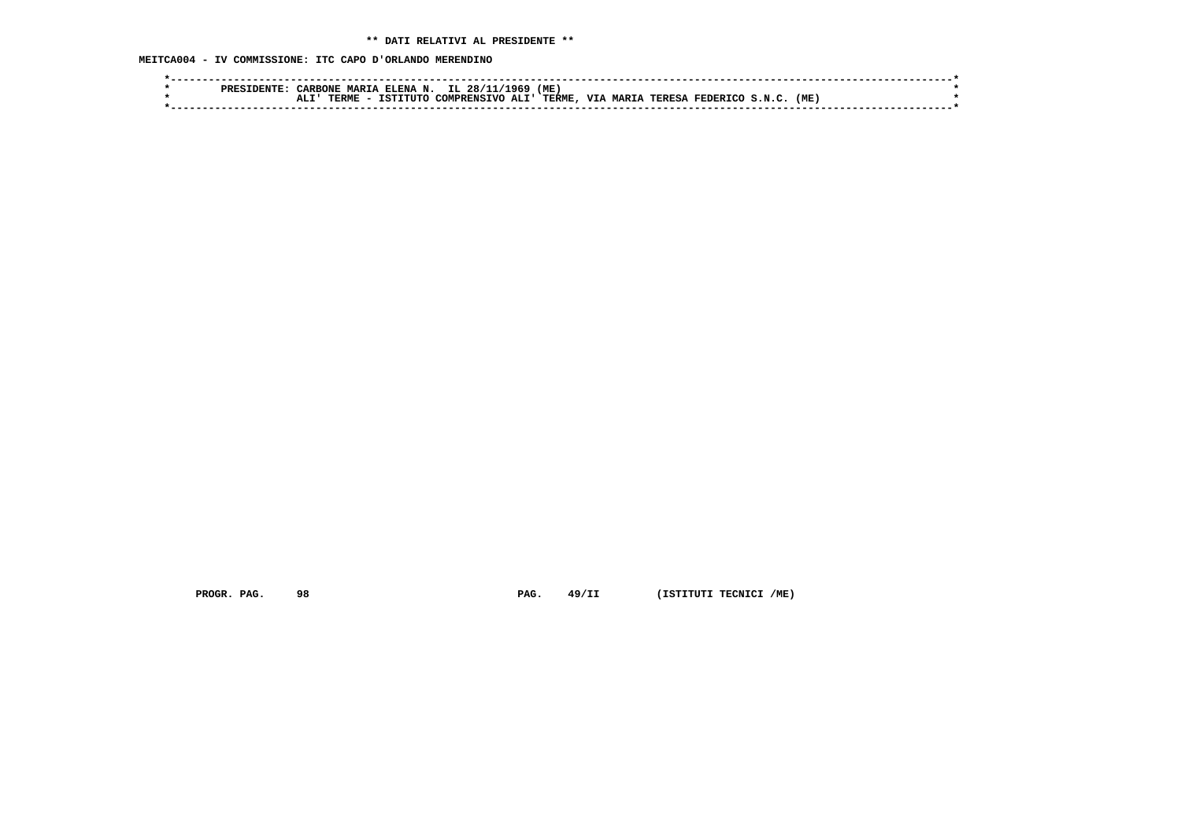**MEITCA004 - IV COMMISSIONE: ITC CAPO D'ORLANDO MERENDINO**

|  | סססם | <b><i>CARRONE</i></b> | <b>MARTA</b> | A ELENA N. IL 28/11 |                  | 1969 | (ME           |  |                                  |      |  |
|--|------|-----------------------|--------------|---------------------|------------------|------|---------------|--|----------------------------------|------|--|
|  |      |                       | TERME        | ISTITUTO            | COMPRENSIVO ALI' |      | <b>TERME.</b> |  | VIA MARIA TERESA FEDERICO S.N.C. | (ME) |  |
|  |      |                       |              |                     |                  |      |               |  |                                  |      |  |

 **PROGR. PAG.** 98 **PAG.** 49/II (ISTITUTI TECNICI /ME)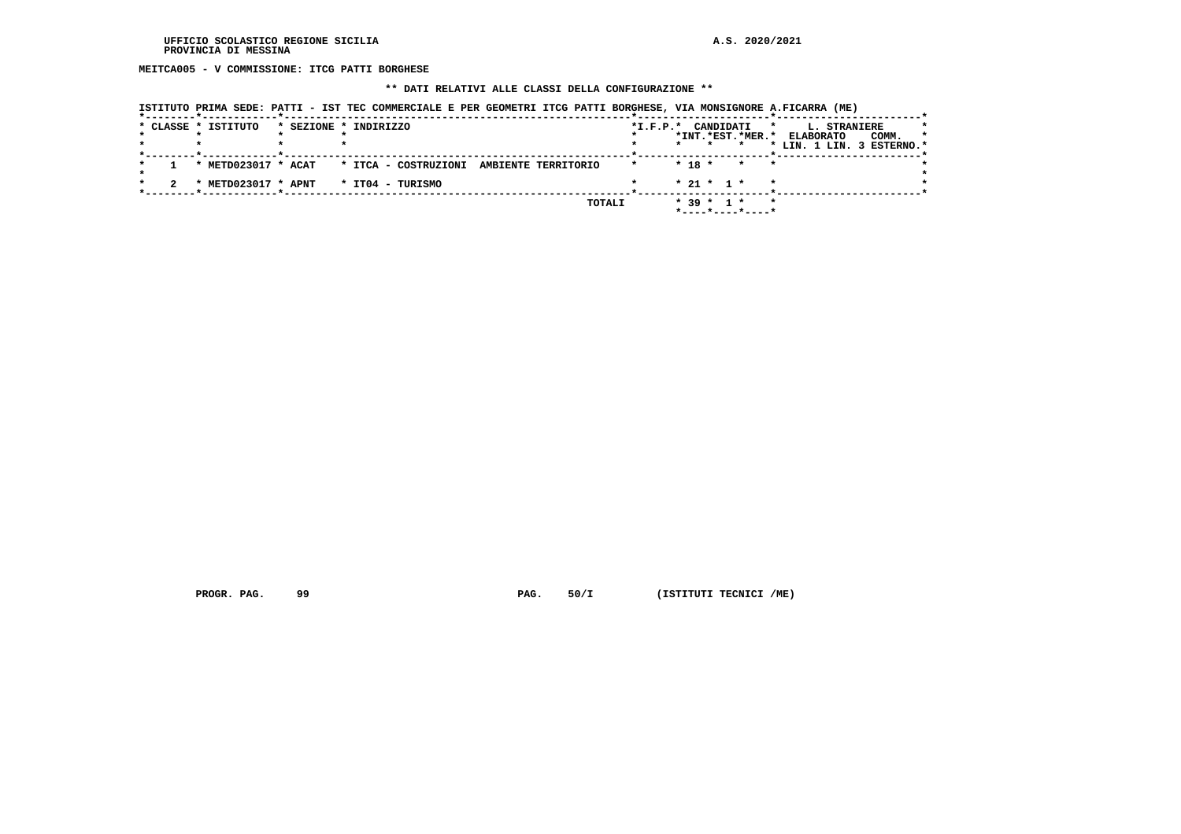**MEITCA005 - V COMMISSIONE: ITCG PATTI BORGHESE**

# **\*\* DATI RELATIVI ALLE CLASSI DELLA CONFIGURAZIONE \*\***

| ISTITUTO PRIMA SEDE: PATTI - IST TEC COMMERCIALE E PER GEOMETRI ITCG PATTI BORGHESE, VIA MONSIGNORE A.FICARRA (ME) |  |  |  |
|--------------------------------------------------------------------------------------------------------------------|--|--|--|
|                                                                                                                    |  |  |  |

|  | * CLASSE * ISTITUTO | * SEZIONE * INDIRIZZO                                        | CANDIDATI<br>$*L.F.P.*$<br>$\star$              | $\star$<br><b>L. STRANIERE</b>       |
|--|---------------------|--------------------------------------------------------------|-------------------------------------------------|--------------------------------------|
|  |                     |                                                              | *INT.*EST.*MER.*                                | $\star$<br><b>ELABORATO</b><br>COMM. |
|  |                     |                                                              | $\star$                                         | * LIN. 1 LIN. 3 ESTERNO.*            |
|  |                     | * METD023017 * ACAT * ITCA - COSTRUZIONI AMBIENTE TERRITORIO | $* 18 * * * *$<br>$\star$                       |                                      |
|  | * METD023017 * APNT | * IT04 - TURISMO                                             | $* 21 * 1 * * *$                                |                                      |
|  |                     | TOTALI                                                       | $*$ 39 $*$ 1 $*$<br>$\star$<br>*----*----*----* |                                      |

 **PROGR. PAG.** 99 **PAG.** 50/I (ISTITUTI TECNICI /ME)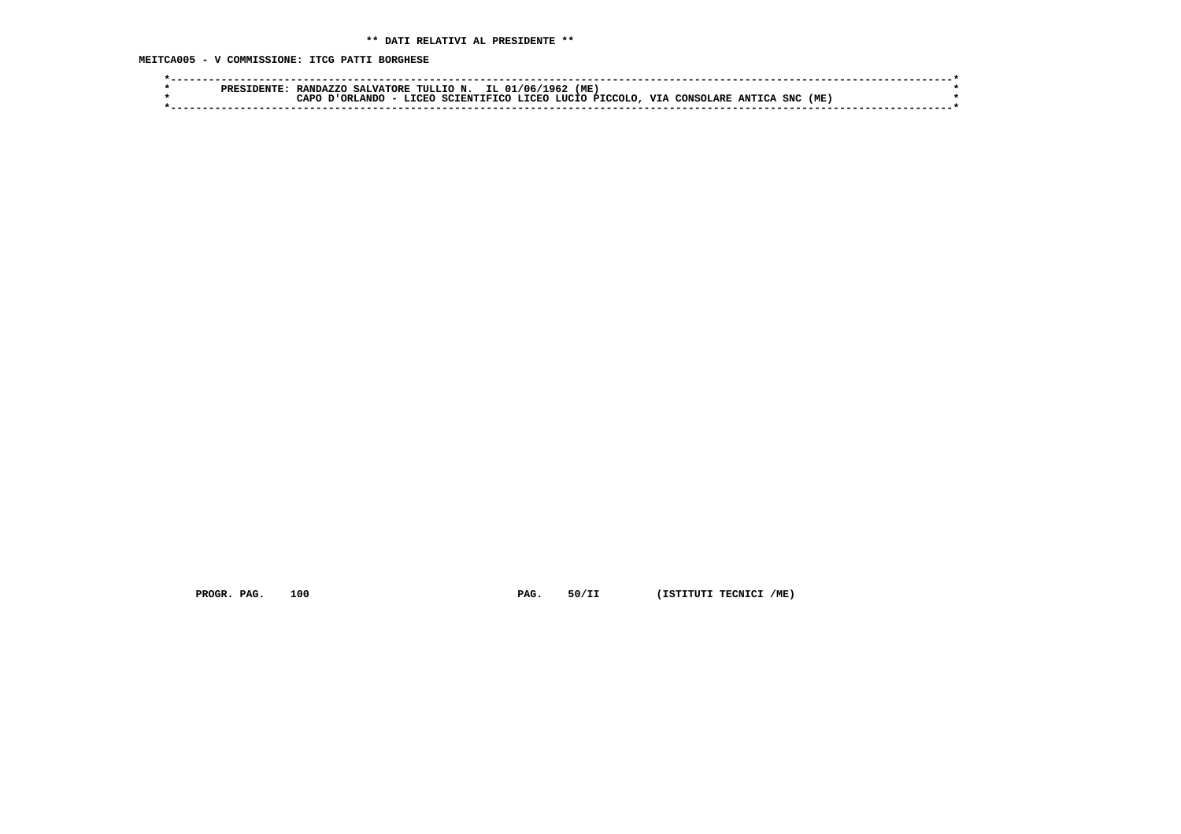**MEITCA005 - V COMMISSIONE: ITCG PATTI BORGHESE**

| 'ME<br>IL 01/06/1<br>SALVATORE TULLIO N.<br>-962<br>RANDAZZO<br>סססם                                                                 |  |
|--------------------------------------------------------------------------------------------------------------------------------------|--|
| SNC (ME,<br><b>VTA</b><br><b>T.TORO</b><br>, LIICTO PTCCOLO<br>ORLANDO<br>SCIENTIFICO<br><b>T.TORO</b><br>∩ממ<br>ANTTCA<br>CONSOLARE |  |
|                                                                                                                                      |  |

 **PROGR. PAG.** 100 **PAG.** 50/II (ISTITUTI TECNICI /ME)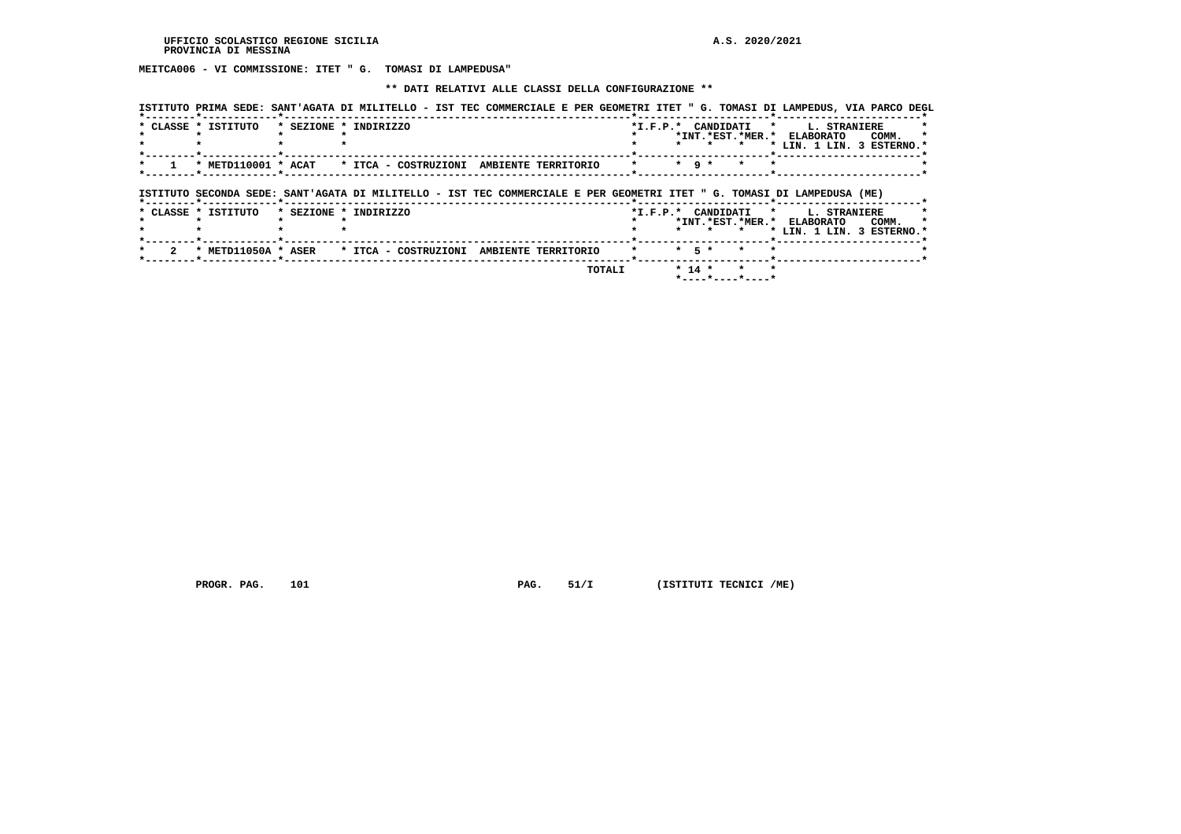**MEITCA006 - VI COMMISSIONE: ITET " G. TOMASI DI LAMPEDUSA"**

## **\*\* DATI RELATIVI ALLE CLASSI DELLA CONFIGURAZIONE \*\***

| ISTITUTO PRIMA SEDE: SANT'AGATA DI MILITELLO - IST TEC COMMERCIALE E PER GEOMETRI ITET " G. TOMASI DI LAMPEDUS, VIA PARCO DEGL |                       |  |  |  |                      |                                 |                                                         |                     |       |  |
|--------------------------------------------------------------------------------------------------------------------------------|-----------------------|--|--|--|----------------------|---------------------------------|---------------------------------------------------------|---------------------|-------|--|
| * CLASSE * ISTITUTO                                                                                                            | * SEZIONE * INDIRIZZO |  |  |  | . .                  | *I.F.P.* CANDIDATI *<br>$\star$ | *INT.*EST.*MER.* ELABORATO<br>* LIN. 1 LIN. 3 ESTERNO.* | <b>L. STRANIERE</b> | COMM. |  |
| * METD110001 * ACAT * ITCA - COSTRUZIONI AMBIENTE TERRITORIO                                                                   |                       |  |  |  | $*$ q $*$            | $\star$                         |                                                         |                     |       |  |
| ISTITUTO SECONDA SEDE: SANT'AGATA DI MILITELLO - IST TEC COMMERCIALE E PER GEOMETRI ITET " G. TOMASI DI LAMPEDUSA (ME)         |                       |  |  |  |                      |                                 |                                                         |                     |       |  |
|                                                                                                                                |                       |  |  |  |                      |                                 |                                                         |                     |       |  |
| * CLASSE * ISTITUTO                                                                                                            | * SEZIONE * INDIRIZZO |  |  |  |                      | *I.F.P.* CANDIDATI *            | *INT.*EST.*MER.* ELABORATO                              | <b>L. STRANIERE</b> | COMM. |  |
| * METD11050A * ASER * ITCA - COSTRUZIONI AMBIENTE TERRITORIO                                                                   |                       |  |  |  | $\star$<br>$*$ 5 $*$ | $\star$<br>$\star$              | * LIN. 1 LIN. 3 ESTERNO.*                               |                     |       |  |

 **PROGR. PAG.** 101 **PAG.** 51/I (ISTITUTI TECNICI /ME)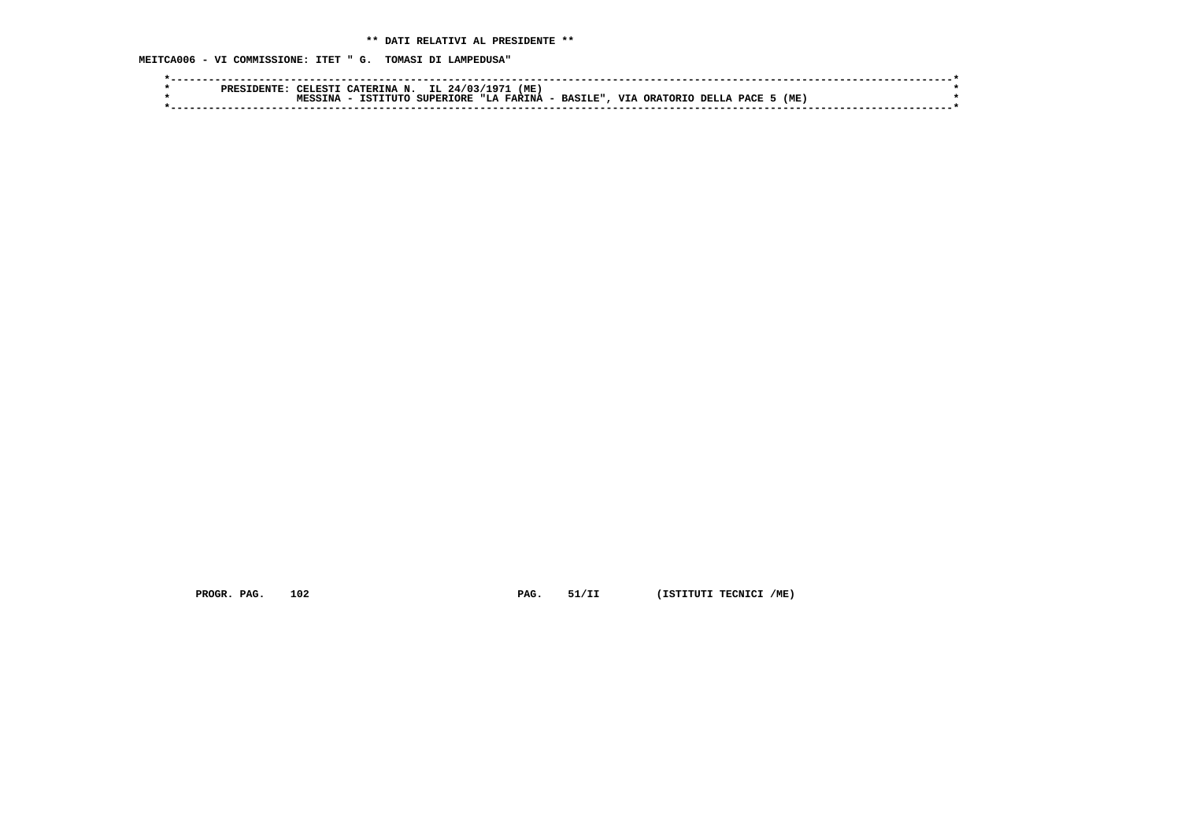**MEITCA006 - VI COMMISSIONE: ITET " G. TOMASI DI LAMPEDUSA"**

|  | סקסס | TELESTI | CATERINA N. | IL 24/03/1971    | (ME)       |           |              |              |      |  |
|--|------|---------|-------------|------------------|------------|-----------|--------------|--------------|------|--|
|  |      |         | TCTTTTTTO   | <b>SUPERIORE</b> | "LA FARINA | - BASILE" | VTA OPATOPTO | , DELLA PACE | (ME) |  |
|  |      |         |             |                  |            |           |              |              |      |  |
|  |      |         |             |                  |            |           |              |              |      |  |

 **PROGR. PAG.** 102 **PAG.** 51/II (ISTITUTI TECNICI /ME)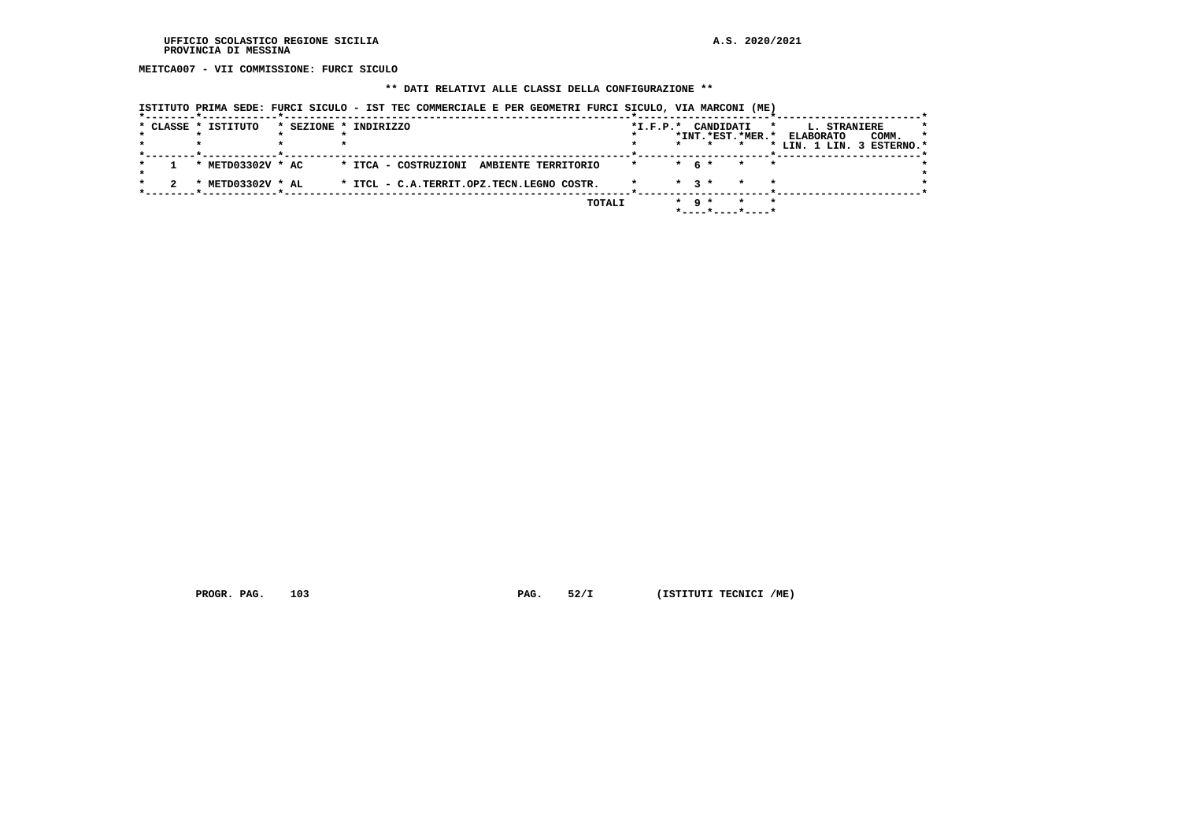**MEITCA007 - VII COMMISSIONE: FURCI SICULO**

## **\*\* DATI RELATIVI ALLE CLASSI DELLA CONFIGURAZIONE \*\***

| * CLASSE * ISTITUTO | * SEZIONE * INDIRIZZO                     | $*$ I.F.P. $*$ |           | CANDIDATI |                    | <b>L. STRANIERE</b><br>$\star$ |       |
|---------------------|-------------------------------------------|----------------|-----------|-----------|--------------------|--------------------------------|-------|
|                     |                                           |                |           |           | *INT.*EST.*MER.*   | <b>ELABORATO</b>               | COMM. |
|                     |                                           |                |           |           |                    | * LIN. 1 LIN. 3 ESTERNO.*      |       |
| * METD03302V * AC   | * ITCA - COSTRUZIONI AMBIENTE TERRITORIO  | $\star$        | $*$ 6 $*$ |           | $\star$<br>$\star$ |                                |       |
| * METD03302V * AL   | * ITCL - C.A.TERRIT.OPZ.TECN.LEGNO COSTR. |                | $*$ 3 $*$ |           | $\star$            |                                |       |
|                     | TOTALI                                    |                | $*$ q $*$ |           | $\star$            |                                |       |
|                     |                                           |                |           |           |                    |                                |       |

 **ISTITUTO PRIMA SEDE: FURCI SICULO - IST TEC COMMERCIALE E PER GEOMETRI FURCI SICULO, VIA MARCONI (ME)**

 **PROGR. PAG.** 103 **PAG.** 52/I (ISTITUTI TECNICI /ME)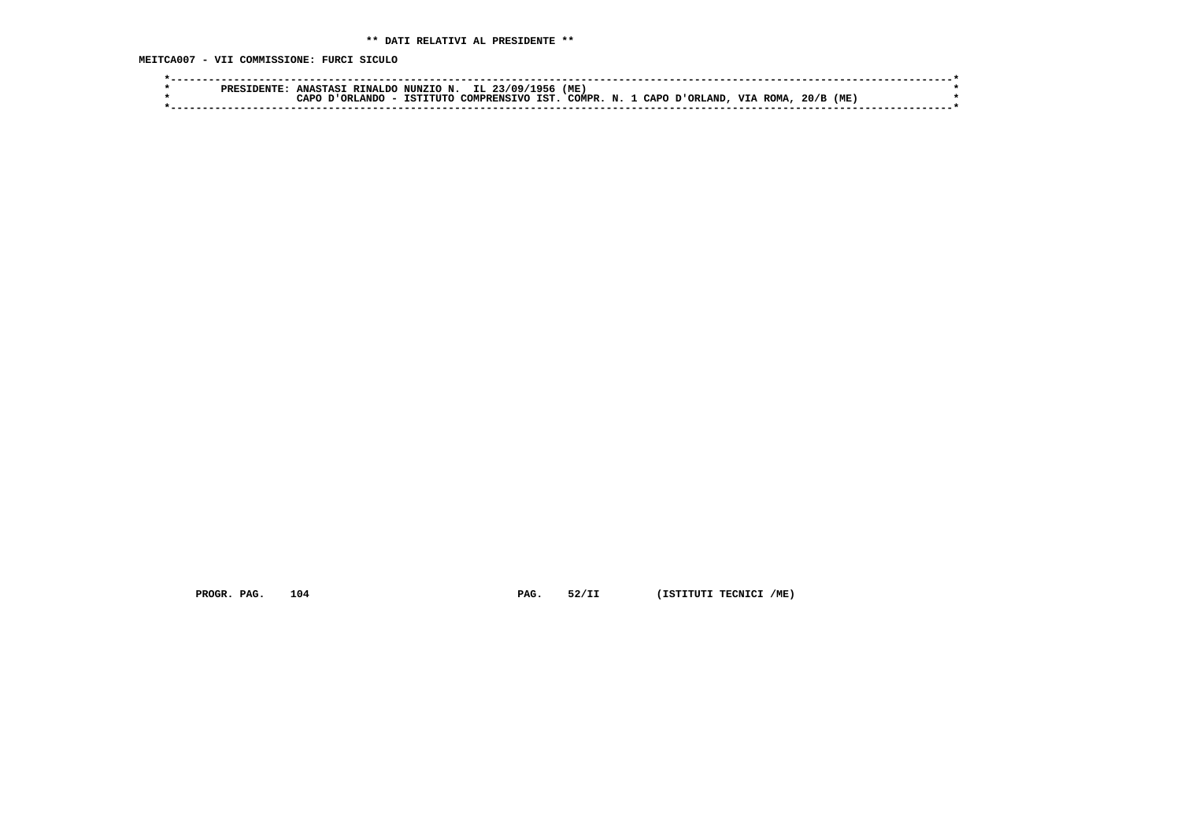**MEITCA007 - VII COMMISSIONE: FURCI SICULO**

|  | RINALDO<br><b>ANASTASI</b> | NUNZIO N. | 1956<br>IL.<br>3/09/        | (ME)  |              |                |                 |     |  |
|--|----------------------------|-----------|-----------------------------|-------|--------------|----------------|-----------------|-----|--|
|  | ORT.ANDO<br>∩ס בי          | TSTTTITC  | <b>TST</b><br>, COMPRENSTVO | ⊄סא∩י | $\mathbf{N}$ | CAPO D'ORLAND. | <b>VIA ROMA</b> | (ME |  |
|  |                            |           |                             |       |              |                |                 |     |  |

 **PROGR. PAG.** 104 **PAG.** 52/II (ISTITUTI TECNICI /ME)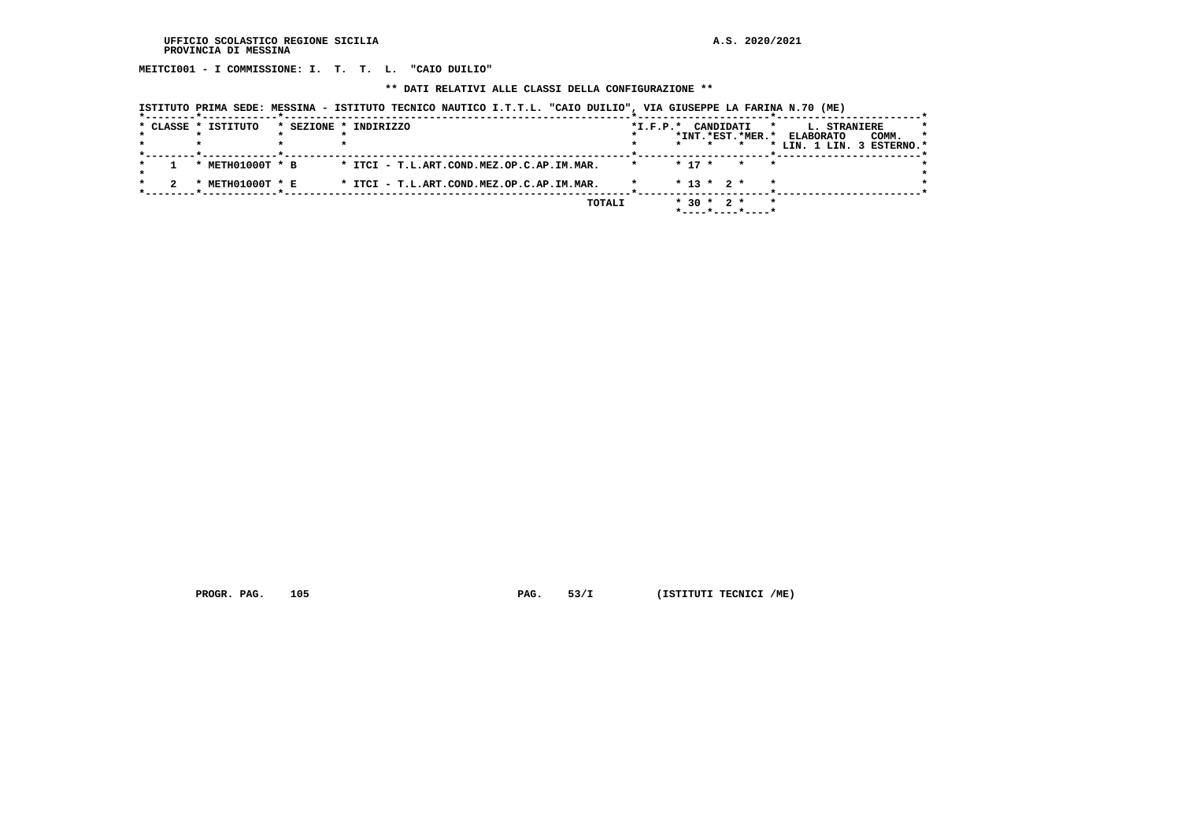**MEITCI001 - I COMMISSIONE: I. T. T. L. "CAIO DUILIO"**

 **\*\* DATI RELATIVI ALLE CLASSI DELLA CONFIGURAZIONE \*\***

|  | ISTITUTO PRIMA SEDE: MESSINA - ISTITUTO TECNICO NAUTICO I.T.T.L. "CAIO DUILIO", VIA GIUSEPPE LA FARINA N.70 (ME) |  |
|--|------------------------------------------------------------------------------------------------------------------|--|
|  |                                                                                                                  |  |

|  | * CLASSE * ISTITUTO | * SEZIONE * INDIRIZZO                     | $*I.F.P.*$ | CANDIDATI<br>$\star$                            | L. STRANIERE              | *       |
|--|---------------------|-------------------------------------------|------------|-------------------------------------------------|---------------------------|---------|
|  |                     |                                           |            | *INT.*EST.*MER.*                                | COMM.<br><b>ELABORATO</b> | $\star$ |
|  |                     |                                           |            |                                                 | * LIN. 1 LIN. 3 ESTERNO.* |         |
|  | METH01000T * B      | * ITCI - T.L.ART.COND.MEZ.OP.C.AP.IM.MAR. |            | $* 17 *$<br>$\star$<br>$\star$                  |                           |         |
|  | METH01000T * E      | * ITCI - T.L.ART.COND.MEZ.OP.C.AP.IM.MAR. |            | $* 13 * 2 *$<br>$\star$                         |                           |         |
|  |                     | TOTALI                                    |            | $*$ 30 $*$ 2 $*$<br>$\star$<br>*----*----*----* |                           |         |

 **PROGR. PAG.** 105 **PAG.** 53/I (ISTITUTI TECNICI /ME)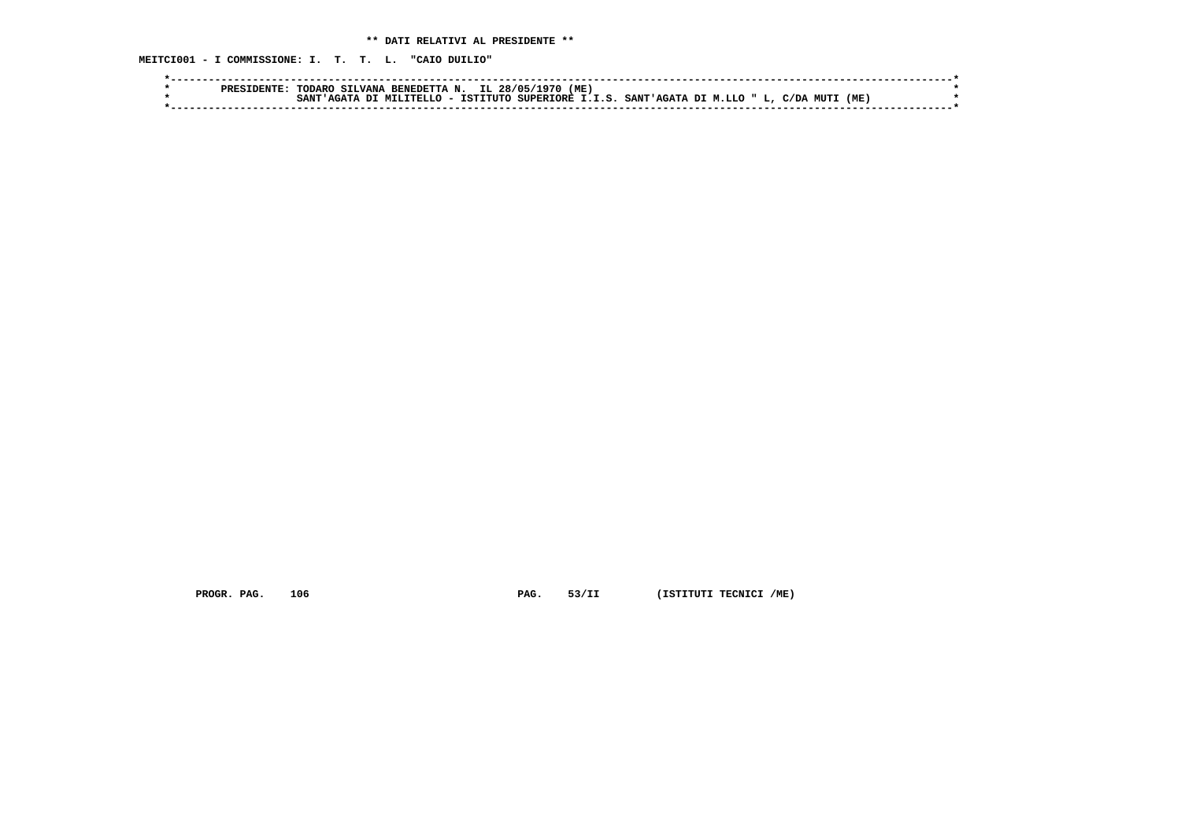**MEITCI001 - I COMMISSIONE: I. T. T. L. "CAIO DUILIO"**

| (ME)<br>IL 28/05/<br><b>SILVANA</b><br>RENEDETTA<br>NT.<br>. TODARO<br>ופספס                                          |  |
|-----------------------------------------------------------------------------------------------------------------------|--|
| SUPERIORE I.I.S. SANT'AGATA DI M.LLO " L, '<br>(ME<br>` - ISTITUTO .<br>OT MILITELLO<br>C/DA MUT1<br>SANT<br>מד בה בי |  |
|                                                                                                                       |  |

 **PROGR. PAG.** 106 **PAG.** 53/II (ISTITUTI TECNICI /ME)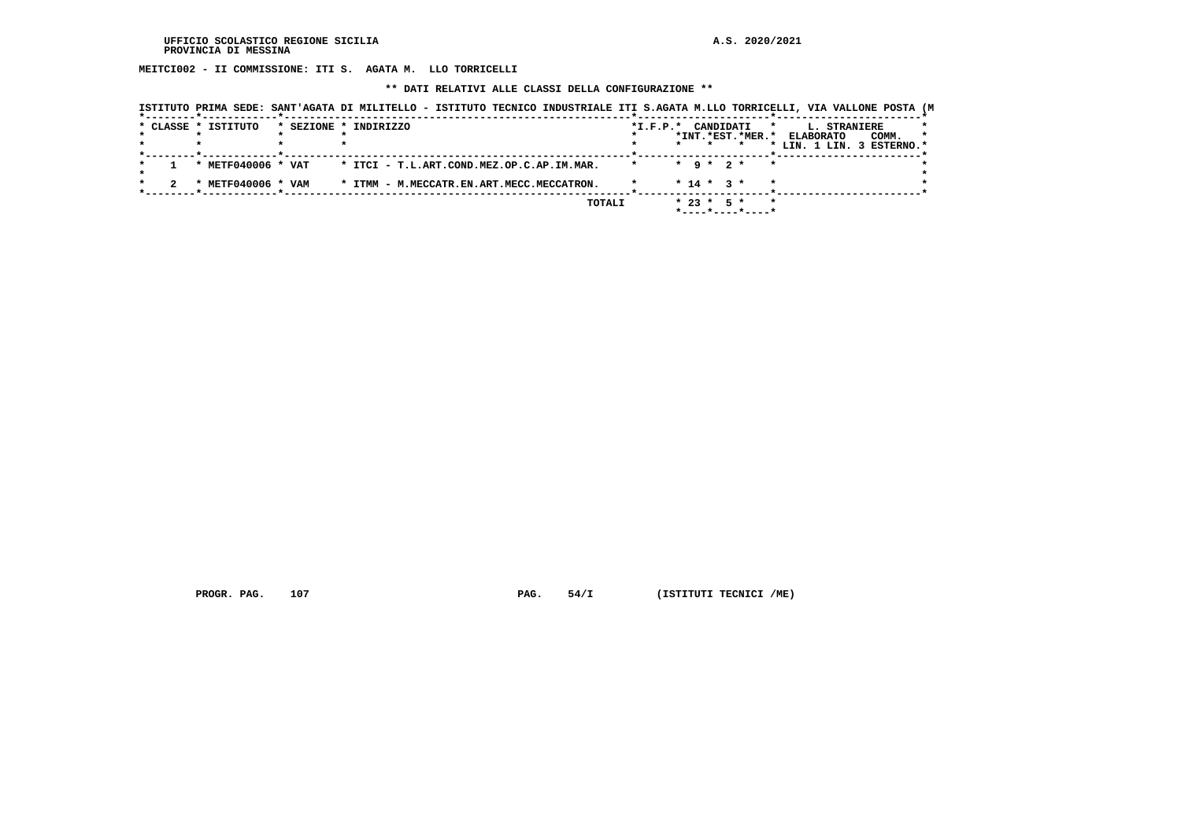**MEITCI002 - II COMMISSIONE: ITI S. AGATA M. LLO TORRICELLI**

 **\*\* DATI RELATIVI ALLE CLASSI DELLA CONFIGURAZIONE \*\***

| ISTITUTO PRIMA SEDE: SANT'AGATA DI MILITELLO - ISTITUTO TECNICO INDUSTRIALE ITI S.AGATA M.LLO TORRICELLI, VIA VALLONE POSTA (M |                                           |  |        |         |                        |                 |                            |         |              |                           |         |
|--------------------------------------------------------------------------------------------------------------------------------|-------------------------------------------|--|--------|---------|------------------------|-----------------|----------------------------|---------|--------------|---------------------------|---------|
| * CLASSE * ISTITUTO                                                                                                            | * SEZIONE * INDIRIZZO                     |  |        |         | $*_{\texttt{I.F.P.}}*$ | CANDIDATI       |                            | $\star$ | L. STRANIERE |                           |         |
|                                                                                                                                |                                           |  |        |         |                        |                 | *INT.*EST.*MER.* ELABORATO |         |              | COMM.                     | $\star$ |
|                                                                                                                                |                                           |  |        |         |                        |                 |                            |         |              | * LIN. 1 LIN. 3 ESTERNO.* |         |
|                                                                                                                                |                                           |  |        |         |                        |                 |                            |         |              |                           |         |
| * METF040006 * VAT                                                                                                             | * ITCI - T.L.ART.COND.MEZ.OP.C.AP.IM.MAR. |  |        | $\star$ |                        | $*$ 9 $*$ 2 $*$ |                            | $\star$ |              |                           |         |
|                                                                                                                                |                                           |  |        |         |                        |                 |                            |         |              |                           |         |
| * METF040006 * VAM                                                                                                             | * ITMM - M.MECCATR.EN.ART.MECC.MECCATRON. |  |        |         |                        | $* 14 * 3 *$    |                            |         |              |                           |         |
|                                                                                                                                |                                           |  |        |         |                        |                 |                            |         |              |                           |         |
|                                                                                                                                |                                           |  | TOTALI |         |                        | $* 23 * 5 *$    |                            | $\star$ |              |                           |         |
|                                                                                                                                |                                           |  |        |         |                        |                 | *----*----*----*           |         |              |                           |         |

 **PROGR. PAG.** 107 **PAG.** 54/I (ISTITUTI TECNICI /ME)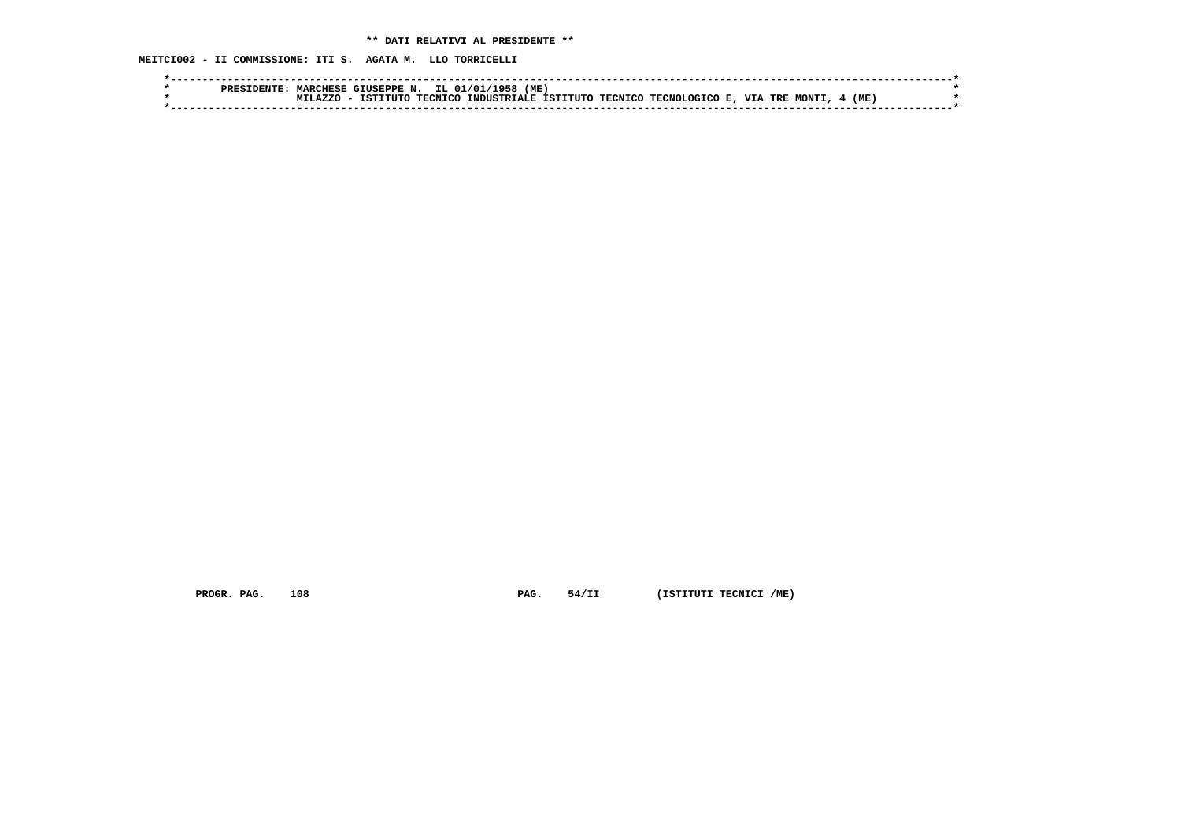**MEITCI002 - II COMMISSIONE: ITI S. AGATA M. LLO TORRICELLI**

| PRES1 | <b>MARCHESE</b> | $\sim$ THSEPPE N. $\sim$ |         | (ME<br>IL 01/01<br>1958      |  |                    |                     |     |  |
|-------|-----------------|--------------------------|---------|------------------------------|--|--------------------|---------------------|-----|--|
|       |                 | TSTTTITC                 | TECNICO | INDUSTRIALE ISTITUTO TECNICO |  | TECNOLOGICO E. VIA | TRE<br><b>MONT1</b> | (ME |  |
|       |                 |                          |         |                              |  |                    |                     |     |  |

 **PROGR. PAG.** 108 **PAG.** 54/II (ISTITUTI TECNICI /ME)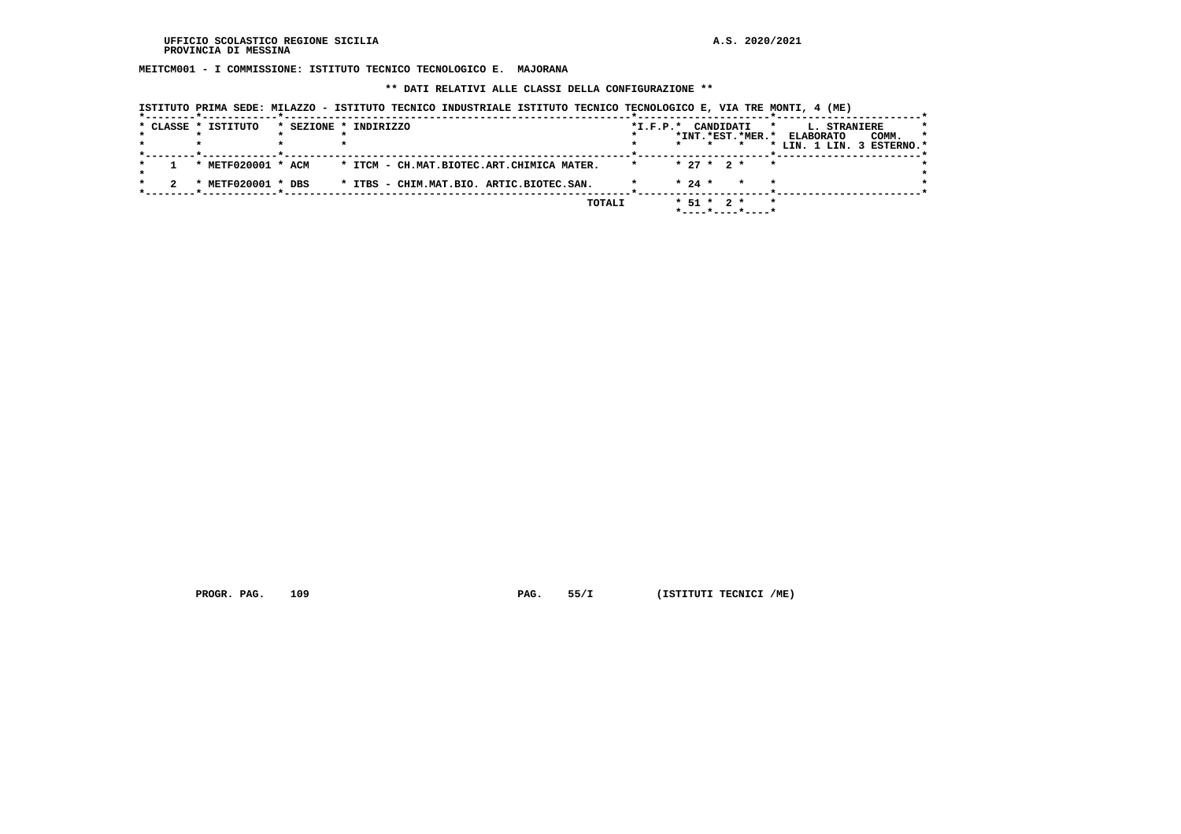**MEITCM001 - I COMMISSIONE: ISTITUTO TECNICO TECNOLOGICO E. MAJORANA**

 **\*\* DATI RELATIVI ALLE CLASSI DELLA CONFIGURAZIONE \*\***

|  | * CLASSE * ISTITUTO | * SEZIONE * INDIRIZZO                     | *I.F.P.* CANDIDATI<br>*INT.*EST.*MER.*                  |         | L. STRANIERE<br>*<br>COMM.<br><b>ELABORATO</b> | * |
|--|---------------------|-------------------------------------------|---------------------------------------------------------|---------|------------------------------------------------|---|
|  |                     |                                           |                                                         |         | * LIN. 1 LIN. 3 ESTERNO.*                      |   |
|  | * METF020001 * ACM  | * ITCM - CH.MAT.BIOTEC.ART.CHIMICA MATER. | $* 27 * 2 *$                                            | $\star$ |                                                |   |
|  | METF020001 * DBS    | * ITBS - CHIM.MAT.BIO. ARTIC.BIOTEC.SAN.  | $* 24 *$<br>$\star$                                     |         | $\star$                                        |   |
|  |                     | TOTALI                                    | $* 51 * 2 *$<br>$*$ - - - - $*$ - - - - $*$ - - - - $*$ |         | $\star$                                        |   |

 **ISTITUTO PRIMA SEDE: MILAZZO - ISTITUTO TECNICO INDUSTRIALE ISTITUTO TECNICO TECNOLOGICO E, VIA TRE MONTI, 4 (ME)**

 **PROGR. PAG.** 109 **PAG. PAG.** 55/I (ISTITUTI TECNICI /ME)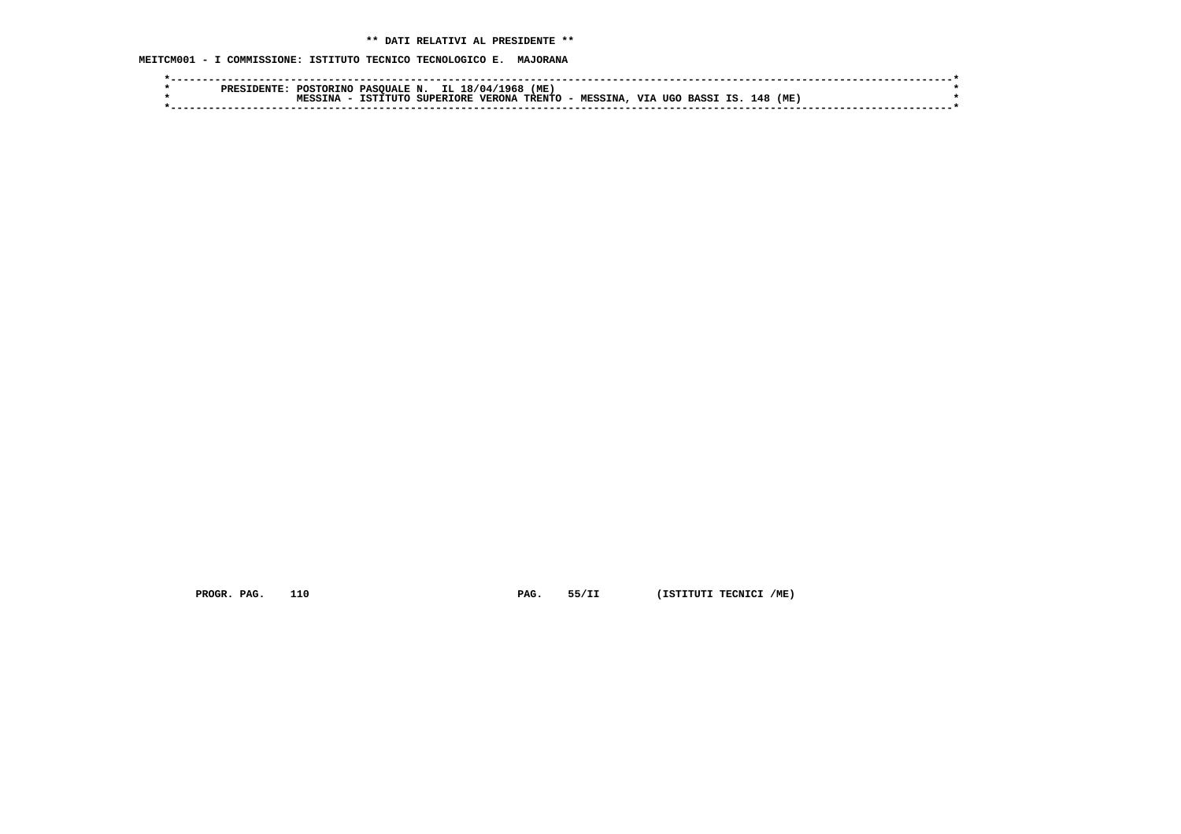**MEITCM001 - I COMMISSIONE: ISTITUTO TECNICO TECNOLOGICO E. MAJORANA**

|  | POSTORINO | PASOUALE N. |                  | IL 18/04/1968 | (ME) |                   |                   |     |     |  |
|--|-----------|-------------|------------------|---------------|------|-------------------|-------------------|-----|-----|--|
|  | TNA       | TSTITUTO    | <b>SUPERIORE</b> | <b>VERONA</b> |      | TRENTO - MESSINA, | VIA UGO BASSI IS. | 148 | (ME |  |
|  |           |             |                  |               |      |                   |                   |     |     |  |

 **PROGR. PAG.** 110 **PAG.** 55/II (ISTITUTI TECNICI /ME)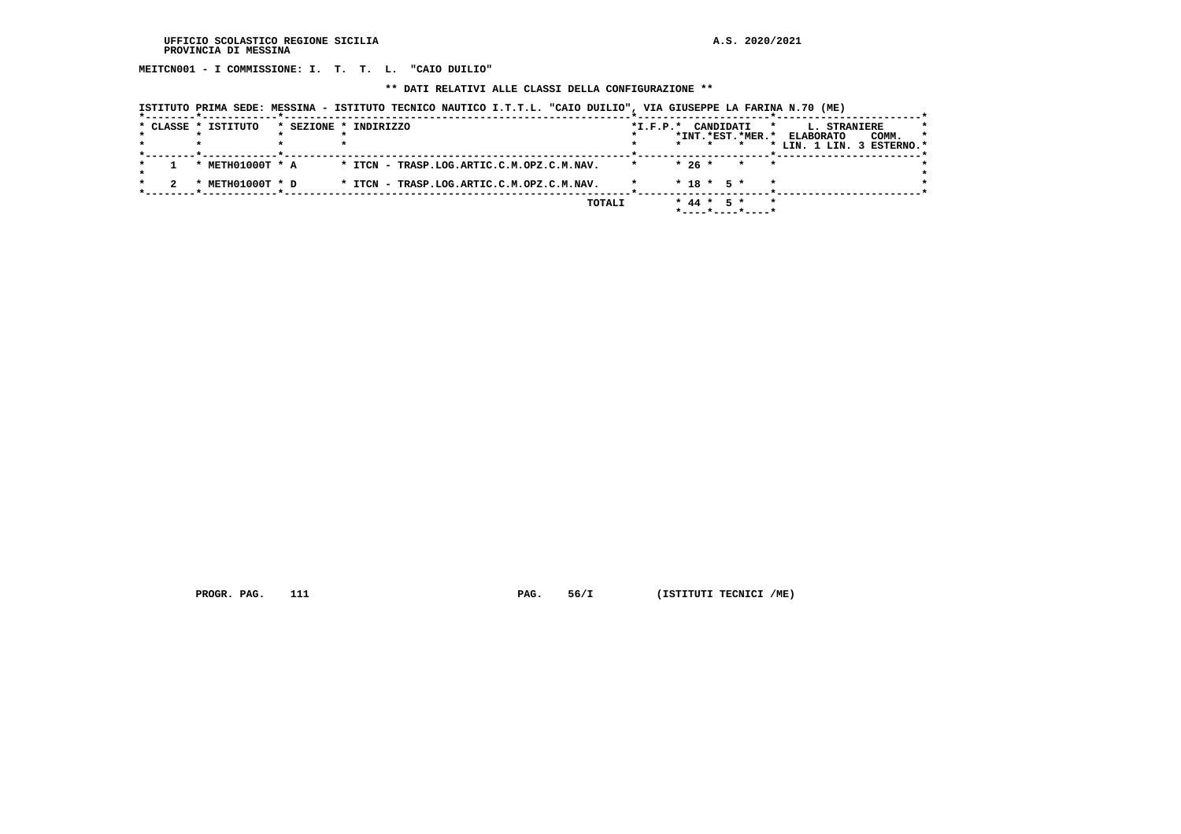**MEITCN001 - I COMMISSIONE: I. T. T. L. "CAIO DUILIO"**

 **\*\* DATI RELATIVI ALLE CLASSI DELLA CONFIGURAZIONE \*\***

|  | ISTITUTO PRIMA SEDE: MESSINA - ISTITUTO TECNICO NAUTICO I.T.T.L. "CAIO DUILIO", VIA GIUSEPPE LA FARINA N.70 (ME) |  |
|--|------------------------------------------------------------------------------------------------------------------|--|
|  |                                                                                                                  |  |

|  | * CLASSE * ISTITUTO | * SEZIONE * INDIRIZZO                     | $*I.F.P.*$ | CANDIDATI                            |                    | L. STRANIERE<br>$\star$   | $\star$ |
|--|---------------------|-------------------------------------------|------------|--------------------------------------|--------------------|---------------------------|---------|
|  |                     |                                           |            | *INT.*EST.*MER.*                     |                    | COMM.<br><b>ELABORATO</b> | *       |
|  |                     |                                           |            | $\star$                              |                    | * LIN. 1 LIN. 3 ESTERNO.* |         |
|  | METH01000T * A      | * ITCN - TRASP.LOG.ARTIC.C.M.OPZ.C.M.NAV. |            | $*26*$                               | $\star$<br>$\star$ |                           |         |
|  | METH01000T * D      | * ITCN - TRASP.LOG.ARTIC.C.M.OPZ.C.M.NAV. |            | $* 18 * 5 *$                         | $\star$            |                           |         |
|  |                     | TOTALI                                    |            | $*$ 44 $*$ 5 $*$<br>*----*----*----* | $\star$            |                           |         |

 **PROGR. PAG.** 111 **PAG.** 56/I (ISTITUTI TECNICI /ME)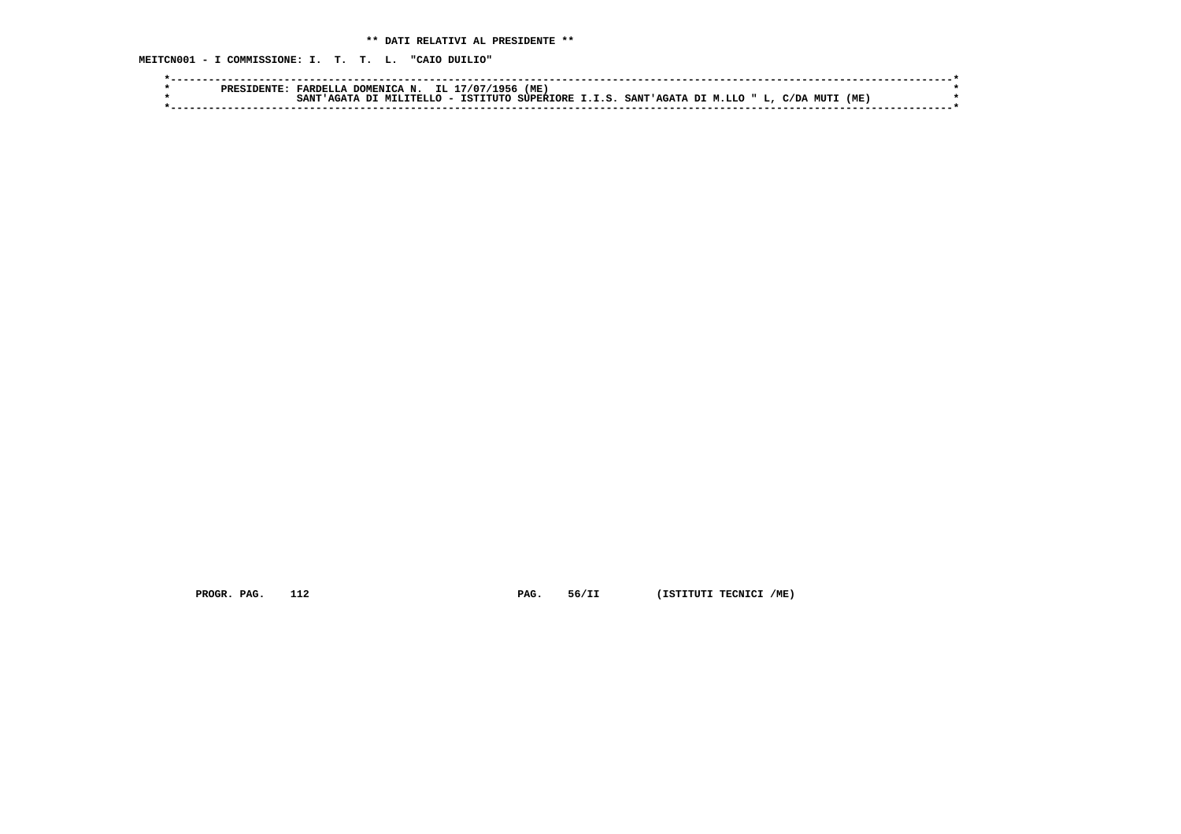**MEITCN001 - I COMMISSIONE: I. T. T. L. "CAIO DUILIO"**

|  | FARDEL          | DOMENICA N. IL 1 | '1956<br>17/07/ | (ME) |                                                                               |  |      |  |
|--|-----------------|------------------|-----------------|------|-------------------------------------------------------------------------------|--|------|--|
|  | SANT<br>· AGAT♪ |                  |                 |      | \ DI MILITELLO - ISTITUTO SUPERIORE I.I.S. SANT'AGATA DI M.LLO " L, C/DA MUTI |  | (ME) |  |
|  |                 |                  |                 |      |                                                                               |  |      |  |

 **PROGR. PAG.** 112 **PAG.** 56/II (ISTITUTI TECNICI /ME)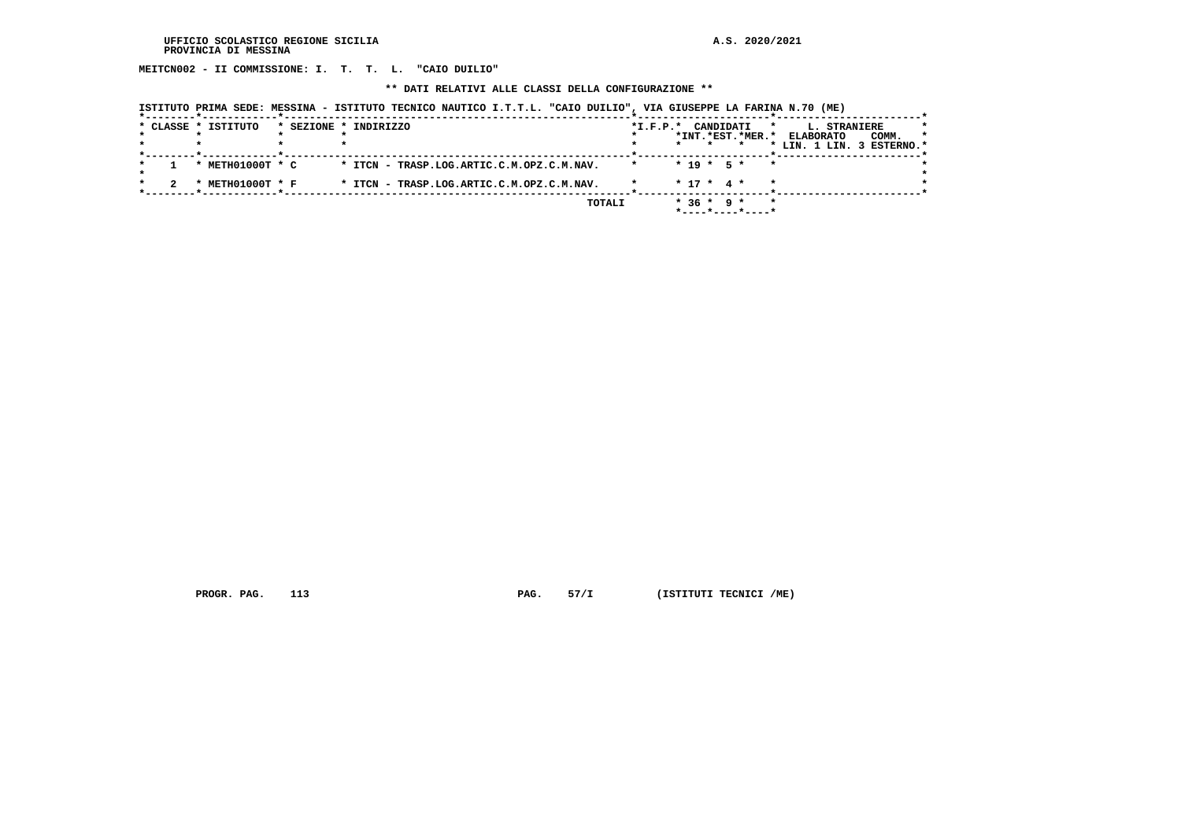**MEITCN002 - II COMMISSIONE: I. T. T. L. "CAIO DUILIO"**

 **\*\* DATI RELATIVI ALLE CLASSI DELLA CONFIGURAZIONE \*\***

|  | ISTITUTO PRIMA SEDE: MESSINA - ISTITUTO TECNICO NAUTICO I.T.T.L. "CAIO DUILIO", VIA GIUSEPPE LA FARINA N.70 (ME) |  |
|--|------------------------------------------------------------------------------------------------------------------|--|
|  |                                                                                                                  |  |

|  | * CLASSE * ISTITUTO | * SEZIONE * INDIRIZZO                     | CANDIDATI<br>$*L.F.P.*$<br>L. STRANIERE<br>$\star$<br>$\star$     |  |
|--|---------------------|-------------------------------------------|-------------------------------------------------------------------|--|
|  |                     |                                           | *INT.*EST.*MER.*<br>COMM.<br><b>ELABORATO</b><br>*                |  |
|  |                     |                                           | * LIN. 1 LIN. 3 ESTERNO.*                                         |  |
|  | * METH01000T * C    | * ITCN - TRASP.LOG.ARTIC.C.M.OPZ.C.M.NAV. | $* 19 * 5 *$<br>$\star$                                           |  |
|  | METH01000T * F      | * ITCN - TRASP.LOG.ARTIC.C.M.OPZ.C.M.NAV. | $* 17 * 4 *$                                                      |  |
|  |                     | TOTALI                                    | $*36 * 9 *$<br>$\star$<br>$*$ - - - - $*$ - - - - $*$ - - - - $*$ |  |

 **PROGR. PAG.** 113 **PAG.** 57/I (ISTITUTI TECNICI /ME)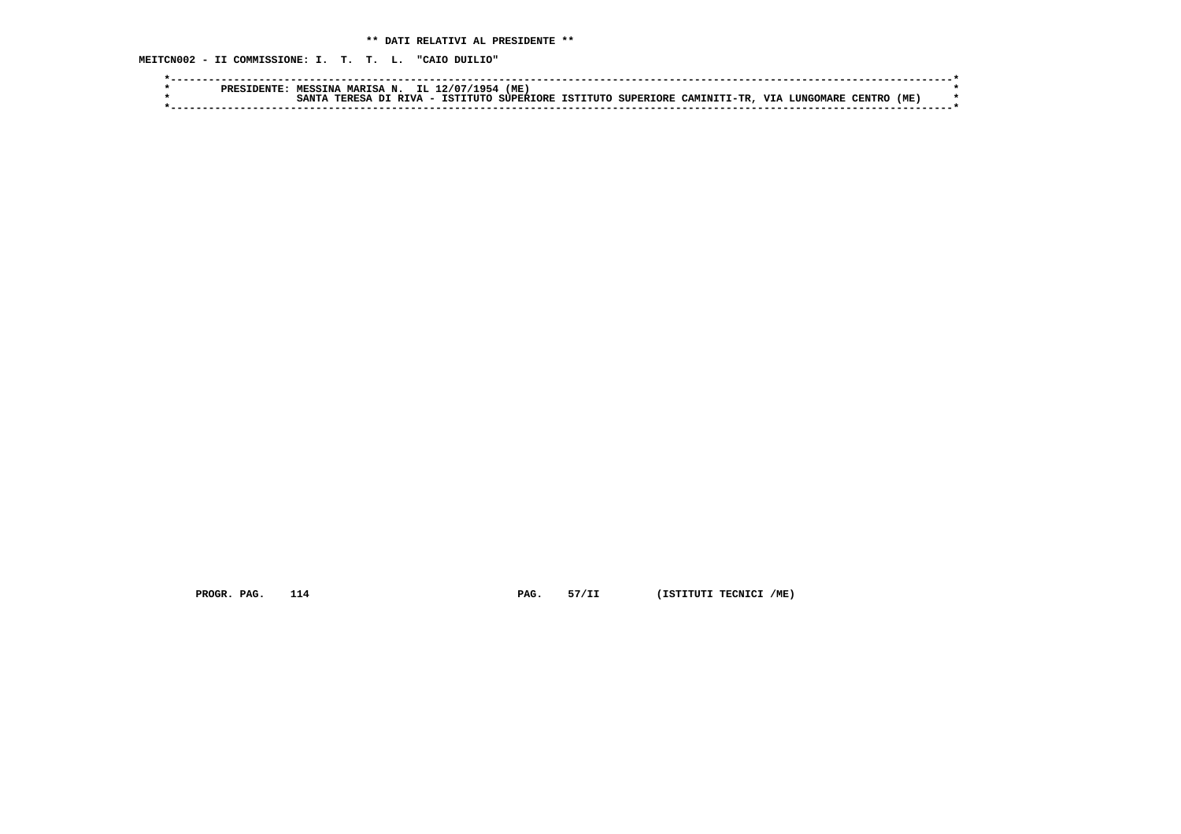**MEITCN002 - II COMMISSIONE: I. T. T. L. "CAIO DUILIO"**

| <b>DDDC</b> | <b>MARISA</b><br><b>MESSINA</b> | IL.<br>N.                               | 954<br>12/07/        | (ME, |                                |             |            |                    |      |  |
|-------------|---------------------------------|-----------------------------------------|----------------------|------|--------------------------------|-------------|------------|--------------------|------|--|
|             | 2.557<br><b>TPDPCA</b>          | <b>DTVA</b><br>$\overline{\phantom{0}}$ | TCT).<br><b>TITT</b> |      | , SUPERTORE ISTITUTO SUPERIORE | CAMTNTTT-TR | <b>TTT</b> | אחיות הי<br>™ARR . | (ME) |  |
|             |                                 |                                         |                      |      |                                |             |            |                    |      |  |

 **PROGR. PAG.** 114 **PAG.** 57/II (ISTITUTI TECNICI /ME)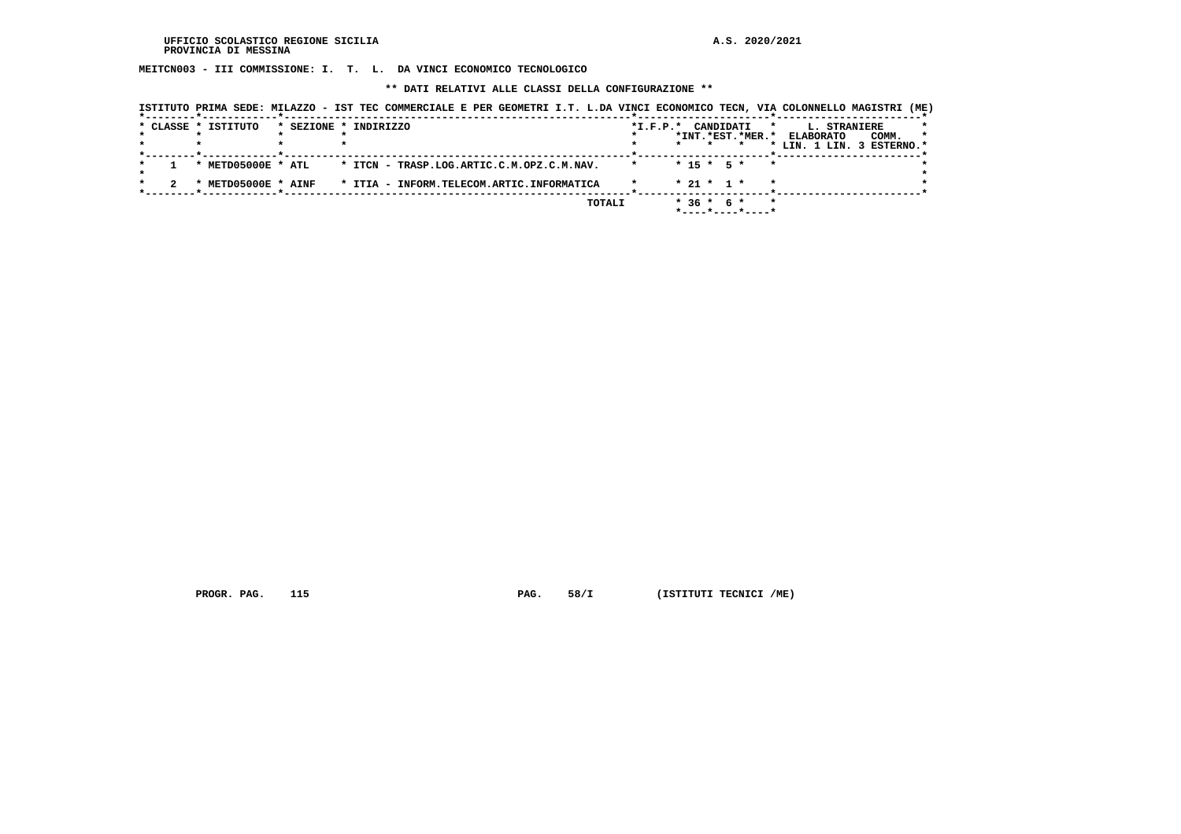**MEITCN003 - III COMMISSIONE: I. T. L. DA VINCI ECONOMICO TECNOLOGICO**

 **\*\* DATI RELATIVI ALLE CLASSI DELLA CONFIGURAZIONE \*\***

|                     | ISTITUTO PRIMA SEDE: MILAZZO - IST TEC COMMERCIALE E PER GEOMETRI I.T. L.DA VINCI ECONOMICO TECN, VIA COLONNELLO MAGISTRI (ME) |                                           |                                                                                 |                                                               |
|---------------------|--------------------------------------------------------------------------------------------------------------------------------|-------------------------------------------|---------------------------------------------------------------------------------|---------------------------------------------------------------|
| * CLASSE * ISTITUTO | * SEZIONE * INDIRIZZO                                                                                                          |                                           | $*$ I.F.P. $*$<br>CANDIDATI<br>$\star$<br>*INT.*EST.*MER.* ELABORATO<br>$\star$ | L. STRANIERE<br>COMM.<br>$\star$<br>* LIN. 1 LIN. 3 ESTERNO.* |
|                     | * METD05000E * ATL                                                                                                             | * ITCN - TRASP.LOG.ARTIC.C.M.OPZ.C.M.NAV. | $* 15 * 5 *$<br>$\star$                                                         |                                                               |
|                     | * METD05000E * AINF                                                                                                            | * ITIA - INFORM.TELECOM.ARTIC.INFORMATICA | $* 21 * 1 *$                                                                    |                                                               |
|                     |                                                                                                                                | TOTALI                                    | $*36 * 6 *$<br>$\star$<br>$*$ - - - - $*$ - - - - $*$ - - - - $*$               |                                                               |

 **PROGR. PAG.** 115 **PAG.** 58/I (ISTITUTI TECNICI /ME)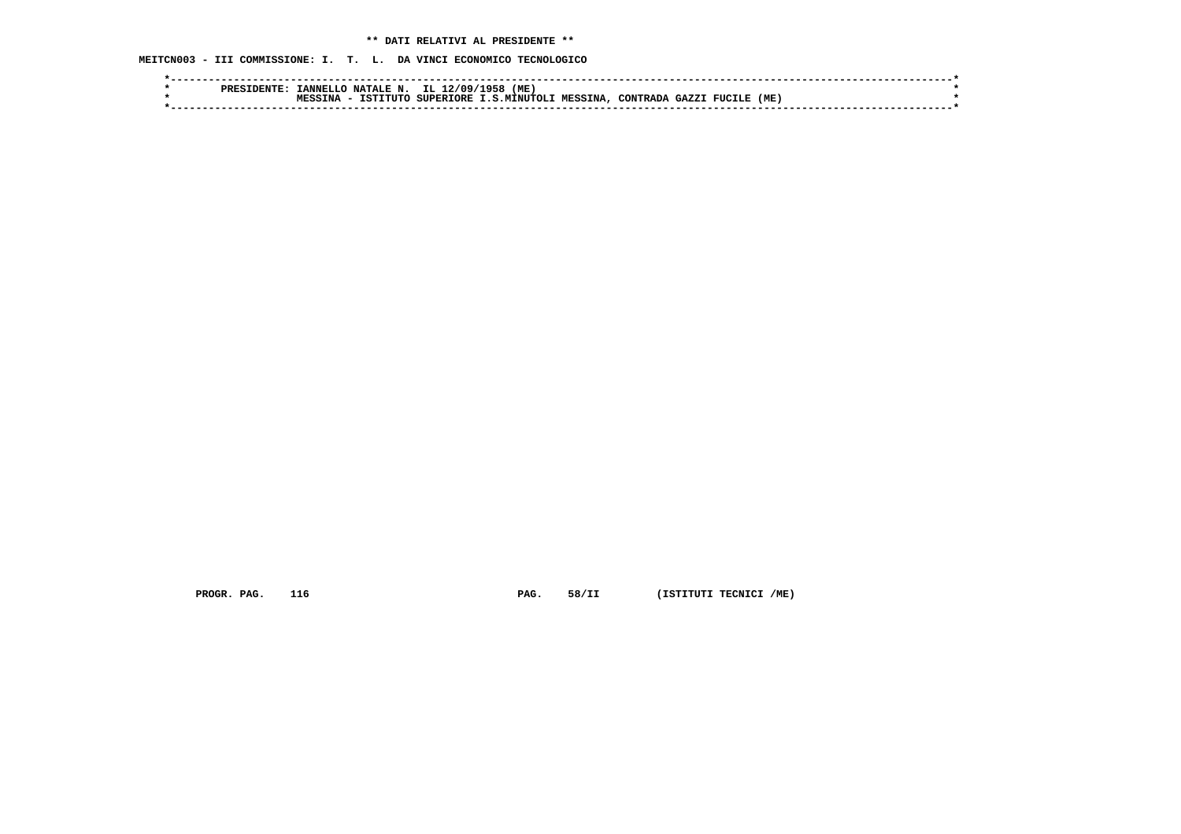# **\*\* DATI RELATIVI AL PRESIDENTE \*\***

 **MEITCN003 - III COMMISSIONE: I. T. L. DA VINCI ECONOMICO TECNOLOGICO**

| <b>PRES</b> | <b>ANNEL</b>         | <b>NATALE N</b>        | IL.<br>12/09     | L958<br>'ME |          |          |        |               |     |  |
|-------------|----------------------|------------------------|------------------|-------------|----------|----------|--------|---------------|-----|--|
|             | $T_{\rm N2}$<br>MECC | <b>. דיזדי</b><br>TST: | <b>SUPERTORE</b> | .S.MTNUTOLT | MESSINA. | CONTRADA | GA7.7. | <b>FUCILE</b> | (ME |  |
|             |                      |                        |                  |             |          |          |        |               |     |  |
|             |                      |                        |                  |             |          |          |        |               |     |  |

 **PROGR. PAG.** 116 **PAG.** 58/II (ISTITUTI TECNICI /ME)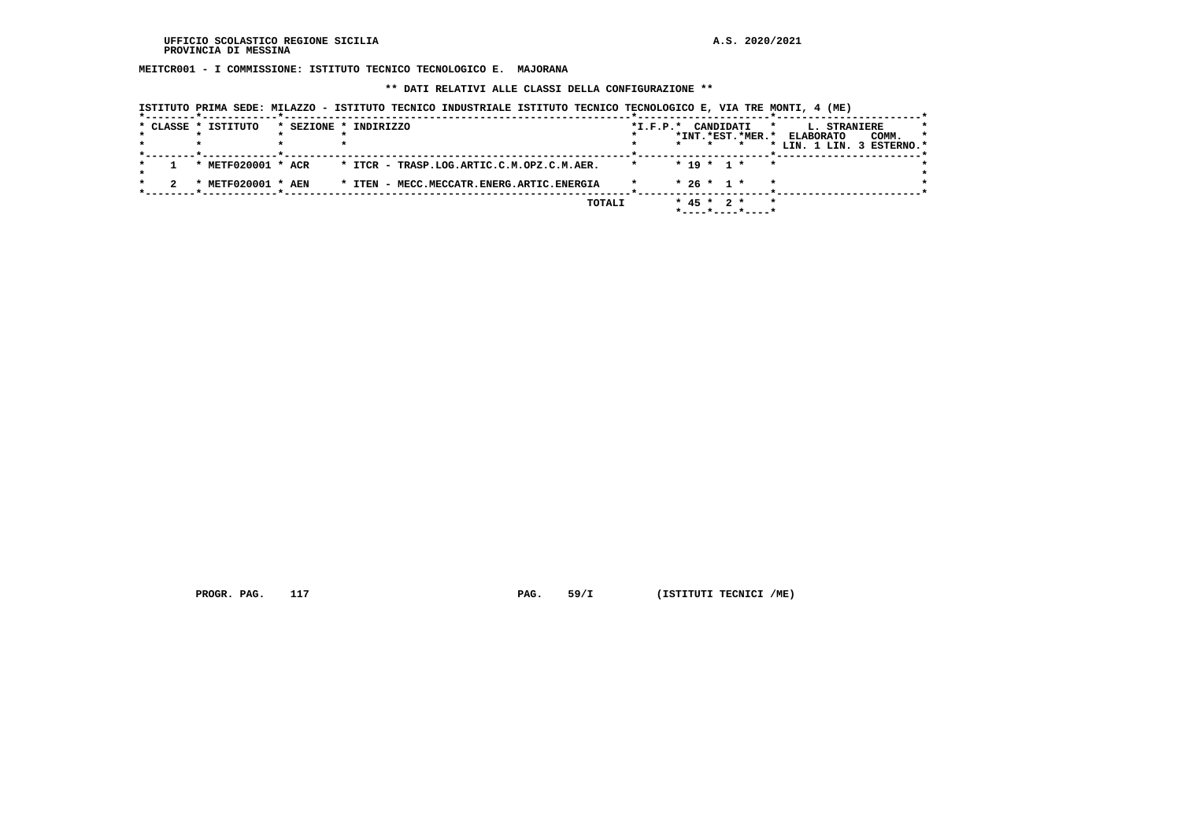**MEITCR001 - I COMMISSIONE: ISTITUTO TECNICO TECNOLOGICO E. MAJORANA**

 **\*\* DATI RELATIVI ALLE CLASSI DELLA CONFIGURAZIONE \*\***

|  | * CLASSE * ISTITUTO     | * SEZIONE * INDIRIZZO                     |        | $*I.F.P.*$ |            | CANDIDATI    | *INT.*EST.*MER.* | *<br><b>ELABORATO</b> | L. STRANIERE | COMM.<br>* LIN. 1 LIN. 3 ESTERNO.* | * |
|--|-------------------------|-------------------------------------------|--------|------------|------------|--------------|------------------|-----------------------|--------------|------------------------------------|---|
|  | * METF020001 * ACR      | * ITCR - TRASP.LOG.ARTIC.C.M.OPZ.C.M.AER. |        |            |            | $* 19 * 1 *$ | $\star$          |                       |              |                                    |   |
|  | <b>METF020001 * AEN</b> | * ITEN - MECC.MECCATR.ENERG.ARTIC.ENERGIA |        |            |            | $* 26 * 1 *$ |                  | $\star$               |              |                                    |   |
|  |                         |                                           | TOTALI |            | $*$ 45 $*$ |              | $2 *$            |                       |              |                                    |   |

 **ISTITUTO PRIMA SEDE: MILAZZO - ISTITUTO TECNICO INDUSTRIALE ISTITUTO TECNICO TECNOLOGICO E, VIA TRE MONTI, 4 (ME)**

 **PROGR. PAG.** 117 **PAG.** 59/I (ISTITUTI TECNICI /ME)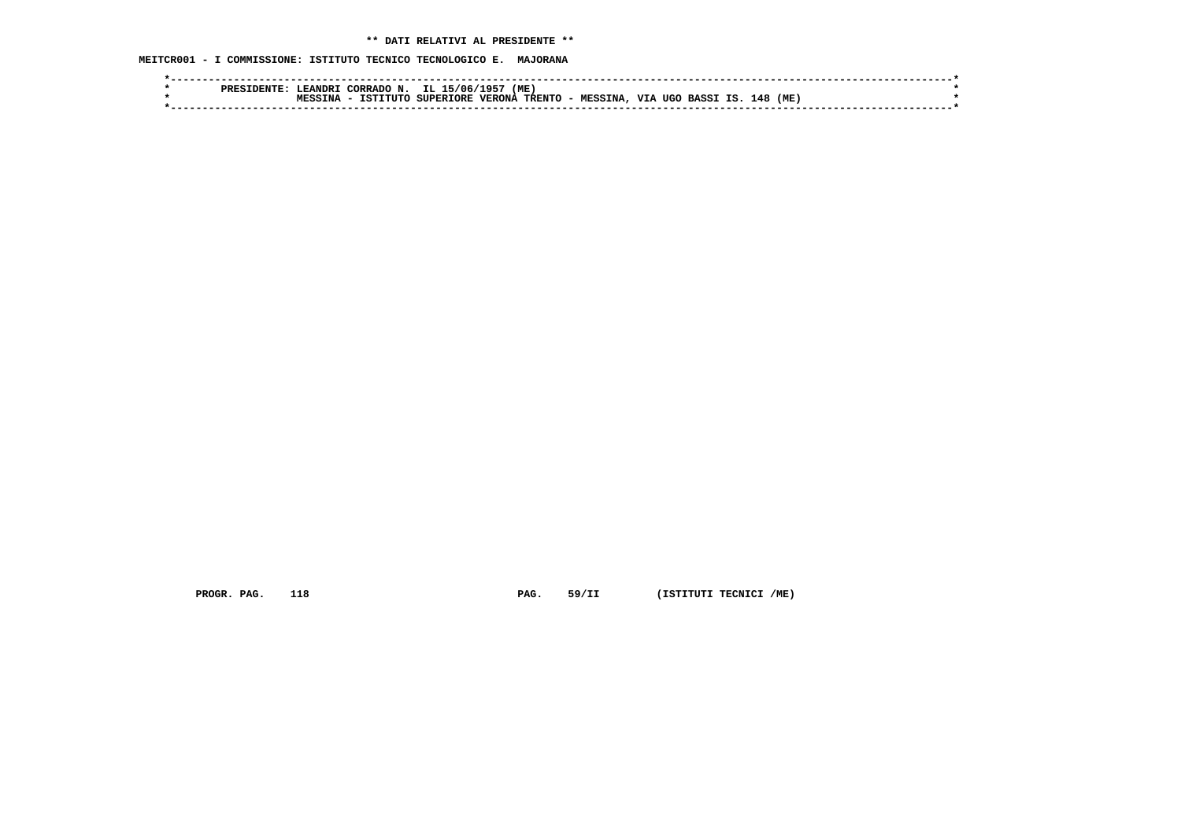**MEITCR001 - I COMMISSIONE: ISTITUTO TECNICO TECNOLOGICO E. MAJORANA**

| <b>EANDR.</b><br>סססם | (ME)<br>.719E<br>IL.<br>15/06/<br>$\bigcap$ RRADO $\bigcap$<br>N                                                                            |  |
|-----------------------|---------------------------------------------------------------------------------------------------------------------------------------------|--|
| TNA                   | <b>VTA</b><br>TRENTO -<br>(ME<br>148<br><b>VERONA</b><br><b>SUPERIORE</b><br>TCTT<br><b>CTITTC</b><br>UGO<br><b>MESSINA</b><br><b>BASS1</b> |  |
|                       |                                                                                                                                             |  |
|                       |                                                                                                                                             |  |

 **PROGR. PAG.** 118 **PAG.** 59/II (ISTITUTI TECNICI /ME)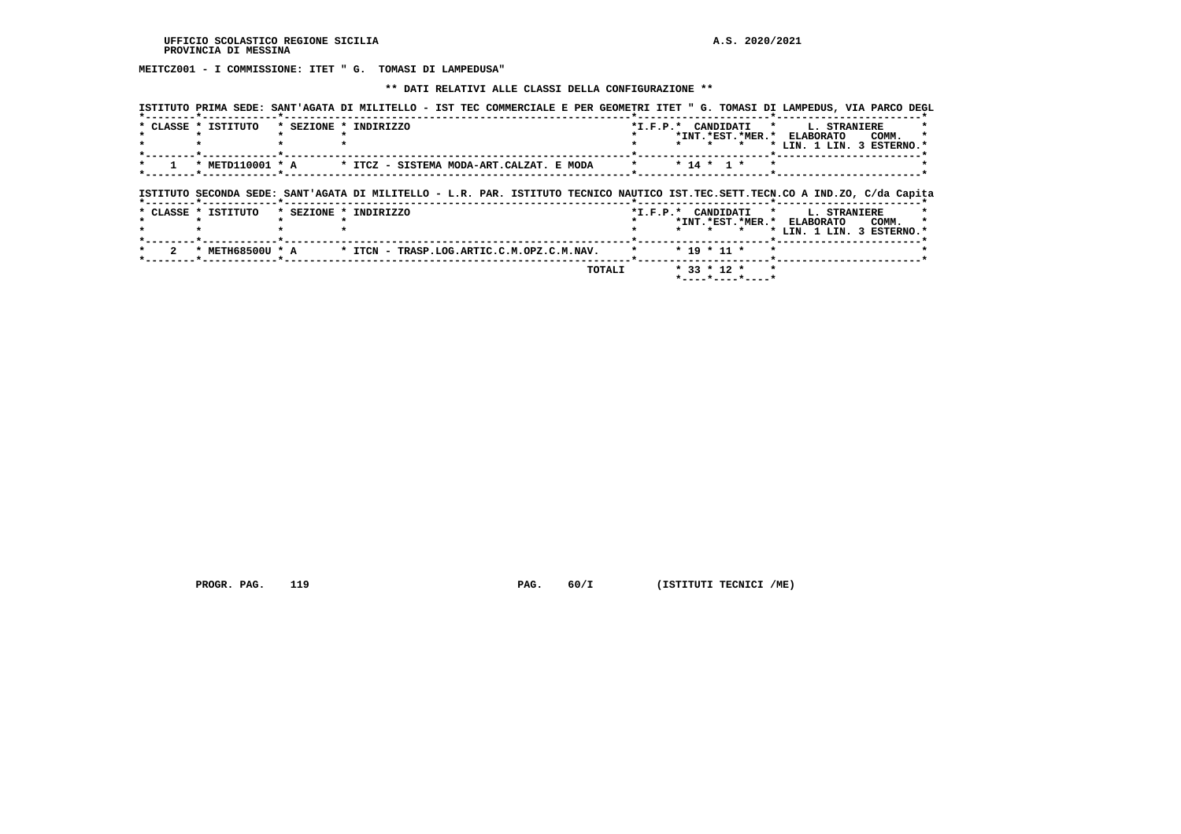**MEITCZ001 - I COMMISSIONE: ITET " G. TOMASI DI LAMPEDUSA"**

## **\*\* DATI RELATIVI ALLE CLASSI DELLA CONFIGURAZIONE \*\***

|                     |                       | ISTITUTO PRIMA SEDE: SANT'AGATA DI MILITELLO - IST TEC COMMERCIALE E PER GEOMETRI ITET " G. TOMASI DI LAMPEDUS, VIA PARCO DEGL |                    |               |                     |                               |                           |
|---------------------|-----------------------|--------------------------------------------------------------------------------------------------------------------------------|--------------------|---------------|---------------------|-------------------------------|---------------------------|
| * CLASSE * ISTITUTO | * SEZIONE * INDIRIZZO |                                                                                                                                | *I.F.P.* CANDIDATI |               | *INT. *EST. *MER. * | $\star$<br><b>ELABORATO</b>   | L. STRANIERE<br>COMM.     |
|                     |                       |                                                                                                                                |                    |               |                     |                               | * LIN. 1 LIN. 3 ESTERNO.* |
| * METD110001 * A    |                       | * ITCZ - SISTEMA MODA-ART.CALZAT. E MODA                                                                                       |                    | $* 14 * 1 *$  |                     |                               |                           |
|                     |                       | ISTITUTO SECONDA SEDE: SANT'AGATA DI MILITELLO - L.R. PAR. ISTITUTO TECNICO NAUTICO IST.TEC.SETT.TECN.CO A IND.ZO, C/da Capita |                    |               |                     |                               |                           |
| * CLASSE * ISTITUTO | * SEZIONE * INDIRIZZO |                                                                                                                                | *I.F.P.* CANDIDATI |               |                     | $\mathbf{r}$                  | L. STRANIERE              |
|                     |                       |                                                                                                                                |                    |               |                     | *INT. *EST. *MER. * ELABORATO | COMM.                     |
|                     |                       |                                                                                                                                |                    | $\star$       |                     |                               | * LIN. 1 LIN. 3 ESTERNO.* |
| * METH68500U * A    |                       | * ITCN - TRASP.LOG.ARTIC.C.M.OPZ.C.M.NAV.                                                                                      |                    | $* 19 * 11 *$ |                     |                               |                           |

 **PROGR. PAG.** 119 **PAG.** 60/I (ISTITUTI TECNICI /ME)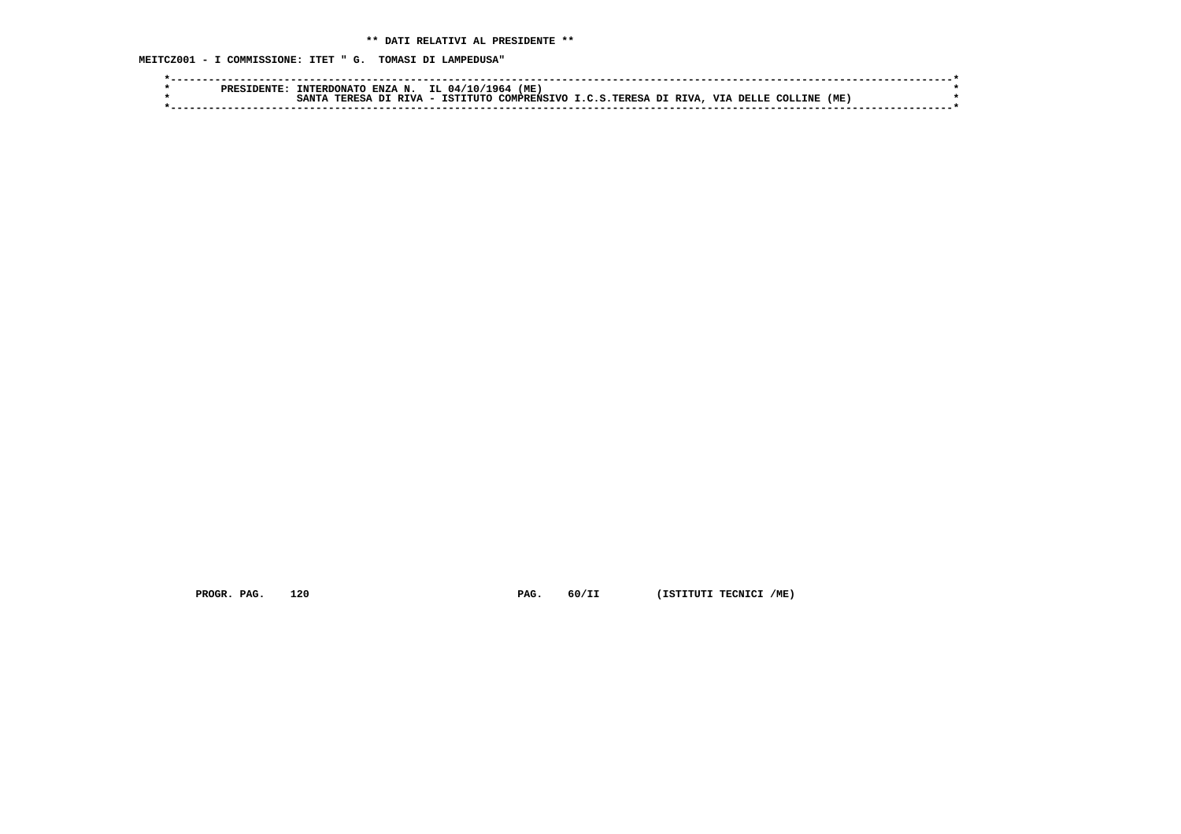**MEITCZ001 - I COMMISSIONE: ITET " G. TOMASI DI LAMPEDUSA"**

|  | <b>TNTERDONATO</b>              |               | ENZA N. IL 04/10/1 | (ME)<br>1964 |                                    |                   |      |  |
|--|---------------------------------|---------------|--------------------|--------------|------------------------------------|-------------------|------|--|
|  | <b>TERESA</b><br>$\sigma$ a arm | <b>DTVA</b> - | TCTTTTTTO          |              | COMPRENSIVO I.C.S. TERESA DI RIVA, | VIA DELLE COLLINE | (ME) |  |
|  |                                 |               |                    |              |                                    |                   |      |  |

 **PROGR. PAG.** 120 **PAG.** 60/II (ISTITUTI TECNICI /ME)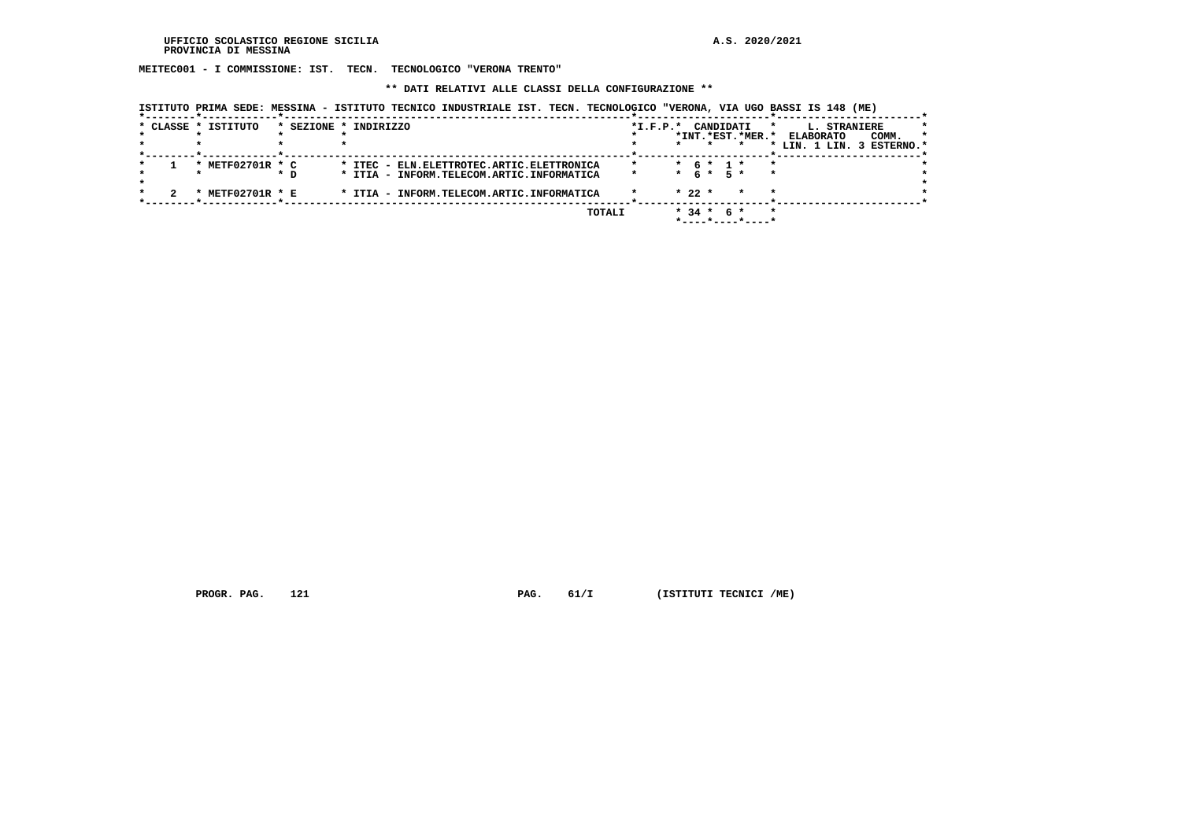**MEITEC001 - I COMMISSIONE: IST. TECN. TECNOLOGICO "VERONA TRENTO"**

 **\*\* DATI RELATIVI ALLE CLASSI DELLA CONFIGURAZIONE \*\***

 **ISTITUTO PRIMA SEDE: MESSINA - ISTITUTO TECNICO INDUSTRIALE IST. TECN. TECNOLOGICO "VERONA, VIA UGO BASSI IS 148 (ME)**

|  | * CLASSE * ISTITUTO |     | * SEZIONE * INDIRIZZO |  |                                              | $*I.F.P.*$ |          | CANDIDATI   |       |                  | * | L. STRANIERE              |       |         |
|--|---------------------|-----|-----------------------|--|----------------------------------------------|------------|----------|-------------|-------|------------------|---|---------------------------|-------|---------|
|  |                     |     |                       |  |                                              |            |          |             |       | *INT.*EST.*MER.* |   | <b>ELABORATO</b>          | COMM. | $\star$ |
|  |                     |     |                       |  |                                              |            |          |             |       |                  |   | * LIN. 1 LIN. 3 ESTERNO.* |       |         |
|  | METF02701R * C      |     |                       |  | * ITEC - ELN. ELETTROTEC. ARTIC. ELETTRONICA |            |          | $* 6 * 1 *$ |       |                  |   |                           |       |         |
|  |                     | * D |                       |  | * ITIA - INFORM.TELECOM.ARTIC.INFORMATICA    |            | $\star$  | 6 *         | $5*$  |                  |   |                           |       |         |
|  | METF02701R * E      |     |                       |  | * ITIA - INFORM.TELECOM.ARTIC.INFORMATICA    |            | $* 22 *$ |             |       |                  |   |                           |       |         |
|  |                     |     |                       |  | TOTALI                                       |            |          | $* 34 *$    | – 6 * |                  | * |                           |       |         |
|  |                     |     |                       |  |                                              |            |          |             |       |                  |   |                           |       |         |

 **PROGR. PAG.** 121 **PAG.** 61/I (ISTITUTI TECNICI /ME)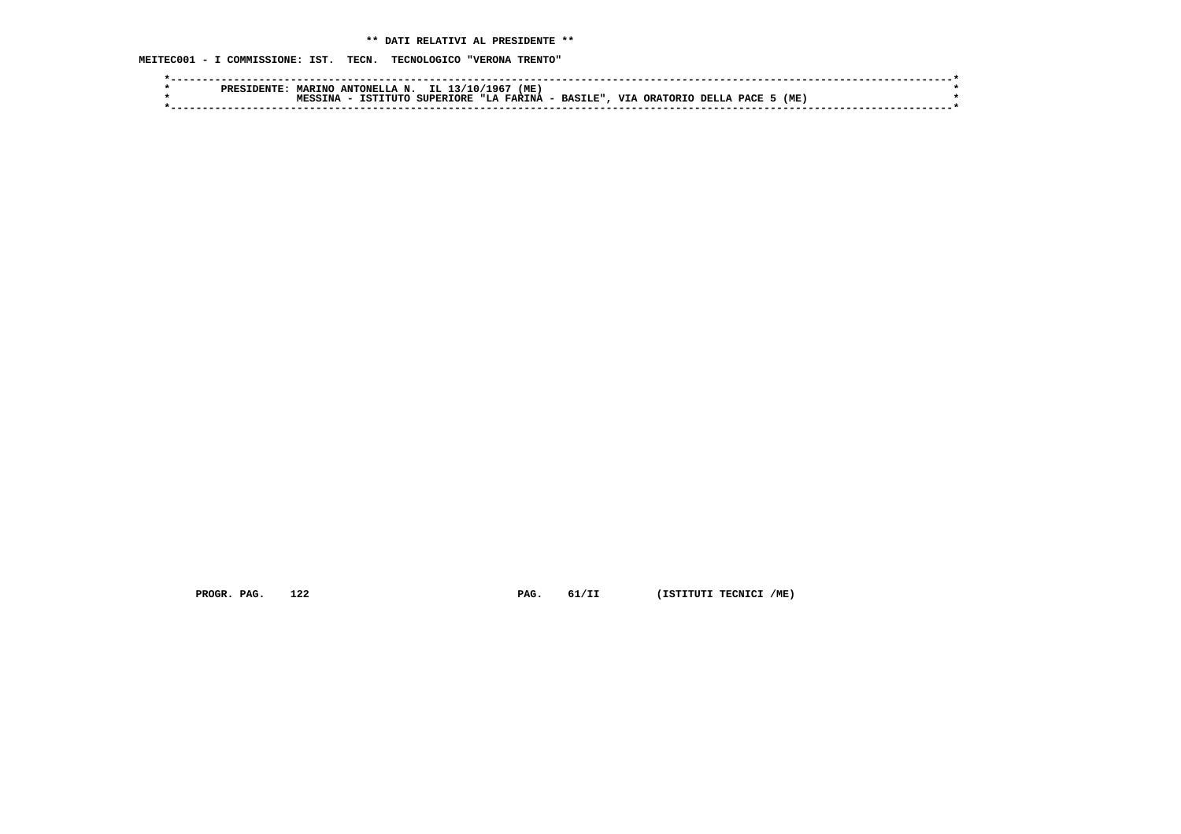**MEITEC001 - I COMMISSIONE: IST. TECN. TECNOLOGICO "VERONA TRENTO"**

|  | PRES | <b>MARTNO</b> | ANTONELLA N. | IL 1<br>L3/10/   | (ME)<br>196'                 |           |                               |                           |      |  |
|--|------|---------------|--------------|------------------|------------------------------|-----------|-------------------------------|---------------------------|------|--|
|  |      | TNA           | TETTTITO     | <b>SUPERIORE</b> | <b>FARINA</b><br><b>"Т.А</b> | - BASILE" | <b>VTA</b><br><b>ORATORTO</b> | PACE<br>DELL <sub>2</sub> | (ME) |  |
|  |      |               |              |                  |                              |           |                               |                           |      |  |

 **PROGR. PAG.** 122 **PAG.** 61/II (ISTITUTI TECNICI /ME)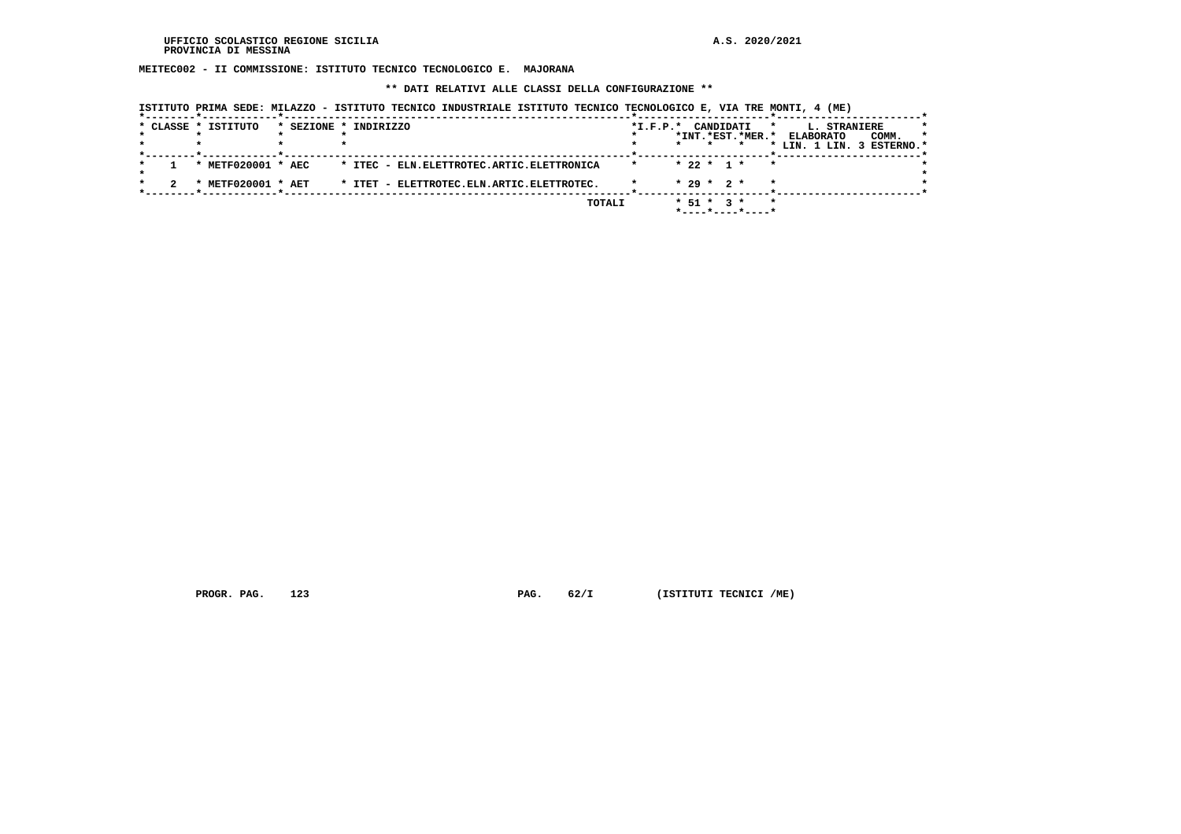**MEITEC002 - II COMMISSIONE: ISTITUTO TECNICO TECNOLOGICO E. MAJORANA**

 **\*\* DATI RELATIVI ALLE CLASSI DELLA CONFIGURAZIONE \*\***

|  | * CLASSE * ISTITUTO                     | * SEZIONE * INDIRIZZO                        | $*I.F.P.*$ | CANDIDATI<br>*<br>*INT.*EST.*MER.*                                     | L. STRANIERE<br><b>ELABORATO</b><br>COMM.<br>$\star$<br>* LIN. 1 LIN. 3 ESTERNO.* |
|--|-----------------------------------------|----------------------------------------------|------------|------------------------------------------------------------------------|-----------------------------------------------------------------------------------|
|  | * METF020001 * AEC                      | * ITEC - ELN. ELETTROTEC. ARTIC. ELETTRONICA |            | $* 22 * 1 *$<br>$\star$                                                |                                                                                   |
|  | <b>METF020001 * AET</b><br>$\mathbf{r}$ | * ITET - ELETTROTEC.ELN.ARTIC.ELETTROTEC.    |            | $* 29 * 2 *$                                                           |                                                                                   |
|  |                                         | TOTALI                                       |            | $*$ 51 $*$ 3 $*$<br>$\star$<br>$*$ - - - - $*$ - - - - $*$ - - - - $*$ |                                                                                   |

 **ISTITUTO PRIMA SEDE: MILAZZO - ISTITUTO TECNICO INDUSTRIALE ISTITUTO TECNICO TECNOLOGICO E, VIA TRE MONTI, 4 (ME)**

 **PROGR. PAG.** 123 **PAG.** 62/I (ISTITUTI TECNICI /ME)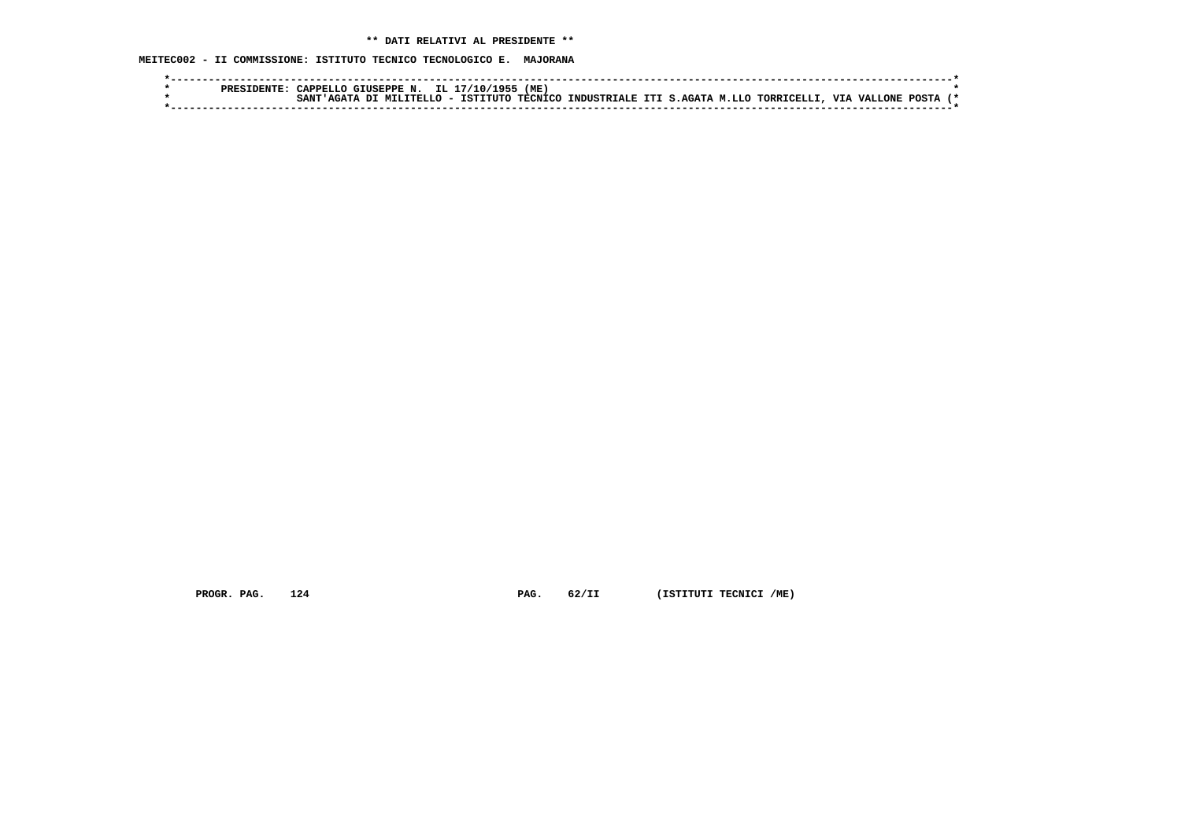**MEITEC002 - II COMMISSIONE: ISTITUTO TECNICO TECNOLOGICO E. MAJORANA**

| CAPPELLO GIUSEPPE N. IL 17/10/1955<br>(ME<br>PRESIDENTE                                             |  |
|-----------------------------------------------------------------------------------------------------|--|
| IAGATA DI MILITELLO - ISTITUTO TECNICO INDUSTRIALE ITI S.AGATA M.LLO TORRICELLI, VIA VALLONE POSTA! |  |
|                                                                                                     |  |

 **PROGR. PAG.** 124 **PAG.** 62/II (ISTITUTI TECNICI /ME)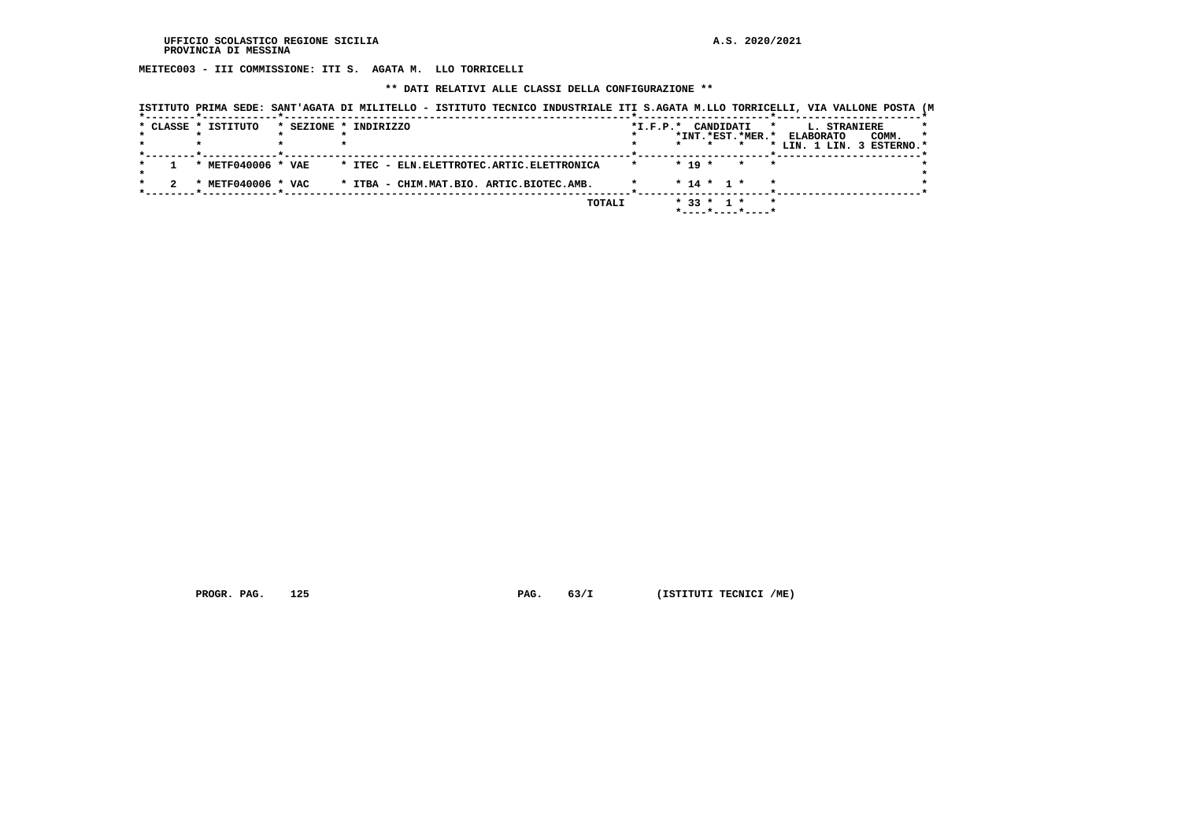**MEITEC003 - III COMMISSIONE: ITI S. AGATA M. LLO TORRICELLI**

## **\*\* DATI RELATIVI ALLE CLASSI DELLA CONFIGURAZIONE \*\***

|                     |                    | ISTITUTO PRIMA SEDE: SANT'AGATA DI MILITELLO - ISTITUTO TECNICO INDUSTRIALE ITI S.AGATA M.LLO TORRICELLI, VIA VALLONE POSTA (M |  |        |         |                        |              |           |                                         |         |              |                           |         |
|---------------------|--------------------|--------------------------------------------------------------------------------------------------------------------------------|--|--------|---------|------------------------|--------------|-----------|-----------------------------------------|---------|--------------|---------------------------|---------|
| * CLASSE * ISTITUTO |                    | * SEZIONE * INDIRIZZO                                                                                                          |  |        |         | $*_{\texttt{I.F.P.}}*$ |              | CANDIDATI |                                         | $\star$ | L. STRANIERE |                           |         |
|                     |                    |                                                                                                                                |  |        |         |                        |              |           | *INT.*EST.*MER.* ELABORATO              |         |              | COMM.                     | $\star$ |
|                     |                    |                                                                                                                                |  |        |         |                        |              |           |                                         |         |              | * LIN. 1 LIN. 3 ESTERNO.* |         |
|                     |                    |                                                                                                                                |  |        |         |                        |              |           |                                         |         |              |                           |         |
|                     | * METF040006 * VAE | * ITEC - ELN. ELETTROTEC. ARTIC. ELETTRONICA                                                                                   |  |        | $\star$ |                        | $* 19 *$     |           | $\star$                                 |         |              |                           |         |
|                     |                    |                                                                                                                                |  |        |         |                        |              |           |                                         |         |              |                           |         |
|                     | * METF040006 * VAC | * ITBA - CHIM.MAT.BIO. ARTIC.BIOTEC.AMB.                                                                                       |  |        |         |                        | $* 14 * 1 *$ |           |                                         |         |              |                           |         |
|                     |                    |                                                                                                                                |  |        |         |                        |              |           |                                         |         |              |                           |         |
|                     |                    |                                                                                                                                |  | TOTALI |         |                        | $* 33 * 1 *$ |           |                                         |         |              |                           |         |
|                     |                    |                                                                                                                                |  |        |         |                        |              |           | $*$ - - - - $*$ - - - - $*$ - - - - $*$ |         |              |                           |         |

 **PROGR. PAG.** 125 **PAG.** 63/I (ISTITUTI TECNICI /ME)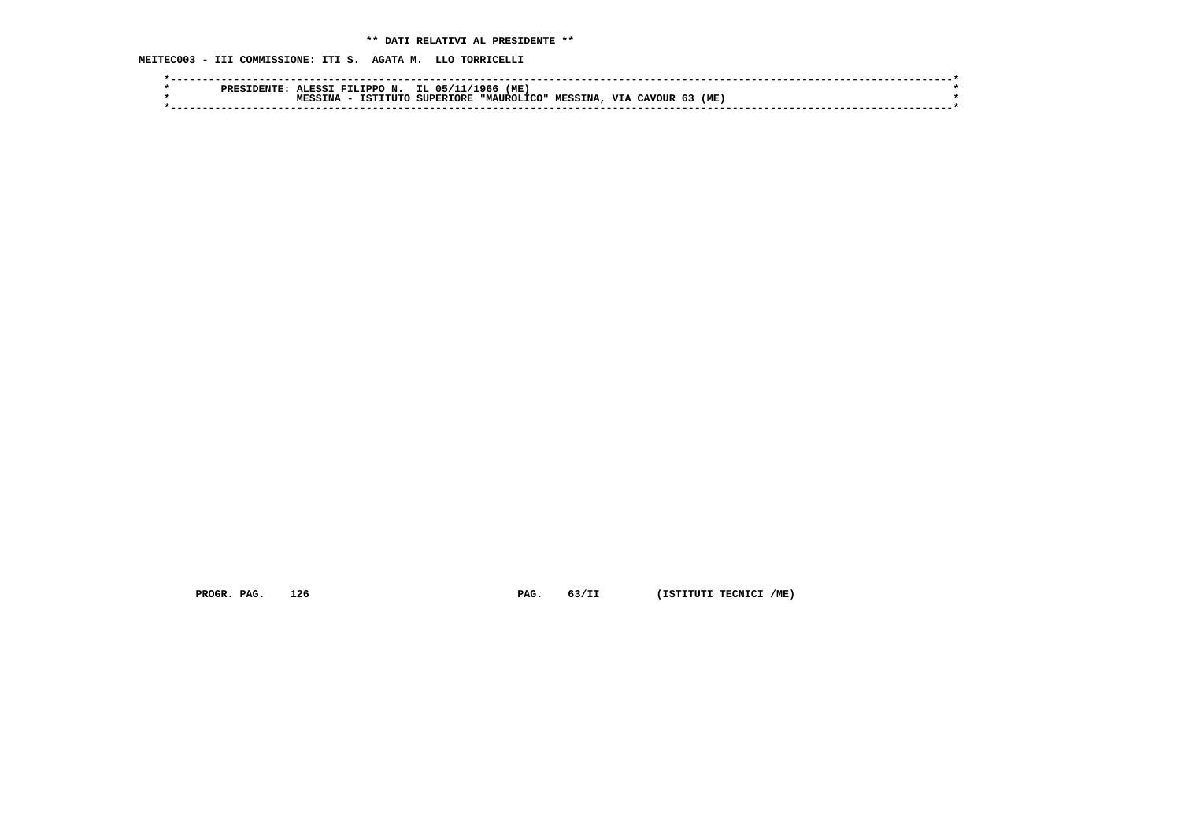**MEITEC003 - III COMMISSIONE: ITI S. AGATA M. LLO TORRICELLI**

|  | ס סם מ | J.ESST | FILIPPO N. IL 05/13 |                  | L1/1966<br>(ME ) |                |            |          |      |  |
|--|--------|--------|---------------------|------------------|------------------|----------------|------------|----------|------|--|
|  |        | TNA    | TSTTTITO            | <b>SUPERIORE</b> | "MAITROLICO"     | <b>MESSINA</b> | <b>VTA</b> | . CAVOUR | (ME) |  |
|  |        |        |                     |                  |                  |                |            |          |      |  |

 **PROGR. PAG.** 126 **PAG.** 63/II (ISTITUTI TECNICI /ME)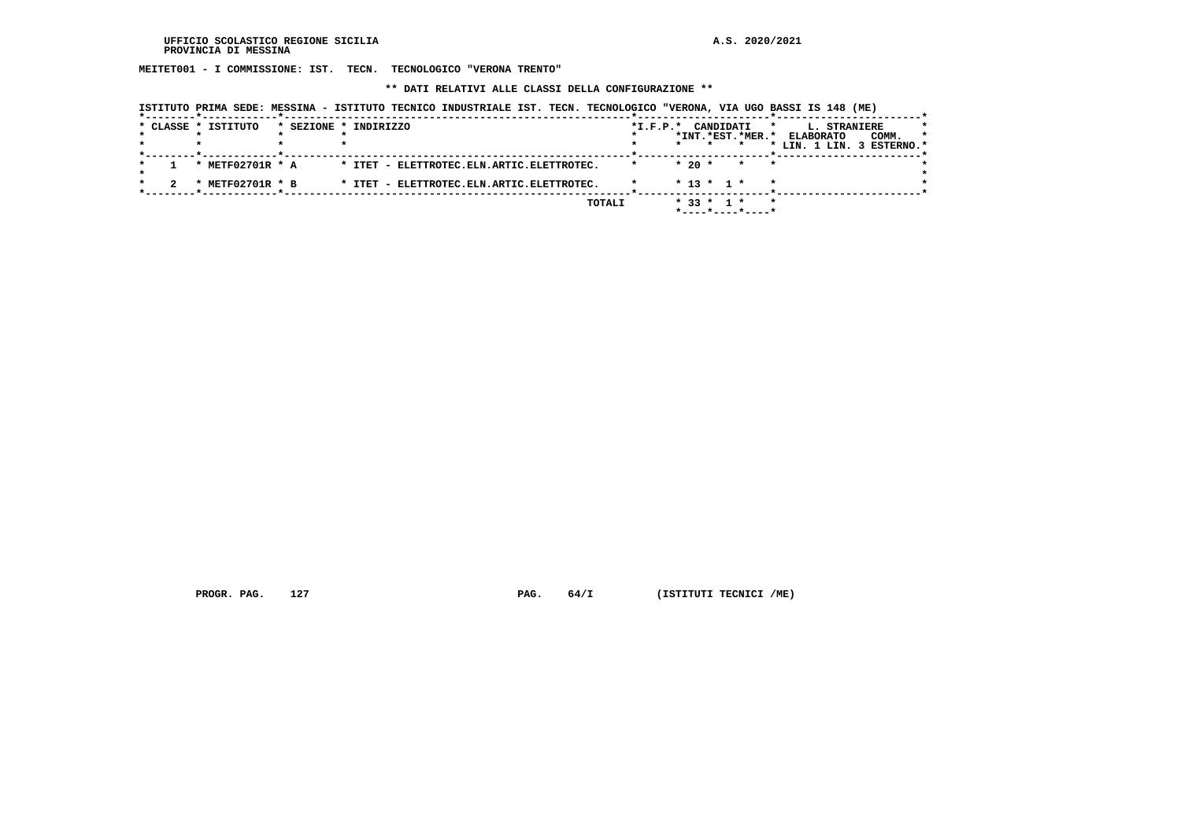**MEITET001 - I COMMISSIONE: IST. TECN. TECNOLOGICO "VERONA TRENTO"**

 **\*\* DATI RELATIVI ALLE CLASSI DELLA CONFIGURAZIONE \*\***

|  | * CLASSE * ISTITUTO       | * SEZIONE * INDIRIZZO                     | $*$ I.F.P. $*$ | CANDIDATI<br>*INT.*EST.*MER.*    | L. STRANIERE<br>*<br><b>ELABORATO</b><br>COMM.<br>$\star$<br>* LIN. 1 LIN. 3 ESTERNO.* |
|--|---------------------------|-------------------------------------------|----------------|----------------------------------|----------------------------------------------------------------------------------------|
|  | * METF02701R * A          | * ITET - ELETTROTEC.ELN.ARTIC.ELETTROTEC. |                | $*20$ *<br>$\star$<br>$\star$    |                                                                                        |
|  | METF02701R * B<br>$\cdot$ | * ITET - ELETTROTEC.ELN.ARTIC.ELETTROTEC. |                | $* 13 * 1 *$                     |                                                                                        |
|  |                           | TOTALI                                    |                | $* 33 * 1 *$<br>*----*----*----* | $\star$                                                                                |

 **ISTITUTO PRIMA SEDE: MESSINA - ISTITUTO TECNICO INDUSTRIALE IST. TECN. TECNOLOGICO "VERONA, VIA UGO BASSI IS 148 (ME)**

 **PROGR. PAG.** 127 **PROGR. PAG. 64/I** (ISTITUTI TECNICI /ME)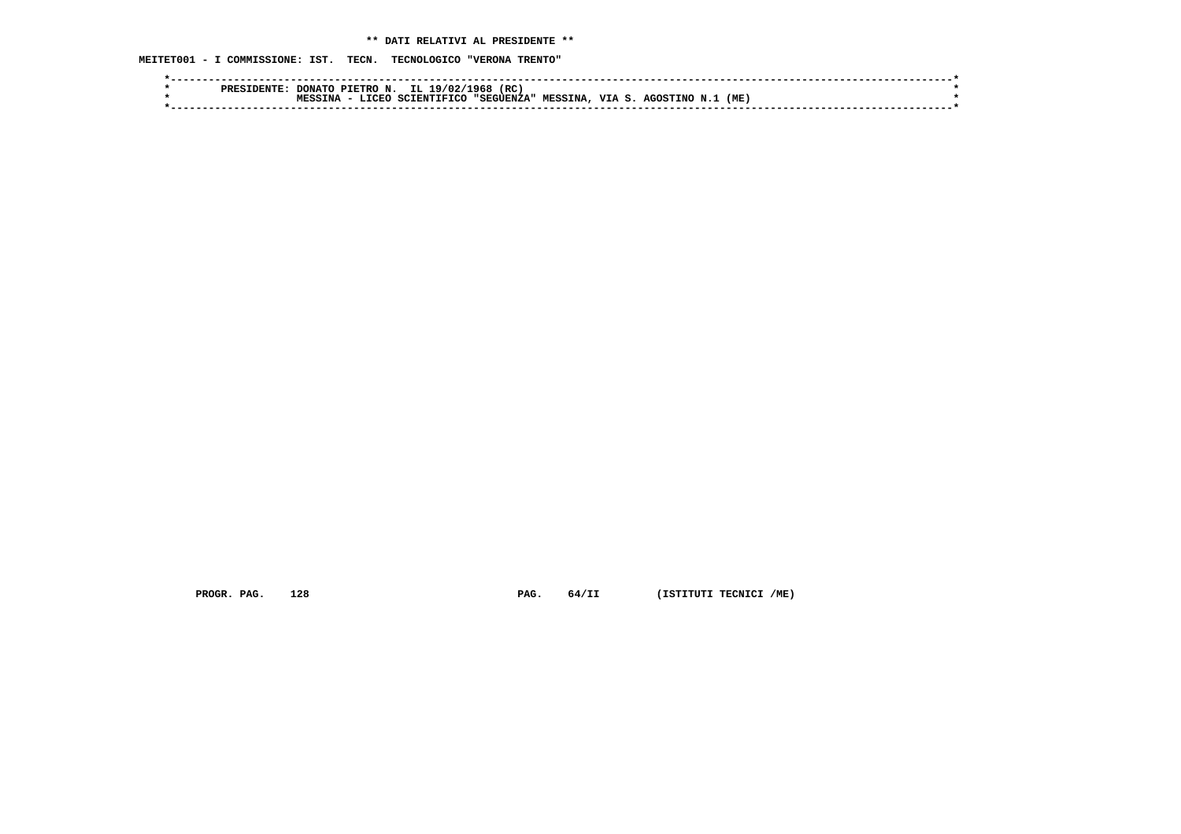# **\*\* DATI RELATIVI AL PRESIDENTE \*\***

 **MEITET001 - I COMMISSIONE: IST. TECN. TECNOLOGICO "VERONA TRENTO"**

|  | PRESI |     | DONATO PIETRO N. | IL 19/02/1968 | (RC          |                |        |          |     |  |
|--|-------|-----|------------------|---------------|--------------|----------------|--------|----------|-----|--|
|  |       | ΓNΆ | <b>T.TCEO</b>    | SCIENTIFICO   | , "SEGUENZA" | <b>MESSINA</b> | VTA S. | AGOSTINO | (ME |  |
|  |       |     |                  |               |              |                |        |          |     |  |
|  |       |     |                  |               |              |                |        |          |     |  |

 **PROGR. PAG.** 128 **PAG.** 64/II (ISTITUTI TECNICI /ME)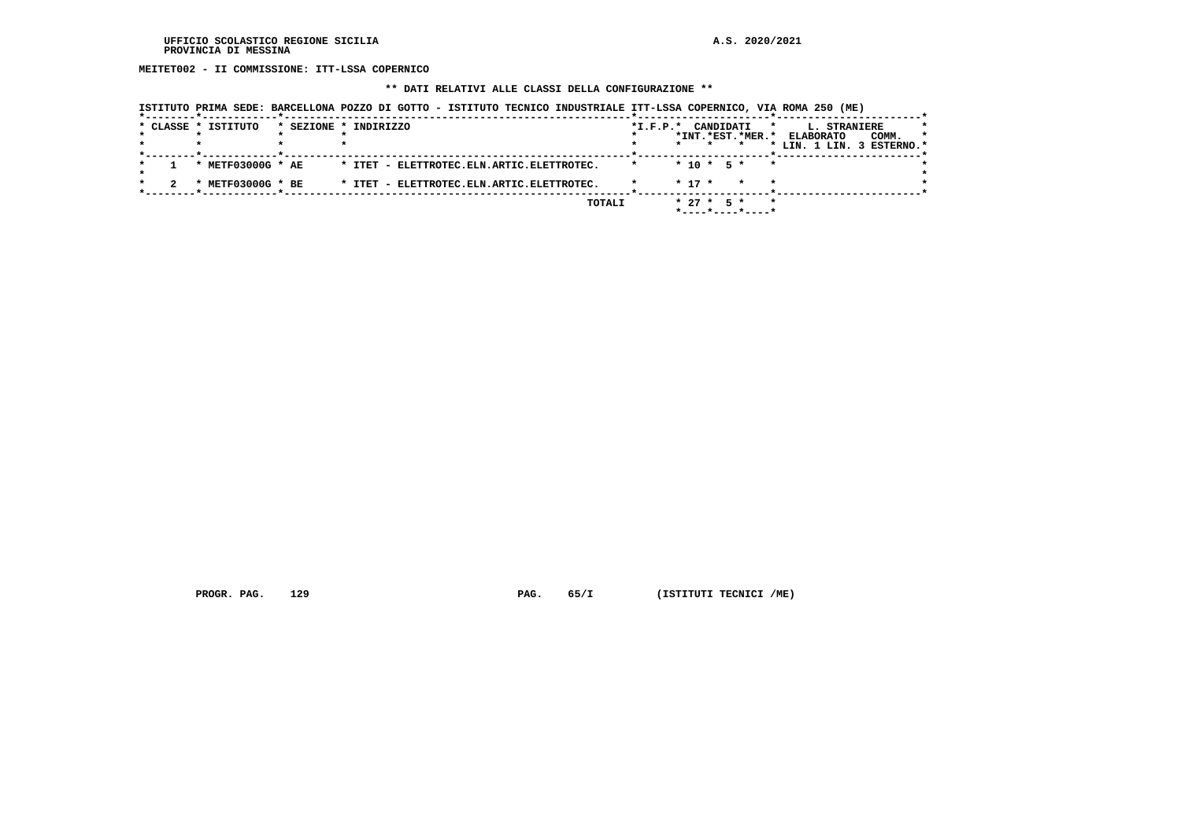**MEITET002 - II COMMISSIONE: ITT-LSSA COPERNICO**

# **\*\* DATI RELATIVI ALLE CLASSI DELLA CONFIGURAZIONE \*\***

|  |  | ISTITUTO PRIMA SEDE: BARCELLONA POZZO DI GOTTO - ISTITUTO TECNICO INDUSTRIALE ITT-LSSA COPERNICO, VIA ROMA 250 (ME) |  |  |  |
|--|--|---------------------------------------------------------------------------------------------------------------------|--|--|--|
|--|--|---------------------------------------------------------------------------------------------------------------------|--|--|--|

|  | * CLASSE * ISTITUTO            | * SEZIONE * INDIRIZZO                     | $*I.F.P.*$ | CANDIDATI<br>*              | L. STRANIERE              |         |
|--|--------------------------------|-------------------------------------------|------------|-----------------------------|---------------------------|---------|
|  |                                |                                           |            | *INT. *EST. *MER. *         | COMM.<br><b>ELABORATO</b> | $\star$ |
|  |                                |                                           |            |                             | * LIN. 1 LIN. 3 ESTERNO.* |         |
|  |                                |                                           |            |                             |                           |         |
|  | * METF03000G * AE              | * ITET - ELETTROTEC.ELN.ARTIC.ELETTROTEC. |            | $*$ 10 $*$ 5 $*$<br>$\star$ |                           |         |
|  |                                |                                           |            |                             |                           |         |
|  | METF03000G * BE<br>$\mathbf x$ | * ITET - ELETTROTEC.ELN.ARTIC.ELETTROTEC. |            | $* 17 *$<br>$\star$         |                           |         |
|  |                                |                                           |            |                             |                           |         |
|  |                                | TOTALI                                    |            | $* 27 *$<br>$\star$<br>$5*$ |                           |         |
|  |                                |                                           |            | *----*----*----*            |                           |         |

 **PROGR. PAG.** 129 **PAG.** 65/I (ISTITUTI TECNICI /ME)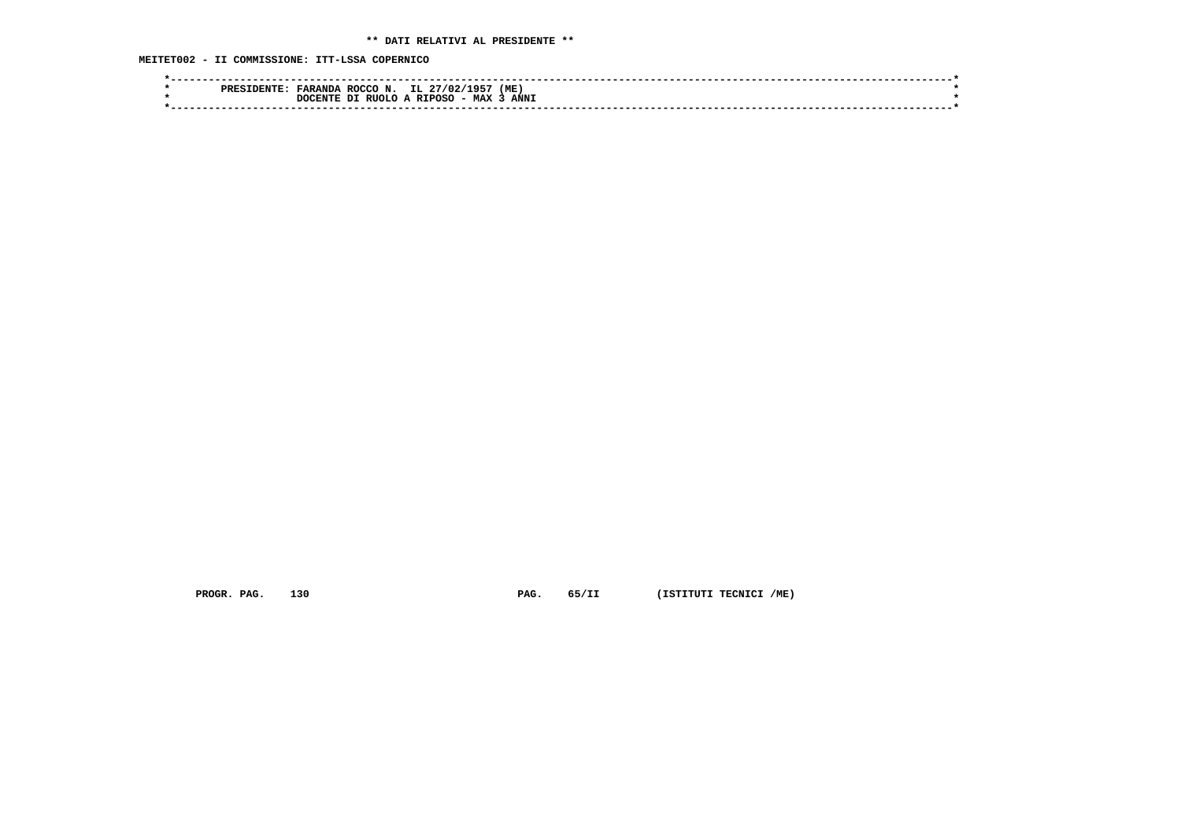**MEITET002 - II COMMISSIONE: ITT-LSSA COPERNICO**

| IL<br>∴ 60 ¤<br>(ME<br>ROCCO N.<br><b>FARANDA</b><br>27/02/<br>PRES      |  |
|--------------------------------------------------------------------------|--|
| <b>ANNI</b><br><b>MAX</b><br>RIIOLO A<br><b>RTPOSO</b><br>ית<br>חידות הר |  |
|                                                                          |  |

 **PROGR. PAG.** 130 **PAG.** 65/II (ISTITUTI TECNICI /ME)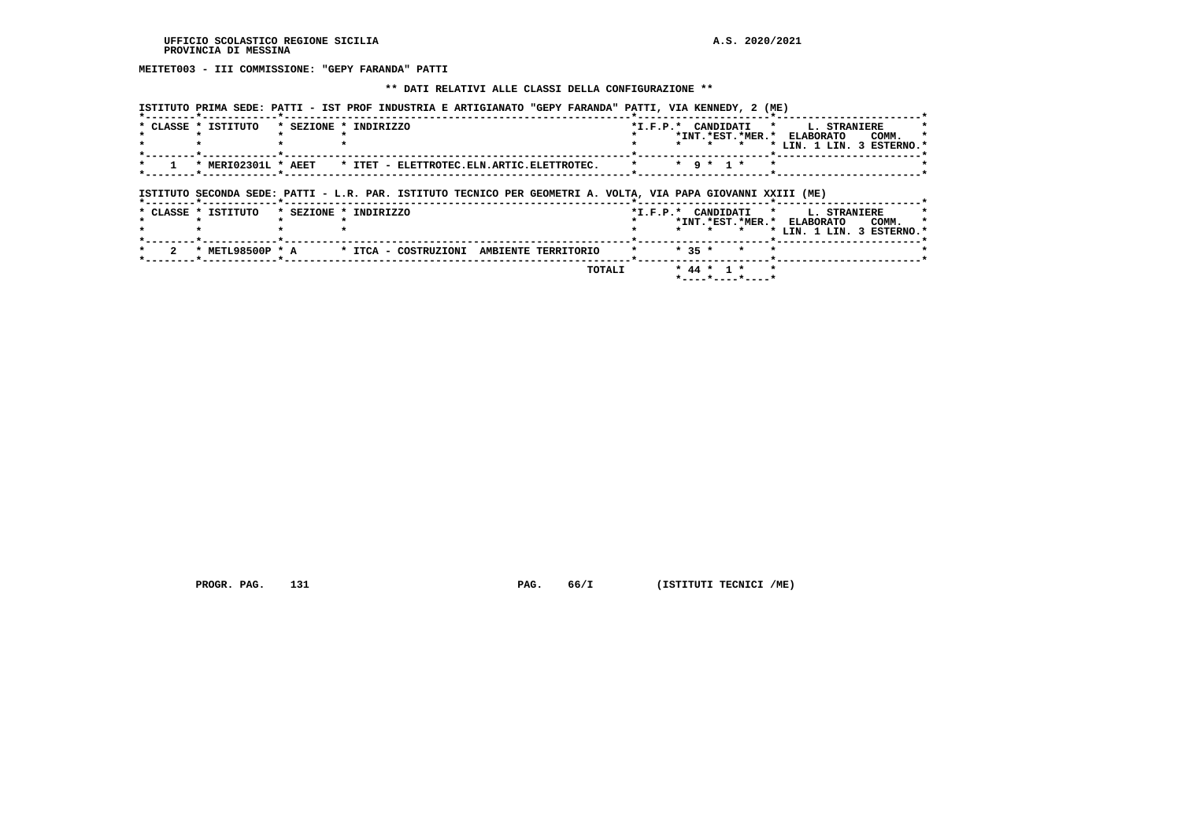**MEITET003 - III COMMISSIONE: "GEPY FARANDA" PATTI**

## **\*\* DATI RELATIVI ALLE CLASSI DELLA CONFIGURAZIONE \*\***

 **ISTITUTO PRIMA SEDE: PATTI - IST PROF INDUSTRIA E ARTIGIANATO "GEPY FARANDA" PATTI, VIA KENNEDY, 2 (ME)**

| * CLASSE * ISTITUTO | * SEZIONE * INDIRIZZO                                                                                         | *I.F.P.* CANDIDATI * L. STRANIERE<br>*INT.*EST.*MER.* ELABORATO<br>COMM.                            |
|---------------------|---------------------------------------------------------------------------------------------------------------|-----------------------------------------------------------------------------------------------------|
|                     |                                                                                                               | * LIN. 1 LIN. 3 ESTERNO.*<br>$\star$<br>$\star$                                                     |
| * MERI02301L * AEET | * ITET - ELETTROTEC.ELN.ARTIC.ELETTROTEC.                                                                     | $\star$ 9 $\star$ 1 $\star$<br>$\star$<br>$\cdot$                                                   |
|                     | ISTITUTO SECONDA SEDE: PATTI - L.R. PAR. ISTITUTO TECNICO PER GEOMETRI A. VOLTA, VIA PAPA GIOVANNI XXIII (ME) |                                                                                                     |
| * CLASSE * ISTITUTO | * SEZIONE * INDIRIZZO                                                                                         | *I.F.P.* CANDIDATI * L. STRANIERE                                                                   |
|                     |                                                                                                               | *INT.*EST.*MER.* ELABORATO<br>COMM.<br>* LIN. 1 LIN. 3 ESTERNO.*<br>$\star$ $\star$<br>$\mathbf{r}$ |
|                     |                                                                                                               |                                                                                                     |
|                     | * METL98500P * A * ITCA - COSTRUZIONI AMBIENTE TERRITORIO                                                     | $* 35 *$                                                                                            |

 **\*----\*----\*----\***

 **PROGR. PAG.** 131 **PAG.** 66/I (ISTITUTI TECNICI /ME)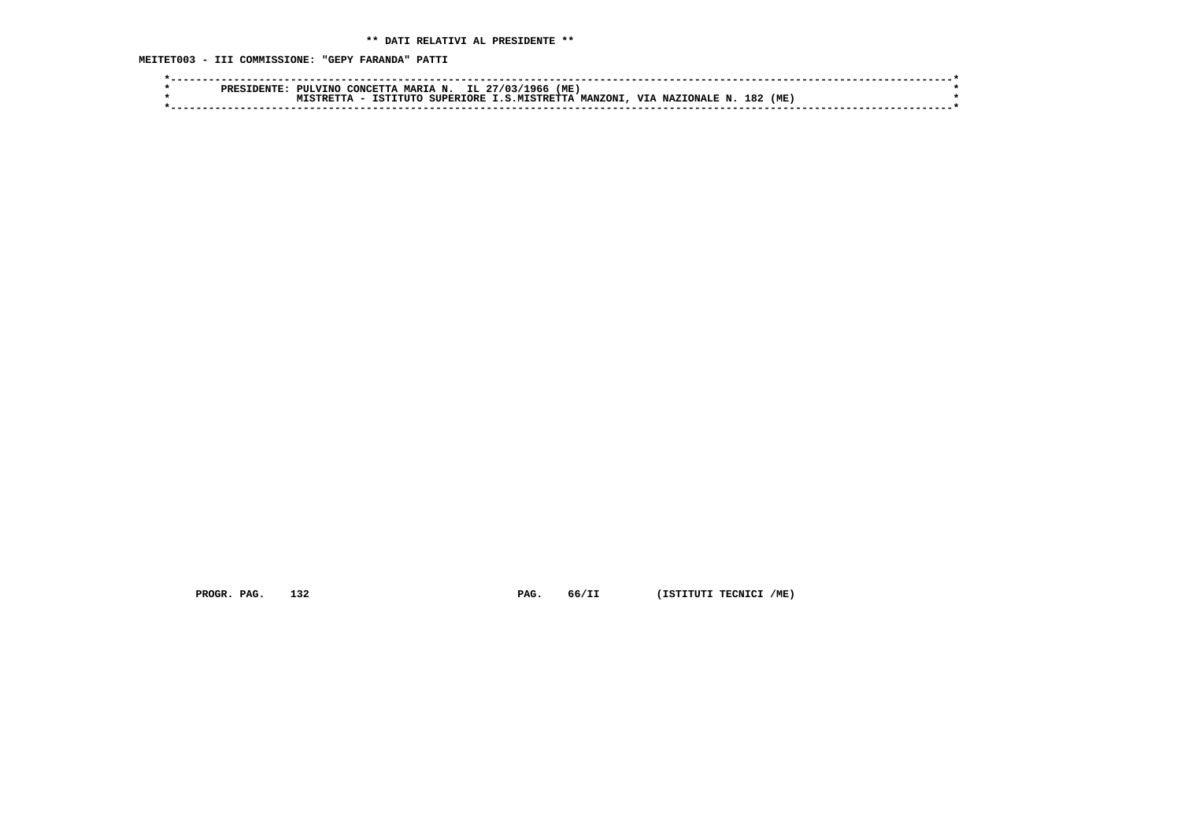**MEITET003 - III COMMISSIONE: "GEPY FARANDA" PATTI**

|  | <b>PIII.VTNO</b> | CONCETTA | A MARIA N. IL 27/03/ | '1966'                  | (ME)            |                  |            |  |
|--|------------------|----------|----------------------|-------------------------|-----------------|------------------|------------|--|
|  |                  | TSTITITO |                      | SUPERIORE I.S.MISTRETTA | <b>MANZONI.</b> | VIA NAZIONALE N. | 182<br>(ME |  |
|  |                  |          |                      |                         |                 |                  |            |  |

 **PROGR. PAG.** 132 **PAG.** 66/II (ISTITUTI TECNICI /ME)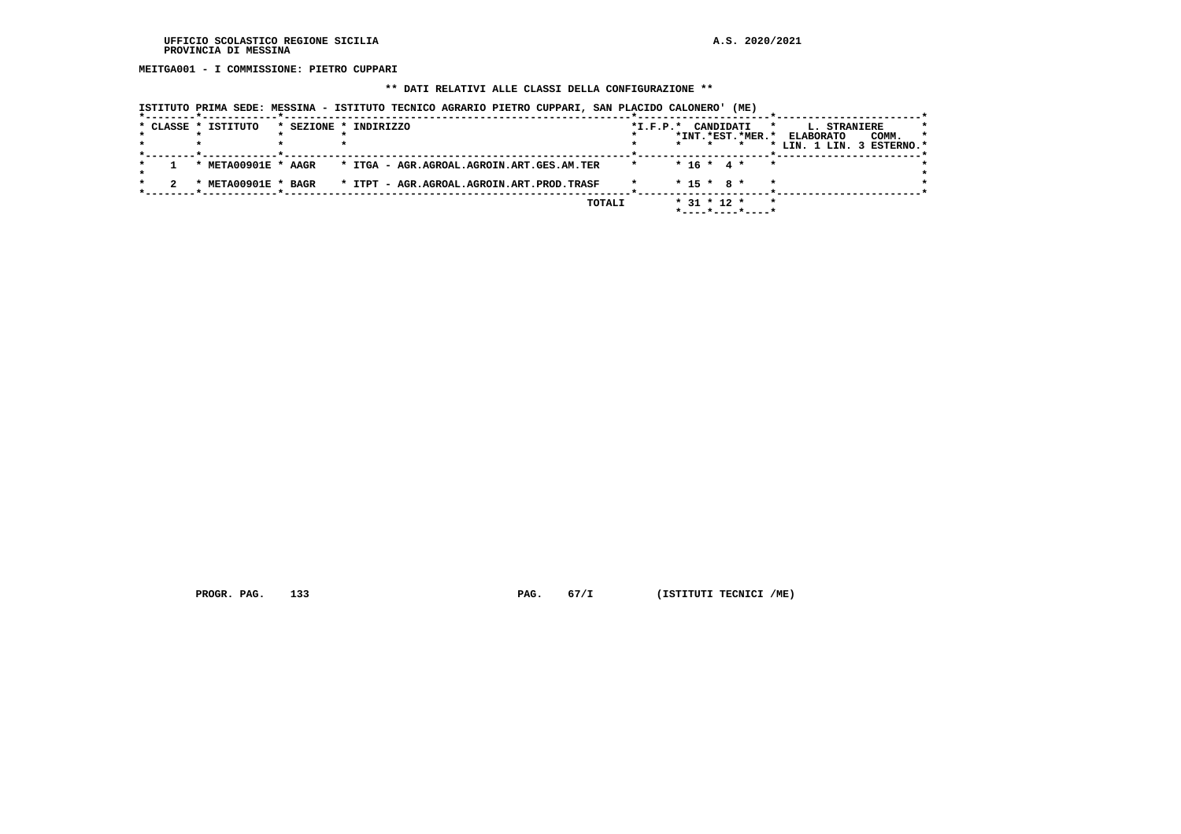**MEITGA001 - I COMMISSIONE: PIETRO CUPPARI**

## **\*\* DATI RELATIVI ALLE CLASSI DELLA CONFIGURAZIONE \*\***

| * CLASSE * ISTITUTO | * SEZIONE * INDIRIZZO                                         | $*L.F.P.*$ |                   | CANDIDATI<br>$\star$        | <b>L. STRANIERE</b>       |       |    |
|---------------------|---------------------------------------------------------------|------------|-------------------|-----------------------------|---------------------------|-------|----|
|                     |                                                               |            |                   | *INT.*EST.*MER.*            | <b>ELABORATO</b>          | COMM. | -1 |
|                     |                                                               |            | $\star$           |                             | * LIN. 1 LIN. 3 ESTERNO.* |       |    |
|                     | * META00901E * AAGR * ITGA - AGR.AGROAL.AGROIN.ART.GES.AM.TER | $\star$    | $* 16 * 4 *$      | $\star$                     |                           |       |    |
| * META00901E * BAGR | * ITPT - AGR.AGROAL.AGROIN.ART.PROD.TRASF                     |            | $* 15 * R *$      | $\star$                     |                           |       |    |
|                     | TOTALI                                                        |            | $*$ 31 $*$ 12 $*$ | $\star$<br>*----*----*----* |                           |       |    |

 **ISTITUTO PRIMA SEDE: MESSINA - ISTITUTO TECNICO AGRARIO PIETRO CUPPARI, SAN PLACIDO CALONERO' (ME)**

 **PROGR. PAG.** 133 **PAG.** 67/I (ISTITUTI TECNICI /ME)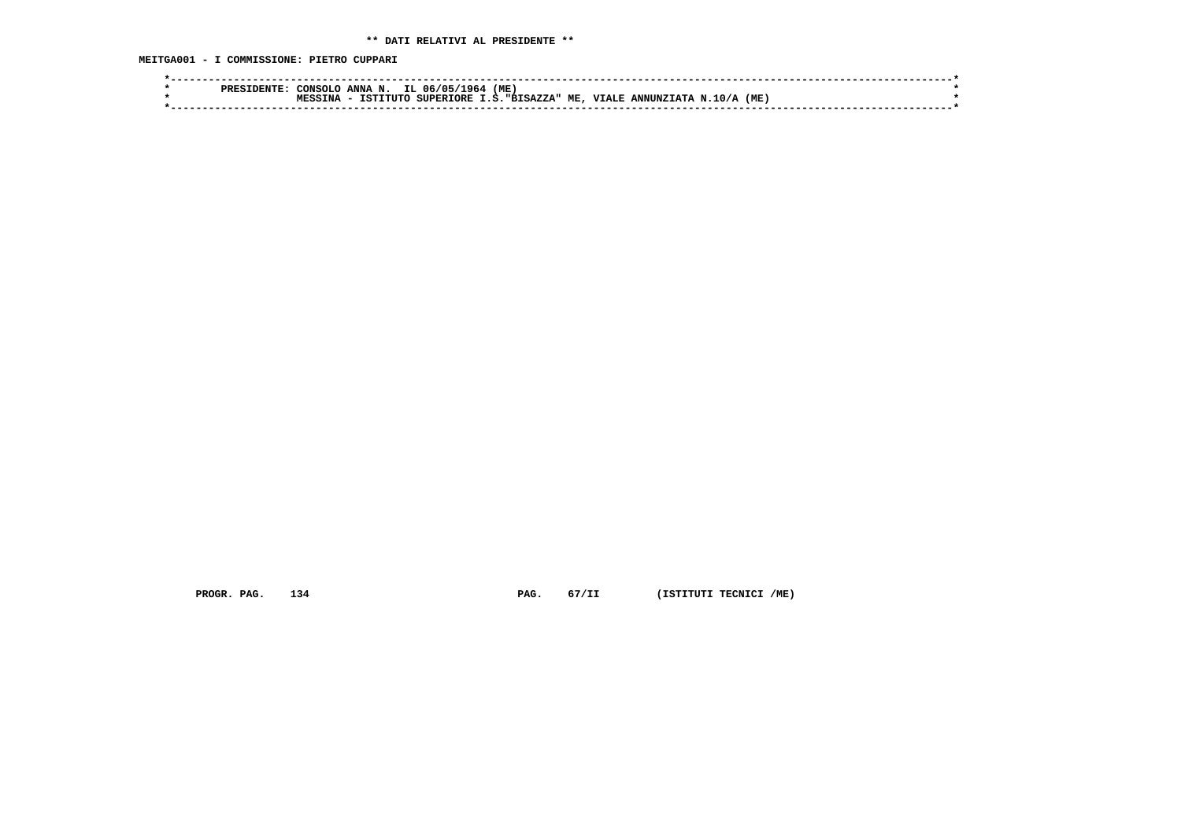**MEITGA001 - I COMMISSIONE: PIETRO CUPPARI**

|  | PRES | CONSOLC | ANNA N.  | IL 06/05/<br>1964 | (ME.               |                         |     |  |
|--|------|---------|----------|-------------------|--------------------|-------------------------|-----|--|
|  |      |         | TSTTTITC | <b>SUPERIORE</b>  | I.S. "BISAZZA" ME, | VTALE ANNUNZTATA N.10/A | (ME |  |
|  |      |         |          |                   |                    |                         |     |  |
|  |      |         |          |                   |                    |                         |     |  |

 **PROGR. PAG.** 134 **PAG.** 67/II (ISTITUTI TECNICI /ME)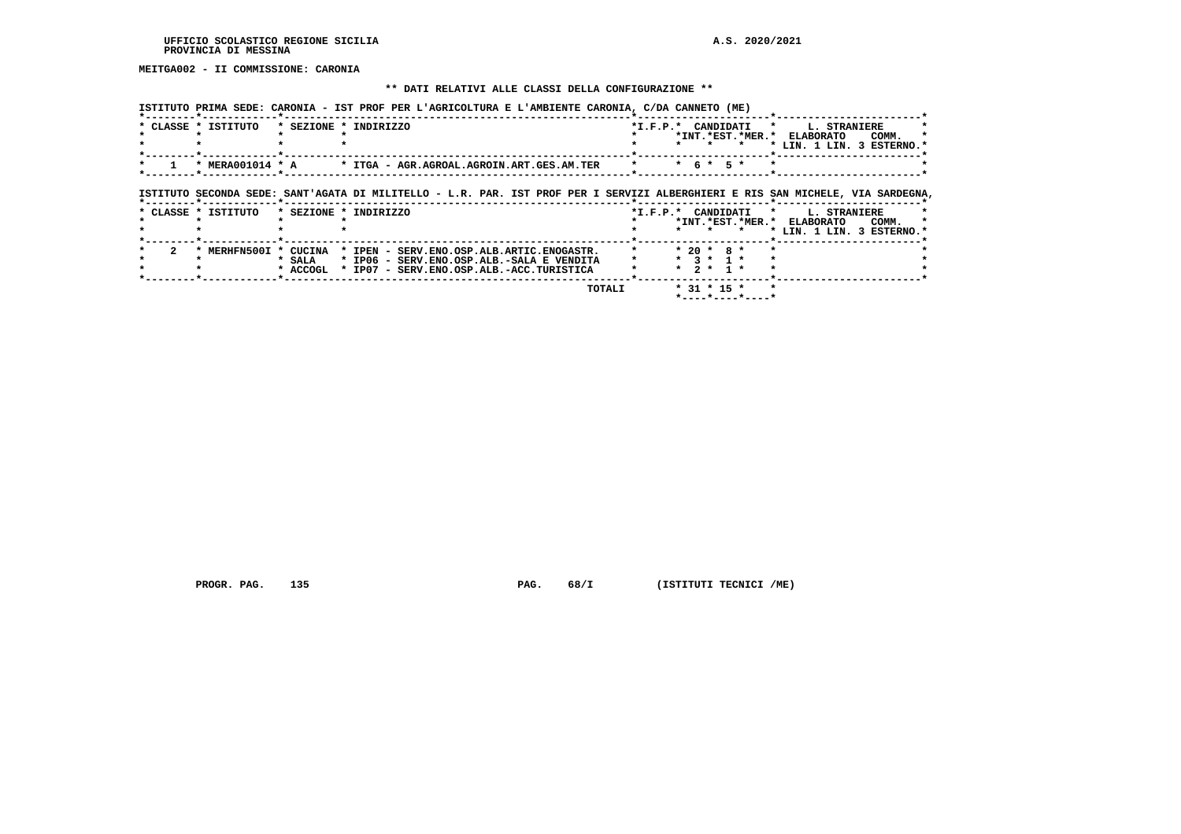**MEITGA002 - II COMMISSIONE: CARONIA**

## **\*\* DATI RELATIVI ALLE CLASSI DELLA CONFIGURAZIONE \*\***

 **ISTITUTO PRIMA SEDE: CARONIA - IST PROF PER L'AGRICOLTURA E L'AMBIENTE CARONIA, C/DA CANNETO (ME)**

| * CLASSE * ISTITUTO   |          | * SEZIONE * INDIRIZZO                                                                                                          |         |                                 |                                         | *I.F.P.* CANDIDATI * L. STRANIERE<br>*INT. *EST. *MER. * ELABORATO<br>COMM. |
|-----------------------|----------|--------------------------------------------------------------------------------------------------------------------------------|---------|---------------------------------|-----------------------------------------|-----------------------------------------------------------------------------|
|                       |          |                                                                                                                                |         |                                 | * * *                                   | * LIN. 1 LIN. 3 ESTERNO.*                                                   |
|                       |          | * MERA001014 * A * ITGA - AGR.AGROAL.AGROIN.ART.GES.AM.TER                                                                     | $\star$ | $*$ 6 $*$ 5 $*$                 |                                         |                                                                             |
|                       |          | ISTITUTO SECONDA SEDE: SANT'AGATA DI MILITELLO - L.R. PAR. IST PROF PER I SERVIZI ALBERGHIERI E RIS SAN MICHELE, VIA SARDEGNA. |         |                                 |                                         |                                                                             |
| * CLASSE * ISTITUTO   |          | * SEZIONE * INDIRIZZO                                                                                                          |         |                                 |                                         | *I.F.P.* CANDIDATI * L. STRANIERE<br>*INT.*EST.*MER.* ELABORATO<br>COMM.    |
|                       |          |                                                                                                                                |         |                                 | * * *                                   | * LIN. 1 LIN. 3 ESTERNO.*                                                   |
| * MERHFN500I * CUCINA | * SALA   | * IPEN - SERV.ENO.OSP.ALB.ARTIC.ENOGASTR.<br>* IP06 - SERV.ENO.OSP.ALB.-SALA E VENDITA                                         |         | $* 20 * 8 *$<br>$*$ 3 $*$ 1 $*$ |                                         |                                                                             |
|                       | * ACCOGL | * IP07 - SERV.ENO.OSP.ALB.-ACC.TURISTICA                                                                                       |         | $* 2 * 1 *$                     |                                         |                                                                             |
|                       |          | TOTALI                                                                                                                         |         | $*$ 31 $*$ 15 $*$               | $*$ - - - - $*$ - - - - $*$ - - - - $*$ |                                                                             |

 **PROGR. PAG.** 135 **PAG.** 68/I (ISTITUTI TECNICI /ME)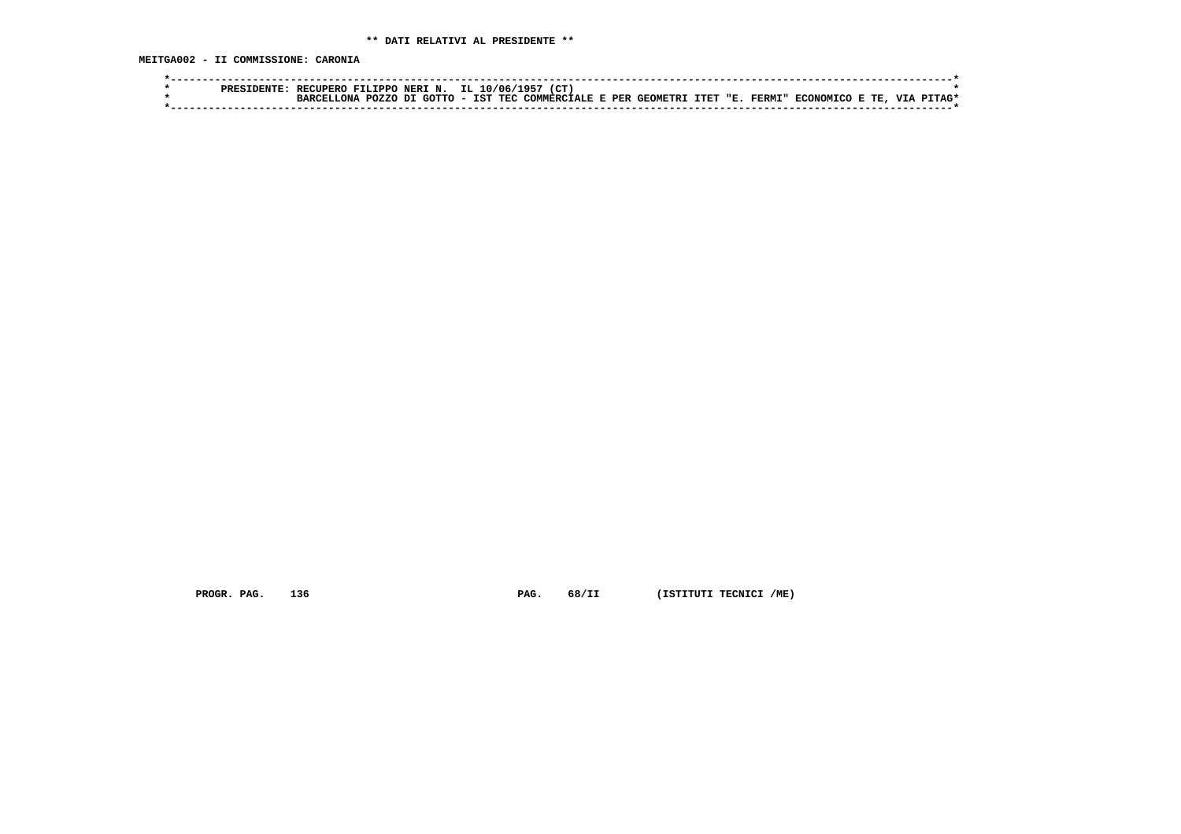**MEITGA002 - II COMMISSIONE: CARONIA**

|  | PRFS | <b>RECUPERO</b> | <b>FTI.TPPO</b> | NERI N. | IL.                      | .10/06 |  |  |                                             |  |               |                  |      |            |  |
|--|------|-----------------|-----------------|---------|--------------------------|--------|--|--|---------------------------------------------|--|---------------|------------------|------|------------|--|
|  |      | ONA             | POZZO DI GOTTO  |         | $\overline{\phantom{a}}$ |        |  |  | IST TEC COMMERCIALE E PER GEOMETRI ITET "E. |  | <b>FERMI"</b> | <b>ECONOMICO</b> | E TE | <b>TTT</b> |  |
|  |      |                 |                 |         |                          |        |  |  |                                             |  |               |                  |      |            |  |

 **PROGR. PAG.** 136 **PAG.** 68/II (ISTITUTI TECNICI /ME)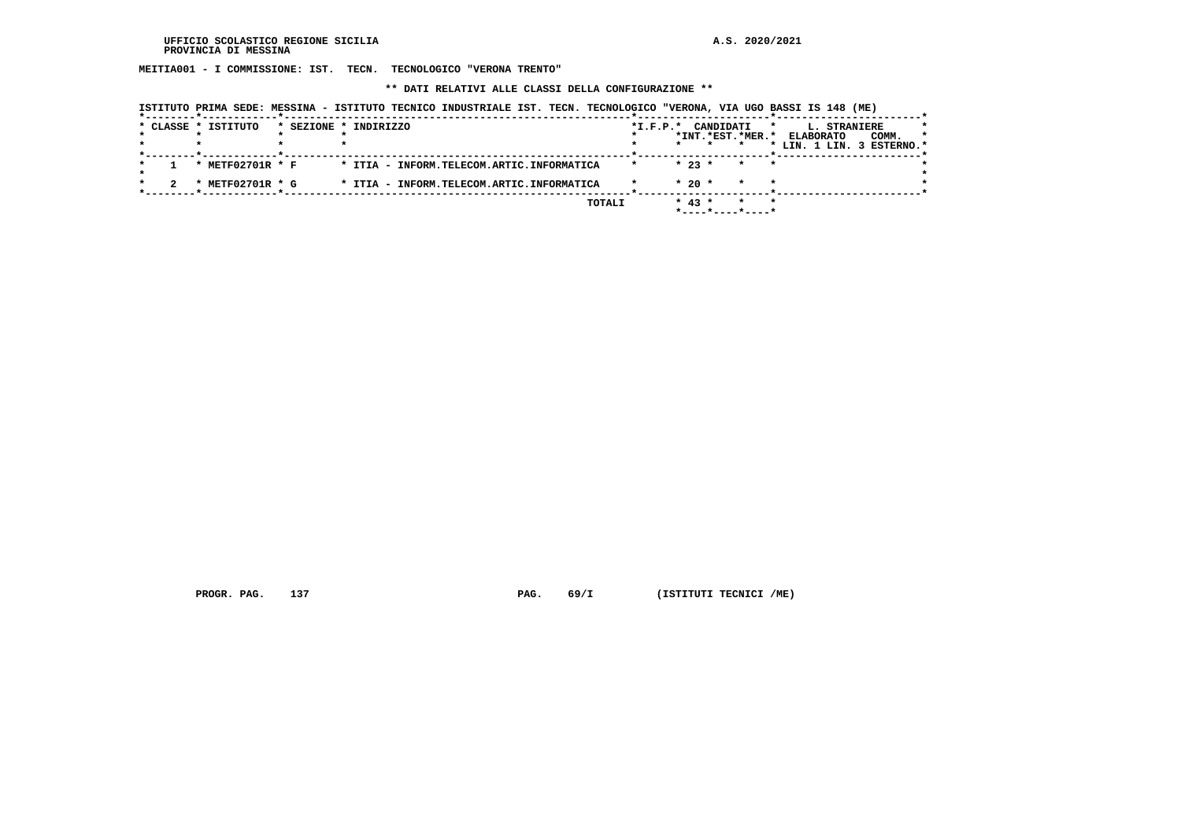**MEITIA001 - I COMMISSIONE: IST. TECN. TECNOLOGICO "VERONA TRENTO"**

 **\*\* DATI RELATIVI ALLE CLASSI DELLA CONFIGURAZIONE \*\***

|  | * CLASSE * ISTITUTO       | * SEZIONE * INDIRIZZO                     | $*I.F.P.*$ |          | CANDIDATI |                  | L. STRANIERE<br>*                             |       |  |
|--|---------------------------|-------------------------------------------|------------|----------|-----------|------------------|-----------------------------------------------|-------|--|
|  |                           |                                           |            | $\star$  |           | *INT.*EST.*MER.* | <b>ELABORATO</b><br>* LIN. 1 LIN. 3 ESTERNO.* | COMM. |  |
|  | * METF02701R * F          | * ITIA - INFORM.TELECOM.ARTIC.INFORMATICA | $\star$    | $* 23 *$ |           | $\star$          | *                                             |       |  |
|  | METF02701R * G<br>$\cdot$ | * ITIA - INFORM.TELECOM.ARTIC.INFORMATICA |            | $*20$ *  |           |                  |                                               |       |  |
|  |                           | TOTALI                                    |            | $* 43 *$ |           |                  |                                               |       |  |

 **ISTITUTO PRIMA SEDE: MESSINA - ISTITUTO TECNICO INDUSTRIALE IST. TECN. TECNOLOGICO "VERONA, VIA UGO BASSI IS 148 (ME)**

 **PROGR. PAG.** 137 **PROGR. PAG.** 69/I (ISTITUTI TECNICI /ME)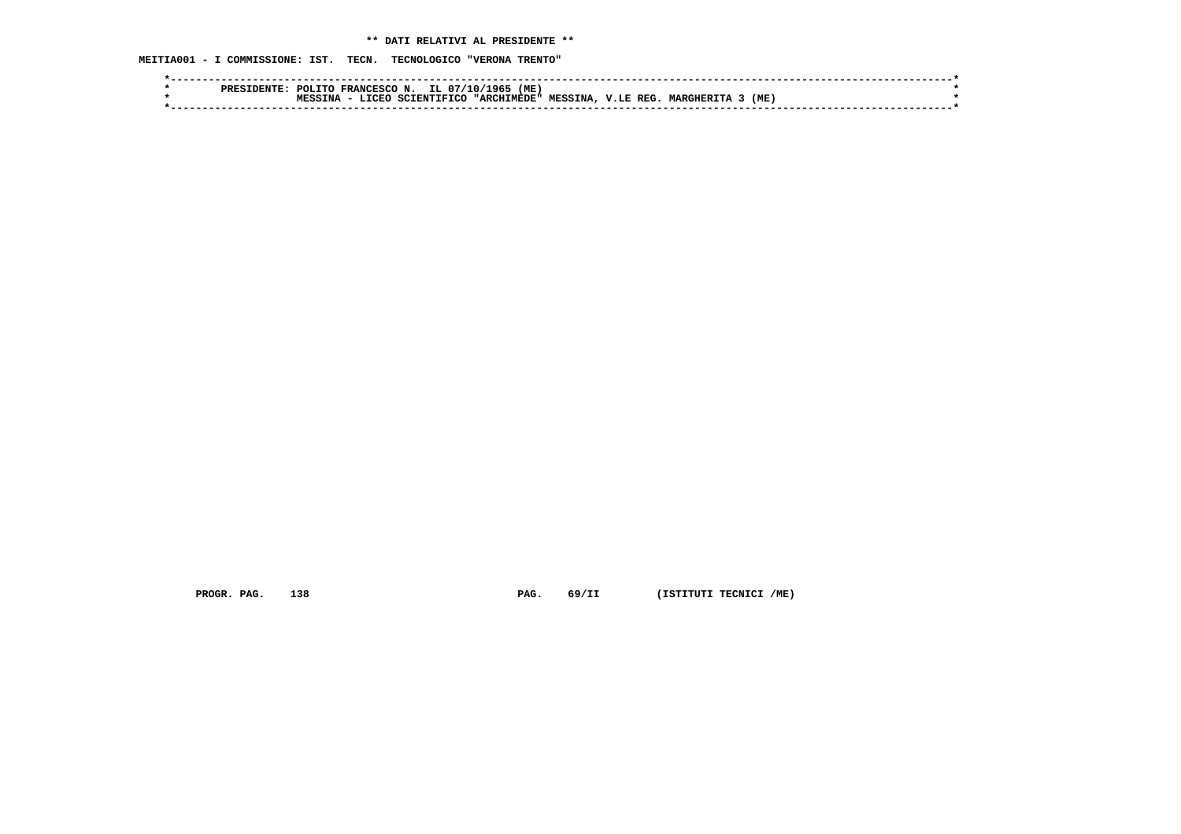**MEITIA001 - I COMMISSIONE: IST. TECN. TECNOLOGICO "VERONA TRENTO"**

| (ME)<br>IL 07/10/<br>- 196<br>POLTTO<br><b>FRANCESCO</b><br>N.<br><b>PRES</b>                                          |  |
|------------------------------------------------------------------------------------------------------------------------|--|
| (ME<br>REG<br><b>MESSINA</b><br><b>TRTCC</b><br><b>MARGHER</b><br>"ARCHIMEDE"<br>V.LE<br><b>MPCC</b><br>חזמק די<br>TNA |  |
|                                                                                                                        |  |
|                                                                                                                        |  |

 **PROGR. PAG.** 138 **PAG.** 69/II (ISTITUTI TECNICI /ME)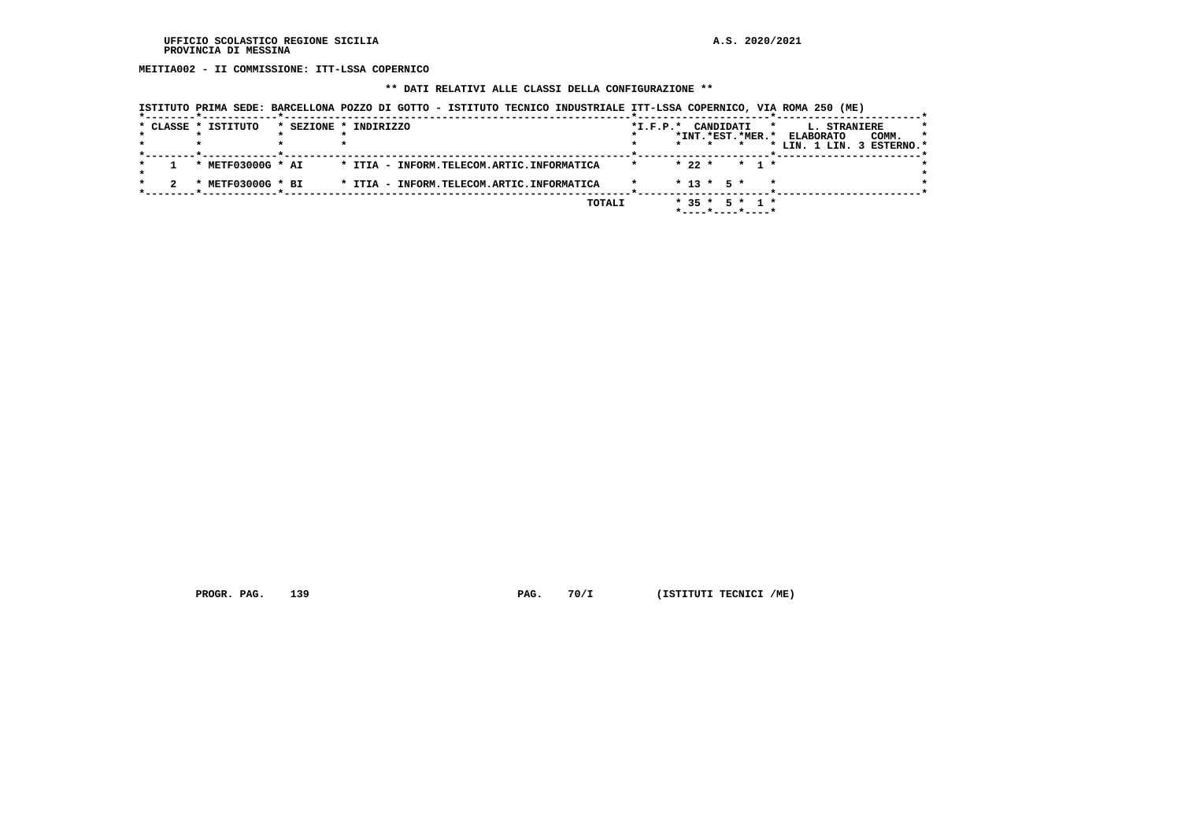**MEITIA002 - II COMMISSIONE: ITT-LSSA COPERNICO**

# **\*\* DATI RELATIVI ALLE CLASSI DELLA CONFIGURAZIONE \*\***

|  | * CLASSE * ISTITUTO | * SEZIONE * INDIRIZZO                     | $*$ I.F.P. $*$ | CANDIDATI<br>$\star$ | L. STRANIERE              |         |
|--|---------------------|-------------------------------------------|----------------|----------------------|---------------------------|---------|
|  |                     |                                           |                | *INT. *EST. *MER. *  | COMM.<br><b>ELABORATO</b> | $\star$ |
|  |                     |                                           |                |                      | * LIN. 1 LIN. 3 ESTERNO.* |         |
|  |                     |                                           |                |                      |                           |         |
|  | * METF03000G * AI   | * ITIA - INFORM.TELECOM.ARTIC.INFORMATICA | $\star$        | $* 22 * * 1 *$       |                           |         |
|  |                     |                                           |                |                      |                           |         |
|  | * METF03000G * BI   | * ITIA - INFORM.TELECOM.ARTIC.INFORMATICA |                | $*$ 13 $*$ 5 $*$     |                           |         |
|  |                     |                                           |                |                      |                           |         |
|  |                     | TOTALI                                    |                | $* 35 * 5 * 1 *$     |                           |         |
|  |                     |                                           |                | *----*----*----*     |                           |         |

 **PROGR. PAG.** 139 **PAG.** 70/I (ISTITUTI TECNICI /ME)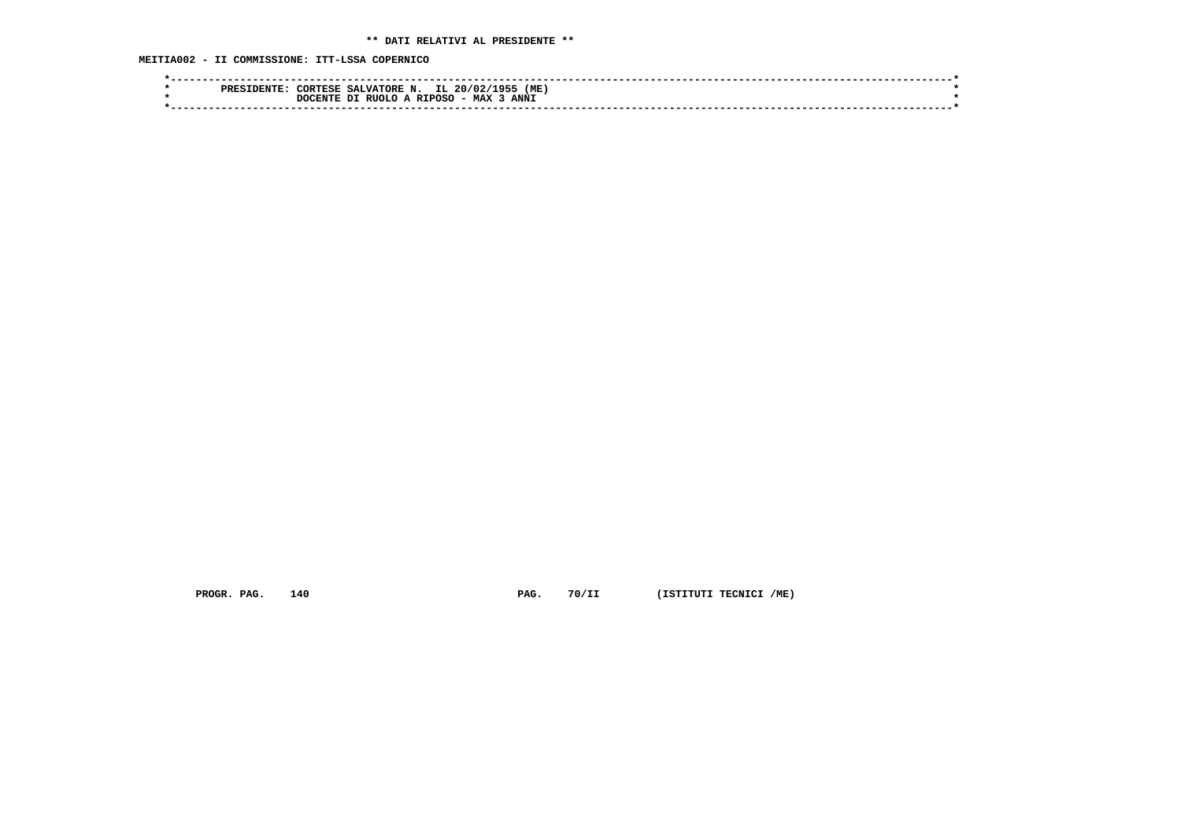**MEITIA002 - II COMMISSIONE: ITT-LSSA COPERNICO**

| IL.<br>( ME<br><b>CORTESE</b><br>SALVATORE N.<br>195-L<br>20/02/<br>PRES |  |
|--------------------------------------------------------------------------|--|
| <b>ANNI</b><br>- MAX<br>RIIOLO A<br><b>RTPOSC</b><br>ית<br>DOCENTE       |  |
|                                                                          |  |

 **PROGR. PAG.** 140 **PAG.** 70/II (ISTITUTI TECNICI /ME)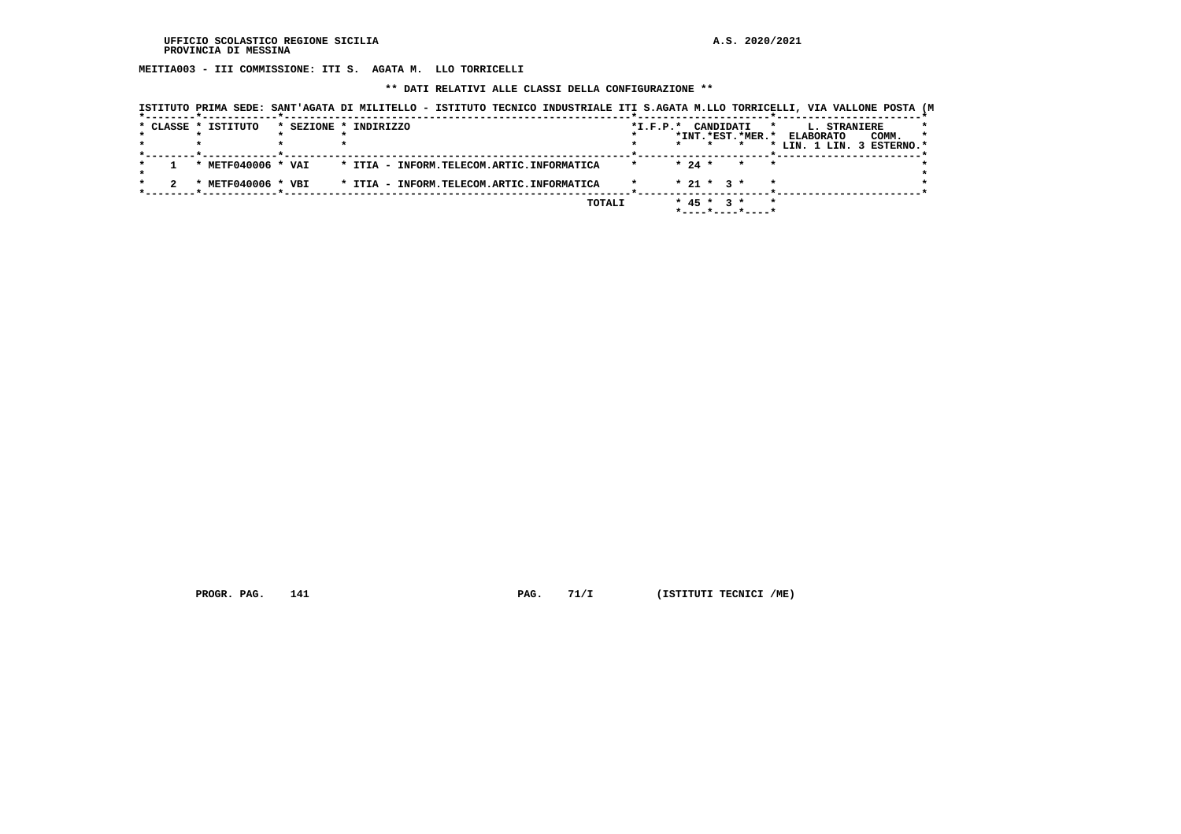**MEITIA003 - III COMMISSIONE: ITI S. AGATA M. LLO TORRICELLI**

## **\*\* DATI RELATIVI ALLE CLASSI DELLA CONFIGURAZIONE \*\***

|                     |                       | ISTITUTO PRIMA SEDE: SANT'AGATA DI MILITELLO - ISTITUTO TECNICO INDUSTRIALE ITI S.AGATA M.LLO TORRICELLI, VIA VALLONE POSTA (M |        |                    |                  |                                         |         |              |                           |         |
|---------------------|-----------------------|--------------------------------------------------------------------------------------------------------------------------------|--------|--------------------|------------------|-----------------------------------------|---------|--------------|---------------------------|---------|
| * CLASSE * ISTITUTO | * SEZIONE * INDIRIZZO |                                                                                                                                |        | *I.F.P.* CANDIDATI |                  |                                         | $\star$ | L. STRANIERE |                           |         |
|                     |                       |                                                                                                                                |        |                    |                  | *INT.*EST.*MER.* ELABORATO              |         |              | COMM.                     | $\star$ |
|                     |                       |                                                                                                                                |        |                    |                  |                                         |         |              | * LIN. 1 LIN. 3 ESTERNO.* |         |
|                     |                       |                                                                                                                                |        |                    |                  |                                         |         |              |                           |         |
| * METF040006 * VAI  |                       | * ITIA - INFORM.TELECOM.ARTIC.INFORMATICA                                                                                      |        |                    | $* 24 *$         | $\star$                                 |         |              |                           |         |
|                     |                       |                                                                                                                                |        |                    |                  |                                         |         |              |                           |         |
| * METF040006 * VBI  |                       | * ITIA - INFORM.TELECOM.ARTIC.INFORMATICA                                                                                      |        |                    | $* 21 * 3 *$     |                                         |         |              |                           |         |
|                     |                       |                                                                                                                                |        |                    |                  |                                         |         |              |                           |         |
|                     |                       |                                                                                                                                | TOTALI |                    | $*$ 45 $*$ 3 $*$ |                                         |         |              |                           |         |
|                     |                       |                                                                                                                                |        |                    |                  | $*$ - - - - $*$ - - - - $*$ - - - - $*$ |         |              |                           |         |

 **PROGR. PAG.** 141 **PAG.** 71/I (ISTITUTI TECNICI /ME)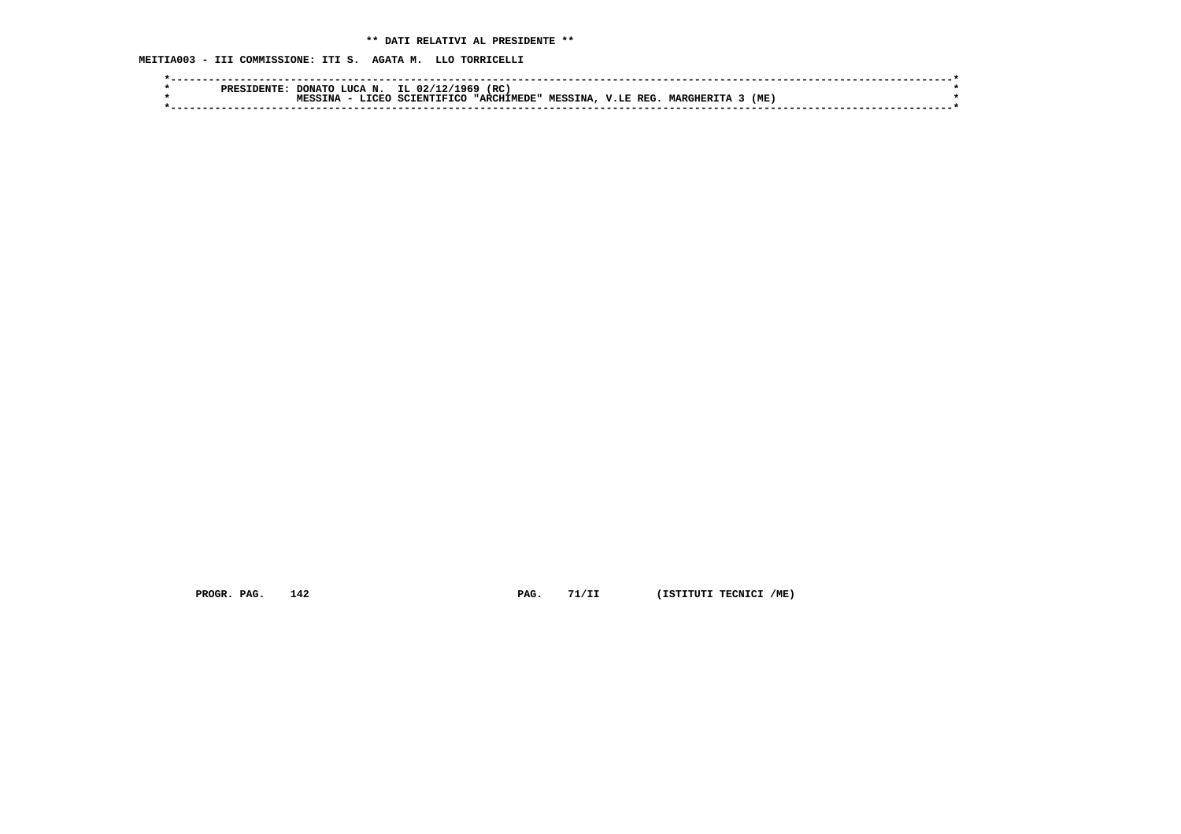**MEITIA003 - III COMMISSIONE: ITI S. AGATA M. LLO TORRICELLI**

| <b>PRES</b> | LUCA N.<br><b>DONATL</b>                     | 1969<br>IL $02/1$ | (RC         |                |                    |                |     |  |
|-------------|----------------------------------------------|-------------------|-------------|----------------|--------------------|----------------|-----|--|
|             | $  \sim$ $\sim$ $\sim$<br><b>MPCC</b><br>TNA | TETCC<br>יד גרעד  | "ARCHIMEDE" | <b>MESSINA</b> | <b>REG</b><br>V.LE | <b>MARGHER</b> | (ME |  |
|             |                                              |                   |             |                |                    |                |     |  |
|             |                                              |                   |             |                |                    |                |     |  |

 **PROGR. PAG.** 142 **PAG.** 71/II (ISTITUTI TECNICI /ME)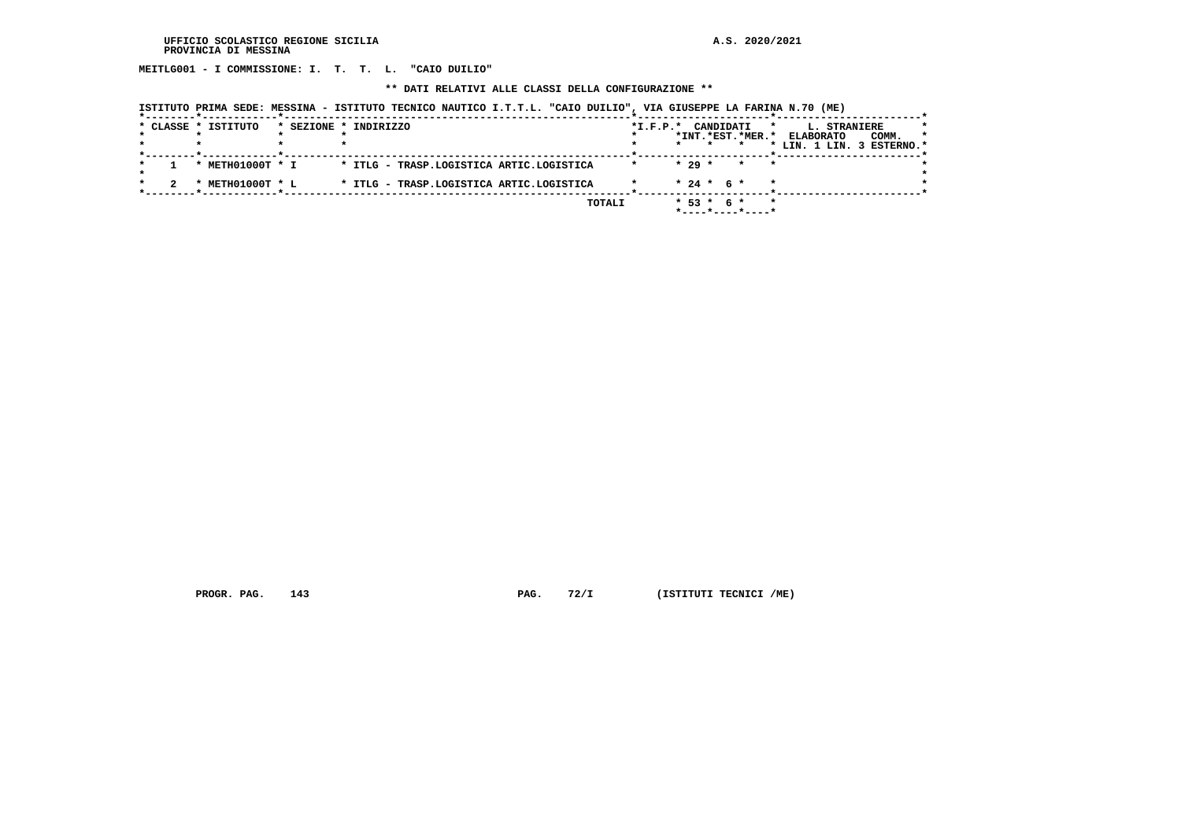**MEITLG001 - I COMMISSIONE: I. T. T. L. "CAIO DUILIO"**

 **\*\* DATI RELATIVI ALLE CLASSI DELLA CONFIGURAZIONE \*\***

|  | ISTITUTO PRIMA SEDE: MESSINA - ISTITUTO TECNICO NAUTICO I.T.T.L. "CAIO DUILIO", VIA GIUSEPPE LA FARINA N.70 (ME) |  |
|--|------------------------------------------------------------------------------------------------------------------|--|
|  |                                                                                                                  |  |

|  | * CLASSE * ISTITUTO | * SEZIONE * INDIRIZZO                    | $*I.F.P.*$ | CANDIDATI<br>$\star$                        | L. STRANIERE<br>$\star$              |
|--|---------------------|------------------------------------------|------------|---------------------------------------------|--------------------------------------|
|  |                     |                                          |            | *INT.*EST.*MER.*                            | COMM.<br><b>ELABORATO</b><br>$\star$ |
|  |                     |                                          |            | $\star$                                     | * LIN. 1 LIN. 3 ESTERNO.*            |
|  | * METH01000T * I    | * ITLG - TRASP.LOGISTICA ARTIC.LOGISTICA |            | $* 29 *$<br>$\star$<br>$\star$              |                                      |
|  | METH01000T * L      | * ITLG - TRASP.LOGISTICA ARTIC.LOGISTICA |            | $* 24 * 6 *$<br>$\star$                     |                                      |
|  |                     | <b>TOTALI</b>                            |            | $* 53 * 6 *$<br>$\star$<br>*----*----*----* |                                      |

 **PROGR. PAG.** 143 **PAG.** 72/I (ISTITUTI TECNICI /ME)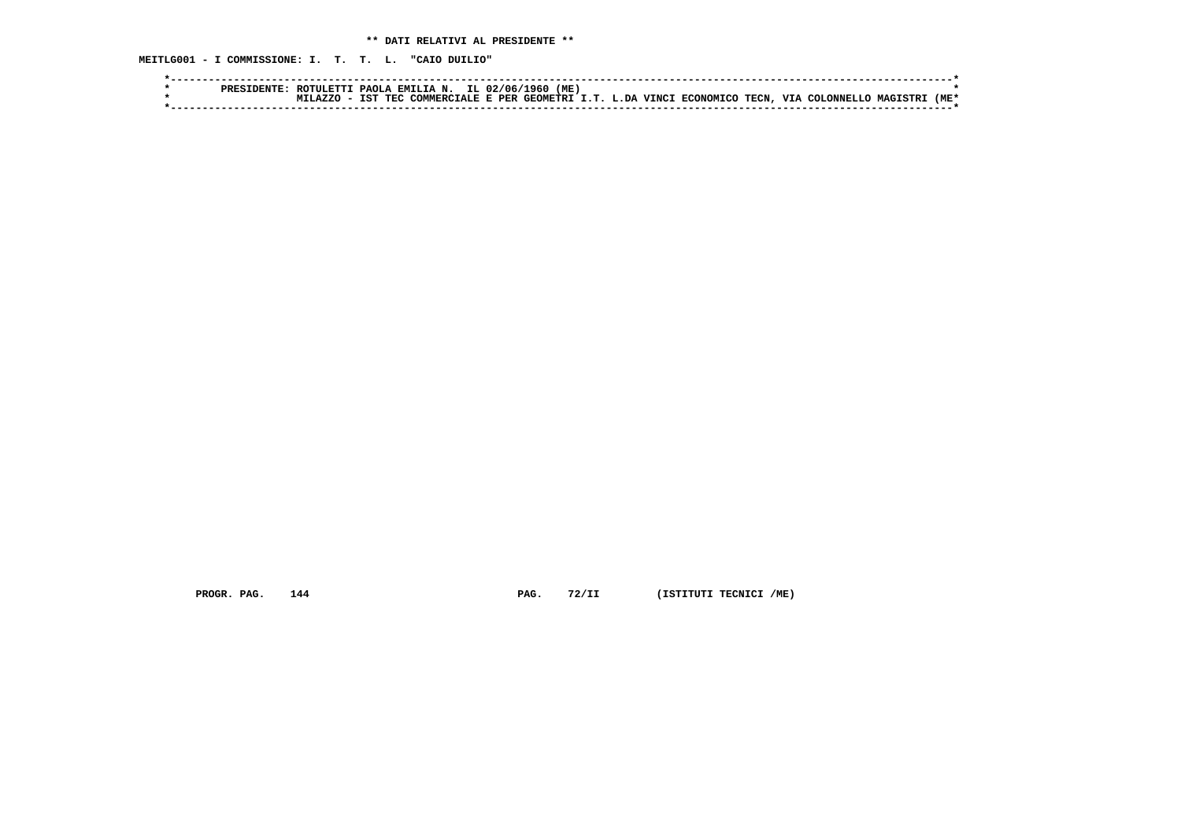**MEITLG001 - I COMMISSIONE: I. T. T. L. "CAIO DUILIO"**

|  | ROTULETTI PAOLA EMILIA N. IL 02/06/1960 |  |  | (ME) |  |                                                                      |  |                         |      |
|--|-----------------------------------------|--|--|------|--|----------------------------------------------------------------------|--|-------------------------|------|
|  |                                         |  |  |      |  | . IST TEC COMMERCIALE E PER GEOMETRI I.T. L.DA VINCI ECONOMICO TECN, |  | VIA COLONNELLO MAGISTRI | (ME* |
|  |                                         |  |  |      |  |                                                                      |  |                         |      |

 **PROGR. PAG.** 144 **PAG.** 72/II (ISTITUTI TECNICI /ME)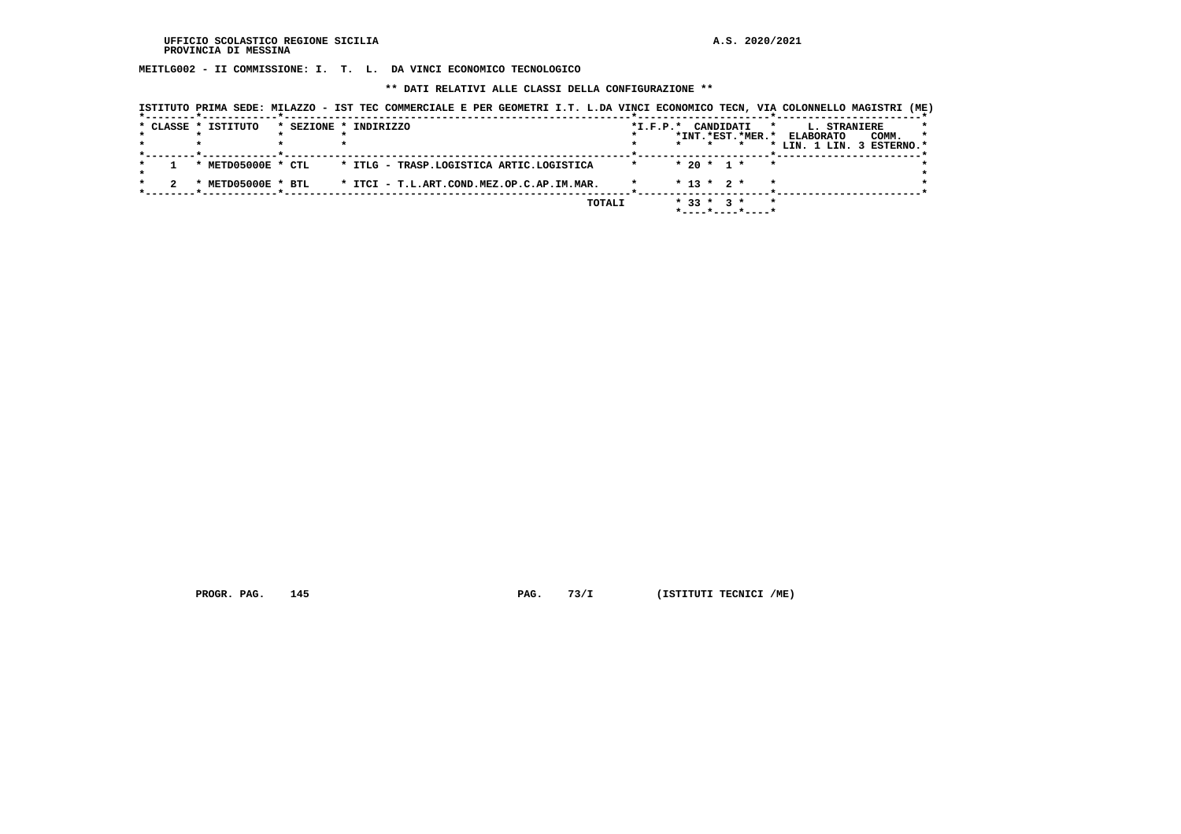**MEITLG002 - II COMMISSIONE: I. T. L. DA VINCI ECONOMICO TECNOLOGICO**

 **\*\* DATI RELATIVI ALLE CLASSI DELLA CONFIGURAZIONE \*\***

|                     | ISTITUTO PRIMA SEDE: MILAZZO - IST TEC COMMERCIALE E PER GEOMETRI I.T. L.DA VINCI ECONOMICO TECN, VIA COLONNELLO MAGISTRI (ME) |        |                |                  |                                   |         |                                                                         |       |   |
|---------------------|--------------------------------------------------------------------------------------------------------------------------------|--------|----------------|------------------|-----------------------------------|---------|-------------------------------------------------------------------------|-------|---|
| * CLASSE * ISTITUTO | * SEZIONE * INDIRIZZO                                                                                                          |        | $*$ I.F.P. $*$ |                  | CANDIDATI                         | $\star$ | L. STRANIERE<br>*INT.*EST.*MER.* ELABORATO<br>* LIN. 1 LIN. 3 ESTERNO.* | COMM. | * |
| * METD05000E * CTL  | * ITLG - TRASP.LOGISTICA ARTIC.LOGISTICA                                                                                       |        |                |                  | $*$ 20 $*$ 1 $*$                  |         |                                                                         |       |   |
| * METD05000E * BTL  | * ITCI - T.L.ART.COND.MEZ.OP.C.AP.IM.MAR.                                                                                      |        |                | $* 13 * 2 *$     |                                   |         |                                                                         |       |   |
|                     |                                                                                                                                | TOTALI |                | $*$ 33 $*$ 3 $*$ | $*$ - - - - * - - - - * - - - - * |         |                                                                         |       |   |

 **PROGR. PAG.** 145 **PAG.** 73/I (ISTITUTI TECNICI /ME)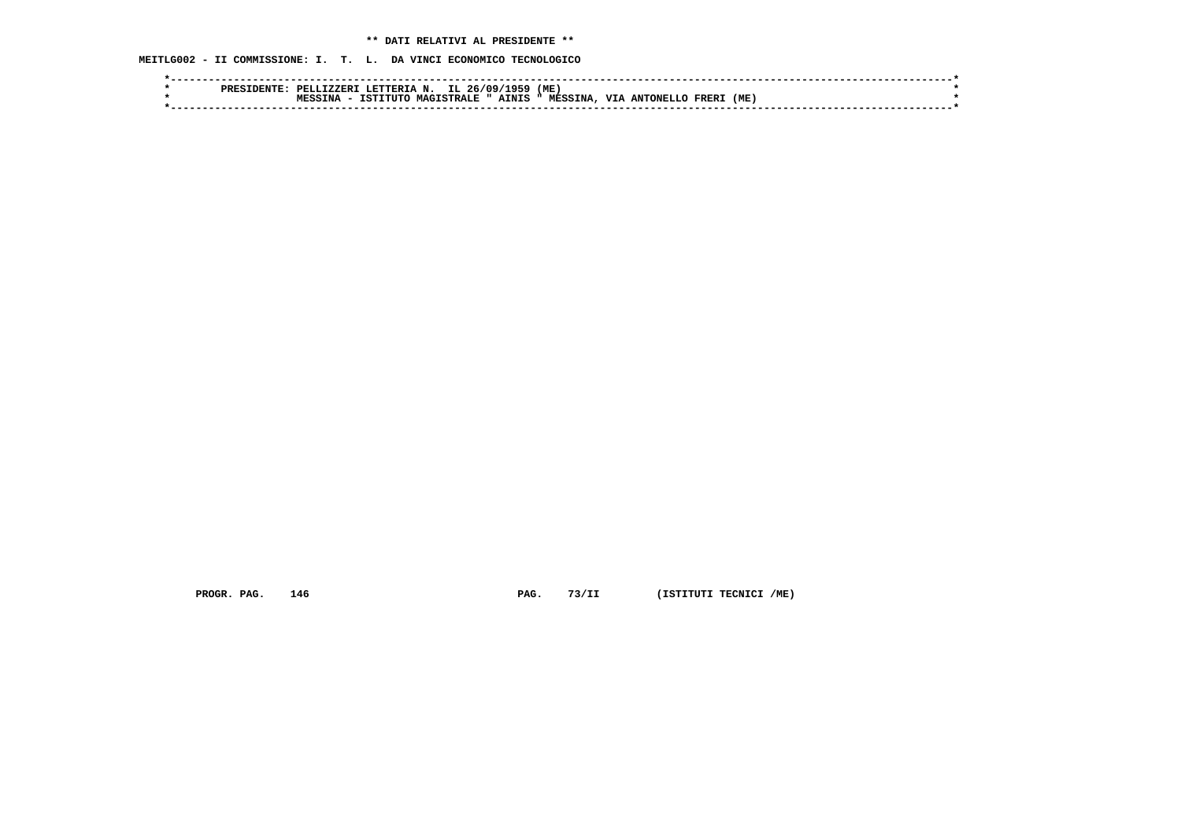**MEITLG002 - II COMMISSIONE: I. T. L. DA VINCI ECONOMICO TECNOLOGICO**

|  | <b>RNTF</b><br>555ct | PRT.I.<br><b>TZZER</b> | LETTERTAN.                    | IL                  | $26/09/$<br>1959 | (ME)           |            |           |       |      |  |  |
|--|----------------------|------------------------|-------------------------------|---------------------|------------------|----------------|------------|-----------|-------|------|--|--|
|  |                      |                        | $\cdot$ T TITT $\cap$<br>TOM: | <b>MAGISTRALE "</b> | <b>AINIS</b>     | <b>MESSINA</b> | <b>TTT</b> | ANTONELL. | FRER. | ( ME |  |  |
|  |                      |                        |                               |                     |                  |                |            |           |       |      |  |  |

 **PROGR. PAG.** 146 **PAG.** 73/II (ISTITUTI TECNICI /ME)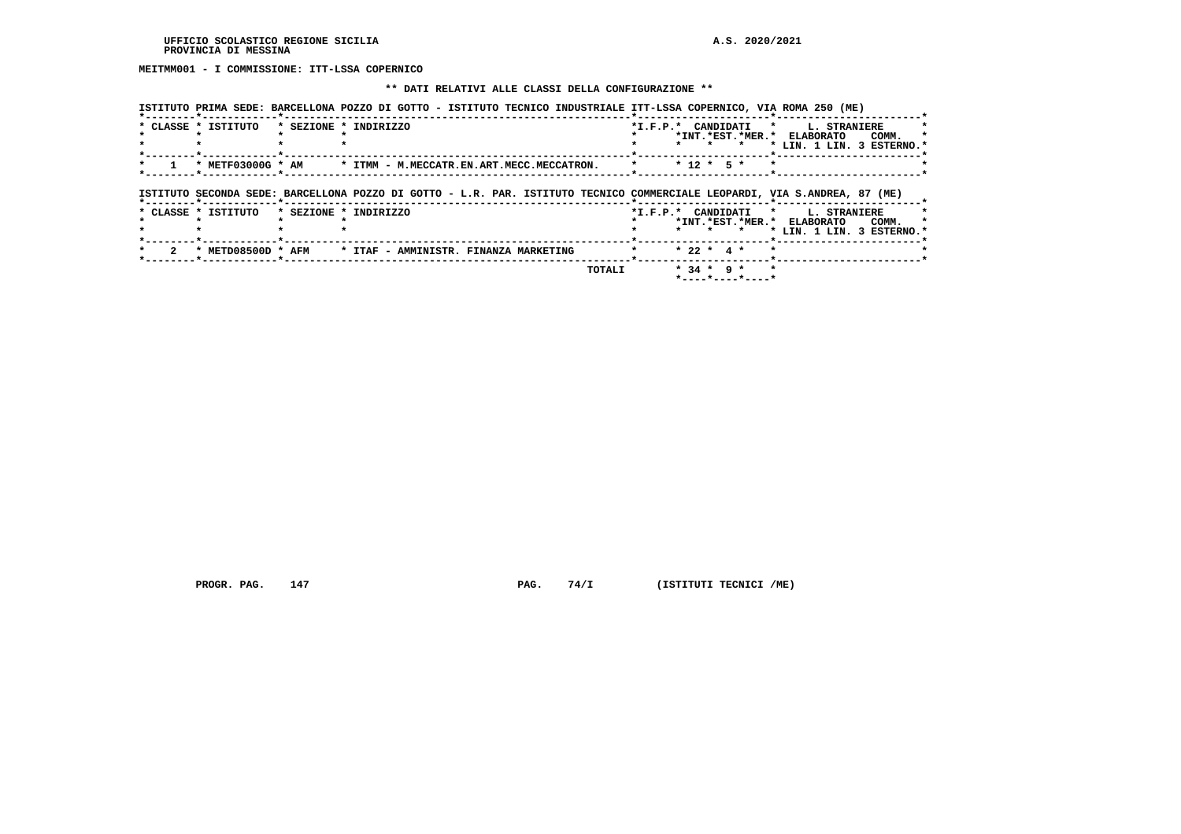**MEITMM001 - I COMMISSIONE: ITT-LSSA COPERNICO**

#### **\*\* DATI RELATIVI ALLE CLASSI DELLA CONFIGURAZIONE \*\***

|                     |                       | ISTITUTO PRIMA SEDE: BARCELLONA POZZO DI GOTTO - ISTITUTO TECNICO INDUSTRIALE ITT-LSSA COPERNICO, VIA ROMA 250 (ME)       |                                                                                                                                |
|---------------------|-----------------------|---------------------------------------------------------------------------------------------------------------------------|--------------------------------------------------------------------------------------------------------------------------------|
| * CLASSE * ISTITUTO | * SEZIONE * INDIRIZZO |                                                                                                                           | *I.F.P.* CANDIDATI<br>$\star$ .<br>L. STRANIERE<br>*INT.*EST.*MER.* ELABORATO<br>COMM.<br>$\star$<br>* LIN. 1 LIN. 3 ESTERNO.' |
| * METF03000G * AM   |                       | * ITMM - M.MECCATR.EN.ART.MECC.MECCATRON.                                                                                 | $* 12 * 5 *$                                                                                                                   |
|                     |                       | ISTITUTO SECONDA SEDE: BARCELLONA POZZO DI GOTTO - L.R. PAR. ISTITUTO TECNICO COMMERCIALE LEOPARDI, VIA S.ANDREA, 87 (ME) |                                                                                                                                |
| * CLASSE * ISTITUTO | * SEZIONE * INDIRIZZO |                                                                                                                           | *I.F.P.* CANDIDATI *<br><b>L. STRANIERE</b><br>*INT.*EST.*MER.*<br><b>ELABORATO</b><br>COMM.<br>* LIN. 1 LIN. 3 ESTERNO.*      |
| * METD08500D * AFM  |                       | * ITAF - AMMINISTR. FINANZA MARKETING                                                                                     | $* 22 * 4 *$<br>$\star$                                                                                                        |
|                     |                       | TOTALI                                                                                                                    | $* 34 * 9 *$<br>$\star$<br>$*$ - - - - $*$ - - - - $*$ - - - - $*$                                                             |

 **PROGR. PAG.** 147 **PAG.** 74/I (ISTITUTI TECNICI /ME)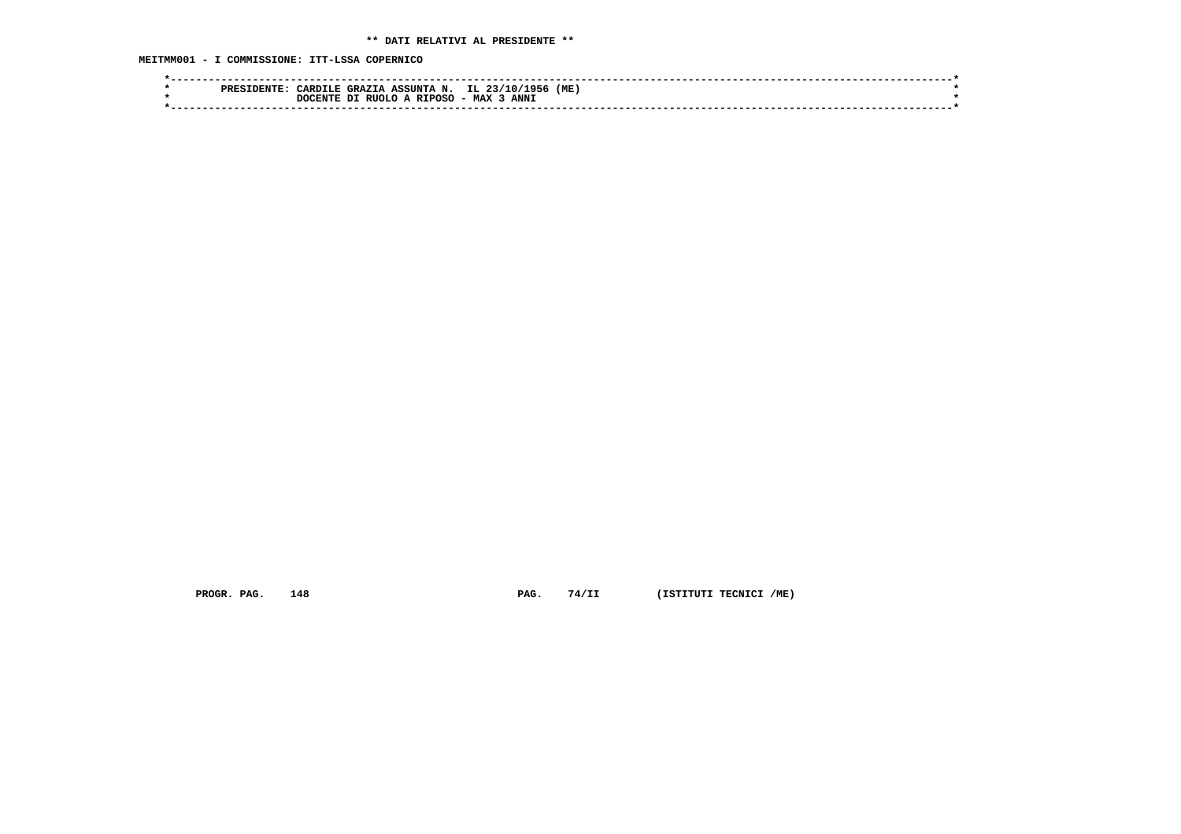**MEITMM001 - I COMMISSIONE: ITT-LSSA COPERNICO**

| IL.<br>'ME<br>ASSINTA N.<br><b>GRAZTA</b><br>ARDTLE.         |  |
|--------------------------------------------------------------|--|
| <b>MAX</b><br>ANN <sub>1</sub><br>דרודם<br>חיות די<br>`TΡΩS. |  |
|                                                              |  |
|                                                              |  |

 **PROGR. PAG.** 148 **PAG.** 74/II (ISTITUTI TECNICI /ME)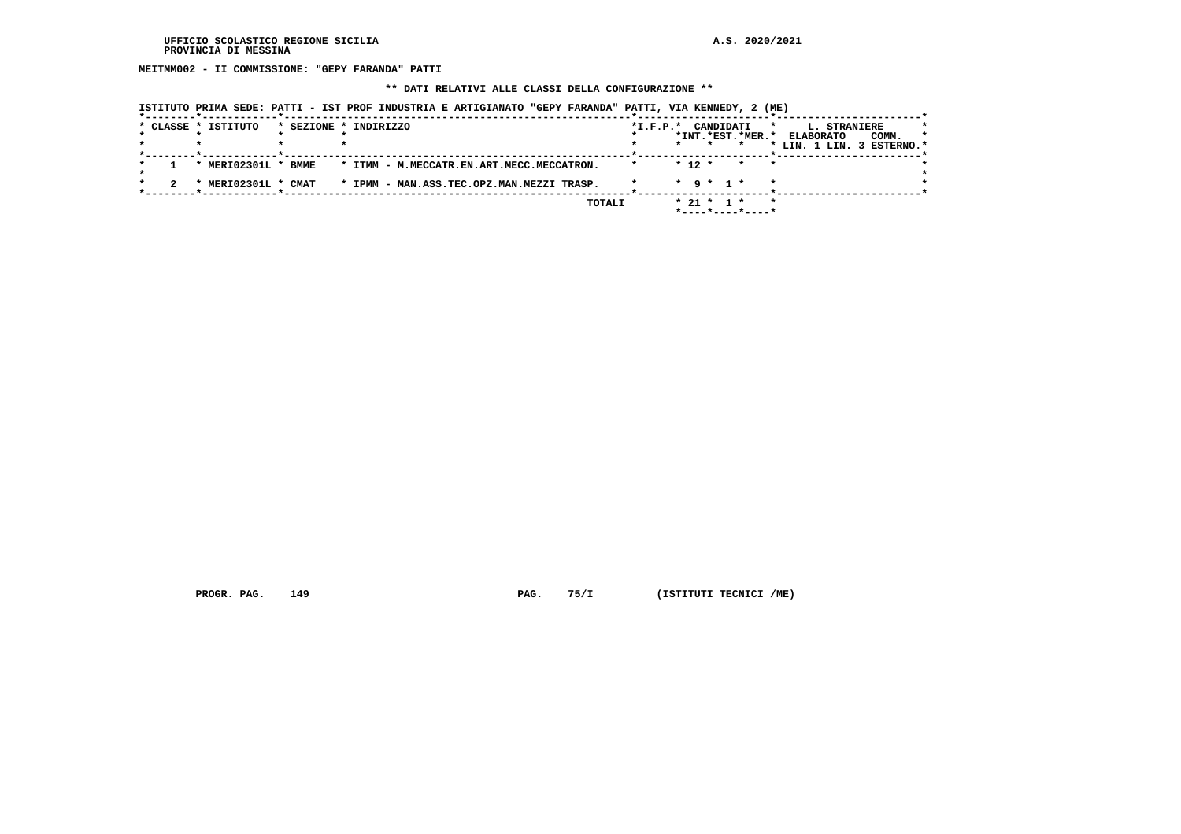**MEITMM002 - II COMMISSIONE: "GEPY FARANDA" PATTI**

# **\*\* DATI RELATIVI ALLE CLASSI DELLA CONFIGURAZIONE \*\***

|  | * CLASSE * ISTITUTO | * SEZIONE * INDIRIZZO                     | $*I.F.P.*$ | CANDIDATI                              | L. STRANIERE<br>$\star$   | *       |
|--|---------------------|-------------------------------------------|------------|----------------------------------------|---------------------------|---------|
|  |                     |                                           |            | *INT.*EST.*MER.*                       | COMM.<br><b>ELABORATO</b> | $\star$ |
|  |                     |                                           |            |                                        | * LIN. 1 LIN. 3 ESTERNO.* |         |
|  | * MERI02301L * BMME | * ITMM - M.MECCATR.EN.ART.MECC.MECCATRON. |            | $* 12 *$<br>$\star$<br>$\star$         |                           |         |
|  | MERI02301L * CMAT   | * IPMM - MAN.ASS.TEC.OPZ.MAN.MEZZI TRASP. |            | $\star$ 9 $\star$ 1 $\star$<br>$\star$ |                           |         |
|  |                     | TOTALI                                    |            | $* 21 * 1 *$<br>*----*----*----*       | $\star$                   |         |

 **PROGR. PAG.** 149 **PAG.** 75/I (ISTITUTI TECNICI /ME)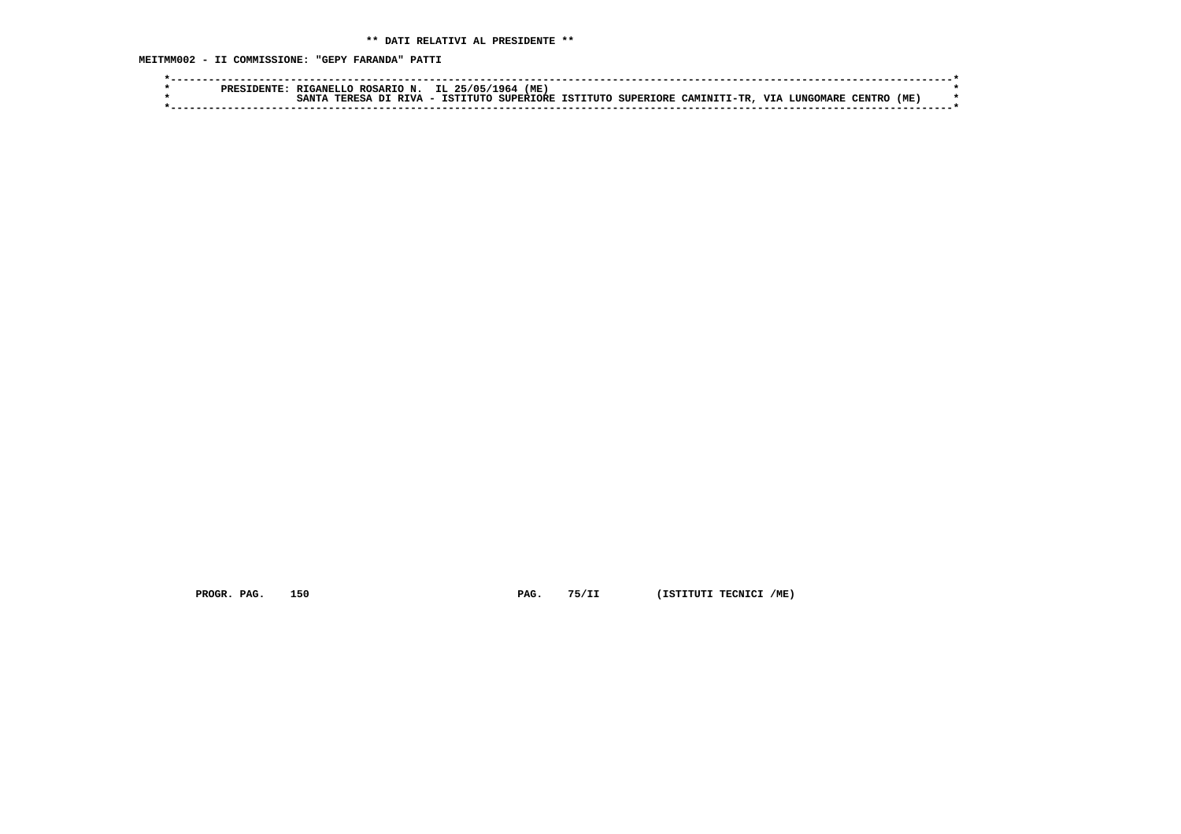**MEITMM002 - II COMMISSIONE: "GEPY FARANDA" PATTI**

|  | <b>PREF</b> | RIGANELLC | .J ROSARIO -      | IL.                                             | ( ME<br>- 964    |                    |             |            |       |              |      |  |
|--|-------------|-----------|-------------------|-------------------------------------------------|------------------|--------------------|-------------|------------|-------|--------------|------|--|
|  |             | TPPFC1    | <b>DTVA</b><br>вT | ተረጥነ<br><b>TITT</b><br>$\overline{\phantom{0}}$ | <b>SUPERTORE</b> | ISTITUTO SUPERIORE | CAMINITI-TR | <b>TTT</b> | ™ARF. | . החידות הדי | (ME) |  |
|  |             |           |                   |                                                 |                  |                    |             |            |       |              |      |  |

 **PROGR. PAG.** 150 **PAG.** 75/II (ISTITUTI TECNICI /ME)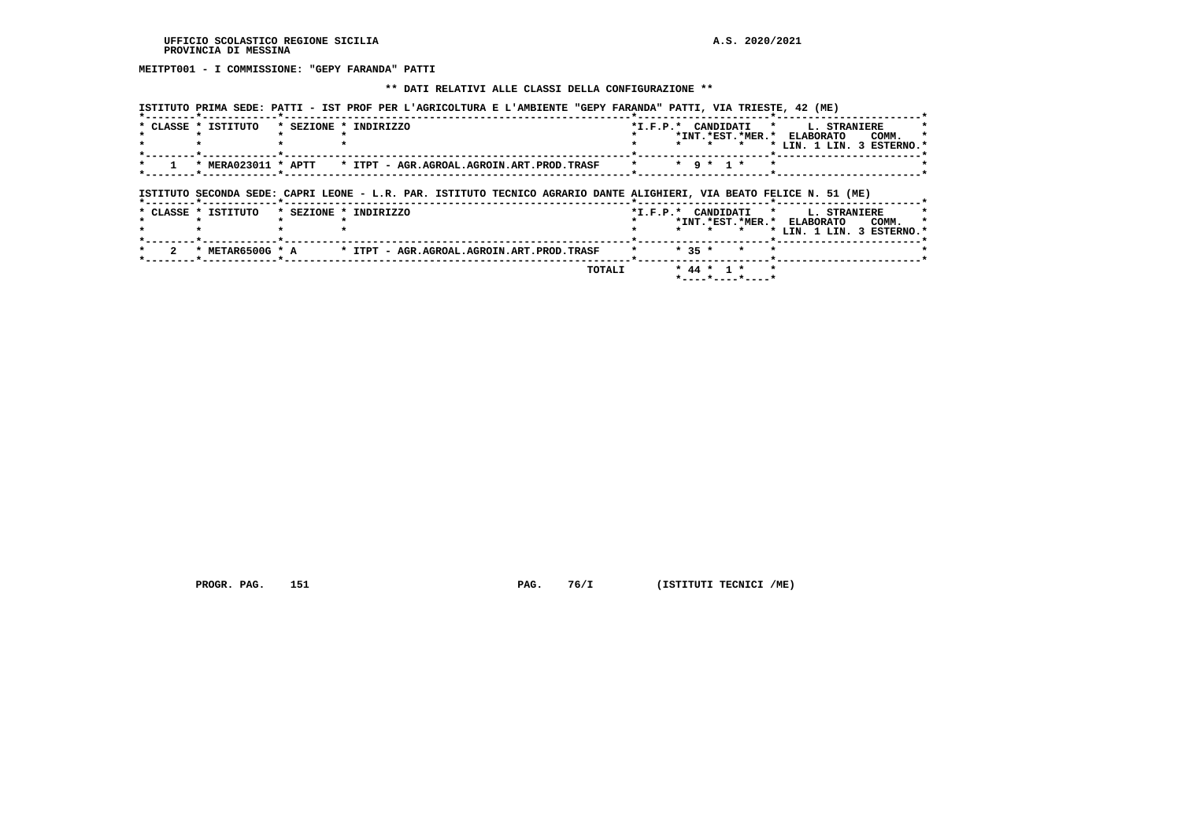**MEITPT001 - I COMMISSIONE: "GEPY FARANDA" PATTI**

# **\*\* DATI RELATIVI ALLE CLASSI DELLA CONFIGURAZIONE \*\***

| * CLASSE * ISTITUTO | * SEZIONE * INDIRIZZO                                                                                                                         | *I.F.P.* CANDIDATI * L. STRANIERE |                 |                             | *INT.*EST.*MER.* ELABORATO |  | COMM.<br>* LIN. 1 LIN. 3 ESTERNO.' |
|---------------------|-----------------------------------------------------------------------------------------------------------------------------------------------|-----------------------------------|-----------------|-----------------------------|----------------------------|--|------------------------------------|
|                     |                                                                                                                                               | $\star$                           |                 | $\star$ 9 $\star$ 1 $\star$ |                            |  |                                    |
|                     |                                                                                                                                               |                                   |                 |                             |                            |  |                                    |
| * CLASSE * ISTITUTO | ISTITUTO SECONDA SEDE: CAPRI LEONE - L.R. PAR. ISTITUTO TECNICO AGRARIO DANTE ALIGHIERI, VIA BEATO FELICE N. 51 (ME)<br>* SEZIONE * INDIRIZZO | *I.F.P.* CANDIDATI * L. STRANIERE |                 |                             |                            |  |                                    |
|                     |                                                                                                                                               |                                   | $\cdot$ $\cdot$ | $\star$                     | *INT.*EST.*MER.* ELABORATO |  | COMM.<br>* LIN. 1 LIN. 3 ESTERNO.* |
|                     | * METAR6500G * A * ITPT - AGR.AGROAL.AGROIN.ART.PROD.TRASF                                                                                    |                                   | $* 35 *$        | $\star$                     |                            |  |                                    |

 **PROGR. PAG.** 151 **PAG.** 76/I (ISTITUTI TECNICI /ME)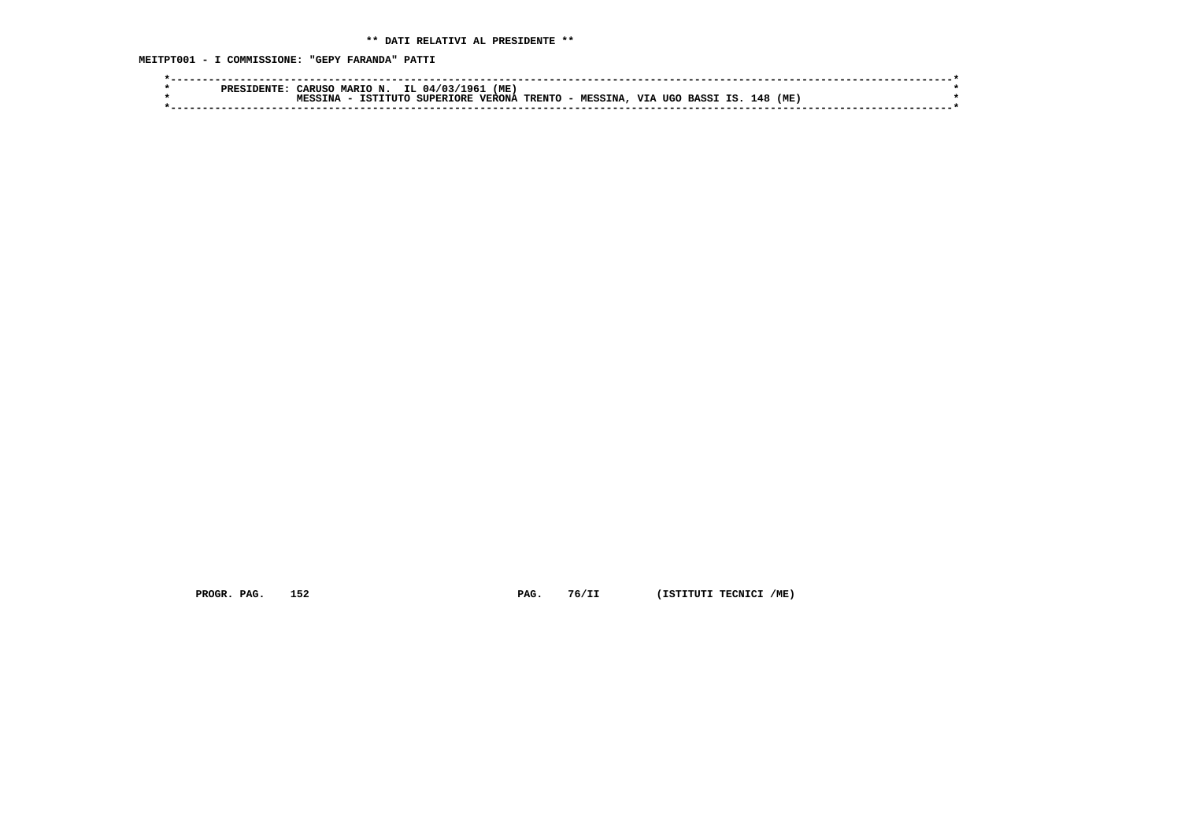**MEITPT001 - I COMMISSIONE: "GEPY FARANDA" PATTI**

| (ME<br>L96.<br>04/03<br><b>"ARUS(</b><br><b>MART</b><br><b>PRES</b>                                                                   |  |
|---------------------------------------------------------------------------------------------------------------------------------------|--|
| (ME<br><b>TTT</b><br>TRENTO -<br>148<br>τc<br>VERONA<br>TNA<br><b>SUPERTORE</b><br>TETTTITO<br>TIGO<br><b>MESSINA</b><br><b>BASSI</b> |  |
|                                                                                                                                       |  |

 **PROGR. PAG.** 152 **PAG.** 76/II (ISTITUTI TECNICI /ME)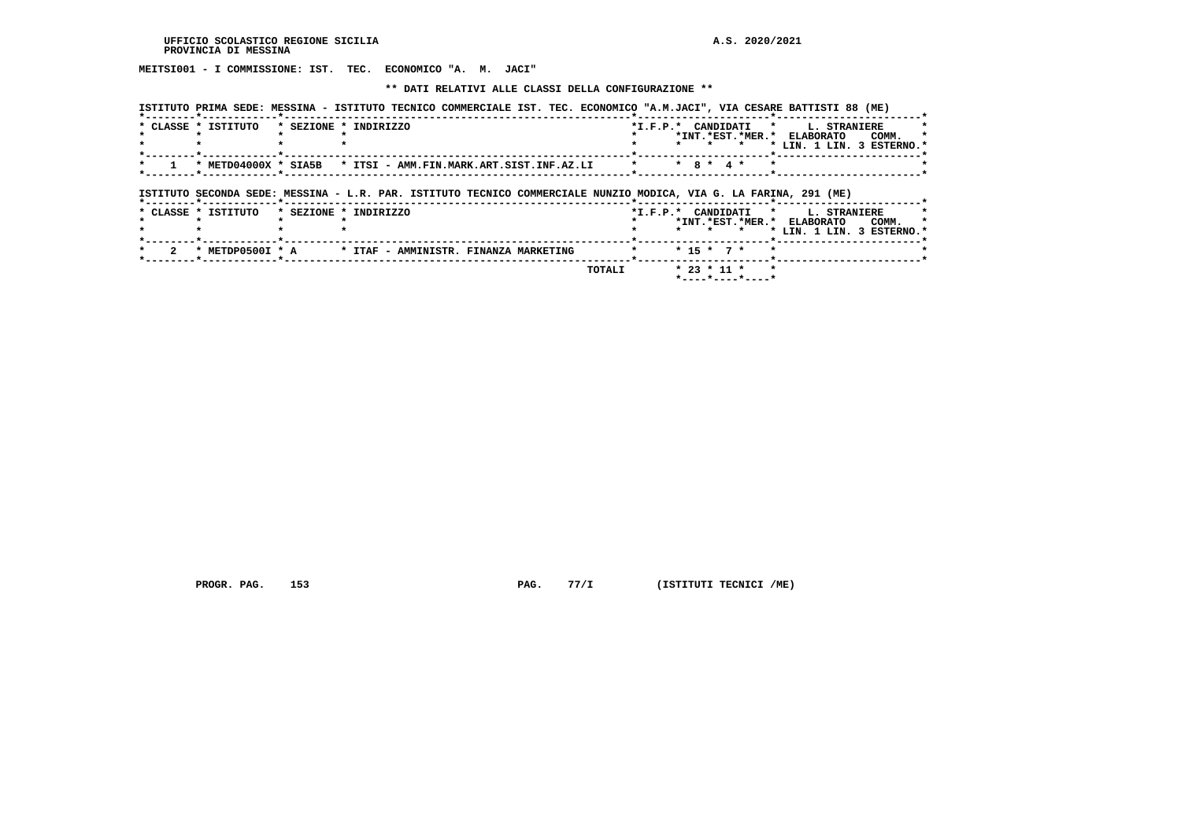**MEITSI001 - I COMMISSIONE: IST. TEC. ECONOMICO "A. M. JACI"**

#### **\*\* DATI RELATIVI ALLE CLASSI DELLA CONFIGURAZIONE \*\***

|   |                     | ISTITUTO PRIMA SEDE: MESSINA - ISTITUTO TECNICO COMMERCIALE IST. TEC. ECONOMICO "A.M.JACI", VIA CESARE BATTISTI 88 (ME) |  |  |                 |                             |         |                                                                 |                                    |
|---|---------------------|-------------------------------------------------------------------------------------------------------------------------|--|--|-----------------|-----------------------------|---------|-----------------------------------------------------------------|------------------------------------|
|   | * CLASSE * ISTITUTO | * SEZIONE * INDIRIZZO                                                                                                   |  |  | $\star$ $\star$ | $\star$                     |         | *I.F.P.* CANDIDATI * L. STRANIERE<br>*INT.*EST.*MER.* ELABORATO | COMM.<br>* LIN. 1 LIN. 3 ESTERNO.* |
|   |                     | * METD04000X * SIA5B * ITSI - AMM.FIN.MARK.ART.SIST.INF.AZ.LI * *                                                       |  |  |                 | $\star$ 8 $\star$ 4 $\star$ | $\star$ |                                                                 |                                    |
|   |                     | ISTITUTO SECONDA SEDE: MESSINA - L.R. PAR. ISTITUTO TECNICO COMMERCIALE NUNZIO MODICA, VIA G. LA FARINA, 291 (ME)       |  |  |                 |                             |         |                                                                 |                                    |
|   | * CLASSE * ISTITUTO | * SEZIONE * INDIRIZZO                                                                                                   |  |  |                 |                             |         |                                                                 |                                    |
|   |                     |                                                                                                                         |  |  | $\star$ $\star$ |                             | $\star$ | *I.F.P.* CANDIDATI * L. STRANIERE<br>*INT.*EST.*MER.* ELABORATO | COMM.<br>* LIN. 1 LIN. 3 ESTERNO.* |
| 2 |                     | * METDP0500I * A * ITAF - AMMINISTR. FINANZA MARKETING                                                                  |  |  |                 | $* 15 * 7 *$                | $\star$ |                                                                 |                                    |

 **PROGR. PAG.** 153 **PAG.** 77/I (ISTITUTI TECNICI /ME)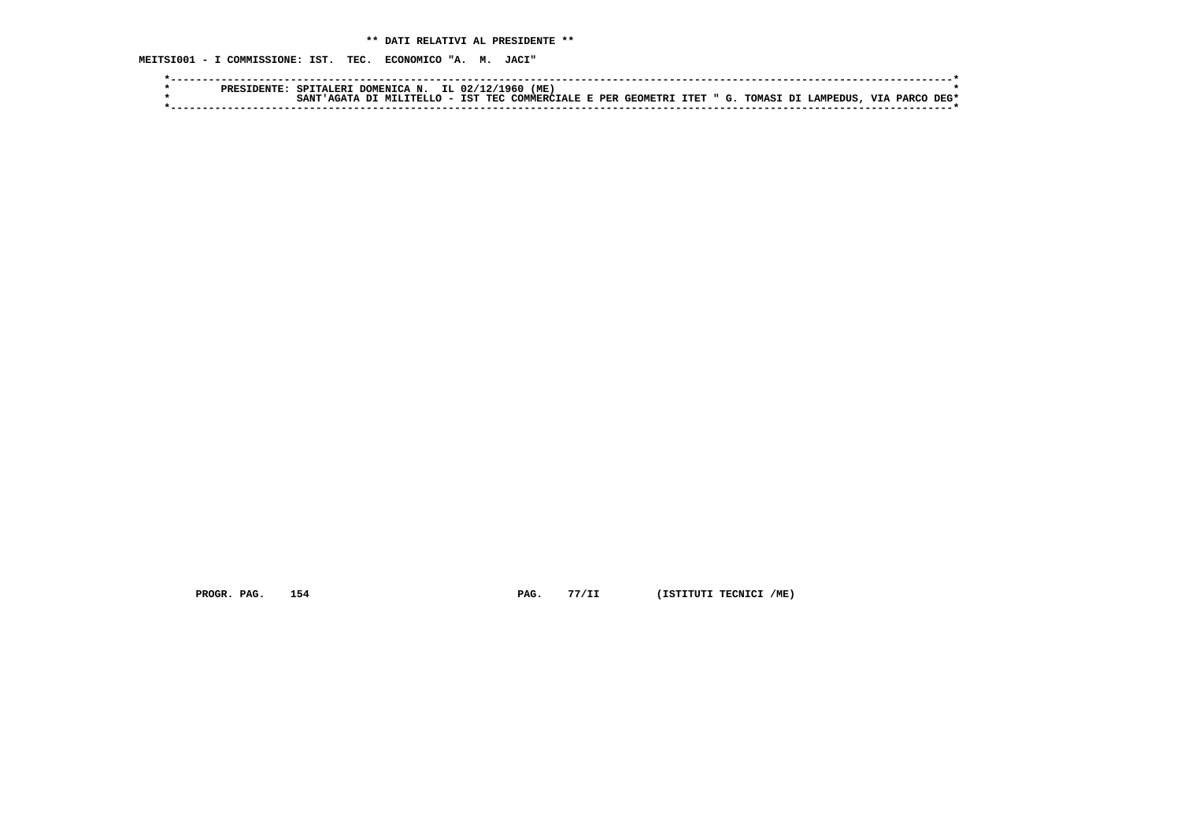**MEITSI001 - I COMMISSIONE: IST. TEC. ECONOMICO "A. M. JACI"**

|  | PRESIDENTE | SPITALERI DOMENICA N. IL 02/12/1960 |  | (ME)                                                           |  |  |  |  |           |      |
|--|------------|-------------------------------------|--|----------------------------------------------------------------|--|--|--|--|-----------|------|
|  |            | SANT'AGATA DI MILITELLO - IST .     |  | ' TEC COMMERCIALE E PER GEOMETRI ITET " G. TOMASI DI LAMPEDUS. |  |  |  |  | VIA PARCO | DEG* |
|  |            |                                     |  |                                                                |  |  |  |  |           |      |

 **PROGR. PAG.** 154 **PAG.** 77/II (ISTITUTI TECNICI /ME)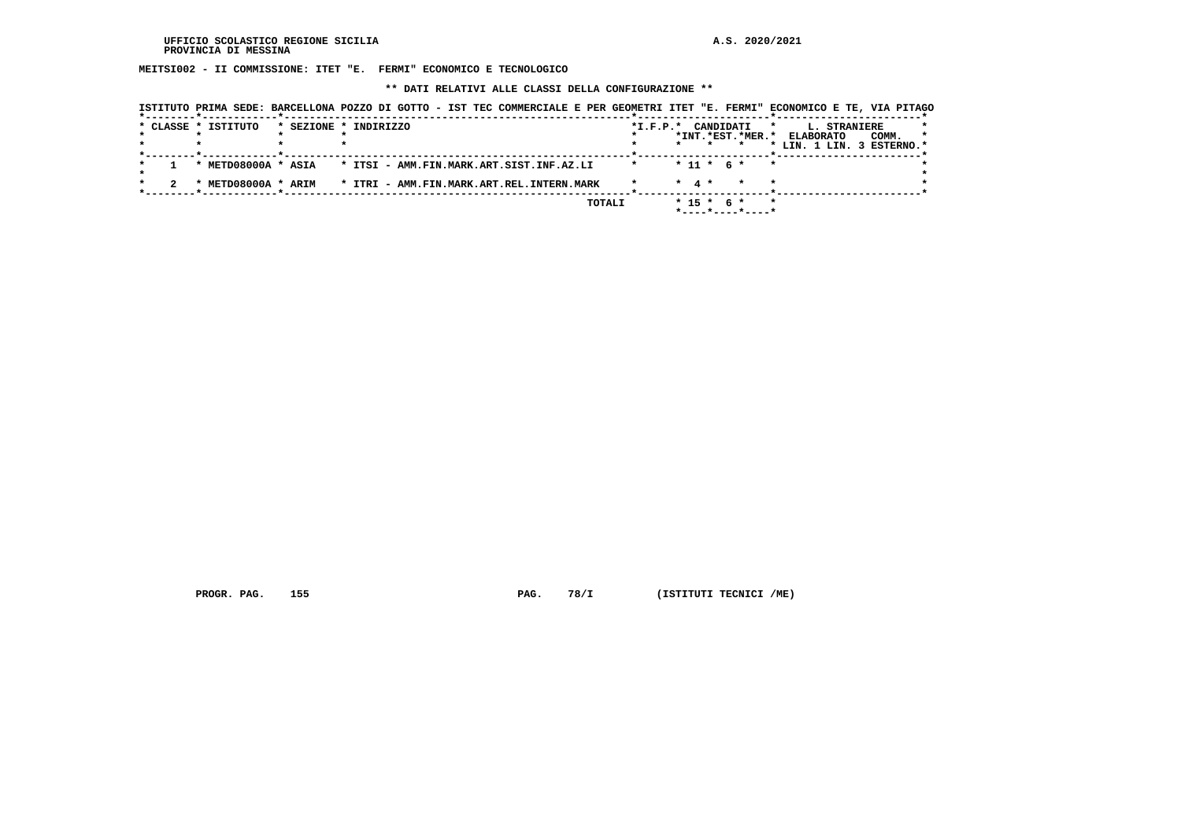**MEITSI002 - II COMMISSIONE: ITET "E. FERMI" ECONOMICO E TECNOLOGICO**

 **\*\* DATI RELATIVI ALLE CLASSI DELLA CONFIGURAZIONE \*\***

| ISTITUTO PRIMA SEDE: BARCELLONA POZZO DI GOTTO - IST TEC COMMERCIALE E PER GEOMETRI ITET "E. FERMI" ECONOMICO E TE, VIA PITAGO |                                                                                                        |
|--------------------------------------------------------------------------------------------------------------------------------|--------------------------------------------------------------------------------------------------------|
| * CLASSE * ISTITUTO<br>* SEZIONE * INDIRIZZO                                                                                   | *I.F.P.* CANDIDATI<br><b>L. STRANIERE</b><br>$\star$<br>*INT.*EST.*MER.* ELABORATO<br>COMM.<br>$\star$ |
| * METD08000A * ASIA * ITSI - AMM.FIN.MARK.ART.SIST.INF.AZ.LI                                                                   | * LIN. 1 LIN. 3 ESTERNO.*<br>$* 11 * 6 *$<br>$\star$                                                   |
| * METD08000A * ARIM * ITRI - AMM.FIN.MARK.ART.REL.INTERN.MARK                                                                  | $*$ 4 $*$                                                                                              |
|                                                                                                                                | TOTALI<br>$*$ 15 $*$ 6 $*$<br>$\star$<br>$*$ - - - - $*$ - - - - $*$ - - - - $*$                       |

 **PROGR. PAG.** 155 **PAG.** 78/I (ISTITUTI TECNICI /ME)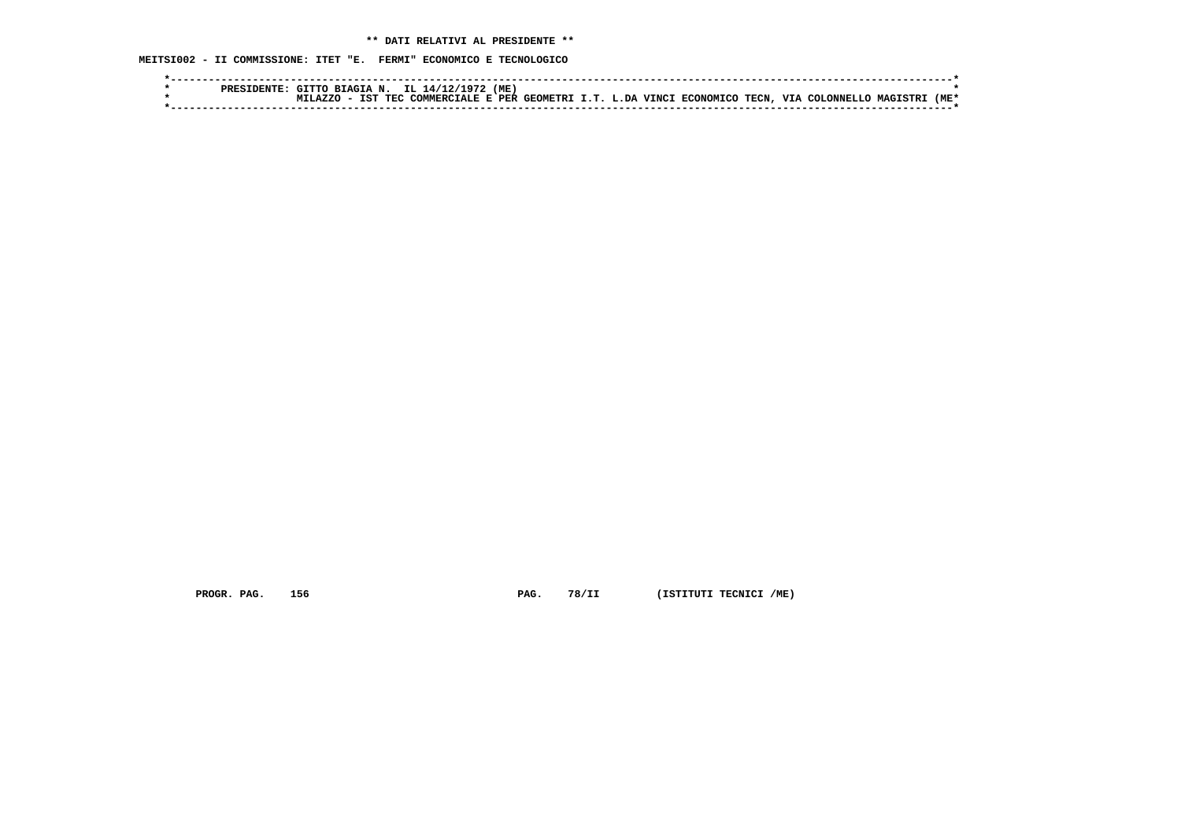**MEITSI002 - II COMMISSIONE: ITET "E. FERMI" ECONOMICO E TECNOLOGICO**

|  | . TTTO T     | RTACTA N    | TT.<br>14/12/                                           | (ME |  |  |       |                |                |      |
|--|--------------|-------------|---------------------------------------------------------|-----|--|--|-------|----------------|----------------|------|
|  | <b>AZZ</b> O | IST<br>TEC. | ' COMMERCIALE E PER GEOMETRI I.T. L.DA VINCI ECONOMICO. |     |  |  | TECN. | VIA COLONNELLO | <b>MAGTSTR</b> | 'ME* |
|  |              |             |                                                         |     |  |  |       |                |                |      |

 **PROGR. PAG.** 156 **PAG. 78/II** (ISTITUTI TECNICI /ME)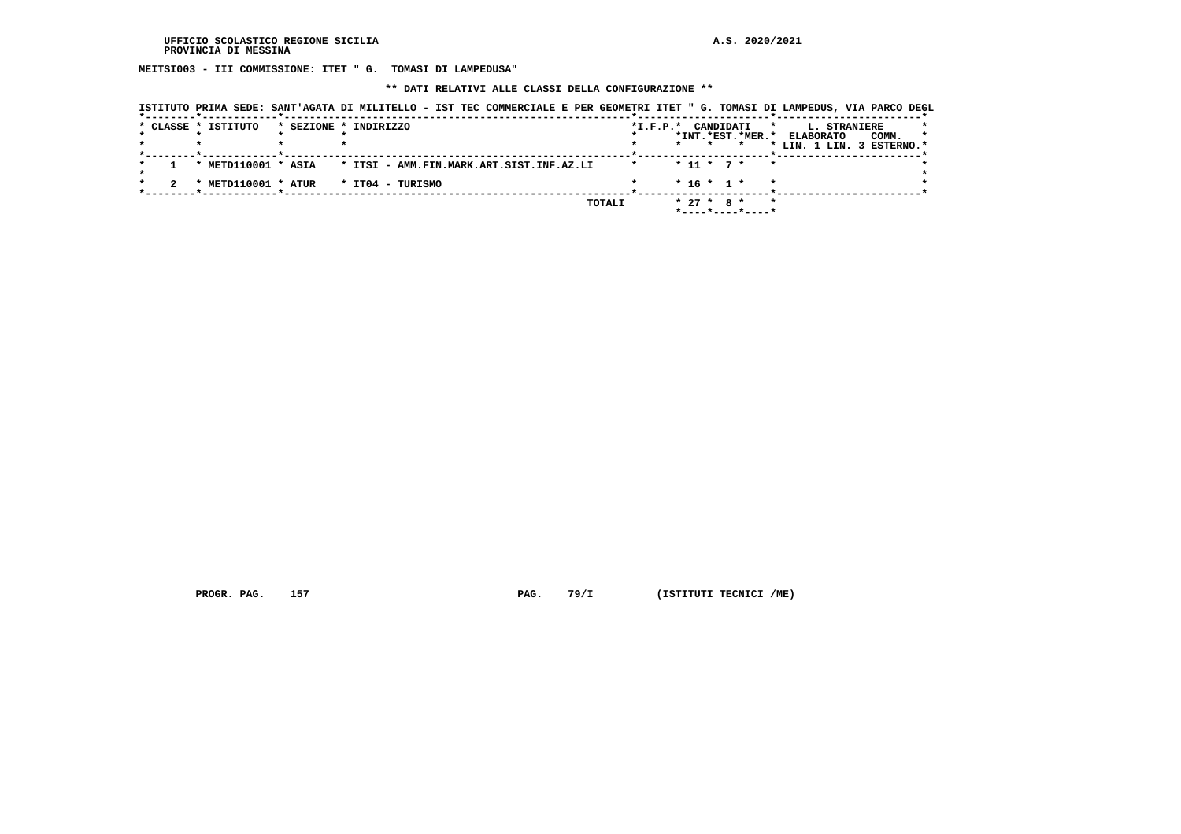**MEITSI003 - III COMMISSIONE: ITET " G. TOMASI DI LAMPEDUSA"**

 **\*\* DATI RELATIVI ALLE CLASSI DELLA CONFIGURAZIONE \*\***

|  |                     |                                                        |                                                              |            |                              | ISTITUTO PRIMA SEDE: SANT'AGATA DI MILITELLO - IST TEC COMMERCIALE E PER GEOMETRI ITET " G. TOMASI DI LAMPEDUS, VIA PARCO DEGL |
|--|---------------------|--------------------------------------------------------|--------------------------------------------------------------|------------|------------------------------|--------------------------------------------------------------------------------------------------------------------------------|
|  | * CLASSE * ISTITUTO |                                                        | * SEZIONE * INDIRIZZO                                        | $*L.F.P.*$ | CANDIDATI                    | $\mathbf{r}$<br><b>L. STRANIERE</b>                                                                                            |
|  |                     |                                                        |                                                              |            | *INT.*EST.*MER.* ELABORATO   | COMM.<br>$\star$                                                                                                               |
|  |                     | . _ _ _ _ _ _ _ _ _ <del>*</del> _ _ _ _ _ _ _ _ _ _ _ |                                                              |            |                              | * LIN. 1 LIN. 3 ESTERNO.*                                                                                                      |
|  |                     |                                                        | * METD110001 * ASIA * ITSI - AMM.FIN.MARK.ART.SIST.INF.AZ.LI |            | $* 11 * 7 *$<br>$\mathbf{r}$ |                                                                                                                                |
|  |                     |                                                        | * METD110001 * ATUR * IT04 - TURISMO                         |            | $* 16 * 1 *$                 |                                                                                                                                |
|  |                     |                                                        |                                                              | TOTALI     | $* 27 * R *$                 |                                                                                                                                |

 **PROGR. PAG.** 157 **PAG.** 79/I (ISTITUTI TECNICI /ME)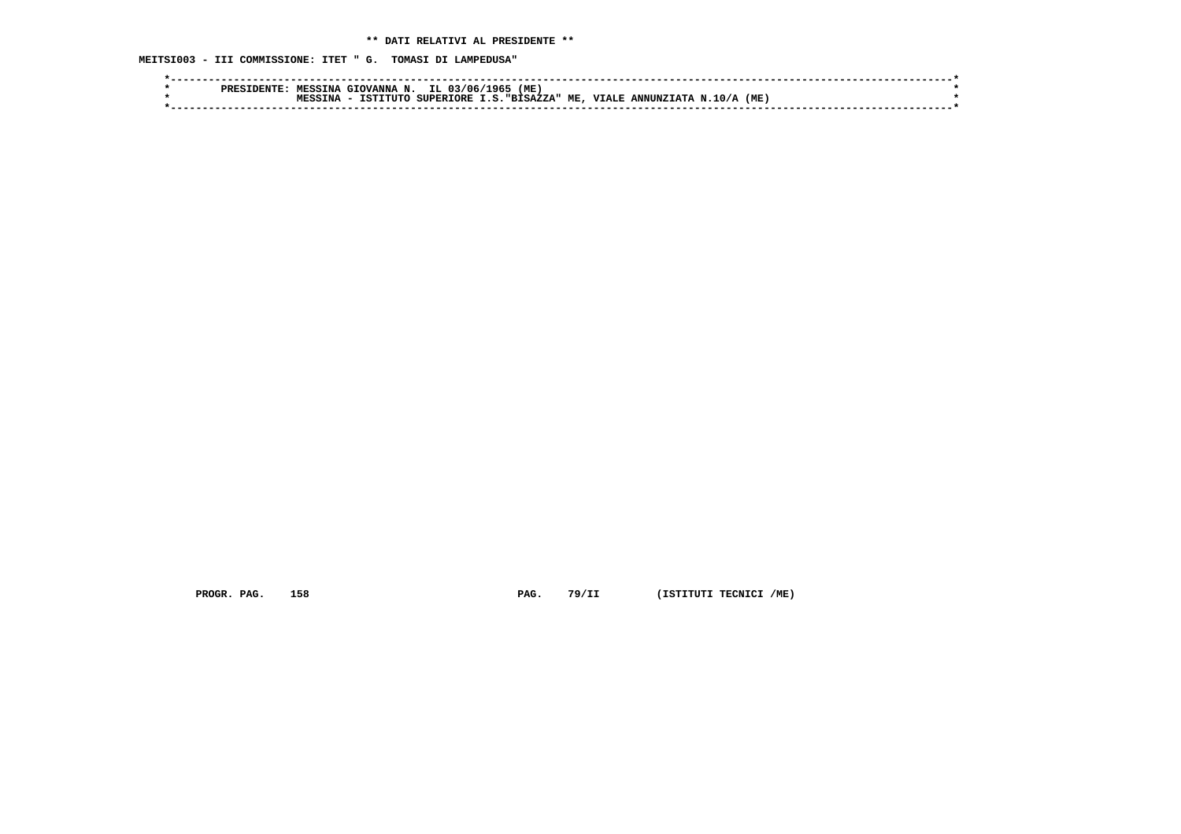**MEITSI003 - III COMMISSIONE: ITET " G. TOMASI DI LAMPEDUSA"**

|  | ס סם מ | MESSTNA | . GIOVANNA N. | IL 03/06/        | (ME)<br>L965       |                           |      |  |
|--|--------|---------|---------------|------------------|--------------------|---------------------------|------|--|
|  |        | TNA     | TSTTTITO      | <b>SUPERIORE</b> | I.S. "BISAZZA" ME, | , VIALE ANNUNZIATA N.10/A | (ME) |  |
|  |        |         |               |                  |                    |                           |      |  |

 **PROGR. PAG.** 158 **PAG.** 79/II (ISTITUTI TECNICI /ME)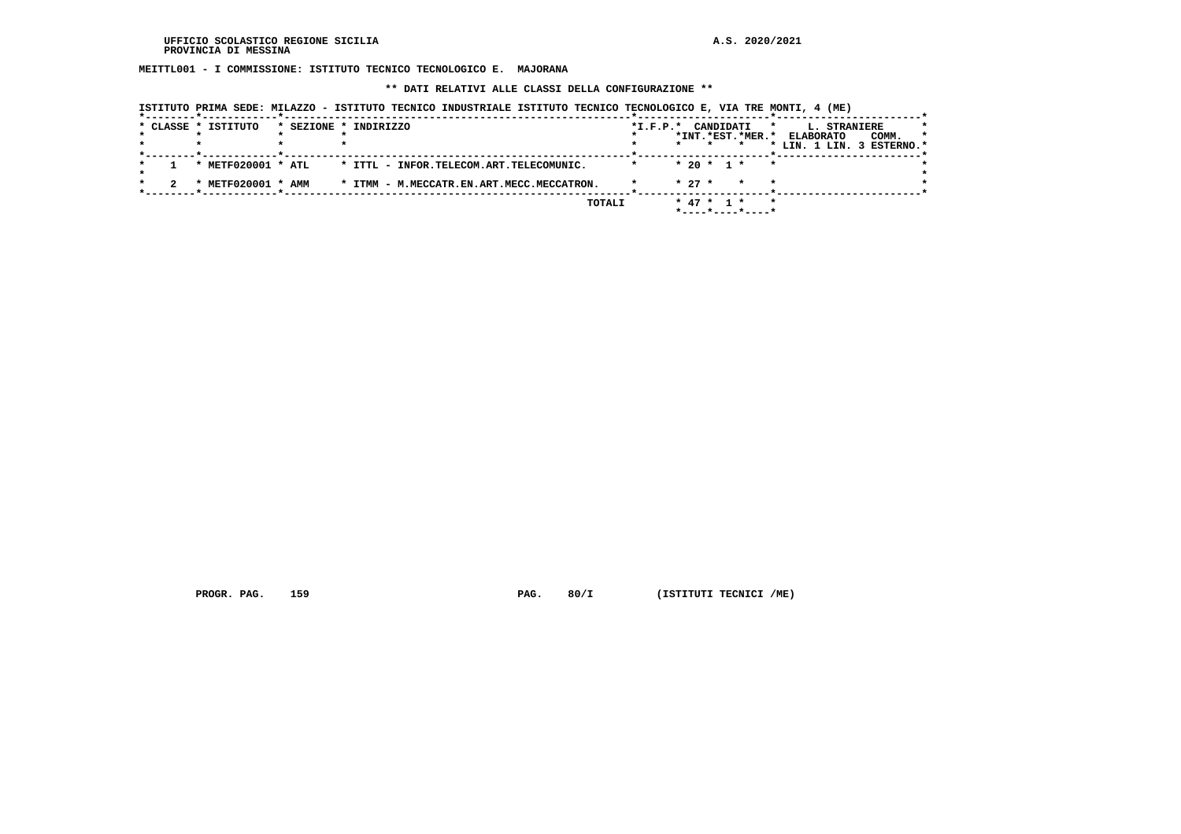**MEITTL001 - I COMMISSIONE: ISTITUTO TECNICO TECNOLOGICO E. MAJORANA**

 **\*\* DATI RELATIVI ALLE CLASSI DELLA CONFIGURAZIONE \*\***

|  | * CLASSE * ISTITUTO | * SEZIONE * INDIRIZZO                     | $*I.F.P.*$ | CANDIDATI<br>*INT.*EST.*MER.*                               | L. STRANIERE<br>*<br>COMM.<br><b>ELABORATO</b><br>* |
|--|---------------------|-------------------------------------------|------------|-------------------------------------------------------------|-----------------------------------------------------|
|  |                     |                                           |            |                                                             | * LIN. 1 LIN. 3 ESTERNO.*                           |
|  | * METF020001 * ATL  | * ITTL - INFOR.TELECOM.ART.TELECOMUNIC.   |            | $* 20 * 1 *$<br>$\star$                                     |                                                     |
|  | METF020001 * AMM    | * ITMM - M.MECCATR.EN.ART.MECC.MECCATRON. |            | $* 27 *$<br>$\star$<br>$\star$                              |                                                     |
|  |                     | TOTALI                                    |            | $*$ 47 $*$ 1 $*$<br>$*$ - - - - $*$ - - - - $*$ - - - - $*$ |                                                     |

 **ISTITUTO PRIMA SEDE: MILAZZO - ISTITUTO TECNICO INDUSTRIALE ISTITUTO TECNICO TECNOLOGICO E, VIA TRE MONTI, 4 (ME)**

 **PROGR. PAG.** 159 **PAG. PAG.** 80/I (ISTITUTI TECNICI /ME)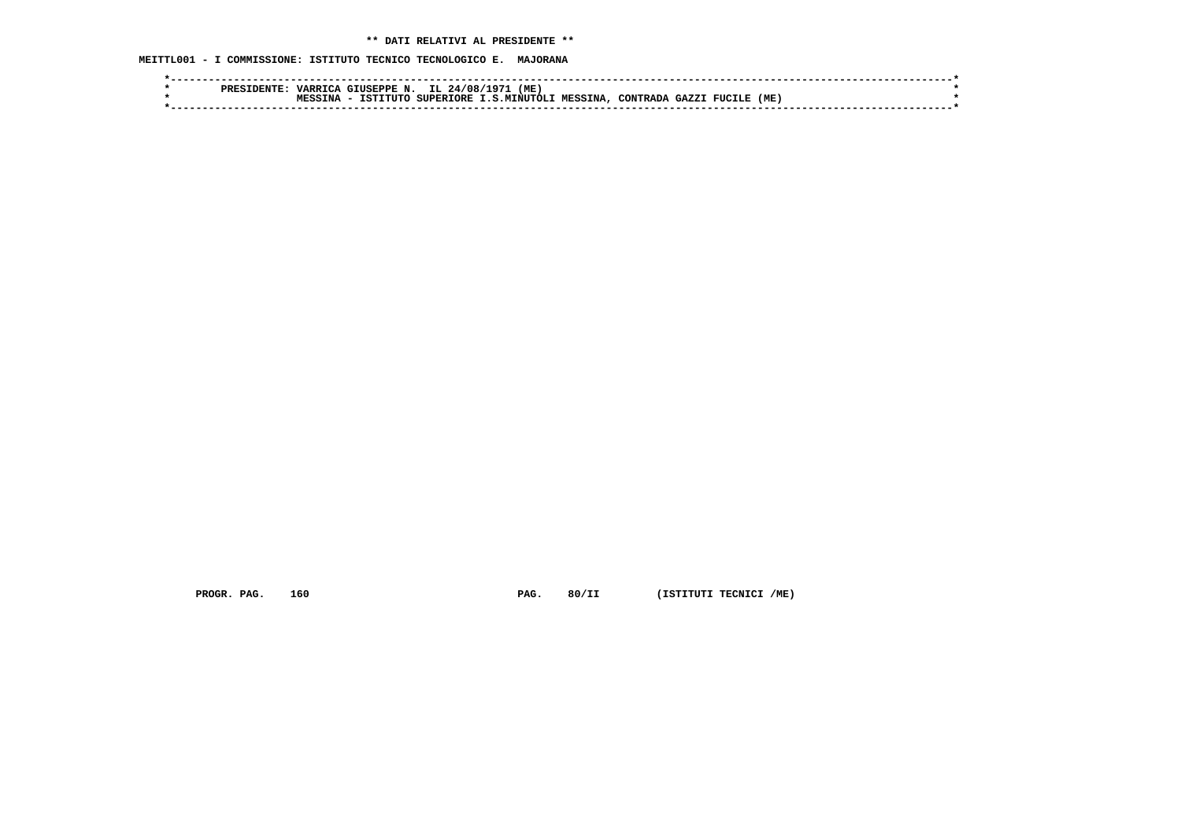**MEITTL001 - I COMMISSIONE: ISTITUTO TECNICO TECNOLOGICO E. MAJORANA**

| PRES | <b>VARRIL.</b> | GIUSEPPE<br>N.   | IL.<br>24/08/    | (ME)<br>197  |                |                  |               |     |  |
|------|----------------|------------------|------------------|--------------|----------------|------------------|---------------|-----|--|
|      | TNA            | TSTT.<br>∩ידזידי | <b>SUPERTORE</b> | T.S.MTNUTOLI | <b>MESSINA</b> | CONTRADA<br>CAYZ | <b>FUCILE</b> | (ME |  |
|      |                |                  |                  |              |                |                  |               |     |  |

 **PROGR. PAG.** 160 **PAG.** 80/II (ISTITUTI TECNICI /ME)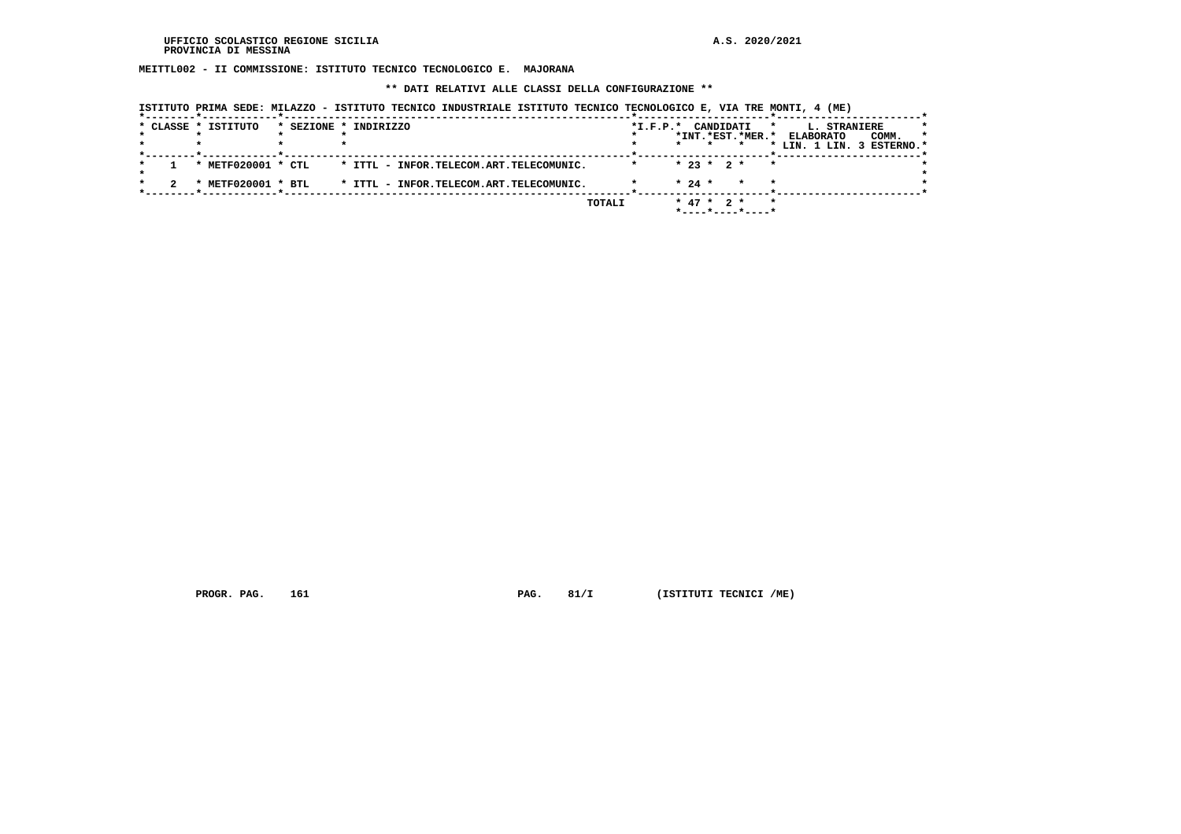**MEITTL002 - II COMMISSIONE: ISTITUTO TECNICO TECNOLOGICO E. MAJORANA**

 **\*\* DATI RELATIVI ALLE CLASSI DELLA CONFIGURAZIONE \*\***

|  | * CLASSE * ISTITUTO              | * SEZIONE * INDIRIZZO                   | $*I.F.P.*$ | CANDIDATI<br>*INT.*EST.*MER.*        | L. STRANIERE<br>*<br><b>ELABORATO</b><br>COMM.<br>$\star$ |
|--|----------------------------------|-----------------------------------------|------------|--------------------------------------|-----------------------------------------------------------|
|  |                                  |                                         |            | $\star$                              | * LIN. 1 LIN. 3 ESTERNO.*                                 |
|  | * METF020001 * CTL               | * ITTL - INFOR.TELECOM.ART.TELECOMUNIC. |            | $* 23 * 2 *$<br>$\star$              |                                                           |
|  | METF020001 * BTL<br>$\mathbf{r}$ | * ITTL - INFOR.TELECOM.ART.TELECOMUNIC. |            | $* 24 *$<br>$\star$                  |                                                           |
|  |                                  | TOTALI                                  |            | $*$ 47 $*$ 2 $*$<br>*----*----*----* | $\star$                                                   |

 **ISTITUTO PRIMA SEDE: MILAZZO - ISTITUTO TECNICO INDUSTRIALE ISTITUTO TECNICO TECNOLOGICO E, VIA TRE MONTI, 4 (ME)**

 **PROGR. PAG.** 161 **PAG.** 81/I (ISTITUTI TECNICI /ME)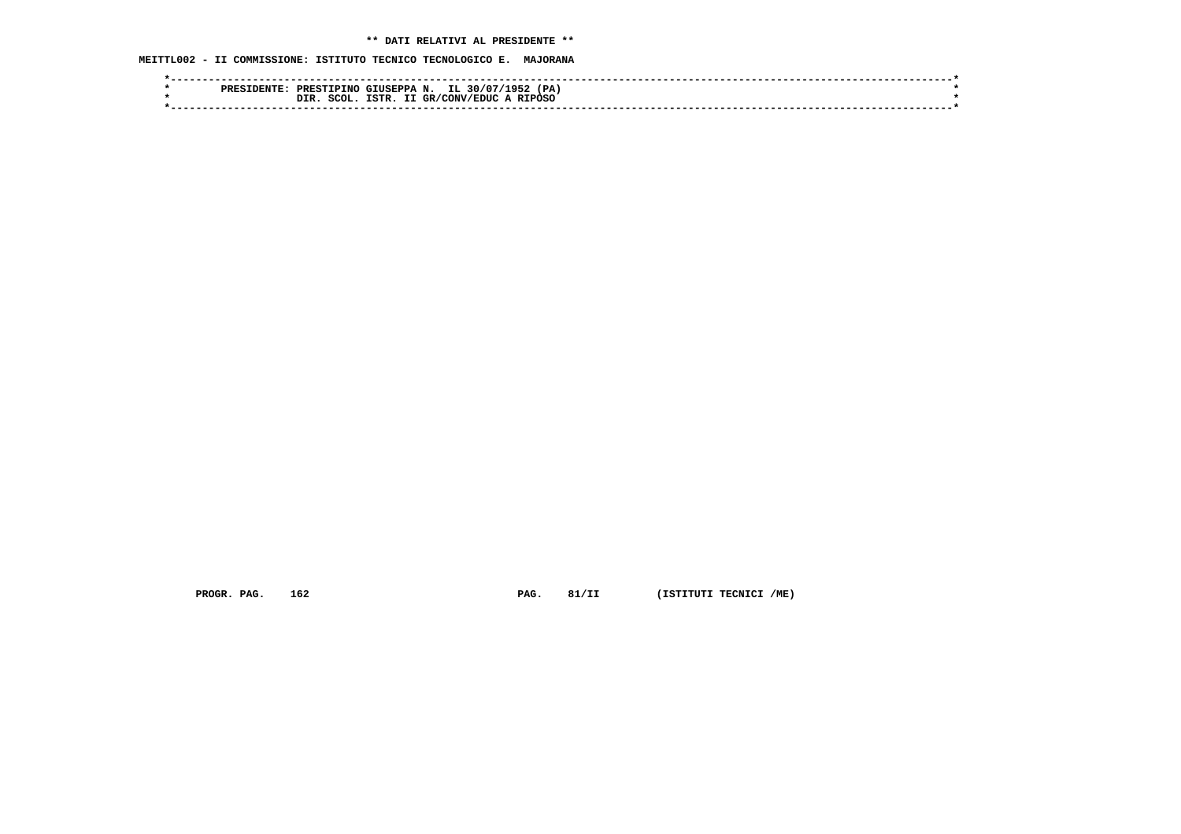**MEITTL002 - II COMMISSIONE: ISTITUTO TECNICO TECNOLOGICO E. MAJORANA**

|  | PRES | PRESTIPINO GIUSEPPA N. |       |              | IL 30/07/<br>∶ G ⊏ ا | (PA) |  |
|--|------|------------------------|-------|--------------|----------------------|------|--|
|  |      | SCOL.<br>DIR           | TSTR. | GR/CONV/EDUC | A RIPOSO             |      |  |
|  |      |                        |       |              |                      |      |  |

 **PROGR. PAG.** 162 **PAG.** 81/II (ISTITUTI TECNICI /ME)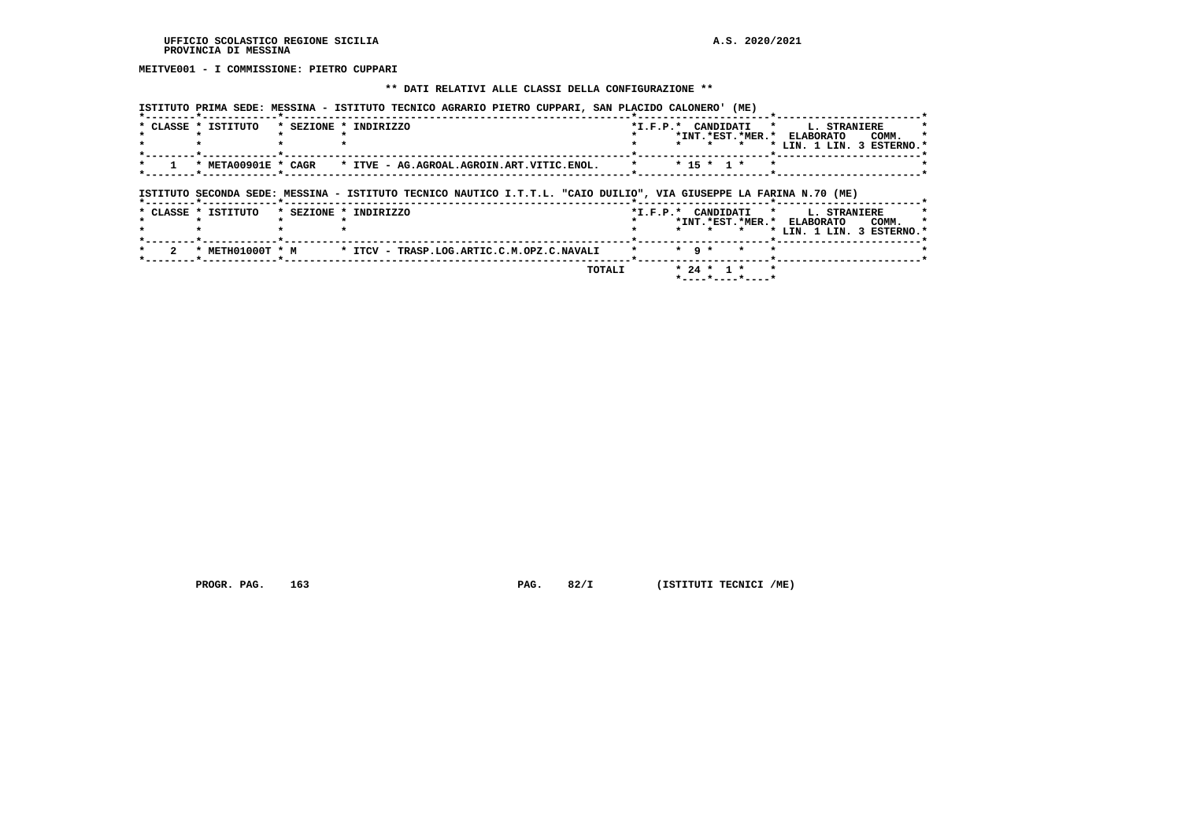**MEITVE001 - I COMMISSIONE: PIETRO CUPPARI**

#### **\*\* DATI RELATIVI ALLE CLASSI DELLA CONFIGURAZIONE \*\***

 **ISTITUTO PRIMA SEDE: MESSINA - ISTITUTO TECNICO AGRARIO PIETRO CUPPARI, SAN PLACIDO CALONERO' (ME)**

| * CLASSE * ISTITUTO | * SEZIONE * INDIRIZZO                                                                                              | $*_{\texttt{I.F.P.}}*$ |                        |           |              | CANDIDATI *      |         | L. STRANIERE                  |       |  |
|---------------------|--------------------------------------------------------------------------------------------------------------------|------------------------|------------------------|-----------|--------------|------------------|---------|-------------------------------|-------|--|
|                     |                                                                                                                    |                        |                        |           |              | *INT.*EST.*MER.* |         | <b>ELABORATO</b>              | COMM. |  |
|                     |                                                                                                                    |                        |                        |           |              |                  |         | * LIN. 1 LIN. 3 ESTERNO.*     |       |  |
|                     |                                                                                                                    |                        |                        |           |              |                  |         |                               |       |  |
| * META00901E * CAGR | * ITVE - AG.AGROAL.AGROIN.ART.VITIC.ENOL.                                                                          |                        |                        |           | $* 15 * 1 *$ |                  |         |                               |       |  |
|                     | ISTITUTO SECONDA SEDE: MESSINA - ISTITUTO TECNICO NAUTICO I.T.T.L. "CAIO DUILIO", VIA GIUSEPPE LA FARINA N.70 (ME) |                        |                        |           |              |                  |         |                               |       |  |
|                     |                                                                                                                    |                        |                        |           |              |                  |         |                               |       |  |
| * CLASSE * ISTITUTO | * SEZIONE * INDIRIZZO                                                                                              |                        | $*_{\texttt{I.F.P.}}*$ |           | CANDIDATI    |                  | $\star$ | L. STRANIERE                  |       |  |
|                     |                                                                                                                    |                        |                        |           |              |                  |         | *INT. *EST. *MER. * ELABORATO | COMM. |  |
|                     |                                                                                                                    |                        |                        |           |              |                  |         | * LIN. 1 LIN. 3 ESTERNO.*     |       |  |
| * METH01000T * M    | * ITCV - TRASP.LOG.ARTIC.C.M.OPZ.C.NAVALI                                                                          |                        |                        | $*$ 9 $*$ |              |                  |         |                               |       |  |

 **\*----\*----\*----\***

 **PROGR. PAG.** 163 **PROGR. PAG. 82/I** (ISTITUTI TECNICI /ME)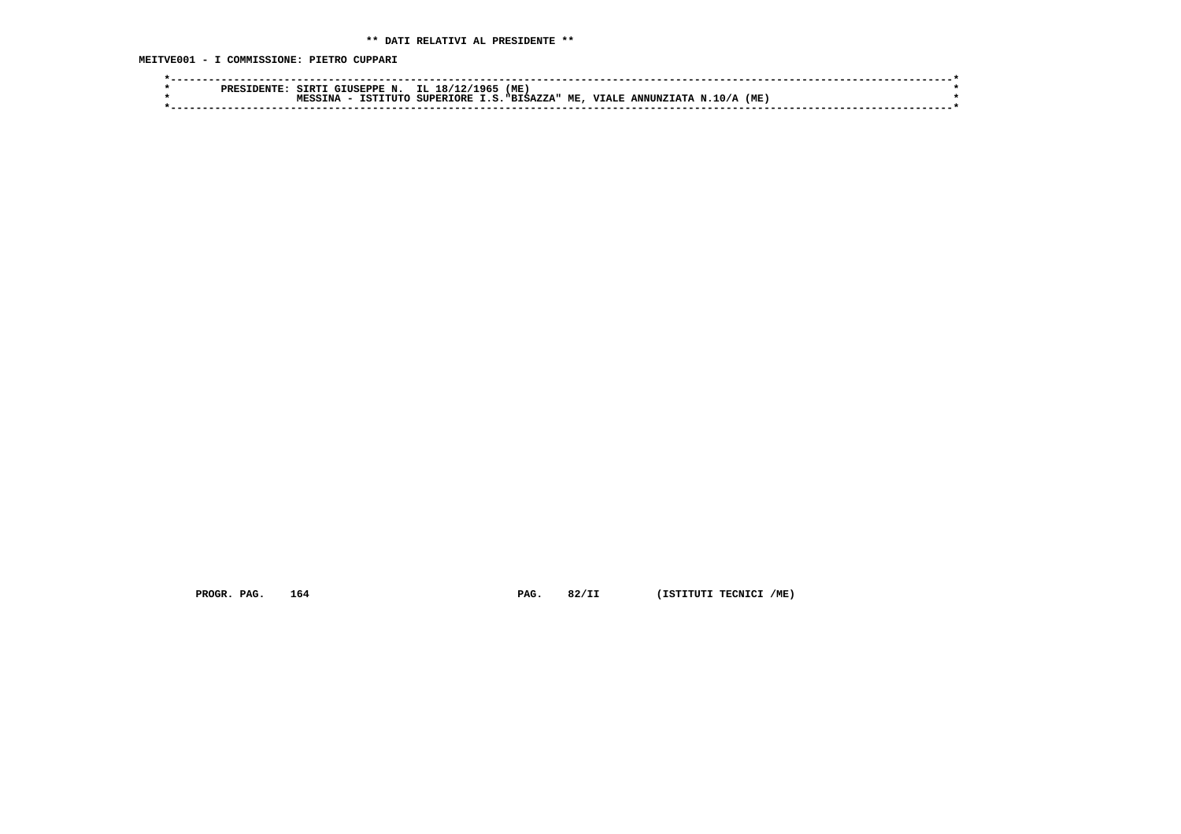**MEITVE001 - I COMMISSIONE: PIETRO CUPPARI**

|  | DDDCT. | <b>STRTT</b> | : GIUSEPPE N. IL 18/12/1965 |           | (ME)              |              |                   |      |  |
|--|--------|--------------|-----------------------------|-----------|-------------------|--------------|-------------------|------|--|
|  |        |              | TSTTTITC                    | SUPERIORE | I.S."BISAZZA" ME, | <b>VIALE</b> | ANNUNZIATA N.10/A | (ME) |  |
|  |        |              |                             |           |                   |              |                   |      |  |
|  |        |              |                             |           |                   |              |                   |      |  |

 **PROGR. PAG.** 164 **PAG.** 82/II (ISTITUTI TECNICI /ME)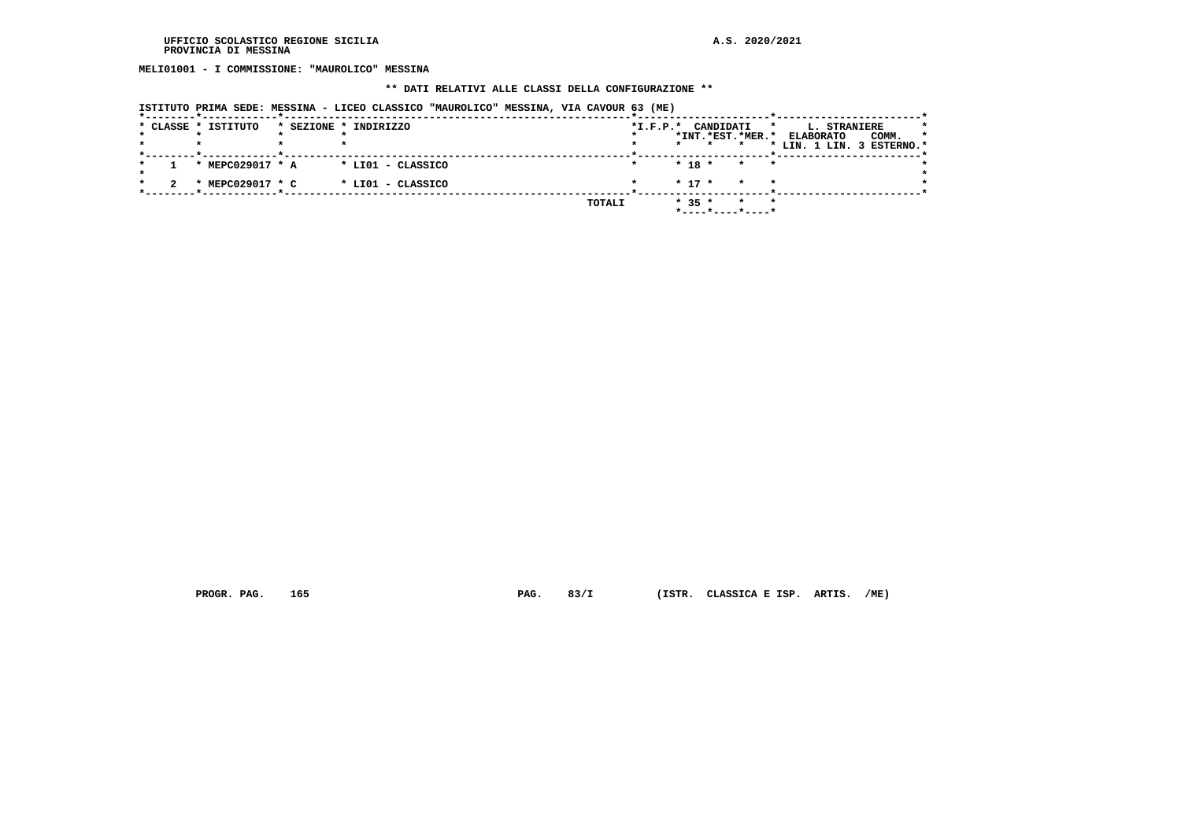**MELI01001 - I COMMISSIONE: "MAUROLICO" MESSINA**

#### **\*\* DATI RELATIVI ALLE CLASSI DELLA CONFIGURAZIONE \*\***

|  |                     | ISTITUTO PRIMA SEDE: MESSINA - LICEO CLASSICO "MAUROLICO" MESSINA, VIA CAVOUR 63 (ME) |        |            |          |                                          |         |                                                                                 |       |         |
|--|---------------------|---------------------------------------------------------------------------------------|--------|------------|----------|------------------------------------------|---------|---------------------------------------------------------------------------------|-------|---------|
|  | * CLASSE * ISTITUTO | * SEZIONE * INDIRIZZO                                                                 |        | $*I.F.P.*$ | $\star$  | CANDIDATI<br>*INT.*EST.*MER.*<br>$\star$ |         | $\star$<br><b>L. STRANIERE</b><br><b>ELABORATO</b><br>* LIN. 1 LIN. 3 ESTERNO.* | COMM. | $\star$ |
|  | * MEPC029017 * A    | * LIO1 - CLASSICO                                                                     |        |            | $* 18 *$ | $\star$                                  | $\star$ |                                                                                 |       |         |
|  | * MEPC029017 * C    | * LIO1 - CLASSICO                                                                     |        |            | $* 17 *$ | $\star$                                  | $\star$ |                                                                                 |       |         |
|  |                     |                                                                                       | TOTALI |            | $* 35 *$ | $\star$<br>*----*----*----*              | $\star$ |                                                                                 |       |         |

 **PROGR. PAG. 165 PAG. 83/I (ISTR. CLASSICA E ISP. ARTIS. /ME)**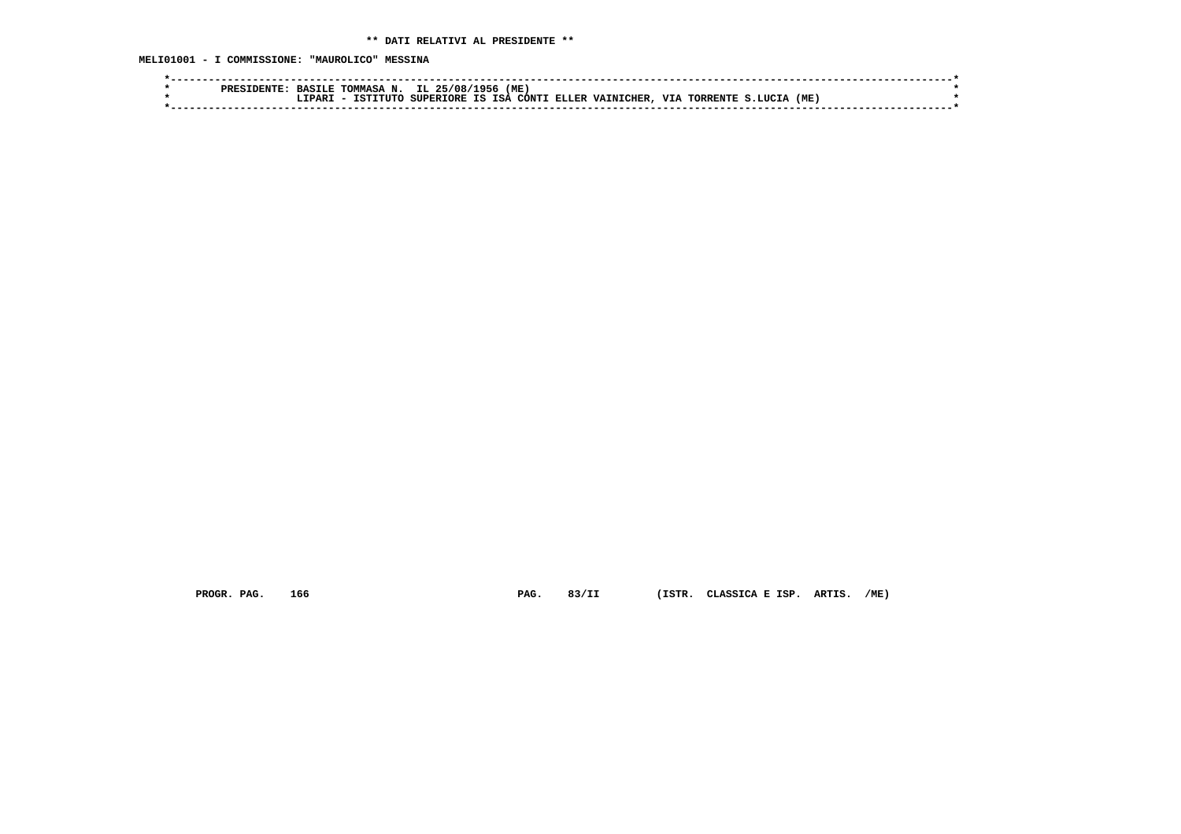**MELI01001 - I COMMISSIONE: "MAUROLICO" MESSINA**

|  | <b>RACTT</b>       | TOMMASA | IL 25/08/1956 | (ME) |                                                  |            |                    |      |  |
|--|--------------------|---------|---------------|------|--------------------------------------------------|------------|--------------------|------|--|
|  | .TPAR <sup>-</sup> |         |               |      | ISTITUTO SUPERIORE IS ISA CONTI ELLER VAINICHER, | <b>VTA</b> | A TORRENTE S.LUCTA | (ME) |  |
|  |                    |         |               |      |                                                  |            |                    |      |  |

 **PROGR. PAG. 166 PAG. 83/II (ISTR. CLASSICA E ISP. ARTIS. /ME)**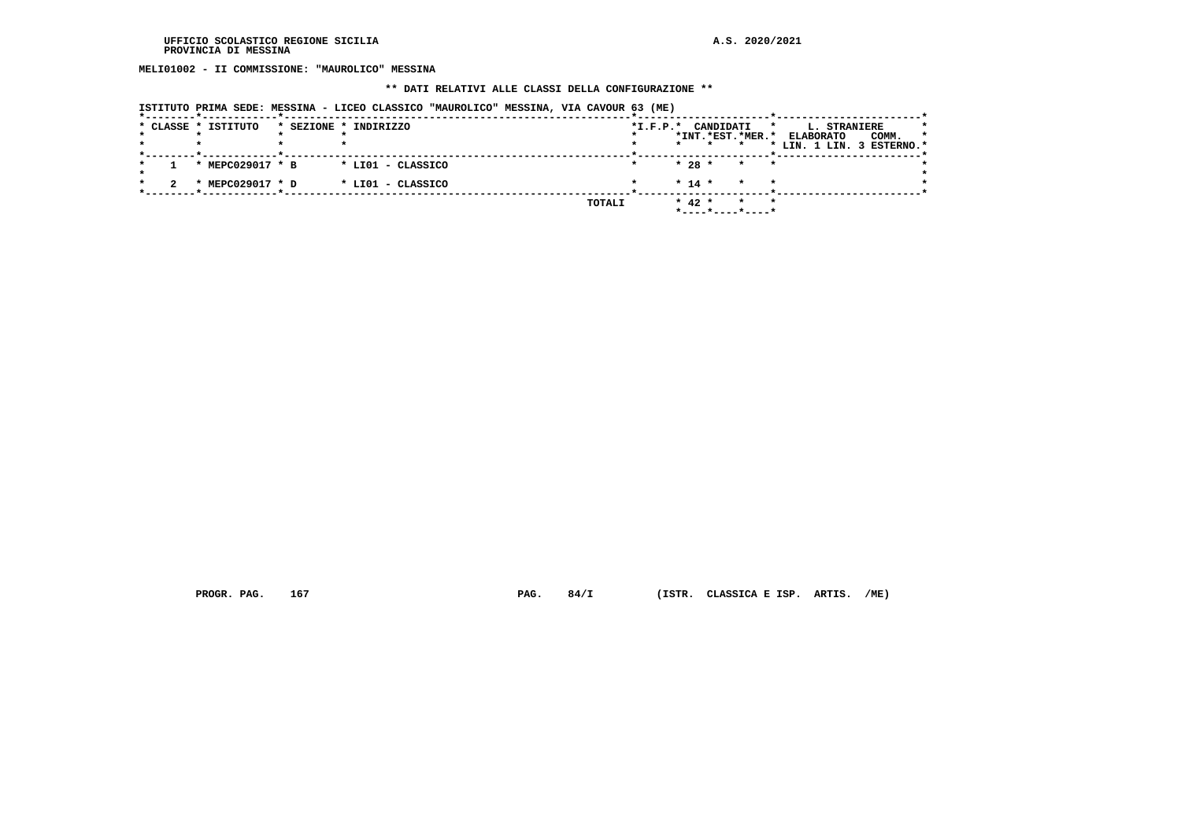**MELI01002 - II COMMISSIONE: "MAUROLICO" MESSINA**

#### **\*\* DATI RELATIVI ALLE CLASSI DELLA CONFIGURAZIONE \*\***

|  | * CLASSE * ISTITUTO | * SEZIONE * INDIRIZZO |                   |        | *I.F.P.* CANDIDATI |          | *INT.*EST.*MER.*            | *<br><b>ELABORATO</b><br>* LIN. 1 LIN. 3 ESTERNO.* | L. STRANIERE | COMM. | $\star$<br>* |
|--|---------------------|-----------------------|-------------------|--------|--------------------|----------|-----------------------------|----------------------------------------------------|--------------|-------|--------------|
|  | * MEPC029017 * B    |                       | * LIO1 - CLASSICO |        |                    | $* 28 *$ | $\star$<br>$\star$          |                                                    |              |       |              |
|  | * MEPC029017 * D    |                       | * LIO1 - CLASSICO |        |                    | $* 14 *$ | $\star$                     |                                                    |              |       |              |
|  |                     |                       |                   | TOTALI |                    | $* 42 *$ | $\star$<br>*----*----*----* | $\star$                                            |              |       |              |

 **ISTITUTO PRIMA SEDE: MESSINA - LICEO CLASSICO "MAUROLICO" MESSINA, VIA CAVOUR 63 (ME)**

 **PROGR. PAG. 167 PAG. 84/I (ISTR. CLASSICA E ISP. ARTIS. /ME)**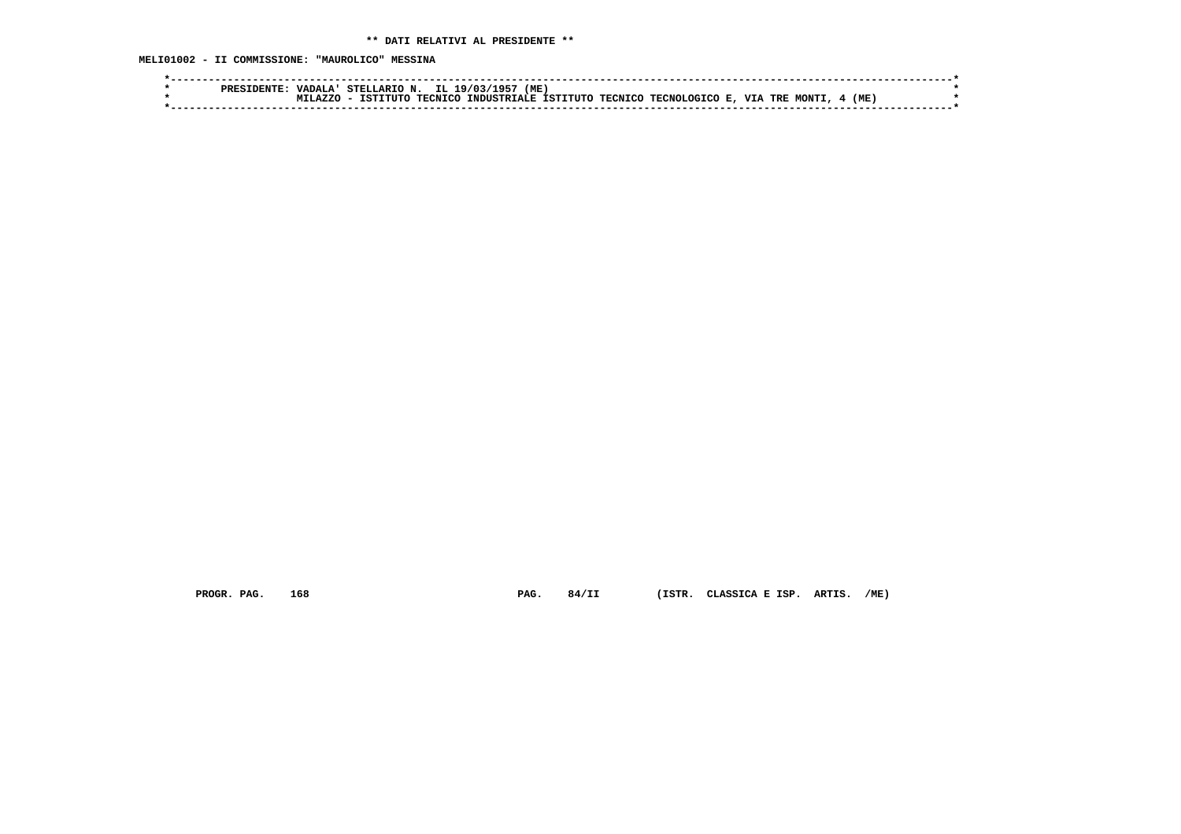**MELI01002 - II COMMISSIONE: "MAUROLICO" MESSINA**

|  | <b>VADALA!</b> |  | STELLARIO N. IL 19/03/1957 (ME) |  |                                                                               |  |        |  |
|--|----------------|--|---------------------------------|--|-------------------------------------------------------------------------------|--|--------|--|
|  | MTT.AZZO       |  |                                 |  | - ISTITUTO TECNICO INDUSTRIALE ISTITUTO TECNICO TECNOLOGICO E, VIA TRE MONTI, |  | 4 (ME) |  |
|  |                |  |                                 |  |                                                                               |  |        |  |

 **PROGR. PAG. 168 PAG. 84/II (ISTR. CLASSICA E ISP. ARTIS. /ME)**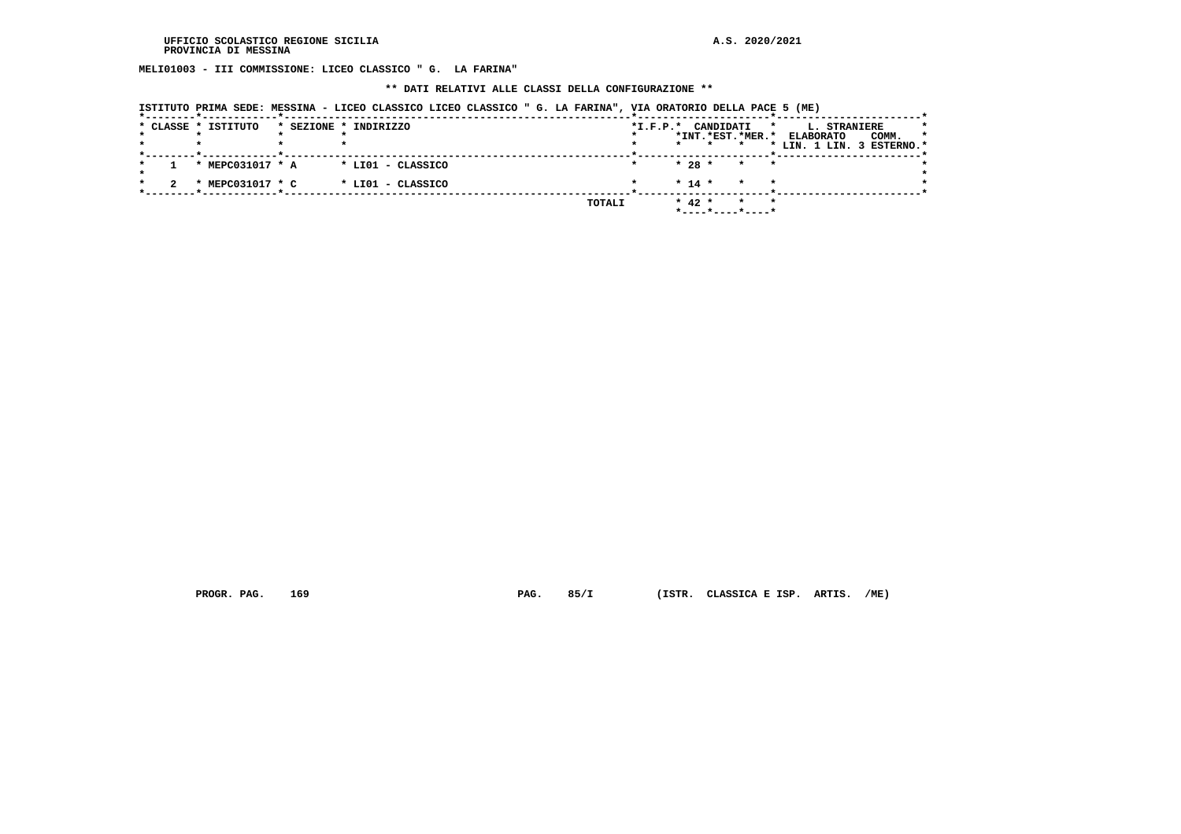**MELI01003 - III COMMISSIONE: LICEO CLASSICO " G. LA FARINA"**

#### **\*\* DATI RELATIVI ALLE CLASSI DELLA CONFIGURAZIONE \*\***

|  | * CLASSE * ISTITUTO | * SEZIONE * INDIRIZZO |        | $*I.F.P.*$ |         | CANDIDATI |                  | *       | L. STRANIERE              |       | *       |
|--|---------------------|-----------------------|--------|------------|---------|-----------|------------------|---------|---------------------------|-------|---------|
|  |                     |                       |        |            |         |           | *INT.*EST.*MER.* |         | <b>ELABORATO</b>          | COMM. | $\star$ |
|  |                     |                       |        |            | $\star$ |           |                  |         | * LIN. 1 LIN. 3 ESTERNO.* |       |         |
|  | * MEPC031017 * A    | * LI01 - CLASSICO     |        |            |         | $* 28 *$  | $\star$ $\star$  |         |                           |       |         |
|  | * MEPC031017 * C    | * LIO1 - CLASSICO     |        |            |         | $* 14 *$  | $\star$          | $\star$ |                           |       |         |
|  |                     |                       | TOTALI |            |         | $* 42 *$  | $\star$          | $\star$ |                           |       |         |

 **PROGR. PAG. 169 PAG. 85/I (ISTR. CLASSICA E ISP. ARTIS. /ME)**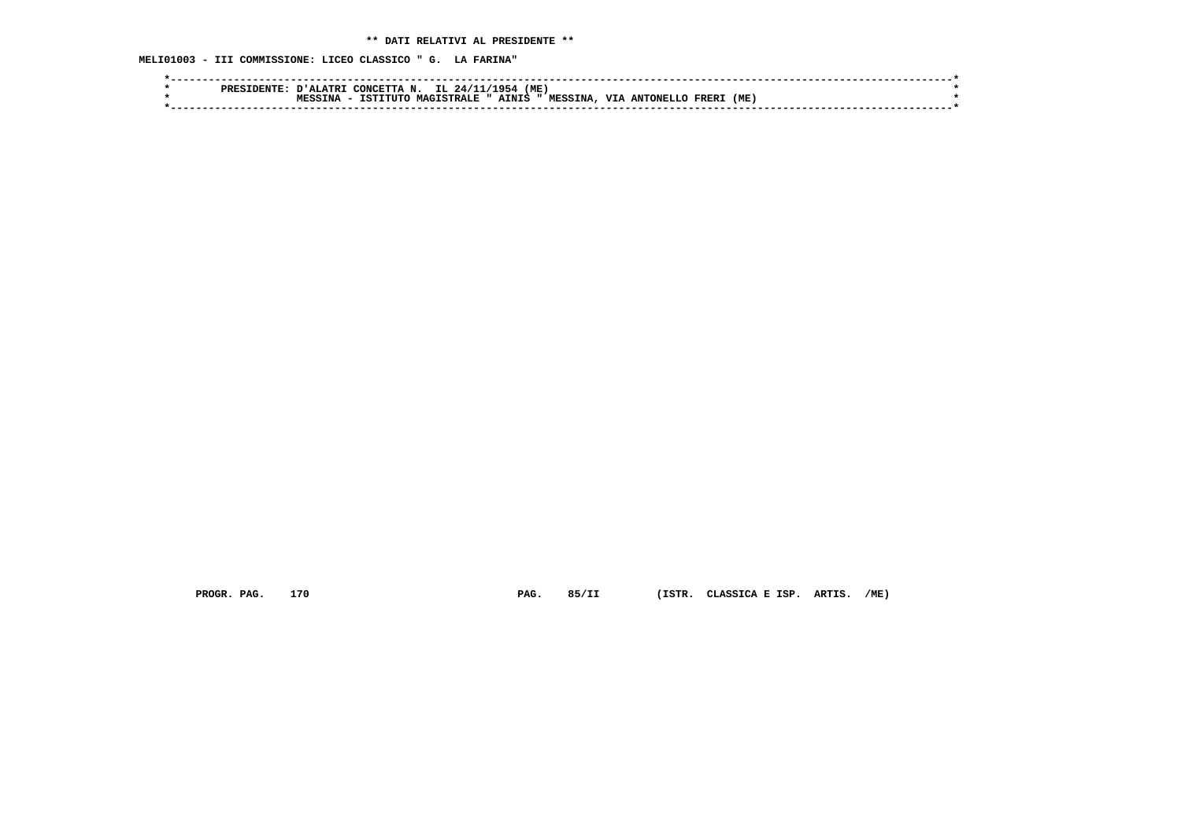**MELI01003 - III COMMISSIONE: LICEO CLASSICO " G. LA FARINA"**

|  | <b>ו אדב.זבי</b> ר | IL 24/1<br>CONCRTTA<br>$\mathbf{M}$ | (ME<br>177954             |                                         |     |  |
|--|--------------------|-------------------------------------|---------------------------|-----------------------------------------|-----|--|
|  | TNA                | <b>MAGISTRALE "</b><br>ISTITUTO     | <b>MESSINA</b><br>AINIS " | <b>VTA</b><br><b>ANTONELLO</b><br>FRER1 | (ME |  |
|  |                    |                                     |                           |                                         |     |  |
|  |                    |                                     |                           |                                         |     |  |

 **PROGR. PAG. 170 PAG. 85/II (ISTR. CLASSICA E ISP. ARTIS. /ME)**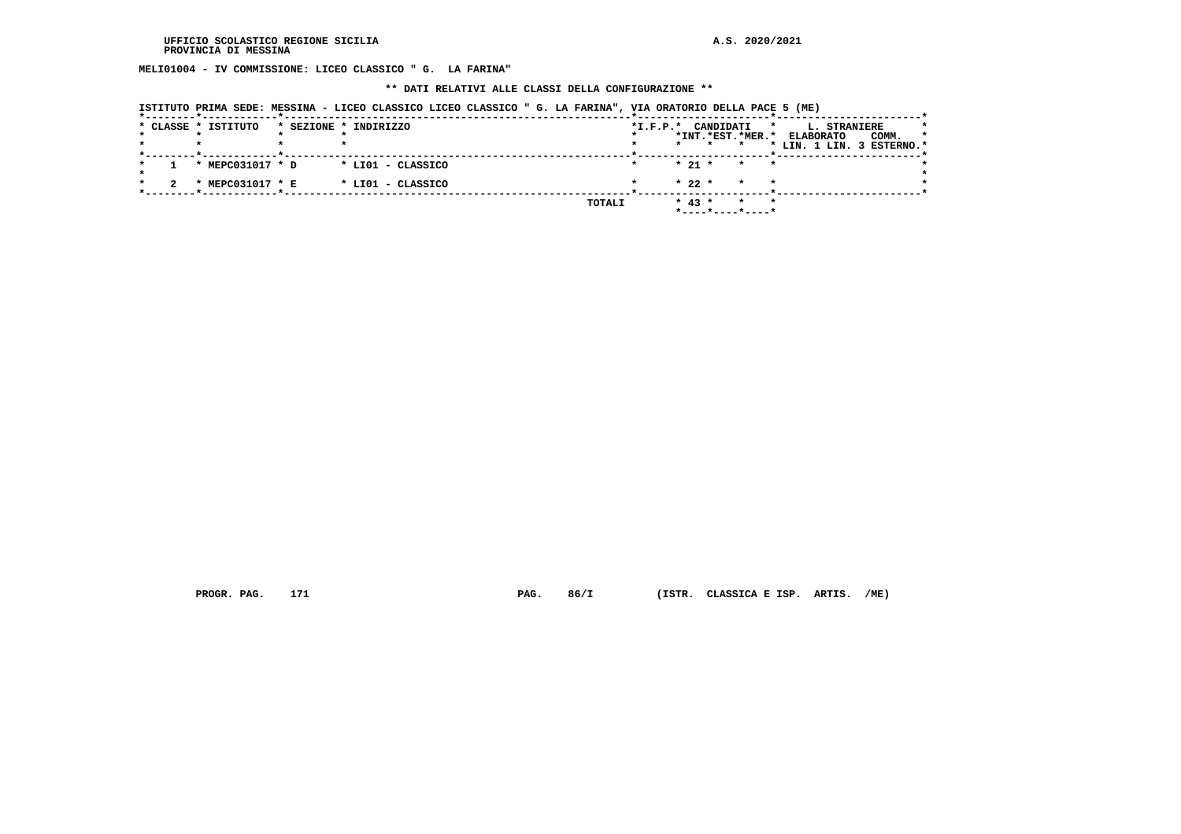**MELI01004 - IV COMMISSIONE: LICEO CLASSICO " G. LA FARINA"**

#### **\*\* DATI RELATIVI ALLE CLASSI DELLA CONFIGURAZIONE \*\***

|  | * CLASSE * ISTITUTO | * SEZIONE * INDIRIZZO |        | $*I.F.P.*$ |          | CANDIDATI |                                                               | L. STRANIERE<br>*                             |       | *       |
|--|---------------------|-----------------------|--------|------------|----------|-----------|---------------------------------------------------------------|-----------------------------------------------|-------|---------|
|  |                     |                       |        | $\star$    |          |           | *INT.*EST.*MER.*                                              | <b>ELABORATO</b><br>* LIN. 1 LIN. 3 ESTERNO.* | COMM. | $\star$ |
|  | * MEPC031017 * D    | * LIO1 - CLASSICO     |        |            | $* 21 *$ |           | $\star$<br>$\star$                                            |                                               |       |         |
|  | * MEPC031017 * E    | * LIO1 - CLASSICO     |        |            | $* 22 *$ |           | $\star$<br>$\star$                                            |                                               |       |         |
|  |                     |                       | TOTALI |            | $* 43 *$ |           | $\star$<br>$\star$<br>$*$ - - - - $*$ - - - - $*$ - - - - $*$ |                                               |       |         |

 **PROGR. PAG. 171 PAG. 86/I (ISTR. CLASSICA E ISP. ARTIS. /ME)**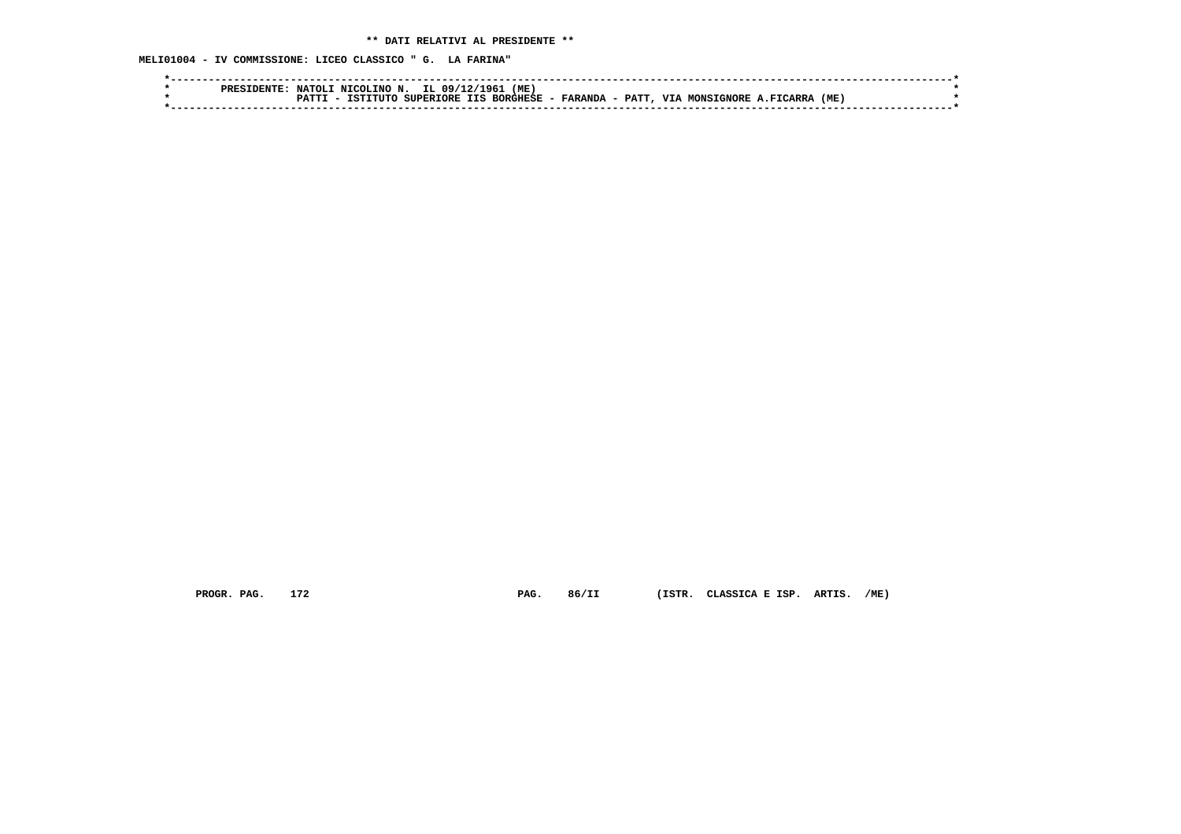**MELI01004 - IV COMMISSIONE: LICEO CLASSICO " G. LA FARINA"**

 **PROGR. PAG. 172 PAG. 86/II (ISTR. CLASSICA E ISP. ARTIS. /ME)**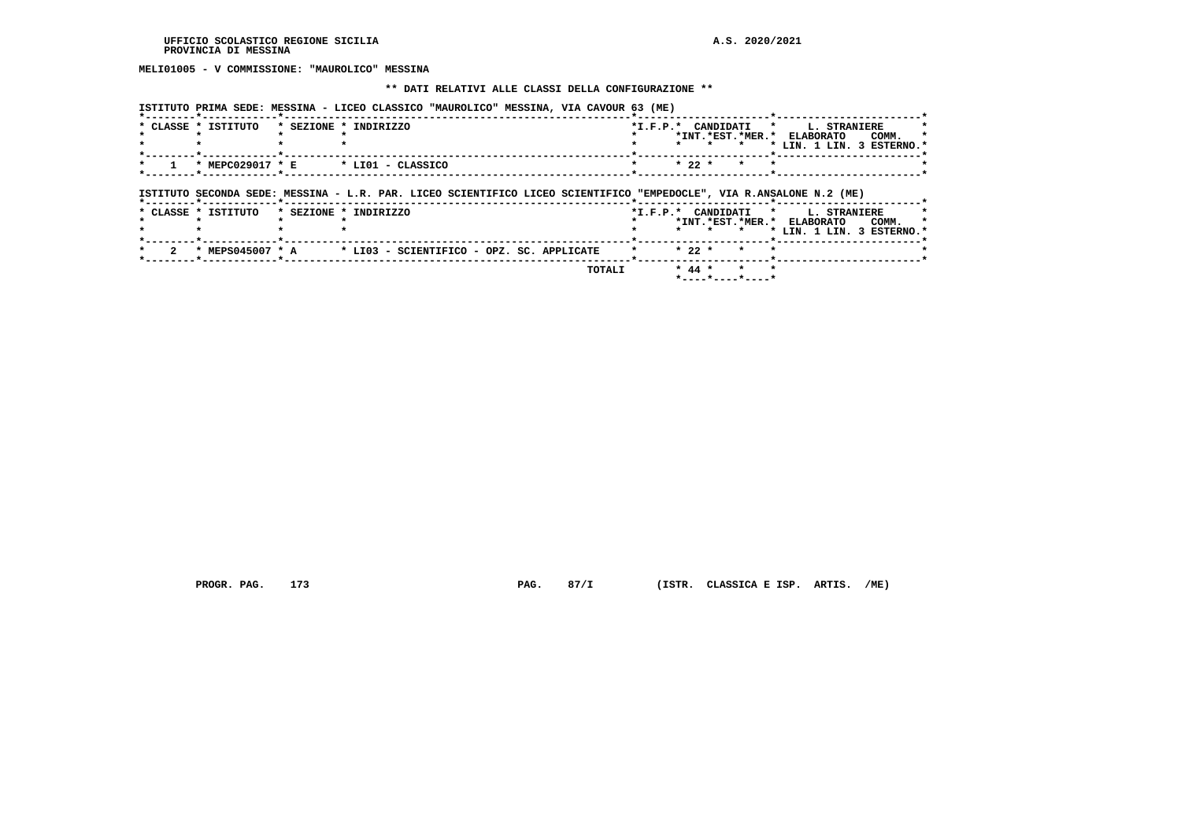**MELI01005 - V COMMISSIONE: "MAUROLICO" MESSINA**

#### **\*\* DATI RELATIVI ALLE CLASSI DELLA CONFIGURAZIONE \*\***

 **ISTITUTO PRIMA SEDE: MESSINA - LICEO CLASSICO "MAUROLICO" MESSINA, VIA CAVOUR 63 (ME)**

| * CLASSE * ISTITUTO | * SEZIONE * INDIRIZZO                                                                                               | *I.F.P.* CANDIDATI * L. STRANIERE |                 |         |  | *INT.*EST.*MER.* ELABORATO | COMM.                              |
|---------------------|---------------------------------------------------------------------------------------------------------------------|-----------------------------------|-----------------|---------|--|----------------------------|------------------------------------|
|                     |                                                                                                                     |                                   |                 |         |  |                            | * LIN. 1 LIN. 3 ESTERNO.'          |
| * MEPC029017 * E    | * LIO1 - CLASSICO                                                                                                   |                                   | $* 22 *$        | $\star$ |  |                            |                                    |
|                     |                                                                                                                     |                                   |                 |         |  |                            |                                    |
|                     | ISTITUTO SECONDA SEDE: MESSINA - L.R. PAR. LICEO SCIENTIFICO LICEO SCIENTIFICO "EMPEDOCLE", VIA R.ANSALONE N.2 (ME) |                                   |                 |         |  |                            |                                    |
| * CLASSE * ISTITUTO | * SEZIONE * INDIRIZZO                                                                                               | *I.F.P.* CANDIDATI * L. STRANIERE |                 |         |  |                            |                                    |
|                     |                                                                                                                     |                                   | $\cdot$ $\cdot$ | $\star$ |  | *INT.*EST.*MER.* ELABORATO | COMM.<br>* LIN. 1 LIN. 3 ESTERNO.* |
|                     | * MEPS045007 * A * LI03 - SCIENTIFICO - OPZ. SC. APPLICATE                                                          |                                   | $* 22 *$        |         |  |                            |                                    |

 **PROGR. PAG. 173 PAG. 87/I (ISTR. CLASSICA E ISP. ARTIS. /ME)**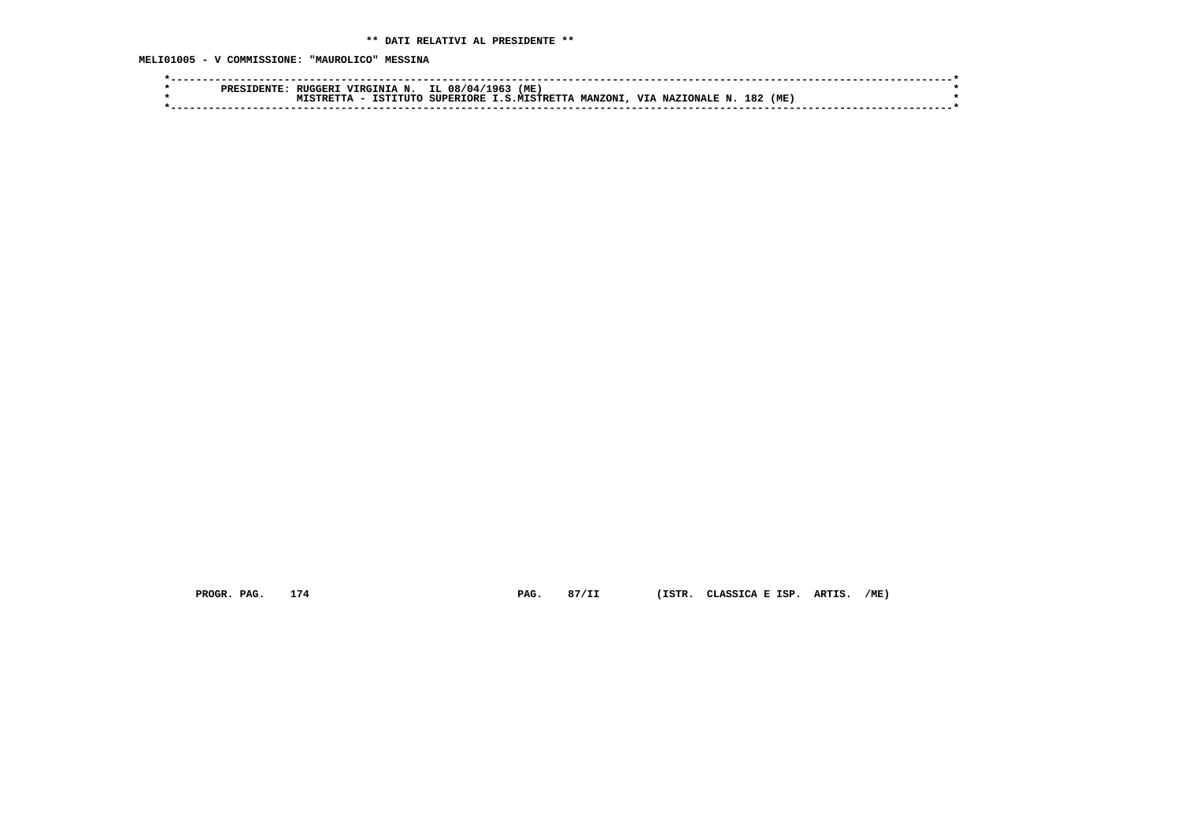**MELI01005 - V COMMISSIONE: "MAUROLICO" MESSINA**

|  | VIRGINIA N.<br>RUGGER I | IL 08/04/   | (ME)<br>196.         |                |                               |            |  |
|--|-------------------------|-------------|----------------------|----------------|-------------------------------|------------|--|
|  | TSTTTITC                | SUPERTORE T | <b>T.S.MTSTRETTA</b> | <b>MANZONI</b> | VTA NAZIONALE N. <sup>1</sup> | 182<br>(ME |  |
|  |                         |             |                      |                |                               |            |  |

 **PROGR. PAG. 174 PAG. 87/II (ISTR. CLASSICA E ISP. ARTIS. /ME)**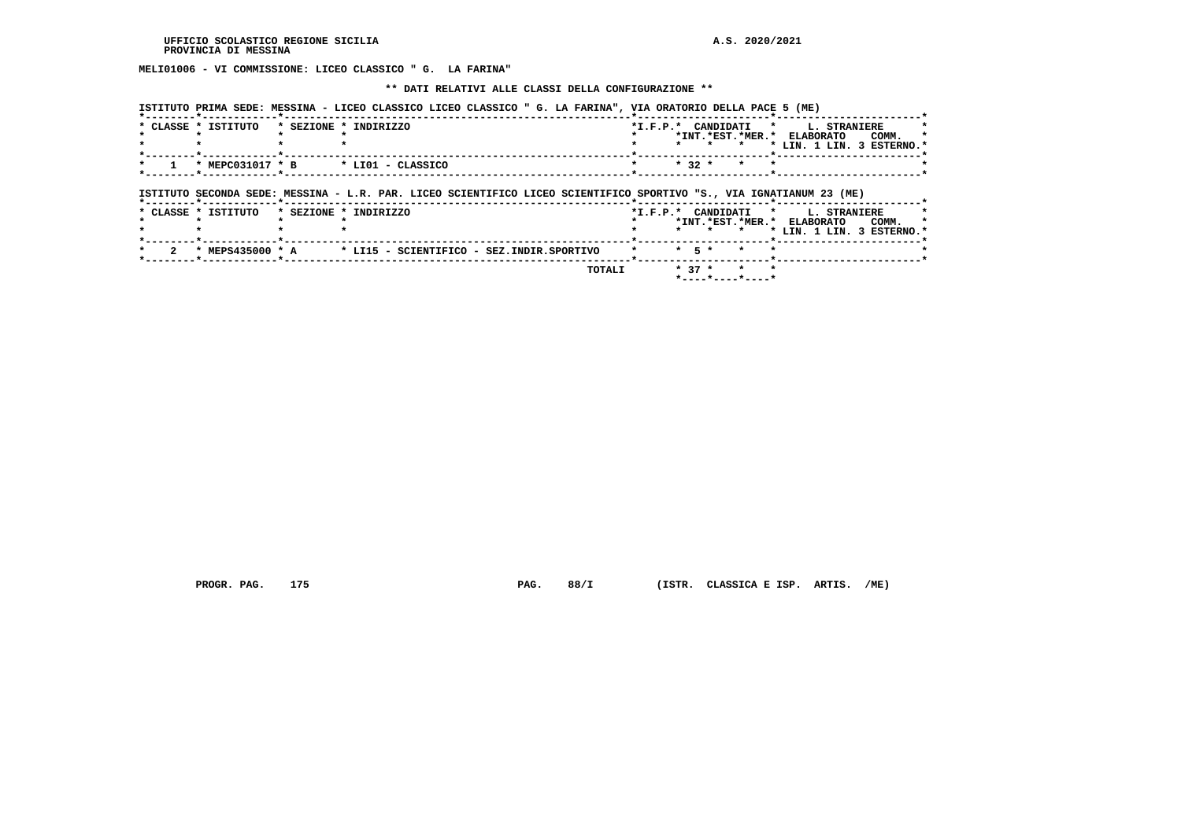**MELI01006 - VI COMMISSIONE: LICEO CLASSICO " G. LA FARINA"**

 **\*\* DATI RELATIVI ALLE CLASSI DELLA CONFIGURAZIONE \*\***

 **ISTITUTO PRIMA SEDE: MESSINA - LICEO CLASSICO LICEO CLASSICO " G. LA FARINA", VIA ORATORIO DELLA PACE 5 (ME)**

|                      | * CLASSE * ISTITUTO | * SEZIONE * INDIRIZZO                                                                                               | $*$ I.F.P. $*$ |           | CANDIDATI *<br>*INT.*EST.*MER.* | <b>ELABORATO</b><br>* LIN. 1 LIN. 3 ESTERNO.*              | <b>L. STRANIERE</b> | COMM. |  |
|----------------------|---------------------|---------------------------------------------------------------------------------------------------------------------|----------------|-----------|---------------------------------|------------------------------------------------------------|---------------------|-------|--|
|                      | * MEPC031017 * B    | * LIO1 - CLASSICO                                                                                                   |                | $* 32 *$  | $\star$                         |                                                            |                     |       |  |
|                      |                     |                                                                                                                     |                |           |                                 |                                                            |                     |       |  |
|                      |                     | ISTITUTO SECONDA SEDE: MESSINA - L.R. PAR. LICEO SCIENTIFICO LICEO SCIENTIFICO SPORTIVO "S., VIA IGNATIANUM 23 (ME) |                |           |                                 |                                                            |                     |       |  |
|                      | * CLASSE * ISTITUTO | * SEZIONE * INDIRIZZO                                                                                               | $*$ I.F.P. $*$ |           | CANDIDATI *<br>$\cdot$          | *INT. *EST. *MER. * ELABORATO<br>* LIN. 1 LIN. 3 ESTERNO.* | <b>L. STRANIERE</b> | COMM. |  |
| $\mathbf{2}^{\circ}$ | * MEPS435000 * A    | * LI15 - SCIENTIFICO - SEZ.INDIR.SPORTIVO                                                                           |                | $*$ 5 $*$ | $\sim$                          |                                                            |                     |       |  |

 **PROGR. PAG. 175 PAG. 88/I (ISTR. CLASSICA E ISP. ARTIS. /ME)**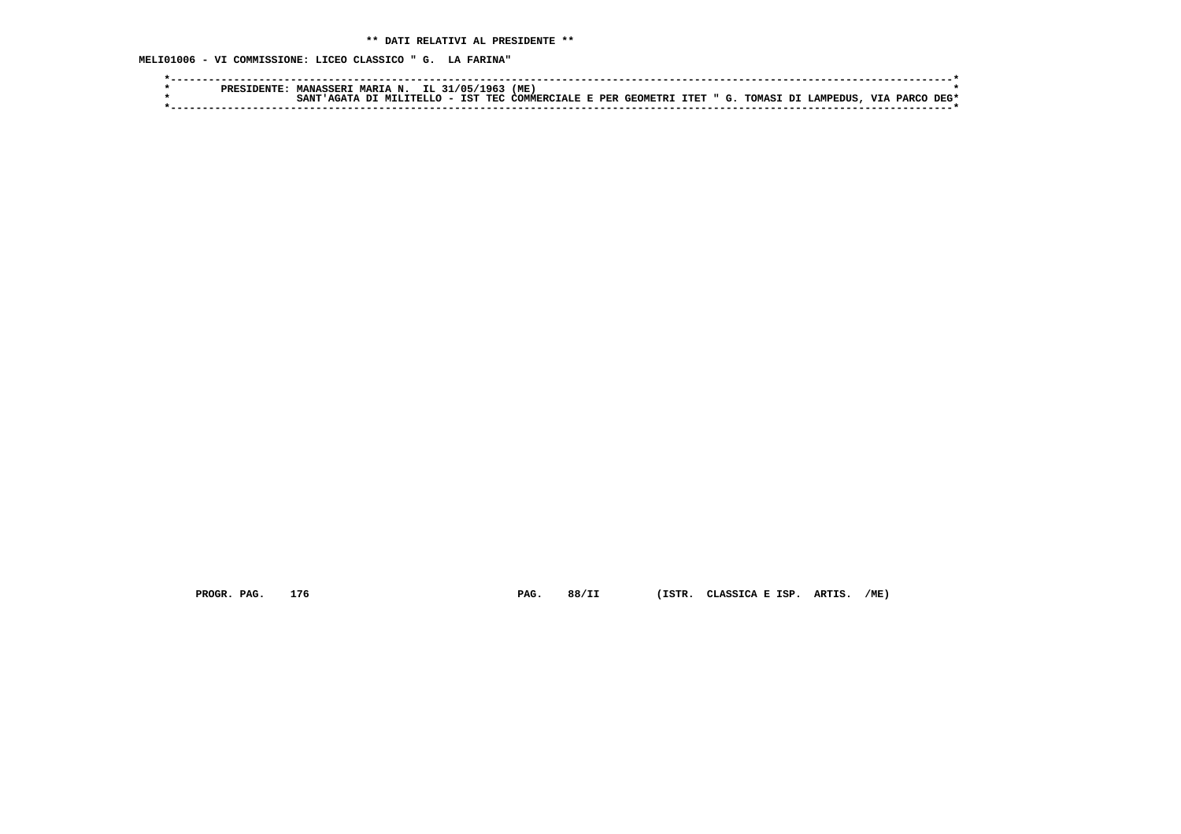**MELI01006 - VI COMMISSIONE: LICEO CLASSICO " G. LA FARINA"**

|  | PRESIDENTE. | <b>MANASSERI</b>              | : MARIA N. IL 31/05/1963 |  | (ME)                                                           |  |  |  |           |      |
|--|-------------|-------------------------------|--------------------------|--|----------------------------------------------------------------|--|--|--|-----------|------|
|  |             | SANT'AGATA DI MILITELLO - IST |                          |  | ' TEC COMMERCIALE E PER GEOMETRI ITET " G. TOMASI DI LAMPEDUS. |  |  |  | VIA PARCO | DEG* |
|  |             |                               |                          |  |                                                                |  |  |  |           |      |

 **PROGR. PAG. 176 PAG. 88/II (ISTR. CLASSICA E ISP. ARTIS. /ME)**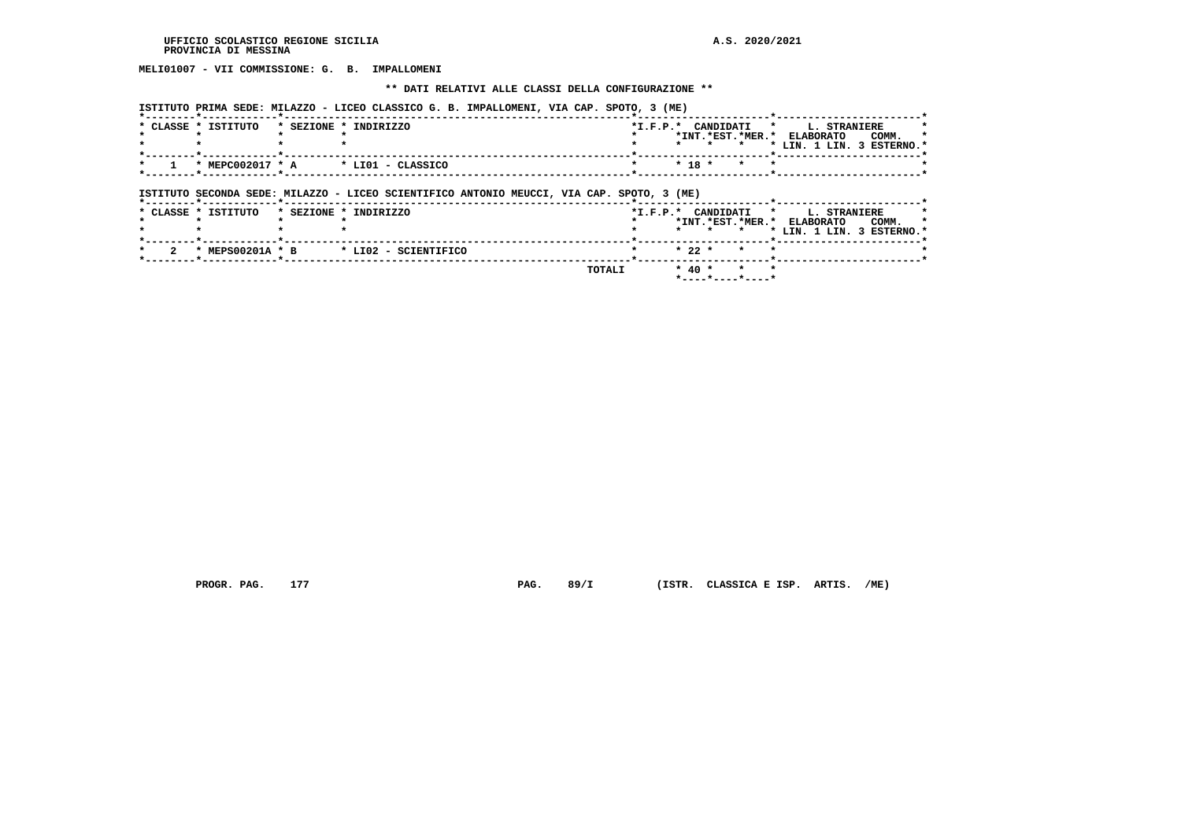# **MELI01007 - VII COMMISSIONE: G. B. IMPALLOMENI**

#### **\*\* DATI RELATIVI ALLE CLASSI DELLA CONFIGURAZIONE \*\***

 **ISTITUTO PRIMA SEDE: MILAZZO - LICEO CLASSICO G. B. IMPALLOMENI, VIA CAP. SPOTO, 3 (ME)**

| * CLASSE * ISTITUTO | * SEZIONE * INDIRIZZO                                                                     |         |            |         |         | *I.F.P.* CANDIDATI * L. STRANIERE<br>*INT.*EST.*MER.* ELABORATO | COMM.                     |
|---------------------|-------------------------------------------------------------------------------------------|---------|------------|---------|---------|-----------------------------------------------------------------|---------------------------|
|                     |                                                                                           | $\star$ |            | $\star$ | $\star$ |                                                                 | * LIN. 1 LIN. 3 ESTERNO.* |
|                     | $*$ MEPC002017 $*$ A $*$ LI01 - CLASSICO                                                  |         | $* 18 *$   |         | $\star$ |                                                                 |                           |
|                     |                                                                                           |         |            |         |         |                                                                 |                           |
|                     |                                                                                           |         |            |         |         |                                                                 |                           |
|                     | ISTITUTO SECONDA SEDE: MILAZZO - LICEO SCIENTIFICO ANTONIO MEUCCI, VIA CAP. SPOTO, 3 (ME) |         |            |         |         |                                                                 |                           |
| * CLASSE * ISTITUTO | * SEZIONE * INDIRIZZO                                                                     |         |            |         |         | *I.F.P.* CANDIDATI * L. STRANIERE                               |                           |
|                     |                                                                                           |         |            | * * *   |         | *INT.*EST.*MER.* ELABORATO                                      | COMM.                     |
|                     |                                                                                           |         |            |         |         |                                                                 | * LIN. 1 LIN. 3 ESTERNO.* |
| * MEPS00201A * B    | * LI02 - SCIENTIFICO                                                                      |         | $* 22 *$   |         |         |                                                                 |                           |
|                     | TOTALI                                                                                    |         | $*$ 40 $*$ |         | $\star$ |                                                                 |                           |

 **PROGR. PAG. 177 PAG. 89/I (ISTR. CLASSICA E ISP. ARTIS. /ME)**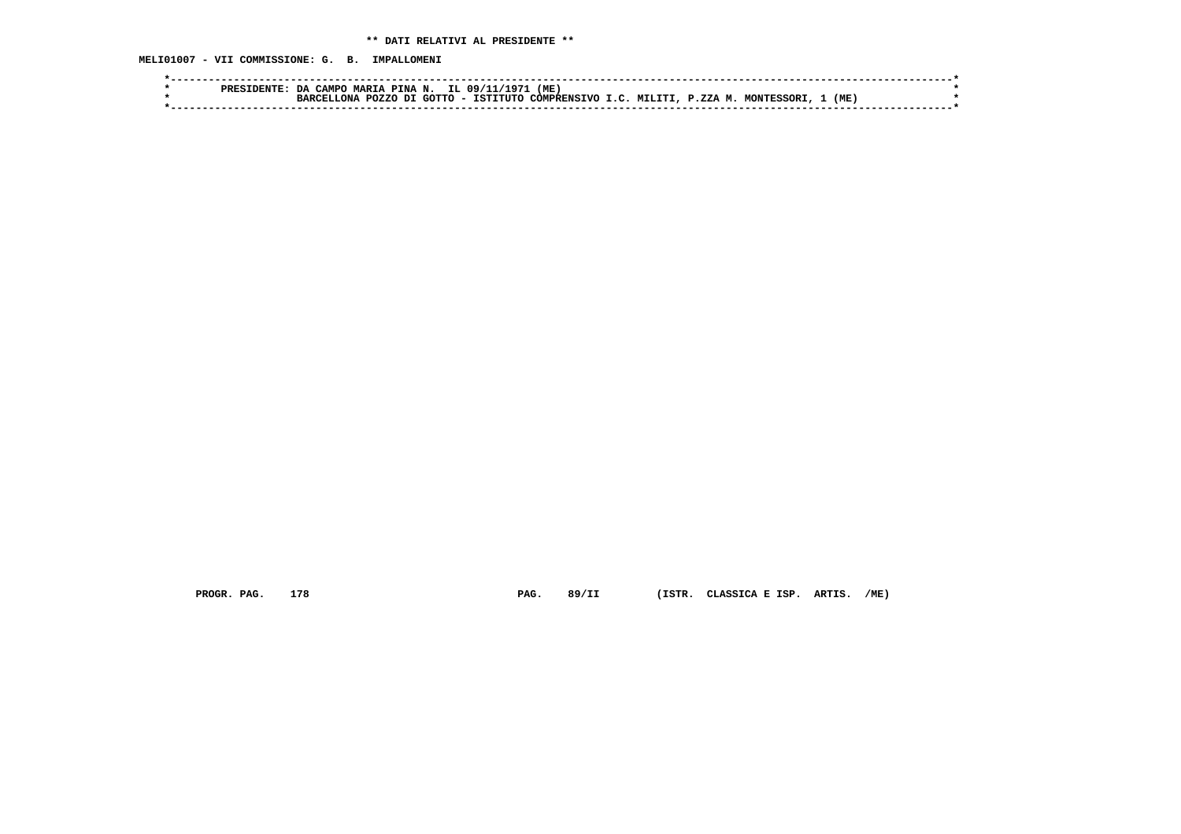**MELI01007 - VII COMMISSIONE: G. B. IMPALLOMENI**

|  | PRESIDENTE: | CAMPO<br>בת | <b>MARTA</b>   | A PINA N. | IL 09/11/1971    | (ME)            |         |               |            |     |  |
|--|-------------|-------------|----------------|-----------|------------------|-----------------|---------|---------------|------------|-----|--|
|  |             | וסמפם       | POZZO<br>אמ∩.־ | דת        | GOTTO - ISTITUTO | COMPRENSIVO I C | MTT.TTT | <b>P.ZZAM</b> | MONTESSORI | (ME |  |
|  |             |             |                |           |                  |                 |         |               |            |     |  |

 **PROGR. PAG. 178 PAG. 89/II (ISTR. CLASSICA E ISP. ARTIS. /ME)**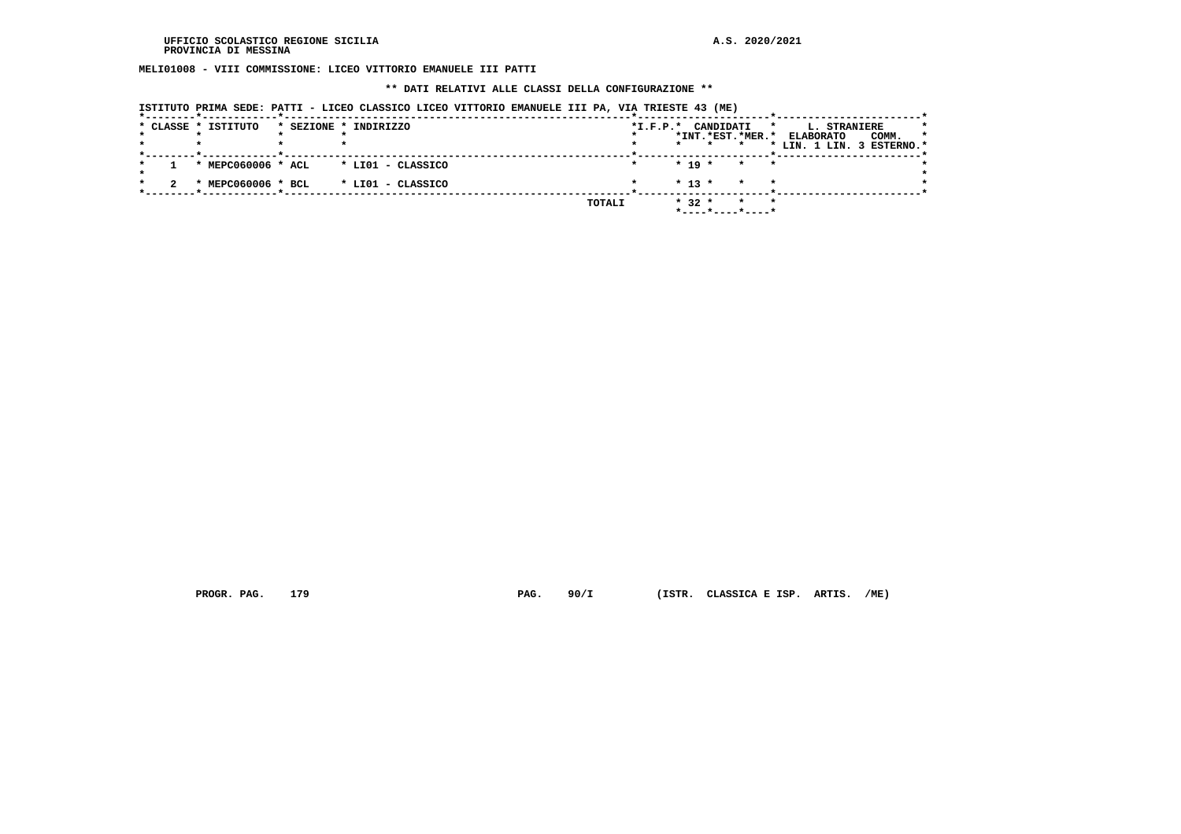**MELI01008 - VIII COMMISSIONE: LICEO VITTORIO EMANUELE III PATTI**

#### **\*\* DATI RELATIVI ALLE CLASSI DELLA CONFIGURAZIONE \*\***

|  | ISTITUTO PRIMA SEDE: PATTI - LICEO CLASSICO LICEO VITTORIO EMANUELE III PA, VIA TRIESTE 43 (ME)<br>* CLASSE * ISTITUTO | * SEZIONE * INDIRIZZO |                   |  |        | $*L.F.P.*$ |          | CANDIDATI |                    | $\star$ |                  | L. STRANIERE |                                         |
|--|------------------------------------------------------------------------------------------------------------------------|-----------------------|-------------------|--|--------|------------|----------|-----------|--------------------|---------|------------------|--------------|-----------------------------------------|
|  |                                                                                                                        |                       |                   |  |        |            | $\star$  |           | *INT.*EST.*MER.*   |         | <b>ELABORATO</b> |              | COMM.<br>×<br>* LIN. 1 LIN. 3 ESTERNO.* |
|  | * MEPC060006 * ACL                                                                                                     |                       | * LIO1 - CLASSICO |  |        |            | $* 19 *$ |           | $\star$            | $\star$ |                  |              |                                         |
|  | * MEPC060006 * BCL                                                                                                     |                       | * LIO1 - CLASSICO |  |        |            | $* 13 *$ |           | $\star$<br>$\star$ |         |                  |              |                                         |
|  |                                                                                                                        |                       |                   |  | TOTALI |            | $* 32 *$ |           | $\star$            | $\star$ |                  |              |                                         |

 **PROGR. PAG. 179 PAG. 90/I (ISTR. CLASSICA E ISP. ARTIS. /ME)**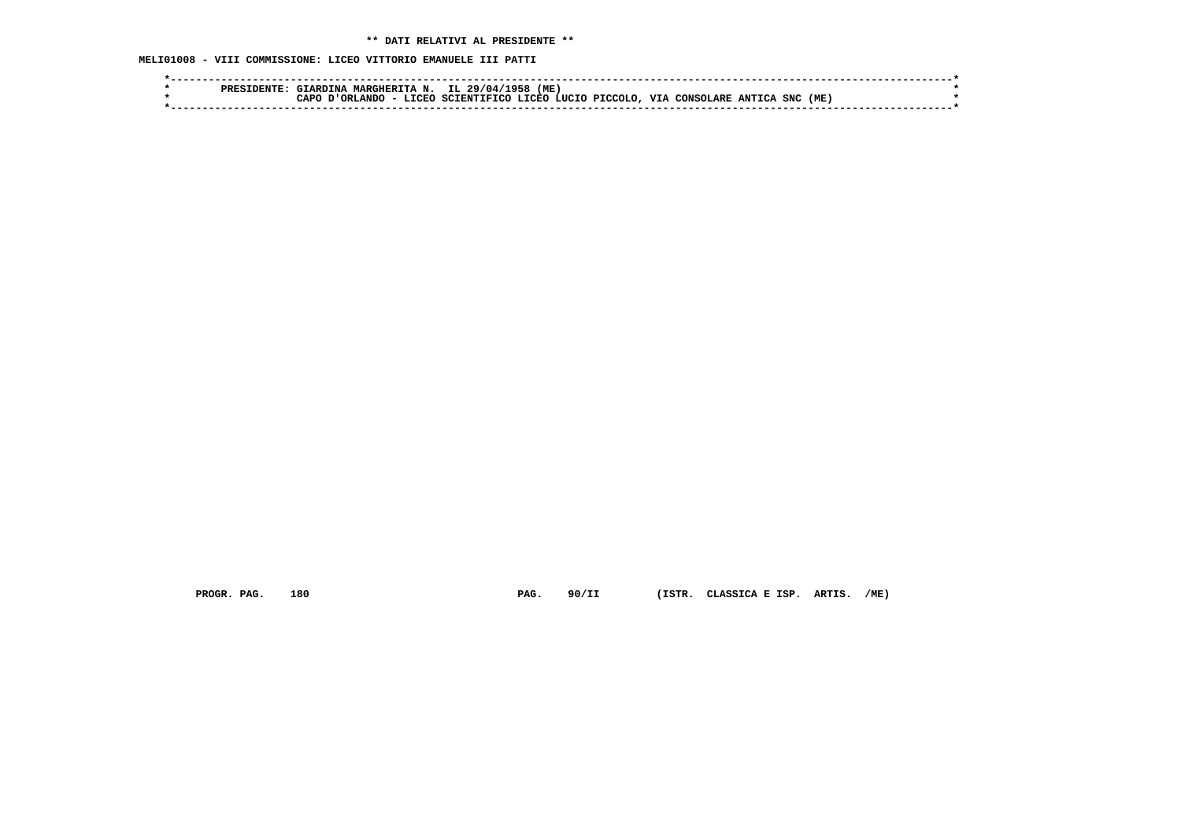**MELI01008 - VIII COMMISSIONE: LICEO VITTORIO EMANUELE III PATTI**

| $\Lambda$ MARGHERITA N. IL 29/04/7<br>(ME)<br>7958<br><b>GTARDINA</b>                                    |  |
|----------------------------------------------------------------------------------------------------------|--|
| VIA CONSOLARE ANTICA SNC (ME)<br>SCIENTIFICO LICEO LUCIO PICCOLO.<br>- LICEO<br><b>D'ORLANDC</b><br>∩סבר |  |
|                                                                                                          |  |

 **PROGR. PAG. 180 PAG. 90/II (ISTR. CLASSICA E ISP. ARTIS. /ME)**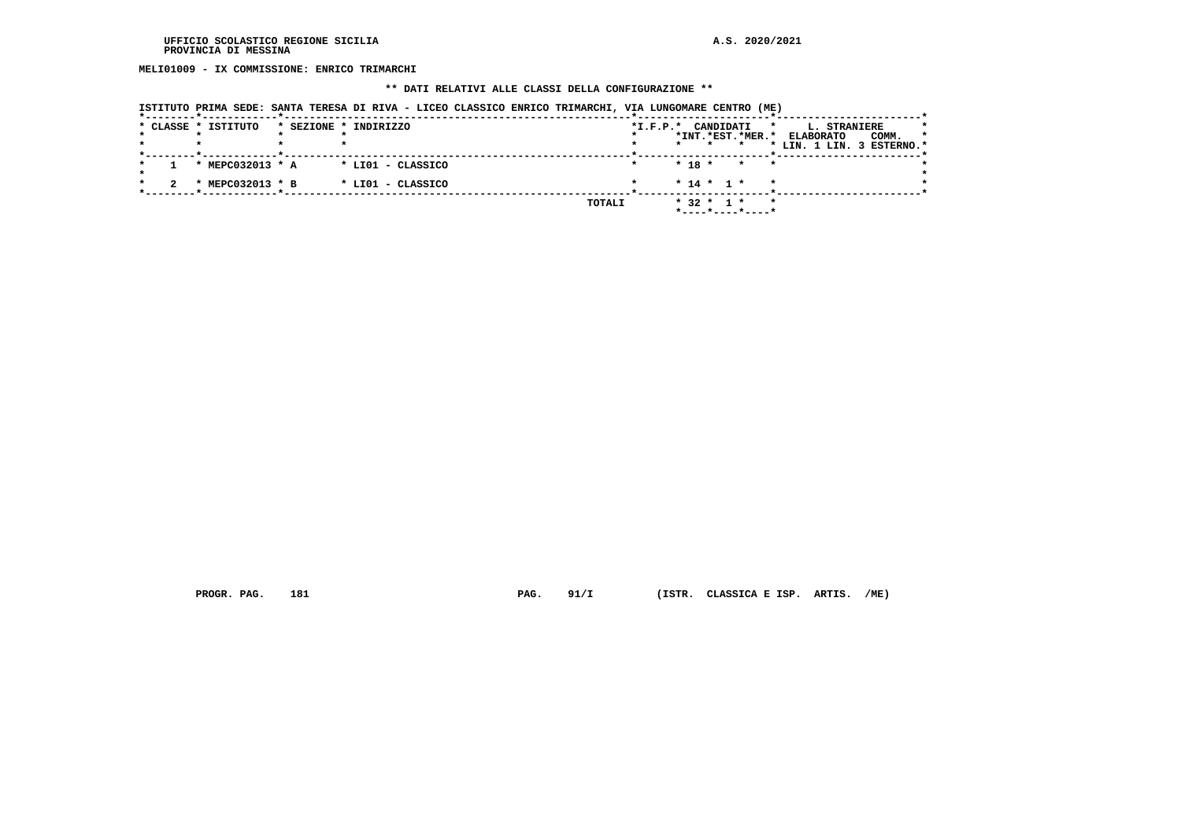**MELI01009 - IX COMMISSIONE: ENRICO TRIMARCHI**

#### **\*\* DATI RELATIVI ALLE CLASSI DELLA CONFIGURAZIONE \*\***

|  |  |  |  |  |  | ISTITUTO PRIMA SEDE: SANTA TERESA DI RIVA - LICEO CLASSICO ENRICO TRIMARCHI, VIA LUNGOMARE CENTRO |  | (ME) |
|--|--|--|--|--|--|---------------------------------------------------------------------------------------------------|--|------|
|  |  |  |  |  |  |                                                                                                   |  |      |

|  | * CLASSE * ISTITUTO | * SEZIONE * INDIRIZZO | $*I.F.P.*$    | CANDIDATI<br>*                                  | L. STRANIERE<br>$\star$              |  |
|--|---------------------|-----------------------|---------------|-------------------------------------------------|--------------------------------------|--|
|  |                     |                       |               | *INT.*EST.*MER.*                                | COMM.<br><b>ELABORATO</b><br>$\star$ |  |
|  |                     |                       |               | $\star$                                         | * LIN. 1 LIN. 3 ESTERNO.*            |  |
|  | * MEPC032013 * A    | * LI01 - CLASSICO     |               | $*$ 18 $*$<br>$\star$<br>$\star$                |                                      |  |
|  | * MEPC032013 * B    | * LI01 - CLASSICO     |               | $* 14 * 1 *$<br>$\star$                         |                                      |  |
|  |                     |                       | <b>TOTALI</b> | $*$ 32 $*$ 1 $*$<br>$\star$<br>*----*----*----* |                                      |  |

 **PROGR. PAG. 181 PAG. 91/I (ISTR. CLASSICA E ISP. ARTIS. /ME)**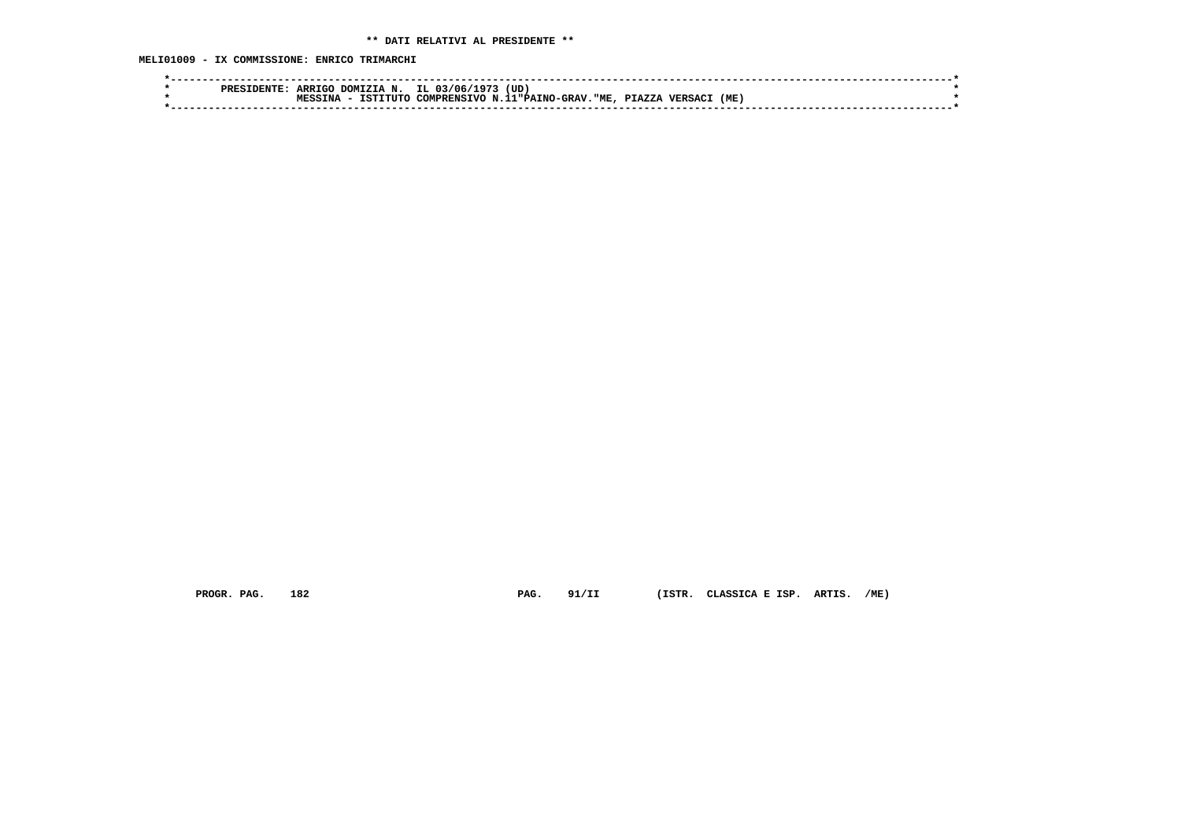**MELI01009 - IX COMMISSIONE: ENRICO TRIMARCHI**

| <b>PRES</b> | <b>ARRIGO</b>      | IL.<br>DOMIZIA<br>N. | . 97.<br>03/06/ | (UD                        |        |              |     |  |
|-------------|--------------------|----------------------|-----------------|----------------------------|--------|--------------|-----|--|
|             | TNA<br><b>MPCC</b> | TSTTTITO             | COMPRENSTVO     | N.11 "PATNO-GRAV"<br>. "ME | PIAZZA | <b>VERSA</b> | (ME |  |
|             |                    |                      |                 |                            |        |              |     |  |

 **PROGR. PAG. 182 PAG. 91/II (ISTR. CLASSICA E ISP. ARTIS. /ME)**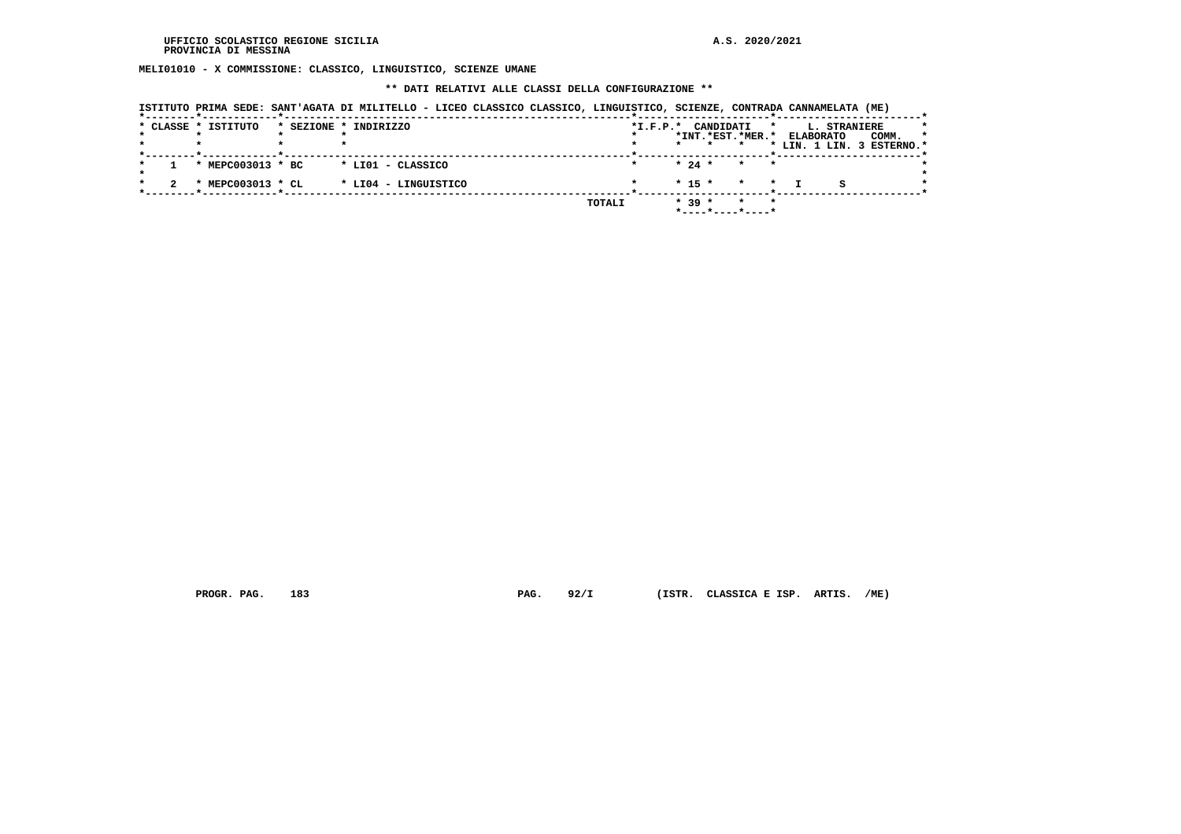**MELI01010 - X COMMISSIONE: CLASSICO, LINGUISTICO, SCIENZE UMANE**

#### **\*\* DATI RELATIVI ALLE CLASSI DELLA CONFIGURAZIONE \*\***

|  |                     | ISTITUTO PRIMA SEDE: SANT'AGATA DI MILITELLO - LICEO CLASSICO CLASSICO, LINGUISTICO, SCIENZE, CONTRADA CANNAMELATA (ME) |                |                                                     |                    |                  |                     |                                               |
|--|---------------------|-------------------------------------------------------------------------------------------------------------------------|----------------|-----------------------------------------------------|--------------------|------------------|---------------------|-----------------------------------------------|
|  | * CLASSE * ISTITUTO | * SEZIONE * INDIRIZZO                                                                                                   | $*$ I.F.P. $*$ | CANDIDATI<br>*INT.*EST.*MER.*<br>$\star$            | $\star$            | <b>ELABORATO</b> | <b>L. STRANIERE</b> | COMM.<br>$\star$<br>* LIN. 1 LIN. 3 ESTERNO.* |
|  | * MEPC003013 * BC   | * LIO1 - CLASSICO                                                                                                       |                | $* 24 *$                                            | $\star$<br>$\star$ |                  |                     |                                               |
|  | * MEPC003013 * CL   | * LI04 - LINGUISTICO                                                                                                    |                | $* 15 *$                                            | $\star$<br>$\star$ |                  |                     |                                               |
|  |                     |                                                                                                                         | TOTALI         | $* 39 *$<br>$*$ - - - - $*$ - - - - $*$ - - - - $*$ | $\star$            |                  |                     |                                               |

 **PROGR. PAG. 183 PAG. 92/I (ISTR. CLASSICA E ISP. ARTIS. /ME)**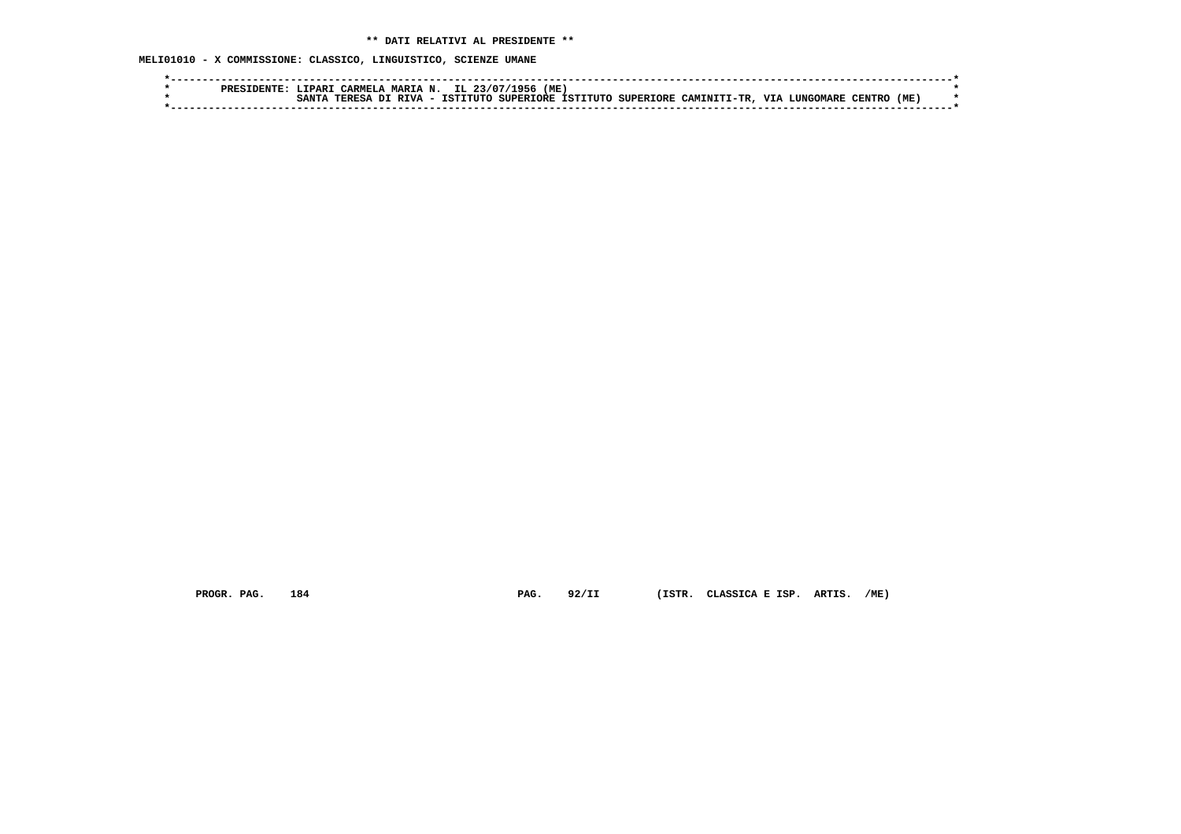**MELI01010 - X COMMISSIONE: CLASSICO, LINGUISTICO, SCIENZE UMANE**

|  | PRFS | TPAR. | CARMELA | <b>MARIA N.</b> | IL    | $-95n$<br>- 22/07 | (ME |  |                                           |            |         |       |      |  |
|--|------|-------|---------|-----------------|-------|-------------------|-----|--|-------------------------------------------|------------|---------|-------|------|--|
|  |      |       | TPDFC1  | . – געד אדרי    | TCTL. | ^יידדיד∩          |     |  | SUPERIORE ISTITUTO SUPERIORE CAMINITI-TR. | <b>TTT</b> | HOMARF. | TRNTR | (ME) |  |
|  |      |       |         |                 |       |                   |     |  |                                           |            |         |       |      |  |
|  |      |       |         |                 |       |                   |     |  |                                           |            |         |       |      |  |

 **PROGR. PAG. 184 PAG. 92/II (ISTR. CLASSICA E ISP. ARTIS. /ME)**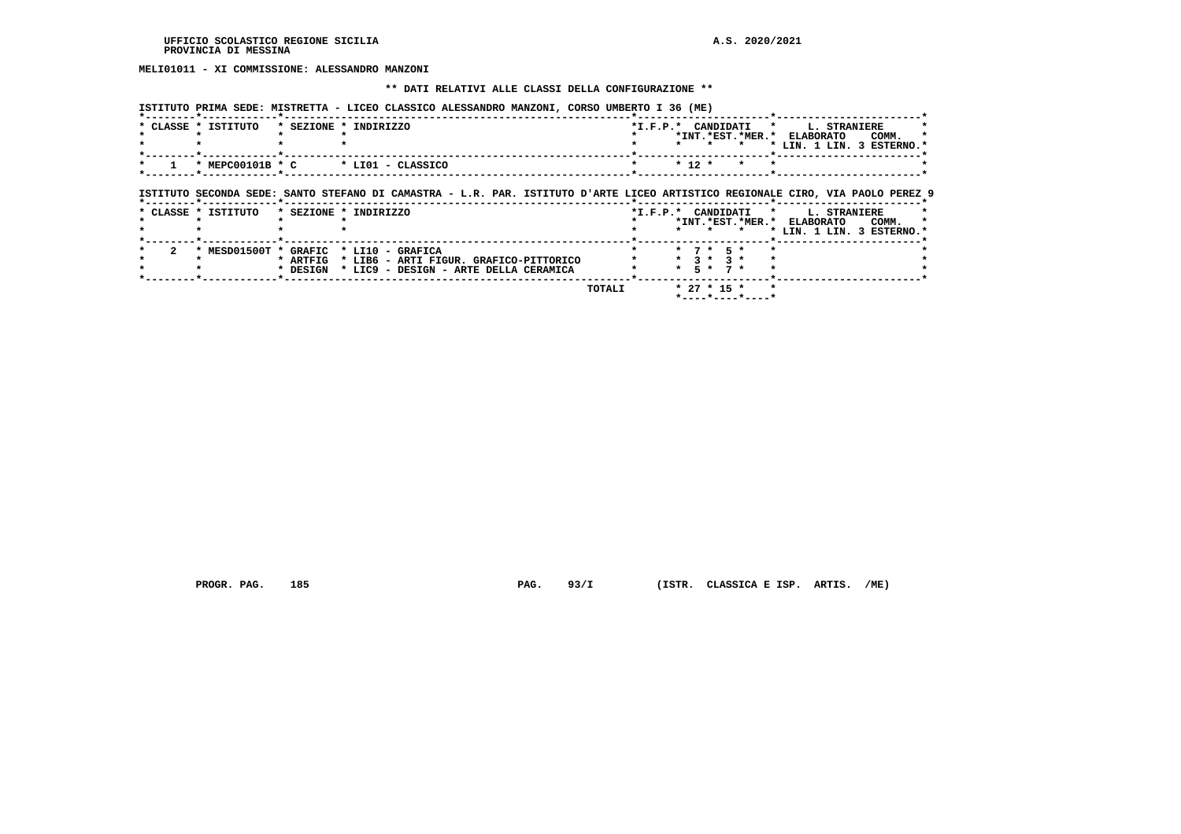# **MELI01011 - XI COMMISSIONE: ALESSANDRO MANZONI**

#### **\*\* DATI RELATIVI ALLE CLASSI DELLA CONFIGURAZIONE \*\***

 **ISTITUTO PRIMA SEDE: MISTRETTA - LICEO CLASSICO ALESSANDRO MANZONI, CORSO UMBERTO I 36 (ME)**

| * CLASSE * ISTITUTO | * SEZIONE * INDIRIZZO                                                                                                                             | *INT.*EST.*MER.* ELABORATO                                   | *I.F.P.* CANDIDATI * L. STRANIERE<br>COMM.                                                               |
|---------------------|---------------------------------------------------------------------------------------------------------------------------------------------------|--------------------------------------------------------------|----------------------------------------------------------------------------------------------------------|
|                     |                                                                                                                                                   | * * *                                                        | * LIN. 1 LIN. 3 ESTERNO.*                                                                                |
|                     | $\star$ MEPC00101B $\star$ C $\star$ LI01 - CLASSICO                                                                                              | $* 12 *$<br>$\star$                                          |                                                                                                          |
|                     | ISTITUTO SECONDA SEDE: SANTO STEFANO DI CAMASTRA - L.R. PAR. ISTITUTO D'ARTE LICEO ARTISTICO REGIONALE CIRO, VIA PAOLO PEREZ 9                    |                                                              |                                                                                                          |
| * CLASSE * ISTITUTO | * SEZIONE * INDIRIZZO                                                                                                                             |                                                              | *I.F.P.* CANDIDATI * L. STRANIERE<br>*INT.*EST.*MER.* ELABORATO COMM.<br>* * * * LIN. 1 LIN. 3 ESTERNO.* |
|                     | * MESD01500T * GRAFIC * LI10 - GRAFICA<br>* ARTFIG<br>* LIB6 - ARTI FIGUR. GRAFICO-PITTORICO<br>* DESIGN<br>* LIC9 - DESIGN - ARTE DELLA CERAMICA | $*$ 7 $*$ 5 $*$<br>$*$ 3 $*$ 3 $*$<br>$* 5 * 7 *$            |                                                                                                          |
|                     | TOTALI                                                                                                                                            | $*$ 27 $*$ 15 $*$<br>$*$ - - - - $*$ - - - - $*$ - - - - $*$ |                                                                                                          |

 **PROGR. PAG. 185 PAG. 93/I (ISTR. CLASSICA E ISP. ARTIS. /ME)**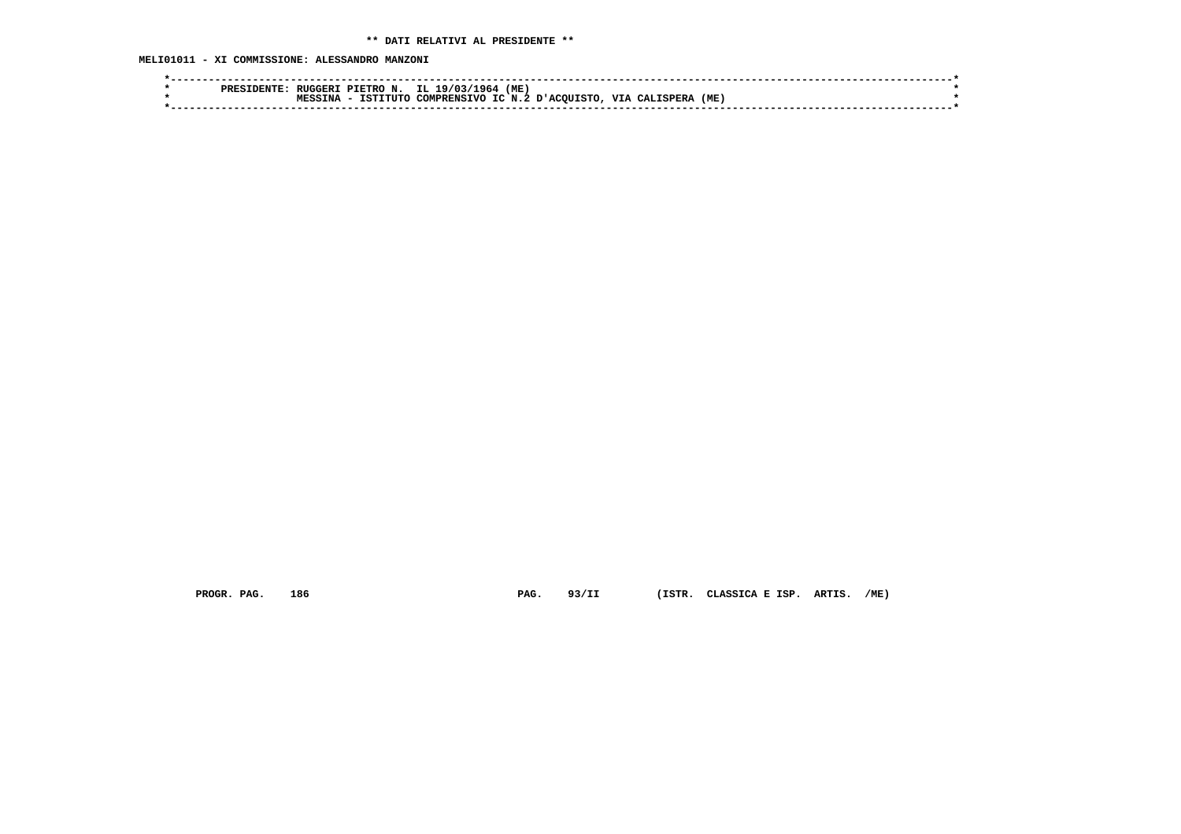**MELI01011 - XI COMMISSIONE: ALESSANDRO MANZONI**

| PRES | <b>RUGGER1</b>     | IL 19/03/1964<br>PIETRO N. | (ME)               |                         |      |  |
|------|--------------------|----------------------------|--------------------|-------------------------|------|--|
|      | TNA<br><b>MECC</b> | ISTITUTO<br>COMPRENSIVO    | IC N.2 D'ACOUISTO. | <b>VIA</b><br>CALISPERA | (ME) |  |
|      |                    |                            |                    |                         |      |  |
|      |                    |                            |                    |                         |      |  |

 **PROGR. PAG. 186 PAG. 93/II (ISTR. CLASSICA E ISP. ARTIS. /ME)**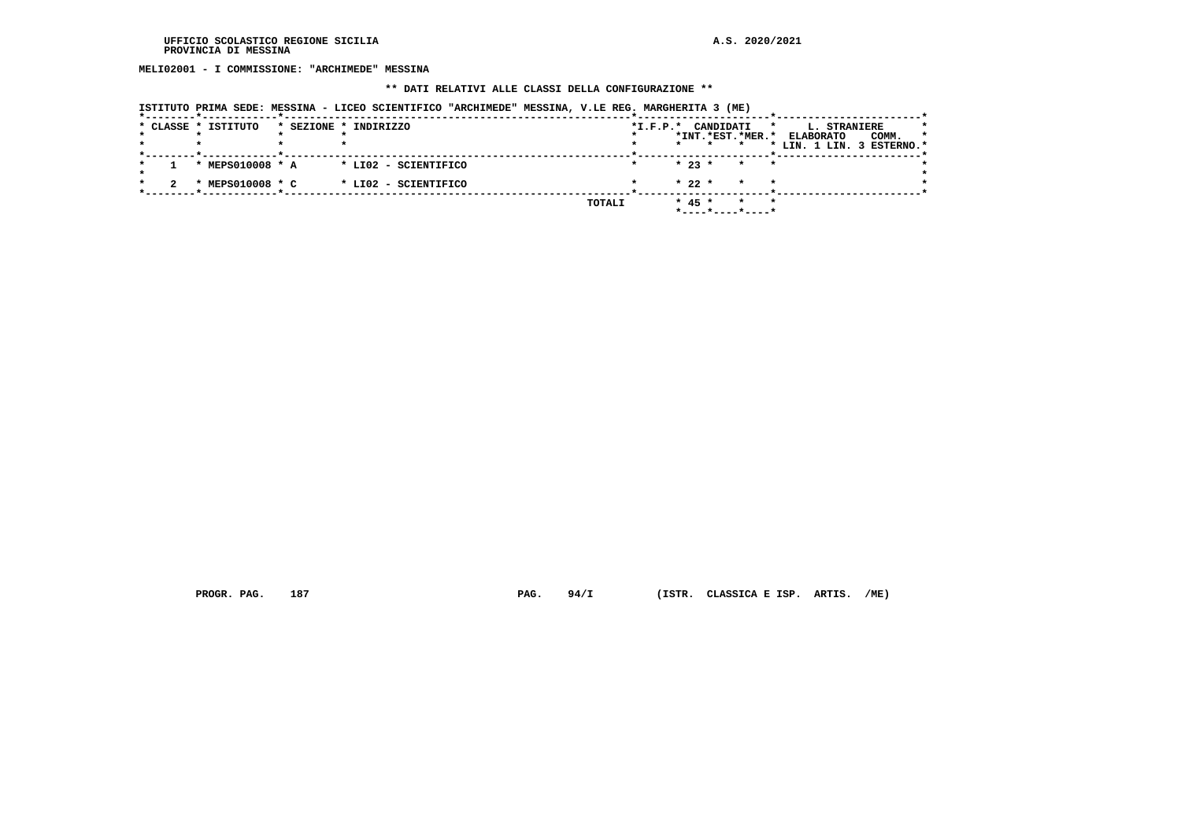**MELI02001 - I COMMISSIONE: "ARCHIMEDE" MESSINA**

## **\*\* DATI RELATIVI ALLE CLASSI DELLA CONFIGURAZIONE \*\***

| ISTITUTO PRIMA SEDE: MESSINA - LICEO SCIENTIFICO "ARCHIMEDE" MESSINA, V.LE REG. MARGHERITA 3 (ME) |
|---------------------------------------------------------------------------------------------------|
|---------------------------------------------------------------------------------------------------|

|  | * CLASSE * ISTITUTO | * SEZIONE * INDIRIZZO |        | $*I.F.P.*$ | CANDIDATI |                    | $\star$<br>L. STRANIERE   |                  |
|--|---------------------|-----------------------|--------|------------|-----------|--------------------|---------------------------|------------------|
|  |                     |                       |        |            |           | *INT.*EST.*MER.*   | <b>ELABORATO</b>          | COMM.<br>$\star$ |
|  |                     |                       |        |            |           |                    | * LIN. 1 LIN. 3 ESTERNO.* |                  |
|  | * MEPS010008 * A    | * LI02 - SCIENTIFICO  |        |            | $* 23 *$  | $\star$<br>$\star$ |                           |                  |
|  | * MEPS010008 * C    | * LI02 - SCIENTIFICO  |        |            | $* 22 *$  | $\star$<br>$\star$ |                           |                  |
|  |                     |                       | TOTALI |            | $* 45 *$  | $\star$            |                           |                  |

 **PROGR. PAG. 187 PAG. 94/I (ISTR. CLASSICA E ISP. ARTIS. /ME)**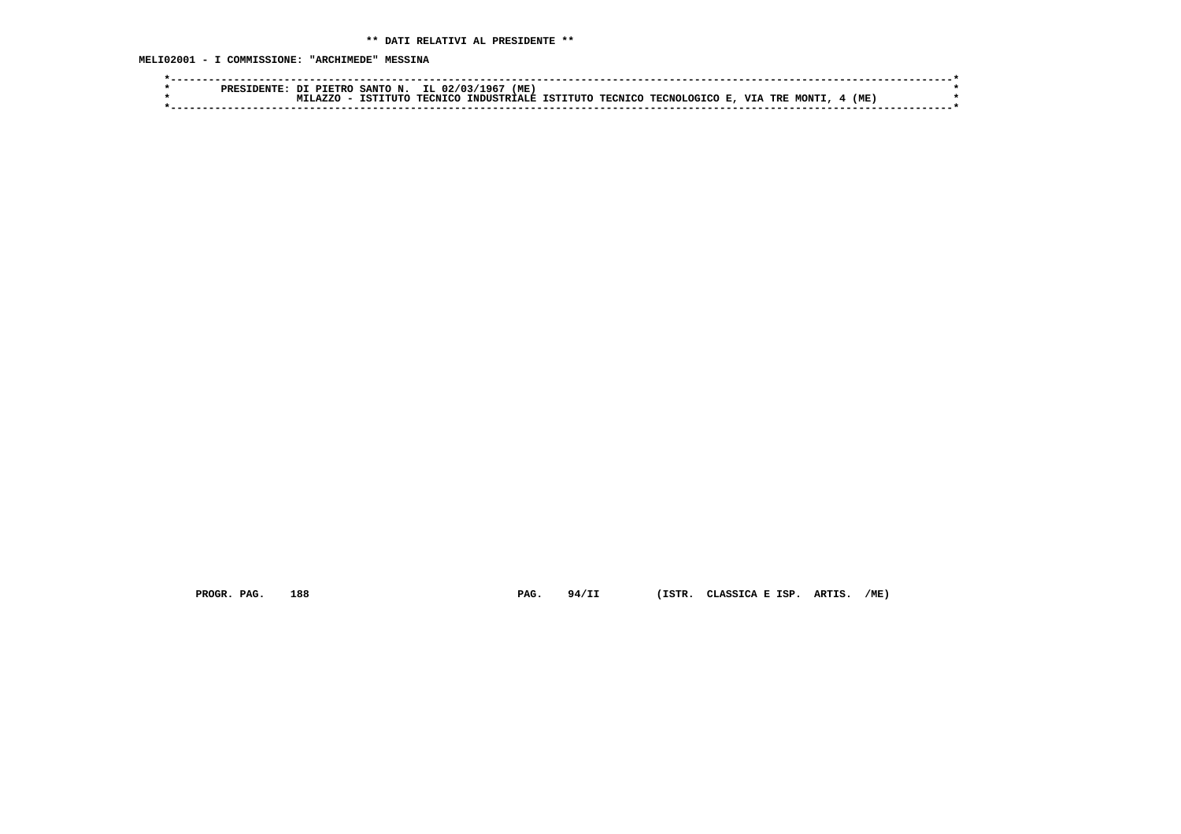**MELI02001 - I COMMISSIONE: "ARCHIMEDE" MESSINA**

| ופספס | SANTO<br>ות<br>PTETRO        | IL.<br>( ME<br>N<br>02/031<br>96     |                             |                          |                      |  |
|-------|------------------------------|--------------------------------------|-----------------------------|--------------------------|----------------------|--|
|       | TTITT/<br>スワワイ<br><b>TOT</b> | <b>TRONTO</b><br><b>TNDIISTRTALE</b> | TCTTTTTTO<br><b>TECNICO</b> | VIA<br>TECNOL.<br>CICO F | (ME<br>MONT1.<br>TRE |  |
|       |                              |                                      |                             |                          |                      |  |

 **PROGR. PAG. 188 PAG. 94/II (ISTR. CLASSICA E ISP. ARTIS. /ME)**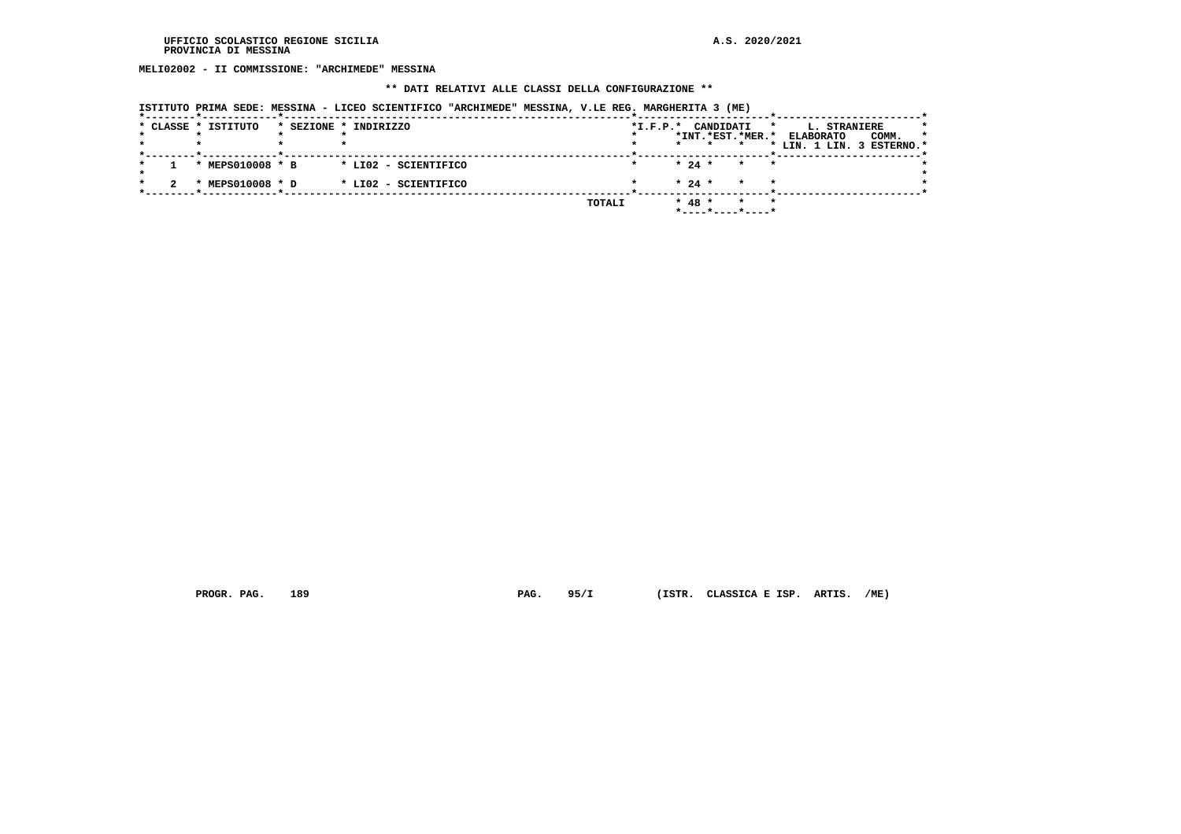**MELI02002 - II COMMISSIONE: "ARCHIMEDE" MESSINA**

## **\*\* DATI RELATIVI ALLE CLASSI DELLA CONFIGURAZIONE \*\***

|  | * CLASSE * ISTITUTO       | * SEZIONE * INDIRIZZO |        | $*I.F.P.*$ |          | CANDIDATI |                    | * | L. STRANIERE     |                           |         |
|--|---------------------------|-----------------------|--------|------------|----------|-----------|--------------------|---|------------------|---------------------------|---------|
|  |                           |                       |        |            |          |           | *INT.*EST.*MER.*   |   | <b>ELABORATO</b> | COMM.                     | $\star$ |
|  |                           |                       |        |            |          |           |                    |   |                  | * LIN. 1 LIN. 3 ESTERNO.* |         |
|  | * MEPS010008 * B          | * LI02 - SCIENTIFICO  |        |            | $* 24 *$ |           | $\star$<br>$\star$ |   |                  |                           |         |
|  |                           |                       |        |            |          |           |                    |   |                  |                           |         |
|  | MEPS010008 * D<br>$\cdot$ | * LI02 - SCIENTIFICO  |        |            | $* 24 *$ |           | $\star$<br>$\star$ |   |                  |                           |         |
|  |                           |                       |        |            |          |           | $\star$<br>$\star$ |   |                  |                           |         |
|  |                           |                       | TOTALI |            | $* 48 *$ |           | *----*----*----*   |   |                  |                           |         |

 **PROGR. PAG. 189 PAG. 95/I (ISTR. CLASSICA E ISP. ARTIS. /ME)**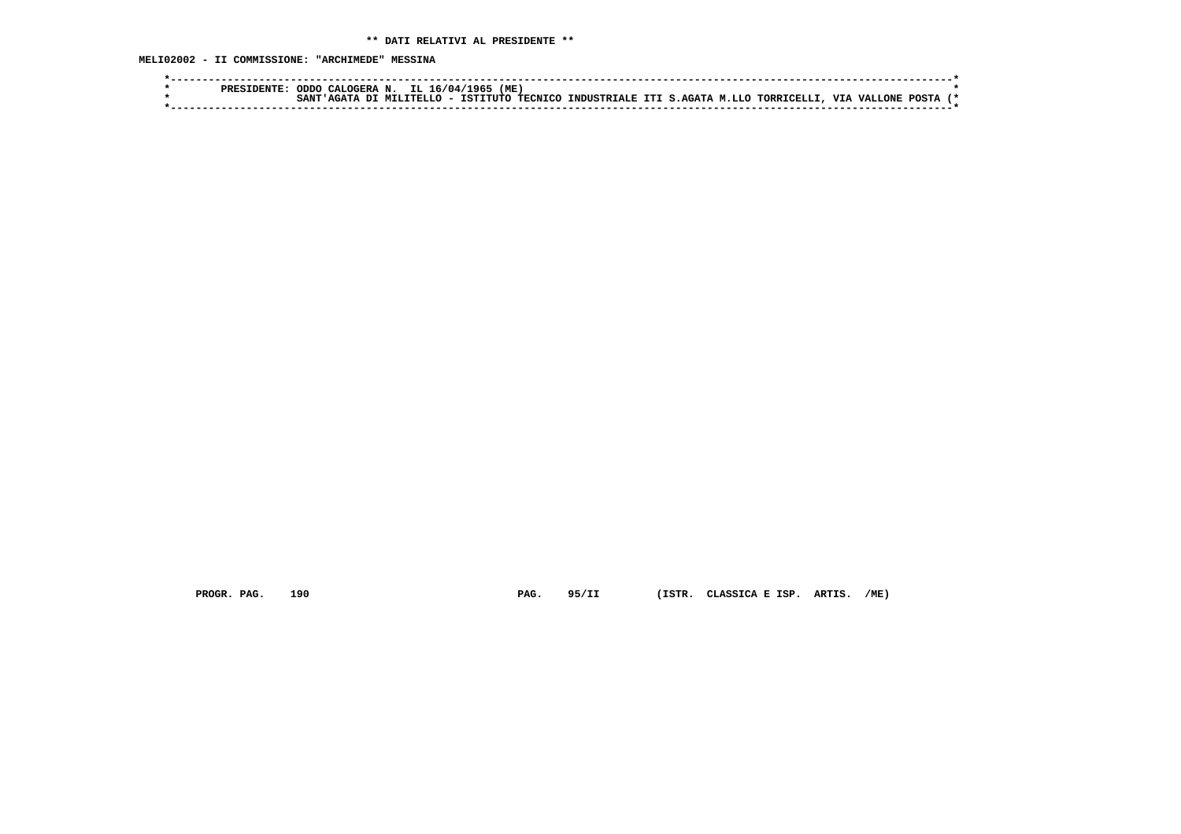| $\mathcal{L}$ IL 16/04/1965<br>(ME)<br>ODDO CALOGERA N.<br><b>PRESIDENTE:</b>                                               |  |
|-----------------------------------------------------------------------------------------------------------------------------|--|
| . INDUSTRIALE ITI S.AGATA M.LLO TORRICELLI, VIA VALLONE<br>- ISTITUTO TECNICO<br>POSTA<br>A DI MILITELLO<br>SANT<br>' AGATA |  |
|                                                                                                                             |  |

 **PROGR. PAG. 190 PAG. 95/II (ISTR. CLASSICA E ISP. ARTIS. /ME)**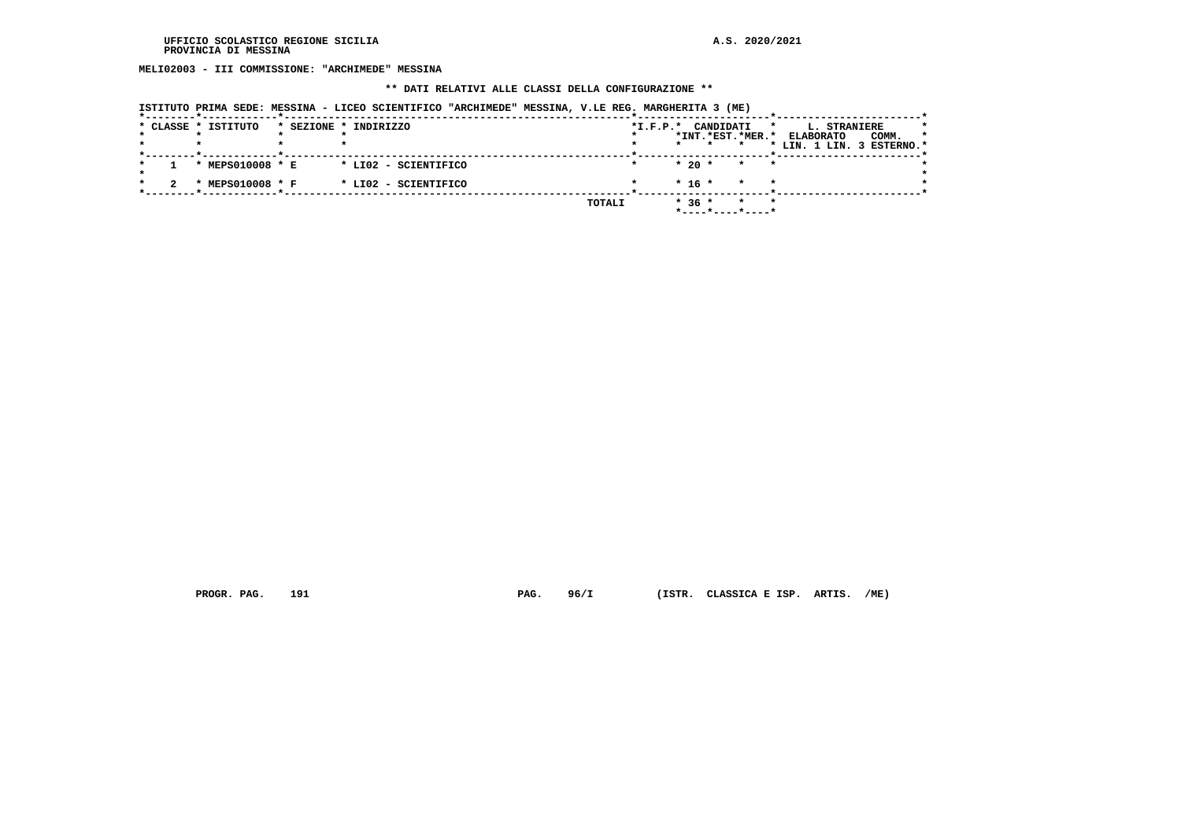**MELI02003 - III COMMISSIONE: "ARCHIMEDE" MESSINA**

## **\*\* DATI RELATIVI ALLE CLASSI DELLA CONFIGURAZIONE \*\***

|  | * CLASSE * ISTITUTO | * SEZIONE * INDIRIZZO |        | $*I.F.P.*$ |          | CANDIDATI |                            | $\star$<br>L. STRANIERE   |       | * |
|--|---------------------|-----------------------|--------|------------|----------|-----------|----------------------------|---------------------------|-------|---|
|  |                     |                       |        |            |          |           | *INT.*EST.*MER.*           | <b>ELABORATO</b>          | COMM. | * |
|  |                     |                       |        |            |          |           |                            | * LIN. 1 LIN. 3 ESTERNO.* |       |   |
|  | * MEPS010008 * E    | * LI02 - SCIENTIFICO  |        |            |          | $*20$ *   | $\star$<br>$\cdot$ $\cdot$ |                           |       |   |
|  | * MEPS010008 * F    | * LI02 - SCIENTIFICO  |        |            | $* 16 *$ |           | $\star$<br>$\star$         |                           |       |   |
|  |                     |                       | TOTALI |            | $*36*$   |           | $\star$                    | $\star$                   |       |   |

 **PROGR. PAG. 191 PAG. 96/I (ISTR. CLASSICA E ISP. ARTIS. /ME)**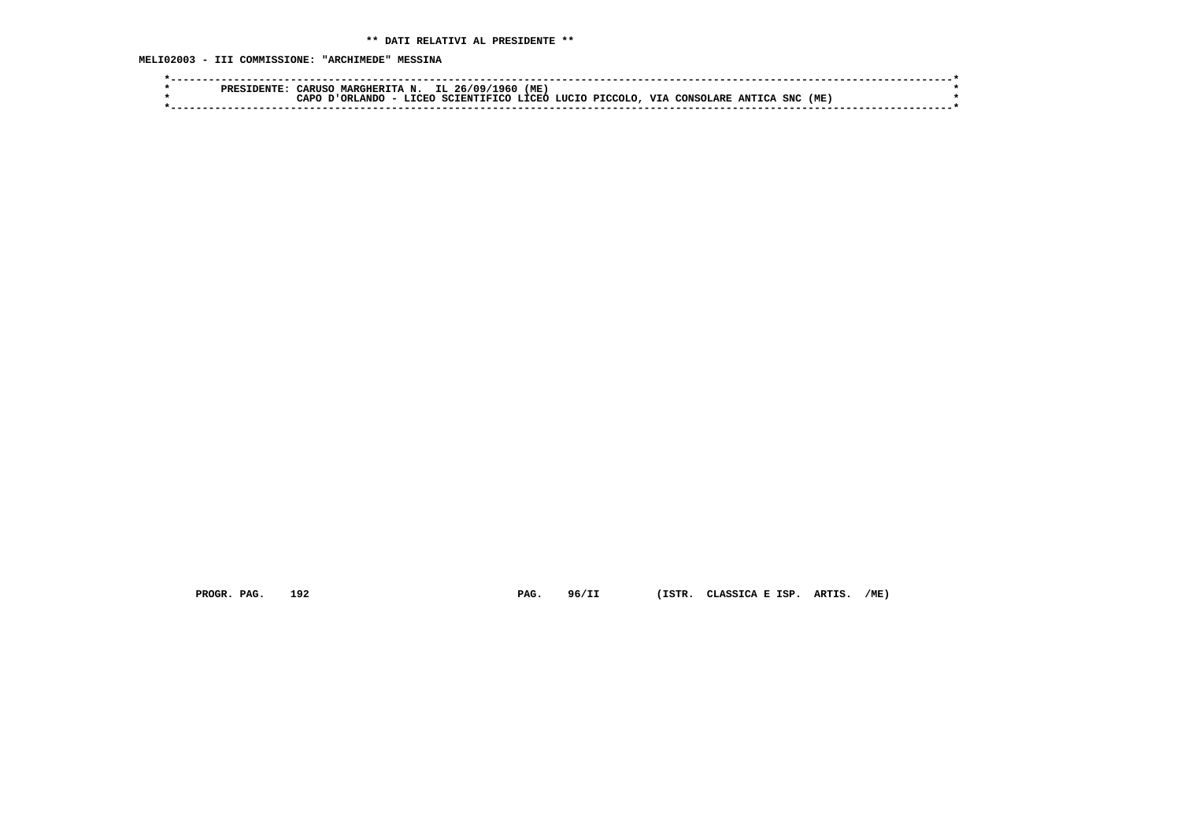**MELI02003 - III COMMISSIONE: "ARCHIMEDE" MESSINA**

| סססם | <b>ARIIS</b> | IL.<br>MARCHERTTA<br>N   | (ME<br>26/09<br>1960   |                              |                            |      |
|------|--------------|--------------------------|------------------------|------------------------------|----------------------------|------|
|      | ∩ממ          | ORLANDC<br><b>T.TORO</b> | LTORO.<br>SCIENTIFICO. | <b>VTA</b><br>LUCIO PICCOLO. | SNC<br>CONSOLARE<br>ANTTCA | (ME) |
|      |              |                          |                        |                              |                            |      |

 **PROGR. PAG. 192 PAG. 96/II (ISTR. CLASSICA E ISP. ARTIS. /ME)**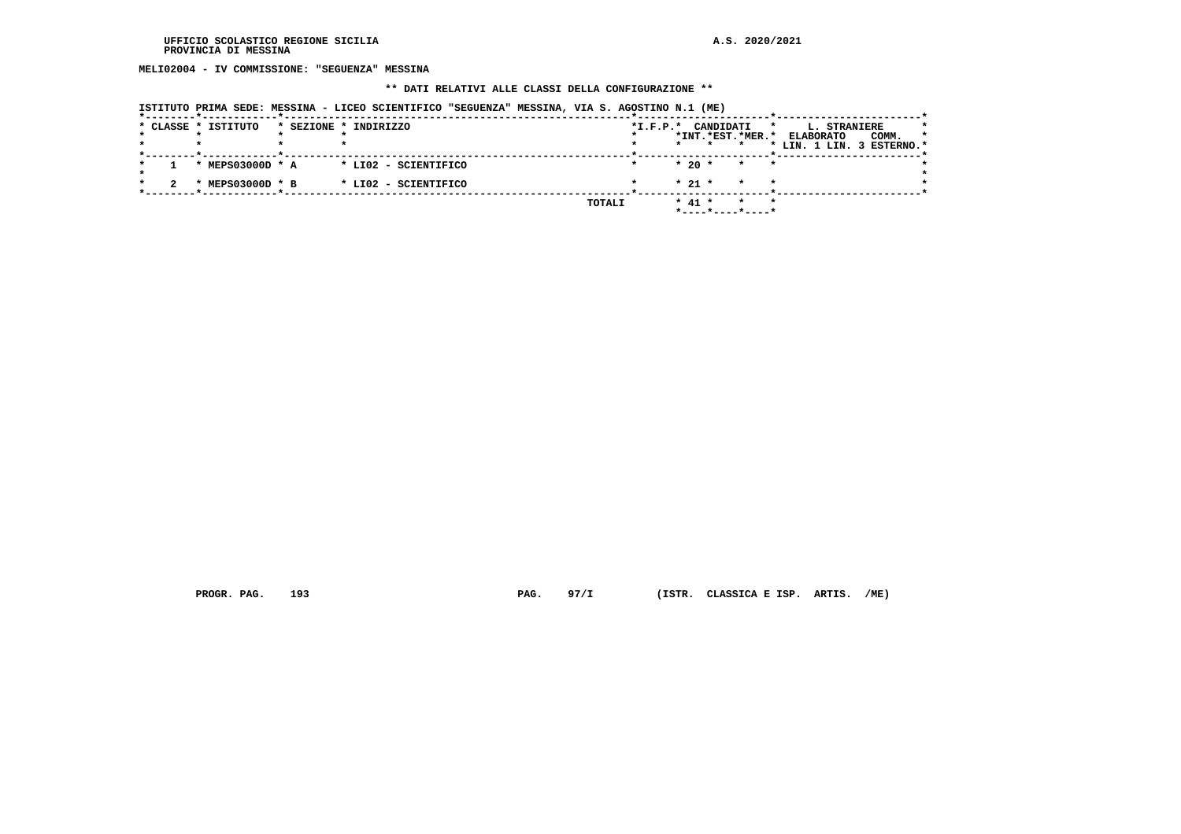**MELI02004 - IV COMMISSIONE: "SEGUENZA" MESSINA**

## **\*\* DATI RELATIVI ALLE CLASSI DELLA CONFIGURAZIONE \*\***

|  |  |  |  |  |  | ISTITUTO PRIMA SEDE: MESSINA - LICEO SCIENTIFICO "SEGUENZA" MESSINA, VIA S. AGOSTINO N.1 (ME) |  |
|--|--|--|--|--|--|-----------------------------------------------------------------------------------------------|--|
|  |  |  |  |  |  |                                                                                               |  |
|  |  |  |  |  |  |                                                                                               |  |

|  | * CLASSE * ISTITUTO       | * SEZIONE * INDIRIZZO | $*I.F.P.*$    |         | CANDIDATI                                             | *                          | L. STRANIERE                                           | *       |
|--|---------------------------|-----------------------|---------------|---------|-------------------------------------------------------|----------------------------|--------------------------------------------------------|---------|
|  |                           |                       |               | $\star$ | *INT.*EST.*MER.*                                      |                            | COMM.<br><b>ELABORATO</b><br>* LIN. 1 LIN. 3 ESTERNO.* | $\star$ |
|  | * MEPS03000D * A          | * LI02 - SCIENTIFICO  |               |         | $*$ 20 $*$                                            | $\star$<br>$\cdot$ $\cdot$ |                                                        |         |
|  | MEPS03000D * B<br>$\cdot$ | * LI02 - SCIENTIFICO  |               |         | $* 21 *$                                              | $\star$<br>$\star$         |                                                        |         |
|  |                           |                       | <b>TOTALI</b> |         | $*$ 41 $*$<br>$*$ - - - - $*$ - - - - $*$ - - - - $*$ | $\star$<br>$\star$         |                                                        |         |

 **PROGR. PAG. 193 PAG. 97/I (ISTR. CLASSICA E ISP. ARTIS. /ME)**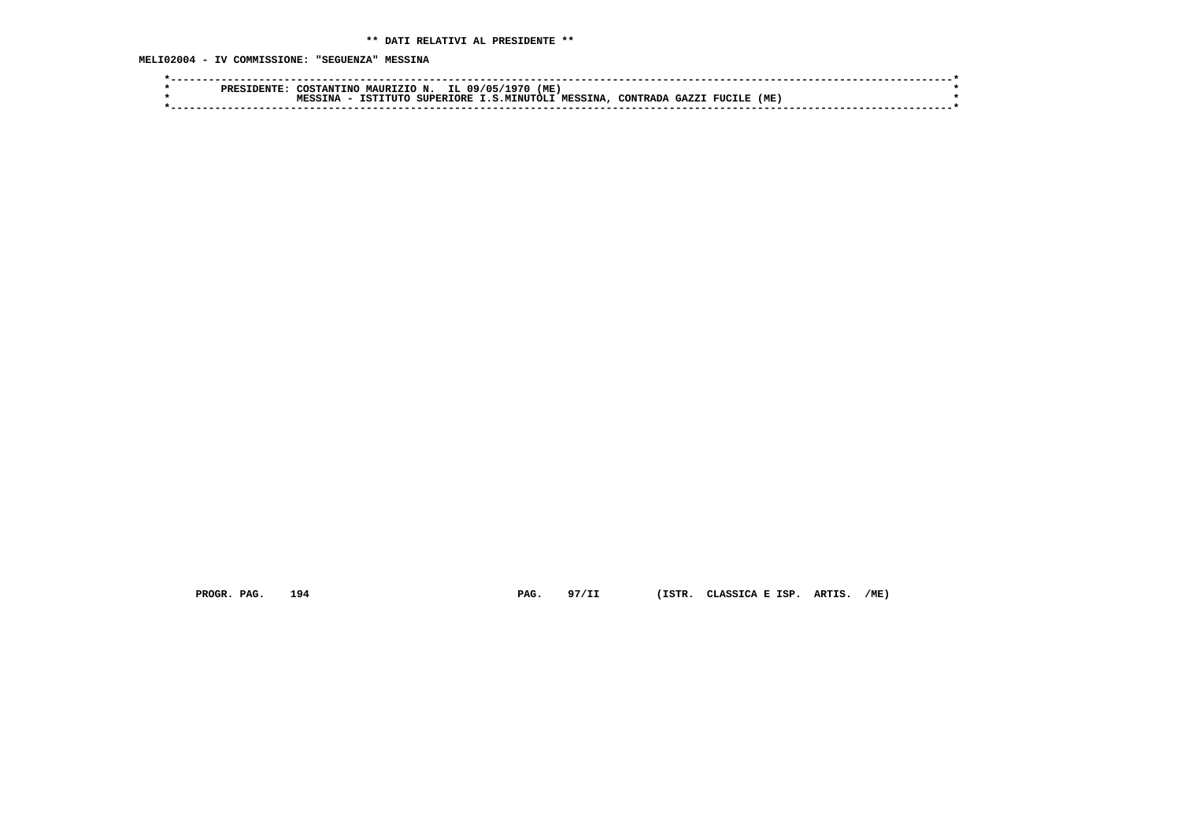| IL 09/05/<br>(ME)<br>COSTANTINO MAURIZIO N.<br>1970'                                        |  |
|---------------------------------------------------------------------------------------------|--|
| (ME)<br>SUPERIORE I.S.MINUTOLI MESSINA.<br>TSTTTITC<br><b>GAZZT</b><br>. FUCILE<br>CONTRADA |  |
|                                                                                             |  |

 **PROGR. PAG. 194 PAG. 97/II (ISTR. CLASSICA E ISP. ARTIS. /ME)**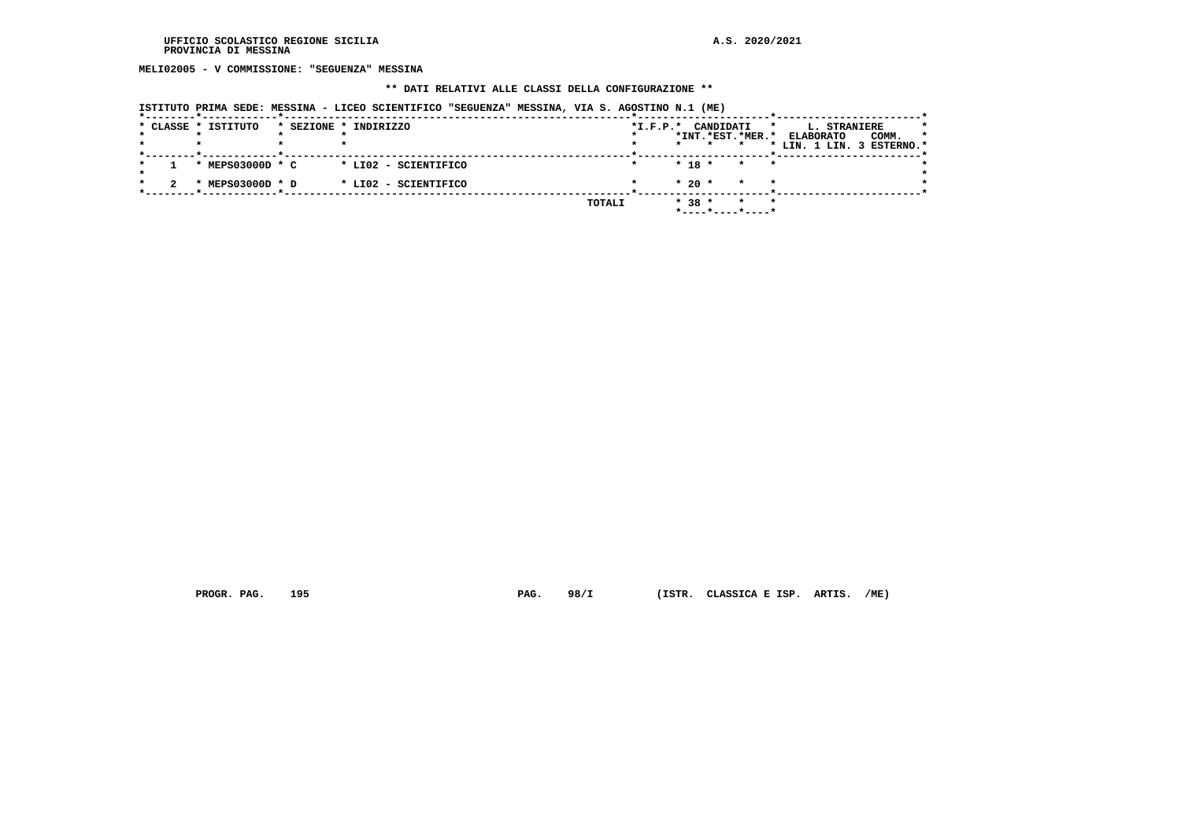**MELI02005 - V COMMISSIONE: "SEGUENZA" MESSINA**

#### **\*\* DATI RELATIVI ALLE CLASSI DELLA CONFIGURAZIONE \*\***

|  | ISTITUTO PRIMA SEDE: MESSINA - LICEO SCIENTIFICO "SEGUENZA" MESSINA, VIA S. AGOSTINO N.1 (ME) |                       |                      |  |        |                        |         |                      |                  |         |                                                               |       |         |
|--|-----------------------------------------------------------------------------------------------|-----------------------|----------------------|--|--------|------------------------|---------|----------------------|------------------|---------|---------------------------------------------------------------|-------|---------|
|  | * CLASSE * ISTITUTO                                                                           | * SEZIONE * INDIRIZZO |                      |  |        | $*_{\texttt{I.F.P.}}*$ | $\star$ | CANDIDATI<br>$\star$ | *INT.*EST.*MER.* | $\star$ | L. STRANIERE<br><b>ELABORATO</b><br>* LIN. 1 LIN. 3 ESTERNO.* | COMM. | $\star$ |
|  | * MEPS03000D * C                                                                              |                       | * LI02 - SCIENTIFICO |  |        |                        |         | $* 18 *$             | $\star$          | $\star$ |                                                               |       |         |
|  | MEPS03000D * D<br>$\cdot$                                                                     |                       | * LI02 - SCIENTIFICO |  |        |                        |         | $*20$ *              | $\star$          | $\star$ |                                                               |       |         |
|  |                                                                                               |                       |                      |  | TOTALI |                        |         | $* 38 *$             |                  | $\star$ |                                                               |       |         |

 **PROGR. PAG. 195 PAG. 98/I (ISTR. CLASSICA E ISP. ARTIS. /ME)**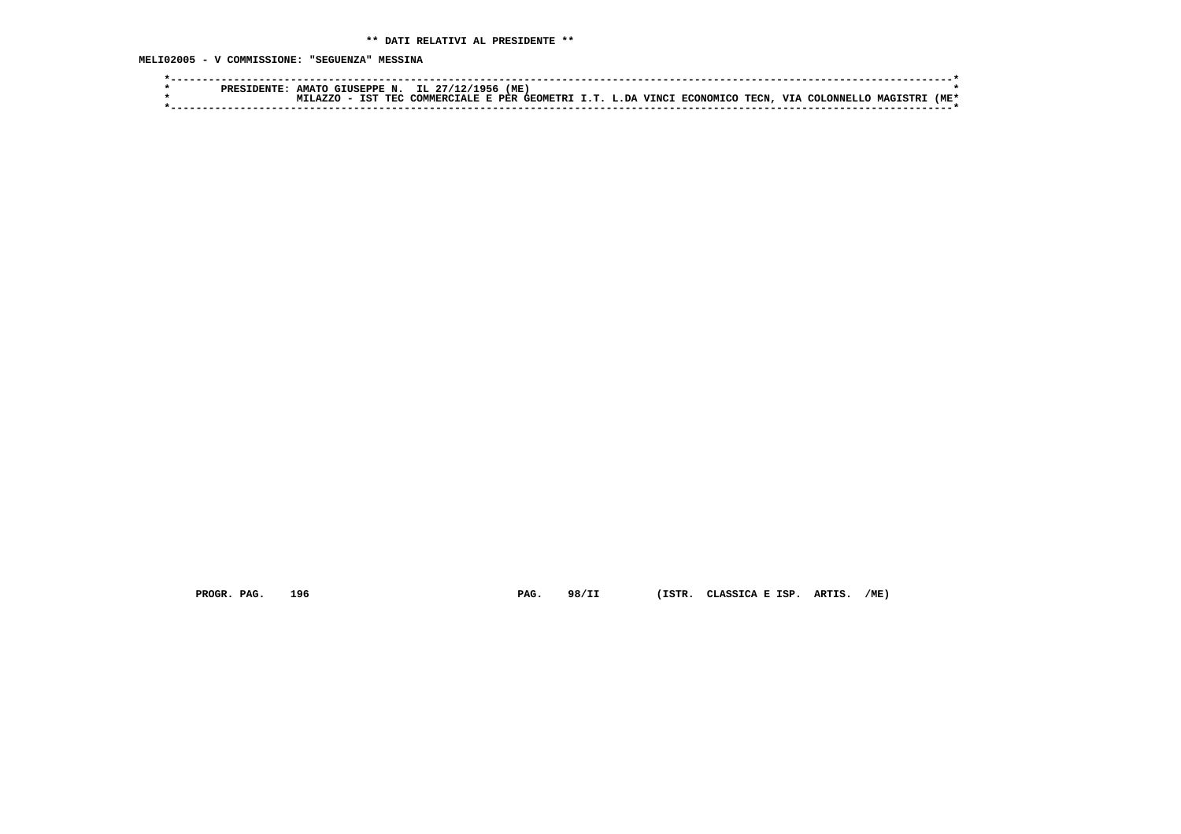**MELI02005 - V COMMISSIONE: "SEGUENZA" MESSINA**

|  | <b>PRESIDENTE</b> | <b>AMATO</b> | GIUSEPPE N.              | IL 27/12/1956                                            | (ME 、 |  |  |      |                         |                  |
|--|-------------------|--------------|--------------------------|----------------------------------------------------------|-------|--|--|------|-------------------------|------------------|
|  |                   | TT.A7.7.C    | <b>IST</b><br><b>TRC</b> | ! COMMERCIALE E PER GEOMETRI I.T. L.DA VINCI ECONOMICO " |       |  |  | TECN | VIA COLONNELLO MAGISTRI | (ME <sup>+</sup> |
|  |                   |              |                          |                                                          |       |  |  |      |                         |                  |

 **PROGR. PAG. 196 PAG. 98/II (ISTR. CLASSICA E ISP. ARTIS. /ME)**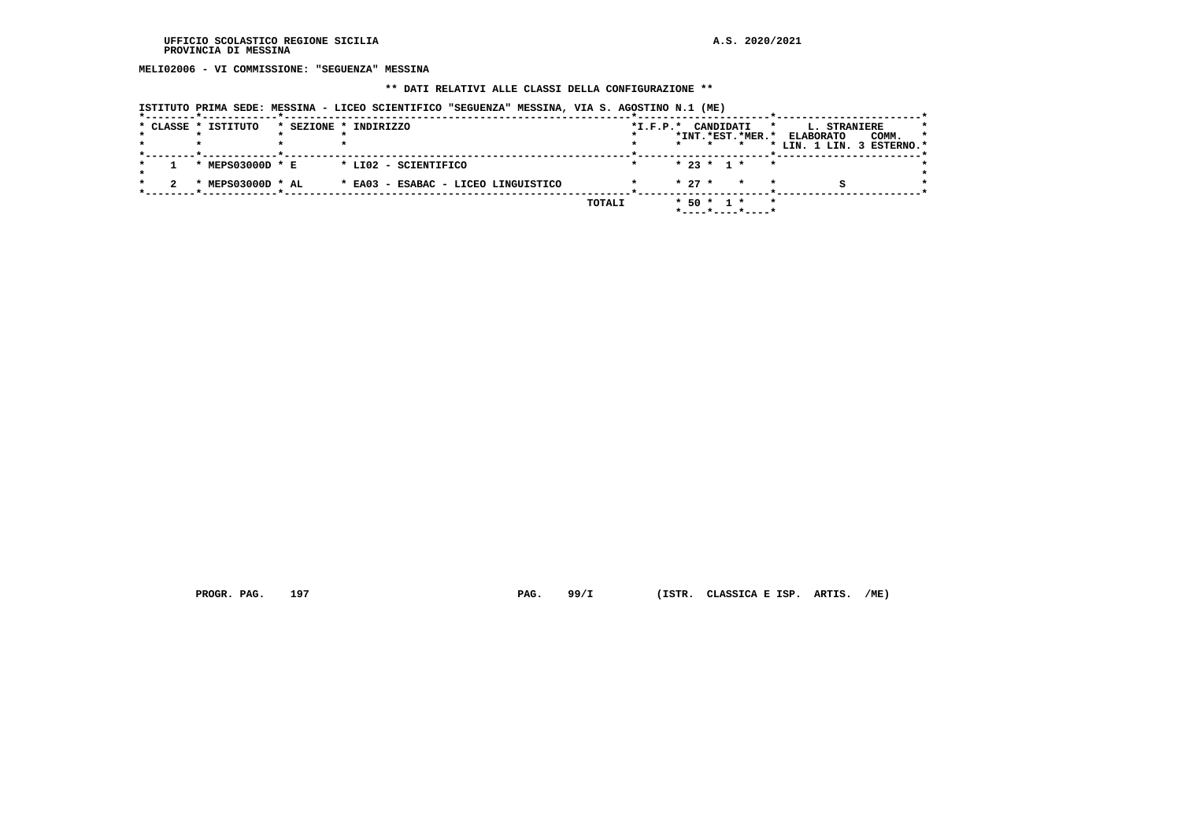**MELI02006 - VI COMMISSIONE: "SEGUENZA" MESSINA**

## **\*\* DATI RELATIVI ALLE CLASSI DELLA CONFIGURAZIONE \*\***

| ISTITUTO PRIMA SEDE: MESSINA - LICEO SCIENTIFICO "SEGUENZA" MESSINA, VIA S. AGOSTINO N.1 (ME) |  |  |  |  |  |
|-----------------------------------------------------------------------------------------------|--|--|--|--|--|
|                                                                                               |  |  |  |  |  |

|  | * CLASSE * ISTITUTO | * SEZIONE * INDIRIZZO               | $*L.F.P.*$ | CANDIDATI<br>*                                  | L. STRANIERE              |         |
|--|---------------------|-------------------------------------|------------|-------------------------------------------------|---------------------------|---------|
|  |                     |                                     |            | *INT.*EST.*MER.*                                | COMM.<br><b>ELABORATO</b> | $\star$ |
|  |                     |                                     |            |                                                 | * LIN. 1 LIN. 3 ESTERNO.* |         |
|  | * MEPS03000D * E    | * LIO2 - SCIENTIFICO                |            | $* 23 * 1 *$<br>$\star$                         |                           |         |
|  | * MEPS03000D * AL   | * EA03 - ESABAC - LICEO LINGUISTICO |            | $* 27 *$<br>$\star$                             |                           |         |
|  |                     |                                     | TOTALI     | $*$ 50 $*$ 1 $*$<br>$\star$<br>*----*----*----* |                           |         |

 **PROGR. PAG. 197 PAG. 99/I (ISTR. CLASSICA E ISP. ARTIS. /ME)**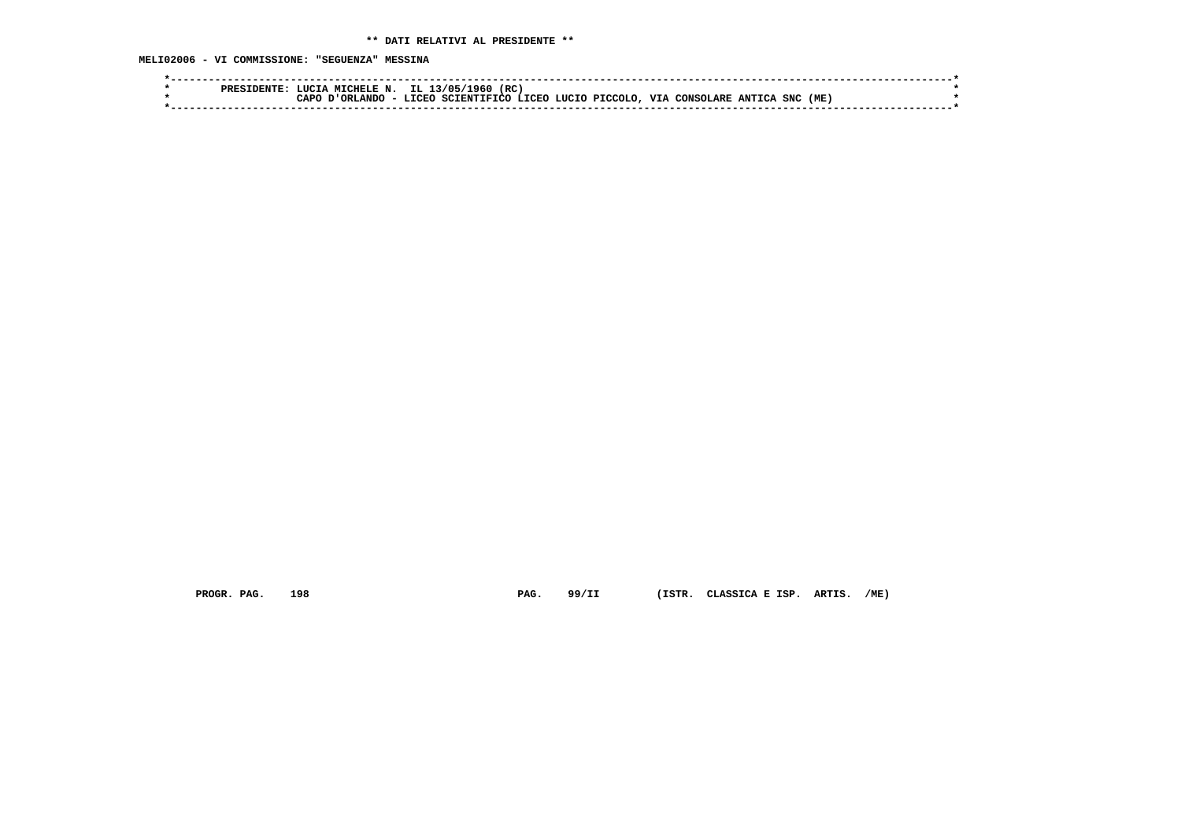| PRES  | (RC<br>IL 13<br>3/05<br>CHELE N.<br>961.                                                                                                                     |  |
|-------|--------------------------------------------------------------------------------------------------------------------------------------------------------------|--|
| ∩ס בי | (ME)<br><b>VIA</b><br>PICCOLO<br>SNC<br><b>LUCTO</b><br><b>T.TORO</b><br><b>ANTTCA</b><br>- CONSOT<br>SCIENTIFICO LICEO<br><b>JLARF</b><br>.r.ANDC<br>$\sim$ |  |
|       |                                                                                                                                                              |  |

 **PROGR. PAG. 198 PAG. 99/II (ISTR. CLASSICA E ISP. ARTIS. /ME)**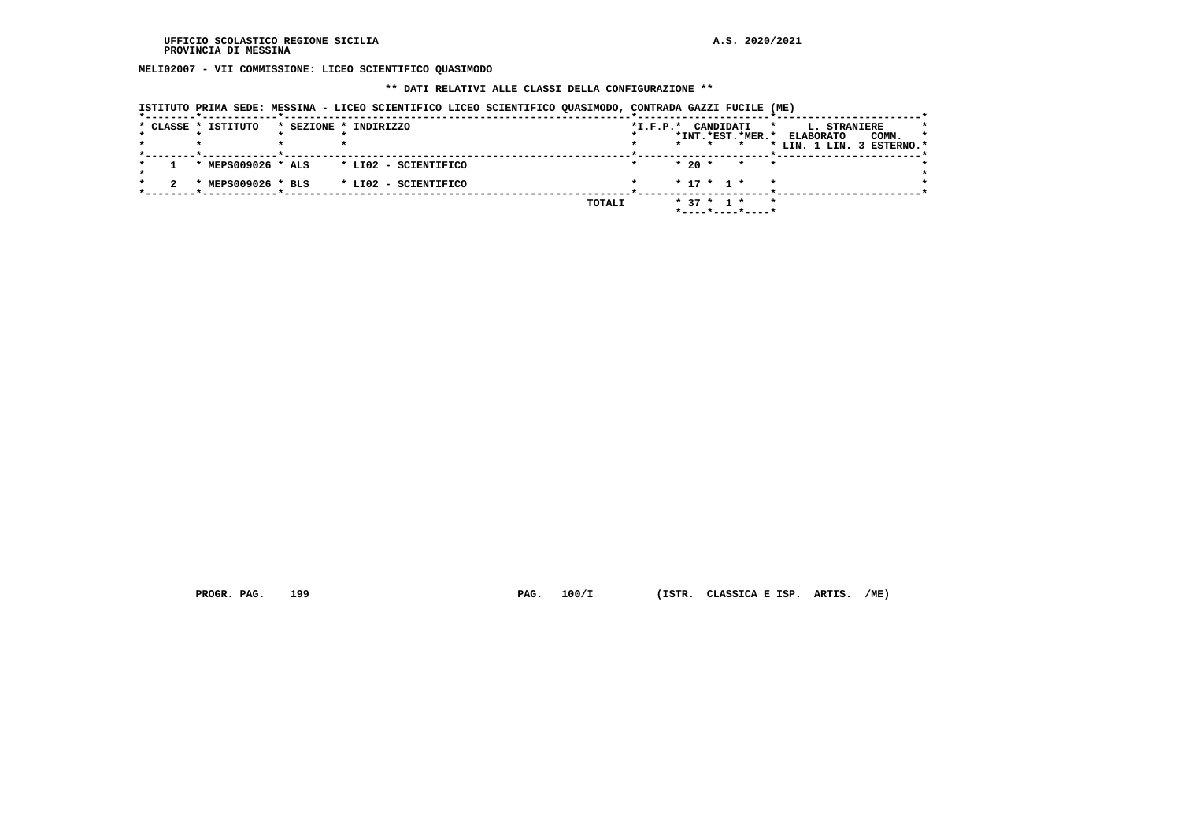**MELI02007 - VII COMMISSIONE: LICEO SCIENTIFICO QUASIMODO**

#### **\*\* DATI RELATIVI ALLE CLASSI DELLA CONFIGURAZIONE \*\***

| ISTITUTO PRIMA SEDE: MESSINA - LICEO SCIENTIFICO LICEO SCIENTIFICO QUASIMODO, CONTRADA GAZZI FUCILE (ME) |  |  |  |  |  |
|----------------------------------------------------------------------------------------------------------|--|--|--|--|--|
|                                                                                                          |  |  |  |  |  |

|  | * CLASSE * ISTITUTO         | * SEZIONE * INDIRIZZO | $*I.F.P.*$ | CANDIDATI<br>*                                 | L. STRANIERE                         | * |
|--|-----------------------------|-----------------------|------------|------------------------------------------------|--------------------------------------|---|
|  |                             |                       |            | *INT.*EST.*MER.*                               | COMM.<br>$\star$<br><b>ELABORATO</b> |   |
|  |                             |                       |            | $\star$                                        | * LIN. 1 LIN. 3 ESTERNO.*            |   |
|  | * MEPS009026 * ALS          | * LI02 - SCIENTIFICO  |            | $*20$ *<br>$\overline{\phantom{a}}$<br>$\star$ |                                      |   |
|  | MEPS009026 * BLS<br>$\cdot$ | * LIO2 - SCIENTIFICO  |            | $* 17 * 1 * * *$                               |                                      |   |
|  |                             | TOTALI                |            | $* 37 * 1 *$<br>$\star$<br>*----*----*----*    |                                      |   |

 **PROGR. PAG. 199 PAG. 100/I (ISTR. CLASSICA E ISP. ARTIS. /ME)**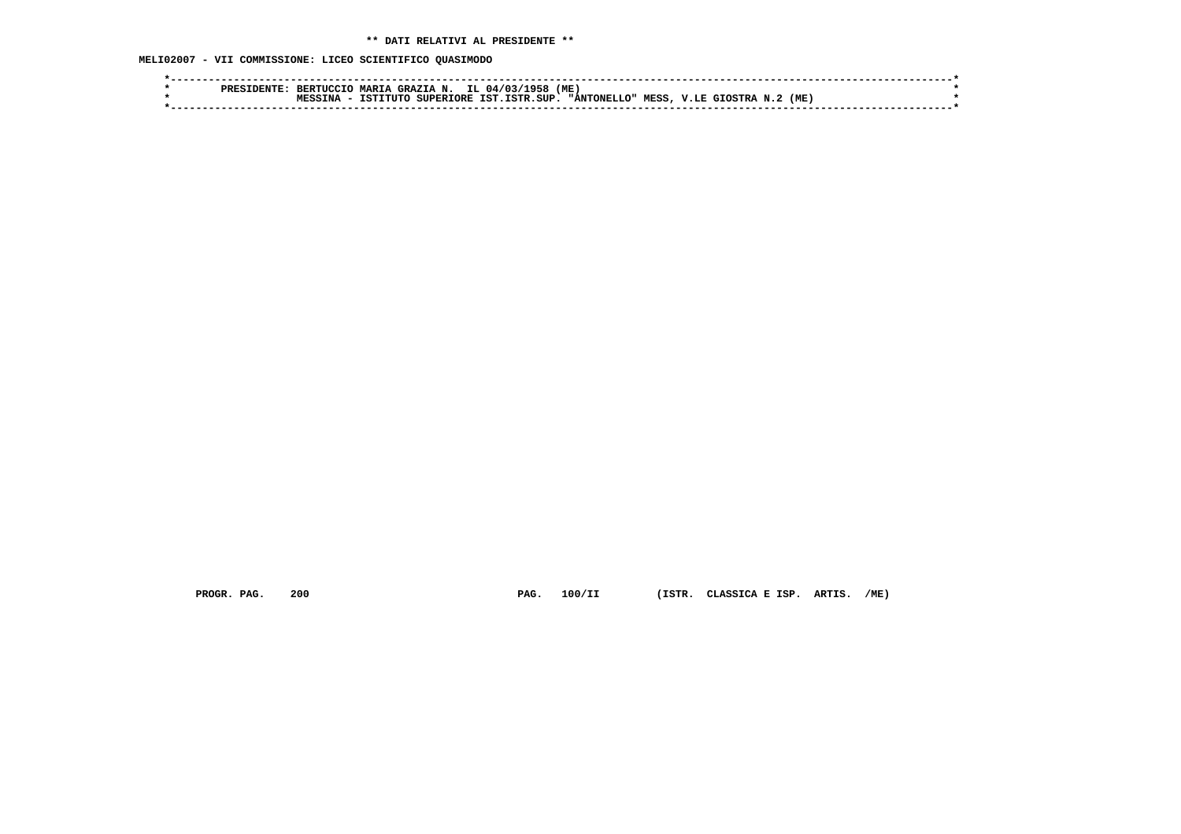**MELI02007 - VII COMMISSIONE: LICEO SCIENTIFICO QUASIMODO**

|  | <b>RERTHOCTO</b> | <b>MARTA</b> | <b>GRAZIA N.</b>   | IL 04/03/1958 | (ME) |                    |       |                |      |  |  |
|--|------------------|--------------|--------------------|---------------|------|--------------------|-------|----------------|------|--|--|
|  | <b>MESSTNA</b>   |              | ISTITUTO SUPERIORE | IST.ISTR.SUP. |      | <b>"ANTONELLO"</b> | MESS, | . V.LE GTOSTRA | (ME) |  |  |
|  |                  |              |                    |               |      |                    |       |                |      |  |  |

 **PROGR. PAG. 200 PAG. 100/II (ISTR. CLASSICA E ISP. ARTIS. /ME)**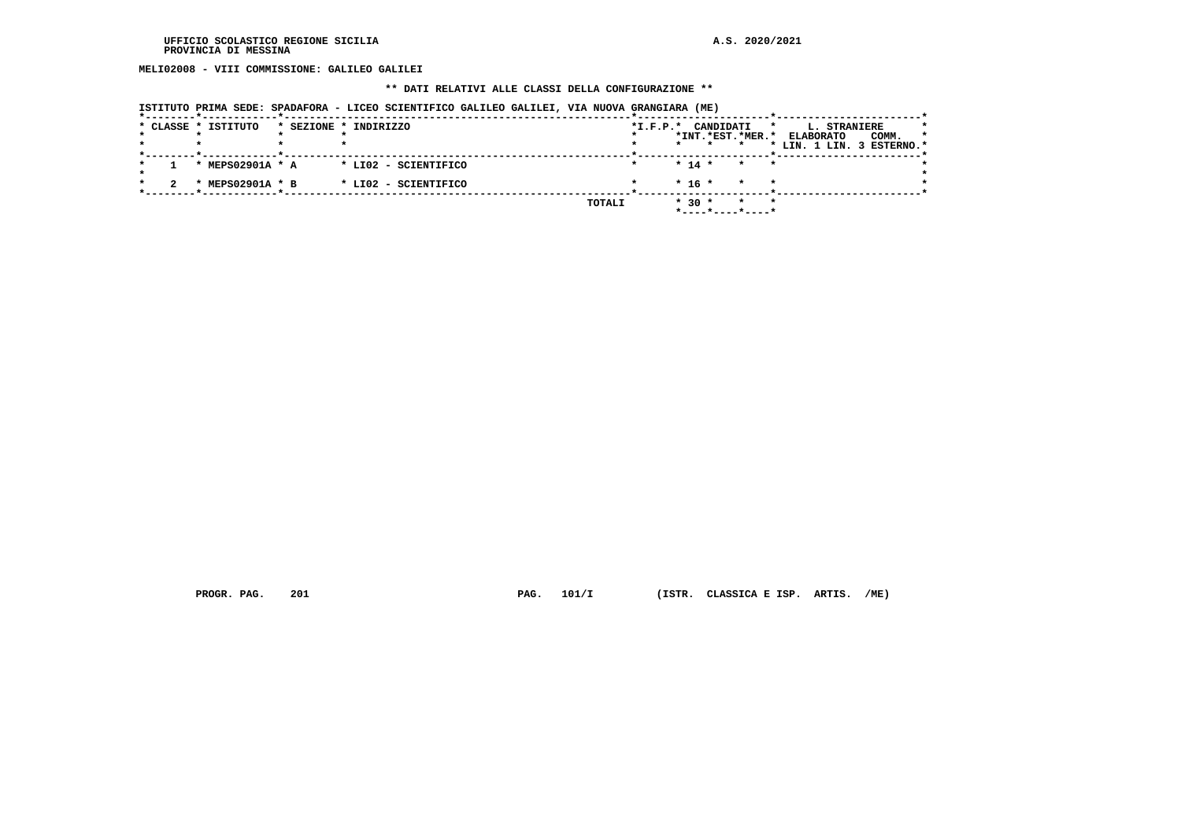**MELI02008 - VIII COMMISSIONE: GALILEO GALILEI**

## **\*\* DATI RELATIVI ALLE CLASSI DELLA CONFIGURAZIONE \*\***

| ISTITUTO PRIMA SEDE: SPADAFORA - LICEO SCIENTIFICO GALILEO GALILEI, VIA NUOVA GRANGIARA (ME) |  |  |  |  |
|----------------------------------------------------------------------------------------------|--|--|--|--|
|----------------------------------------------------------------------------------------------|--|--|--|--|

|  | * CLASSE * ISTITUTO                           | * SEZIONE * INDIRIZZO                        |        | $*I.F.P.*$           | CANDIDATI<br>*INT.*EST.*MER.* | $\star$                       | L. STRANIERE<br>COMM.<br><b>ELABORATO</b><br>* LIN. 1 LIN. 3 ESTERNO.* | $\star$ |
|--|-----------------------------------------------|----------------------------------------------|--------|----------------------|-------------------------------|-------------------------------|------------------------------------------------------------------------|---------|
|  | * MEPS02901A * A<br>MEPS02901A * B<br>$\cdot$ | * LI02 - SCIENTIFICO<br>* LI02 - SCIENTIFICO |        | $* 14 *$<br>$* 16 *$ |                               | $\star$<br>$\star$<br>$\star$ |                                                                        |         |
|  |                                               |                                              | TOTALI | $* 30 *$             | *----*----*----*              | $\star$                       |                                                                        |         |

 **PROGR. PAG. 201 PAG. 101/I (ISTR. CLASSICA E ISP. ARTIS. /ME)**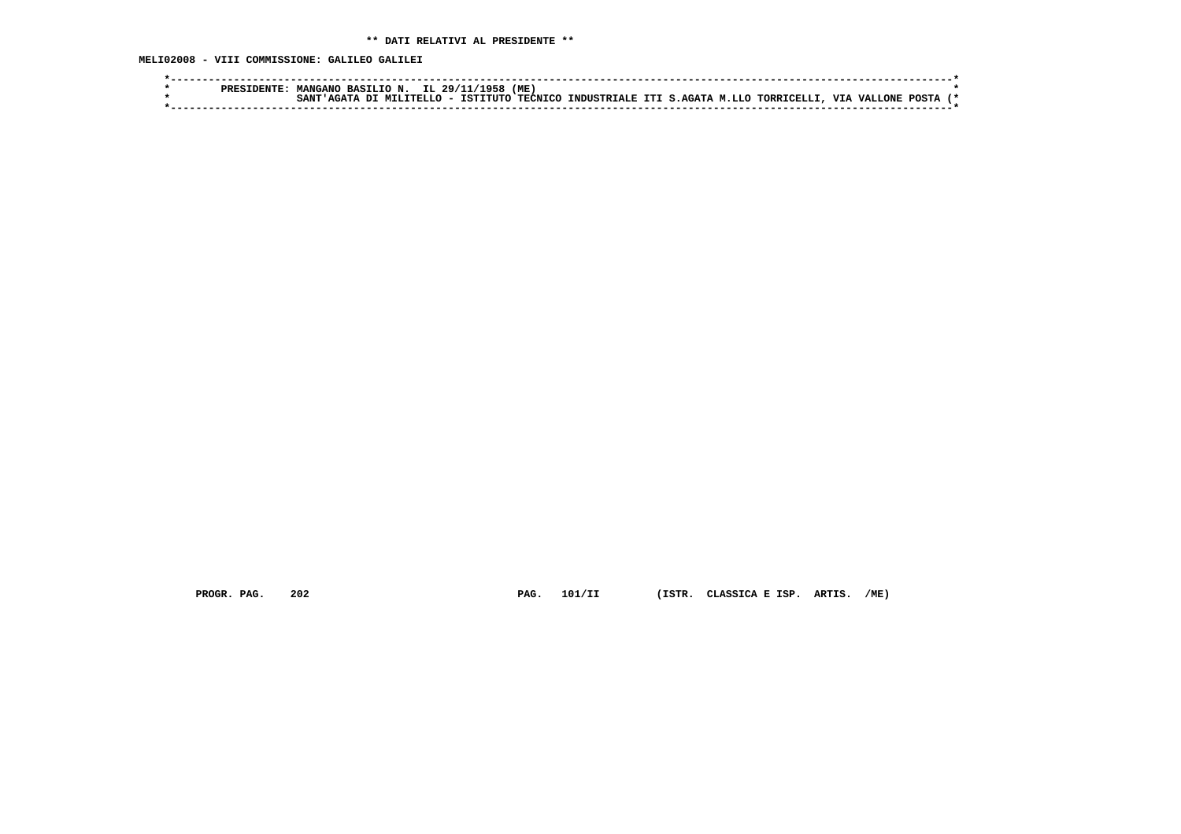**MELI02008 - VIII COMMISSIONE: GALILEO GALILEI**

|  | <b>PRESIDENTE</b> | BASILIO N.<br><b>MANGANO</b> |                       | IL 29/11/1958 | 'ME.           |                               |  |                         |  |       |  |
|--|-------------------|------------------------------|-----------------------|---------------|----------------|-------------------------------|--|-------------------------|--|-------|--|
|  |                   | SANT                         | $\cdot$ MTLITRILO $-$ | TSTTTITO      | <b>TECNICO</b> | INDUSTRIALE ITI S.AGATA M.LLO |  | TORRICELLI, VIA VALLONE |  | POSTA |  |
|  |                   |                              |                       |               |                |                               |  |                         |  |       |  |

 **PROGR. PAG. 202 PAG. 101/II (ISTR. CLASSICA E ISP. ARTIS. /ME)**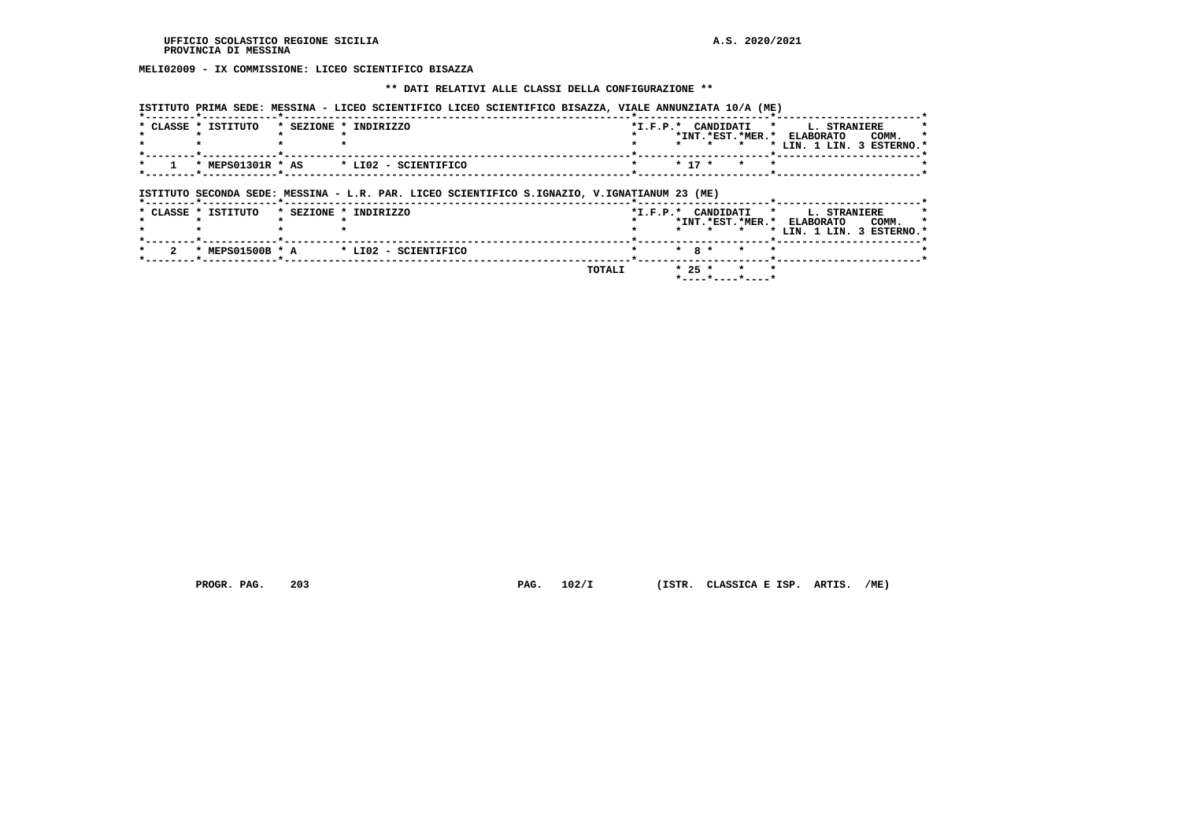## **MELI02009 - IX COMMISSIONE: LICEO SCIENTIFICO BISAZZA**

#### **\*\* DATI RELATIVI ALLE CLASSI DELLA CONFIGURAZIONE \*\***

 **ISTITUTO PRIMA SEDE: MESSINA - LICEO SCIENTIFICO LICEO SCIENTIFICO BISAZZA, VIALE ANNUNZIATA 10/A (ME)**

| * CLASSE * ISTITUTO | * SEZIONE * INDIRIZZO                                                                                                 | $*$ I.F.P. $*$ | $\star$ |          |           | CANDIDATI *<br>*INT.*EST.*MER.*<br>* | <b>L. STRANIERE</b><br>COMM.<br>ELABORATO<br>* LIN. 1 LIN. 3 ESTERNO.* |
|---------------------|-----------------------------------------------------------------------------------------------------------------------|----------------|---------|----------|-----------|--------------------------------------|------------------------------------------------------------------------|
| * MEPS01301R * AS   | * LI02 - SCIENTIFICO                                                                                                  |                |         | $* 17 *$ |           | $\star$                              |                                                                        |
| * CLASSE * ISTITUTO | ISTITUTO SECONDA SEDE: MESSINA - L.R. PAR. LICEO SCIENTIFICO S.IGNAZIO, V.IGNATIANUM 23 (ME)<br>* SEZIONE * INDIRIZZO | $*$ I.F.P. $*$ |         |          | CANDIDATI |                                      | <b>L. STRANIERE</b><br>$\star$                                         |
|                     |                                                                                                                       |                | $\star$ |          |           | *INT.*EST.*MER.*<br>$\star$          | <b>ELABORATO</b><br>COMM.<br>* LIN. 1 LIN. 3 ESTERNO.*                 |
|                     |                                                                                                                       |                |         |          |           |                                      |                                                                        |

 **PROGR. PAG. 203 PAG. 102/I (ISTR. CLASSICA E ISP. ARTIS. /ME)**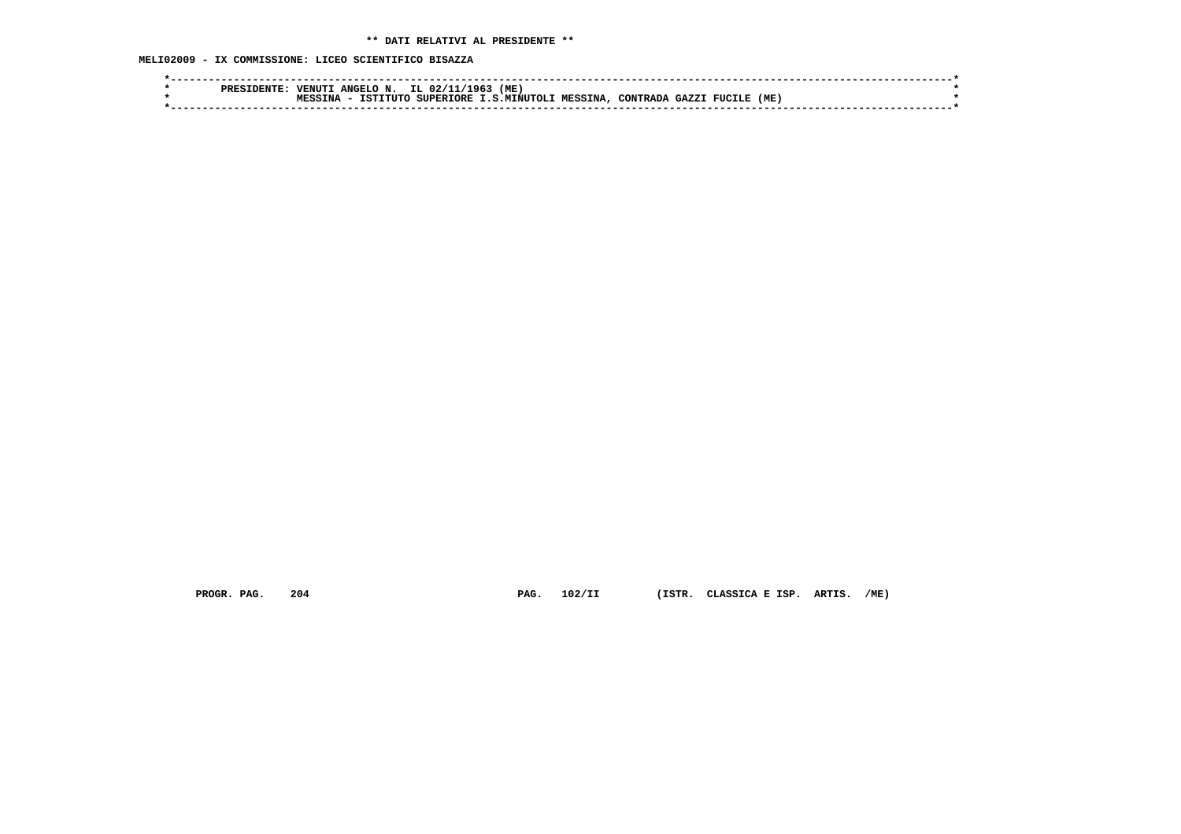**MELI02009 - IX COMMISSIONE: LICEO SCIENTIFICO BISAZZA**

|  | <b>PRES</b> | <b>VENUT</b>       | ANGELO N. | IL.<br>ດ 2 / 1   | (ME<br>1961  |                |                 |      |                |     |  |
|--|-------------|--------------------|-----------|------------------|--------------|----------------|-----------------|------|----------------|-----|--|
|  |             | <b>MESS</b><br>TNA | TSTTTITO  | <b>SUPERTORE</b> | T.S.MTNUTOLI | <b>MESSINA</b> | <b>CONTRADA</b> | CAYZ | <b>FIICTLE</b> | (ME |  |
|  |             |                    |           |                  |              |                |                 |      |                |     |  |
|  |             |                    |           |                  |              |                |                 |      |                |     |  |

 **PROGR. PAG. 204 PAG. 102/II (ISTR. CLASSICA E ISP. ARTIS. /ME)**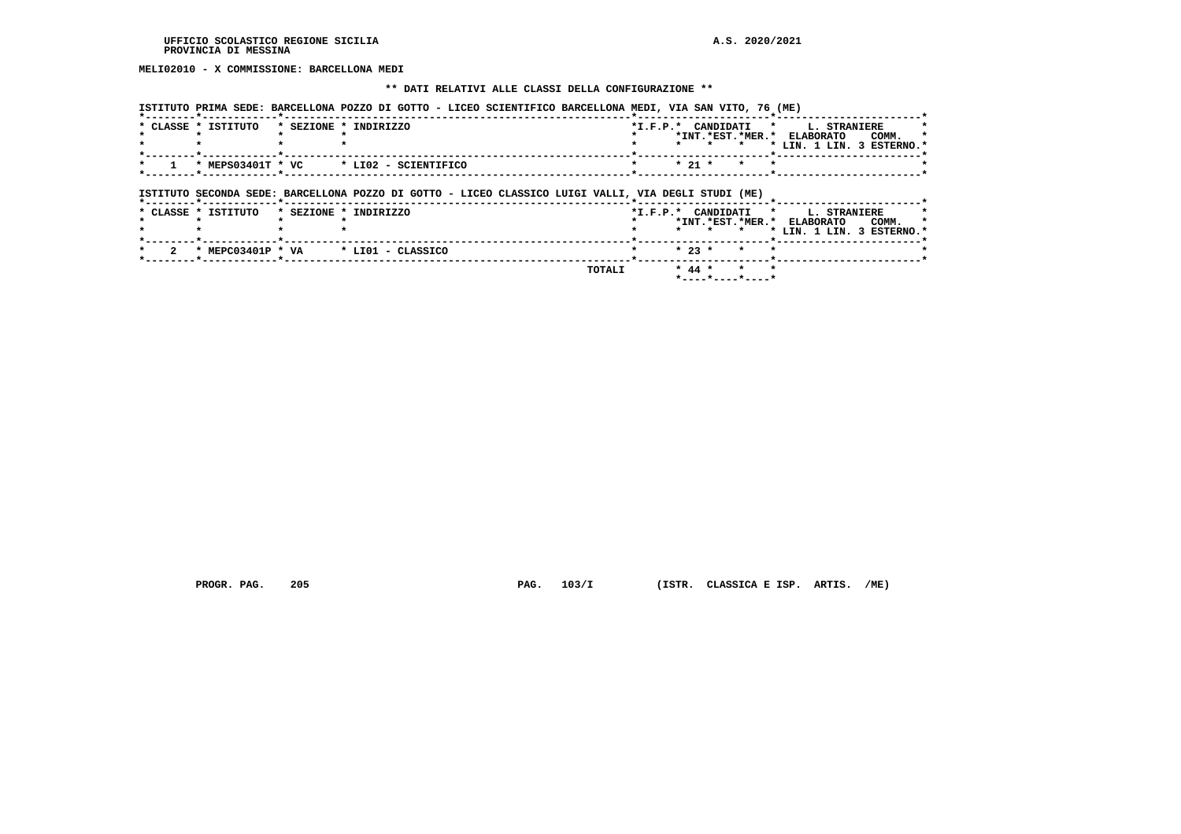**MELI02010 - X COMMISSIONE: BARCELLONA MEDI**

#### **\*\* DATI RELATIVI ALLE CLASSI DELLA CONFIGURAZIONE \*\***

 **ISTITUTO PRIMA SEDE: BARCELLONA POZZO DI GOTTO - LICEO SCIENTIFICO BARCELLONA MEDI, VIA SAN VITO, 76 (ME)**

| * CLASSE * ISTITUTO | * SEZIONE * INDIRIZZO                                                                               |  |            | $\star$ $\star$ |         | *I.F.P.* CANDIDATI * L. STRANIERE<br>*INT.*EST.*MER.* ELABORATO<br>* LIN. 1 LIN. 3 ESTERNO.* | COMM. |  |
|---------------------|-----------------------------------------------------------------------------------------------------|--|------------|-----------------|---------|----------------------------------------------------------------------------------------------|-------|--|
|                     | * MEPS03401T * VC * LI02 - SCIENTIFICO                                                              |  | $*$ 21 $*$ | $\star$         | $\star$ |                                                                                              |       |  |
|                     |                                                                                                     |  |            |                 |         |                                                                                              |       |  |
|                     | ISTITUTO SECONDA SEDE: BARCELLONA POZZO DI GOTTO - LICEO CLASSICO LUIGI VALLI, VIA DEGLI STUDI (ME) |  |            |                 |         |                                                                                              |       |  |
| * CLASSE * ISTITUTO | * SEZIONE * INDIRIZZO                                                                               |  | $\star$    | $\mathbf{r}$    |         | *I.F.P.* CANDIDATI * L. STRANIERE<br>*INT.*EST.*MER.* ELABORATO<br>* LIN. 1 LIN. 3 ESTERNO.* | COMM. |  |
| * MEPC03401P * VA   | * LIO1 - CLASSICO                                                                                   |  | $* 23 *$   |                 |         |                                                                                              |       |  |

 **\*----\*----\*----\***

 **PROGR. PAG. 205 PAG. 103/I (ISTR. CLASSICA E ISP. ARTIS. /ME)**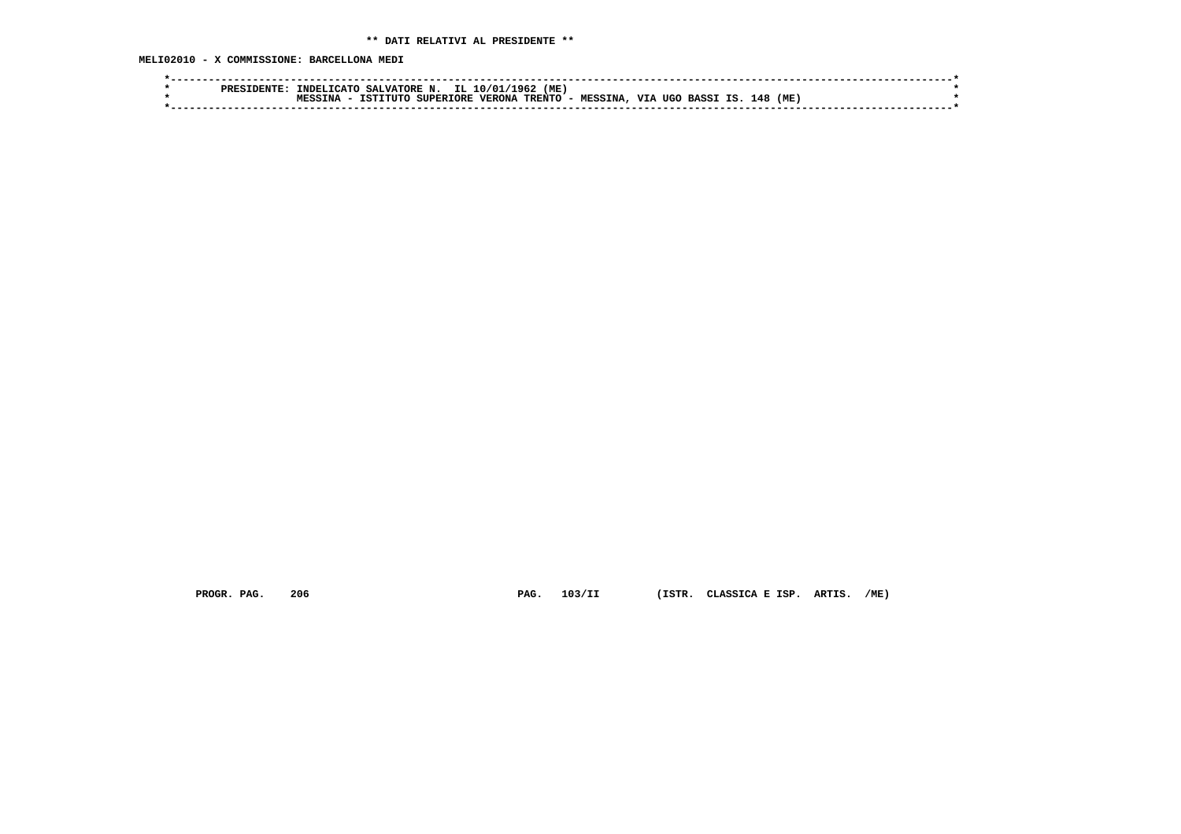**MELI02010 - X COMMISSIONE: BARCELLONA MEDI**

| <b>PRE</b> | (ME<br>IL<br>1962<br>TNDEL.<br>SALVATORE N.<br>n / n 1<br>$T$ $T$ $T$ $T$ $T$ $T$ $T$                                        |  |
|------------|------------------------------------------------------------------------------------------------------------------------------|--|
|            | TRENTO<br>(ME<br><b>TTT</b><br>ΤS<br>148<br>VERONA<br>TNA<br><b>SUPERTORE</b><br>MESSTNA<br>TETTTITO<br>TIGO<br><b>RASST</b> |  |
|            |                                                                                                                              |  |

 **PROGR. PAG. 206 PAG. 103/II (ISTR. CLASSICA E ISP. ARTIS. /ME)**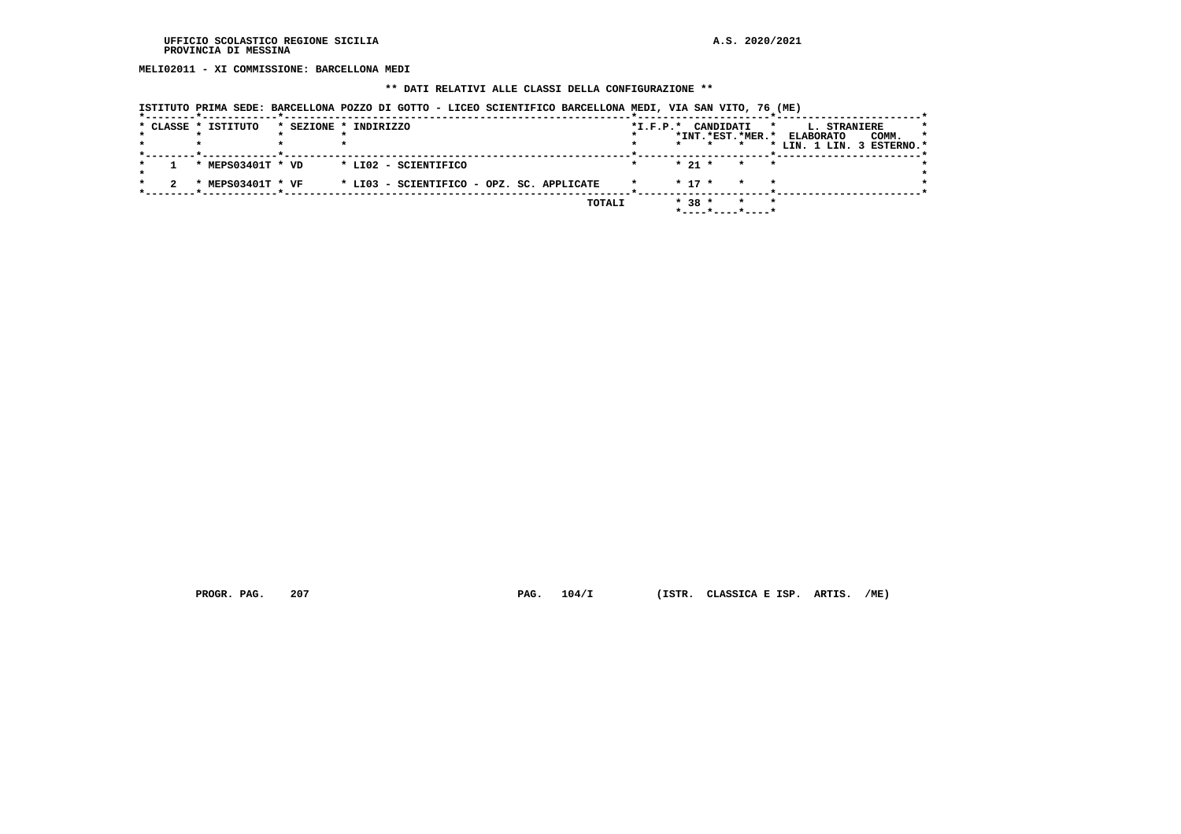**MELI02011 - XI COMMISSIONE: BARCELLONA MEDI**

## **\*\* DATI RELATIVI ALLE CLASSI DELLA CONFIGURAZIONE \*\***

|  | * CLASSE * ISTITUTO | * SEZIONE * INDIRIZZO                     | $*$ I.F.P. $*$ | CANDIDATI<br>*INT.*EST.*MER.* |                            | L. STRANIERE<br>$\star$<br><b>ELABORATO</b><br>COMM.<br>* LIN. 1 LIN. 3 ESTERNO.* | $\star$ |
|--|---------------------|-------------------------------------------|----------------|-------------------------------|----------------------------|-----------------------------------------------------------------------------------|---------|
|  | * MEPS03401T * VD   | * LI02 - SCIENTIFICO                      |                | $* 21 *$                      | $\cdot$ $\cdot$<br>$\star$ |                                                                                   |         |
|  | * MEPS03401T * VF   | * LI03 - SCIENTIFICO - OPZ. SC. APPLICATE |                | $*$ 17 $*$                    | $\star$                    |                                                                                   |         |
|  |                     | <b>TOTALI</b>                             |                | $* 38 *$<br>*----*----*----*  | $\star$                    |                                                                                   |         |

 **PROGR. PAG. 207 PAG. 104/I (ISTR. CLASSICA E ISP. ARTIS. /ME)**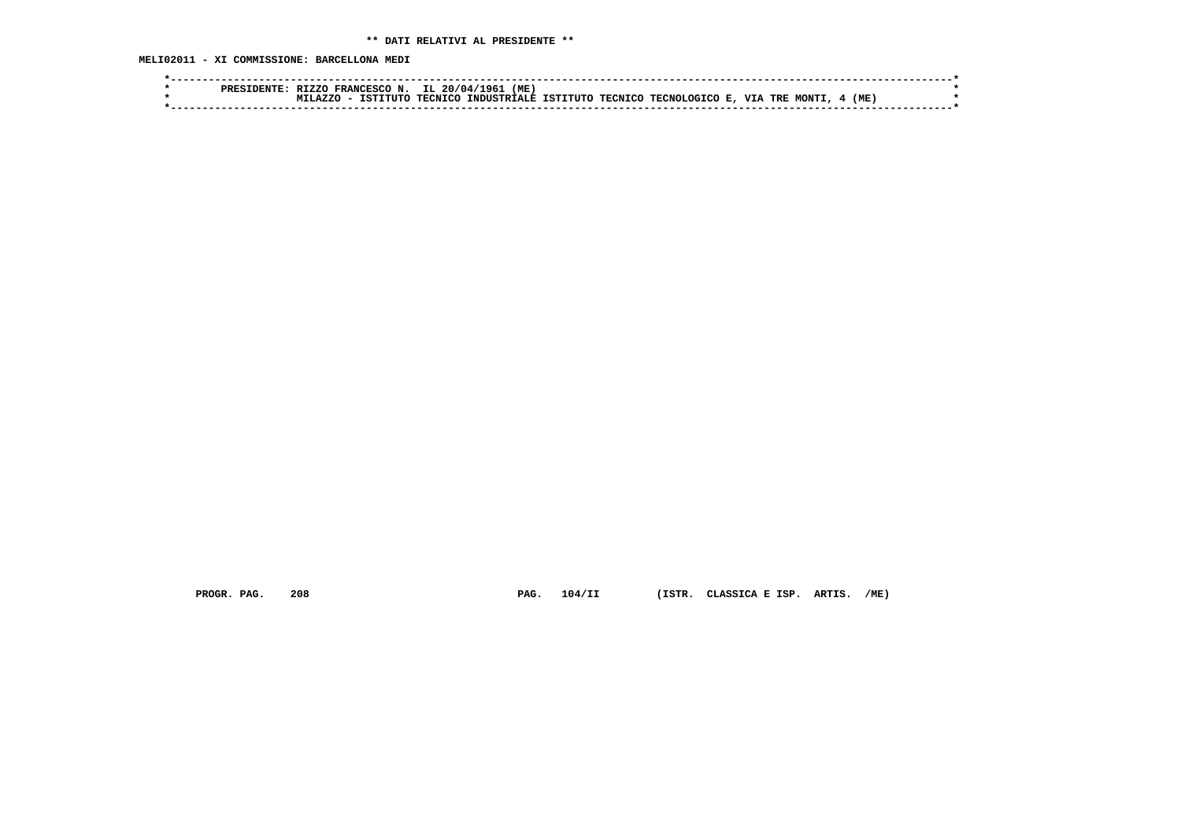**MELI02011 - XI COMMISSIONE: BARCELLONA MEDI**

|  | PRES1 | <b>RT7.7.0</b> | FRANCESCO N. | IL 20/04/1961  | (ME                          |  |                        |  |              |      |  |
|--|-------|----------------|--------------|----------------|------------------------------|--|------------------------|--|--------------|------|--|
|  |       | <b>A7.7C</b>   | TSTTTITO     | <b>TECNTCO</b> | INDUSTRIALE ISTITUTO TECNICO |  | TECNOLOGICO E, VIA TRE |  | <b>MONTI</b> | (ME) |  |
|  |       |                |              |                |                              |  |                        |  |              |      |  |

 **PROGR. PAG. 208 PAG. 104/II (ISTR. CLASSICA E ISP. ARTIS. /ME)**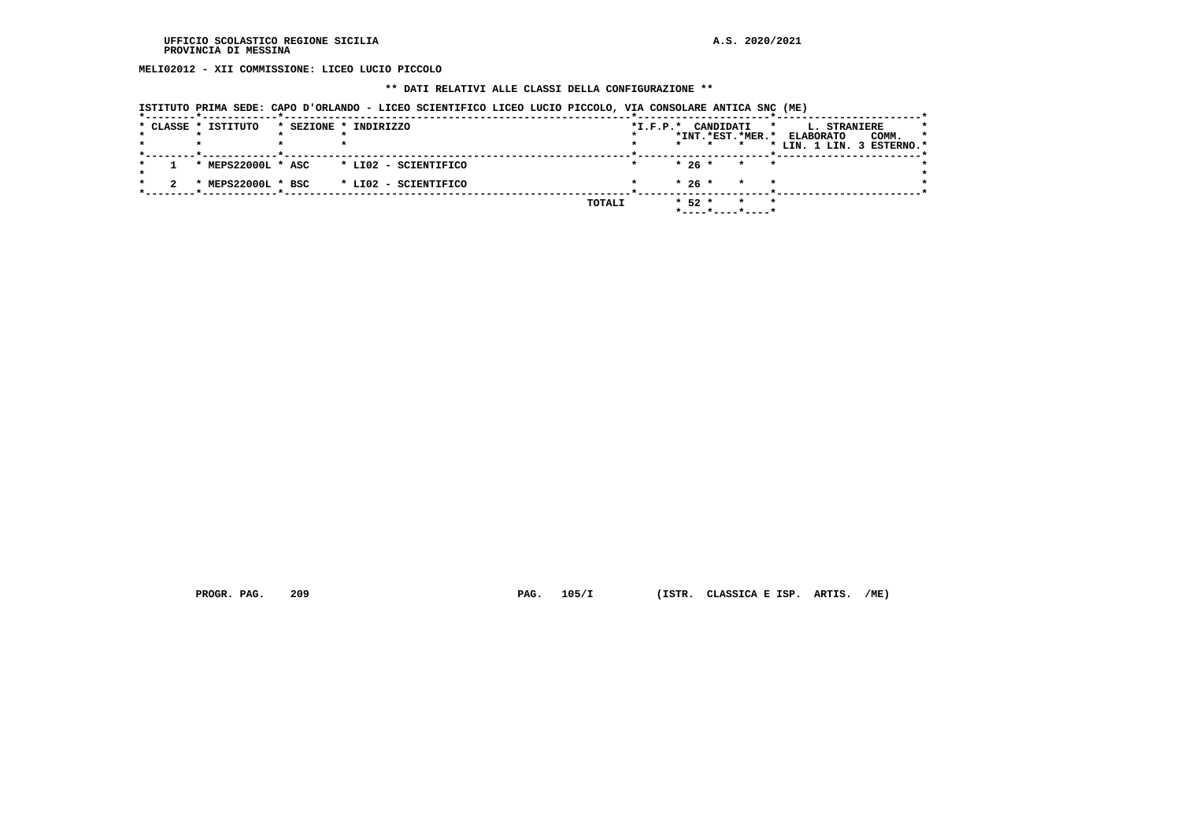**MELI02012 - XII COMMISSIONE: LICEO LUCIO PICCOLO**

#### **\*\* DATI RELATIVI ALLE CLASSI DELLA CONFIGURAZIONE \*\***

 **ISTITUTO PRIMA SEDE: CAPO D'ORLANDO - LICEO SCIENTIFICO LICEO LUCIO PICCOLO, VIA CONSOLARE ANTICA SNC (ME)**

|  |                     |                                          |                                                                       |                    |         | <b>L. STRANIERE</b>                                                |                                                                                        |
|--|---------------------|------------------------------------------|-----------------------------------------------------------------------|--------------------|---------|--------------------------------------------------------------------|----------------------------------------------------------------------------------------|
|  |                     |                                          |                                                                       |                    |         | <b>ELABORATO</b><br>COMM.                                          | $\star$                                                                                |
|  |                     |                                          |                                                                       | $\star$<br>$\star$ |         |                                                                    |                                                                                        |
|  |                     |                                          |                                                                       |                    |         |                                                                    |                                                                                        |
|  |                     |                                          |                                                                       | $*26*$             |         |                                                                    |                                                                                        |
|  |                     |                                          |                                                                       |                    |         |                                                                    |                                                                                        |
|  |                     |                                          |                                                                       | $*26*$             | $\star$ |                                                                    |                                                                                        |
|  |                     |                                          |                                                                       |                    |         |                                                                    |                                                                                        |
|  |                     |                                          |                                                                       |                    | $\star$ |                                                                    |                                                                                        |
|  |                     |                                          |                                                                       |                    |         |                                                                    |                                                                                        |
|  | * CLASSE * ISTITUTO | * MEPS22000L * ASC<br>* MEPS22000L * BSC | * SEZIONE * INDIRIZZO<br>* LI02 - SCIENTIFICO<br>* LI02 - SCIENTIFICO | TOTALI             | $*52*$  | *I.F.P.* CANDIDATI<br>$\overline{\phantom{a}}$<br>*----*----*----* | $\star$<br>*INT.*EST.*MER.*<br>* LIN. 1 LIN. 3 ESTERNO.*<br>$\star$ $\star$<br>$\star$ |

 **PROGR. PAG. 209 PAG. 105/I (ISTR. CLASSICA E ISP. ARTIS. /ME)**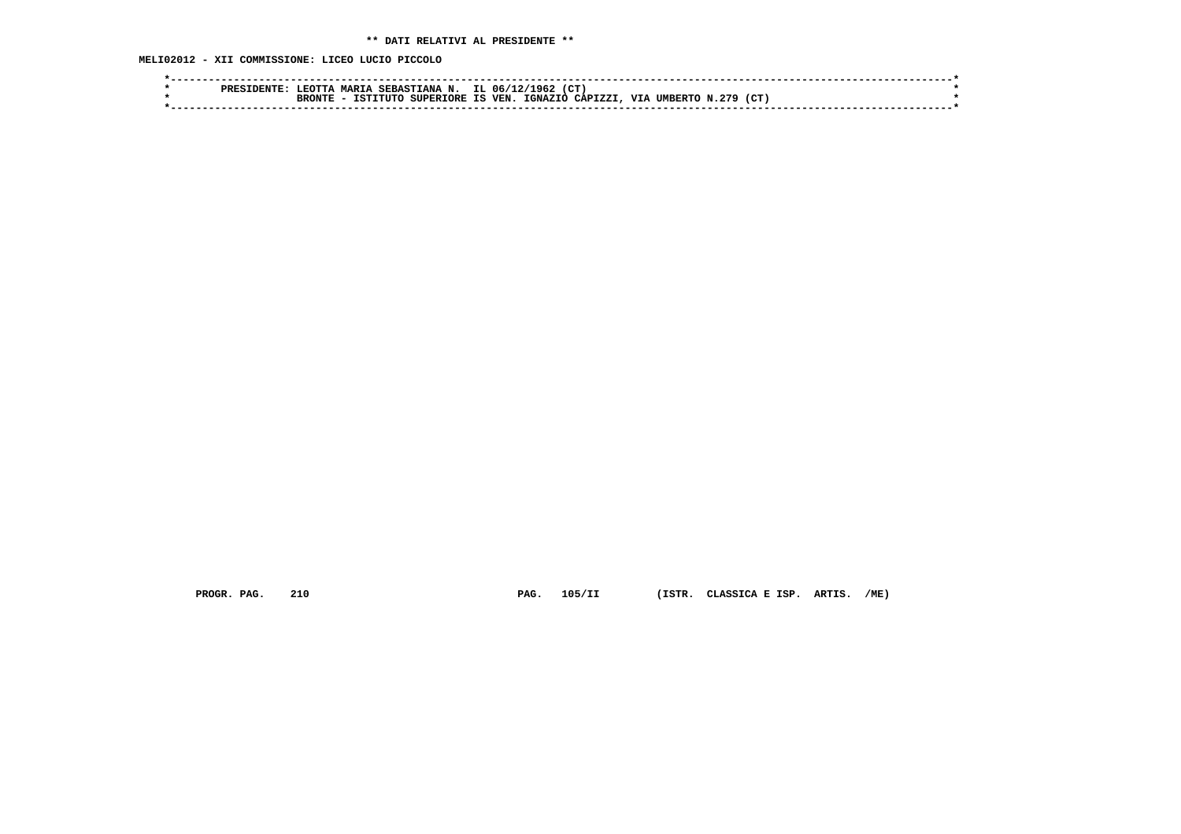**MELI02012 - XII COMMISSIONE: LICEO LUCIO PICCOLO**

| בידיד היה.<br>MAPTA<br>SEBASTIANA N.<br><b>PRES</b> | CT.<br>196.<br>IL 06/12/                                      |  |
|-----------------------------------------------------|---------------------------------------------------------------|--|
| SUPERIORE IS<br>ּי ידער∿<br>'am<br>ר ידדדיי         | 279<br>CΤ<br>IGNAZIO CAPIZZI.<br>VIA<br><b>VEN</b><br>UMBERTO |  |
|                                                     |                                                               |  |

 **PROGR. PAG. 210 PAG. 105/II (ISTR. CLASSICA E ISP. ARTIS. /ME)**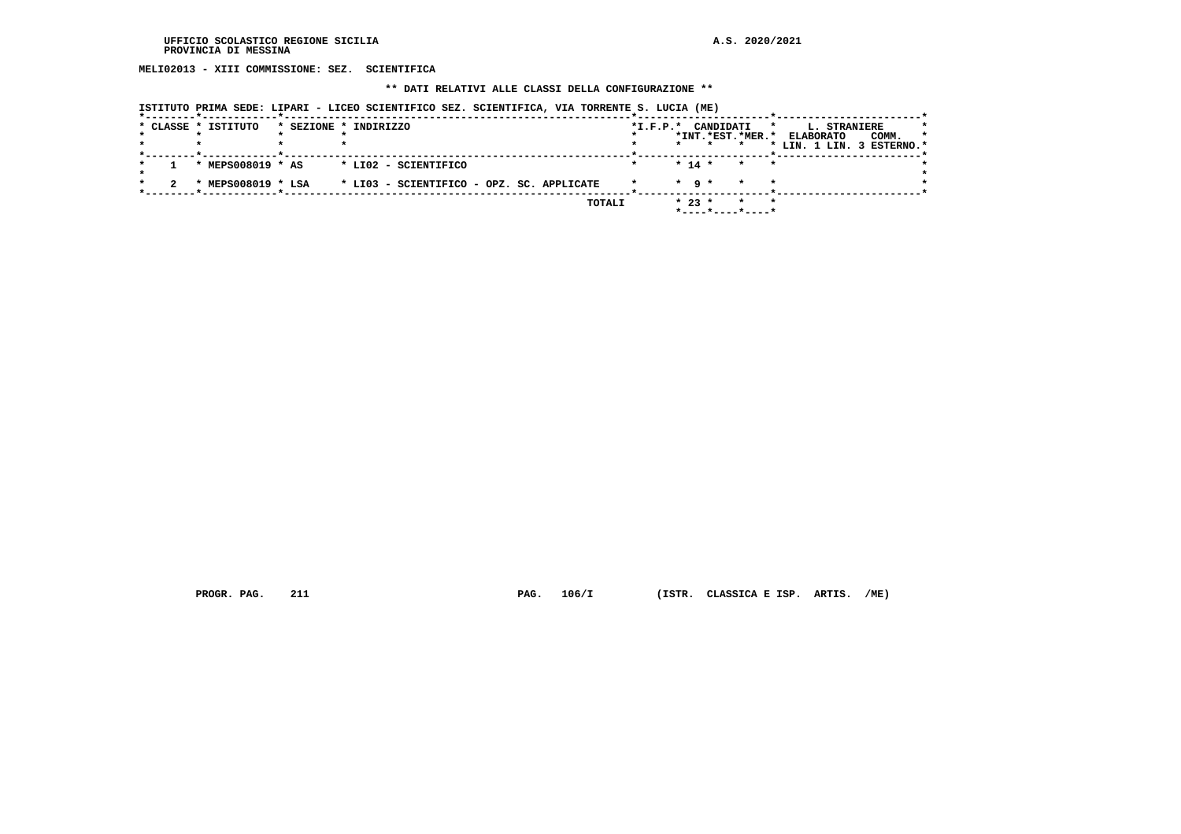**MELI02013 - XIII COMMISSIONE: SEZ. SCIENTIFICA**

#### **\*\* DATI RELATIVI ALLE CLASSI DELLA CONFIGURAZIONE \*\***

|  |                     | ISIIIUIV FRIMA SEDE, BIFARI – BICEV SCIENIIFICV SEB, SCIENIIFICA, VIA IVRRENIE S. BUCIA (ME) |        |                    |                   |                                         |   |                                  |                           |  |
|--|---------------------|----------------------------------------------------------------------------------------------|--------|--------------------|-------------------|-----------------------------------------|---|----------------------------------|---------------------------|--|
|  | * CLASSE * ISTITUTO | * SEZIONE * INDIRIZZO                                                                        |        | *I.F.P.* CANDIDATI |                   | *INT.*EST.*MER.*                        | * | L. STRANIERE<br><b>ELABORATO</b> | COMM.                     |  |
|  |                     |                                                                                              |        |                    |                   |                                         |   |                                  | * LIN. 1 LIN. 3 ESTERNO.* |  |
|  | * MEPS008019 * AS   | * LIO2 - SCIENTIFICO                                                                         |        |                    | $* 14 *$          | $\star$<br>$\star$                      |   |                                  |                           |  |
|  | * MEPS008019 * LSA  | * LI03 - SCIENTIFICO - OPZ. SC. APPLICATE                                                    |        |                    | $\star$ a $\star$ |                                         |   |                                  |                           |  |
|  |                     |                                                                                              | TOTALI |                    | $* 23 *$          | $*$ - - - - $*$ - - - - $*$ - - - - $*$ |   |                                  |                           |  |

 **ISTITUTO PRIMA SEDE: LIPARI - LICEO SCIENTIFICO SEZ. SCIENTIFICA, VIA TORRENTE S. LUCIA (ME)**

 **PROGR. PAG. 211 PAG. 106/I (ISTR. CLASSICA E ISP. ARTIS. /ME)**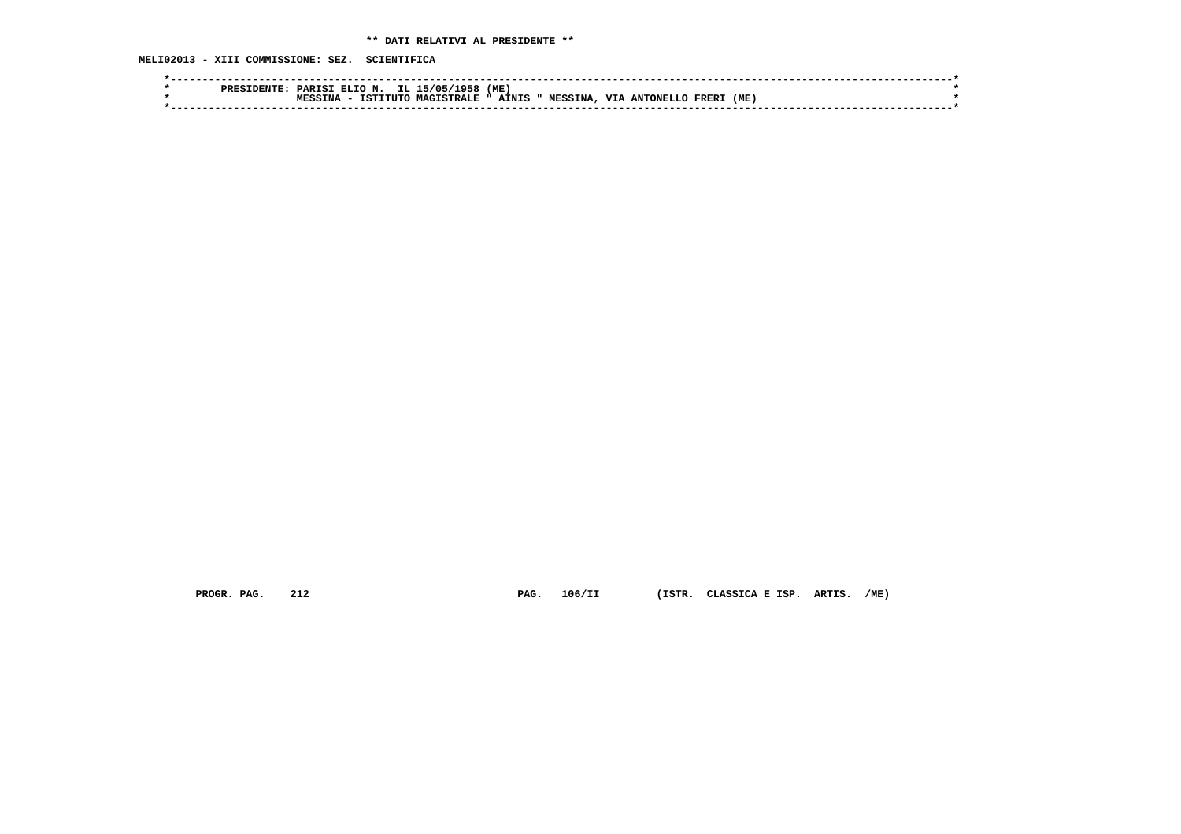**MELI02013 - XIII COMMISSIONE: SEZ. SCIENTIFICA**

| אידורדור.<br>PRES | (ME<br>IL :<br>۰α. .<br><sup>.</sup> ELIO N.<br>15/05/<br>PARISI                                                          |  |
|-------------------|---------------------------------------------------------------------------------------------------------------------------|--|
|                   | (ME<br><b>MESSINA</b><br><b>MACTSTDALF</b><br><b>TTT</b><br>AINIS<br>TCTTTTTTC<br>MPCC<br>ANTONELLO<br><b>FRER</b><br>"NA |  |
|                   |                                                                                                                           |  |
|                   |                                                                                                                           |  |

 **PROGR. PAG. 212 PAG. 106/II (ISTR. CLASSICA E ISP. ARTIS. /ME)**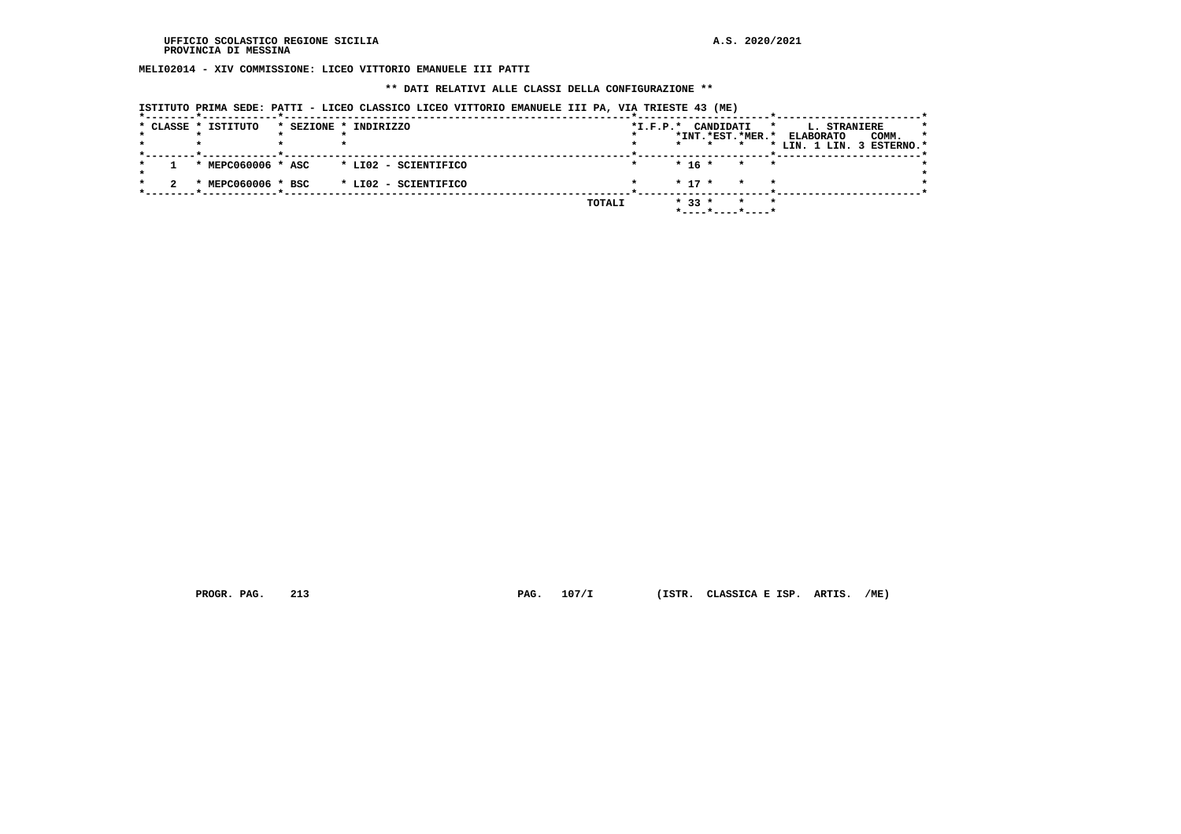**MELI02014 - XIV COMMISSIONE: LICEO VITTORIO EMANUELE III PATTI**

#### **\*\* DATI RELATIVI ALLE CLASSI DELLA CONFIGURAZIONE \*\***

|  | * CLASSE * ISTITUTO | * SEZIONE * INDIRIZZO |        | $*I.F.P.*$ |            | CANDIDATI                              | L. STRANIERE<br>*         | $\star$ |
|--|---------------------|-----------------------|--------|------------|------------|----------------------------------------|---------------------------|---------|
|  |                     |                       |        |            |            | *INT.*EST.*MER.*                       | COMM.<br><b>ELABORATO</b> | $\star$ |
|  |                     |                       |        |            |            |                                        | * LIN. 1 LIN. 3 ESTERNO.* |         |
|  | * MEPC060006 * ASC  | * LI02 - SCIENTIFICO  |        |            | $* 16 *$   | * *                                    |                           |         |
|  | * MEPC060006 * BSC  | * LI02 - SCIENTIFICO  |        |            | $*$ 17 $*$ | $\star$<br>$\mathbf{r}$                |                           |         |
|  |                     |                       | TOTALI |            | $* 33 *$   | $\star$<br>$\star$<br>*----*----*----* |                           |         |

 **PROGR. PAG. 213 PAG. 107/I (ISTR. CLASSICA E ISP. ARTIS. /ME)**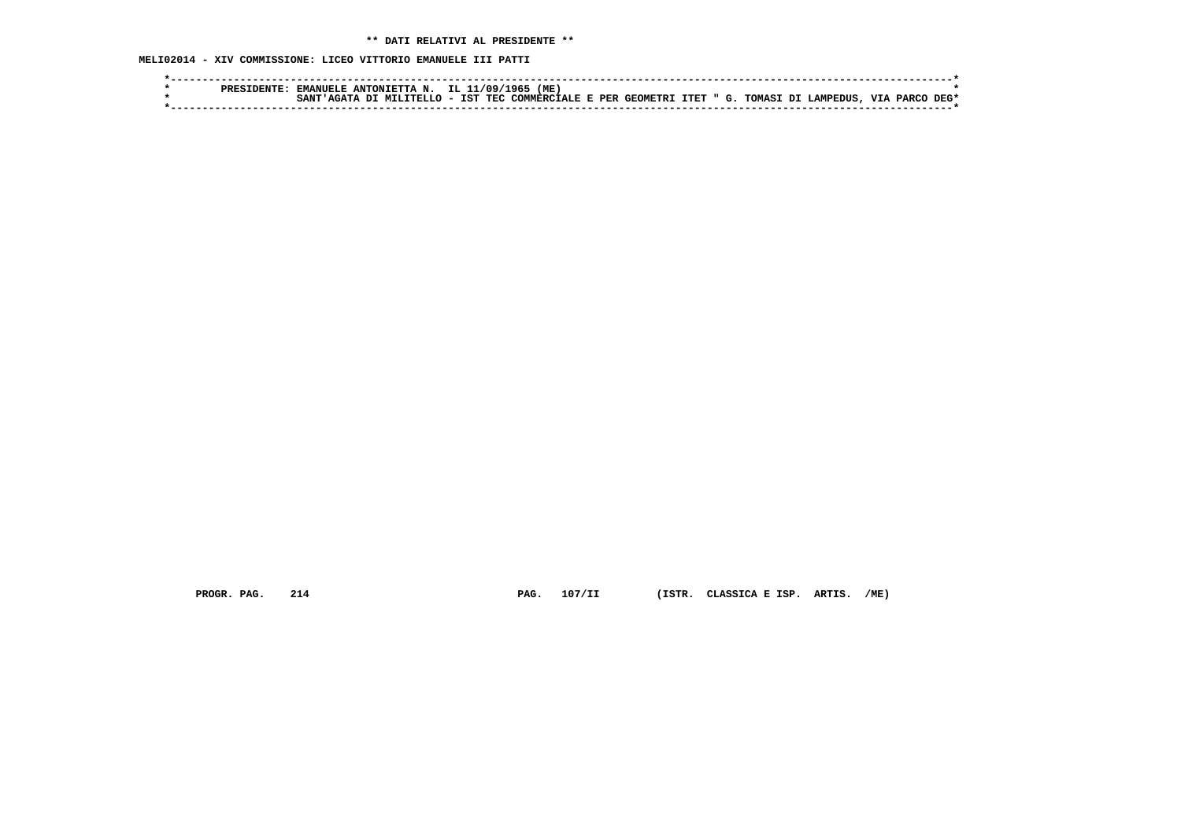**MELI02014 - XIV COMMISSIONE: LICEO VITTORIO EMANUELE III PATTI**

|  | PRESTDENTE | EMANUELE ANTONIETTA N. IL 11/09/1965 |  | (ME )                                                        |  |  |  |  |           |      |
|--|------------|--------------------------------------|--|--------------------------------------------------------------|--|--|--|--|-----------|------|
|  |            | SANT'AGATA DI MILITELLO - IST .      |  | TEC COMMERCIALE E PER GEOMETRI ITET " G. TOMASI DI LAMPEDUS. |  |  |  |  | VIA PARCO | DEG* |
|  |            |                                      |  |                                                              |  |  |  |  |           |      |

 **PROGR. PAG. 214 PAG. 107/II (ISTR. CLASSICA E ISP. ARTIS. /ME)**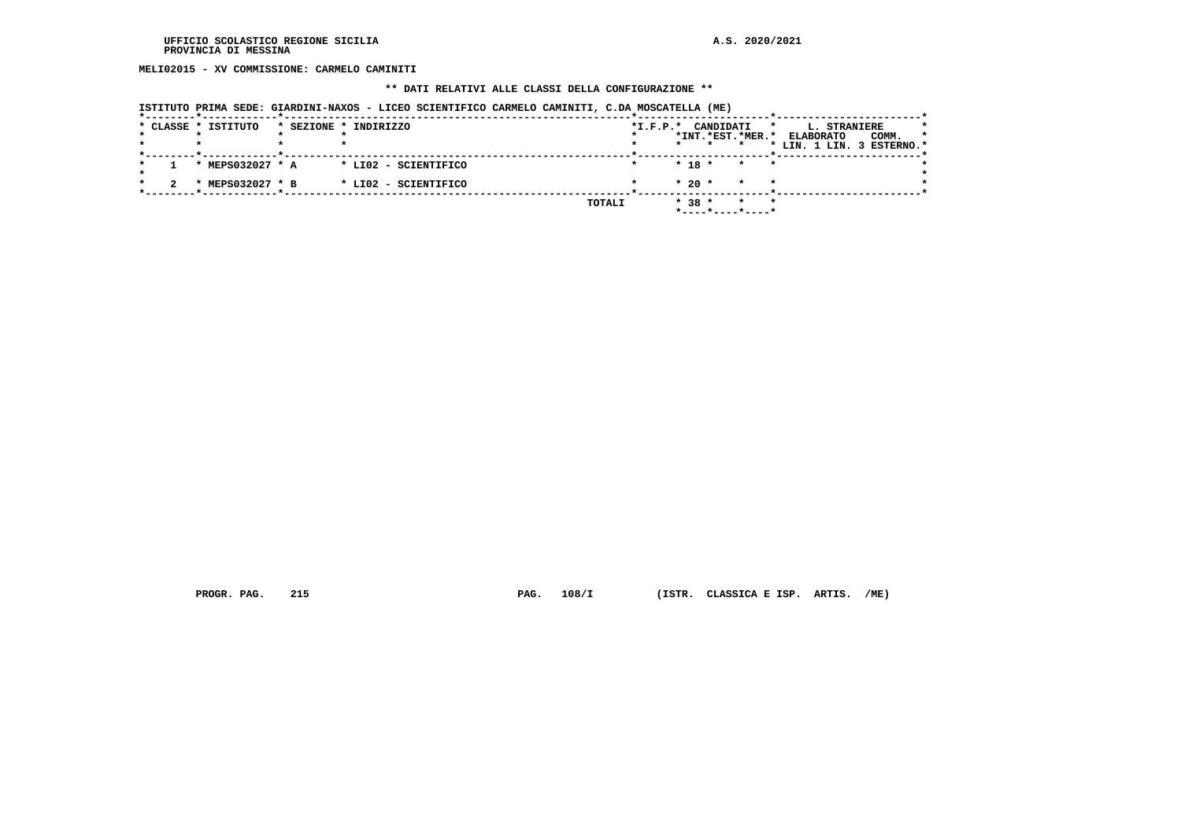**MELI02015 - XV COMMISSIONE: CARMELO CAMINITI**

#### **\*\* DATI RELATIVI ALLE CLASSI DELLA CONFIGURAZIONE \*\***

|  | * CLASSE * ISTITUTO | * SEZIONE * INDIRIZZO |        | $*L.F.P.*$ |          | CANDIDATI | *INT.*EST.*MER.* | <b>L. STRANIERE</b><br>*<br><b>ELABORATO</b> | COMM.<br>$\star$ |
|--|---------------------|-----------------------|--------|------------|----------|-----------|------------------|----------------------------------------------|------------------|
|  |                     |                       |        |            |          |           |                  | * LIN. 1 LIN. 3 ESTERNO.*                    |                  |
|  | * MEPS032027 * A    | * LI02 - SCIENTIFICO  |        |            | $* 18 *$ |           | $\star$          | $\star$                                      |                  |
|  | * MEPS032027 * B    | * LIO2 - SCIENTIFICO  |        |            | $*20$ *  |           | $\star$          | $\star$                                      |                  |
|  |                     |                       | TOTALI |            | $* 38 *$ |           | $\star$          | $\star$                                      |                  |

 **PROGR. PAG. 215 PAG. 108/I (ISTR. CLASSICA E ISP. ARTIS. /ME)**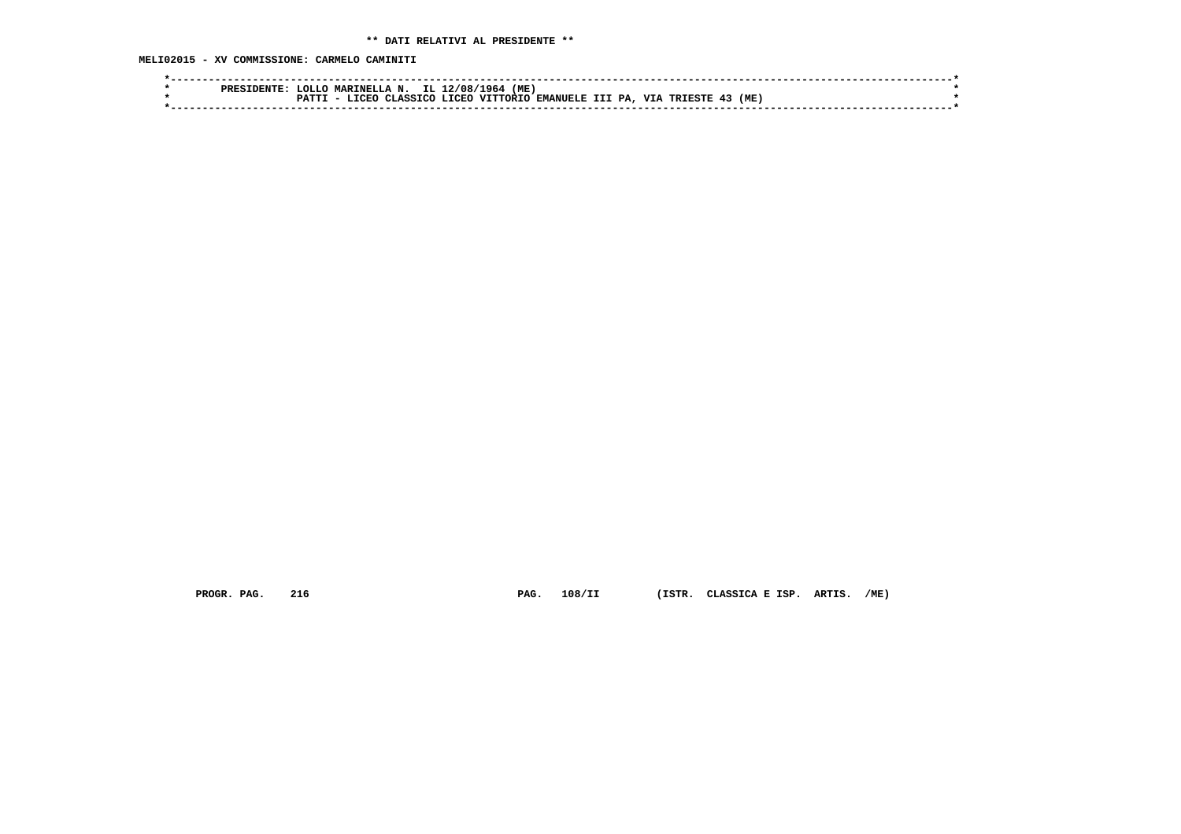**MELI02015 - XV COMMISSIONE: CARMELO CAMINITI**

| 1964<br>(ME)<br>2/08<br>MARINELLA N.<br>-OLLO<br>IL.<br>PRES                                                                |  |
|-----------------------------------------------------------------------------------------------------------------------------|--|
| <b>DA</b><br>(ML<br><b>TTT</b><br>T.TCEO<br><b>VITTORIO</b><br><b>EMANIELE T</b><br><b>TCFC</b><br><b>ASSTCO</b><br>TDTDCTD |  |
|                                                                                                                             |  |

 **PROGR. PAG. 216 PAG. 108/II (ISTR. CLASSICA E ISP. ARTIS. /ME)**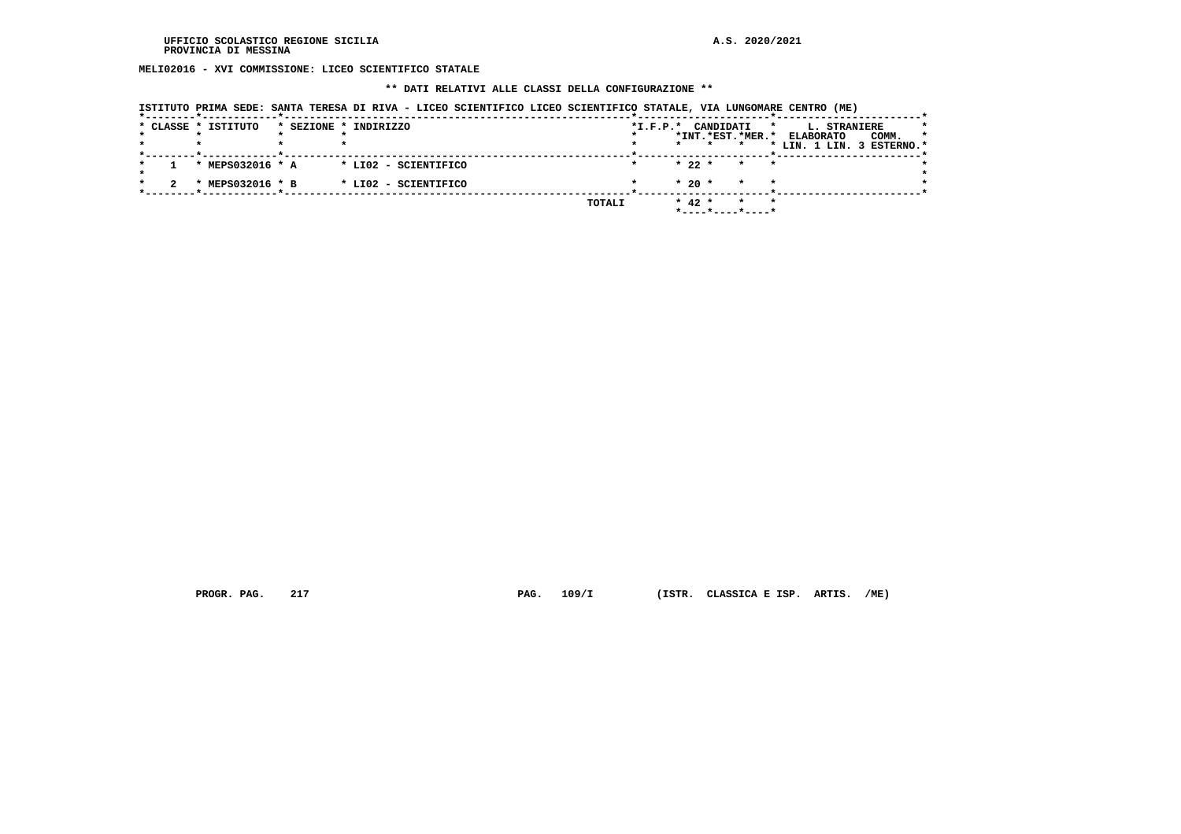**MELI02016 - XVI COMMISSIONE: LICEO SCIENTIFICO STATALE**

### **\*\* DATI RELATIVI ALLE CLASSI DELLA CONFIGURAZIONE \*\***

|  |  |  |  | ISTITUTO PRIMA SEDE: SANTA TERESA DI RIVA - LICEO SCIENTIFICO LICEO SCIENTIFICO STATALE, VIA LUNGOMARE CENTRO (ME) |
|--|--|--|--|--------------------------------------------------------------------------------------------------------------------|
|--|--|--|--|--------------------------------------------------------------------------------------------------------------------|

|  |                     |                                      |                                                                       |  |                       |                                 | *         |                                               |                  | *            |                                    |
|--|---------------------|--------------------------------------|-----------------------------------------------------------------------|--|-----------------------|---------------------------------|-----------|-----------------------------------------------|------------------|--------------|------------------------------------|
|  |                     |                                      |                                                                       |  |                       |                                 |           |                                               |                  | $\star$      |                                    |
|  |                     |                                      |                                                                       |  |                       |                                 |           |                                               |                  |              |                                    |
|  |                     |                                      |                                                                       |  |                       |                                 |           |                                               |                  |              |                                    |
|  |                     |                                      |                                                                       |  |                       | $\star$                         |           |                                               |                  |              |                                    |
|  |                     |                                      | TOTALI                                                                |  |                       | $\star$                         |           |                                               |                  |              |                                    |
|  | * CLASSE * ISTITUTO | * MEPS032016 * A<br>* MEPS032016 * B | * SEZIONE * INDIRIZZO<br>* LI02 - SCIENTIFICO<br>* LI02 - SCIENTIFICO |  | $*I.F.P.*$<br>$\star$ | $* 22 *$<br>$*20$ *<br>$* 42 *$ | CANDIDATI | *INT.*EST.*MER.*<br>* *<br>$\star$<br>$\star$ | <b>ELABORATO</b> | L. STRANIERE | COMM.<br>* LIN. 1 LIN. 3 ESTERNO.* |

 **PROGR. PAG. 217 PAG. 109/I (ISTR. CLASSICA E ISP. ARTIS. /ME)**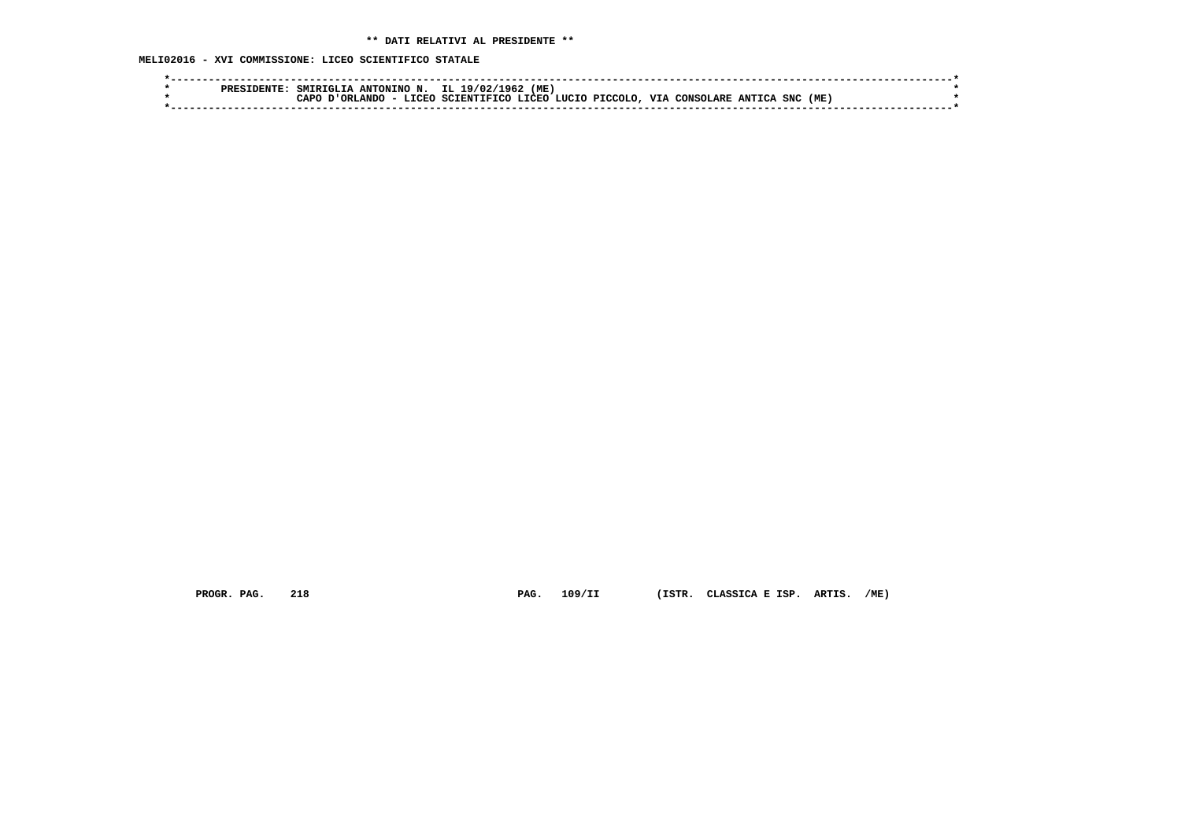**MELI02016 - XVI COMMISSIONE: LICEO SCIENTIFICO STATALE**

| ס סם מ | ANTONINO N.<br>SMTRTGT. |               | IL 1<br>196.<br>19/02/ | (ME    |                |     |           |        |          |  |
|--------|-------------------------|---------------|------------------------|--------|----------------|-----|-----------|--------|----------|--|
|        | <b>ORLANDO</b><br>∩סבר  | <b>T.TORO</b> | SCIENTIFICO            | T.TORO | LUCIO PICCOLO. | VIA | CONSOLARE | ANTTCA | SNC (ME, |  |
|        |                         |               |                        |        |                |     |           |        |          |  |

 **PROGR. PAG. 218 PAG. 109/II (ISTR. CLASSICA E ISP. ARTIS. /ME)**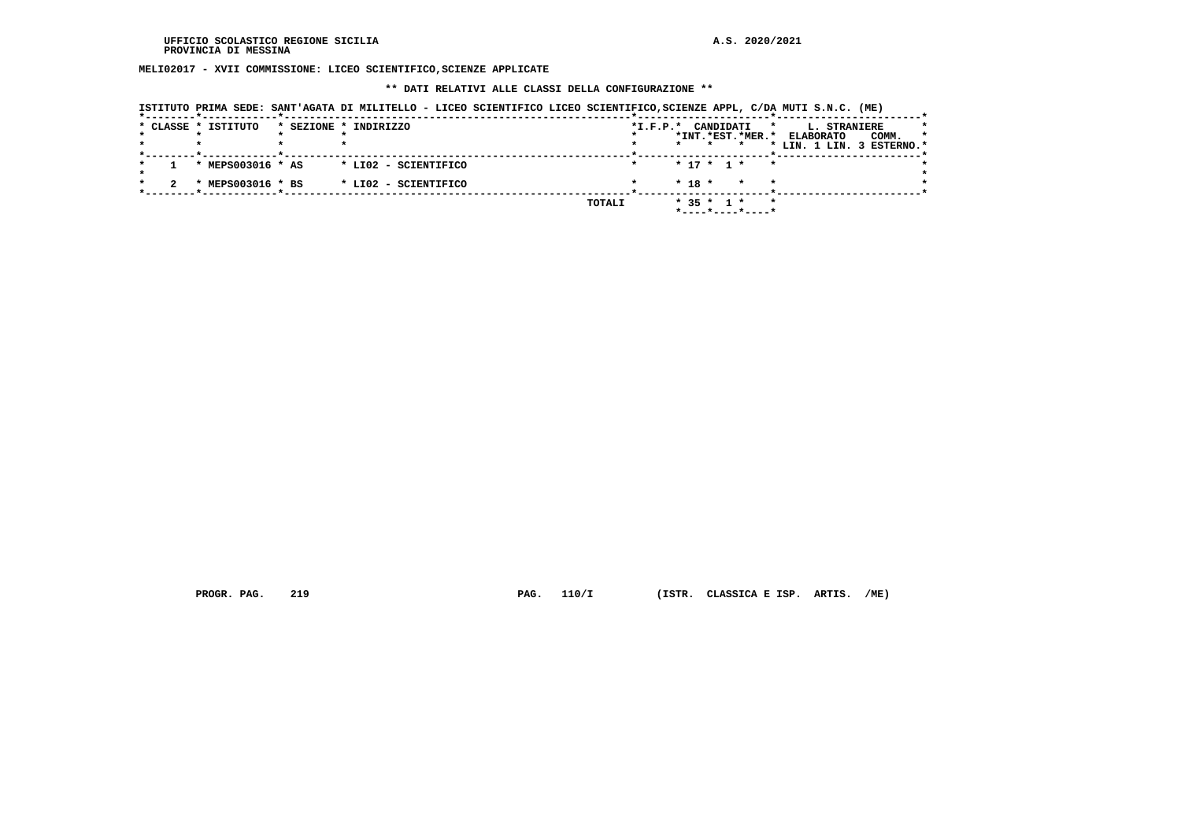**MELI02017 - XVII COMMISSIONE: LICEO SCIENTIFICO,SCIENZE APPLICATE**

### **\*\* DATI RELATIVI ALLE CLASSI DELLA CONFIGURAZIONE \*\***

| ISTITUTO PRIMA SEDE: SANT'AGATA DI MILITELLO - LICEO SCIENTIFICO LICEO SCIENTIFICO,SCIENZE APPL, C/DA MUTI S.N.C. (ME) |  |  |  |
|------------------------------------------------------------------------------------------------------------------------|--|--|--|
|                                                                                                                        |  |  |  |

|  | * CLASSE * ISTITUTO | * SEZIONE * INDIRIZZO |        | CANDIDATI<br>$*I.F.P.*$<br>*                | L. STRANIERE<br>*                    |
|--|---------------------|-----------------------|--------|---------------------------------------------|--------------------------------------|
|  |                     |                       |        | *INT.*EST.*MER.*                            | <b>ELABORATO</b><br>COMM.<br>$\star$ |
|  |                     |                       |        | $\star$                                     | * LIN. 1 LIN. 3 ESTERNO.*            |
|  | * MEPS003016 * AS   | * LIO2 - SCIENTIFICO  |        | $* 17 * 1 * * *$                            |                                      |
|  | * MEPS003016 * BS   | * LI02 - SCIENTIFICO  |        | $* 18 *$<br>$\star$<br>$\star$              |                                      |
|  |                     |                       | TOTALI | $* 35 * 1 *$<br>$\star$<br>*----*----*----* |                                      |

 **PROGR. PAG. 219 PAG. 110/I (ISTR. CLASSICA E ISP. ARTIS. /ME)**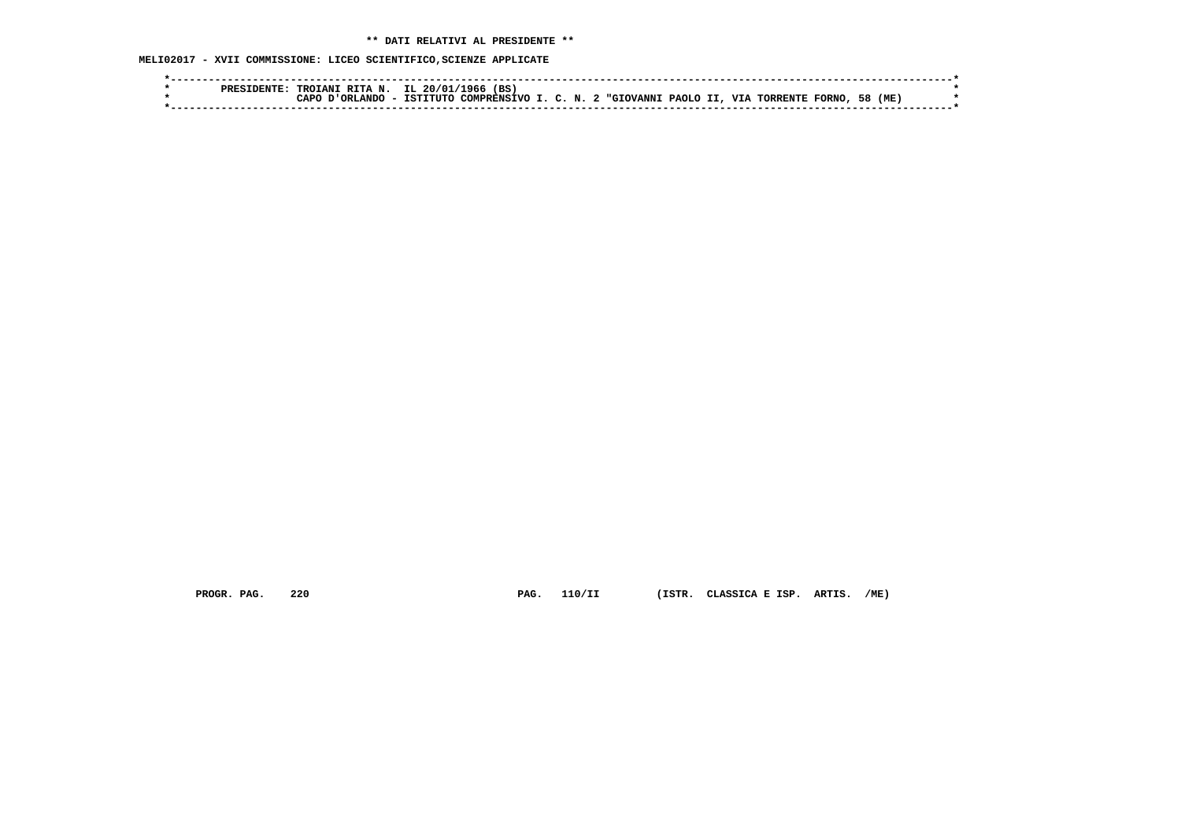**MELI02017 - XVII COMMISSIONE: LICEO SCIENTIFICO,SCIENZE APPLICATE**

| סססם | RTTA<br><b>N</b><br><b>TROTAN</b> | IL 20/01 | (BS)<br>1966'         |                     |                  |          |                               |                    |     |  |
|------|-----------------------------------|----------|-----------------------|---------------------|------------------|----------|-------------------------------|--------------------|-----|--|
|      | ORLANDO<br>പാറ                    | ISTITUTO | COMPRENS <sup>7</sup> | $\sim$ $\mathbf{M}$ | <b>"GIOVANNI</b> | PAOLO II | <b>VTA</b><br><b>TORRENTE</b> | 58<br><b>FORNO</b> | (ME |  |
|      |                                   |          |                       |                     |                  |          |                               |                    |     |  |

 **PROGR. PAG. 220 PAG. 110/II (ISTR. CLASSICA E ISP. ARTIS. /ME)**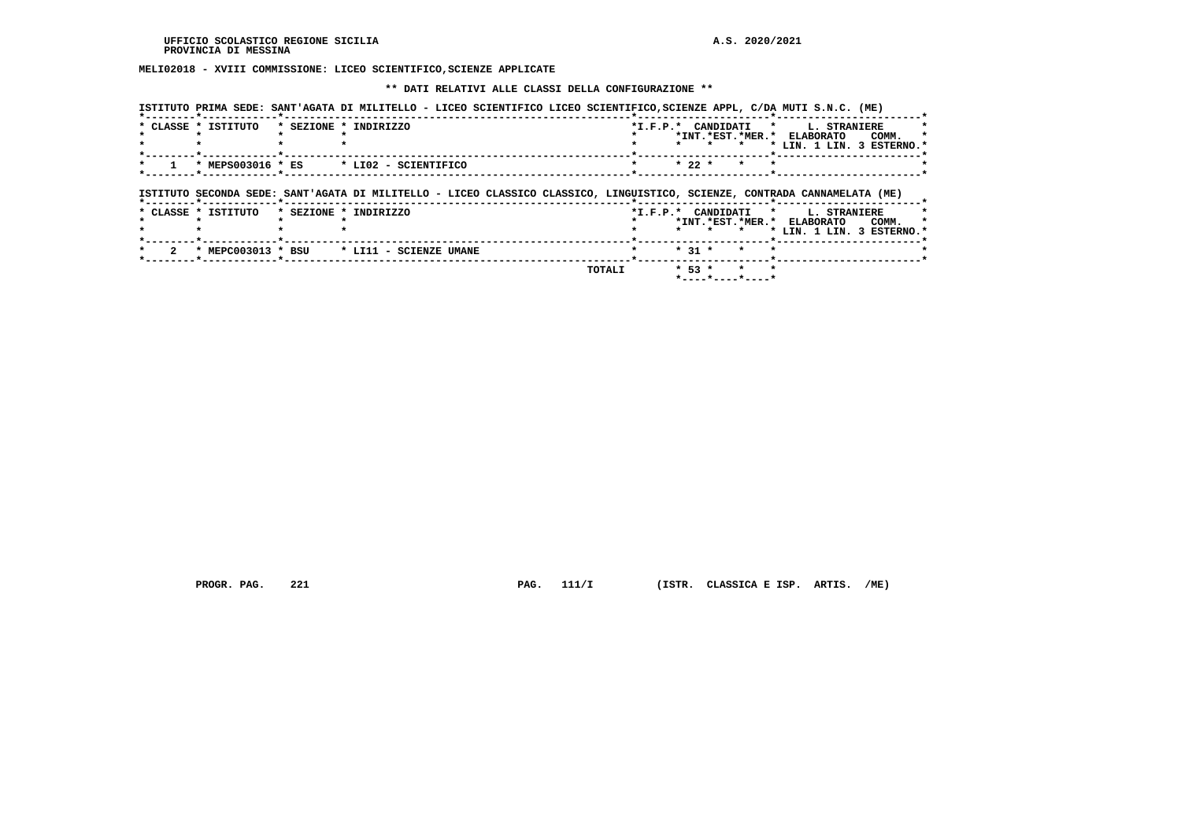**MELI02018 - XVIII COMMISSIONE: LICEO SCIENTIFICO,SCIENZE APPLICATE**

 **\*\* DATI RELATIVI ALLE CLASSI DELLA CONFIGURAZIONE \*\***

|                     | ISTITUTO PRIMA SEDE: SANT'AGATA DI MILITELLO - LICEO SCIENTIFICO LICEO SCIENTIFICO, SCIENZE APPL, C/DA MUTI S.N.C. (ME)   |                    |          |                  |         |                                                                         |                           |
|---------------------|---------------------------------------------------------------------------------------------------------------------------|--------------------|----------|------------------|---------|-------------------------------------------------------------------------|---------------------------|
| * CLASSE * ISTITUTO | * SEZIONE * INDIRIZZO                                                                                                     | *I.F.P.* CANDIDATI |          |                  | $\star$ | L. STRANIERE<br>*INT.*EST.*MER.* ELABORATO<br>* LIN. 1 LIN. 3 ESTERNO.' | COMM.                     |
| * MEPS003016 * ES   | * LI02 - SCIENTIFICO                                                                                                      | $\star$            | $* 22 *$ | $\star$          |         |                                                                         |                           |
|                     | ISTITUTO SECONDA SEDE: SANT'AGATA DI MILITELLO - LICEO CLASSICO CLASSICO, LINGUISTICO, SCIENZE, CONTRADA CANNAMELATA (ME) |                    |          |                  |         |                                                                         |                           |
| * CLASSE * ISTITUTO | * SEZIONE * INDIRIZZO                                                                                                     | *I.F.P.* CANDIDATI |          | *INT.*EST.*MER.* | $\star$ | L. STRANIERE<br><b>ELABORATO</b>                                        | COMM.                     |
|                     |                                                                                                                           |                    |          |                  |         |                                                                         | * LIN. 1 LIN. 3 ESTERNO.* |
| * MEPC003013 * BSU  | * LI11 - SCIENZE UMANE                                                                                                    |                    | $* 31 *$ | $\star$          |         |                                                                         |                           |

 **PROGR. PAG.** 221 **PAG.** 111/I (ISTR. CLASSICA E ISP. ARTIS. /ME)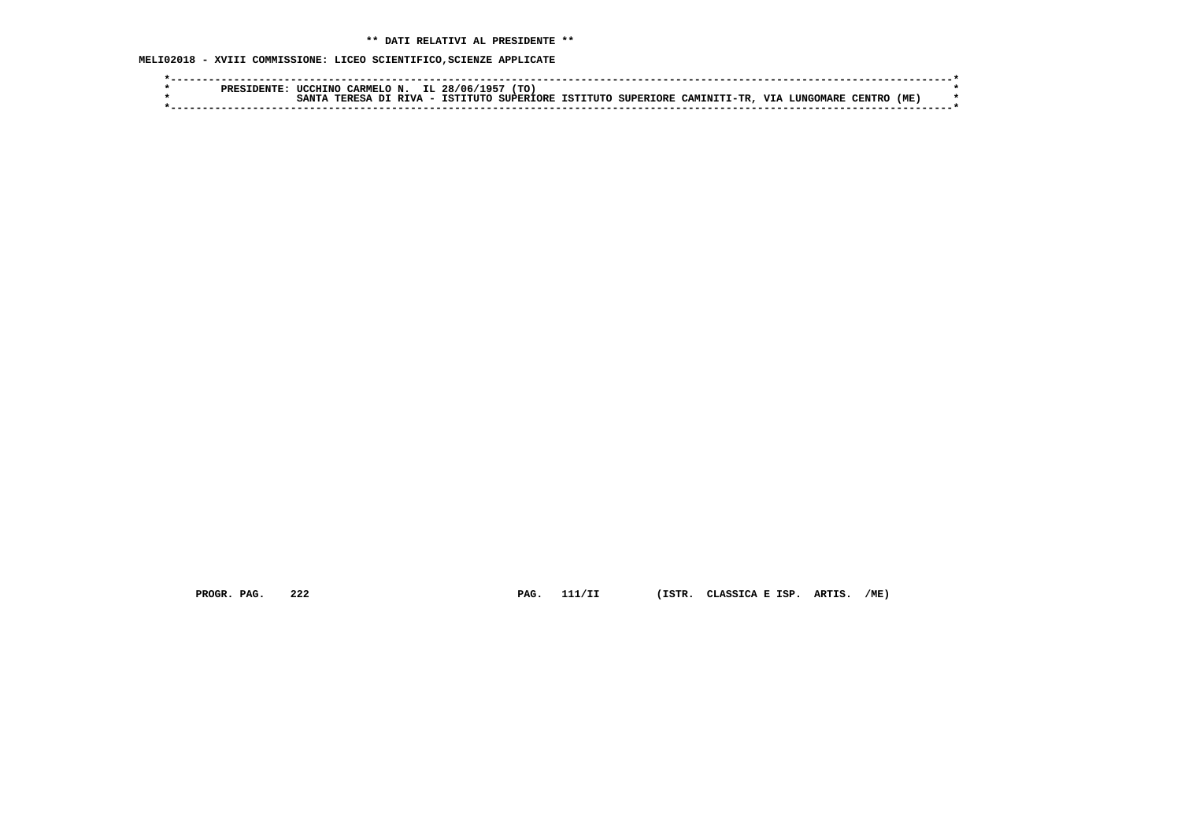**MELI02018 - XVIII COMMISSIONE: LICEO SCIENTIFICO,SCIENZE APPLICATE**

| ס סם מ | 'TO.<br>$\rightarrow$ 10 F $^{-1}$<br>IL.<br><b>HCCHTNO</b><br><b>CARMELO</b><br>28/06/<br>N                                                                      |  |
|--------|-------------------------------------------------------------------------------------------------------------------------------------------------------------------|--|
|        | (ME)<br><b>TTT</b><br>ISTITUTO SUPERIORE<br>CAMTNTTT-TR<br><b>RTVA</b><br><b>SUPERTORE</b><br><b>TCT)</b><br>בפססי<br><b>CANT</b><br>^ידדדי<br>TENTR<br>nт<br>. . |  |
|        |                                                                                                                                                                   |  |

 **PROGR. PAG. 222 PAG. 111/II (ISTR. CLASSICA E ISP. ARTIS. /ME)**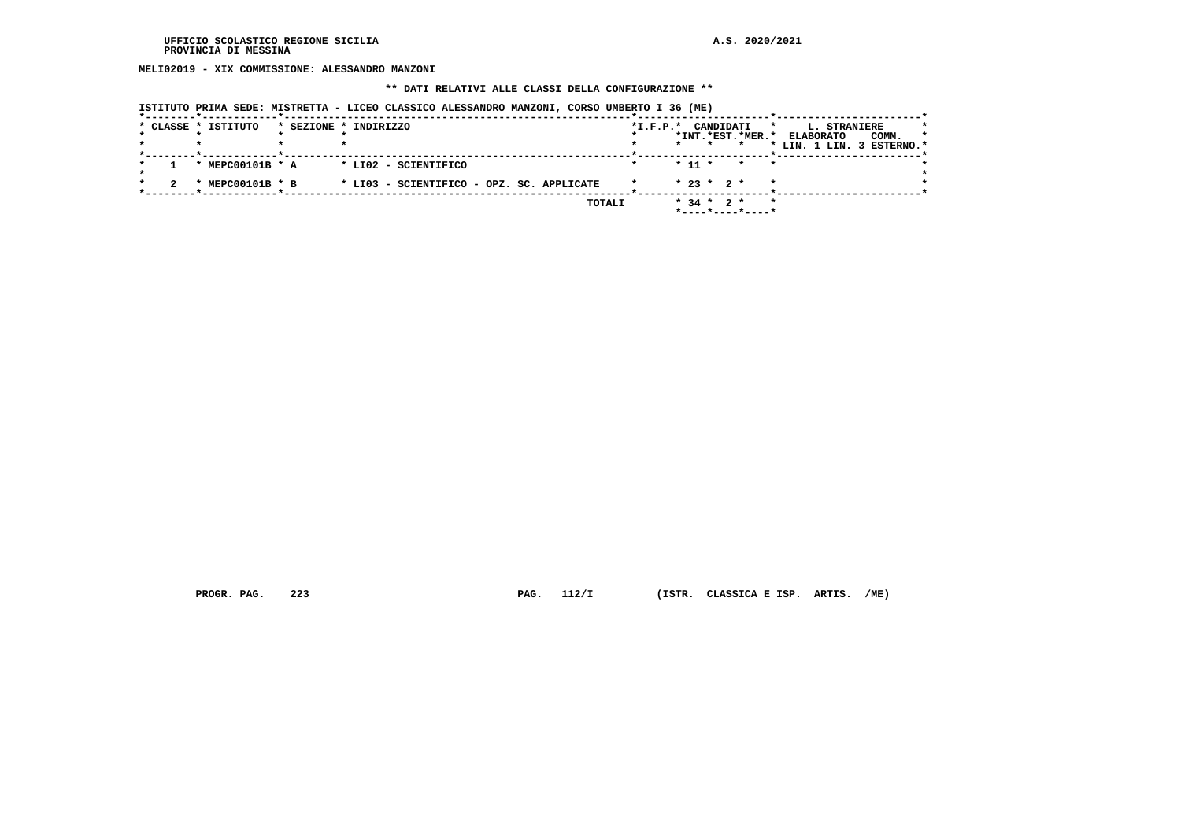**MELI02019 - XIX COMMISSIONE: ALESSANDRO MANZONI**

# **\*\* DATI RELATIVI ALLE CLASSI DELLA CONFIGURAZIONE \*\***

| ISTITUTO PRIMA SEDE: MISTRETTA - LICEO CLASSICO ALESSANDRO MANZONI, CORSO UMBERTO I 36 (ME) |  |  |  |  |  |  |  |  |  |  |  |  |  |  |  |
|---------------------------------------------------------------------------------------------|--|--|--|--|--|--|--|--|--|--|--|--|--|--|--|
|---------------------------------------------------------------------------------------------|--|--|--|--|--|--|--|--|--|--|--|--|--|--|--|

|  | * CLASSE * ISTITUTO | * SEZIONE * INDIRIZZO                     | $*I.F.P.*$ | CANDIDATI<br>$\star$<br>*INT.*EST.*MER.*                               | L. STRANIERE<br>$\star$<br><b>ELABORATO</b><br>COMM.<br>* LIN. 1 LIN. 3 ESTERNO.* |
|--|---------------------|-------------------------------------------|------------|------------------------------------------------------------------------|-----------------------------------------------------------------------------------|
|  | * MEPC00101B * A    | * LI02 - SCIENTIFICO                      |            | $*$ 11 $*$<br>$\star$<br>$\star$                                       |                                                                                   |
|  | * MEPC00101B * B    | * LI03 - SCIENTIFICO - OPZ. SC. APPLICATE |            | $* 23 * 2 *$<br>$\star$                                                |                                                                                   |
|  |                     | TOTALI                                    |            | $*$ 34 $*$ 2 $*$<br>$\star$<br>$*$ - - - - $*$ - - - - $*$ - - - - $*$ |                                                                                   |

 **PROGR. PAG. 223 PAG. 112/I (ISTR. CLASSICA E ISP. ARTIS. /ME)**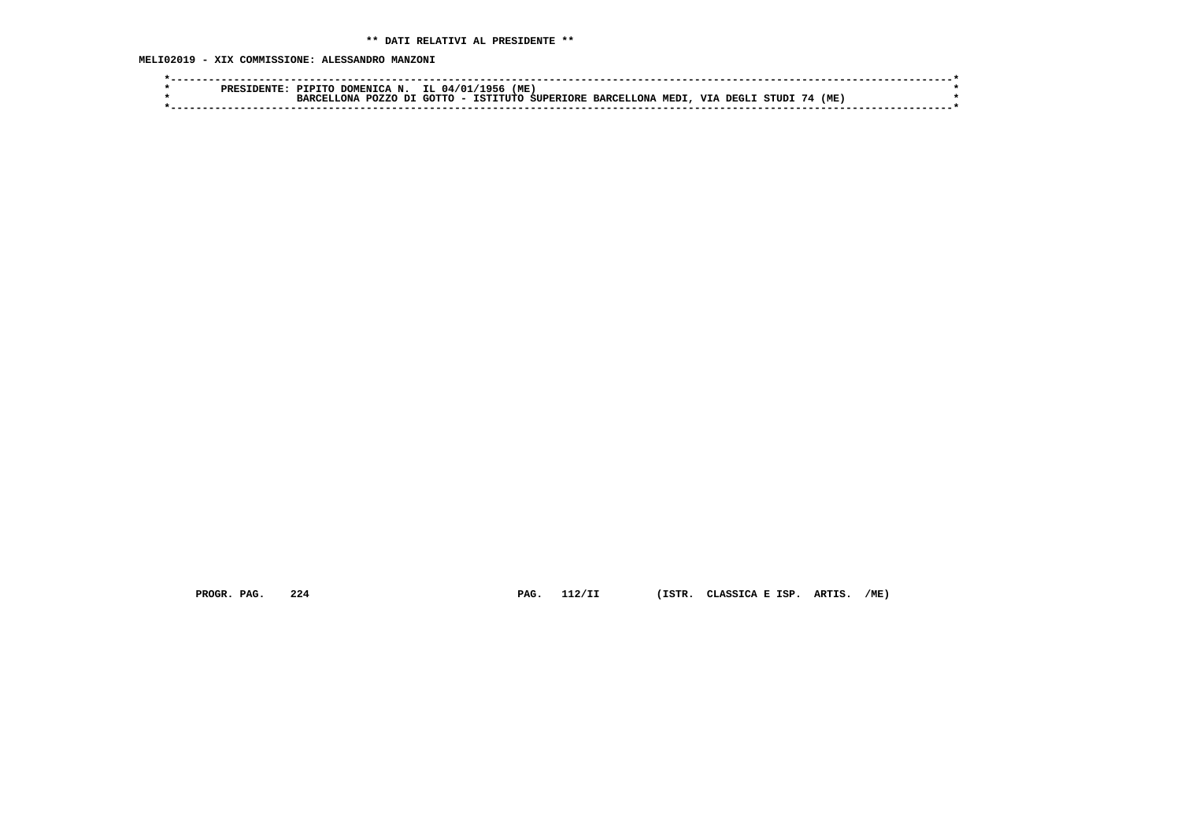**MELI02019 - XIX COMMISSIONE: ALESSANDRO MANZONI**

| <b>DDRC</b> | חידם ד<br>.AFN.<br>^^                                          | 'ME<br>IL.<br>.ስ4 / ሰ<br><b>956</b>                                                                      |  |
|-------------|----------------------------------------------------------------|----------------------------------------------------------------------------------------------------------|--|
|             | דת<br>P <sub>0</sub> 7.7 <sub>0</sub><br>ות ה<br><b>RARCEI</b> | 'ME<br>COTTO<br>TCTTTTTTC<br><b>VIA</b><br><b>BARCELLONA</b><br>MEDI<br>DEGL J<br>, SUPERTORE<br>STIID 1 |  |
|             |                                                                |                                                                                                          |  |

 **PROGR. PAG. 224 PAG. 112/II (ISTR. CLASSICA E ISP. ARTIS. /ME)**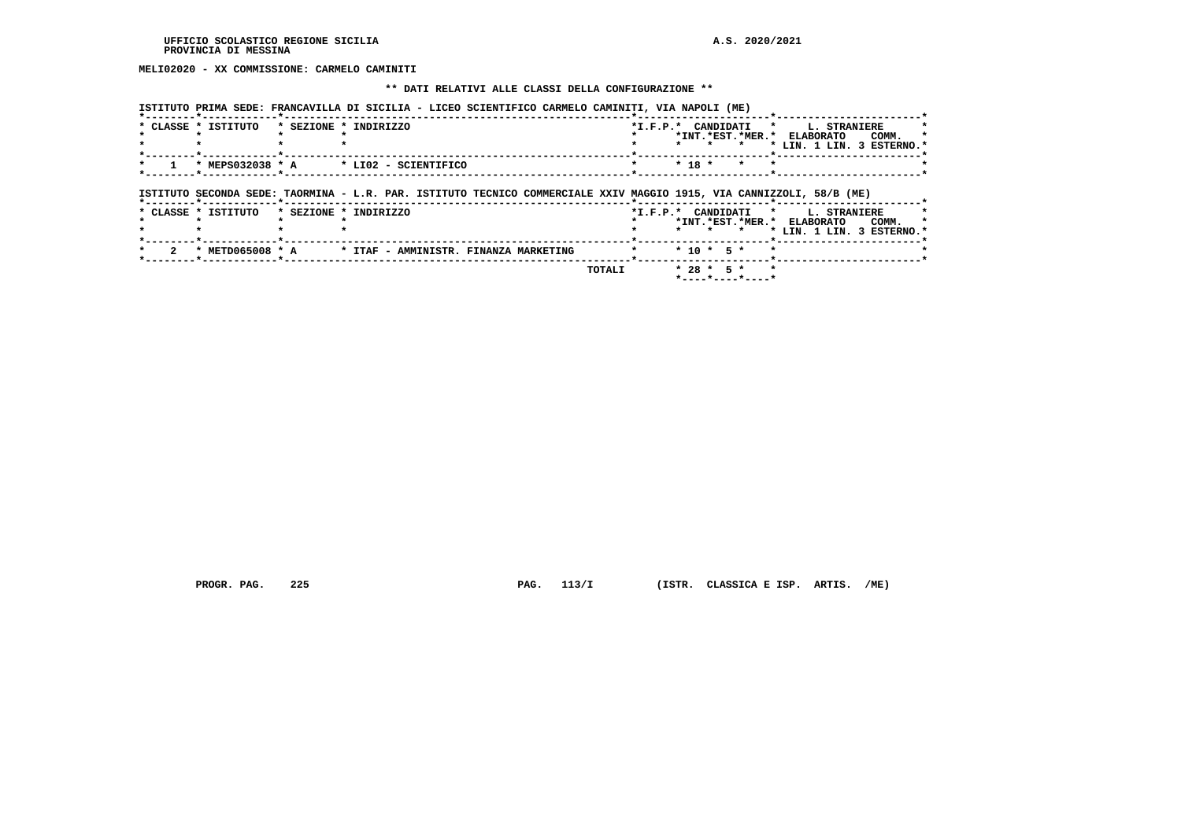**MELI02020 - XX COMMISSIONE: CARMELO CAMINITI**

### **\*\* DATI RELATIVI ALLE CLASSI DELLA CONFIGURAZIONE \*\***

 **ISTITUTO PRIMA SEDE: FRANCAVILLA DI SICILIA - LICEO SCIENTIFICO CARMELO CAMINITI, VIA NAPOLI (ME)**

| * CLASSE * ISTITUTO | * SEZIONE * INDIRIZZO                                                                                                |         |              |         | *I.F.P.* CANDIDATI * L. STRANIERE<br>*INT.*EST.*MER.* ELABORATO<br>COMM.<br>* LIN. 1 LIN. 3 ESTERNO.* |
|---------------------|----------------------------------------------------------------------------------------------------------------------|---------|--------------|---------|-------------------------------------------------------------------------------------------------------|
|                     | $*$ MEPS032038 $*$ A $*$ LI02 - SCIENTIFICO                                                                          | $\star$ | $* 18 *$     | $\star$ |                                                                                                       |
|                     | ISTITUTO SECONDA SEDE: TAORMINA - L.R. PAR. ISTITUTO TECNICO COMMERCIALE XXIV MAGGIO 1915, VIA CANNIZZOLI, 58/B (ME) |         |              |         |                                                                                                       |
| * CLASSE * ISTITUTO | * SEZIONE * INDIRIZZO                                                                                                |         |              |         | *I.F.P.* CANDIDATI * L. STRANIERE                                                                     |
|                     |                                                                                                                      |         | $\star$      | $\star$ | *INT.*EST.*MER.* ELABORATO<br>COMM.<br>* LIN. 1 LIN. 3 ESTERNO.*                                      |
|                     | * METD065008 * A * ITAF - AMMINISTR. FINANZA MARKETING                                                               |         | $* 10 * 5 *$ |         |                                                                                                       |

 **PROGR. PAG. 225 PAG. 113/I (ISTR. CLASSICA E ISP. ARTIS. /ME)**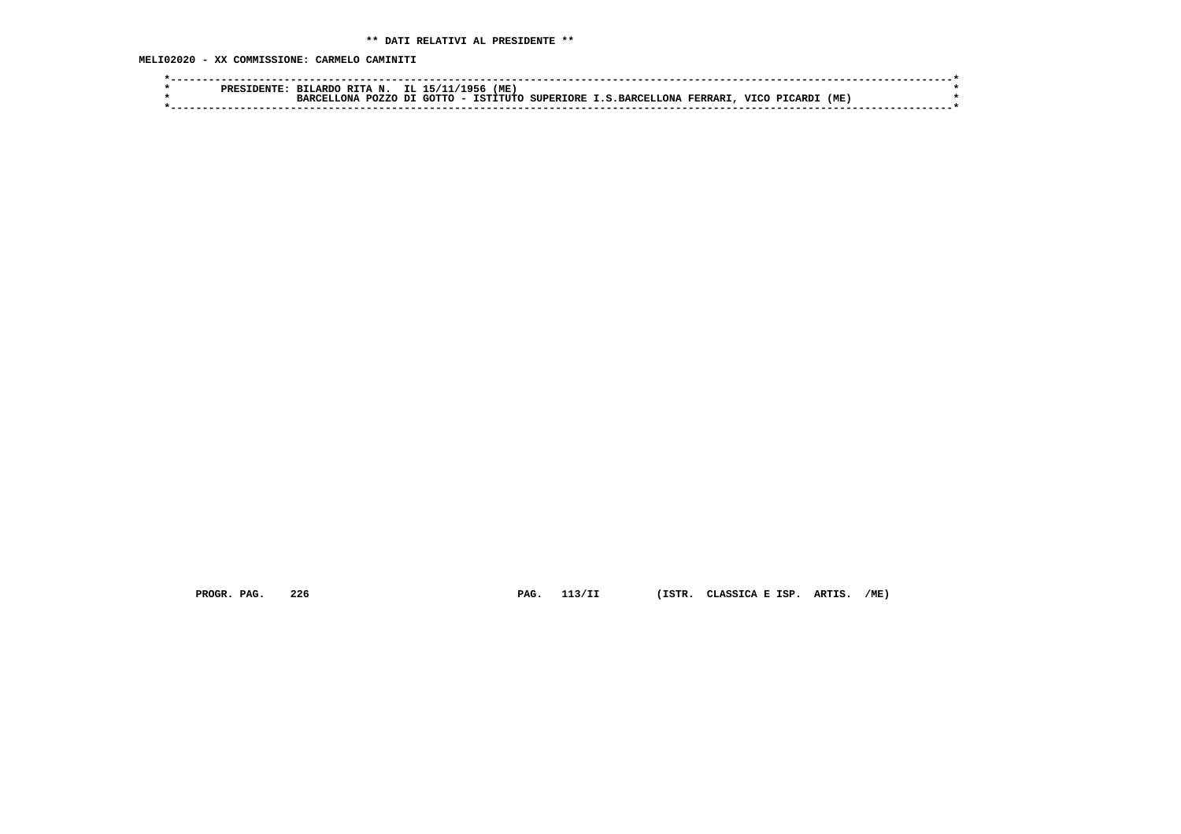**MELI02020 - XX COMMISSIONE: CARMELO CAMINITI**

| סקסם | RTTAN.<br><b>BTLARD</b>        | TT. | $-951$                             | 'ME      |           |                  |         |             |             |     |  |
|------|--------------------------------|-----|------------------------------------|----------|-----------|------------------|---------|-------------|-------------|-----|--|
|      | <b>POZZO</b><br>הזה מ<br>יסמפת | דת  | ∩ידיר∩<br>$\overline{\phantom{a}}$ | TSTTTUTC | SUPERTORE | : I.S.BARCELLONA | FERRARI | <b>VTCC</b> | "ARD.<br>ים | (ME |  |
|      |                                |     |                                    |          |           |                  |         |             |             |     |  |

 **PROGR. PAG. 226 PAG. 113/II (ISTR. CLASSICA E ISP. ARTIS. /ME)**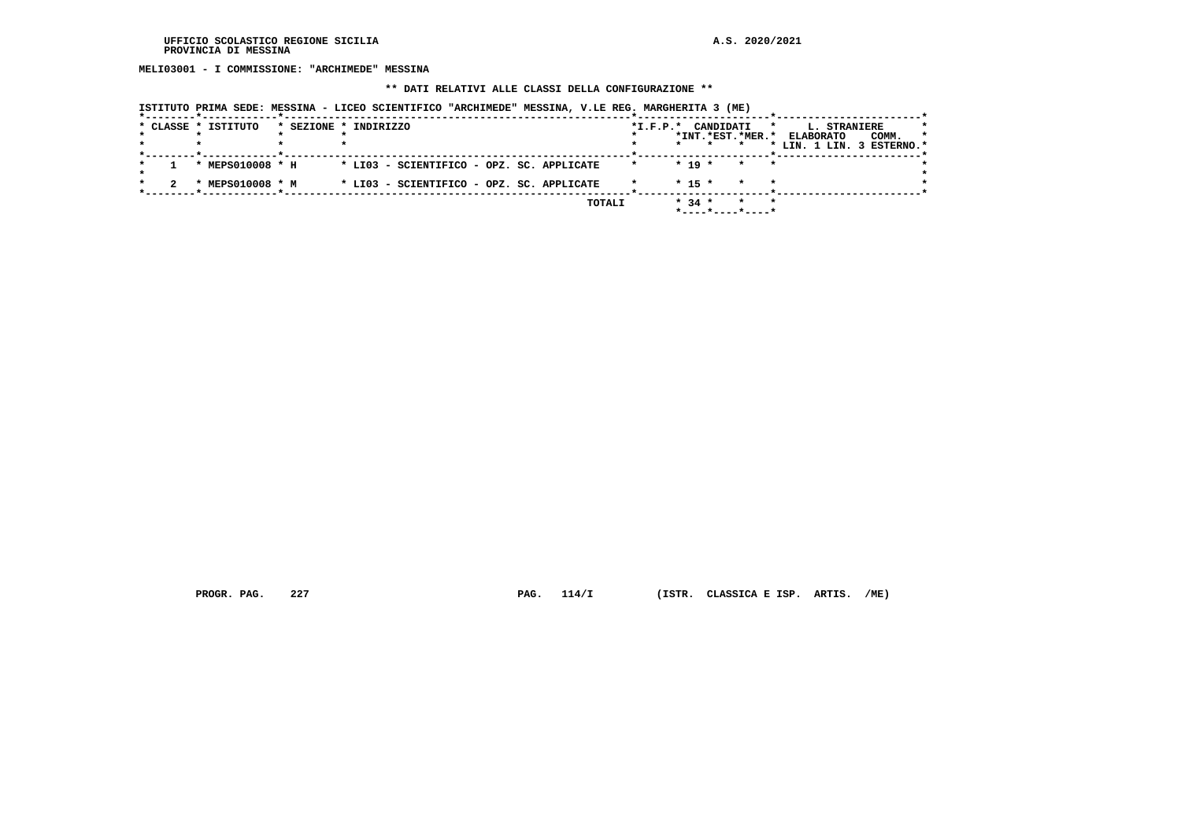**MELI03001 - I COMMISSIONE: "ARCHIMEDE" MESSINA**

### **\*\* DATI RELATIVI ALLE CLASSI DELLA CONFIGURAZIONE \*\***

| * CLASSE * ISTITUTO | * SEZIONE * INDIRIZZO                     |        | *I.F.P.* CANDIDATI<br>*INT.*EST.*MER.* |                    | <b>L. STRANIERE</b><br>*<br>COMM.<br><b>ELABORATO</b> | $\star$ |
|---------------------|-------------------------------------------|--------|----------------------------------------|--------------------|-------------------------------------------------------|---------|
|                     |                                           |        |                                        |                    | * LIN. 1 LIN. 3 ESTERNO.*                             |         |
| * MEPS010008 * H    | * LI03 - SCIENTIFICO - OPZ. SC. APPLICATE |        | $* 19 *$                               | $\star$<br>$\star$ |                                                       |         |
| * MEPS010008 * M    | * LI03 - SCIENTIFICO - OPZ. SC. APPLICATE |        | $* 15 *$                               | $\star$<br>$\star$ |                                                       |         |
|                     |                                           | TOTALI | $* 34 *$<br>$*$ ----*----*----*        |                    |                                                       |         |

 **ISTITUTO PRIMA SEDE: MESSINA - LICEO SCIENTIFICO "ARCHIMEDE" MESSINA, V.LE REG. MARGHERITA 3 (ME)**

 **PROGR. PAG. 227 PAG. 114/I (ISTR. CLASSICA E ISP. ARTIS. /ME)**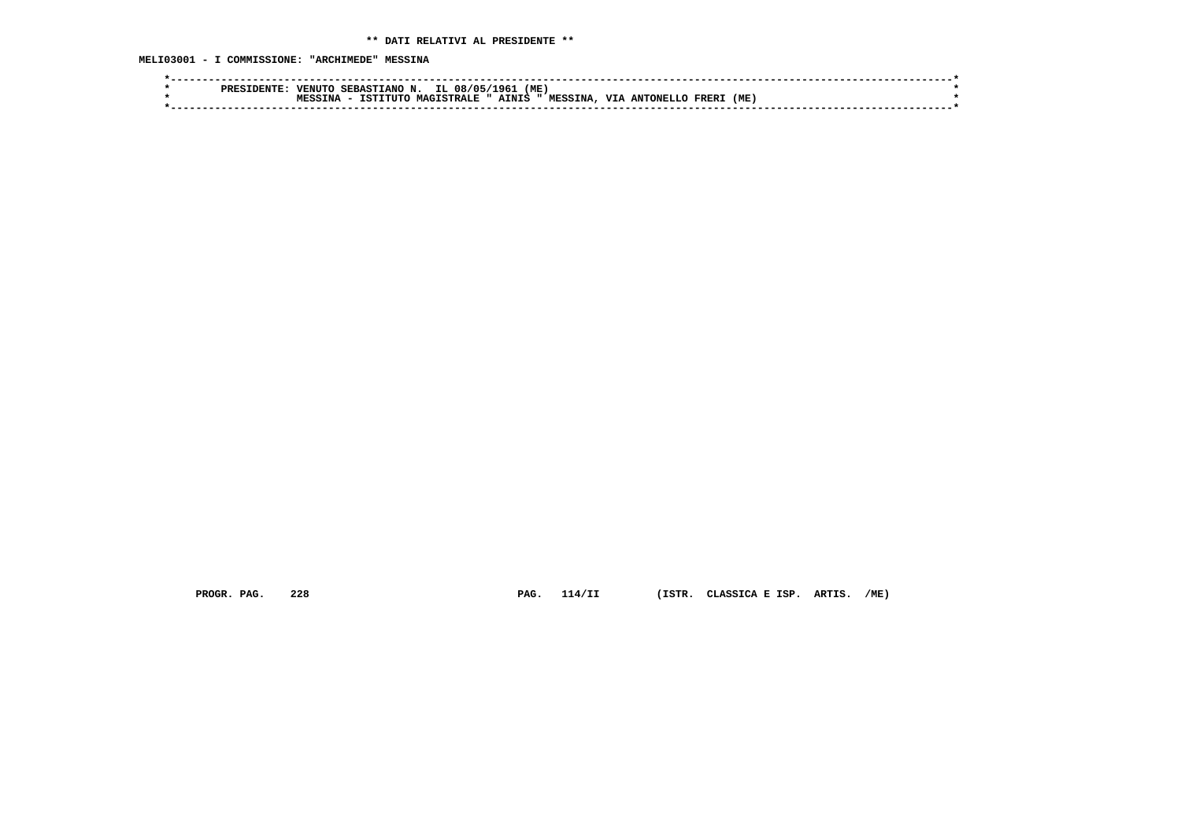**MELI03001 - I COMMISSIONE: "ARCHIMEDE" MESSINA**

|  | PRES | <b>VENUT</b>   | SERAST.<br>IANO N | IL.               | 08/05. | (ME)<br>1961 |                |            |           |       |     |  |  |
|--|------|----------------|-------------------|-------------------|--------|--------------|----------------|------------|-----------|-------|-----|--|--|
|  |      | <b>WFCCTNA</b> | TITTC<br>TST:     | <b>MAGISTRALL</b> |        | AINIS        | <b>MESSINA</b> | <b>VTA</b> | ANTONELLO | FRER. | (ME |  |  |
|  |      |                |                   |                   |        |              |                |            |           |       |     |  |  |
|  |      |                |                   |                   |        |              |                |            |           |       |     |  |  |

 **PROGR. PAG. 228 PAG. 114/II (ISTR. CLASSICA E ISP. ARTIS. /ME)**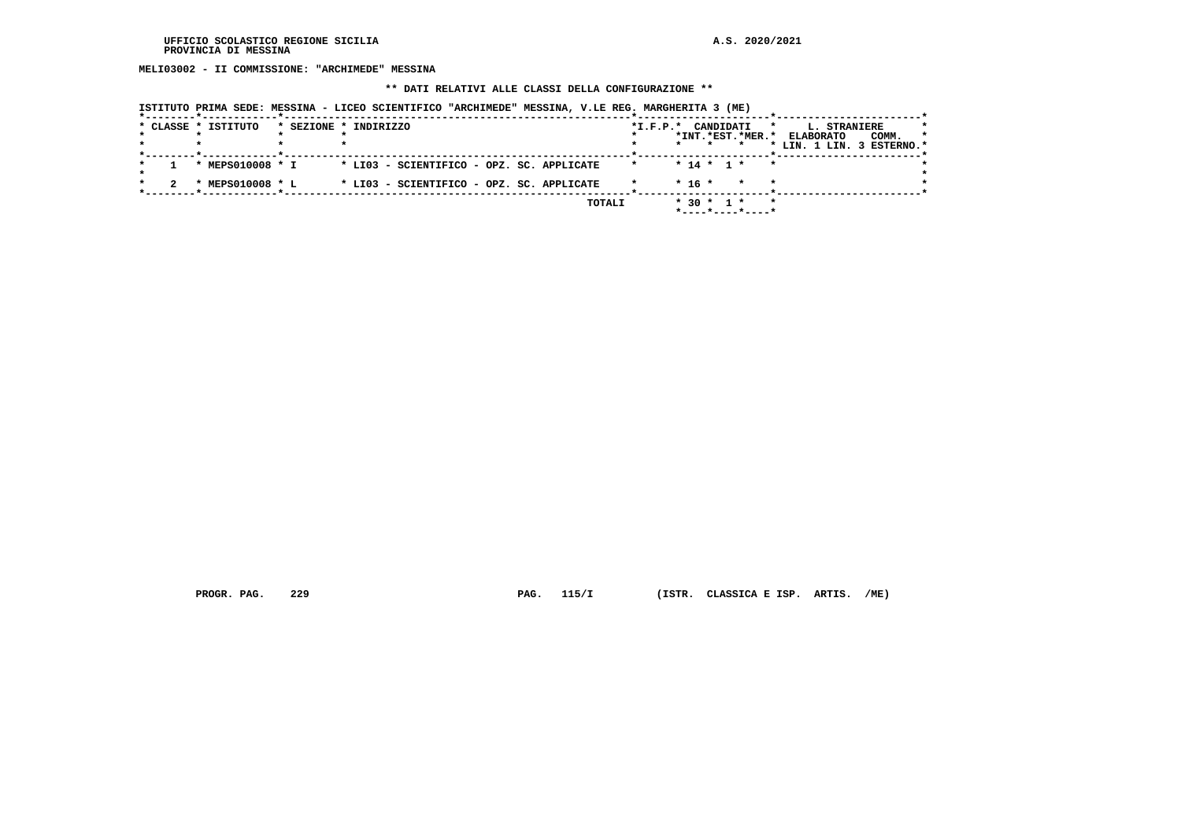**MELI03002 - II COMMISSIONE: "ARCHIMEDE" MESSINA**

### **\*\* DATI RELATIVI ALLE CLASSI DELLA CONFIGURAZIONE \*\***

|  | * CLASSE * ISTITUTO | * SEZIONE * INDIRIZZO                     |        |         | *I.F.P.* CANDIDATI | *INT.*EST.*MER.*   | <b>L. STRANIERE</b><br>$\star$<br><b>ELABORATO</b><br>* LIN. 1 LIN. 3 ESTERNO.* | $\star$<br>COMM. |
|--|---------------------|-------------------------------------------|--------|---------|--------------------|--------------------|---------------------------------------------------------------------------------|------------------|
|  | * MEPS010008 * I    | * LI03 - SCIENTIFICO - OPZ. SC. APPLICATE |        | $\star$ | * 14 * 1 *         |                    |                                                                                 |                  |
|  | * MEPS010008 * L    | * LI03 - SCIENTIFICO - OPZ. SC. APPLICATE |        |         | $* 16 *$           | $\star$<br>$\star$ |                                                                                 |                  |
|  |                     |                                           | TOTALI |         | $* 30 * 1 *$       | *----*----*----*   |                                                                                 |                  |

 **ISTITUTO PRIMA SEDE: MESSINA - LICEO SCIENTIFICO "ARCHIMEDE" MESSINA, V.LE REG. MARGHERITA 3 (ME)**

 **PROGR. PAG. 229 PAG. 115/I (ISTR. CLASSICA E ISP. ARTIS. /ME)**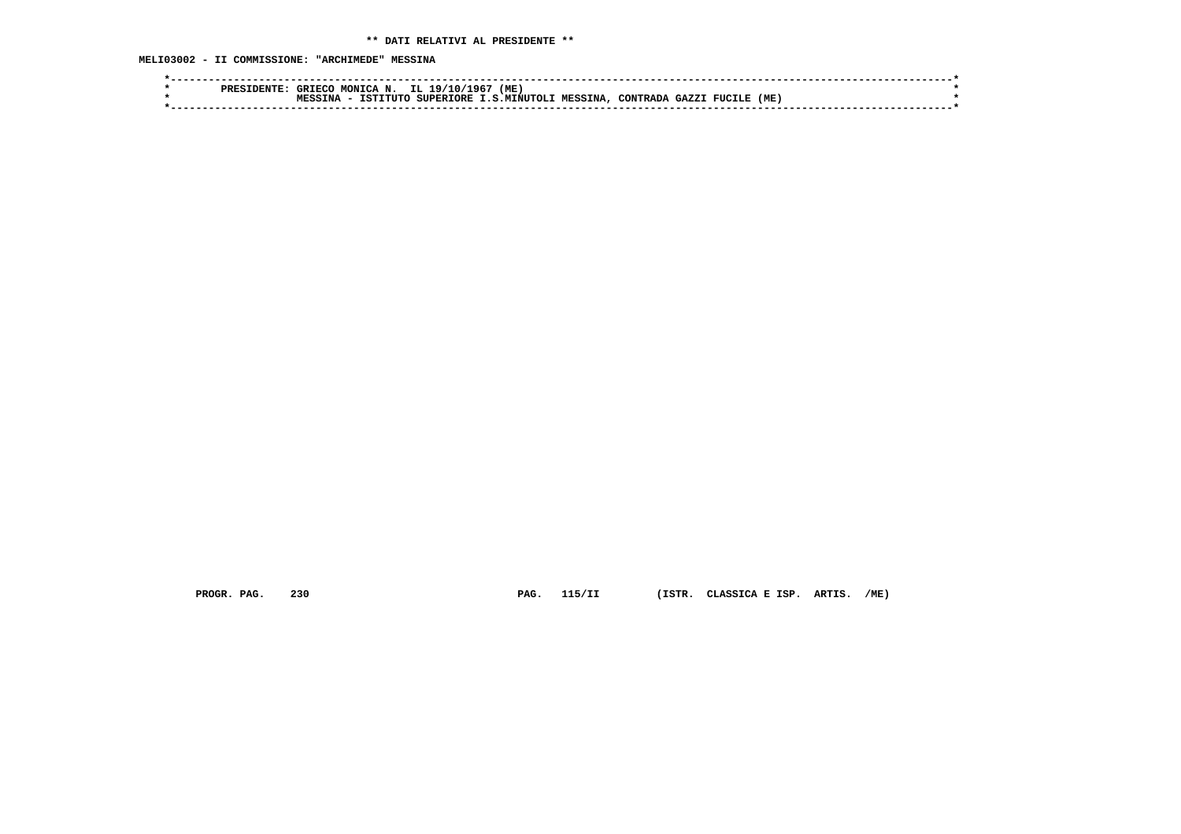|  | <b>PREF</b> | GRIEC | <b>MONTCA</b><br>N | IL<br>19/10      | (ME<br>196  |          |          |       |        |     |  |
|--|-------------|-------|--------------------|------------------|-------------|----------|----------|-------|--------|-----|--|
|  |             | MPCC  | 'חזדיד<br>TSTI     | <b>SUPERIORE</b> | .S.MINUTOLI | MESSINA. | CONTRADA | GAZZ. | FUCILE | (ME |  |
|  |             |       |                    |                  |             |          |          |       |        |     |  |

 **PROGR. PAG. 230 PAG. 115/II (ISTR. CLASSICA E ISP. ARTIS. /ME)**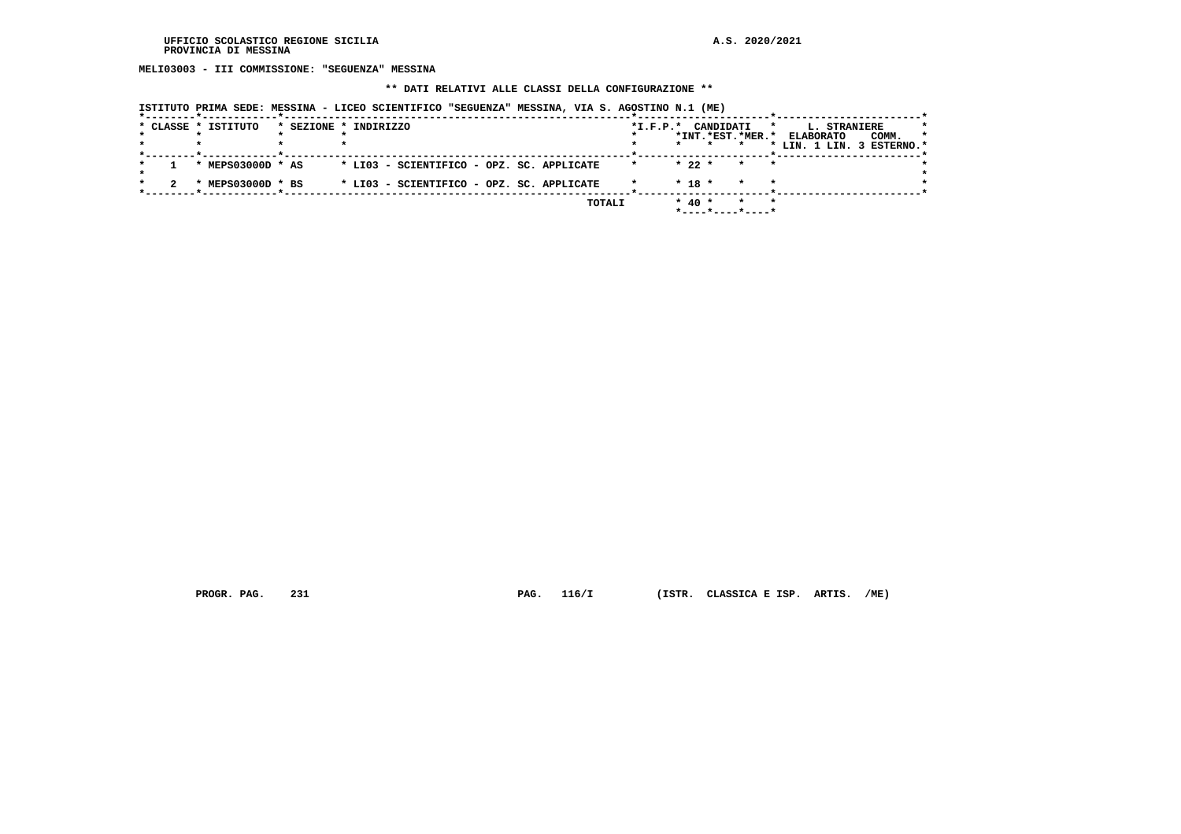**MELI03003 - III COMMISSIONE: "SEGUENZA" MESSINA**

### **\*\* DATI RELATIVI ALLE CLASSI DELLA CONFIGURAZIONE \*\***

|  | * CLASSE * ISTITUTO | * SEZIONE * INDIRIZZO |                                           |        | *I.F.P.* CANDIDATI |            |                                         | L. STRANIERE<br>$\star$                       |       |         |
|--|---------------------|-----------------------|-------------------------------------------|--------|--------------------|------------|-----------------------------------------|-----------------------------------------------|-------|---------|
|  |                     |                       |                                           |        |                    |            | *INT.*EST.*MER.*                        | <b>ELABORATO</b><br>* LIN. 1 LIN. 3 ESTERNO.* | COMM. | $\star$ |
|  | * MEPS03000D * AS   |                       | * LI03 - SCIENTIFICO - OPZ. SC. APPLICATE |        | $\star$            | $*22*$     | * * *                                   |                                               |       |         |
|  | * MEPS03000D * BS   |                       | * LI03 - SCIENTIFICO - OPZ. SC. APPLICATE |        |                    | $* 18 *$   | $\star$                                 |                                               |       |         |
|  |                     |                       |                                           | TOTALI |                    | $*$ 40 $*$ | $*$ - - - - $*$ - - - - $*$ - - - - $*$ |                                               |       |         |

 **ISTITUTO PRIMA SEDE: MESSINA - LICEO SCIENTIFICO "SEGUENZA" MESSINA, VIA S. AGOSTINO N.1 (ME)**

 **PROGR. PAG. 231 PAG. 116/I (ISTR. CLASSICA E ISP. ARTIS. /ME)**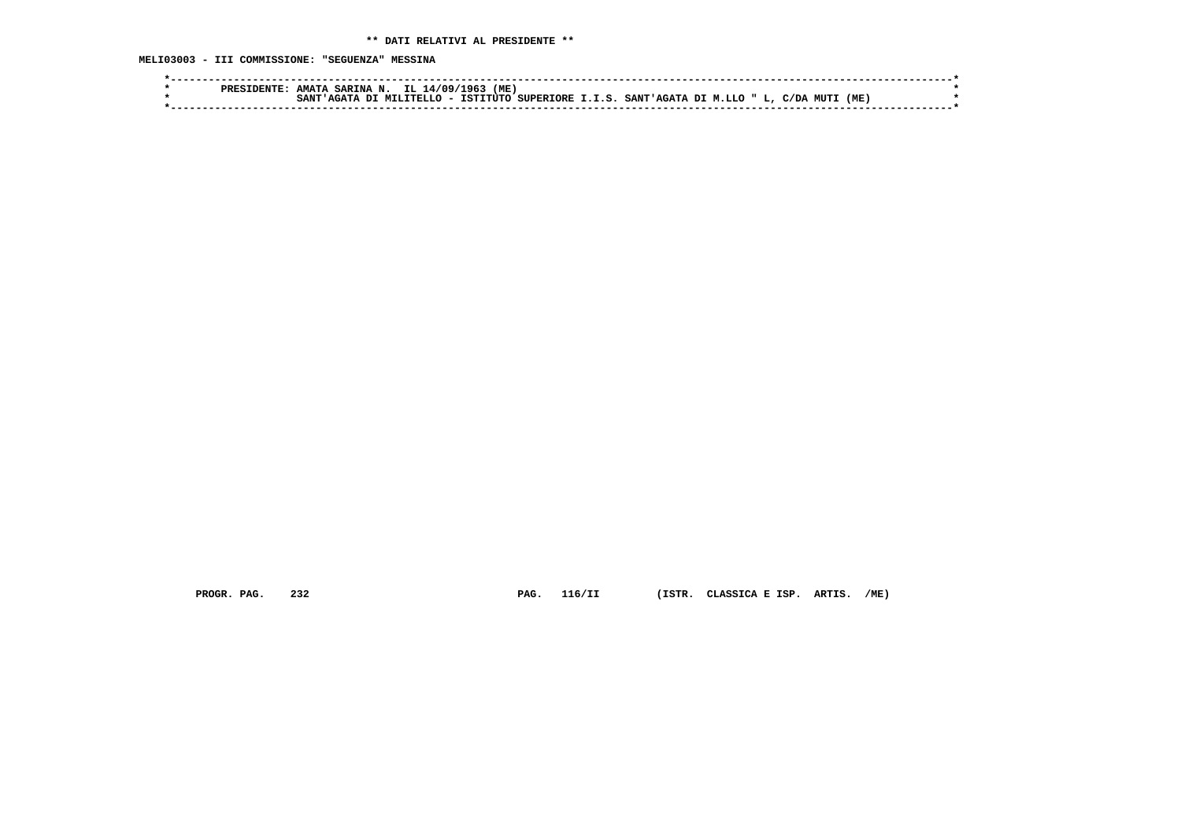**MELI03003 - III COMMISSIONE: "SEGUENZA" MESSINA**

| (ME)<br>.96<br>.709/<br><b>AMATA</b><br>TT.<br>SARINA<br>PRES 1<br>N                                                                                                       |  |
|----------------------------------------------------------------------------------------------------------------------------------------------------------------------------|--|
| (ME<br>TSTTTITC<br><b>MUTI</b><br><b>SUPERTORE</b><br>a marca<br>SANT<br>דת<br>7 " L.<br><b>SANT'</b><br>. T. S.<br>.TTTT<br>C/DA<br>.<br>т.т.с<br>AGATA<br>. T.T.O<br>--- |  |
|                                                                                                                                                                            |  |

 **PROGR. PAG. 232 PAG. 116/II (ISTR. CLASSICA E ISP. ARTIS. /ME)**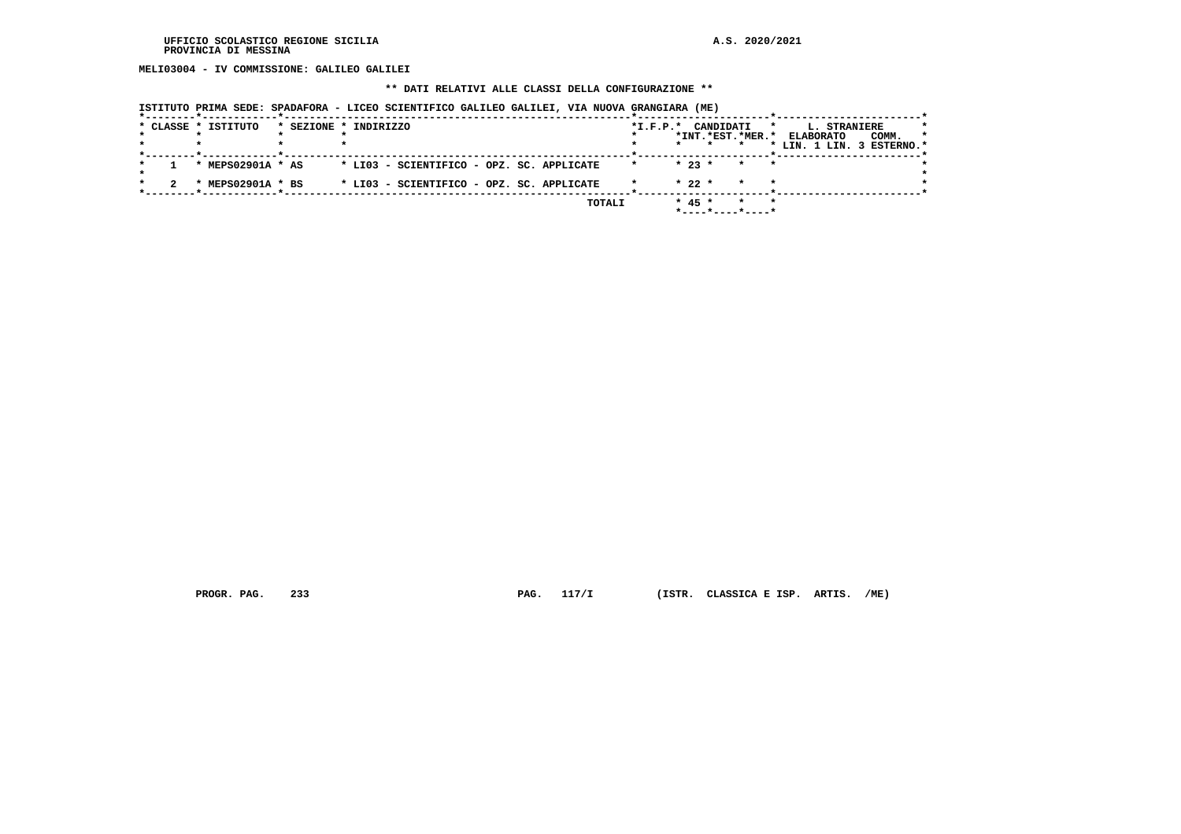**MELI03004 - IV COMMISSIONE: GALILEO GALILEI**

# **\*\* DATI RELATIVI ALLE CLASSI DELLA CONFIGURAZIONE \*\***

|                     | - * - - - - - - - - |                       | ISTITUTO PRIMA SEDE: SPADAFORA - LICEO SCIENTIFICO GALILEO GALILEI, VIA NUOVA GRANGIARA (ME) |        |                    |          |                                              |                                                                                 |       |         |
|---------------------|---------------------|-----------------------|----------------------------------------------------------------------------------------------|--------|--------------------|----------|----------------------------------------------|---------------------------------------------------------------------------------|-------|---------|
| * CLASSE * ISTITUTO |                     | * SEZIONE * INDIRIZZO |                                                                                              |        | *I.F.P.* CANDIDATI |          | *INT.*EST.*MER.*                             | <b>L. STRANIERE</b><br>$\star$<br><b>ELABORATO</b><br>* LIN. 1 LIN. 3 ESTERNO.* | COMM. | $\star$ |
| * MEPS02901A * AS   |                     |                       | * LI03 - SCIENTIFICO - OPZ. SC. APPLICATE                                                    |        | $\star$            | $* 23 *$ | $\star$                                      |                                                                                 |       |         |
| * MEPS02901A * BS   |                     |                       | * LI03 - SCIENTIFICO - OPZ. SC. APPLICATE                                                    |        |                    | $* 22 *$ | $\star$                                      |                                                                                 |       |         |
|                     |                     |                       |                                                                                              | TOTALI |                    | $* 45 *$ | *<br>$*$ - - - - $*$ - - - - $*$ - - - - $*$ |                                                                                 |       |         |

 **PROGR. PAG. 233 PAG. 117/I (ISTR. CLASSICA E ISP. ARTIS. /ME)**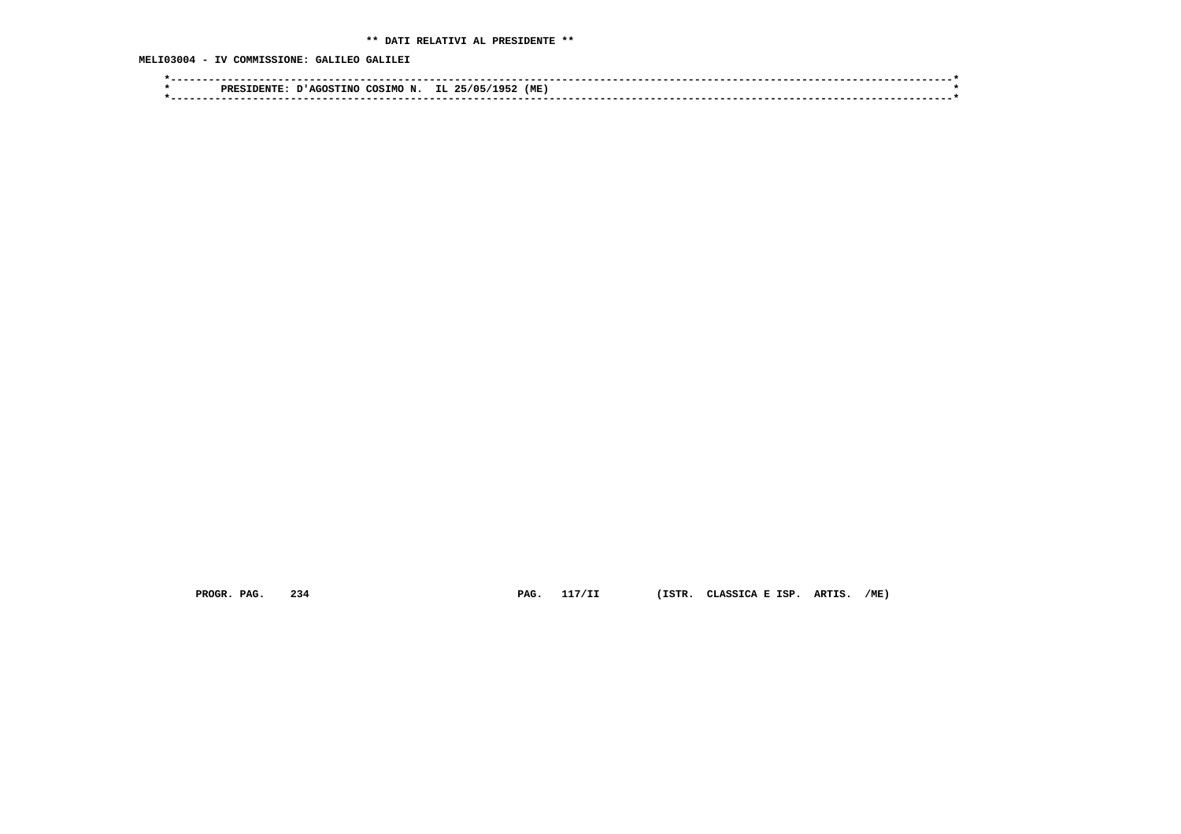# **\*\* DATI RELATIVI AL PRESIDENTE \*\***

# **MELI03004 - IV COMMISSIONE: GALILEO GALILEI**

|  | ∼ิ∩ร<br>הססס<br>' AGOS<br>ING. | (ME<br>- 11 L |  |
|--|--------------------------------|---------------|--|
|  |                                |               |  |

 **PROGR. PAG. 234 PAG. 117/II (ISTR. CLASSICA E ISP. ARTIS. /ME)**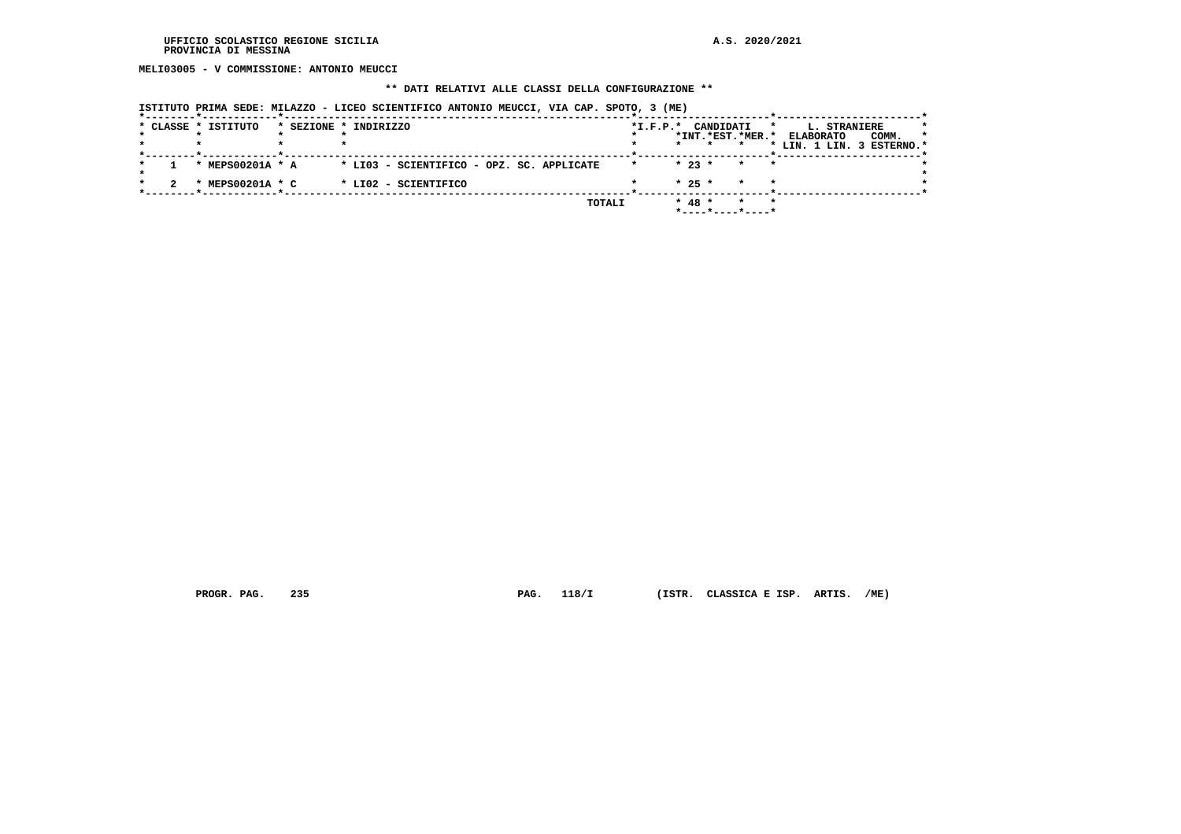**MELI03005 - V COMMISSIONE: ANTONIO MEUCCI**

# **\*\* DATI RELATIVI ALLE CLASSI DELLA CONFIGURAZIONE \*\***

| ISTITUTO PRIMA SEDE: MILAZZO - LICEO SCIENTIFICO ANTONIO MEUCCI, VIA CAP. SPOTO, 3 (ME) |  |  |  |  |
|-----------------------------------------------------------------------------------------|--|--|--|--|
|-----------------------------------------------------------------------------------------|--|--|--|--|

|  | * CLASSE * ISTITUTO | * SEZIONE * INDIRIZZO                     | *I.F.P.* CANDIDATI |          | *INT.*EST.*MER.*            | L. STRANIERE<br>$\star$<br><b>ELABORATO</b><br>COMM.<br>* LIN. 1 LIN. 3 ESTERNO.* | *<br>$\star$ |
|--|---------------------|-------------------------------------------|--------------------|----------|-----------------------------|-----------------------------------------------------------------------------------|--------------|
|  | * MEPS00201A * A    | * LI03 - SCIENTIFICO - OPZ. SC. APPLICATE | $\star$            | $* 23 *$ | $\star$<br>$\star$          |                                                                                   |              |
|  | * MEPS00201A * C    | * LI02 - SCIENTIFICO                      |                    | $* 25 *$ | $\star$<br>$\star$          |                                                                                   |              |
|  |                     | TOTALI                                    |                    | $* 48 *$ | $\star$<br>*----*----*----* |                                                                                   |              |

 **PROGR. PAG. 235 PAG. 118/I (ISTR. CLASSICA E ISP. ARTIS. /ME)**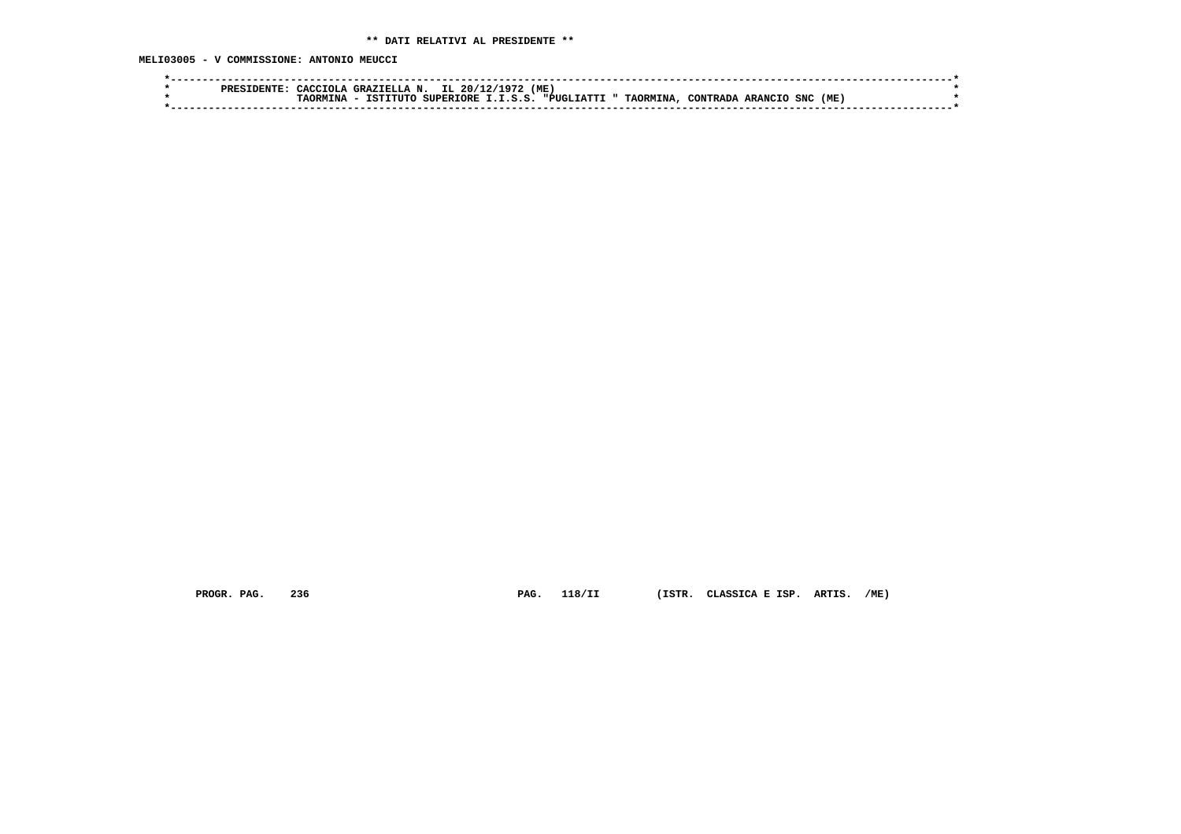**MELI03005 - V COMMISSIONE: ANTONIO MEUCCI**

| PRES | ™TOT…<br>$\Lambda$ CC | N.<br>GRAZIELLA<br>ᅭ                  | 'ME<br>20/1                    |                              |                            |     |
|------|-----------------------|---------------------------------------|--------------------------------|------------------------------|----------------------------|-----|
|      | אסר                   | <b>GIIDFRTOPF</b><br>エロエン<br>ר ידזידי | " PHCT.<br>d e<br><b>TATTI</b> | TAORMINA.<br><b>AONTRADA</b> | <b>SNC</b><br><b>ARANC</b> | (ME |
|      |                       |                                       |                                |                              |                            |     |
|      |                       |                                       |                                |                              |                            |     |

 **PROGR. PAG. 236 PAG. 118/II (ISTR. CLASSICA E ISP. ARTIS. /ME)**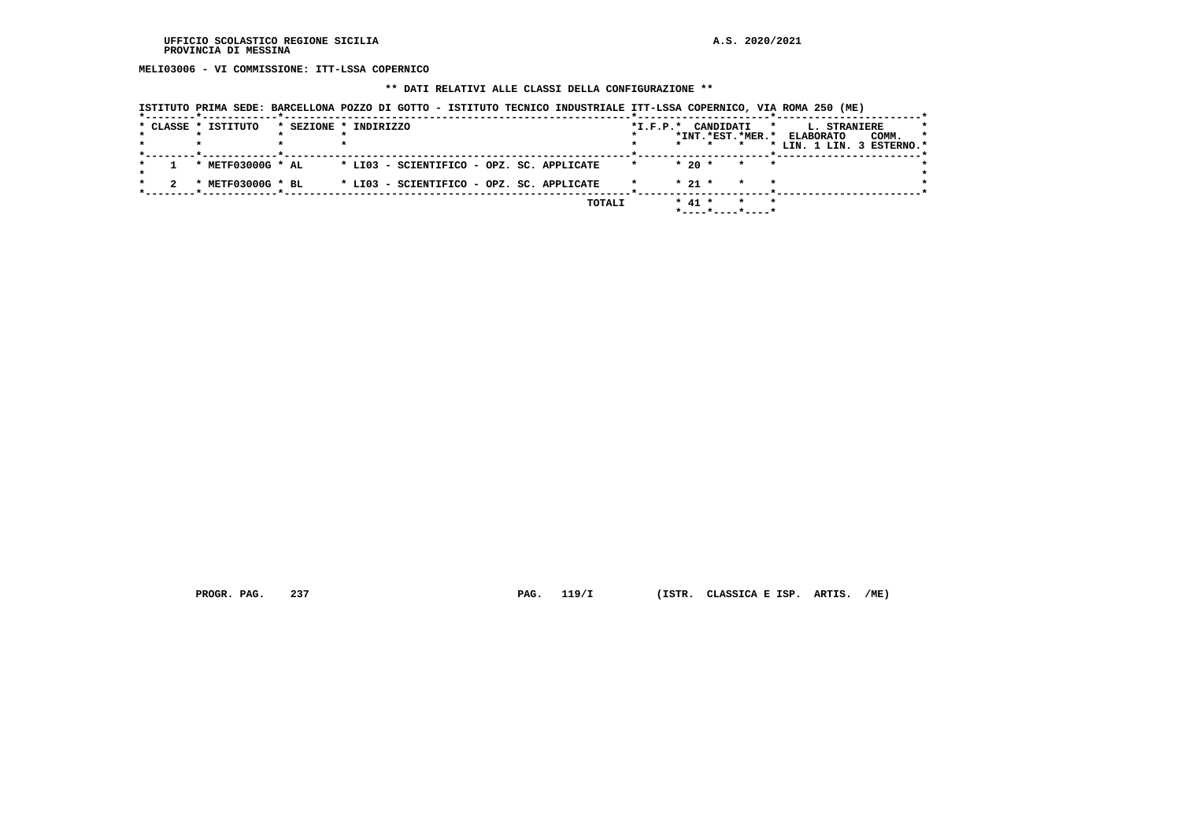**MELI03006 - VI COMMISSIONE: ITT-LSSA COPERNICO**

### **\*\* DATI RELATIVI ALLE CLASSI DELLA CONFIGURAZIONE \*\***

|  |                     | ISIIIQIQ FRIMA SEDE, BARCEDOQNA FQAQ DI GOIIQ - ISIIIQIQ IECNICO INDOSIRIADE III-DSSA COFERNICO, VIA ROMA AJV |                                                     |                                     |                                                  |         |
|--|---------------------|---------------------------------------------------------------------------------------------------------------|-----------------------------------------------------|-------------------------------------|--------------------------------------------------|---------|
|  | * CLASSE * ISTITUTO | * SEZIONE * INDIRIZZO                                                                                         | *I.F.P.* CANDIDATI<br>*INT.*EST.*MER.*              | $\star$                             | <b>L. STRANIERE</b><br><b>ELABORATO</b><br>COMM. | $\star$ |
|  |                     |                                                                                                               |                                                     |                                     | * LIN. 1 LIN. 3 ESTERNO.*                        |         |
|  | * $METF03000G$ * AL | * LI03 - SCIENTIFICO - OPZ. SC. APPLICATE                                                                     | $*20$ *                                             | $\star$<br>$\overline{\phantom{a}}$ |                                                  |         |
|  | METF03000G * BL     | * LI03 - SCIENTIFICO - OPZ. SC. APPLICATE                                                                     | $* 21 *$                                            | $\star$<br>$\star$                  |                                                  |         |
|  |                     | TOTALI                                                                                                        | $* 41 *$<br>$*$ - - - - $*$ - - - - $*$ - - - - $*$ |                                     |                                                  |         |

 **ISTITUTO PRIMA SEDE: BARCELLONA POZZO DI GOTTO - ISTITUTO TECNICO INDUSTRIALE ITT-LSSA COPERNICO, VIA ROMA 250 (ME)**

 **PROGR. PAG. 237 PAG. 119/I (ISTR. CLASSICA E ISP. ARTIS. /ME)**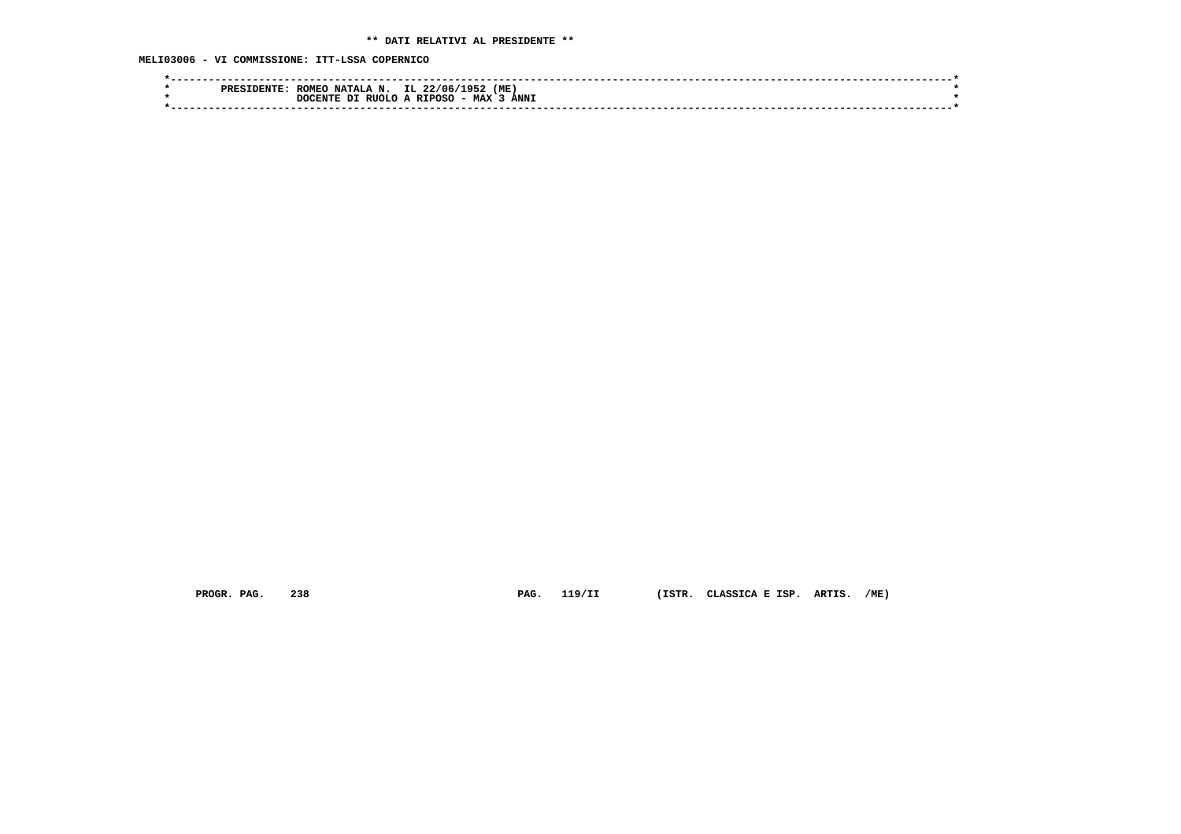**MELI03006 - VI COMMISSIONE: ITT-LSSA COPERNICO**

| IL.<br>(ME)<br>ROMEO<br>22/06/<br><b>NATALA</b><br>195.<br><b>PRF</b> |  |
|-----------------------------------------------------------------------|--|
| <b>ANNI</b><br>- MAX<br>RIIOLO A RIPOSC<br>ית<br>DOCENTE              |  |
|                                                                       |  |

 **PROGR. PAG. 238 PAG. 119/II (ISTR. CLASSICA E ISP. ARTIS. /ME)**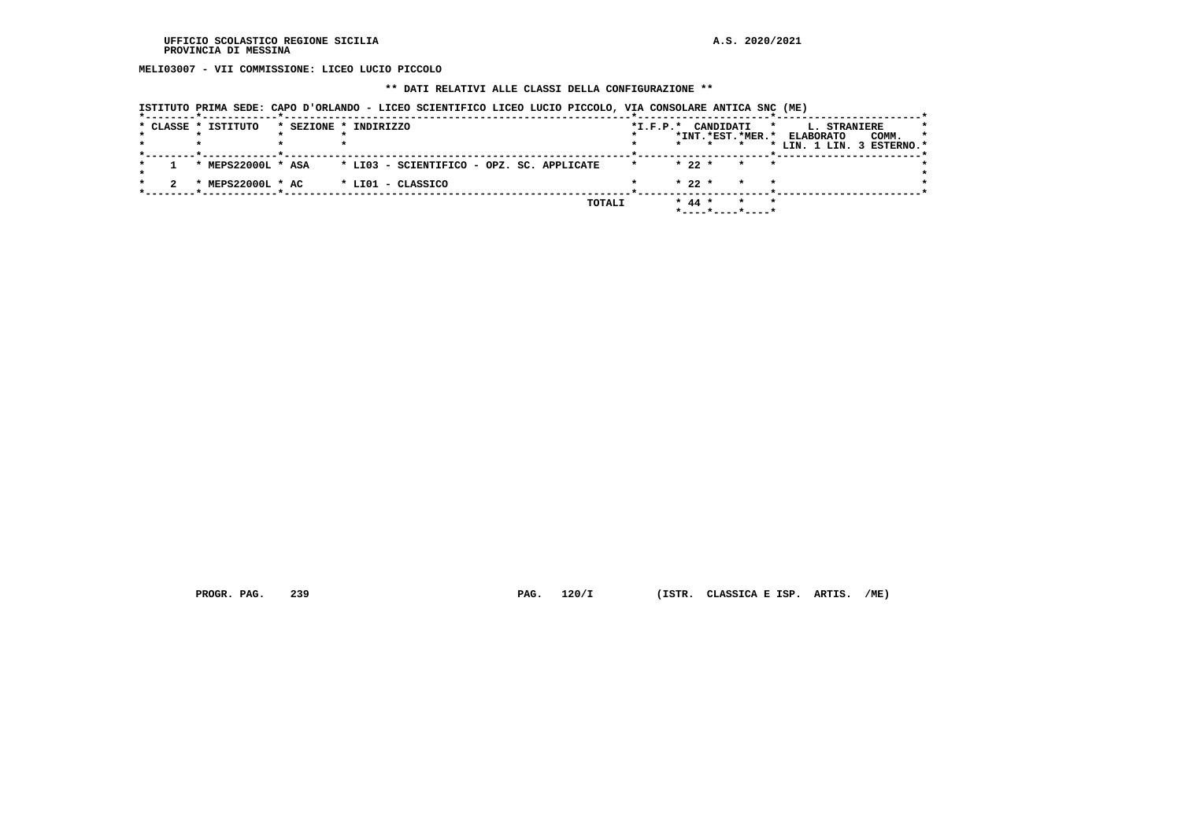**MELI03007 - VII COMMISSIONE: LICEO LUCIO PICCOLO**

### **\*\* DATI RELATIVI ALLE CLASSI DELLA CONFIGURAZIONE \*\***

| ISTITUTO PRIMA SEDE: CAPO D'ORLANDO - LICEO SCIENTIFICO LICEO LUCIO PICCOLO, VIA CONSOLARE ANTICA SNC (ME) |  |  |  |  |  |
|------------------------------------------------------------------------------------------------------------|--|--|--|--|--|
|                                                                                                            |  |  |  |  |  |

|  | * CLASSE * ISTITUTO | * SEZIONE * INDIRIZZO                     | *I.F.P.* CANDIDATI                                   | <b>L. STRANIERE</b><br>$\star$<br>$\star$ |
|--|---------------------|-------------------------------------------|------------------------------------------------------|-------------------------------------------|
|  |                     |                                           | *INT.*EST.*MER.*                                     | <b>ELABORATO</b><br>COMM.<br>$\star$      |
|  |                     |                                           |                                                      | * LIN. 1 LIN. 3 ESTERNO.*                 |
|  | * MEPS22000L * ASA  | * LI03 - SCIENTIFICO - OPZ. SC. APPLICATE | $* 22 *$<br>$\star$<br>$\star$ $\star$               |                                           |
|  | * MEPS22000L * AC   | * LIO1 - CLASSICO                         | $* 22 *$<br>$\star$<br>$\star$                       |                                           |
|  |                     | TOTALI                                    | $*$ 44 $*$<br>$\star$<br>$\star$<br>*----*----*----* |                                           |

 **PROGR. PAG. 239 PAG. 120/I (ISTR. CLASSICA E ISP. ARTIS. /ME)**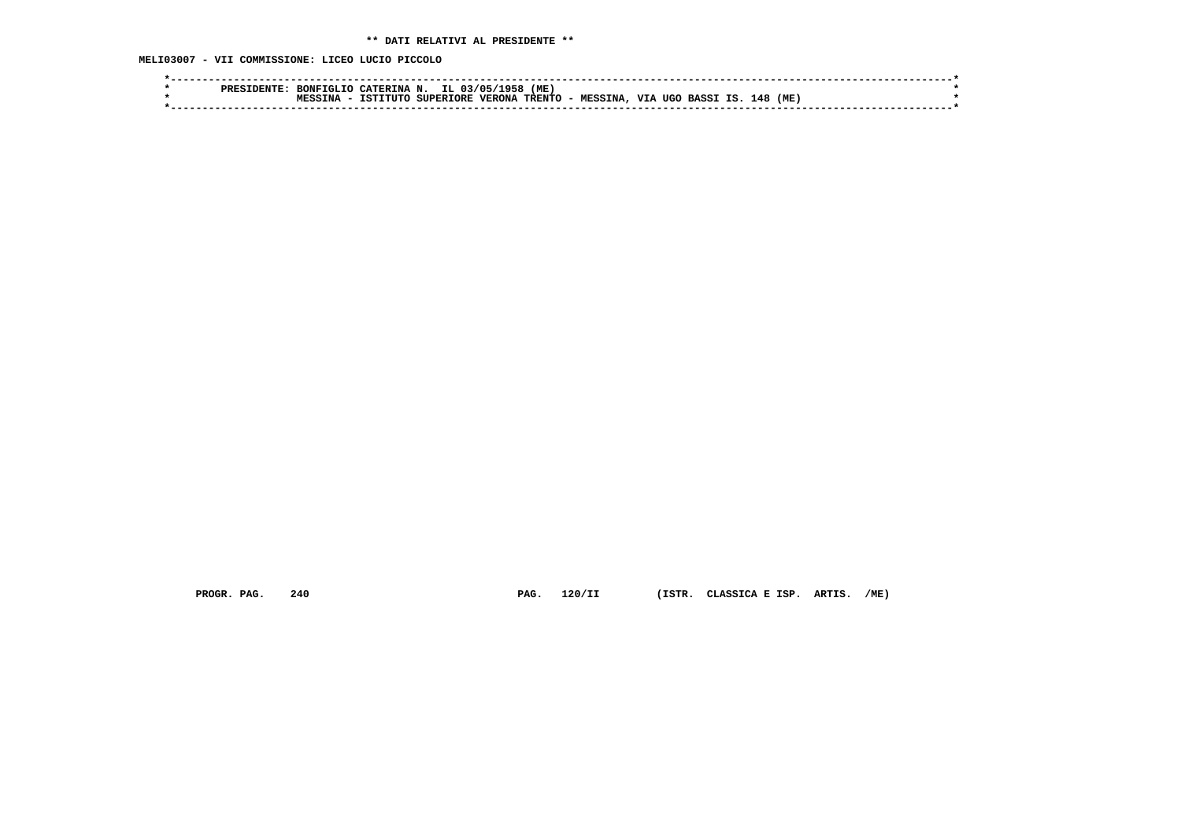**MELI03007 - VII COMMISSIONE: LICEO LUCIO PICCOLO**

| סססם | BONFTGLTO | CATERINA N. | IL.              | ۰or.<br>. 03/05/ | (ME      |                 |                   |                    |     |     |  |
|------|-----------|-------------|------------------|------------------|----------|-----------------|-------------------|--------------------|-----|-----|--|
|      | TNA       | TSTITHO     | <b>SUPERIORE</b> | <b>VERONA</b>    | TRENTO - | <b>MESSINA.</b> | <b>VTA</b><br>UGO | ΤS<br><b>BASSI</b> | 148 | (ME |  |
|      |           |             |                  |                  |          |                 |                   |                    |     |     |  |
|      |           |             |                  |                  |          |                 |                   |                    |     |     |  |

 **PROGR. PAG. 240 PAG. 120/II (ISTR. CLASSICA E ISP. ARTIS. /ME)**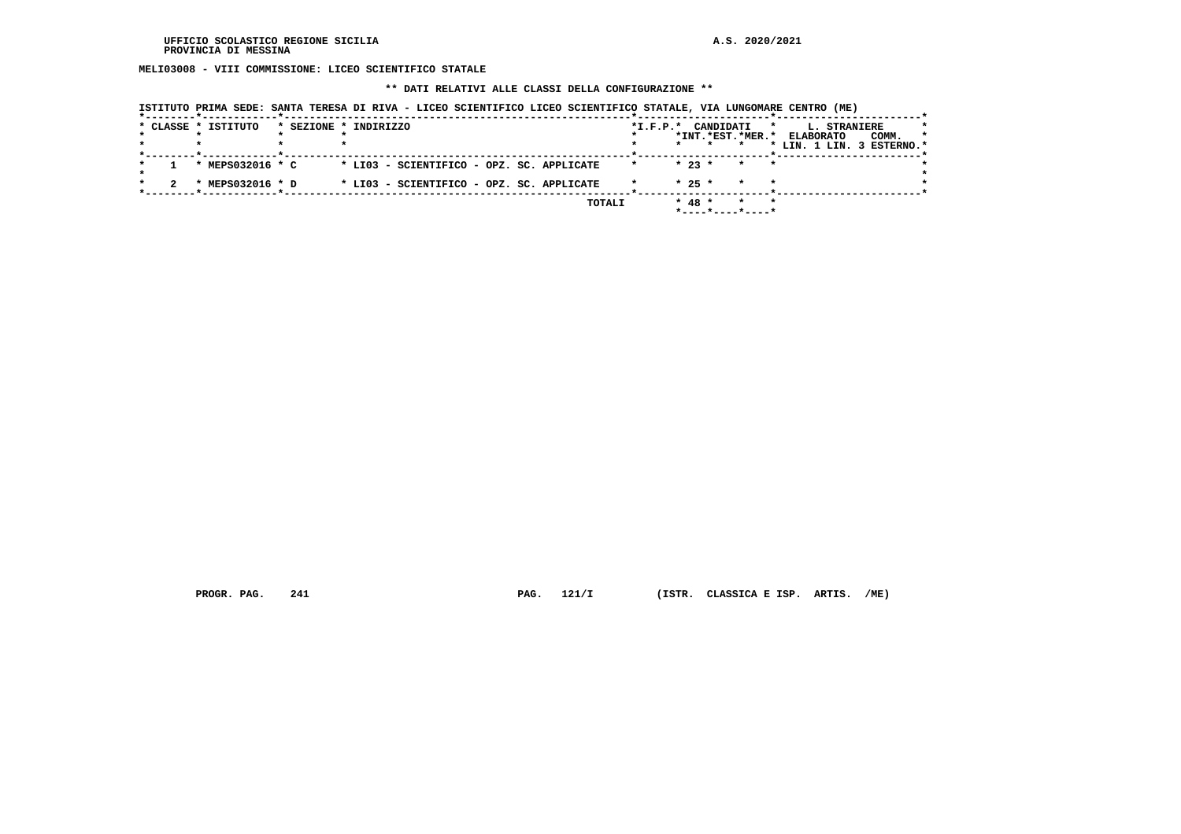**MELI03008 - VIII COMMISSIONE: LICEO SCIENTIFICO STATALE**

 **\*\* DATI RELATIVI ALLE CLASSI DELLA CONFIGURAZIONE \*\***

|  | * CLASSE * ISTITUTO | * SEZIONE * INDIRIZZO                     |        |         |          | *I.F.P.* CANDIDATI<br>*INT.*EST.*MER.*                        | <b>L. STRANIERE</b><br>$\star$<br><b>ELABORATO</b><br>COMM. | $\star$ |
|--|---------------------|-------------------------------------------|--------|---------|----------|---------------------------------------------------------------|-------------------------------------------------------------|---------|
|  |                     |                                           |        |         | $\star$  |                                                               | * LIN. 1 LIN. 3 ESTERNO.*                                   |         |
|  | * MEPS032016 * C    | * LI03 - SCIENTIFICO - OPZ. SC. APPLICATE |        | $\star$ | $* 23 *$ | $\star$<br>$\star$                                            |                                                             |         |
|  | * MEPS032016 * D    | * LI03 - SCIENTIFICO - OPZ. SC. APPLICATE |        |         | $* 25 *$ | $\star$                                                       |                                                             |         |
|  |                     |                                           | TOTALI |         | $* 48 *$ | $\star$<br>$\star$<br>$*$ - - - - $*$ - - - - $*$ - - - - $*$ |                                                             |         |

 **ISTITUTO PRIMA SEDE: SANTA TERESA DI RIVA - LICEO SCIENTIFICO LICEO SCIENTIFICO STATALE, VIA LUNGOMARE CENTRO (ME)**

 **PROGR. PAG. 241 PAG. 121/I (ISTR. CLASSICA E ISP. ARTIS. /ME)**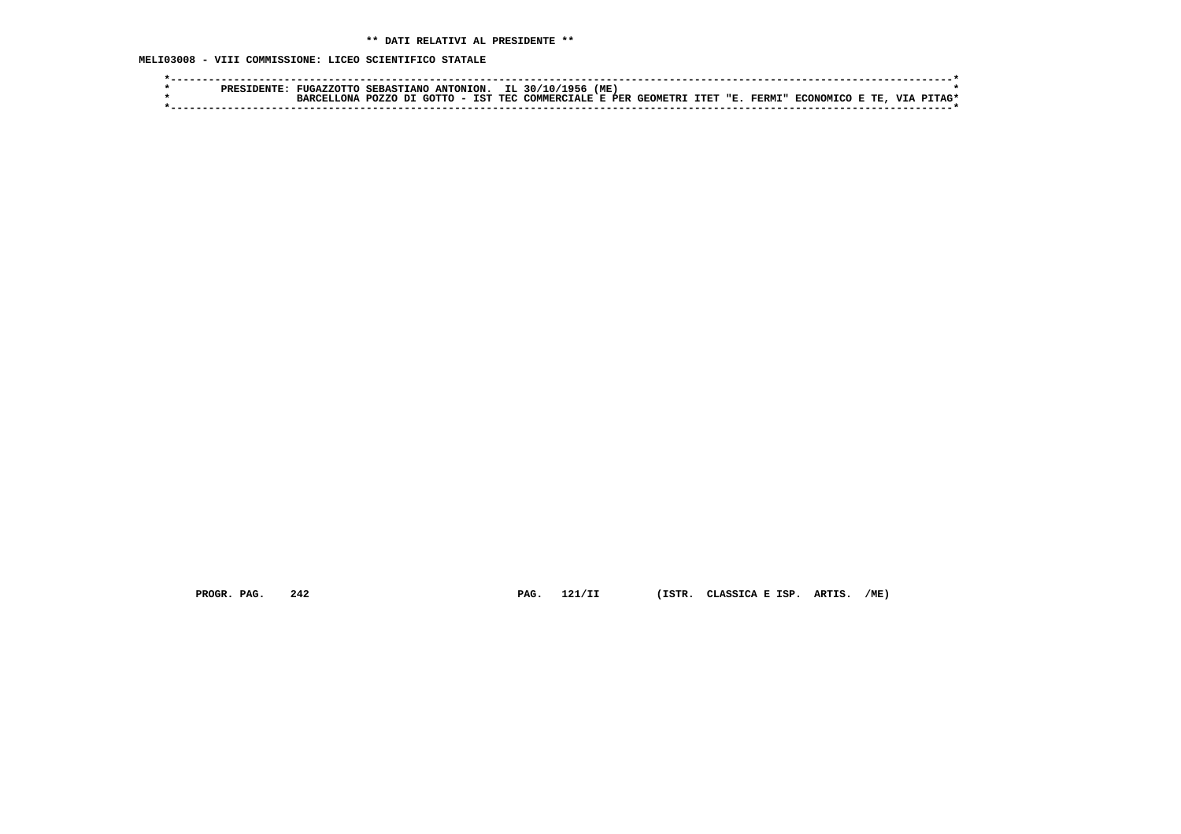**MELI03008 - VIII COMMISSIONE: LICEO SCIENTIFICO STATALE**

|  | PRESIDENTE |  |  | FUGAZZOTTO SEBASTIANO ANTONION. IL 30/10/1956 (ME)                                             |  |  |  |              |  |
|--|------------|--|--|------------------------------------------------------------------------------------------------|--|--|--|--------------|--|
|  |            |  |  | BARCELLONA POZZO DI GOTTO - IST TEC COMMERCIALE E PER GEOMETRI ITET "E. FERMI" ECONOMICO E TE, |  |  |  | . VTA PTTAG* |  |
|  |            |  |  |                                                                                                |  |  |  |              |  |

 **PROGR. PAG. 242 PAG. 121/II (ISTR. CLASSICA E ISP. ARTIS. /ME)**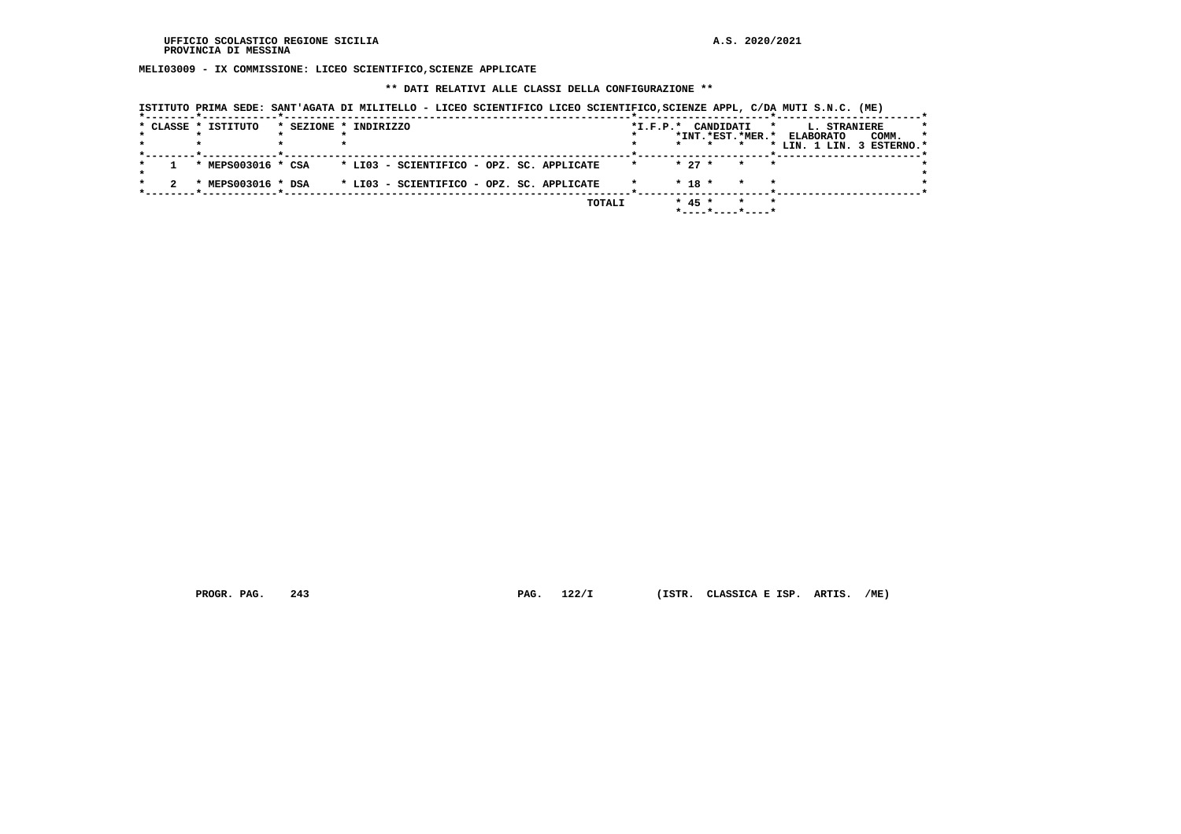**MELI03009 - IX COMMISSIONE: LICEO SCIENTIFICO,SCIENZE APPLICATE**

 **\*\* DATI RELATIVI ALLE CLASSI DELLA CONFIGURAZIONE \*\***

|  | * CLASSE * ISTITUTO | * SEZIONE * INDIRIZZO                     |         | *I.F.P.* CANDIDATI<br>*INT.*EST.*MER.*              | $\star$            | L. STRANIERE<br>COMM.<br><b>ELABORATO</b> | $\star$ |
|--|---------------------|-------------------------------------------|---------|-----------------------------------------------------|--------------------|-------------------------------------------|---------|
|  |                     |                                           |         |                                                     |                    | * LIN. 1 LIN. 3 ESTERNO.*                 |         |
|  | * MEPS003016 * CSA  | * LI03 - SCIENTIFICO - OPZ. SC. APPLICATE | $\star$ | $* 27 *$                                            | $\star$<br>$\star$ |                                           |         |
|  | * MEPS003016 * DSA  | * LI03 - SCIENTIFICO - OPZ. SC. APPLICATE |         | $* 18 *$                                            | $\star$<br>$\star$ |                                           |         |
|  |                     |                                           | TOTALI  | $* 45 *$<br>$*$ - - - - $*$ - - - - $*$ - - - - $*$ | $\star$<br>$\star$ |                                           |         |

 **ISTITUTO PRIMA SEDE: SANT'AGATA DI MILITELLO - LICEO SCIENTIFICO LICEO SCIENTIFICO,SCIENZE APPL, C/DA MUTI S.N.C. (ME)**

 **PROGR. PAG. 243 PAG. 122/I (ISTR. CLASSICA E ISP. ARTIS. /ME)**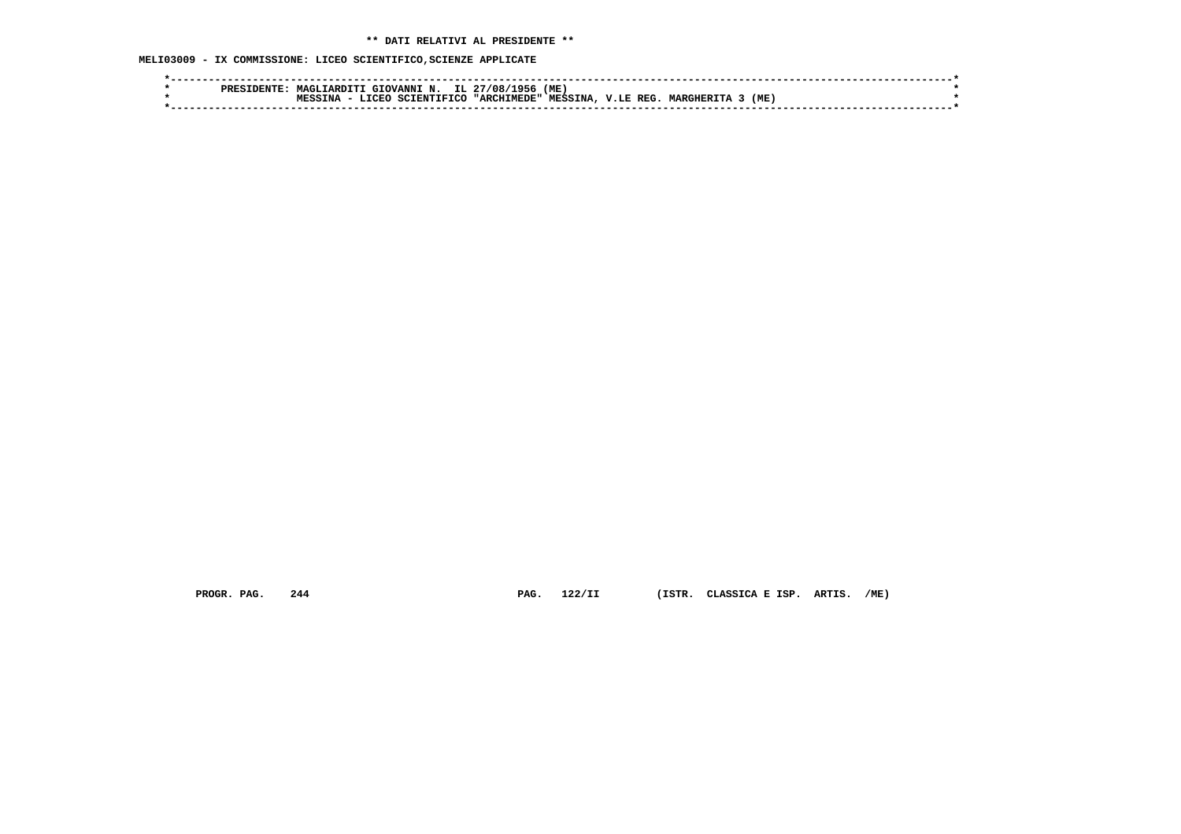**MELI03009 - IX COMMISSIONE: LICEO SCIENTIFICO,SCIENZE APPLICATE**

|  | ס סם מ | MAGITARDITI | " GIOVANNI N.                    |       | IL 27/08/<br>1956 | (ME            |             |                |     |  |  |
|--|--------|-------------|----------------------------------|-------|-------------------|----------------|-------------|----------------|-----|--|--|
|  |        | TNA         | $  \sigma$ $\sigma$ .<br>CCTENTT | TETOC | "ARCHIMEDE"       | <b>MESSINA</b> | REG<br>V.LE | <b>MARGHER</b> | (ME |  |  |
|  |        |             |                                  |       |                   |                |             |                |     |  |  |

 **PROGR. PAG. 244 PAG. 122/II (ISTR. CLASSICA E ISP. ARTIS. /ME)**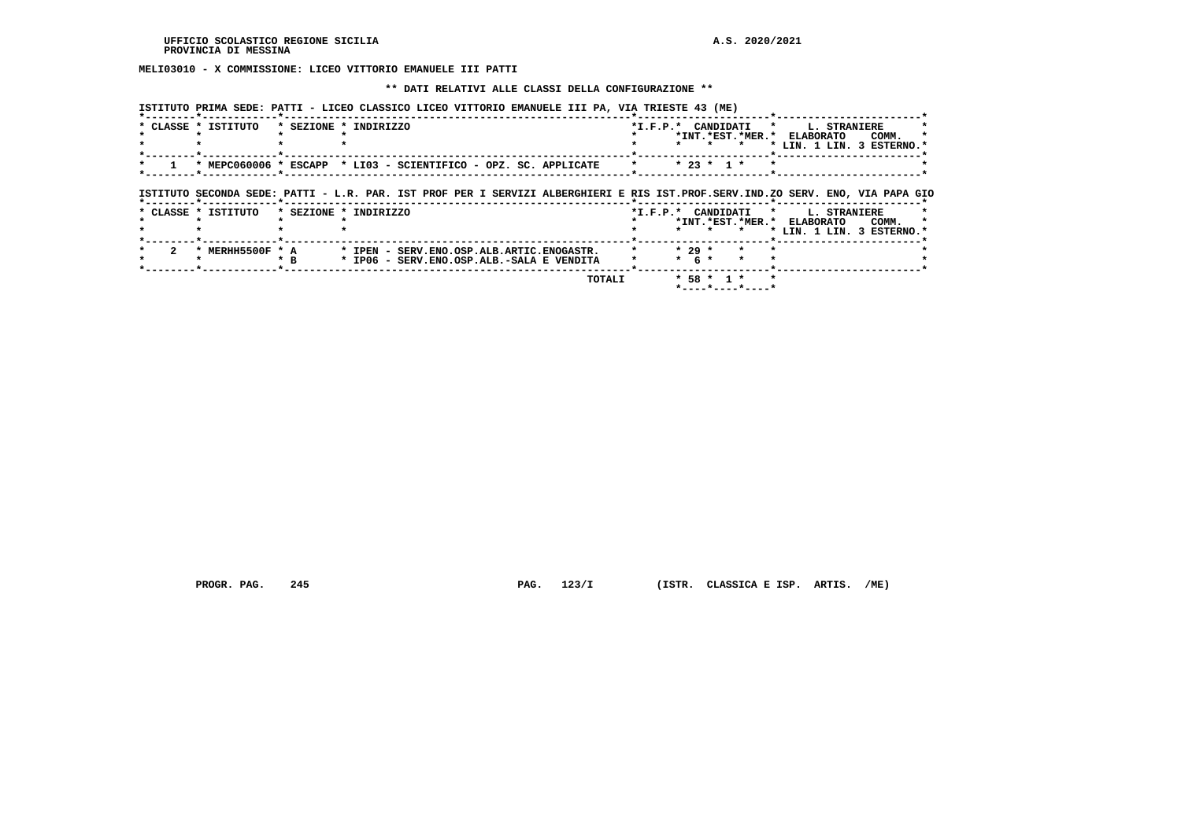**MELI03010 - X COMMISSIONE: LICEO VITTORIO EMANUELE III PATTI**

### **\*\* DATI RELATIVI ALLE CLASSI DELLA CONFIGURAZIONE \*\***

 **ISTITUTO PRIMA SEDE: PATTI - LICEO CLASSICO LICEO VITTORIO EMANUELE III PA, VIA TRIESTE 43 (ME)**

| * CLASSE * ISTITUTO | * SEZIONE * INDIRIZZO                                                                                                          | *I.F.P.* CANDIDATI * L. STRANIERE                               |                                    |
|---------------------|--------------------------------------------------------------------------------------------------------------------------------|-----------------------------------------------------------------|------------------------------------|
|                     |                                                                                                                                | *INT.*EST.*MER.* ELABORATO                                      | COMM.<br>* LIN. 1 LIN. 3 ESTERNO.* |
|                     | * MEPC060006 * ESCAPP * LI03 - SCIENTIFICO - OPZ. SC. APPLICATE                                                                | $* 23 * 1 *$<br>$\star$ . The set of $\star$<br>$\cdot$ $\cdot$ |                                    |
|                     |                                                                                                                                |                                                                 |                                    |
|                     | ISTITUTO SECONDA SEDE: PATTI - L.R. PAR. IST PROF PER I SERVIZI ALBERGHIERI E RIS IST.PROF.SERV.IND.ZO SERV. ENO, VIA PAPA GIC |                                                                 |                                    |
| * CLASSE * ISTITUTO | * SEZIONE * INDIRIZZO                                                                                                          | *I.F.P.* CANDIDATI * L. STRANIERE                               |                                    |
|                     |                                                                                                                                | *INT. *EST. *MER. * ELABORATO<br>$\star$                        | COMM.<br>* LIN. 1 LIN. 3 ESTERNO.* |
| * MERHH5500F * A    | * IPEN - SERV.ENO.OSP.ALB.ARTIC.ENOGASTR.                                                                                      | $*29$ *                                                         |                                    |
|                     | $*$ R<br>* IP06 - SERV.ENO.OSP.ALB.-SALA E VENDITA                                                                             | $*$ 6 $*$<br>$\star$                                            |                                    |
|                     | TOTALI                                                                                                                         | $*$ 58 $*$ 1 $*$                                                |                                    |
|                     |                                                                                                                                | $*$ ----*----*----*                                             |                                    |

 **PROGR. PAG. 245 PAG. 123/I (ISTR. CLASSICA E ISP. ARTIS. /ME)**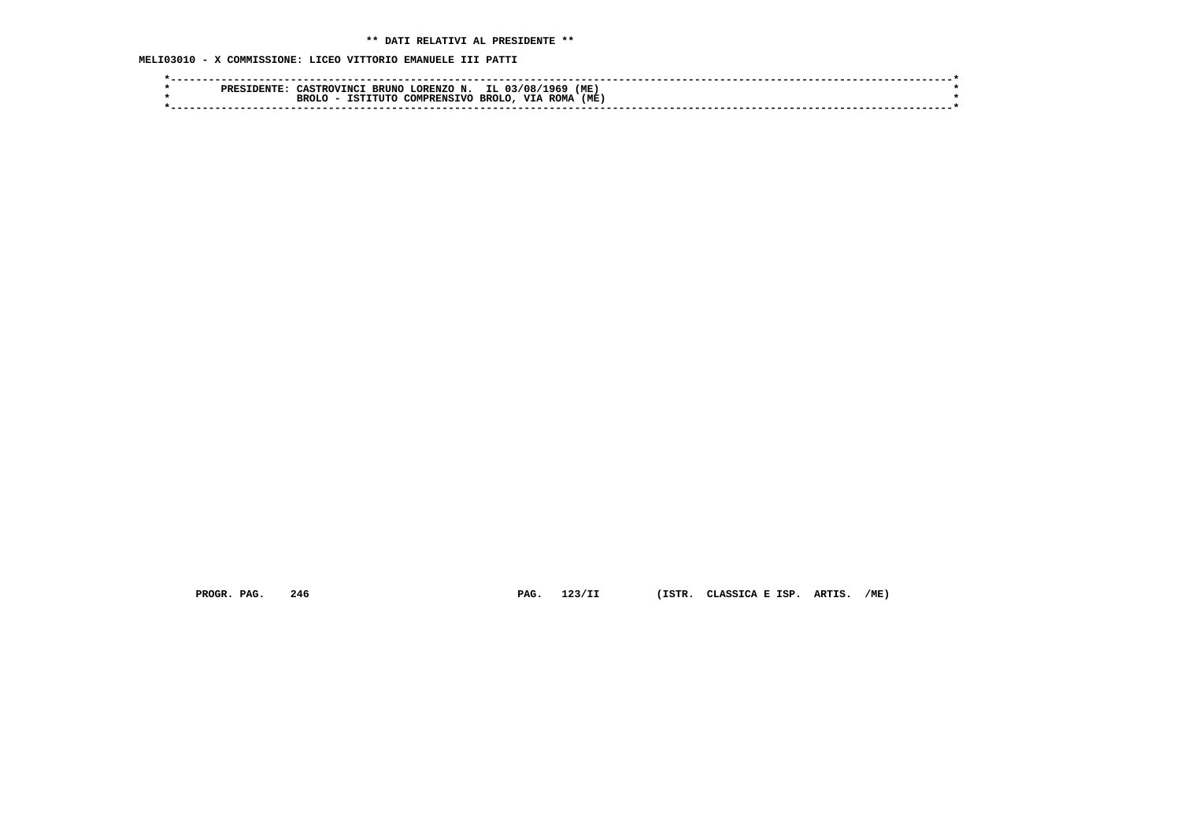# **\*\* DATI RELATIVI AL PRESIDENTE \*\***

 **MELI03010 - X COMMISSIONE: LICEO VITTORIO EMANUELE III PATTI**

| (ME<br>IL 03/08/1969<br>LORENZO N.<br><b>CASTROVINCI</b><br><b>BRUN</b><br><b>PRES</b> |  |
|----------------------------------------------------------------------------------------|--|
| (ME<br>VIA<br>BROLO.<br><b>ROMA</b><br><b>BROLO</b><br>COMPRENSIVO<br>ISTITUTO         |  |
|                                                                                        |  |

 **PROGR. PAG. 246 PAG. 123/II (ISTR. CLASSICA E ISP. ARTIS. /ME)**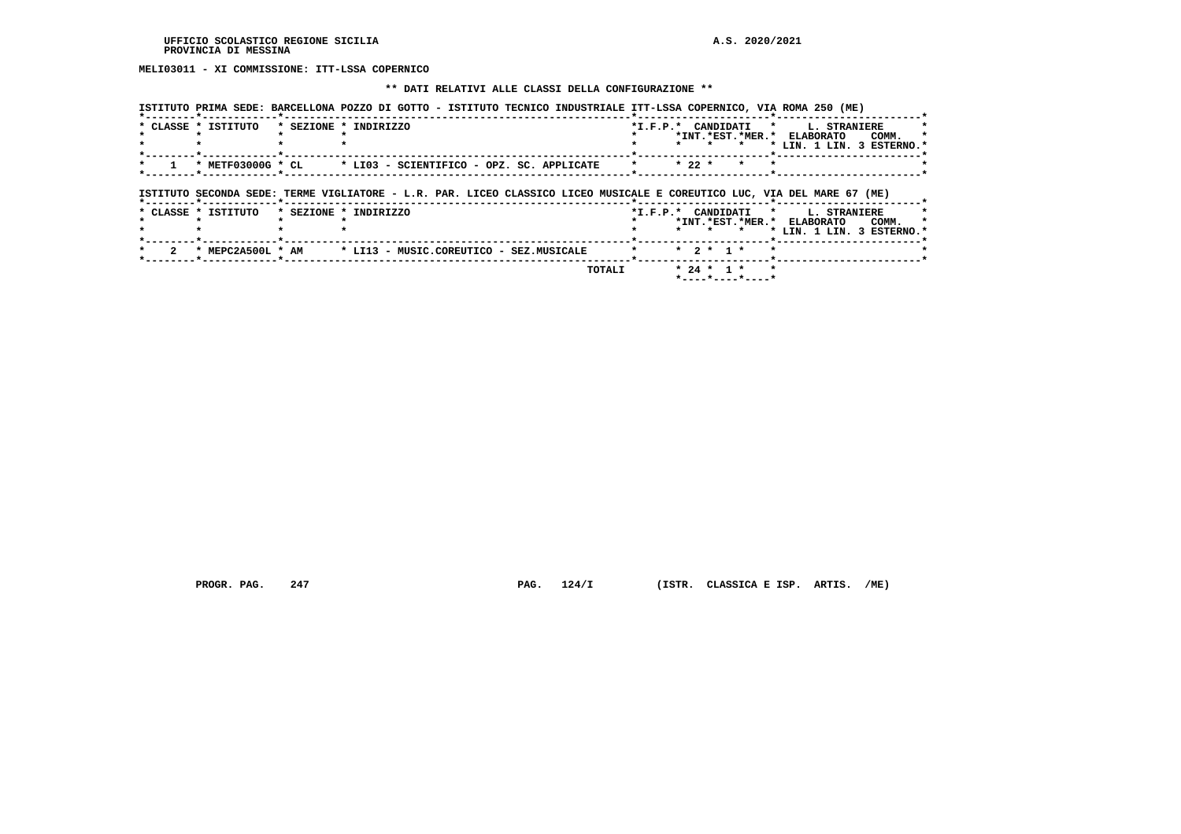# **MELI03011 - XI COMMISSIONE: ITT-LSSA COPERNICO**

### **\*\* DATI RELATIVI ALLE CLASSI DELLA CONFIGURAZIONE \*\***

|                     | ISTITUTO PRIMA SEDE: BARCELLONA POZZO DI GOTTO - ISTITUTO TECNICO INDUSTRIALE ITT-LSSA COPERNICO, VIA ROMA 250 (ME)     |                      |         |                             |                      |         |                                                                         |              |
|---------------------|-------------------------------------------------------------------------------------------------------------------------|----------------------|---------|-----------------------------|----------------------|---------|-------------------------------------------------------------------------|--------------|
| * CLASSE * ISTITUTO | * SEZIONE * INDIRIZZO                                                                                                   |                      | $\star$ |                             | *I.F.P.* CANDIDATI * |         | L. STRANIERE<br>*INT.*EST.*MER.* ELABORATO<br>* LIN. 1 LIN. 3 ESTERNO.' | COMM.        |
| * METF03000G * CL   | * LI03 - SCIENTIFICO - OPZ. SC. APPLICATE                                                                               | $\star$              |         | $* 22 *$                    | $\star$              |         |                                                                         |              |
|                     | ISTITUTO SECONDA SEDE: TERME VIGLIATORE - L.R. PAR. LICEO CLASSICO LICEO MUSICALE E COREUTICO LUC, VIA DEL MARE 67 (ME) |                      |         |                             |                      |         |                                                                         |              |
| * CLASSE * ISTITUTO | * SEZIONE * INDIRIZZO                                                                                                   | *I.F.P.* CANDIDATI * |         |                             |                      |         |                                                                         |              |
|                     |                                                                                                                         |                      |         |                             | *INT.*EST.*MER.*     |         | ELABORATO                                                               | L. STRANIERE |
|                     |                                                                                                                         |                      |         |                             |                      |         | * LIN. 1 LIN. 3 ESTERNO.*                                               | COMM.        |
| * MEPC2A500L * AM   | * LI13 - MUSIC.COREUTICO - SEZ.MUSICALE                                                                                 | $\star$              |         | $\star$ 2 $\star$ 1 $\star$ |                      | $\star$ |                                                                         |              |

 **PROGR. PAG. 247 PAG. 124/I (ISTR. CLASSICA E ISP. ARTIS. /ME)**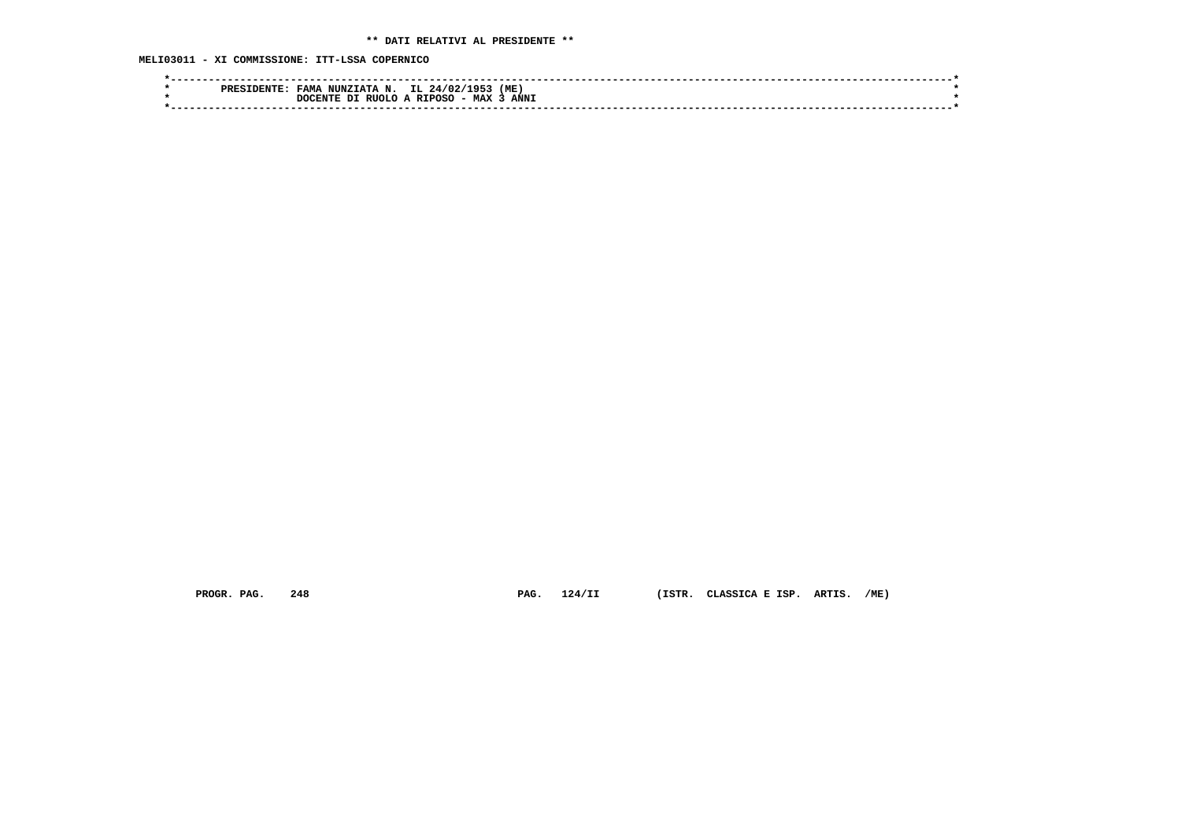**MELI03011 - XI COMMISSIONE: ITT-LSSA COPERNICO**

| IL<br>(ME<br>105.<br><b>TAMA</b><br>NUNZIATA N.<br>24/02/<br>PRFC |  |
|-------------------------------------------------------------------|--|
| <b>ANNI</b><br>- MAX<br>RIIOLO A RIPOSC<br>ית<br>חידות חירו       |  |
|                                                                   |  |

 **PROGR. PAG. 248 PAG. 124/II (ISTR. CLASSICA E ISP. ARTIS. /ME)**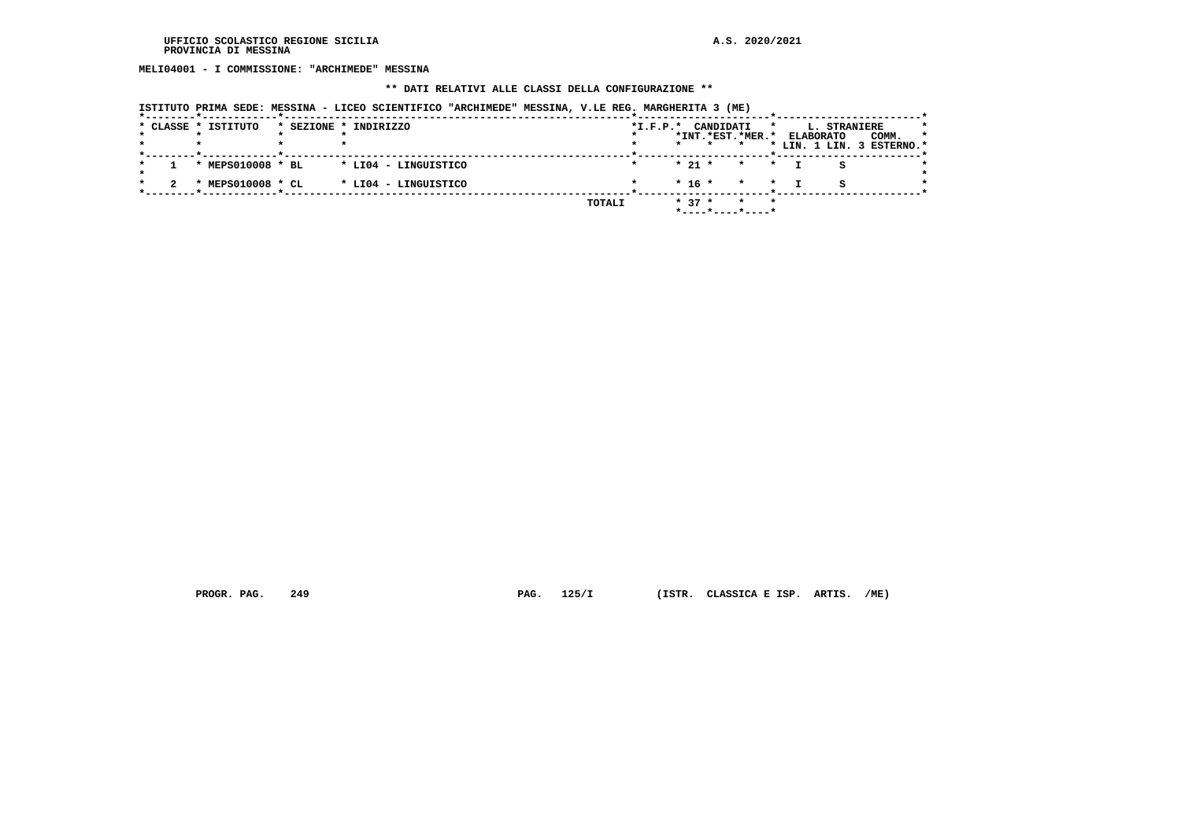**MELI04001 - I COMMISSIONE: "ARCHIMEDE" MESSINA**

# **\*\* DATI RELATIVI ALLE CLASSI DELLA CONFIGURAZIONE \*\***

| ISTITUTO PRIMA SEDE: MESSINA - LICEO SCIENTIFICO "ARCHIMEDE" MESSINA, V.LE REG. MARGHERITA 3 (ME) |  |  |  |  |  |  |  |
|---------------------------------------------------------------------------------------------------|--|--|--|--|--|--|--|
|---------------------------------------------------------------------------------------------------|--|--|--|--|--|--|--|

|  |                     |                                        |                                                                       |  |            |                                  | *         |                                                 |                  |                                           |
|--|---------------------|----------------------------------------|-----------------------------------------------------------------------|--|------------|----------------------------------|-----------|-------------------------------------------------|------------------|-------------------------------------------|
|  |                     |                                        |                                                                       |  |            |                                  |           |                                                 | COMM.            | -1                                        |
|  |                     |                                        |                                                                       |  |            |                                  |           |                                                 |                  |                                           |
|  |                     |                                        |                                                                       |  |            |                                  |           |                                                 |                  |                                           |
|  |                     |                                        |                                                                       |  |            |                                  |           |                                                 |                  |                                           |
|  |                     |                                        |                                                                       |  |            |                                  |           |                                                 |                  |                                           |
|  |                     |                                        |                                                                       |  |            |                                  |           | я                                               |                  |                                           |
|  |                     |                                        |                                                                       |  |            |                                  |           |                                                 |                  |                                           |
|  |                     |                                        | <b>TOTALI</b>                                                         |  |            | $\star$                          | $\star$   |                                                 |                  |                                           |
|  |                     |                                        |                                                                       |  |            |                                  |           |                                                 |                  |                                           |
|  | * CLASSE * ISTITUTO | * MEPS010008 * BL<br>* MEPS010008 * CL | * SEZIONE * INDIRIZZO<br>* LI04 - LINGUISTICO<br>* LI04 - LINGUISTICO |  | $*I.F.P.*$ | $* 21 *$<br>$* 16 *$<br>$* 37 *$ | CANDIDATI | *INT. *EST. *MER. *<br>* * *<br>$\star$ $\star$ | <b>ELABORATO</b> | L. STRANIERE<br>* LIN. 1 LIN. 3 ESTERNO.* |

 **PROGR. PAG. 249 PAG. 125/I (ISTR. CLASSICA E ISP. ARTIS. /ME)**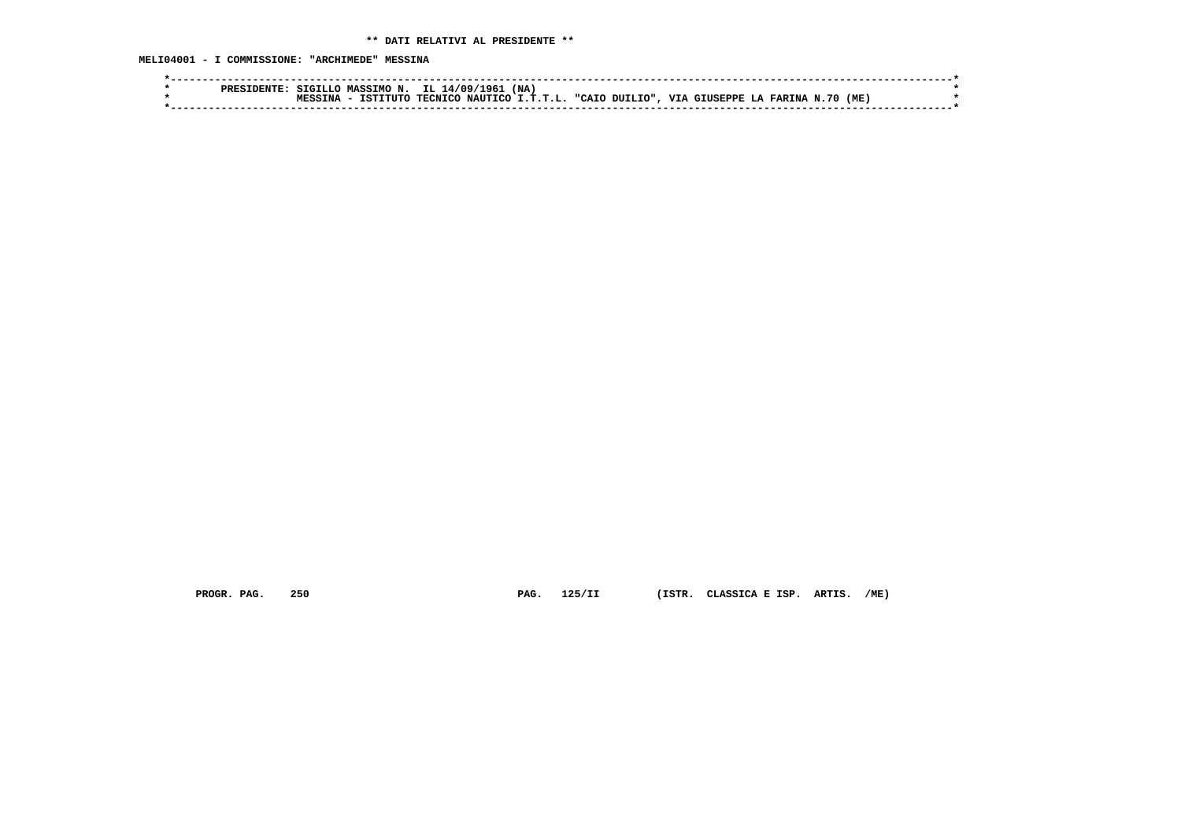**MELI04001 - I COMMISSIONE: "ARCHIMEDE" MESSINA**

|  |  | SIGILLO MASSIMO N. IL 14/09/1961 (NA)                                               |  |  |  |  |  |  |
|--|--|-------------------------------------------------------------------------------------|--|--|--|--|--|--|
|  |  | - ISTITUTO TECNICO NAUTICO I.T.T.L. "CAIO DUILIO", VIA GIUSEPPE LA FARINA N.70 (ME) |  |  |  |  |  |  |
|  |  |                                                                                     |  |  |  |  |  |  |

 **PROGR. PAG. 250 PAG. 125/II (ISTR. CLASSICA E ISP. ARTIS. /ME)**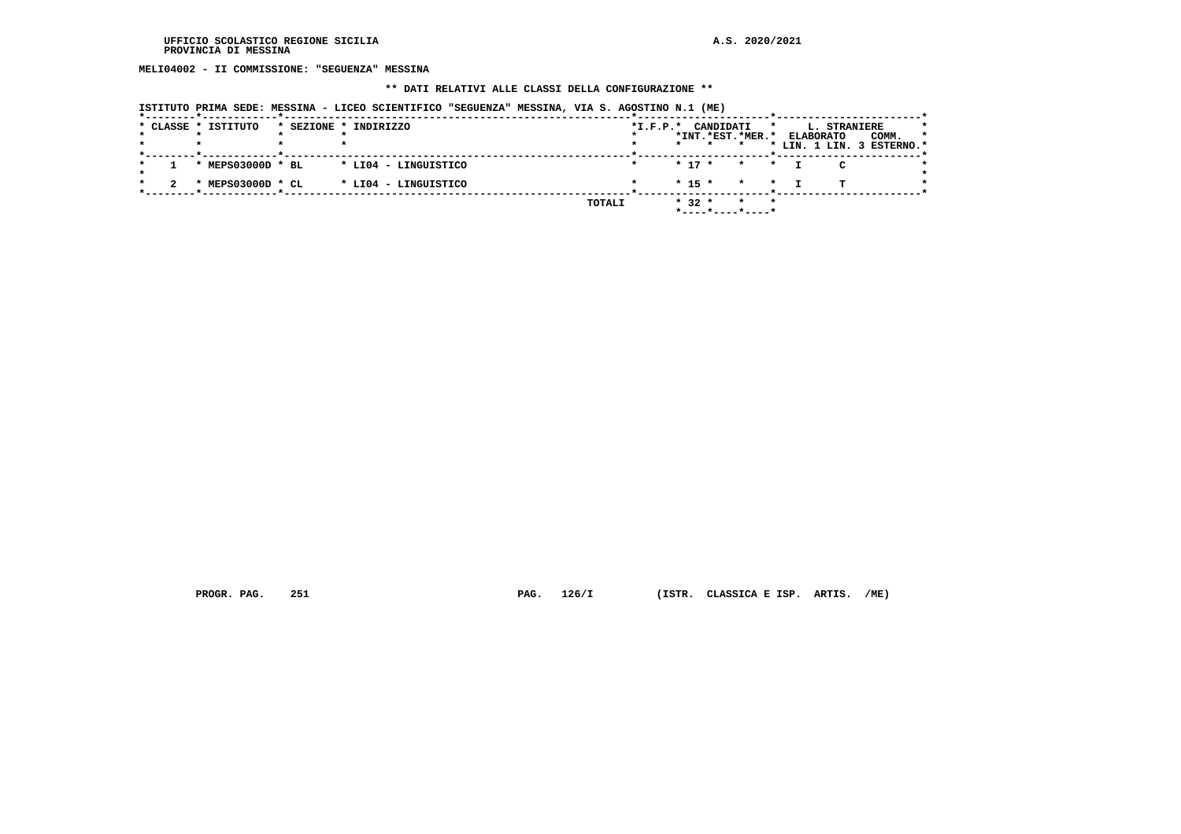**MELI04002 - II COMMISSIONE: "SEGUENZA" MESSINA**

# **\*\* DATI RELATIVI ALLE CLASSI DELLA CONFIGURAZIONE \*\***

|  |  |  | ISTITUTO PRIMA SEDE: MESSINA - LICEO SCIENTIFICO "SEGUENZA" MESSINA, VIA S. AGOSTINO N.1 (ME) |  |  |  |  |
|--|--|--|-----------------------------------------------------------------------------------------------|--|--|--|--|
|  |  |  |                                                                                               |  |  |  |  |
|  |  |  |                                                                                               |  |  |  |  |

|  | * CLASSE * ISTITUTO | * SEZIONE * INDIRIZZO |        | $*I.F.P.*$ | CANDIDATI |                                                            | $\star$ |                  | <b>L. STRANIERE</b> |                           |    |
|--|---------------------|-----------------------|--------|------------|-----------|------------------------------------------------------------|---------|------------------|---------------------|---------------------------|----|
|  |                     |                       |        |            |           | *INT.*EST.*MER.*                                           |         | <b>ELABORATO</b> |                     | COMM.                     | -1 |
|  |                     |                       |        |            | $\star$   |                                                            |         |                  |                     | * LIN. 1 LIN. 3 ESTERNO.* |    |
|  | * MEPS03000D * BL   | * LI04 - LINGUISTICO  |        |            | $* 17 *$  | $\star$ $\star$                                            |         |                  |                     |                           |    |
|  | * MEPS03000D * CL   | * LI04 - LINGUISTICO  |        |            | $* 15 *$  | $\star$ $\star$                                            |         |                  | m.                  |                           |    |
|  |                     |                       | TOTALI |            | $* 32 *$  | $\star$ $\star$<br>$*$ - - - - $*$ - - - - $*$ - - - - $*$ |         |                  |                     |                           |    |

 **PROGR. PAG. 251 PAG. 126/I (ISTR. CLASSICA E ISP. ARTIS. /ME)**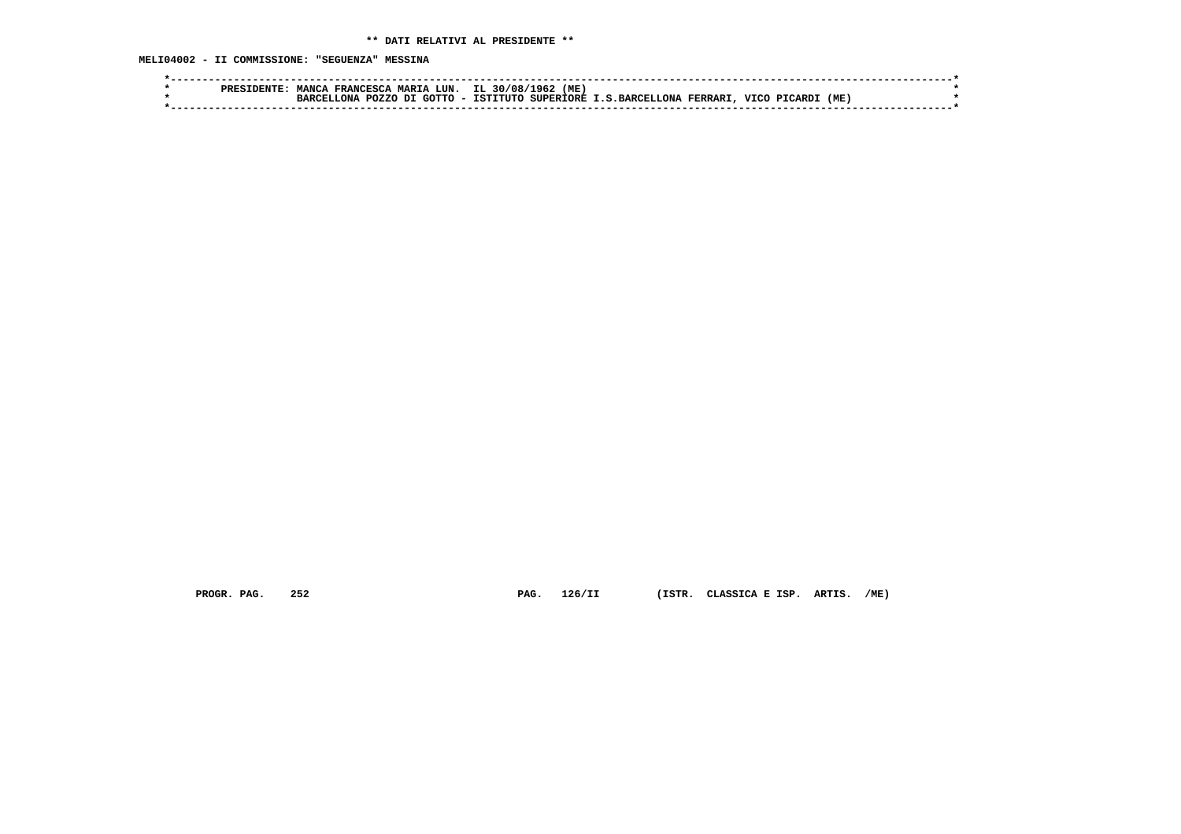**MELI04002 - II COMMISSIONE: "SEGUENZA" MESSINA**

| DDFC | <b>MANCA</b> | <b>FRANCESCA</b>           | <b>MARTA</b> | <b>T.TIN</b> | IL. | 30/08      | '96.<br>'ME .    |                       |         |             |               |      |  |
|------|--------------|----------------------------|--------------|--------------|-----|------------|------------------|-----------------------|---------|-------------|---------------|------|--|
|      | . הכד        | <b>POZZC</b><br><b>ONT</b> | דת           | ີ⊂ΩΩ ⊤ΓΩ     |     | TSTITUTO . | <b>SUPERTORE</b> | <b>I.S.BARCELLONA</b> | FERRARI | <b>VTCC</b> | <b>PTCARD</b> | (ME) |  |
|      |              |                            |              |              |     |            |                  |                       |         |             |               |      |  |

 **PROGR. PAG. 252 PAG. 126/II (ISTR. CLASSICA E ISP. ARTIS. /ME)**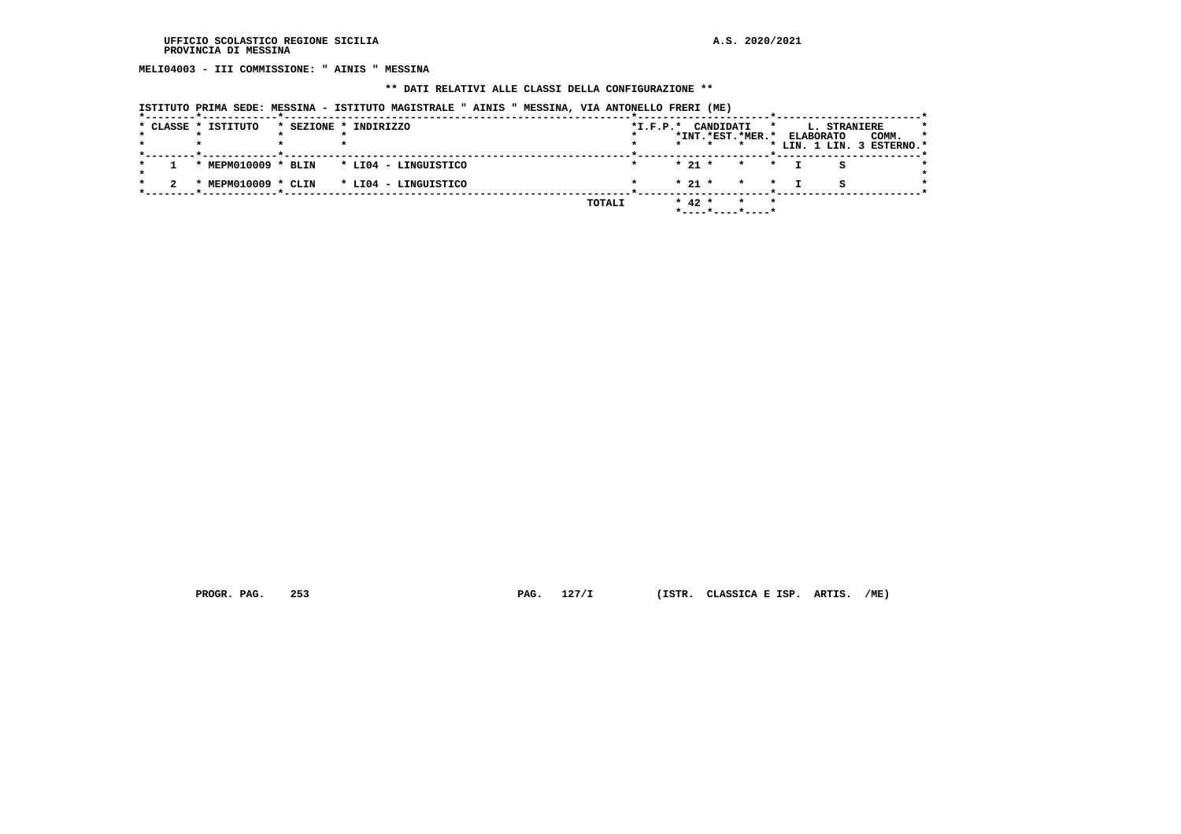**MELI04003 - III COMMISSIONE: " AINIS " MESSINA**

## **\*\* DATI RELATIVI ALLE CLASSI DELLA CONFIGURAZIONE \*\***

|  | ISTITUTO PRIMA SEDE: MESSINA - ISTITUTO MAGISTRALE " AINIS " MESSINA, VIA ANTONELLO FRERI (ME) |  |  |  |  |
|--|------------------------------------------------------------------------------------------------|--|--|--|--|
|--|------------------------------------------------------------------------------------------------|--|--|--|--|

|  | * CLASSE * ISTITUTO | * SEZIONE * INDIRIZZO |        | $*L.F.P.*$ | CANDIDATI |                  | $\star$ |                  | L. STRANIERE |                                    |    |
|--|---------------------|-----------------------|--------|------------|-----------|------------------|---------|------------------|--------------|------------------------------------|----|
|  |                     |                       |        |            | $\star$   | *INT.*EST.*MER.* |         | <b>ELABORATO</b> |              | COMM.<br>* LIN. 1 LIN. 3 ESTERNO.* | -1 |
|  |                     |                       |        |            |           |                  |         |                  |              |                                    |    |
|  | * MEPM010009 * BLIN | * LI04 - LINGUISTICO  |        |            | $*21*$    | $\star$ $\star$  |         |                  |              |                                    |    |
|  | * MEPM010009 * CLIN | * LI04 - LINGUISTICO  |        |            | $* 21 *$  | $\star$ $\star$  |         |                  | я            |                                    |    |
|  |                     |                       | TOTALI |            | $* 42 *$  | $\star$<br>*     |         |                  |              |                                    |    |

 **PROGR. PAG. 253 PAG. 127/I (ISTR. CLASSICA E ISP. ARTIS. /ME)**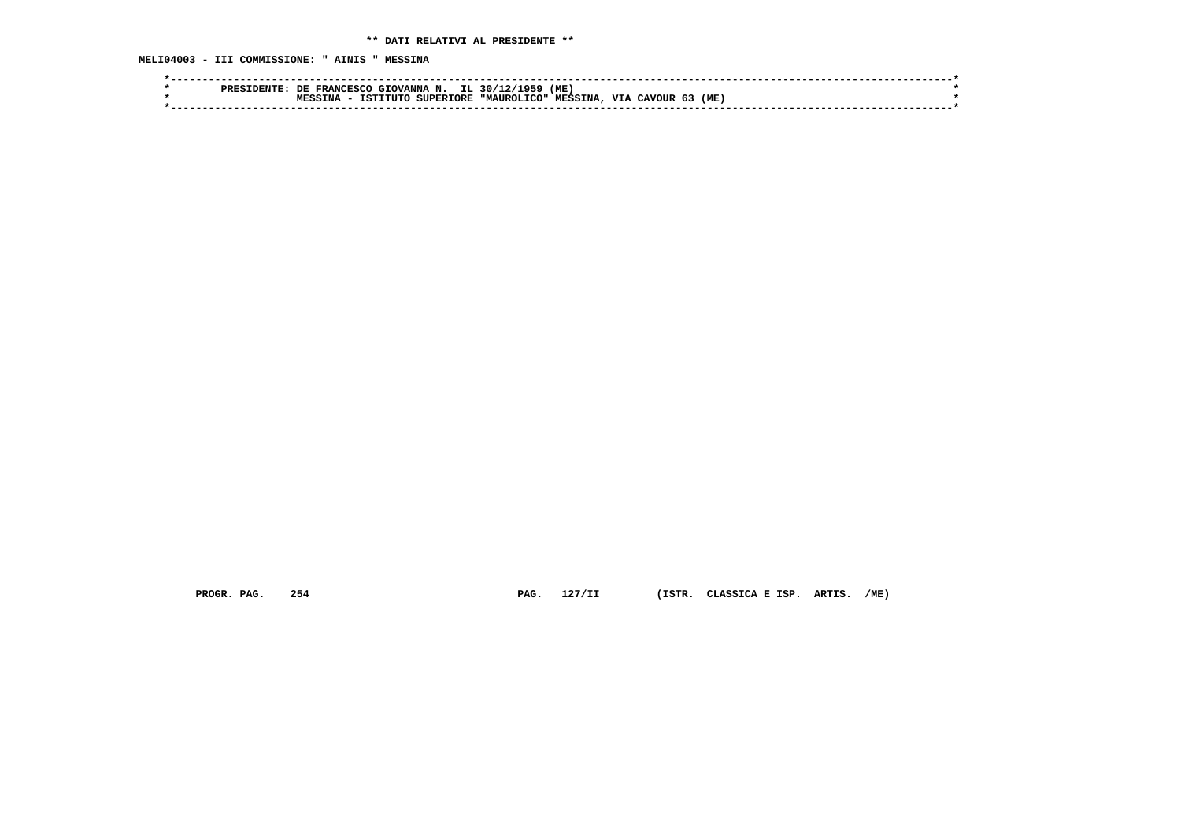**MELI04003 - III COMMISSIONE: " AINIS " MESSINA**

| <b>PRES</b> | IL.<br>(ME<br>1959<br>. 30/12<br>N.<br><b>GIOVANNA</b><br>DE.<br><b>FRANCESCO</b>       |  |
|-------------|-----------------------------------------------------------------------------------------|--|
|             | (ME<br>VTA<br>MESSINA.<br>"MAIJROLTCO"<br>TNA<br>TSTTTITO<br><b>SUPERIORE</b><br>CAVOUR |  |
|             |                                                                                         |  |

 **PROGR. PAG. 254 PAG. 127/II (ISTR. CLASSICA E ISP. ARTIS. /ME)**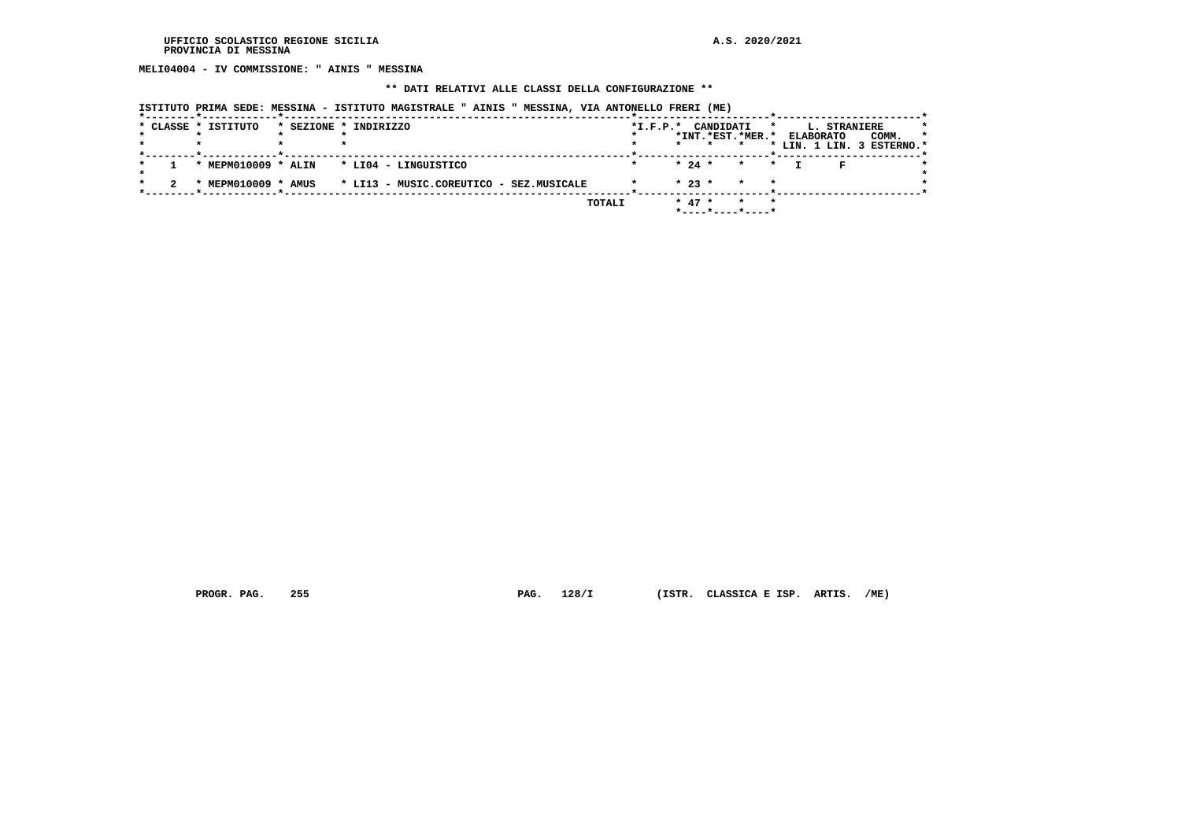**MELI04004 - IV COMMISSIONE: " AINIS " MESSINA**

## **\*\* DATI RELATIVI ALLE CLASSI DELLA CONFIGURAZIONE \*\***

| ISTITUTO PRIMA SEDE: MESSINA - ISTITUTO MAGISTRALE " AINIS " MESSINA, VIA ANTONELLO FRERI (ME) |  |  |
|------------------------------------------------------------------------------------------------|--|--|
|                                                                                                |  |  |

|  | * CLASSE * ISTITUTO | * SEZIONE * INDIRIZZO                                       |        | $*I.F.P.*$ | CANDIDATI                                           | *                       |                  | <b>L. STRANIERE</b> |                           |
|--|---------------------|-------------------------------------------------------------|--------|------------|-----------------------------------------------------|-------------------------|------------------|---------------------|---------------------------|
|  |                     |                                                             |        |            | *INT. *EST. *MER. *                                 |                         | <b>ELABORATO</b> |                     | COMM.<br>-1               |
|  |                     |                                                             |        |            | $\star$                                             | $\star$                 |                  |                     | * LIN. 1 LIN. 3 ESTERNO.* |
|  |                     | * MEPM010009 * ALIN * LI04 - LINGUISTICO                    |        |            | $* 24 * * * * *$                                    |                         |                  |                     |                           |
|  |                     | * MEPM010009 * AMUS * LI13 - MUSIC.COREUTICO - SEZ.MUSICALE |        |            | $* 23 *$                                            | $\star$                 |                  |                     |                           |
|  |                     |                                                             | TOTALI |            | $* 47 *$<br>$*$ - - - - $*$ - - - - $*$ - - - - $*$ | $\mathbf{r}$<br>$\star$ |                  |                     |                           |

 **PROGR. PAG. 255 PAG. 128/I (ISTR. CLASSICA E ISP. ARTIS. /ME)**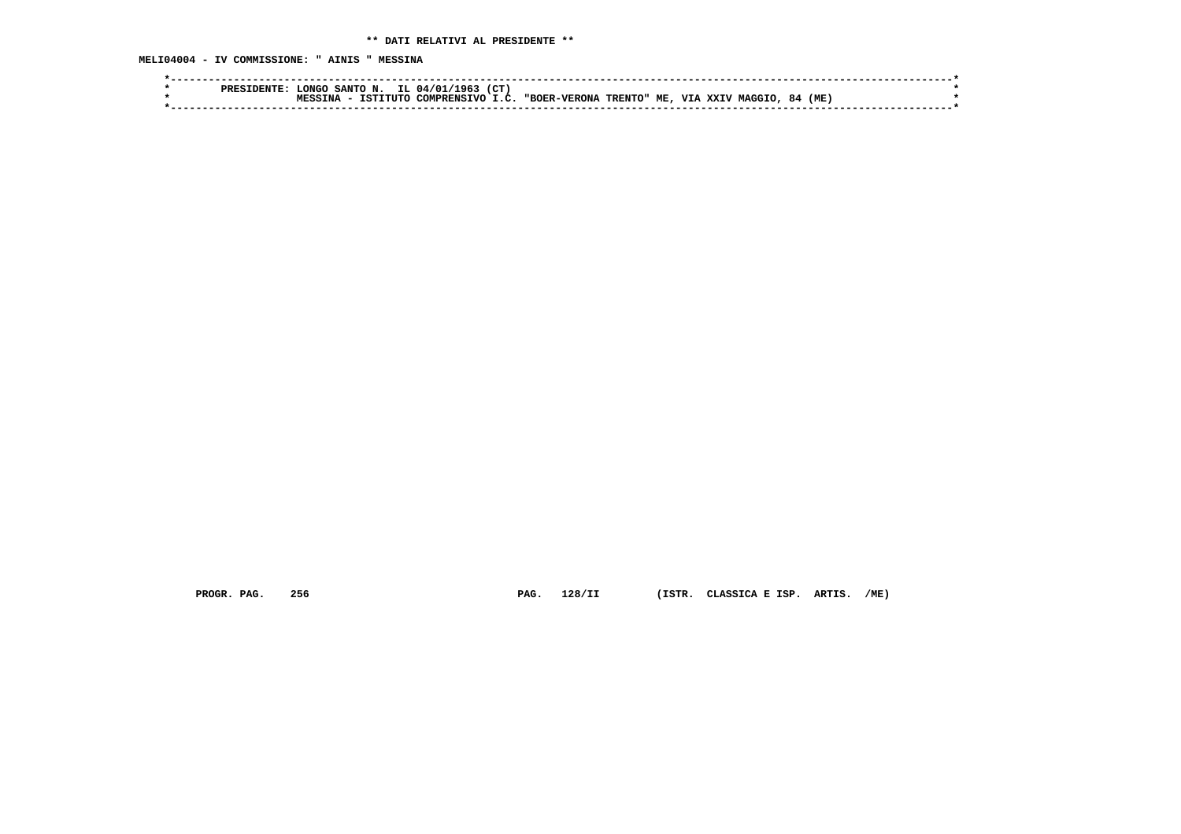**MELI04004 - IV COMMISSIONE: " AINIS " MESSINA**

| (CT<br>۱۹۲<br>`ONGO<br><b>SANTO</b><br>N.<br>04.<br>PRES                                                                                                    |  |
|-------------------------------------------------------------------------------------------------------------------------------------------------------------|--|
| <b>VIA</b><br>ME.<br>(ME .<br>"BOER-VERONA<br>TSTI.<br>84<br>XXIV<br><b>T</b> C<br>COMPRENSIVO<br>רי דודי ה<br><b>TRENTO"</b><br><b>MAGGI</b><br><b>TNA</b> |  |
|                                                                                                                                                             |  |
|                                                                                                                                                             |  |

 **PROGR. PAG. 256 PAG. 128/II (ISTR. CLASSICA E ISP. ARTIS. /ME)**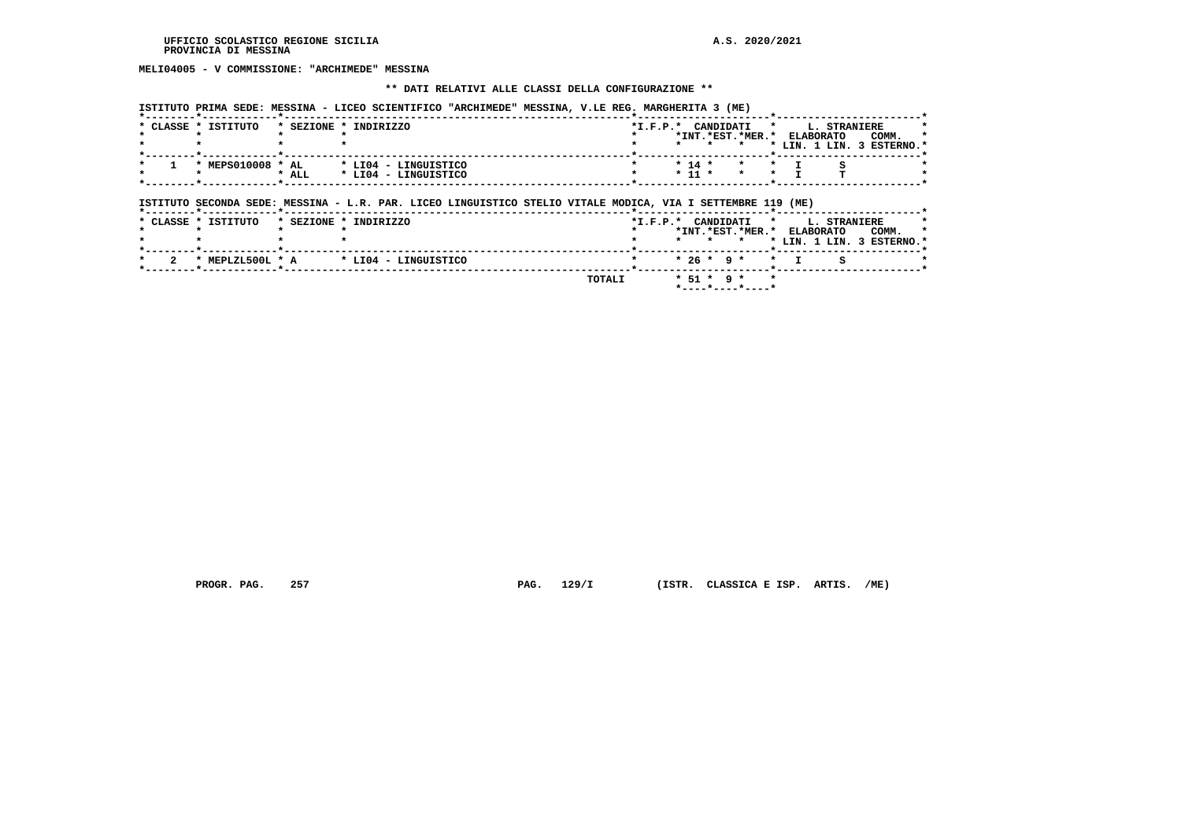# **MELI04005 - V COMMISSIONE: "ARCHIMEDE" MESSINA**

#### **\*\* DATI RELATIVI ALLE CLASSI DELLA CONFIGURAZIONE \*\***

| $*$ CLASSE $*$ | ISTITUTO          |         | * SEZIONE * INDIRIZZO | $*L.F.P.*$ |  |                  |                                      | CANDIDATI * L. STRANIERE |                           |         |
|----------------|-------------------|---------|-----------------------|------------|--|------------------|--------------------------------------|--------------------------|---------------------------|---------|
|                |                   |         |                       |            |  | *TNT.*RST.*MER.* |                                      | ELABORATO                | COMM.                     | $\star$ |
|                |                   |         |                       |            |  |                  |                                      |                          | * LIN. 1 LIN. 3 ESTERNO.* |         |
|                |                   |         |                       |            |  |                  |                                      |                          |                           |         |
|                | * MEPS010008 * AL |         | * LI04 - LINGUISTICO  |            |  |                  | $\star$ 14 $\star$ $\star$ $\star$ T |                          |                           |         |
|                |                   | $*$ ALL | * LI04 - LINGUISTICO  |            |  |                  | * 11 * * * *                         |                          |                           |         |
|                |                   |         |                       |            |  |                  |                                      |                          |                           |         |

# **ISTITUTO SECONDA SEDE: MESSINA - L.R. PAR. LICEO LINGUISTICO STELIO VITALE MODICA, VIA I SETTEMBRE 119 (ME)**

|  |                     | ------------------ <b>----</b> ----   |        |  |              |                                                  |                                                                |  |
|--|---------------------|---------------------------------------|--------|--|--------------|--------------------------------------------------|----------------------------------------------------------------|--|
|  | * CLASSE * ISTITUTO | * SEZIONE * INDIRIZZO                 |        |  |              | *I.F.P.* CANDIDATI * L. STRANIERE                |                                                                |  |
|  |                     |                                       |        |  |              | *INT.*EST.*MER.* ELABORATO                       | COMM. *                                                        |  |
|  |                     |                                       |        |  |              |                                                  | $\star$ $\star$ $\star$ $\star$ LIN. 1 LIN. 3 ESTERNO. $\star$ |  |
|  |                     |                                       |        |  |              |                                                  |                                                                |  |
|  |                     | * MEPLZL500L * A * LI04 - LINGUISTICO |        |  |              | $\star$ $\star$ 26 $\star$ 9 $\star$ $\star$ T S |                                                                |  |
|  |                     |                                       |        |  |              |                                                  |                                                                |  |
|  |                     |                                       | TOTALI |  | * 51 * 9 * * |                                                  |                                                                |  |

 **\*----\*----\*----\***

 **PROGR. PAG. 257 PAG. 129/I (ISTR. CLASSICA E ISP. ARTIS. /ME)**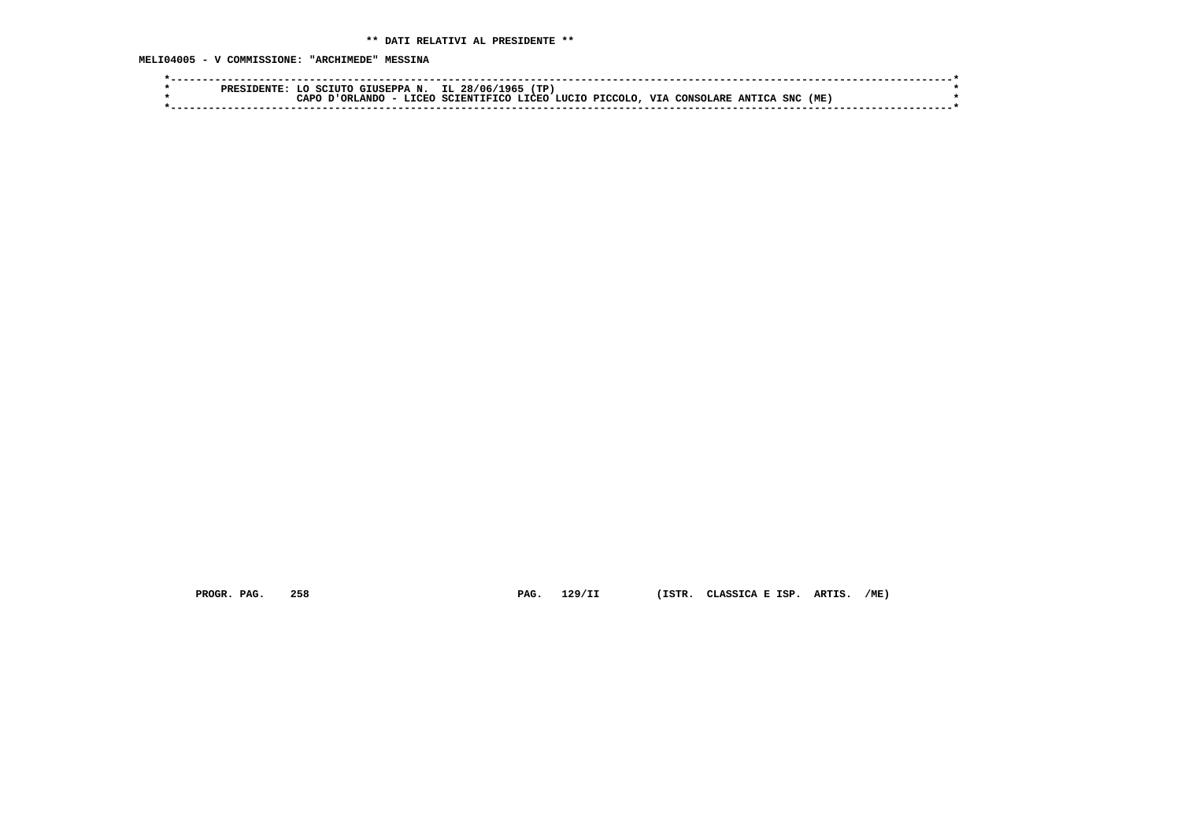**MELI04005 - V COMMISSIONE: "ARCHIMEDE" MESSINA**

| $IL$ 28/06/<br>TP.<br>$\sim$ CIUSEPPA N. $\perp$<br>∙96.<br>ס סם מ                                                                       |  |
|------------------------------------------------------------------------------------------------------------------------------------------|--|
| (ME)<br>VIA<br>SNC<br>SCIENTIFICO LICEO LUCIO PICCOLO.<br><b>T.TORO</b><br><b>LANDC</b><br><b>ANTTCA</b><br>∩סבר<br>CONSOLARE<br>⊤ים∩י ה |  |
|                                                                                                                                          |  |

 **PROGR. PAG. 258 PAG. 129/II (ISTR. CLASSICA E ISP. ARTIS. /ME)**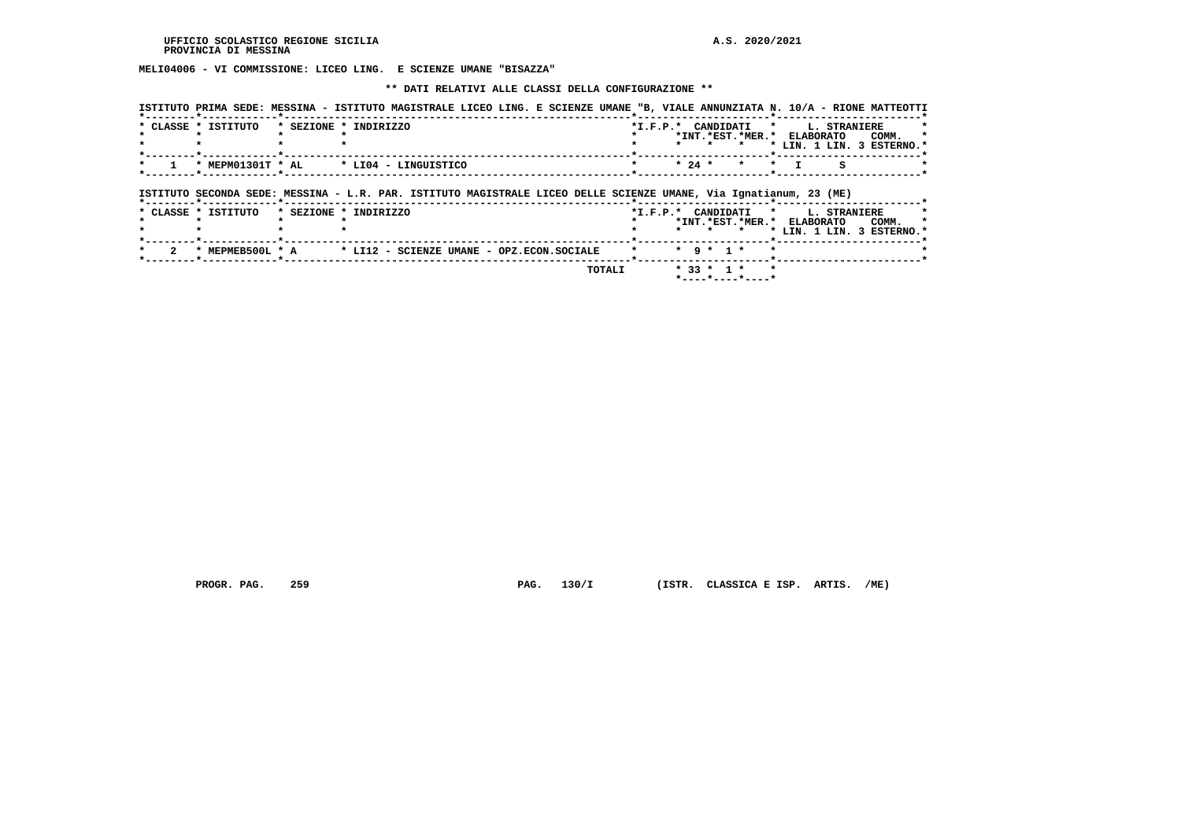**MELI04006 - VI COMMISSIONE: LICEO LING. E SCIENZE UMANE "BISAZZA"**

#### **\*\* DATI RELATIVI ALLE CLASSI DELLA CONFIGURAZIONE \*\***

|                     | ISTITUTO PRIMA SEDE: MESSINA - ISTITUTO MAGISTRALE LICEO LING. E SCIENZE UMANE "B, VIALE ANNUNZIATA N. 10/A - RIONE MATTEOTTI              |  |          |                                                       |           |              |                                    |
|---------------------|--------------------------------------------------------------------------------------------------------------------------------------------|--|----------|-------------------------------------------------------|-----------|--------------|------------------------------------|
| * CLASSE * ISTITUTO | * SEZIONE * INDIRIZZO                                                                                                                      |  |          | *I.F.P.* CANDIDATI *<br>*INT. *EST. *MER. * ELABORATO |           | L. STRANIERE | COMM.<br>* LIN. 1 LIN. 3 ESTERNO.* |
| * MEPM01301T * AL   | * LI04 - LINGUISTICO                                                                                                                       |  | $* 24 *$ | $\star$                                               | $\star$ T | s            |                                    |
|                     |                                                                                                                                            |  |          |                                                       |           |              |                                    |
| * CLASSE * ISTITUTO | ISTITUTO SECONDA SEDE: MESSINA - L.R. PAR. ISTITUTO MAGISTRALE LICEO DELLE SCIENZE UMANE, Via Ignatianum, 23 (ME)<br>* SEZIONE * INDIRIZZO |  |          | *I.F.P.* CANDIDATI *                                  |           | L. STRANIERE |                                    |
|                     |                                                                                                                                            |  | $\star$  | *INT.*EST.*MER.* ELABORATO                            |           |              | COMM.<br>* LIN. 1 LIN. 3 ESTERNO.* |
| * MEPMEB500L * A    | * LI12 - SCIENZE UMANE - OPZ.ECON.SOCIALE                                                                                                  |  |          | $*$ 9 $*$ 1 $*$                                       |           |              |                                    |

 **\*----\*----\*----\***

 **PROGR. PAG. 259 PAG. 130/I (ISTR. CLASSICA E ISP. ARTIS. /ME)**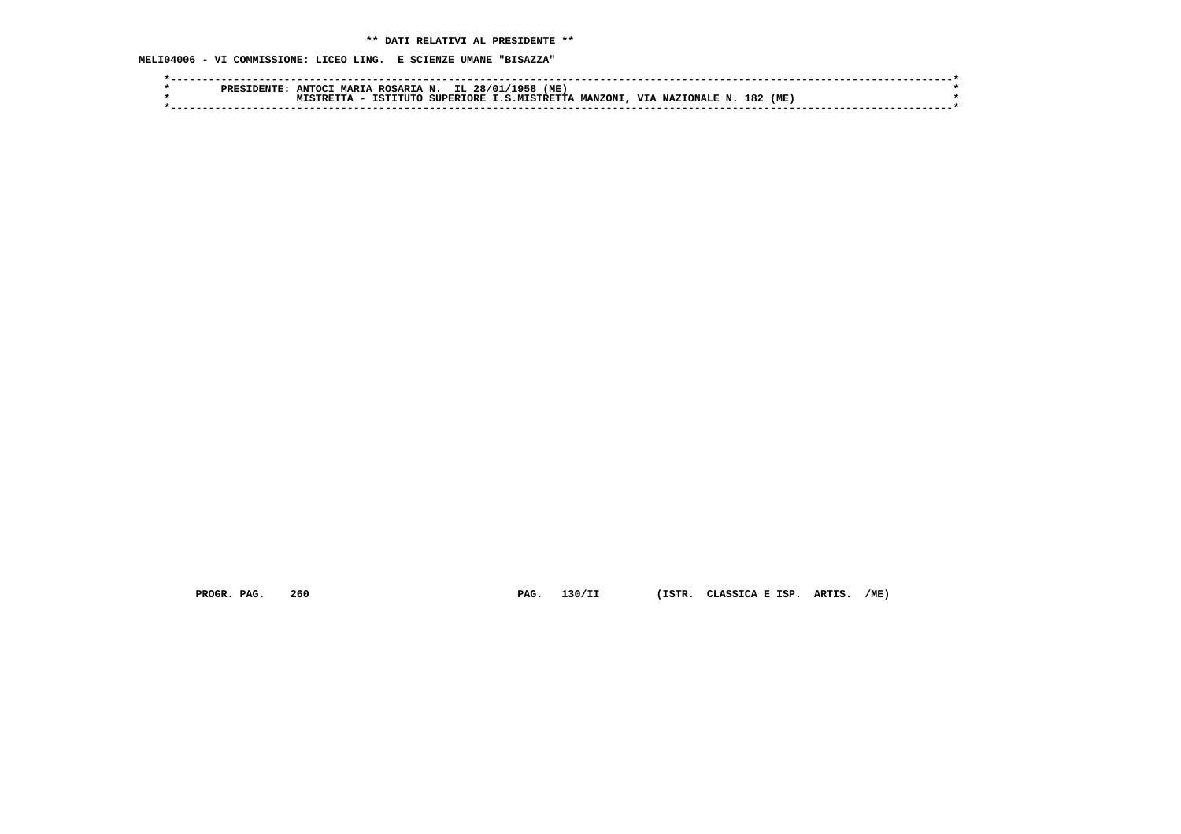**MELI04006 - VI COMMISSIONE: LICEO LING. E SCIENZE UMANE "BISAZZA"**

|  | סססם | <b>ANTOC</b><br>MAPTA | . ROSARIA N. | IL 28/01  | (ME)<br>1958         |                |                  |            |  |
|--|------|-----------------------|--------------|-----------|----------------------|----------------|------------------|------------|--|
|  |      |                       | TCTTTTTT.    | SUPERTORE | <b>I.S.MTSTRETTA</b> | <b>MANZONI</b> | VIA NAZIONALE N. | 182<br>(ME |  |
|  |      |                       |              |           |                      |                |                  |            |  |
|  |      |                       |              |           |                      |                |                  |            |  |

 **PROGR. PAG. 260 PAG. 130/II (ISTR. CLASSICA E ISP. ARTIS. /ME)**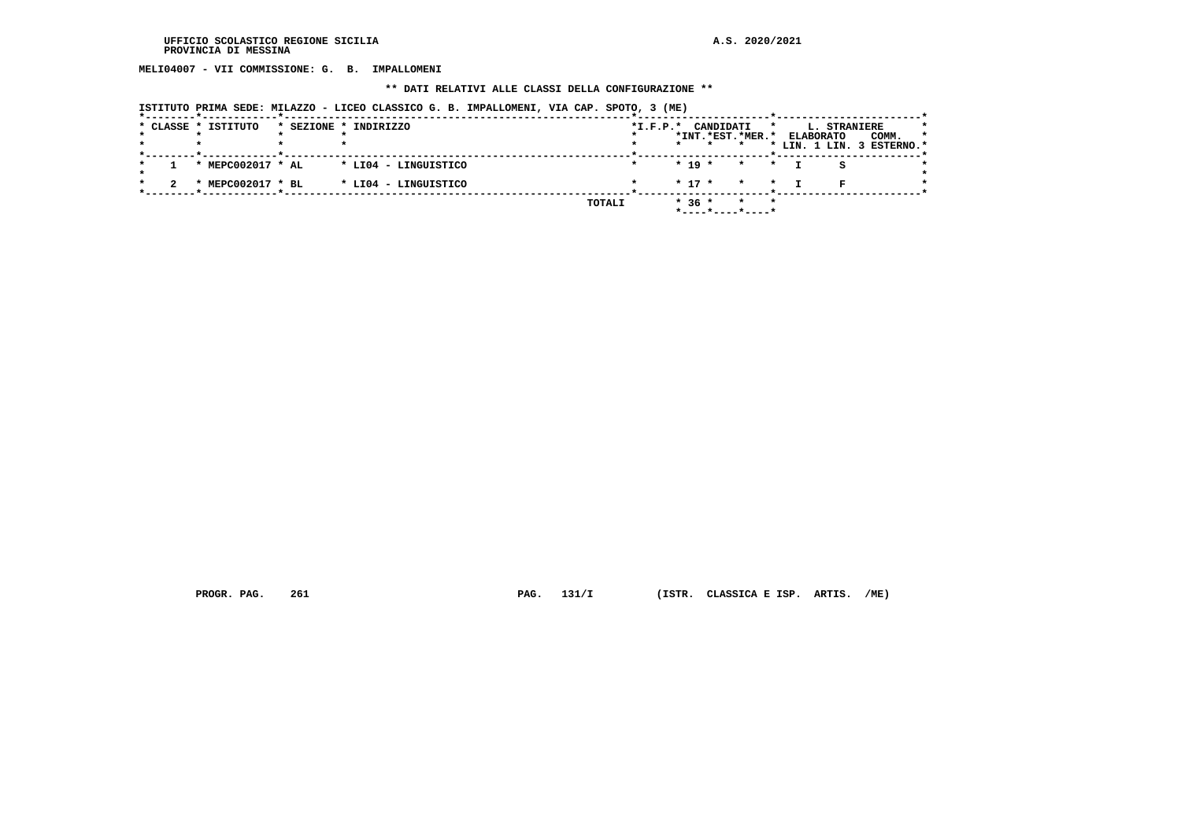**MELI04007 - VII COMMISSIONE: G. B. IMPALLOMENI**

#### **\*\* DATI RELATIVI ALLE CLASSI DELLA CONFIGURAZIONE \*\***

|  |                     |                       | 10111010 IRINA 0808, MIDAQQV - BICBQ CDADDICO G. D. INIABDONBRI, VIA CAI. DIVIO, J (NB) |            |            |                                         |                    |   |                                  |                           |  |
|--|---------------------|-----------------------|-----------------------------------------------------------------------------------------|------------|------------|-----------------------------------------|--------------------|---|----------------------------------|---------------------------|--|
|  | * CLASSE * ISTITUTO | * SEZIONE * INDIRIZZO |                                                                                         | $*I.F.P.*$ |            | CANDIDATI<br>*INT. *EST. *MER. *        |                    | * | L. STRANIERE<br><b>ELABORATO</b> | COMM.                     |  |
|  |                     |                       |                                                                                         |            |            |                                         |                    |   |                                  | * LIN. 1 LIN. 3 ESTERNO.* |  |
|  | * MEPC002017 * AL   | * LI04 - LINGUISTICO  |                                                                                         |            | $* 19 *$   |                                         | $\star$<br>$\star$ |   |                                  |                           |  |
|  | * MEPC002017 * BL   | * LI04 - LINGUISTICO  |                                                                                         |            | $*$ 17 $*$ |                                         | $\star$ $\star$    |   |                                  |                           |  |
|  |                     |                       | TOTALI                                                                                  |            | $* 36 *$   | $*$ - - - - $*$ - - - - $*$ - - - - $*$ | $\star$<br>$\star$ |   |                                  |                           |  |

 **ISTITUTO PRIMA SEDE: MILAZZO - LICEO CLASSICO G. B. IMPALLOMENI, VIA CAP. SPOTO, 3 (ME)**

 **PROGR. PAG. 261 PAG. 131/I (ISTR. CLASSICA E ISP. ARTIS. /ME)**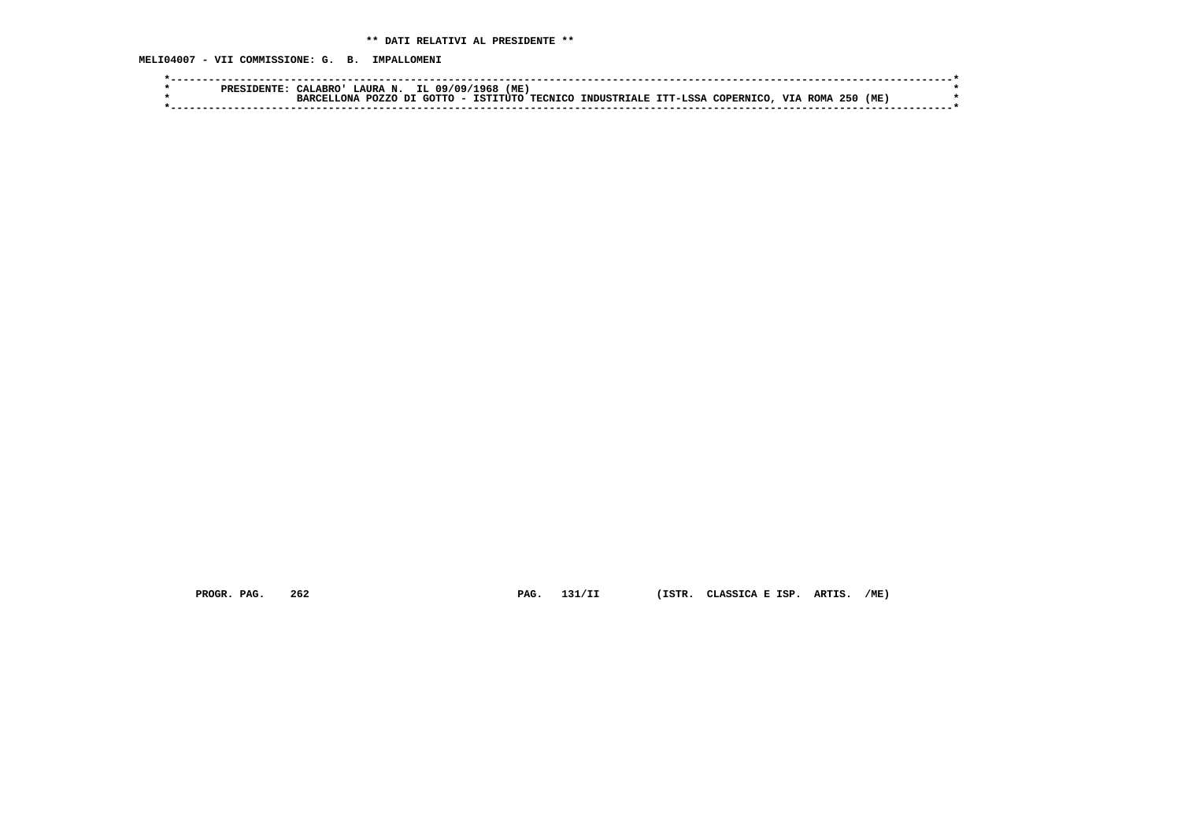**MELI04007 - VII COMMISSIONE: G. B. IMPALLOMENI**

|  | CALABRO!      |  | LAURA N. IL 09/09/1968 (ME) |                                                                     |  |                   |  |  |
|--|---------------|--|-----------------------------|---------------------------------------------------------------------|--|-------------------|--|--|
|  | MONA.<br>יסמפ |  |                             | . POZZO DI GOTTO - ISTITUTO TECNICO INDUSTRIALE ITT-LSSA COPERNICO. |  | VIA ROMA 250 (ME) |  |  |
|  |               |  |                             |                                                                     |  |                   |  |  |

 **PROGR. PAG. 262 PAG. 131/II (ISTR. CLASSICA E ISP. ARTIS. /ME)**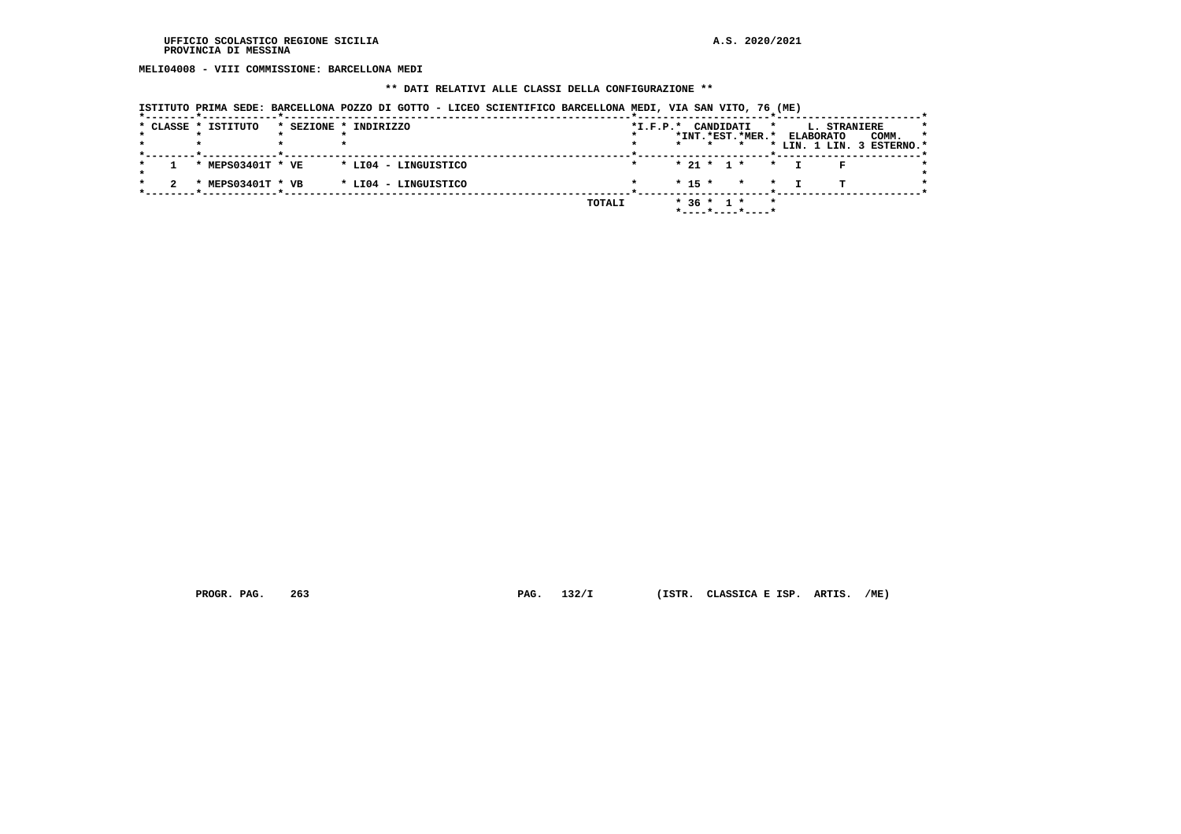**MELI04008 - VIII COMMISSIONE: BARCELLONA MEDI**

## **\*\* DATI RELATIVI ALLE CLASSI DELLA CONFIGURAZIONE \*\***

|  | * CLASSE * ISTITUTO | * SEZIONE * INDIRIZZO | $*I.F.P.*$ |          | CANDIDATI        |         |                     | $\star$ |                  | L. STRANIERE |                                    |     |
|--|---------------------|-----------------------|------------|----------|------------------|---------|---------------------|---------|------------------|--------------|------------------------------------|-----|
|  |                     |                       |            |          | $\star$          |         | *INT. *EST. *MER. * |         | <b>ELABORATO</b> |              | COMM.<br>* LIN. 1 LIN. 3 ESTERNO.* | -79 |
|  | * MEPS03401T * VE   | * LI04 - LINGUISTICO  |            |          | $* 21 * 1 *$     |         | $\star$             |         |                  |              |                                    |     |
|  | * MEPS03401T * VB   | * LI04 - LINGUISTICO  |            | $* 15 *$ |                  | $\star$ |                     | $\star$ |                  | п.           |                                    |     |
|  |                     | TOTALI                |            |          | $*$ 36 $*$ 1 $*$ |         | *----*----*----*    | $\star$ |                  |              |                                    |     |

 **PROGR. PAG. 263 PAG. 132/I (ISTR. CLASSICA E ISP. ARTIS. /ME)**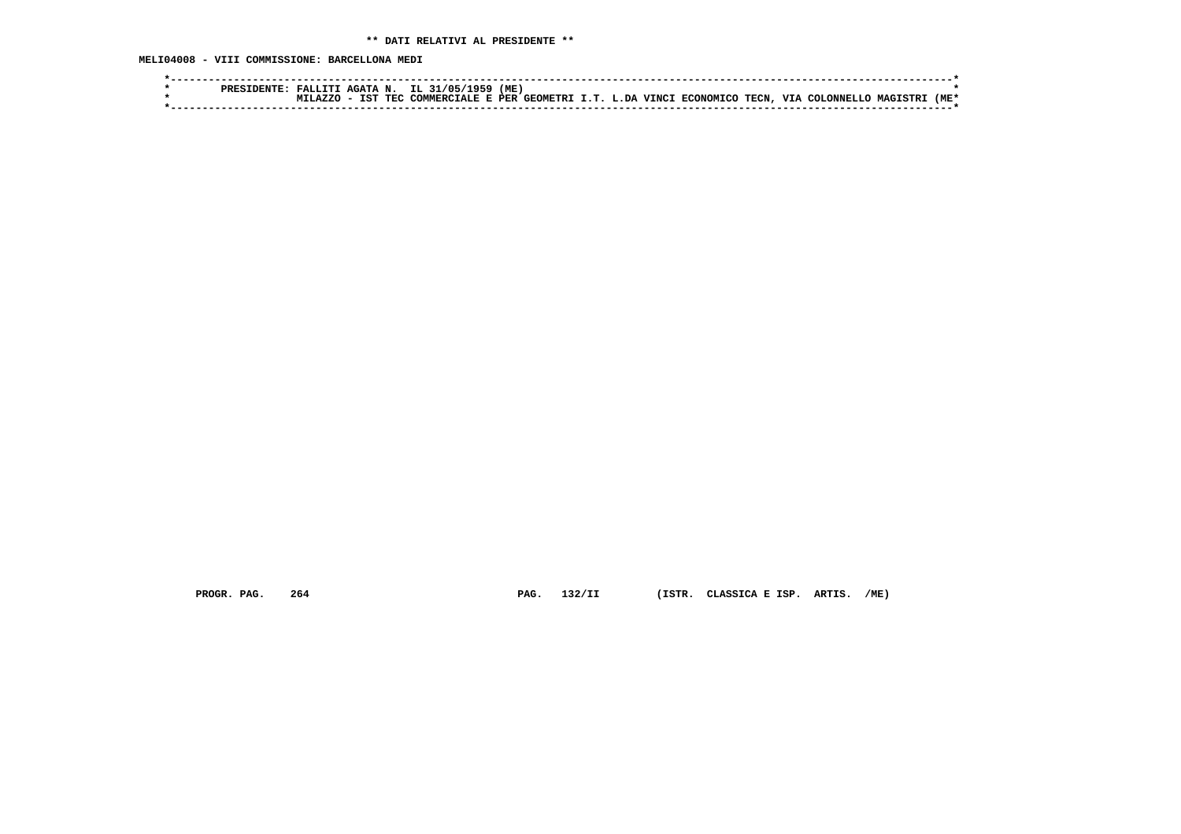**MELI04008 - VIII COMMISSIONE: BARCELLONA MEDI**

|  | PRESII | FALLITI      | . AGATA N. |     | IL 31/05/1959                                                | (ME |  |  |  |                  |          |    |
|--|--------|--------------|------------|-----|--------------------------------------------------------------|-----|--|--|--|------------------|----------|----|
|  |        | $\Delta$ 7.7 | <b>TST</b> | TEC | . COMMERCIALE E PER GEOMETRI I.T. L.DA VINCI ECONOMICO TECN. |     |  |  |  | . VTA COLONNELLO | MAGTSTRI | ME |
|  |        |              |            |     |                                                              |     |  |  |  |                  |          |    |

 **PROGR. PAG. 264 PAG. 132/II (ISTR. CLASSICA E ISP. ARTIS. /ME)**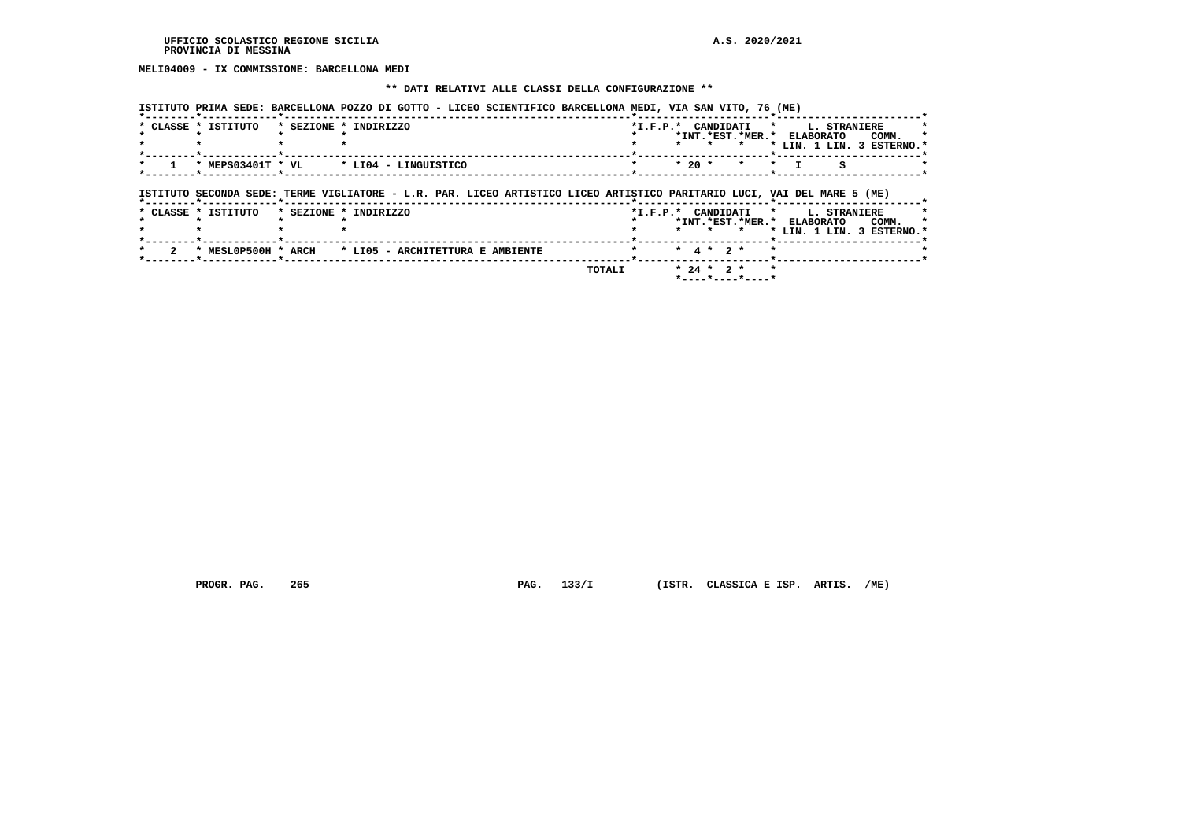**MELI04009 - IX COMMISSIONE: BARCELLONA MEDI**

#### **\*\* DATI RELATIVI ALLE CLASSI DELLA CONFIGURAZIONE \*\***

| ISTITUTO PRIMA SEDE: BARCELLONA POZZO DI GOTTO - LICEO SCIENTIFICO BARCELLONA MEDI, VIA SAN VITO, 76 (ME) |  |  |  |  |  |  |
|-----------------------------------------------------------------------------------------------------------|--|--|--|--|--|--|
|                                                                                                           |  |  |  |  |  |  |

| * CLASSE * ISTITUTO | * SEZIONE * INDIRIZZO                                                                                                                            | *I.F.P.* CANDIDATI * L. STRANIERE |         |                 | *INT.*EST.*MER.* ELABORATO<br>$\star$ |         |  | COMM.<br>* LIN. 1 LIN. 3 ESTERNO.* |
|---------------------|--------------------------------------------------------------------------------------------------------------------------------------------------|-----------------------------------|---------|-----------------|---------------------------------------|---------|--|------------------------------------|
|                     | * MEPS03401T * VL * LI04 - LINGUISTICO                                                                                                           |                                   | $*20$ * |                 | $\star$                               | $\star$ |  |                                    |
|                     |                                                                                                                                                  |                                   |         |                 |                                       |         |  |                                    |
| * CLASSE * ISTITUTO | ISTITUTO SECONDA SEDE: TERME VIGLIATORE - L.R. PAR. LICEO ARTISTICO LICEO ARTISTICO PARITARIO LUCI, VAI DEL MARE 5 (ME)<br>* SEZIONE * INDIRIZZO | *I.F.P.* CANDIDATI * L. STRANIERE |         |                 |                                       |         |  |                                    |
|                     |                                                                                                                                                  |                                   |         | * * *           | *INT.*EST.*MER.* ELABORATO COMM.      |         |  | * LIN. 1 LIN. 3 ESTERNO.*          |
| * MESLOP500H * ARCH | * LIO5 - ARCHITETTURA E AMBIENTE                                                                                                                 |                                   |         | $*$ 4 $*$ 2 $*$ |                                       |         |  |                                    |

 **PROGR. PAG. 265 PAG. 133/I (ISTR. CLASSICA E ISP. ARTIS. /ME)**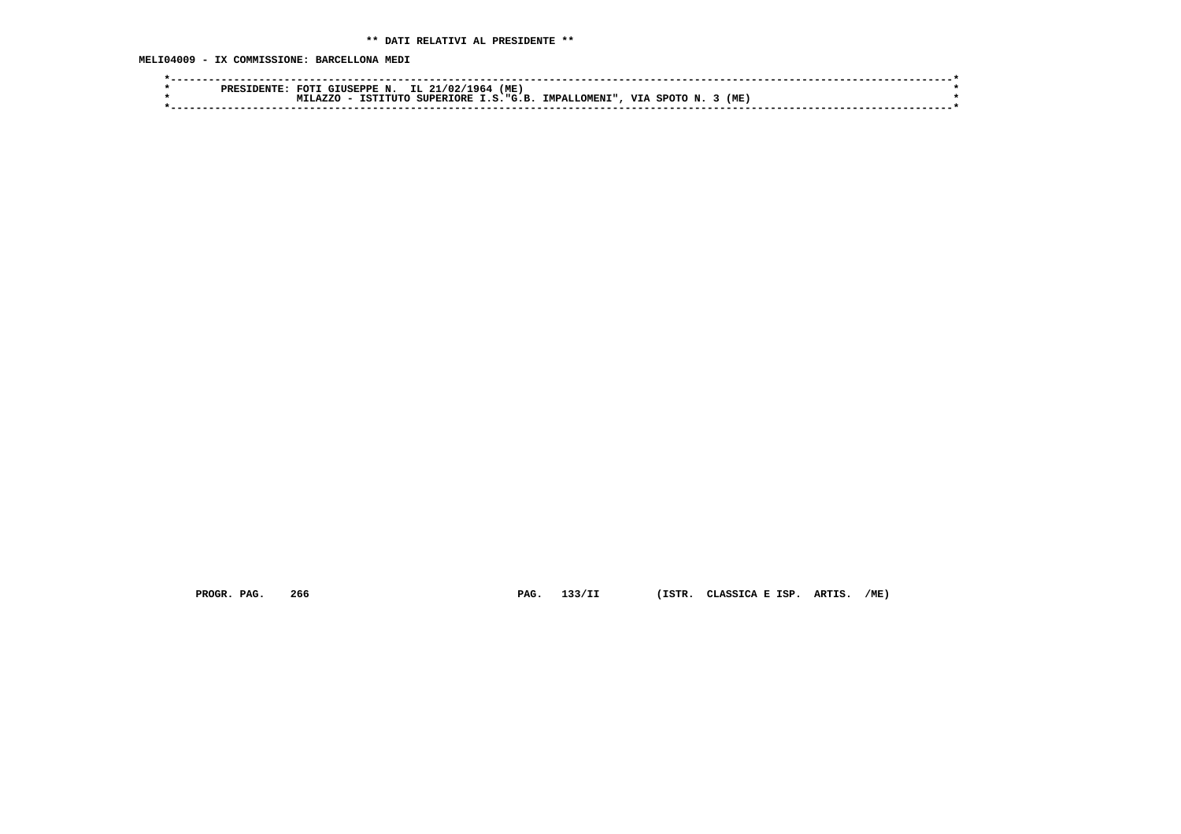**MELI04009 - IX COMMISSIONE: BARCELLONA MEDI**

| (ME)<br>IL.<br>1964<br><b>FOT</b><br>GIUSEPPE N.<br>21/02/<br><b>PRES</b>                                          |       |
|--------------------------------------------------------------------------------------------------------------------|-------|
| <b>SUCR</b><br><b>T.A7.7.C</b><br><b>SUPERIORE</b><br><b>VTA</b><br>TSTT.<br>TMPAT<br>"T.OMENI".<br>∩ידזידי<br>357 | (ME   |
|                                                                                                                    |       |
|                                                                                                                    | SPOTO |

 **PROGR. PAG. 266 PAG. 133/II (ISTR. CLASSICA E ISP. ARTIS. /ME)**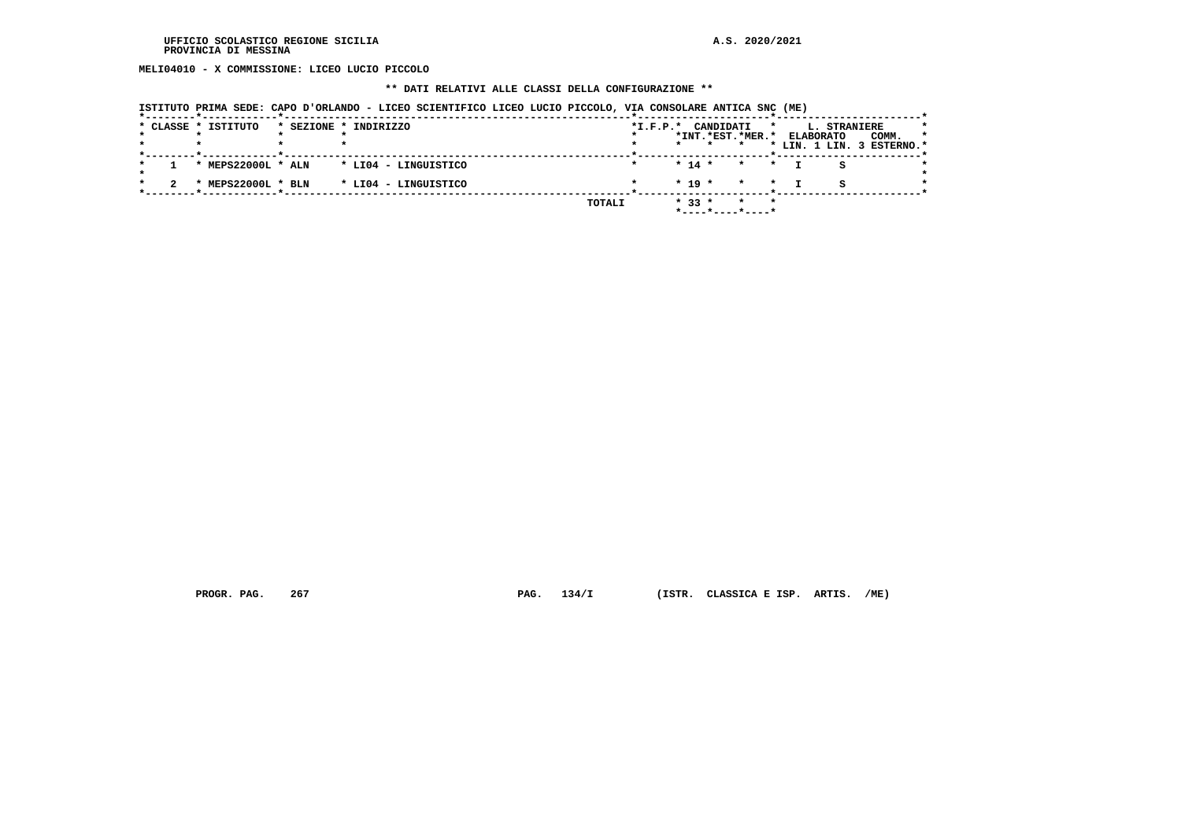**MELI04010 - X COMMISSIONE: LICEO LUCIO PICCOLO**

## **\*\* DATI RELATIVI ALLE CLASSI DELLA CONFIGURAZIONE \*\***

| ISTITUTO PRIMA SEDE: CAPO D'ORLANDO - LICEO SCIENTIFICO LICEO LUCIO PICCOLO, VIA CONSOLARE ANTICA SNC (ME) |  |  |  |  |  |
|------------------------------------------------------------------------------------------------------------|--|--|--|--|--|
|                                                                                                            |  |  |  |  |  |

|  | * CLASSE * ISTITUTO | * SEZIONE * INDIRIZZO |        | $*I.F.P.*$ |          |            | CANDIDATI |                         | $\star$ | L. STRANIERE              |       | *       |
|--|---------------------|-----------------------|--------|------------|----------|------------|-----------|-------------------------|---------|---------------------------|-------|---------|
|  |                     |                       |        |            |          |            |           | *INT.*EST.*MER.*        |         | <b>ELABORATO</b>          | COMM. | $\star$ |
|  |                     |                       |        |            | $\star$  |            |           |                         |         | * LIN. 1 LIN. 3 ESTERNO.* |       |         |
|  | * MEPS22000L * ALN  | * LI04 - LINGUISTICO  |        |            | $* 14 *$ |            |           | $\star$<br>$\mathbf{r}$ |         |                           |       |         |
|  | MEPS22000L * BLN    | * LI04 - LINGUISTICO  |        |            |          | $*$ 19 $*$ |           | $\star$<br>$\star$      |         | s                         |       |         |
|  |                     |                       | TOTALI |            |          | $* 33 *$   |           | $\star$                 | $\star$ |                           |       |         |

 **PROGR. PAG. 267 PAG. 134/I (ISTR. CLASSICA E ISP. ARTIS. /ME)**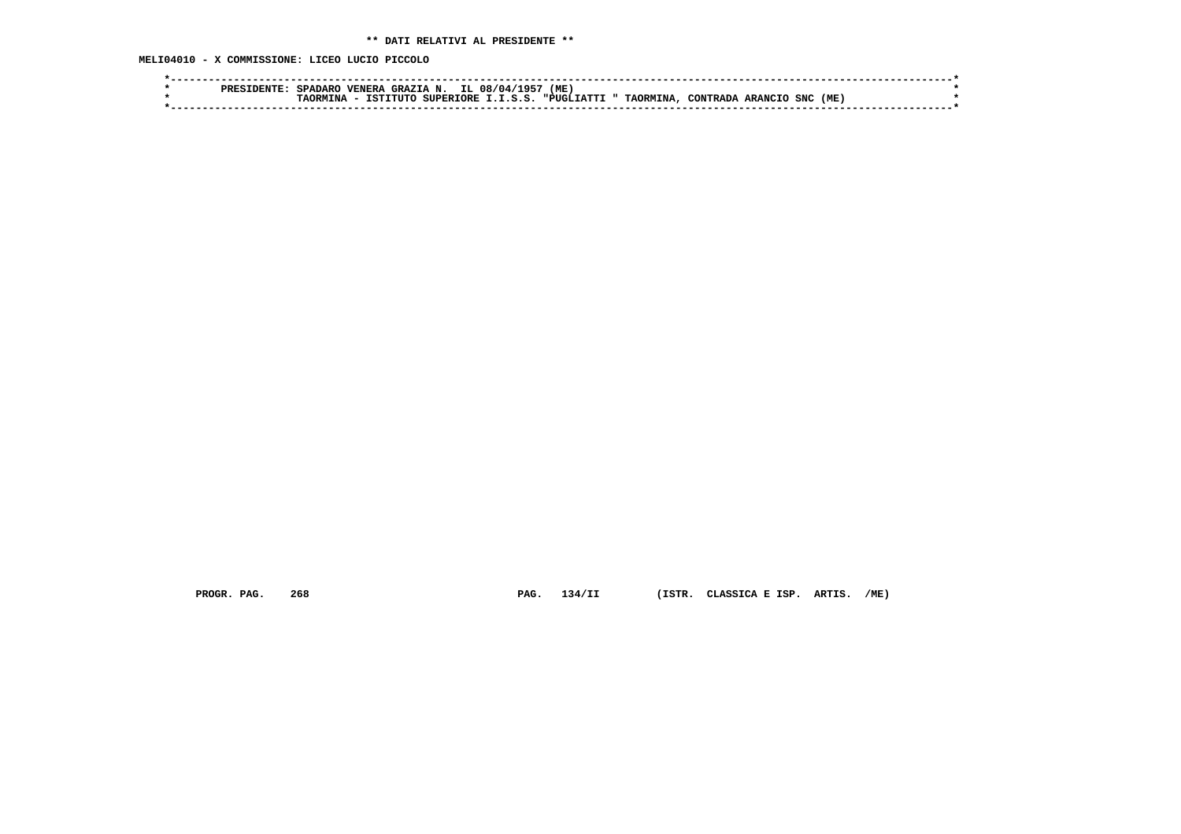**MELI04010 - X COMMISSIONE: LICEO LUCIO PICCOLO**

 **PROGR. PAG. 268 PAG. 134/II (ISTR. CLASSICA E ISP. ARTIS. /ME)**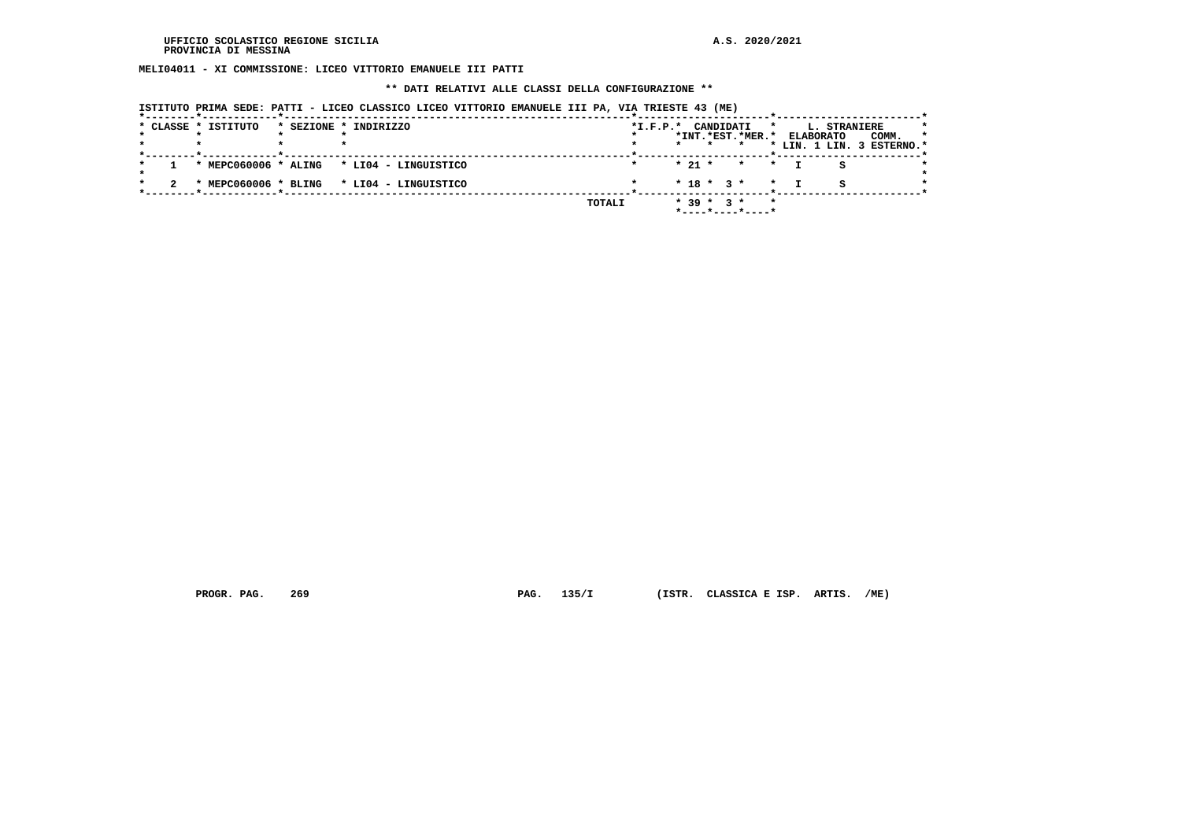**MELI04011 - XI COMMISSIONE: LICEO VITTORIO EMANUELE III PATTI**

#### **\*\* DATI RELATIVI ALLE CLASSI DELLA CONFIGURAZIONE \*\***

|  | * CLASSE * ISTITUTO | * SEZIONE * INDIRIZZO                     |        | $*L.F.P.*$ |          | CANDIDATI        |                  | *       | L. STRANIERE     |                           |    |
|--|---------------------|-------------------------------------------|--------|------------|----------|------------------|------------------|---------|------------------|---------------------------|----|
|  |                     |                                           |        |            |          |                  | *INT.*EST.*MER.* |         | <b>ELABORATO</b> | COMM.                     | -1 |
|  |                     |                                           |        |            |          | $\star$          |                  |         |                  | * LIN. 1 LIN. 3 ESTERNO.* |    |
|  |                     |                                           |        |            |          |                  |                  |         |                  |                           |    |
|  |                     | * MEPC060006 * ALING * LI04 - LINGUISTICO |        |            | $* 21 *$ |                  | $\star$ $\star$  |         |                  |                           |    |
|  |                     |                                           |        |            |          |                  |                  |         |                  |                           |    |
|  |                     | * MEPC060006 * BLING * LI04 - LINGUISTICO |        |            |          |                  | $* 18 * 3 * * *$ |         |                  |                           |    |
|  |                     |                                           |        |            |          |                  |                  |         |                  |                           |    |
|  |                     |                                           | TOTALI |            |          | $*$ 39 $*$ 3 $*$ |                  | $\star$ |                  |                           |    |
|  |                     |                                           |        |            |          |                  | *----*----*----* |         |                  |                           |    |

 **PROGR. PAG. 269 PAG. 135/I (ISTR. CLASSICA E ISP. ARTIS. /ME)**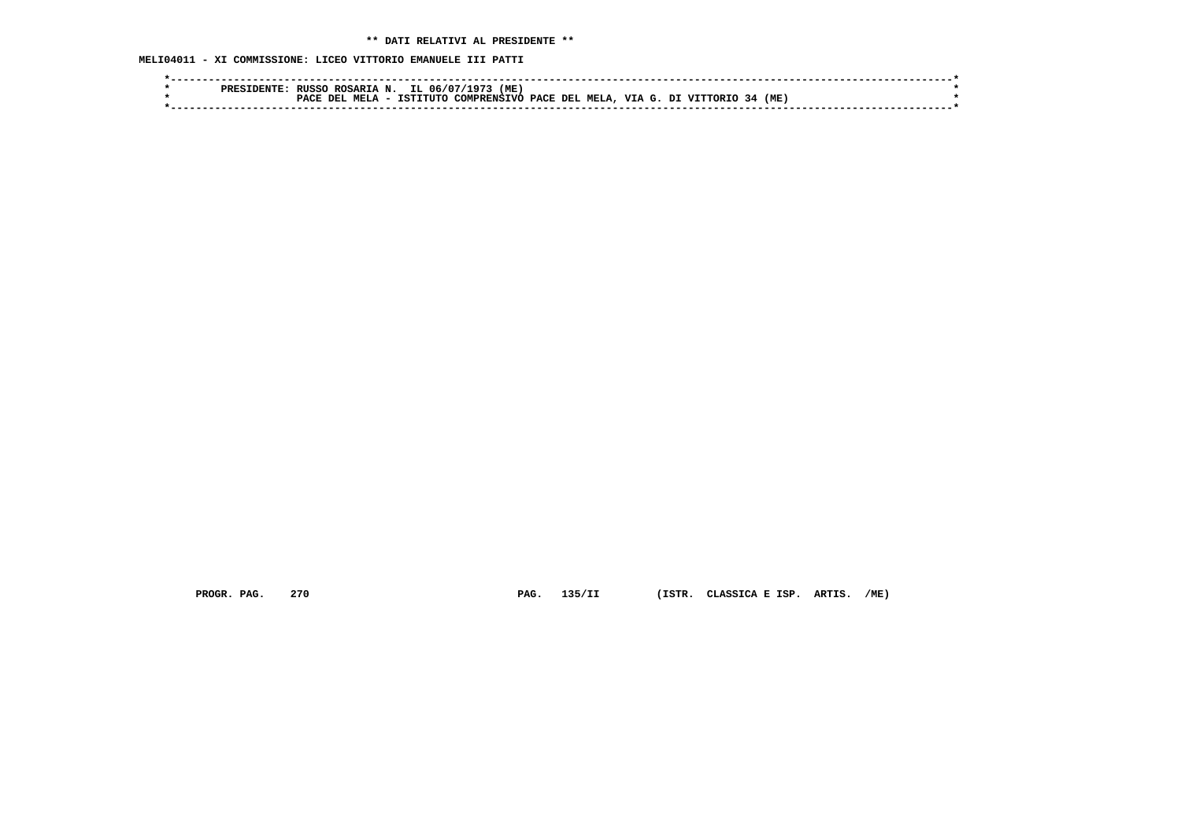## **\*\* DATI RELATIVI AL PRESIDENTE \*\***

 **MELI04011 - XI COMMISSIONE: LICEO VITTORIO EMANUELE III PATTI**

|  | <b>PRES</b> | <b>RUSSO</b> | ROSARIA N. |           | IL 06/07/ | (ME)<br>197'               |  |        |               |      |  |  |
|--|-------------|--------------|------------|-----------|-----------|----------------------------|--|--------|---------------|------|--|--|
|  |             | PACE DEL     | MET.       | TCTTTTTTO |           | COMPRENSIVO PACE DEL MELA. |  | VIA G. | ∩דפ∩ידידזי דת | (ME. |  |  |
|  |             |              |            |           |           |                            |  |        |               |      |  |  |
|  |             |              |            |           |           |                            |  |        |               |      |  |  |

 **PROGR. PAG. 270 PAG. 135/II (ISTR. CLASSICA E ISP. ARTIS. /ME)**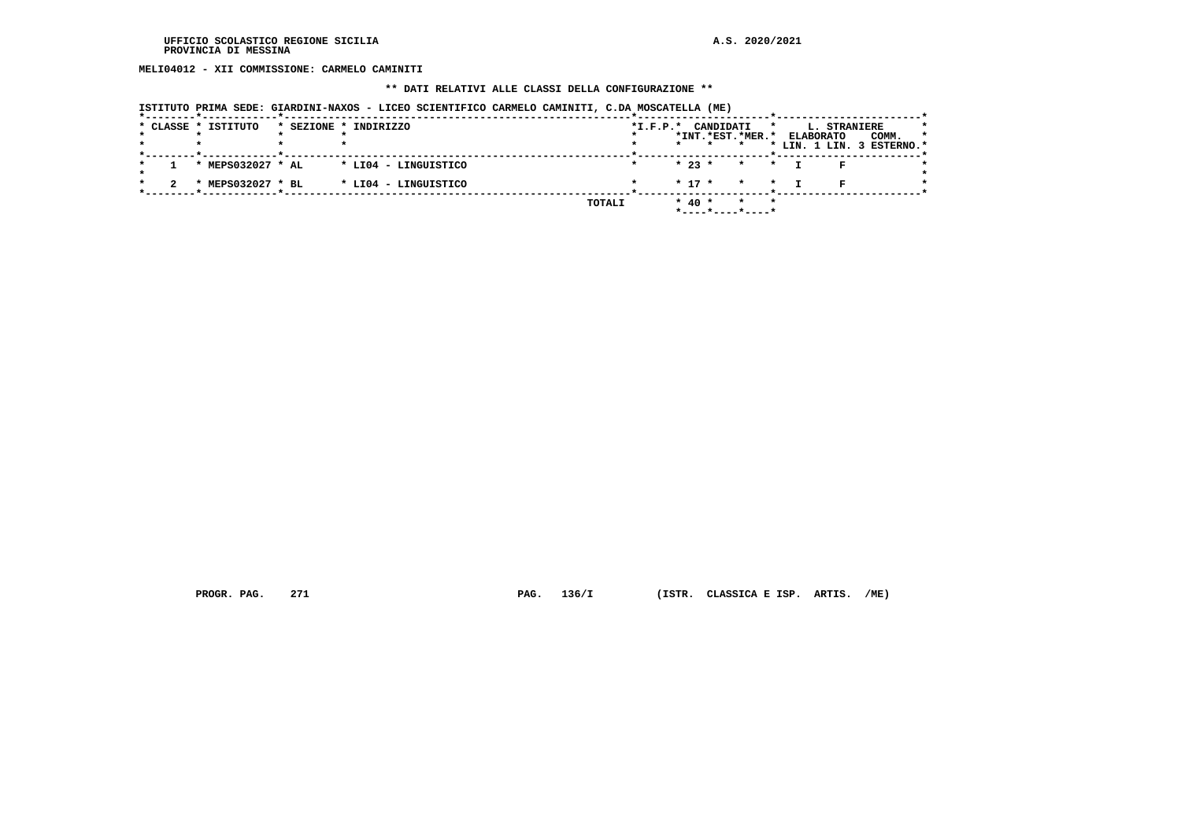**MELI04012 - XII COMMISSIONE: CARMELO CAMINITI**

#### **\*\* DATI RELATIVI ALLE CLASSI DELLA CONFIGURAZIONE \*\***

|  | * CLASSE * ISTITUTO | ISTITUTO PRIMA SEDE: GIARDINI-NAXOS - LICEO SCIENTIFICO CARMELO CAMINITI, C.DA MOSCATELLA (ME)<br>* SEZIONE * INDIRIZZO |        | $*I.F.P.*$ |            | CANDIDATI                   | *       |                  | L. STRANIERE |                                    |
|--|---------------------|-------------------------------------------------------------------------------------------------------------------------|--------|------------|------------|-----------------------------|---------|------------------|--------------|------------------------------------|
|  |                     |                                                                                                                         |        |            |            | *INT.*EST.*MER.*<br>$\star$ |         | <b>ELABORATO</b> |              | COMM.<br>* LIN. 1 LIN. 3 ESTERNO.* |
|  | * MEPS032027 * AL   | * LI04 - LINGUISTICO                                                                                                    |        |            | $* 23 *$   | $\star$                     | $\star$ |                  |              |                                    |
|  | * MEPS032027 * BL   | * LI04 - LINGUISTICO                                                                                                    |        |            | $* 17 *$   | $\star$                     | $\star$ |                  | R            |                                    |
|  |                     |                                                                                                                         | TOTALI |            | $*$ 40 $*$ | $\star$                     | $\star$ |                  |              |                                    |

 **PROGR. PAG. 271 PAG. 136/I (ISTR. CLASSICA E ISP. ARTIS. /ME)**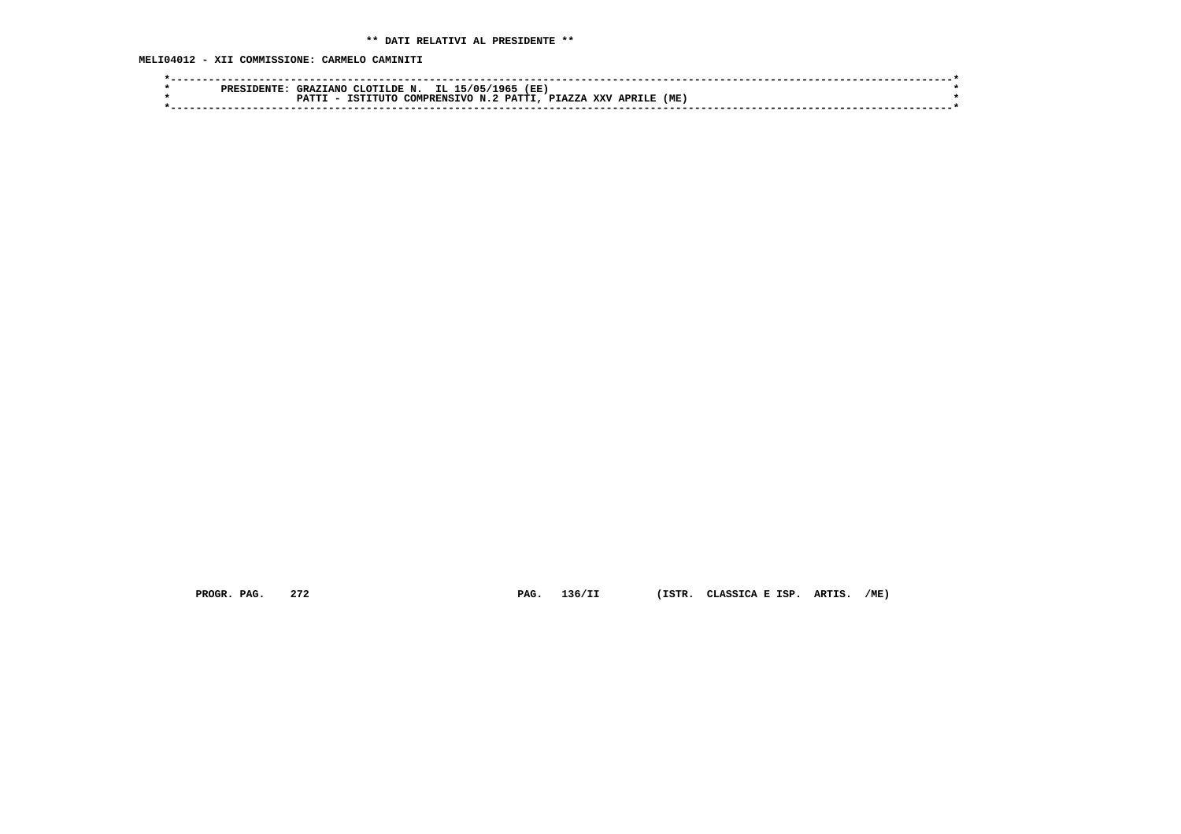**MELI04012 - XII COMMISSIONE: CARMELO CAMINITI**

|  | . TANC<br><b>GRAZ</b> | N.<br>CLOTTLDE          | IL.<br>5/05 | (EE         |                             |        |  |
|--|-----------------------|-------------------------|-------------|-------------|-----------------------------|--------|--|
|  |                       | $T$ $T$ $T$ $T$ $T$ $T$ | N . 2       |             | <b>XXV</b><br><b>APRTT.</b> | ME     |  |
|  |                       |                         |             |             |                             |        |  |
|  | <b>PRES</b>           | ־ידים מ                 | TST         | COMPRENSTVO | 1965<br><b>PATTI</b>        | PTAZZA |  |

 **PROGR. PAG. 272 PAG. 136/II (ISTR. CLASSICA E ISP. ARTIS. /ME)**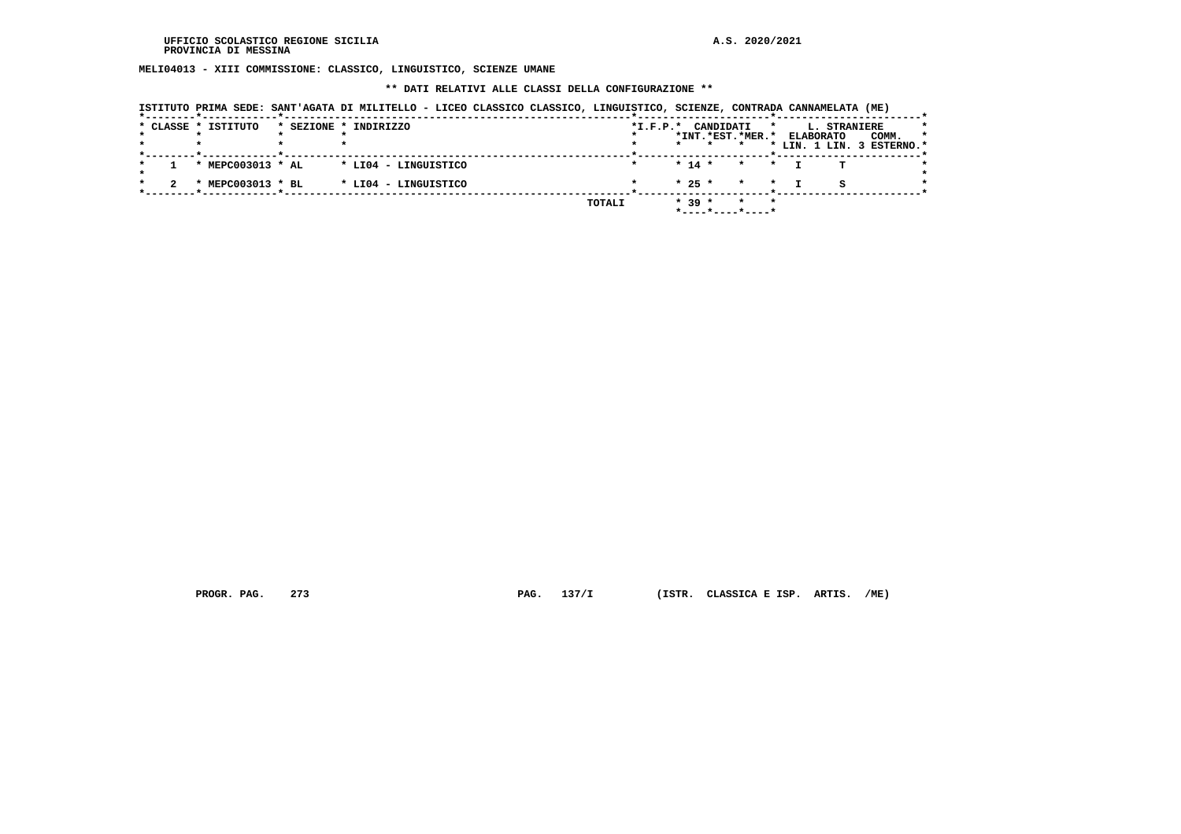**MELI04013 - XIII COMMISSIONE: CLASSICO, LINGUISTICO, SCIENZE UMANE**

 **\*\* DATI RELATIVI ALLE CLASSI DELLA CONFIGURAZIONE \*\***

|  |                     | ISTITUTO PRIMA SEDE: SANT'AGATA DI MILITELLO - LICEO CLASSICO CLASSICO, LINGUISTICO, SCIENZE, CONTRADA CANNAMELATA (ME) |        |                        |          |           |                    |         |                  |                           |         |
|--|---------------------|-------------------------------------------------------------------------------------------------------------------------|--------|------------------------|----------|-----------|--------------------|---------|------------------|---------------------------|---------|
|  | * CLASSE * ISTITUTO | * SEZIONE * INDIRIZZO                                                                                                   |        | $*_{\texttt{I.F.P.}}*$ |          | CANDIDATI |                    | $\star$ | L. STRANIERE     |                           |         |
|  |                     |                                                                                                                         |        |                        |          |           | *INT.*EST.*MER.*   |         | <b>ELABORATO</b> | COMM.                     | $\star$ |
|  |                     |                                                                                                                         |        |                        | $\star$  | $\star$   |                    |         |                  | * LIN. 1 LIN. 3 ESTERNO.* |         |
|  | * MEPC003013 * AL   | * LI04 - LINGUISTICO                                                                                                    |        |                        | $* 14 *$ |           | $\star$            | $\star$ |                  |                           |         |
|  | * MEPC003013 * BL   | * LI04 - LINGUISTICO                                                                                                    |        |                        | $* 25 *$ |           | $\star$<br>$\star$ |         |                  |                           |         |
|  |                     |                                                                                                                         | TOTALI |                        | $* 39 *$ |           | $\star$<br>$\star$ |         |                  |                           |         |

 **PROGR. PAG. 273 PAG. 137/I (ISTR. CLASSICA E ISP. ARTIS. /ME)**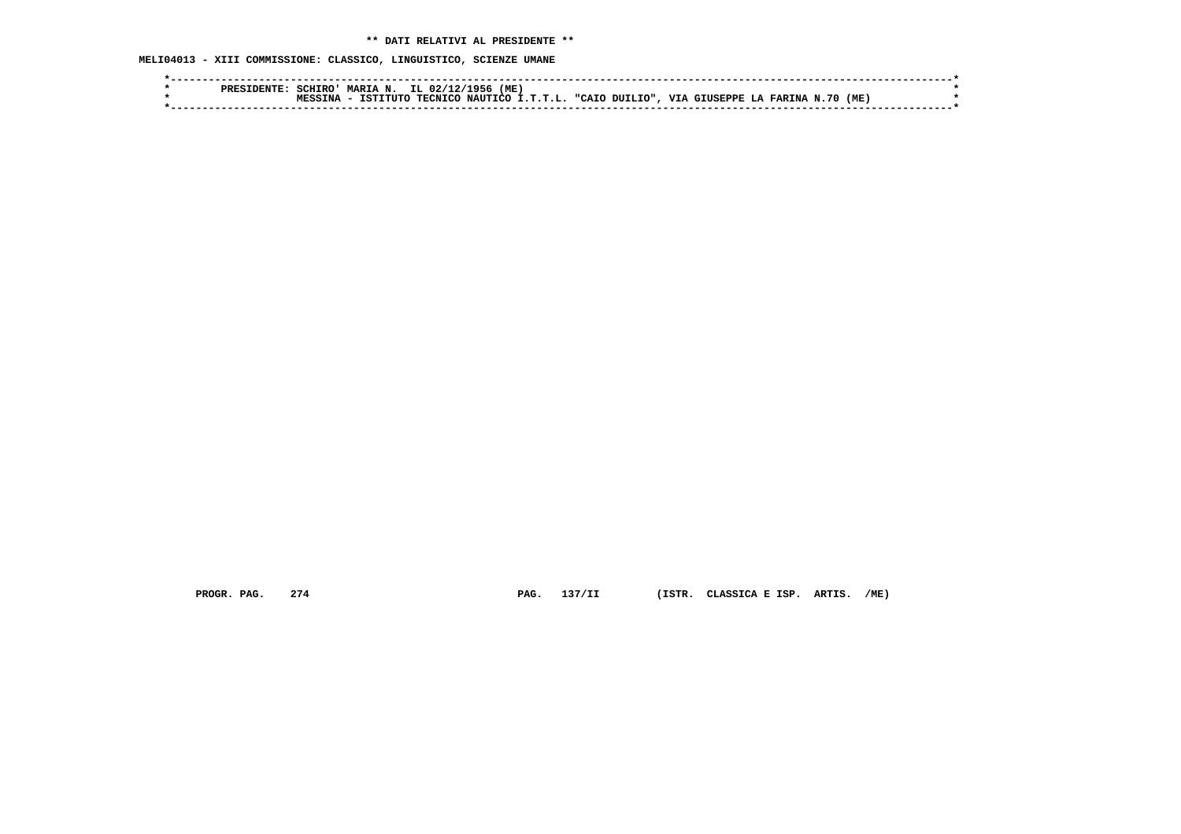**MELI04013 - XIII COMMISSIONE: CLASSICO, LINGUISTICO, SCIENZE UMANE**

| MARIA N. IL 02/12/1956<br>(ME)<br>SCHTRO!                                               |  |
|-----------------------------------------------------------------------------------------|--|
| TECNICO NAUTICO I.T.T.L. "CAIO DUILIO", VIA GIUSEPPE LA FARINA N.70<br>(ME)<br>TSTTTITC |  |
|                                                                                         |  |
|                                                                                         |  |

 **PROGR. PAG. 274 PAG. 137/II (ISTR. CLASSICA E ISP. ARTIS. /ME)**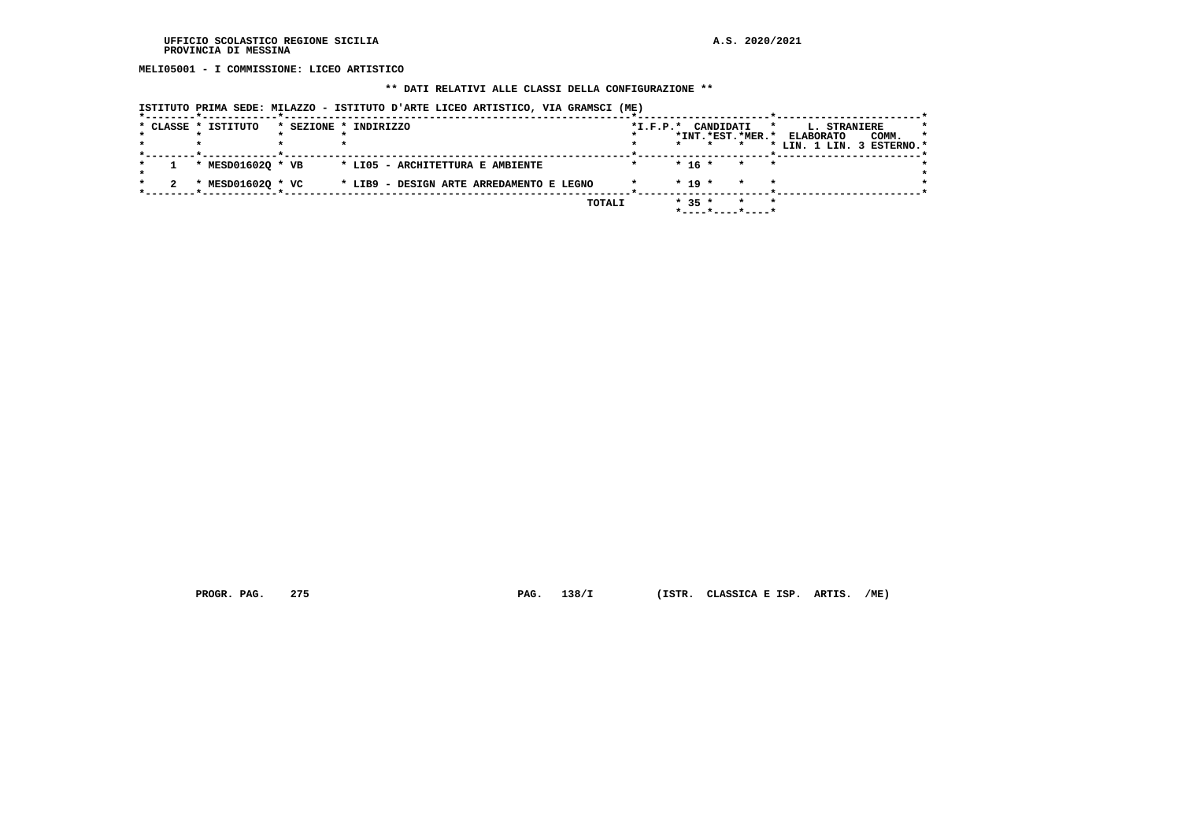**MELI05001 - I COMMISSIONE: LICEO ARTISTICO**

## **\*\* DATI RELATIVI ALLE CLASSI DELLA CONFIGURAZIONE \*\***

| ISTITUTO PRIMA SEDE: MILAZZO - ISTITUTO D'ARTE LICEO ARTISTICO, VIA GRAMSCI (ME) |
|----------------------------------------------------------------------------------|
|----------------------------------------------------------------------------------|

|  | * CLASSE * ISTITUTO | * SEZIONE * INDIRIZZO                    | $*L.F.P.*$ | CANDIDATI                    | $\star$ | L. STRANIERE              | *       |
|--|---------------------|------------------------------------------|------------|------------------------------|---------|---------------------------|---------|
|  |                     |                                          |            | *INT.*EST.*MER.*             |         | COMM.<br><b>ELABORATO</b> | $\star$ |
|  |                     |                                          |            |                              |         | * LIN. 1 LIN. 3 ESTERNO.* |         |
|  | * MESD016020 * VB   | * LIO5 - ARCHITETTURA E AMBIENTE         |            | $* 16 *$<br>$\star$          | $\star$ |                           |         |
|  | * MESD016020 * VC   | * LIB9 - DESIGN ARTE ARREDAMENTO E LEGNO |            | $* 19 *$<br>$\star$          |         |                           |         |
|  |                     | TOTALI                                   |            | $* 35 *$<br>*----*----*----* | $\star$ |                           |         |

 **PROGR. PAG. 275 PAG. 138/I (ISTR. CLASSICA E ISP. ARTIS. /ME)**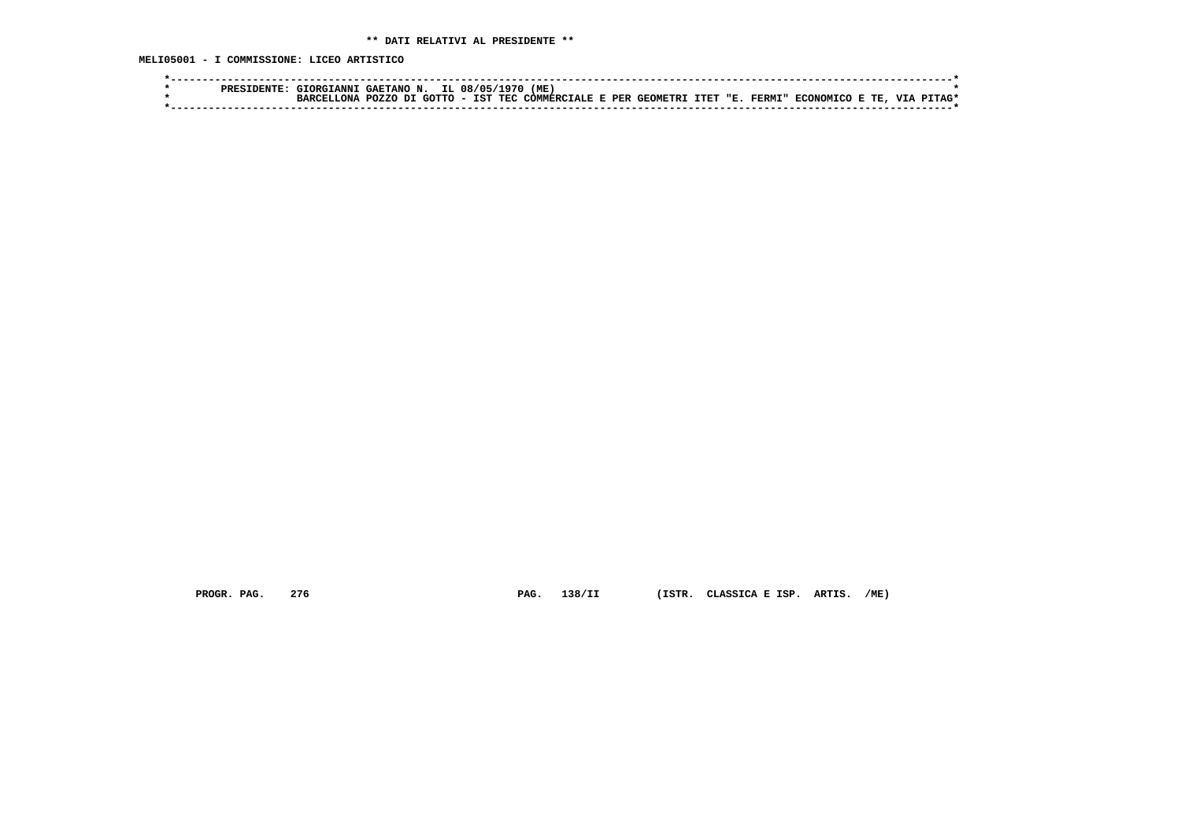**MELI05001 - I COMMISSIONE: LICEO ARTISTICO**

|  | <b>:TANNT</b><br>GTORG. | " GAETANO N. | IL 08/05/1970 | 'ME                                                    |  |  |               |                  |       |            |  |
|--|-------------------------|--------------|---------------|--------------------------------------------------------|--|--|---------------|------------------|-------|------------|--|
|  |                         | <b>POZZO</b> |               | DI GOTTO - IST TEC COMMERCIALE E PER GEOMETRI ITET "E. |  |  | <b>FERMI"</b> | <b>RCONOMICO</b> | E TE. | <b>VTA</b> |  |
|  |                         |              |               |                                                        |  |  |               |                  |       |            |  |

 **PROGR. PAG. 276 PAG. 138/II (ISTR. CLASSICA E ISP. ARTIS. /ME)**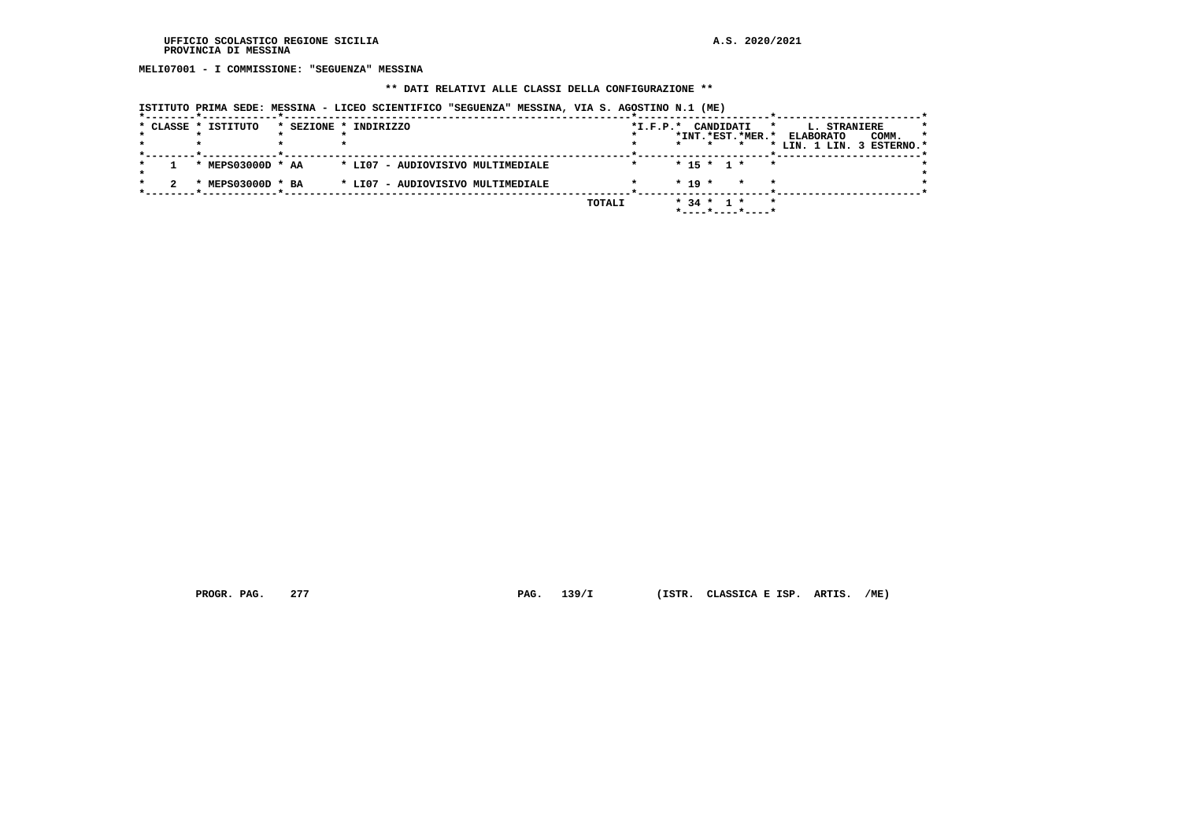**MELI07001 - I COMMISSIONE: "SEGUENZA" MESSINA**

#### **\*\* DATI RELATIVI ALLE CLASSI DELLA CONFIGURAZIONE \*\***

|  | * CLASSE * ISTITUTO          | * SEZIONE * INDIRIZZO             |        | *I.F.P.* CANDIDATI<br>*<br>*INT.*EST.*MER.*                            | <b>L. STRANIERE</b><br>COMM.<br>$\star$<br><b>ELABORATO</b><br>* LIN. 1 LIN. 3 ESTERNO.* |
|--|------------------------------|-----------------------------------|--------|------------------------------------------------------------------------|------------------------------------------------------------------------------------------|
|  | * MEPS03000D * AA            | * LI07 - AUDIOVISIVO MULTIMEDIALE |        | $* 15 * 1 *$<br>$\star$                                                |                                                                                          |
|  | $MEPS03000D * BA$<br>$\cdot$ | * LI07 - AUDIOVISIVO MULTIMEDIALE |        | $*$ 19 $*$<br>$\star$                                                  |                                                                                          |
|  |                              |                                   | TOTALI | $*$ 34 $*$ 1 $*$<br>$\star$<br>$*$ - - - - $*$ - - - - $*$ - - - - $*$ |                                                                                          |

 **ISTITUTO PRIMA SEDE: MESSINA - LICEO SCIENTIFICO "SEGUENZA" MESSINA, VIA S. AGOSTINO N.1 (ME)**

 **PROGR. PAG. 277 PAG. 139/I (ISTR. CLASSICA E ISP. ARTIS. /ME)**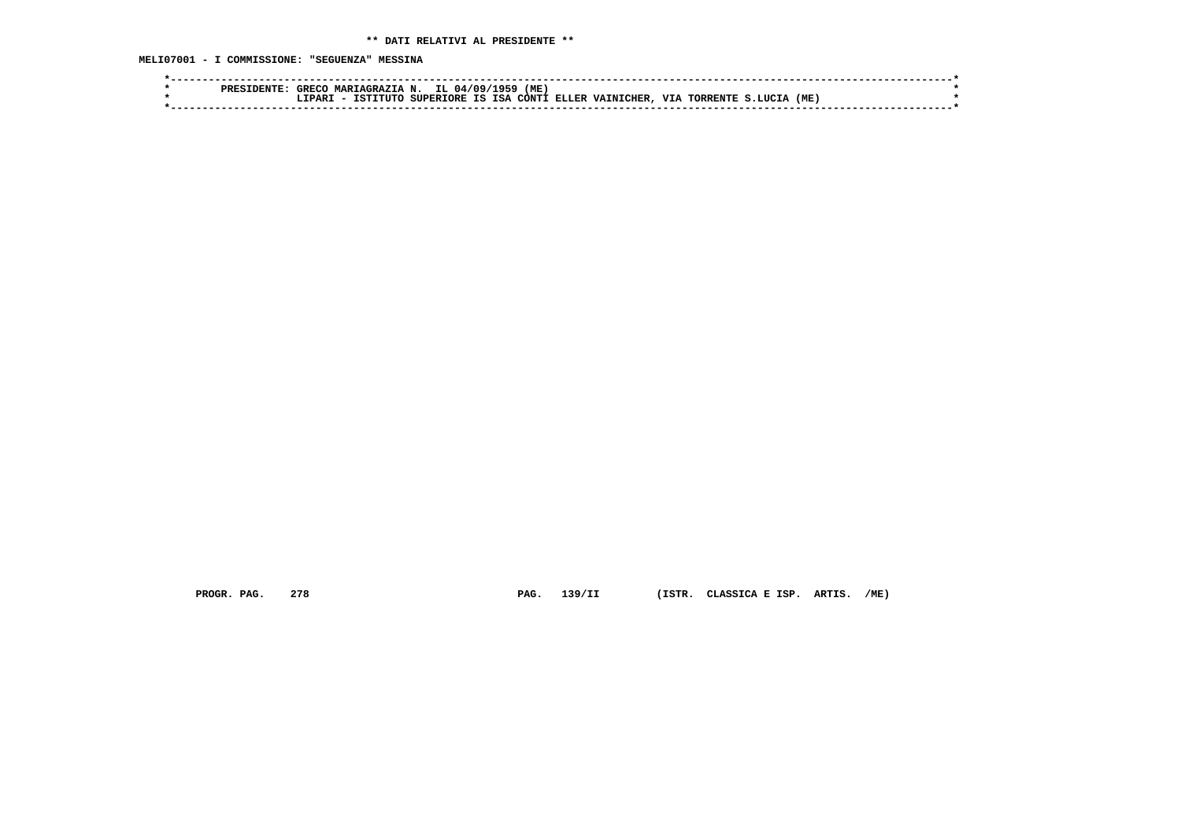**MELI07001 - I COMMISSIONE: "SEGUENZA" MESSINA**

| PRE. | GRECC   | <b>MART</b><br>2 A Z T A<br>סב אי |        | <u>, na</u><br>n.  | 'ME<br>959 |       |                  |            |             |      |  |
|------|---------|-----------------------------------|--------|--------------------|------------|-------|------------------|------------|-------------|------|--|
|      | ־סגס ה- |                                   | 'ספסזז | TSA<br>ΤS<br>TORE. | וידעררי    | ELLER | <b>VAINICHER</b> | <b>TTT</b> | חידות ססמיד | (ME) |  |
|      |         |                                   |        |                    |            |       |                  |            |             |      |  |
|      |         |                                   |        |                    |            |       |                  |            |             |      |  |

 **PROGR. PAG. 278 PAG. 139/II (ISTR. CLASSICA E ISP. ARTIS. /ME)**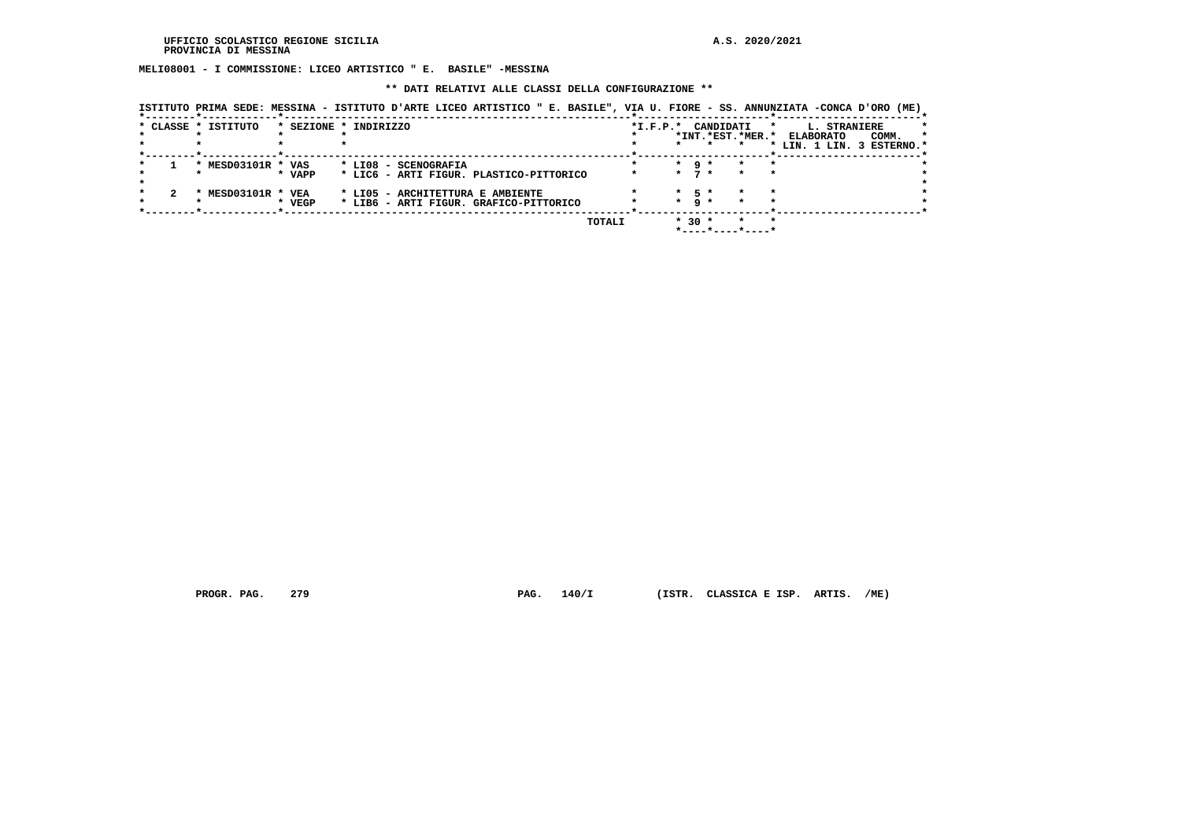**MELI08001 - I COMMISSIONE: LICEO ARTISTICO " E. BASILE" -MESSINA**

 **\*\* DATI RELATIVI ALLE CLASSI DELLA CONFIGURAZIONE \*\***

 **ISTITUTO PRIMA SEDE: MESSINA - ISTITUTO D'ARTE LICEO ARTISTICO " E. BASILE", VIA U. FIORE - SS. ANNUNZIATA -CONCA D'ORO (ME)**

|  | * CLASSE * ISTITUTO |        | * SEZIONE * INDIRIZZO                   | $*I.F.P.*$ |         | CANDIDATI       |                    | L. STRANIERE<br>*<br><b>ELABORATO</b> |  |
|--|---------------------|--------|-----------------------------------------|------------|---------|-----------------|--------------------|---------------------------------------|--|
|  |                     |        |                                         |            |         |                 | *INT.*EST.*MER.*   | COMM.                                 |  |
|  |                     |        |                                         |            |         |                 |                    | * LIN. 1 LIN. 3 ESTERNO.*             |  |
|  |                     |        |                                         |            |         |                 |                    |                                       |  |
|  |                     |        |                                         |            |         |                 |                    |                                       |  |
|  | MESD03101R * VAS    |        | * LI08 - SCENOGRAFIA                    |            | $\star$ | -9 *            |                    |                                       |  |
|  |                     | * VAPP | * LIC6 - ARTI FIGUR, PLASTICO-PITTORICO |            | $\star$ |                 | $\star$<br>$\star$ |                                       |  |
|  |                     |        |                                         |            |         |                 |                    |                                       |  |
|  |                     |        |                                         |            |         |                 |                    |                                       |  |
|  | MESD03101R * VEA    |        | * LIO5 - ARCHITETTURA E AMBIENTE        |            | $\star$ | - 53            |                    |                                       |  |
|  |                     | * VEGP | * LIB6 - ARTI FIGUR. GRAFICO-PITTORICO  |            | $\star$ | $\circ$ $\star$ | *                  |                                       |  |
|  |                     |        |                                         |            |         |                 |                    |                                       |  |
|  |                     |        |                                         |            |         |                 |                    |                                       |  |
|  |                     |        | TOTALI                                  |            | $*30 *$ |                 |                    |                                       |  |
|  |                     |        |                                         |            |         |                 |                    |                                       |  |
|  |                     |        |                                         |            |         |                 |                    |                                       |  |

 **PROGR. PAG. 279 PAG. 140/I (ISTR. CLASSICA E ISP. ARTIS. /ME)**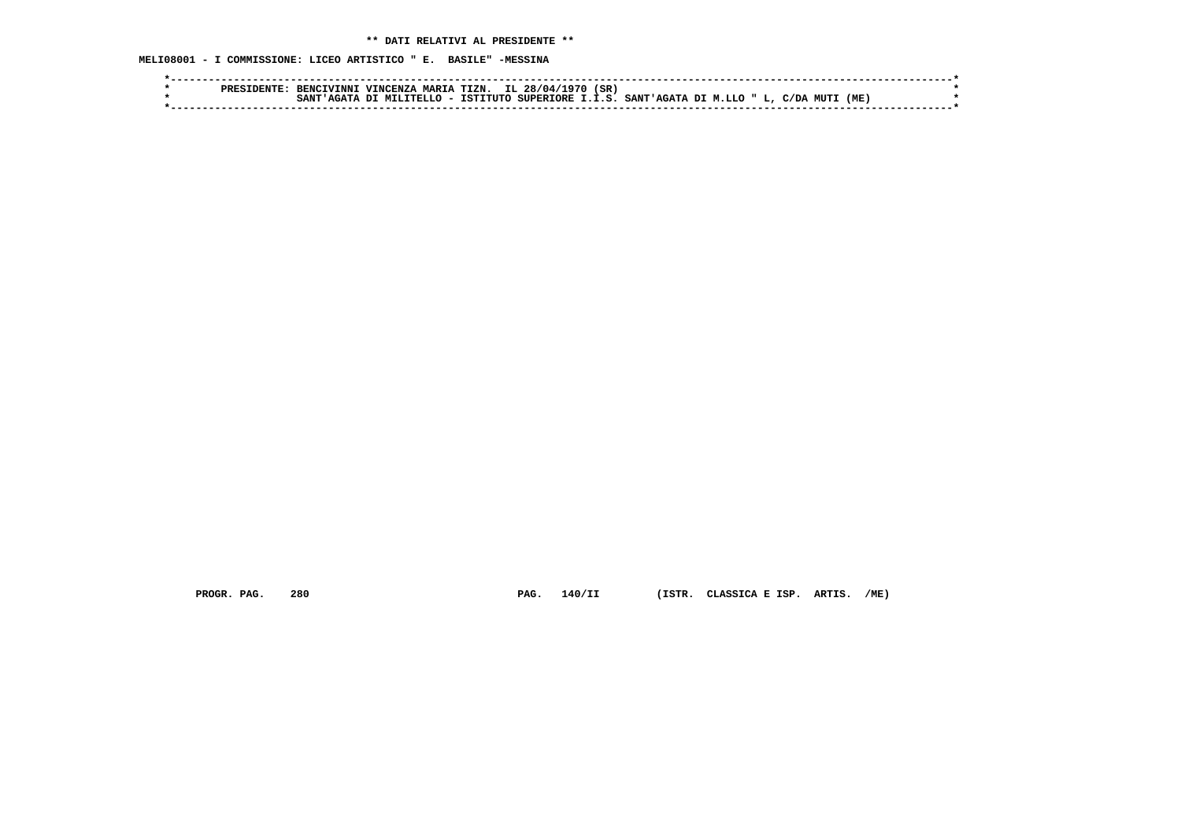**MELI08001 - I COMMISSIONE: LICEO ARTISTICO " E. BASILE" -MESSINA**

|  | ומספ<br>'TNN'    | VINCENZA       | MAPTA | TTZN. | IL 28/04/1970 | (SR |                                                                |  |     |  |
|--|------------------|----------------|-------|-------|---------------|-----|----------------------------------------------------------------|--|-----|--|
|  | SANT<br>מד בה בי | A DI MILITELLO |       |       |               |     | - ISTITUTO SUPERIORE I.I.S. SANT'AGATA DI M.LLO " L, C/DA MUTI |  | (ME |  |
|  |                  |                |       |       |               |     |                                                                |  |     |  |

 **PROGR. PAG. 280 PAG. 140/II (ISTR. CLASSICA E ISP. ARTIS. /ME)**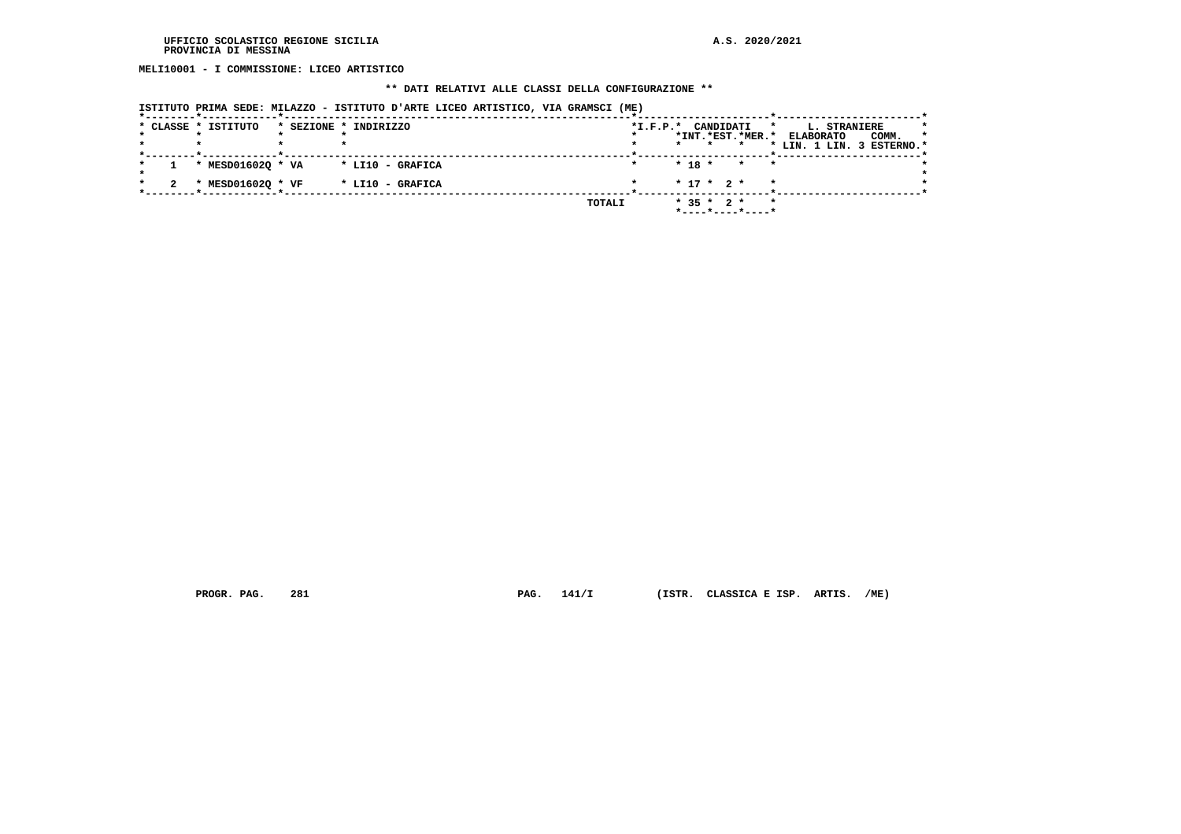**MELI10001 - I COMMISSIONE: LICEO ARTISTICO**

#### **\*\* DATI RELATIVI ALLE CLASSI DELLA CONFIGURAZIONE \*\***

|  |                     | ISTITUTO PRIMA SEDE: MILAZZO - ISTITUTO D'ARTE LICEO ARTISTICO, VIA GRAMSCI (ME) |  |            |                                                     |              |                                                                      |                  |
|--|---------------------|----------------------------------------------------------------------------------|--|------------|-----------------------------------------------------|--------------|----------------------------------------------------------------------|------------------|
|  | * CLASSE * ISTITUTO | * SEZIONE * INDIRIZZO                                                            |  | $*I.F.P.*$ | CANDIDATI<br>*INT.*EST.*MER.*<br>$\star$<br>$\star$ | $\star$      | <b>L. STRANIERE</b><br><b>ELABORATO</b><br>* LIN. 1 LIN. 3 ESTERNO.* | $\star$<br>COMM. |
|  | * MESD01602Q * VA   | * LI10 - GRAFICA                                                                 |  |            | $* 18 * * *$                                        | $\mathbf{r}$ |                                                                      |                  |
|  | * MESD01602Q * VF   | * LI10 - GRAFICA                                                                 |  |            | $* 17 * 2 *$                                        |              |                                                                      |                  |
|  |                     |                                                                                  |  | TOTALI     | $*$ 35 $*$ 2 $*$<br>*----*----*----*                | $\star$      |                                                                      |                  |

 **PROGR. PAG. 281 PAG. 141/I (ISTR. CLASSICA E ISP. ARTIS. /ME)**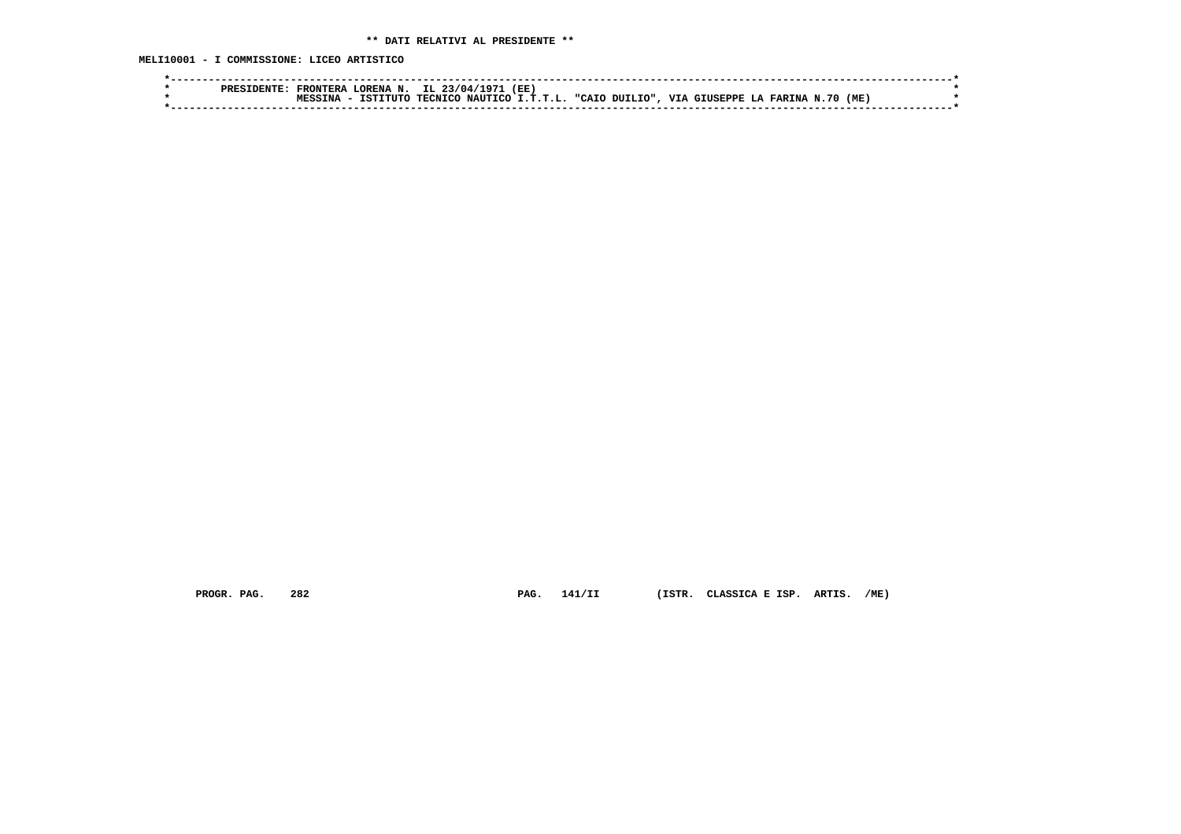**MELI10001 - I COMMISSIONE: LICEO ARTISTICO**

|  | <b>FRONTERA</b> | LORENA N. IL 23/04/1971 (EE) |  |                                                                               |  |  |  |  |  |
|--|-----------------|------------------------------|--|-------------------------------------------------------------------------------|--|--|--|--|--|
|  |                 | TSTTTITO                     |  | (ME) TECNICO NAUTICO I.T.T.L. "CAIO DUILIO", VIA GIUSEPPE LA FARINA N.70 (ME) |  |  |  |  |  |
|  |                 |                              |  |                                                                               |  |  |  |  |  |

 **PROGR. PAG. 282 PAG. 141/II (ISTR. CLASSICA E ISP. ARTIS. /ME)**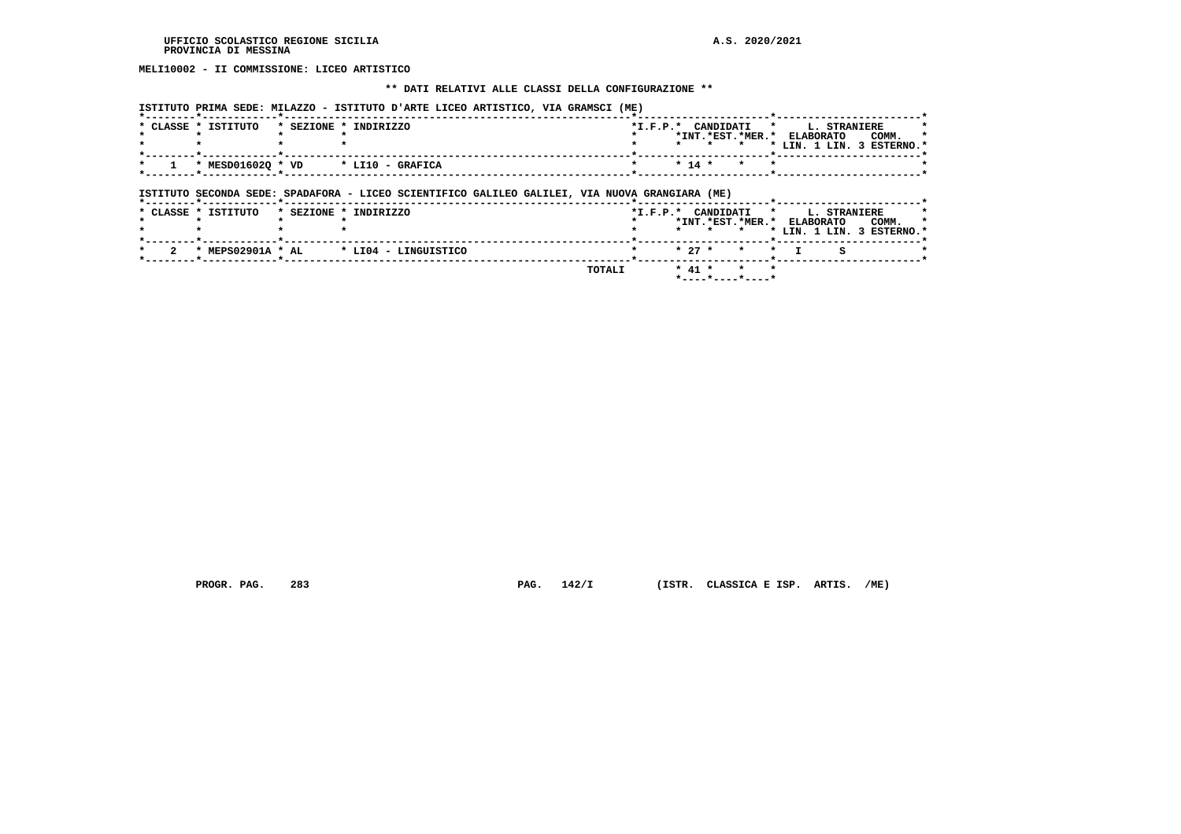# **MELI10002 - II COMMISSIONE: LICEO ARTISTICO**

## **\*\* DATI RELATIVI ALLE CLASSI DELLA CONFIGURAZIONE \*\***

| * CLASSE * ISTITUTO | * SEZIONE * INDIRIZZO                                                                                                   |  |         |          | *I.F.P.* CANDIDATI<br>$\star$ | $\mathbf{r}$ | *INT.*EST.*MER.* ELABORATO | L. STRANIERE | COMM.<br>* LIN. 1 LIN. 3 ESTERNO.* |
|---------------------|-------------------------------------------------------------------------------------------------------------------------|--|---------|----------|-------------------------------|--------------|----------------------------|--------------|------------------------------------|
| * MESD016020 * VD   | * LI10 - GRAFICA                                                                                                        |  |         | $* 14 *$ | $\star$                       |              |                            |              |                                    |
|                     |                                                                                                                         |  |         |          |                               |              |                            |              |                                    |
| * CLASSE * ISTITUTO | ISTITUTO SECONDA SEDE: SPADAFORA - LICEO SCIENTIFICO GALILEO GALILEI, VIA NUOVA GRANGIARA (ME)<br>* SEZIONE * INDIRIZZO |  |         |          | *I.F.P.* CANDIDATI            | $\star$      |                            | L. STRANIERE |                                    |
|                     |                                                                                                                         |  | $\star$ | $\star$  | $\star$                       |              | *INT.*EST.*MER.* ELABORATO |              | COMM.<br>* LIN. 1 LIN. 3 ESTERNO.* |
| * MEPS02901A * AL   | * LI04 - LINGUISTICO                                                                                                    |  |         | $* 27 *$ | $\star$                       | $\star$      |                            | s            |                                    |

 **PROGR. PAG. 283 PAG. 142/I (ISTR. CLASSICA E ISP. ARTIS. /ME)**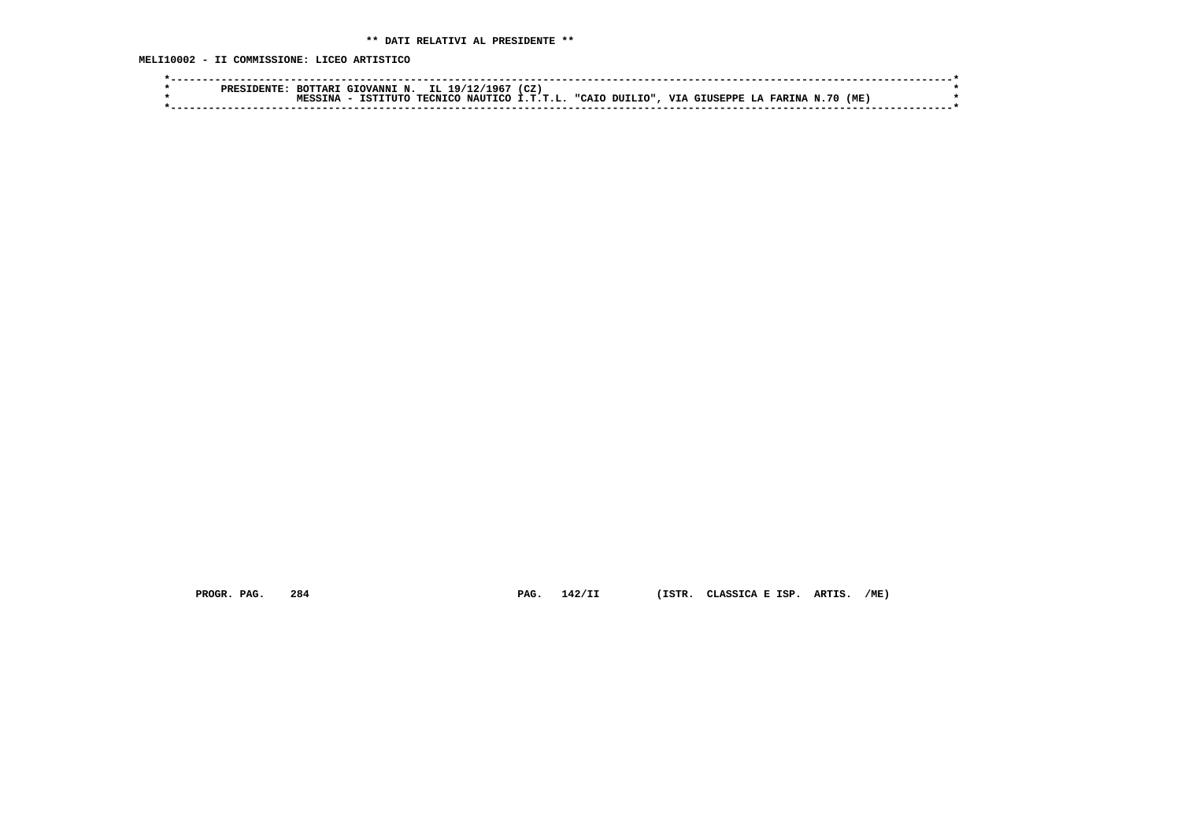**MELI10002 - II COMMISSIONE: LICEO ARTISTICO**

| opre | יתמידי<br>יחוד | GTOVANNT N. | TT. 19/1       | CZ.<br>967ء      |                             |                        |                      |     |
|------|----------------|-------------|----------------|------------------|-----------------------------|------------------------|----------------------|-----|
|      |                | TTITT       | <b>TECNTCO</b> | NAUTICO I.T.T.L. | <b>MITLTO"</b><br>חד ביז יי | <b>TTT</b><br>GTUSEPPE | <b>FARINA</b><br>-70 | 'ME |
|      |                |             |                |                  |                             |                        |                      |     |

 **PROGR. PAG. 284 PAG. 142/II (ISTR. CLASSICA E ISP. ARTIS. /ME)**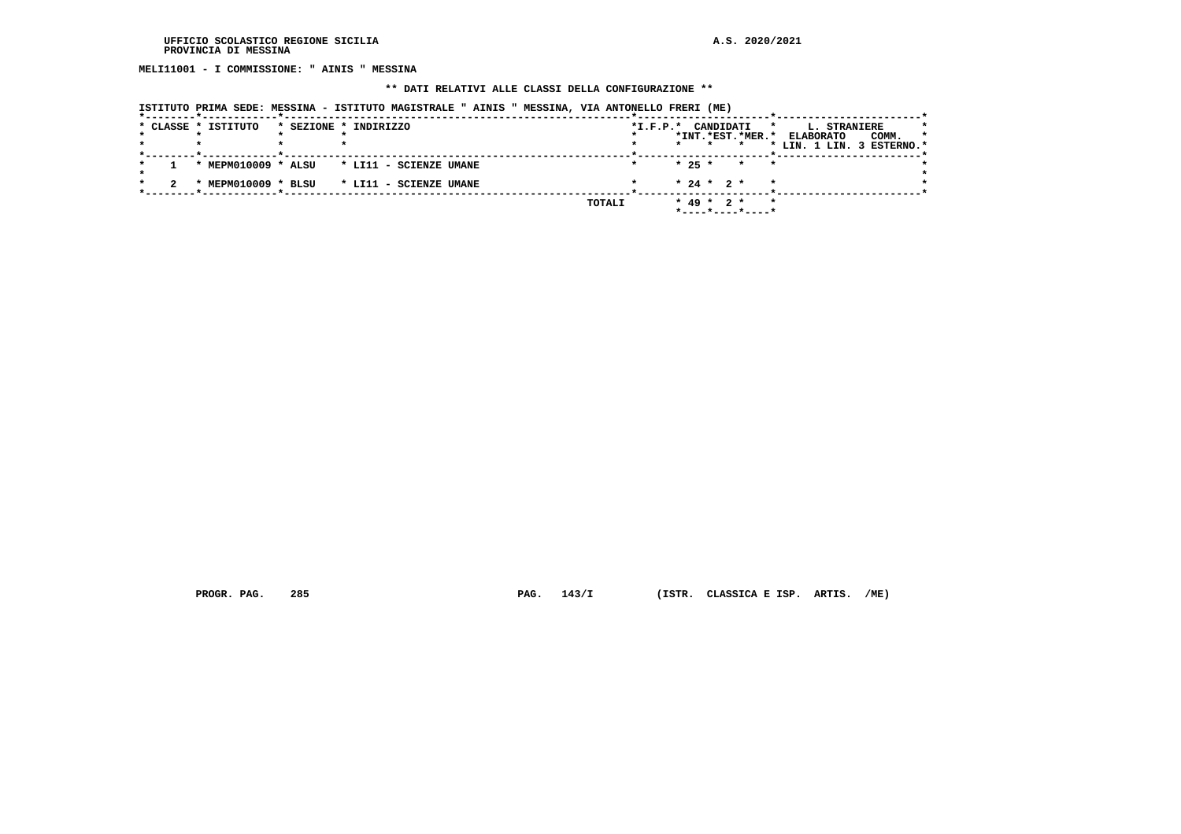**MELI11001 - I COMMISSIONE: " AINIS " MESSINA**

#### **\*\* DATI RELATIVI ALLE CLASSI DELLA CONFIGURAZIONE \*\***

 **ISTITUTO PRIMA SEDE: MESSINA - ISTITUTO MAGISTRALE " AINIS " MESSINA, VIA ANTONELLO FRERI (ME)**

|  | * CLASSE * ISTITUTO | * SEZIONE * INDIRIZZO  | $*I.F.P.*$ | CANDIDATI<br>$\star$<br>*INT.*EST.*MER.*    | L. STRANIERE<br>COMM.<br>$\star$<br><b>ELABORATO</b> |
|--|---------------------|------------------------|------------|---------------------------------------------|------------------------------------------------------|
|  |                     |                        |            | $\star$                                     | * LIN. 1 LIN. 3 ESTERNO.*                            |
|  | * MEPM010009 * ALSU | * LI11 - SCIENZE UMANE |            | $* 25 *$<br>$\star$<br>$\star$              |                                                      |
|  | MEPM010009 * BLSU   | * LI11 - SCIENZE UMANE |            | $* 24 * 2 *$<br>$\star$                     |                                                      |
|  |                     |                        | TOTALI     | $* 49 * 2 *$<br>$\star$<br>*----*----*----* |                                                      |

 **PROGR. PAG. 285 PAG. 143/I (ISTR. CLASSICA E ISP. ARTIS. /ME)**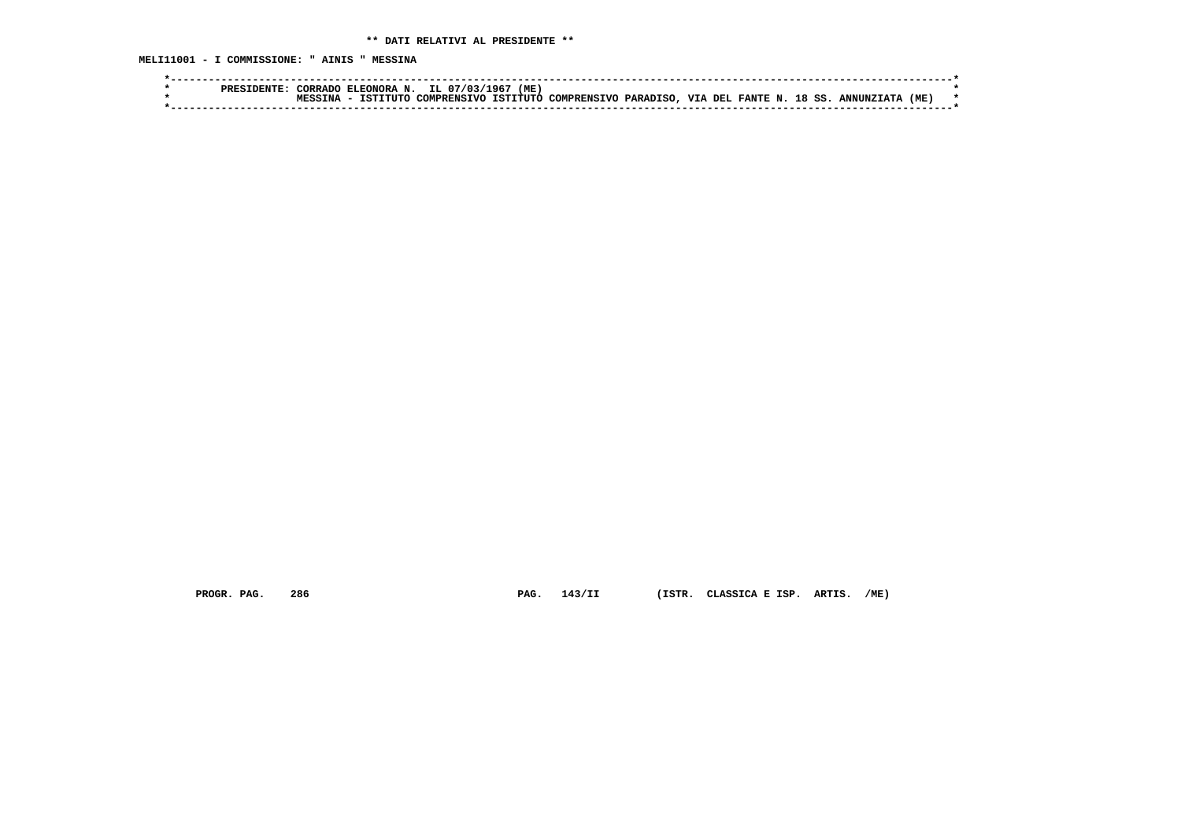**MELI11001 - I COMMISSIONE: " AINIS " MESSINA**

| (ME.<br>ELEONORA N. IL 07/03/1967<br><b>TORRADO</b>                                                    |     |  |
|--------------------------------------------------------------------------------------------------------|-----|--|
| COMPRENSIVO PARADISO, VIA DEL FANTE N. 18 SS.<br>COMPRENSTVO ISTITUTO<br>TSTITUTC<br><b>ANNINZTATA</b> | 'ME |  |
|                                                                                                        |     |  |

 **PROGR. PAG. 286 PAG. 143/II (ISTR. CLASSICA E ISP. ARTIS. /ME)**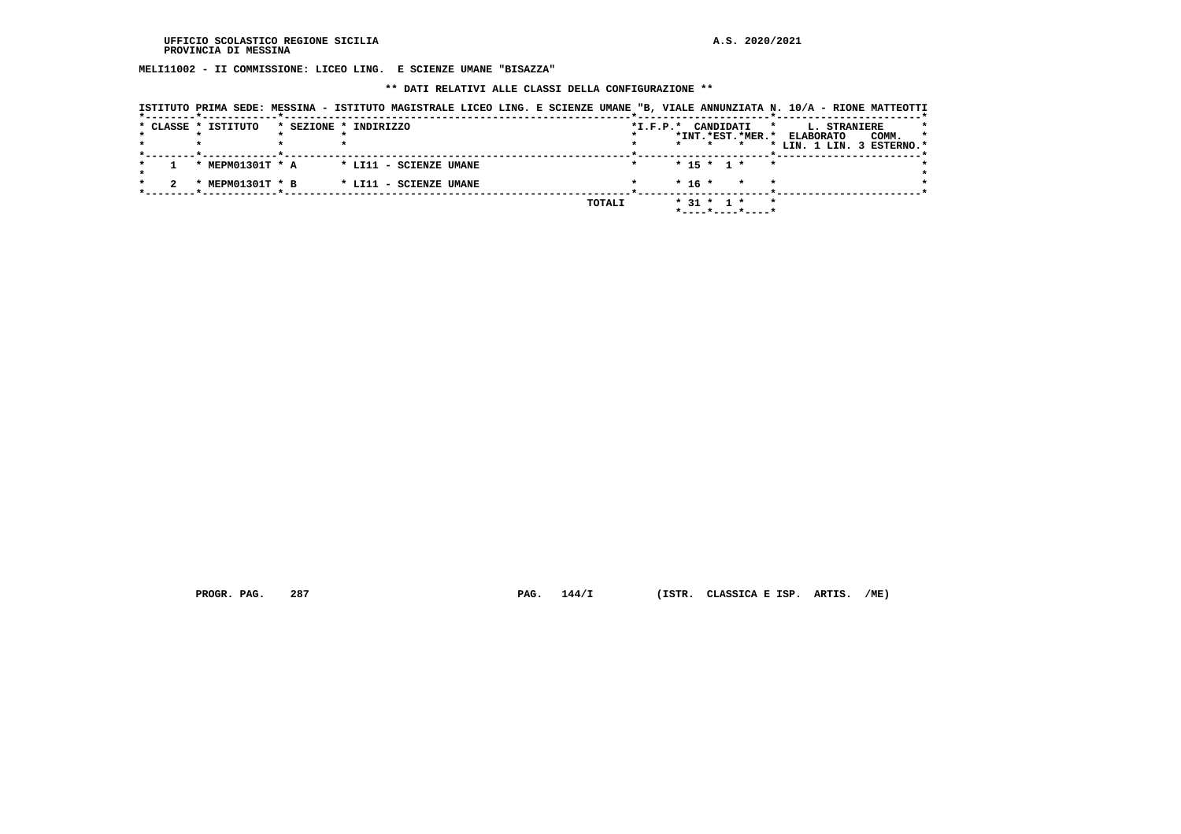**MELI11002 - II COMMISSIONE: LICEO LING. E SCIENZE UMANE "BISAZZA"**

#### **\*\* DATI RELATIVI ALLE CLASSI DELLA CONFIGURAZIONE \*\***

| ISTITUTO PRIMA SEDE: MESSINA - ISTITUTO MAGISTRALE LICEO LING. E SCIENZE UMANE "B, VIALE ANNUNZIATA N. 10/A - RIONE MATTEOTTI<br>* CLASSE * ISTITUTO | * SEZIONE * INDIRIZZO |                        |  |        | $*$ I.F.P. $*$ |                  | CANDIDATI    | *INT.*EST.*MER.*                  | *       | L. STRANIERE<br><b>ELABORATO</b><br>* LIN. 1 LIN. 3 ESTERNO.* | COMM. | $\star$ |
|------------------------------------------------------------------------------------------------------------------------------------------------------|-----------------------|------------------------|--|--------|----------------|------------------|--------------|-----------------------------------|---------|---------------------------------------------------------------|-------|---------|
| * MEPM01301T * A                                                                                                                                     |                       | * LI11 - SCIENZE UMANE |  |        |                |                  | $* 15 * 1 *$ | *                                 |         |                                                               |       |         |
| MEPM01301T * B<br>$\star$                                                                                                                            |                       | * LI11 - SCIENZE UMANE |  |        |                | $* 16 *$         |              | $\star$                           |         |                                                               |       |         |
|                                                                                                                                                      |                       |                        |  | TOTALI |                | $*$ 31 $*$ 1 $*$ |              | $*$ - - - - * - - - - * - - - - * | $\star$ |                                                               |       |         |

 **PROGR. PAG. 287 PAG. 144/I (ISTR. CLASSICA E ISP. ARTIS. /ME)**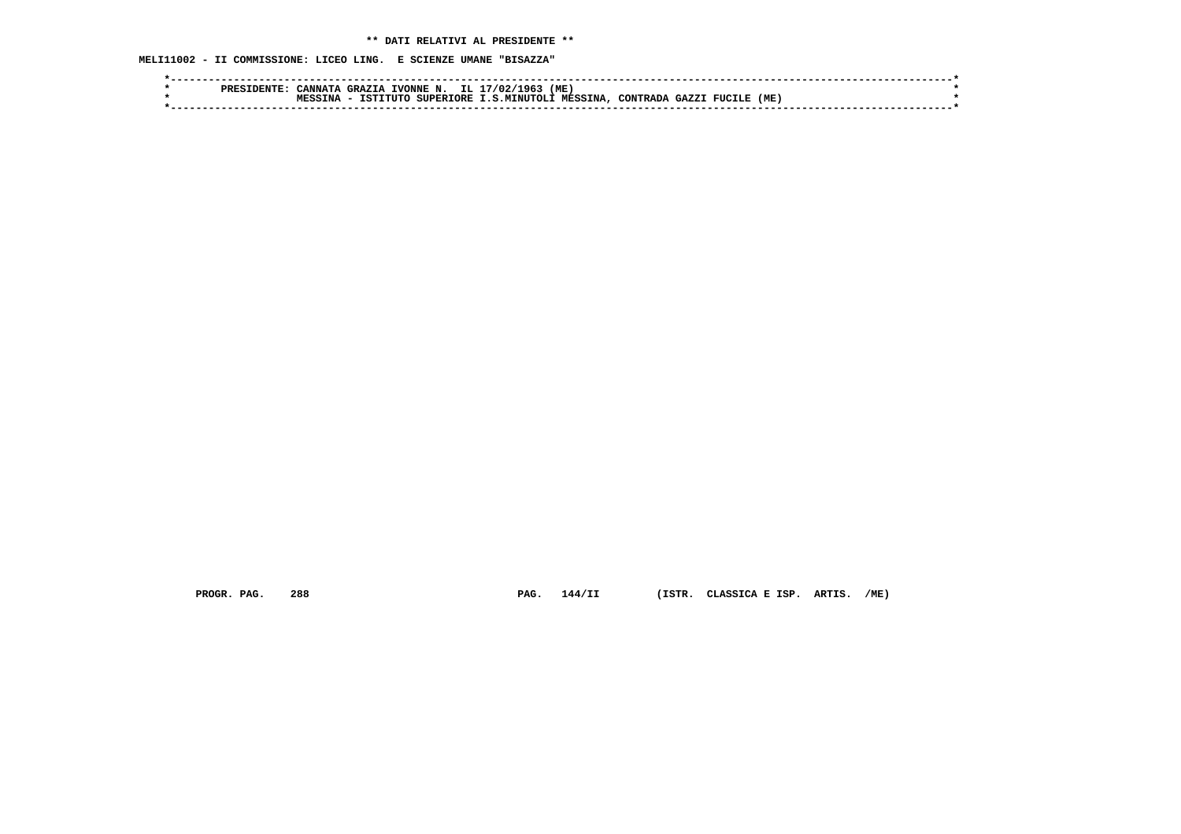**MELI11002 - II COMMISSIONE: LICEO LING. E SCIENZE UMANE "BISAZZA"**

| IL.<br>(ME<br>17/02/1963<br>GRAZTA<br>TVONNE N.<br><u>'</u> ANNATA<br><b>PREF</b>                                         |  |
|---------------------------------------------------------------------------------------------------------------------------|--|
| (ME<br><b>MESSINA</b><br>TNA<br><b>SUPERTORE</b><br>TCTT.<br><b>T.S.MTNUTOLI</b><br>CONTRADA<br>∩ידזידי<br>CAYZ<br>FUCILE |  |
|                                                                                                                           |  |
|                                                                                                                           |  |

 **PROGR. PAG. 288 PAG. 144/II (ISTR. CLASSICA E ISP. ARTIS. /ME)**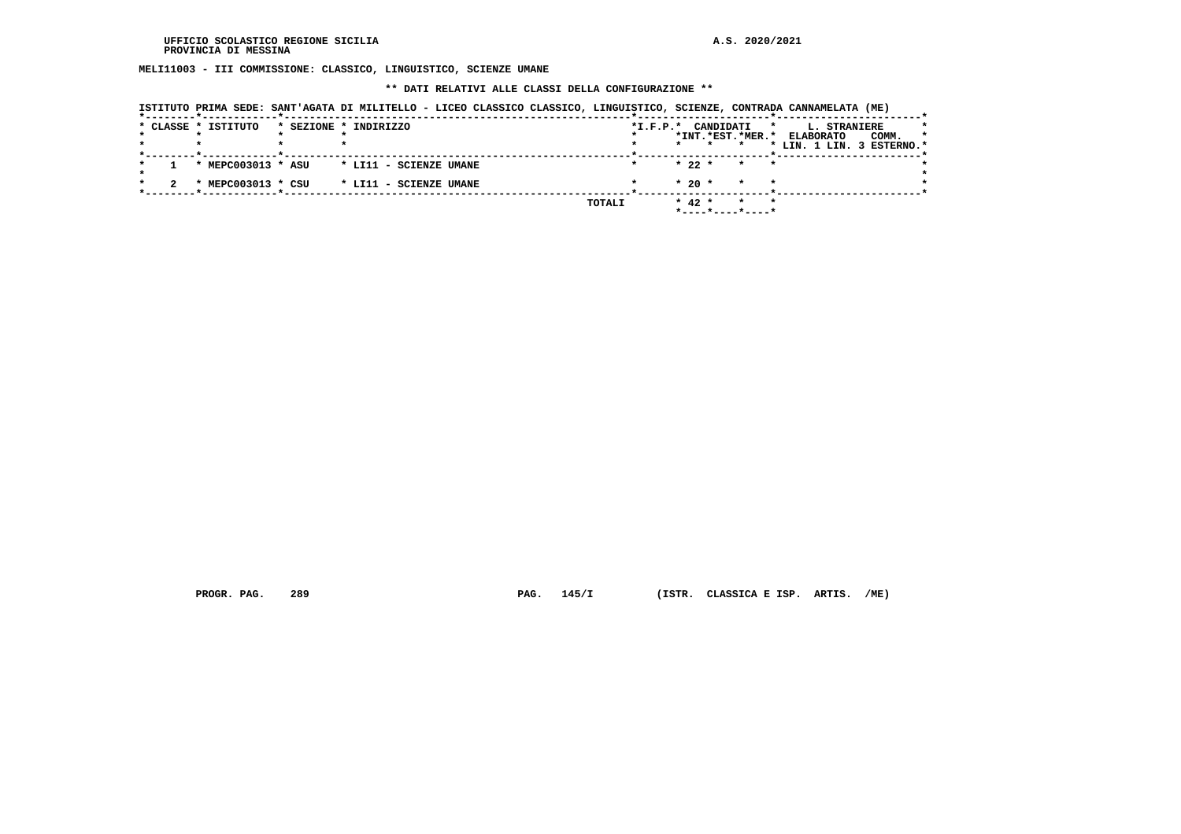**MELI11003 - III COMMISSIONE: CLASSICO, LINGUISTICO, SCIENZE UMANE**

## **\*\* DATI RELATIVI ALLE CLASSI DELLA CONFIGURAZIONE \*\***

| ISTITUTO PRIMA SEDE: SANT'AGATA DI MILITELLO - LICEO CLASSICO CLASSICO, LINGUISTICO, SCIENZE, CONTRADA CANNAMELATA (ME) |  |  |  |  |  |  |
|-------------------------------------------------------------------------------------------------------------------------|--|--|--|--|--|--|
|-------------------------------------------------------------------------------------------------------------------------|--|--|--|--|--|--|

|  | * CLASSE * ISTITUTO | * SEZIONE * INDIRIZZO  |        | $*I.F.P.*$ |            | CANDIDATI |                    | L. STRANIERE<br>*         |       |         |
|--|---------------------|------------------------|--------|------------|------------|-----------|--------------------|---------------------------|-------|---------|
|  |                     |                        |        |            |            |           | *INT.*EST.*MER.*   | <b>ELABORATO</b>          | COMM. | $\star$ |
|  |                     |                        |        |            |            |           |                    | * LIN. 1 LIN. 3 ESTERNO.* |       |         |
|  | * MEPC003013 * ASU  | * LI11 - SCIENZE UMANE |        |            | $* 22 *$   |           | $\star$<br>$\star$ |                           |       |         |
|  | * MEPC003013 * CSU  | * LI11 - SCIENZE UMANE |        |            | $*20$ *    |           | $\star$<br>$\star$ |                           |       |         |
|  |                     |                        | TOTALI |            | $*$ 42 $*$ |           | $\star$<br>$\star$ |                           |       |         |

 **PROGR. PAG. 289 PAG. 145/I (ISTR. CLASSICA E ISP. ARTIS. /ME)**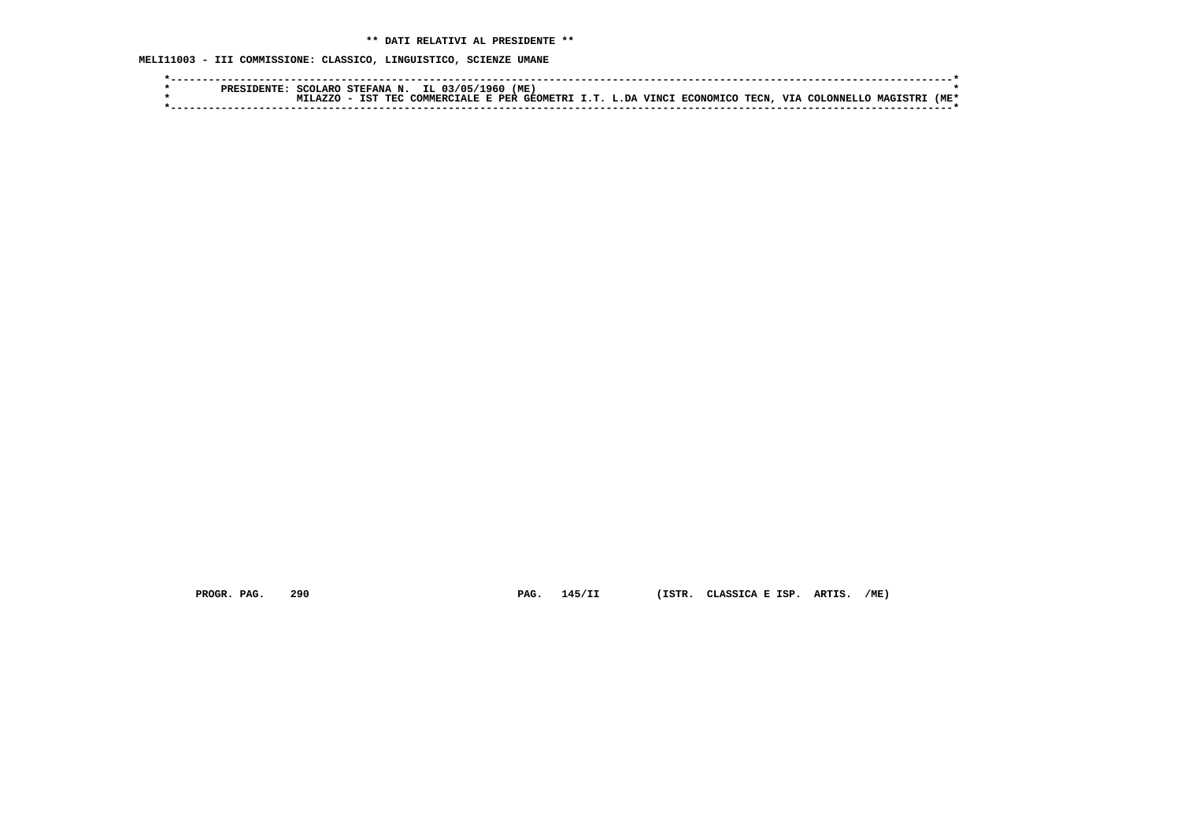**MELI11003 - III COMMISSIONE: CLASSICO, LINGUISTICO, SCIENZE UMANE**

|  | SCOLARO | STEFANA N.        | IL 03/05<br>1960.                          | (ME) |  |                          |       |                   |                |      |
|--|---------|-------------------|--------------------------------------------|------|--|--------------------------|-------|-------------------|----------------|------|
|  |         | IST<br><b>TEC</b> | COMMERCIALE E PER GEOMETRI I.T. L.DA VINCI |      |  | . FCONOMICO <sup>-</sup> | TECN. | VIA<br>- COLONNEL | <b>MACTSTR</b> | (ME) |
|  |         |                   |                                            |      |  |                          |       |                   |                |      |

 **PROGR. PAG. 290 PAG. 145/II (ISTR. CLASSICA E ISP. ARTIS. /ME)**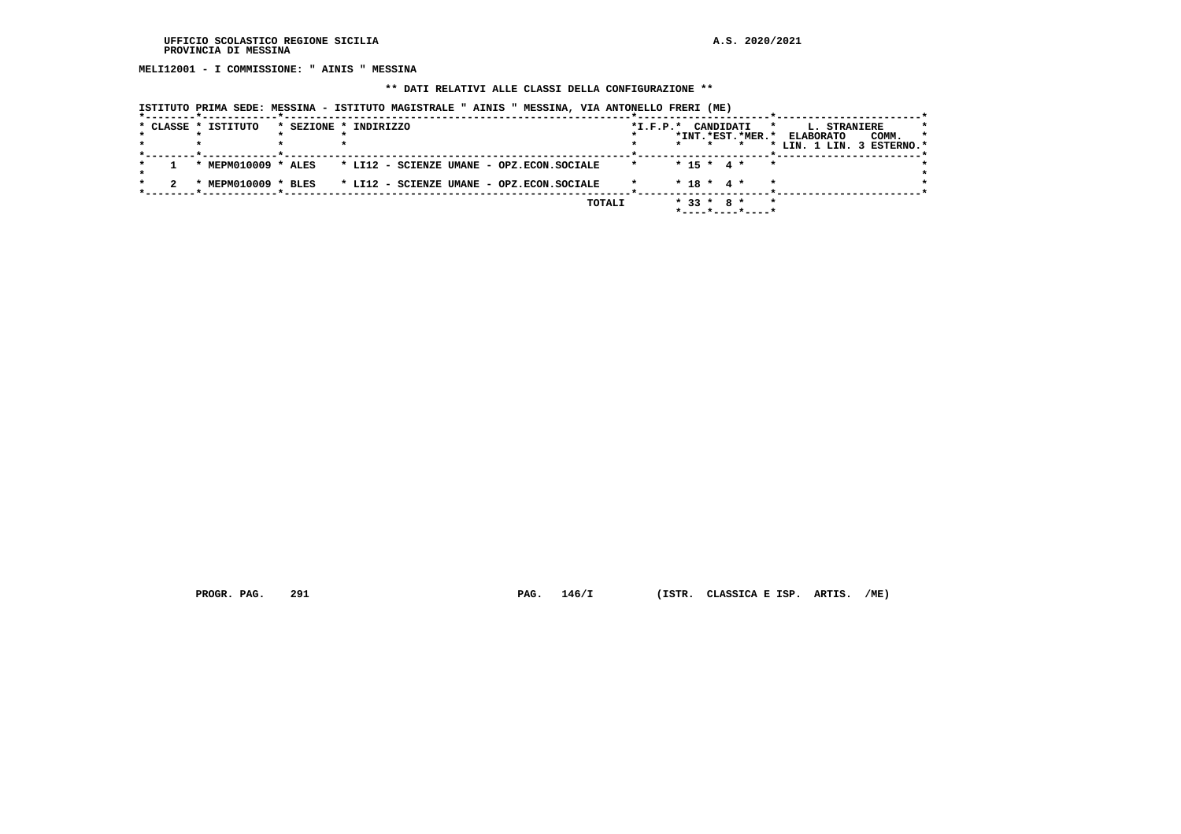**MELI12001 - I COMMISSIONE: " AINIS " MESSINA**

## **\*\* DATI RELATIVI ALLE CLASSI DELLA CONFIGURAZIONE \*\***

 **ISTITUTO PRIMA SEDE: MESSINA - ISTITUTO MAGISTRALE " AINIS " MESSINA, VIA ANTONELLO FRERI (ME)**

|  | * CLASSE * ISTITUTO | * SEZIONE * INDIRIZZO                     |         | *I.F.P.* CANDIDATI<br>$\star$<br>*INT.*EST.*MER.*                  | <b>L. STRANIERE</b><br>$\star$<br>COMM.<br><b>ELABORATO</b><br>* LIN. 1 LIN. 3 ESTERNO.* |
|--|---------------------|-------------------------------------------|---------|--------------------------------------------------------------------|------------------------------------------------------------------------------------------|
|  | * MEPM010009 * ALES | * LI12 - SCIENZE UMANE - OPZ.ECON.SOCIALE | $\star$ | $* 15 * 4 *$<br>$\mathbf{r}$                                       |                                                                                          |
|  | * MEPM010009 * BLES | * LI12 - SCIENZE UMANE - OPZ.ECON.SOCIALE |         | $* 18 * 4 *$                                                       |                                                                                          |
|  |                     | TOTALI                                    |         | $* 33 * 8 *$<br>$\star$<br>$*$ - - - - $*$ - - - - $*$ - - - - $*$ |                                                                                          |

 **PROGR. PAG. 291 PAG. 146/I (ISTR. CLASSICA E ISP. ARTIS. /ME)**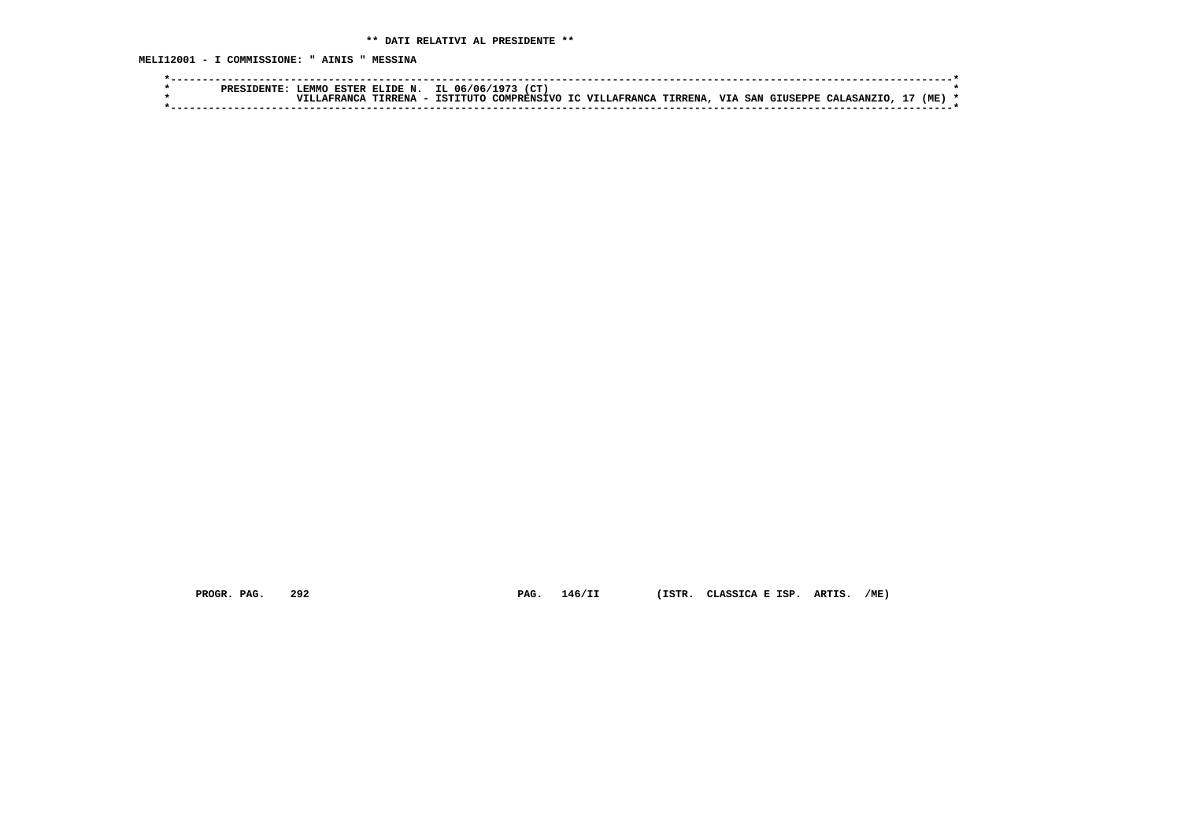**MELI12001 - I COMMISSIONE: " AINIS " MESSINA**

| (CT)<br><b>FMMO</b><br>IL 06/06,<br>TDE N.<br><b>ESTER</b><br>.07                                                      |                   |     |  |
|------------------------------------------------------------------------------------------------------------------------|-------------------|-----|--|
| TIRRENA<br>TC VIII.AFRANCA<br><b>VIA SAN</b><br>TSTITITO<br><b>TIRRENA</b><br>COMPRENSTVO<br>GTUSEPPE<br>. A W W A N ( | <b>CALASANZTO</b> | (ME |  |
|                                                                                                                        |                   |     |  |

 **PROGR. PAG. 292 PAG. 146/II (ISTR. CLASSICA E ISP. ARTIS. /ME)**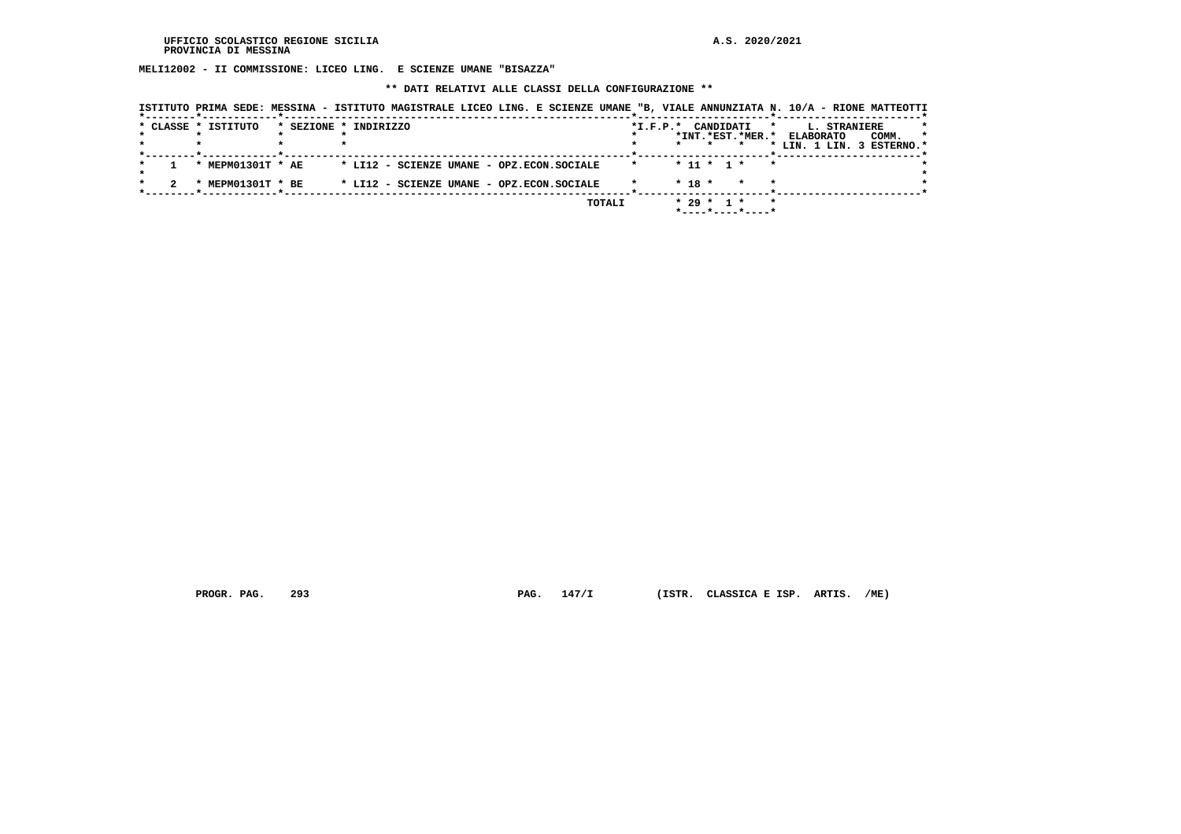**MELI12002 - II COMMISSIONE: LICEO LING. E SCIENZE UMANE "BISAZZA"**

 **\*\* DATI RELATIVI ALLE CLASSI DELLA CONFIGURAZIONE \*\***

|  | * CLASSE * ISTITUTO | * SEZIONE * INDIRIZZO |                                           |  |        |         |            |              | *I.F.P.* CANDIDATI * |                 | *INT.*EST.*MER.* ELABORATO<br>* LIN. 1 LIN. 3 ESTERNO.* | <b>L. STRANIERE</b> | COMM. | $\star$ |
|--|---------------------|-----------------------|-------------------------------------------|--|--------|---------|------------|--------------|----------------------|-----------------|---------------------------------------------------------|---------------------|-------|---------|
|  | * MEPM01301T * AE   |                       | * LI12 - SCIENZE UMANE - OPZ.ECON.SOCIALE |  |        | $\star$ |            |              | * 11 * 1 *           | $\cdot$ $\cdot$ |                                                         |                     |       |         |
|  | * MEPM01301T * BE   |                       | * LI12 - SCIENZE UMANE - OPZ.ECON.SOCIALE |  |        |         | $*$ 18 $*$ |              | $\star$              | *               |                                                         |                     |       |         |
|  |                     |                       |                                           |  | TOTALI |         |            | $* 29 * 1 *$ | *----*----*----*     |                 |                                                         |                     |       |         |

 **PROGR. PAG. 293 PAG. 147/I (ISTR. CLASSICA E ISP. ARTIS. /ME)**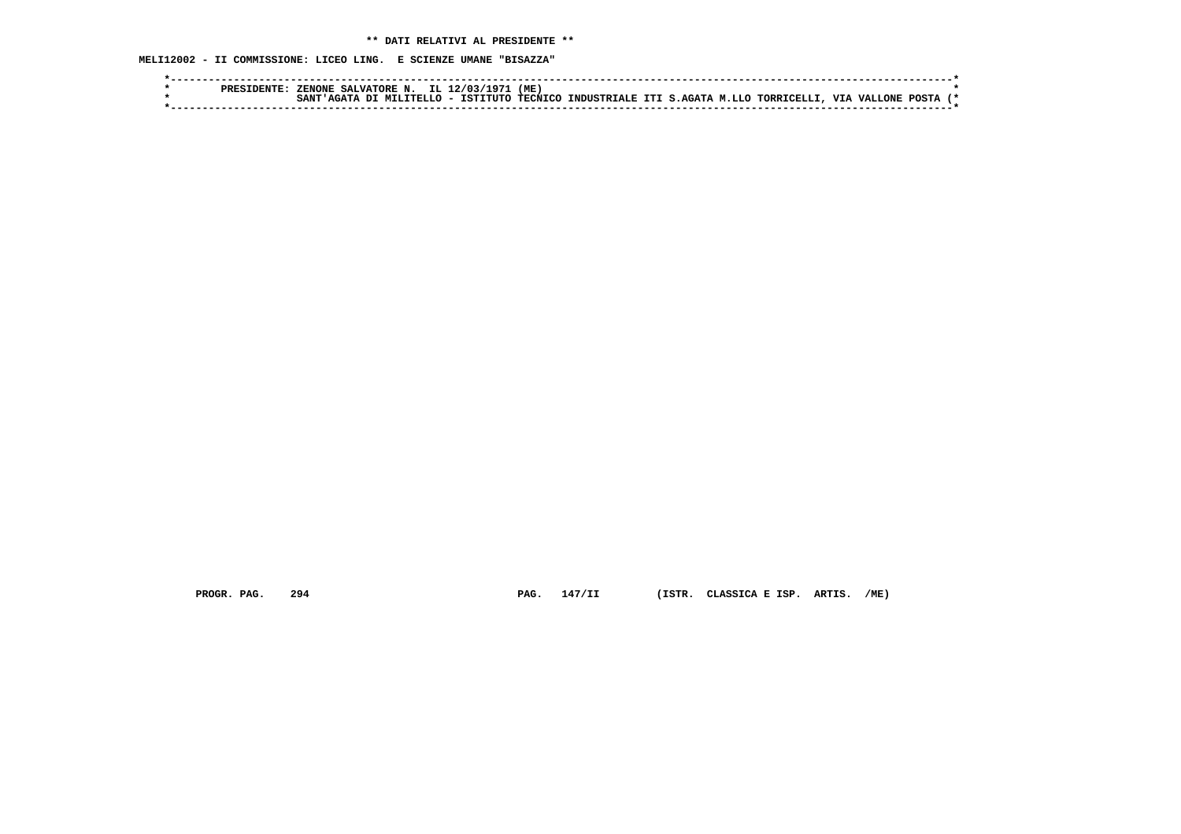**MELI12002 - II COMMISSIONE: LICEO LING. E SCIENZE UMANE "BISAZZA"**

| (ME)<br>TT. 1<br><b>ZENONE</b><br><b>SALVATORE N</b>                                                                    |  |
|-------------------------------------------------------------------------------------------------------------------------|--|
| <b>TECNTCO</b><br>TSTTTITO<br><b>VIA VALLONE</b><br>TORRICELLI<br>INDUSTRIALE ITI S.AGATA M.LLO<br>. MILITELLO<br>POSTA |  |
|                                                                                                                         |  |

 **PROGR. PAG. 294 PAG. 147/II (ISTR. CLASSICA E ISP. ARTIS. /ME)**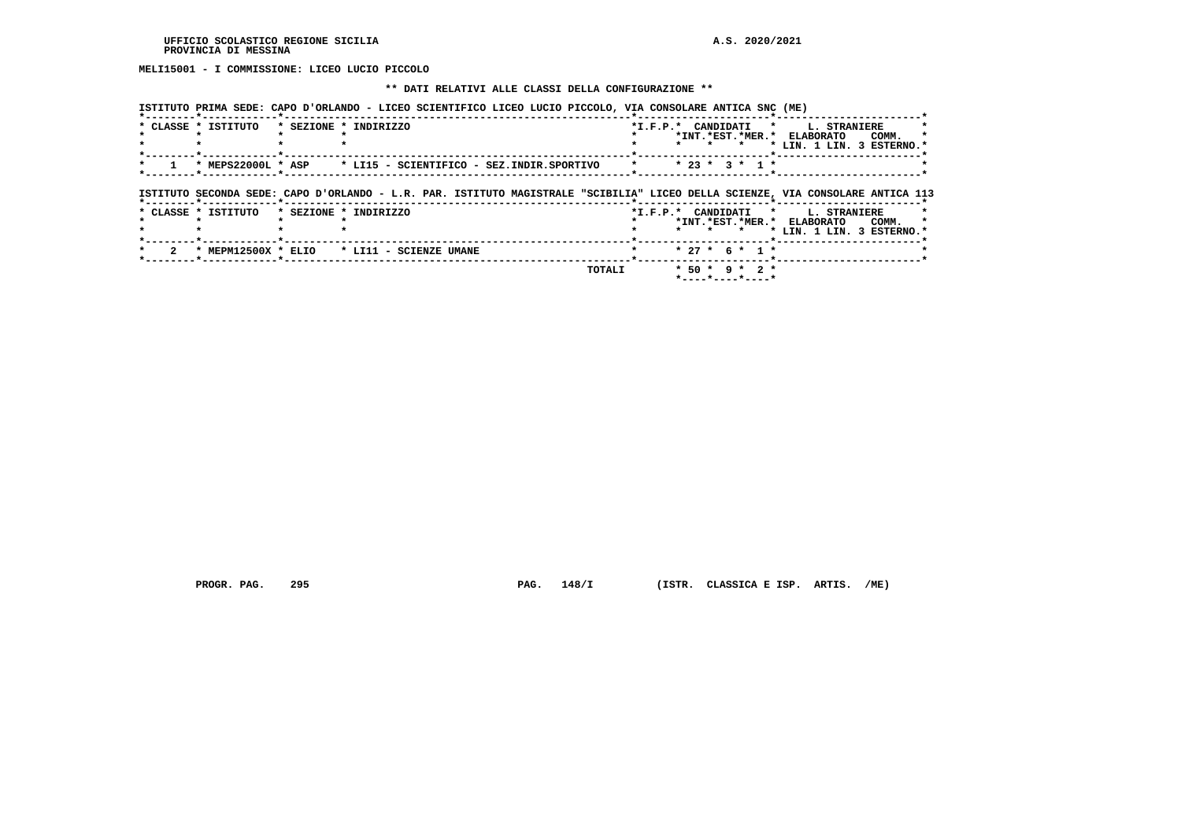**MELI15001 - I COMMISSIONE: LICEO LUCIO PICCOLO**

## **\*\* DATI RELATIVI ALLE CLASSI DELLA CONFIGURAZIONE \*\***

 **ISTITUTO PRIMA SEDE: CAPO D'ORLANDO - LICEO SCIENTIFICO LICEO LUCIO PICCOLO, VIA CONSOLARE ANTICA SNC (ME)**

| * CLASSE * ISTITUTO | * SEZIONE * INDIRIZZO                                                                                                          |         |                  |  |                                                           |  | *I.F.P.* CANDIDATI * L. STRANIERE |       |         |
|---------------------|--------------------------------------------------------------------------------------------------------------------------------|---------|------------------|--|-----------------------------------------------------------|--|-----------------------------------|-------|---------|
|                     |                                                                                                                                |         |                  |  |                                                           |  | *INT.*EST.*MER.* ELABORATO        | COMM. |         |
|                     |                                                                                                                                |         |                  |  | $\star$                                                   |  | * LIN. 1 LIN. 3 ESTERNO.*         |       |         |
|                     |                                                                                                                                | $\star$ | $* 23 * 3 * 1 *$ |  |                                                           |  |                                   |       |         |
|                     |                                                                                                                                |         |                  |  |                                                           |  |                                   |       |         |
|                     |                                                                                                                                |         |                  |  |                                                           |  |                                   |       |         |
|                     | ISTITUTO SECONDA SEDE: CAPO D'ORLANDO - L.R. PAR. ISTITUTO MAGISTRALE "SCIBILIA" LICEO DELLA SCIENZE, VIA CONSOLARE ANTICA 113 |         |                  |  |                                                           |  |                                   |       |         |
| * CLASSE * ISTITUTO | * SEZIONE * INDIRIZZO                                                                                                          |         |                  |  |                                                           |  | *I.F.P.* CANDIDATI * L. STRANIERE |       |         |
|                     |                                                                                                                                |         |                  |  |                                                           |  | *INT.*EST.*MER.* ELABORATO        | COMM. | $\star$ |
|                     |                                                                                                                                |         |                  |  | * * *                                                     |  | * LIN. 1 LIN. 3 ESTERNO.*         |       |         |
| * MEPM12500X * ELIO | * LI11 - SCIENZE UMANE                                                                                                         |         |                  |  | $* 27 * 6 * 1 *$                                          |  |                                   |       |         |
|                     |                                                                                                                                |         |                  |  |                                                           |  |                                   |       |         |
|                     | TOTALI                                                                                                                         |         |                  |  | * 50 * 9 * 2 *<br>$*$ - - - - $*$ - - - - $*$ - - - - $*$ |  |                                   |       |         |

 **PROGR. PAG. 295 PAG. 148/I (ISTR. CLASSICA E ISP. ARTIS. /ME)**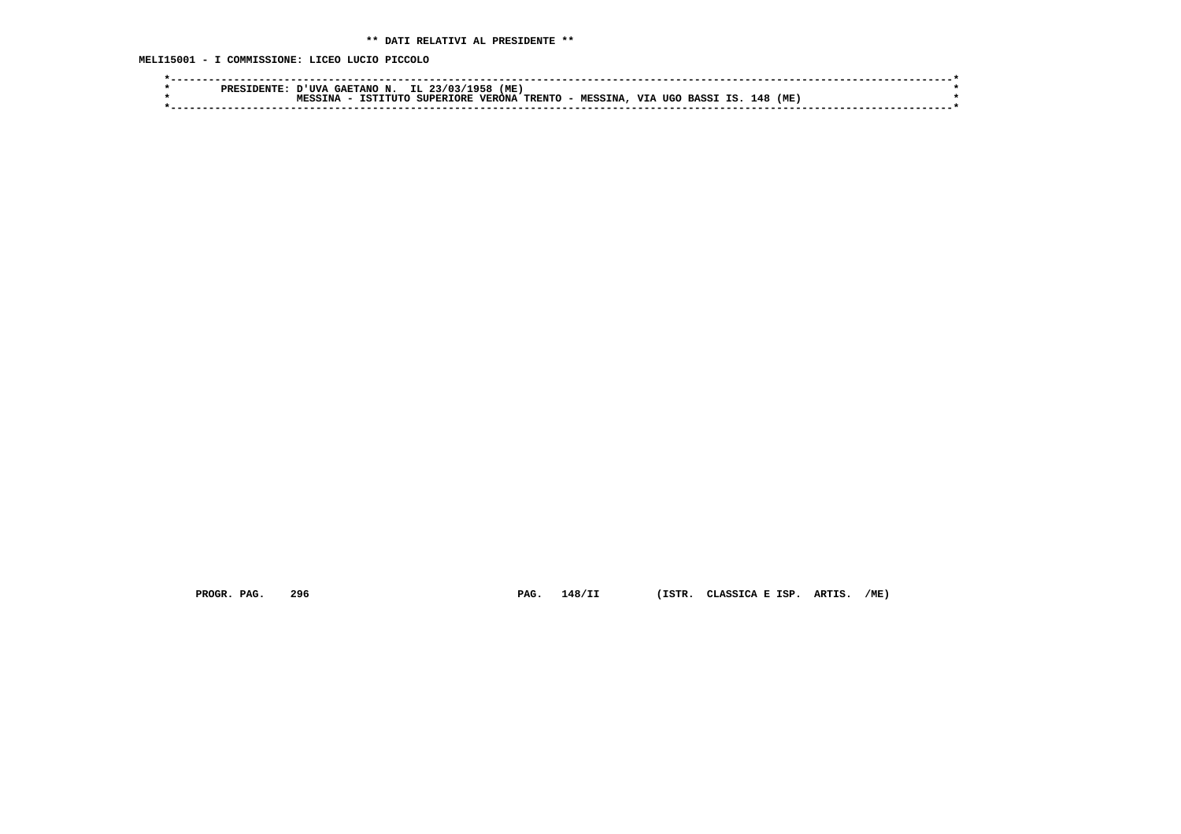**MELI15001 - I COMMISSIONE: LICEO LUCIO PICCOLO**

| IL.<br>(ME<br>' ITVA<br><b>GAETANO N</b><br>วว/กว<br>1956 <sup>-</sup><br>סססם                                                              |  |
|---------------------------------------------------------------------------------------------------------------------------------------------|--|
| <b>VTA</b><br>TRENTO -<br>(ME<br>148<br><b>VERONA</b><br><b>SUPERIORE</b><br>TSTTTITO<br>ΤS<br>TNA<br>UGO<br><b>MESSINA</b><br><b>BASSI</b> |  |
|                                                                                                                                             |  |
|                                                                                                                                             |  |

 **PROGR. PAG. 296 PAG. 148/II (ISTR. CLASSICA E ISP. ARTIS. /ME)**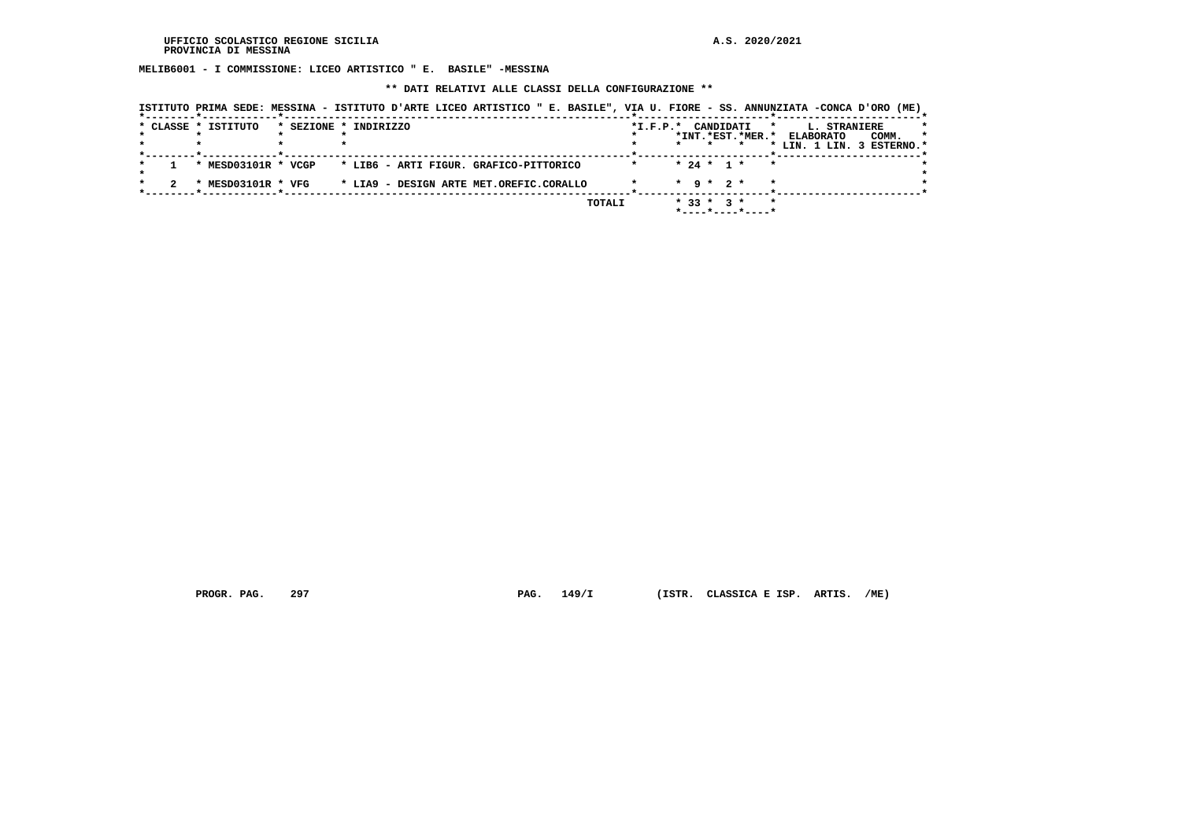**MELIB6001 - I COMMISSIONE: LICEO ARTISTICO " E. BASILE" -MESSINA**

 **\*\* DATI RELATIVI ALLE CLASSI DELLA CONFIGURAZIONE \*\***

|  | * CLASSE * ISTITUTO | * SEZIONE * INDIRIZZO                   | $*$ I.F.P. $*$ |                 | CANDIDATI | $\star$                     | <b>L. STRANIERE</b><br>*INT.*EST.*MER.* ELABORATO<br>COMM. | $\star$ |
|--|---------------------|-----------------------------------------|----------------|-----------------|-----------|-----------------------------|------------------------------------------------------------|---------|
|  |                     |                                         |                | $\star$         |           |                             | * LIN. 1 LIN. 3 ESTERNO.*                                  |         |
|  | * MESD03101R * VCGP | * LIB6 - ARTI FIGUR. GRAFICO-PITTORICO  |                | $* 24 * 1 *$    |           | $\star$                     |                                                            |         |
|  | * MESD03101R * VFG  | * LIA9 - DESIGN ARTE MET.OREFIC.CORALLO |                | $*$ 9 $*$ 2 $*$ |           | $\star$                     |                                                            |         |
|  |                     | TOTALI                                  |                | $* 33 * 3 *$    |           | $\star$<br>*----*----*----* |                                                            |         |

 **PROGR. PAG. 297 PAG. 149/I (ISTR. CLASSICA E ISP. ARTIS. /ME)**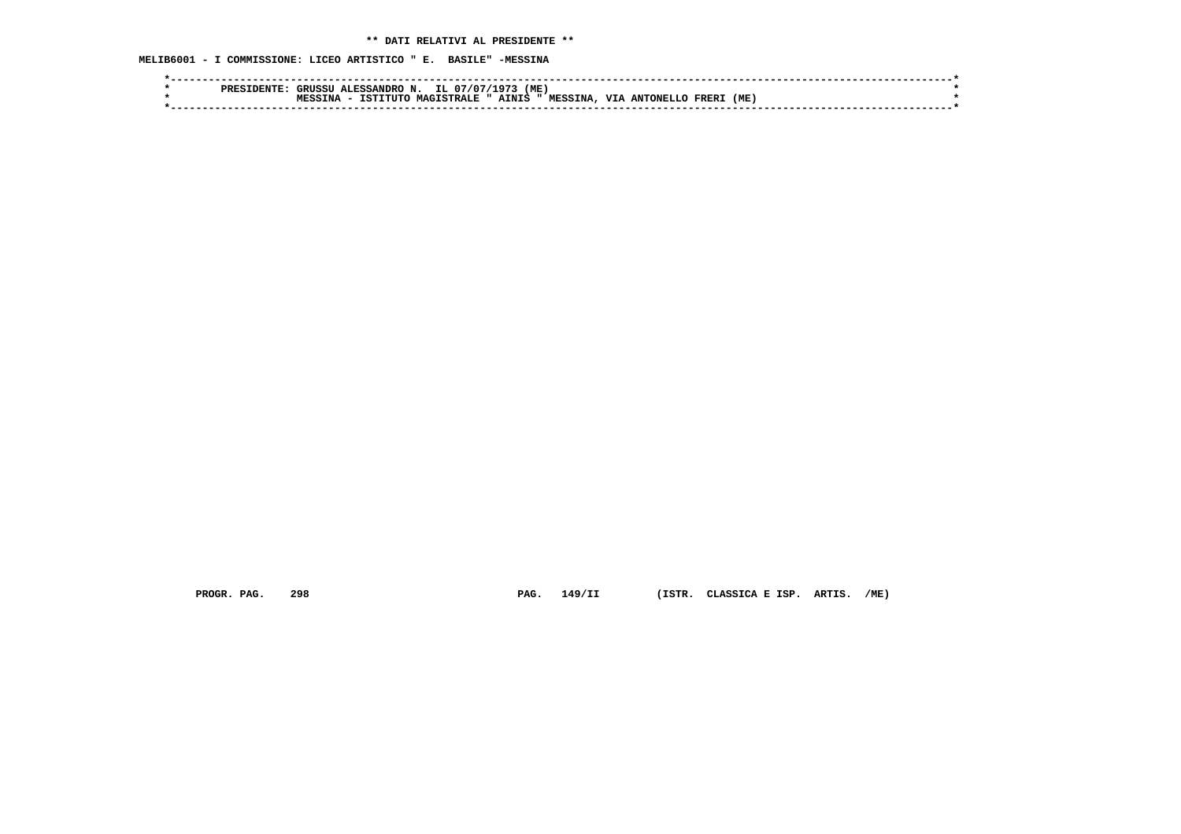**MELIB6001 - I COMMISSIONE: LICEO ARTISTICO " E. BASILE" -MESSINA**

|  | ס סם מ | IRIISSII | LESSANDRO N.     | IL 07/07     | 1 0 7 3 | (ME)           |            |           |       |     |  |
|--|--------|----------|------------------|--------------|---------|----------------|------------|-----------|-------|-----|--|
|  |        |          | T<br><b>TCT1</b> | MAGTSTRALE " | AINIS   | <b>MESSINA</b> | <b>VTA</b> | ANTONELLO | FRER. | (ME |  |
|  |        |          |                  |              |         |                |            |           |       |     |  |
|  |        |          |                  |              |         |                |            |           |       |     |  |

 **PROGR. PAG. 298 PAG. 149/II (ISTR. CLASSICA E ISP. ARTIS. /ME)**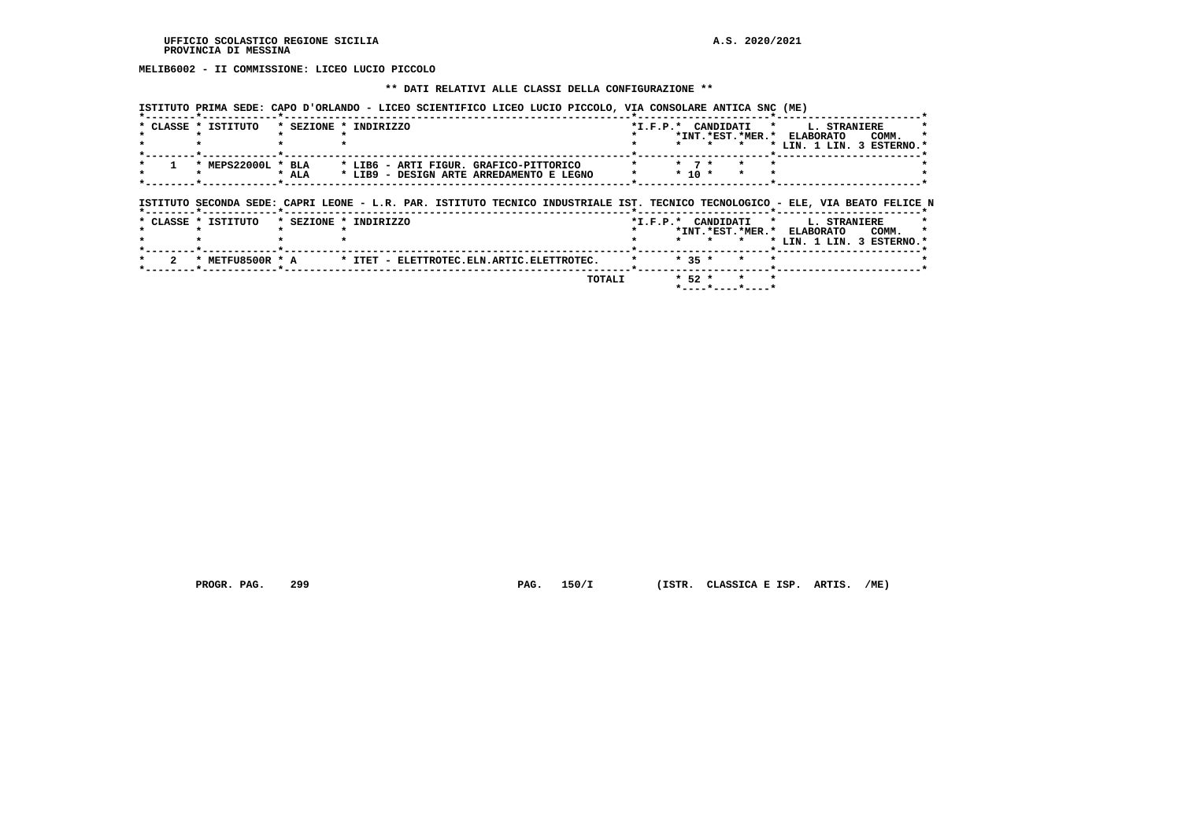**MELIB6002 - II COMMISSIONE: LICEO LUCIO PICCOLO**

## **\*\* DATI RELATIVI ALLE CLASSI DELLA CONFIGURAZIONE \*\***

 **ISTITUTO PRIMA SEDE: CAPO D'ORLANDO - LICEO SCIENTIFICO LICEO LUCIO PICCOLO, VIA CONSOLARE ANTICA SNC (ME)**

| * CLASSE * ISTITUTO |       | * SEZIONE * INDIRIZZO                                                                                                          | *I.F.P.* CANDIDATI |            |  | $\mathbf{r}$ and $\mathbf{r}$ | <b>L. STRANIERE</b> |                           |  |
|---------------------|-------|--------------------------------------------------------------------------------------------------------------------------------|--------------------|------------|--|-------------------------------|---------------------|---------------------------|--|
|                     |       |                                                                                                                                |                    |            |  | *INT. *EST. *MER. * ELABORATO |                     | COMM.                     |  |
|                     |       |                                                                                                                                |                    |            |  |                               |                     | * LIN. 1 LIN. 3 ESTERNO.* |  |
|                     |       |                                                                                                                                |                    |            |  |                               |                     |                           |  |
| * MEPS22000L * BLA  |       | * LIB6 - ARTI FIGUR, GRAFICO-PITTORICO                                                                                         |                    | $*$ 7 $*$  |  |                               |                     |                           |  |
|                     | * ALA | * LIB9 - DESIGN ARTE ARREDAMENTO E LEGNO                                                                                       |                    | $*$ 10 $*$ |  |                               |                     |                           |  |
|                     |       |                                                                                                                                |                    |            |  |                               |                     |                           |  |
|                     |       |                                                                                                                                |                    |            |  |                               |                     |                           |  |
|                     |       |                                                                                                                                |                    |            |  |                               |                     |                           |  |
|                     |       |                                                                                                                                |                    |            |  |                               |                     |                           |  |
|                     |       | ISTITUTO SECONDA SEDE: CAPRI LEONE - L.R. PAR. ISTITUTO TECNICO INDUSTRIALE IST. TECNICO TECNOLOGICO - ELE, VIA BEATO FELICE N |                    |            |  |                               |                     |                           |  |
| * CLASSE * ISTITUTO |       | * SEZIONE * INDIRIZZO                                                                                                          | *I.F.P.* CANDIDATI |            |  | $\mathbf{r}$                  | <b>L. STRANIERE</b> |                           |  |
|                     |       |                                                                                                                                |                    |            |  |                               |                     |                           |  |
|                     |       |                                                                                                                                |                    | $\star$    |  | *INT.*EST.*MER.* ELABORATO    |                     | COMM.                     |  |
|                     |       |                                                                                                                                |                    |            |  |                               |                     | * LIN. 1 LIN. 3 ESTERNO.* |  |

 **\*--------\*------------\*-------------------------------------------------------\*---------------------\*-----------------------\***

 **TOTALI \* 52 \* \* \* \*----\*----\*----\***

 **PROGR. PAG. 299 PAG. 150/I (ISTR. CLASSICA E ISP. ARTIS. /ME)**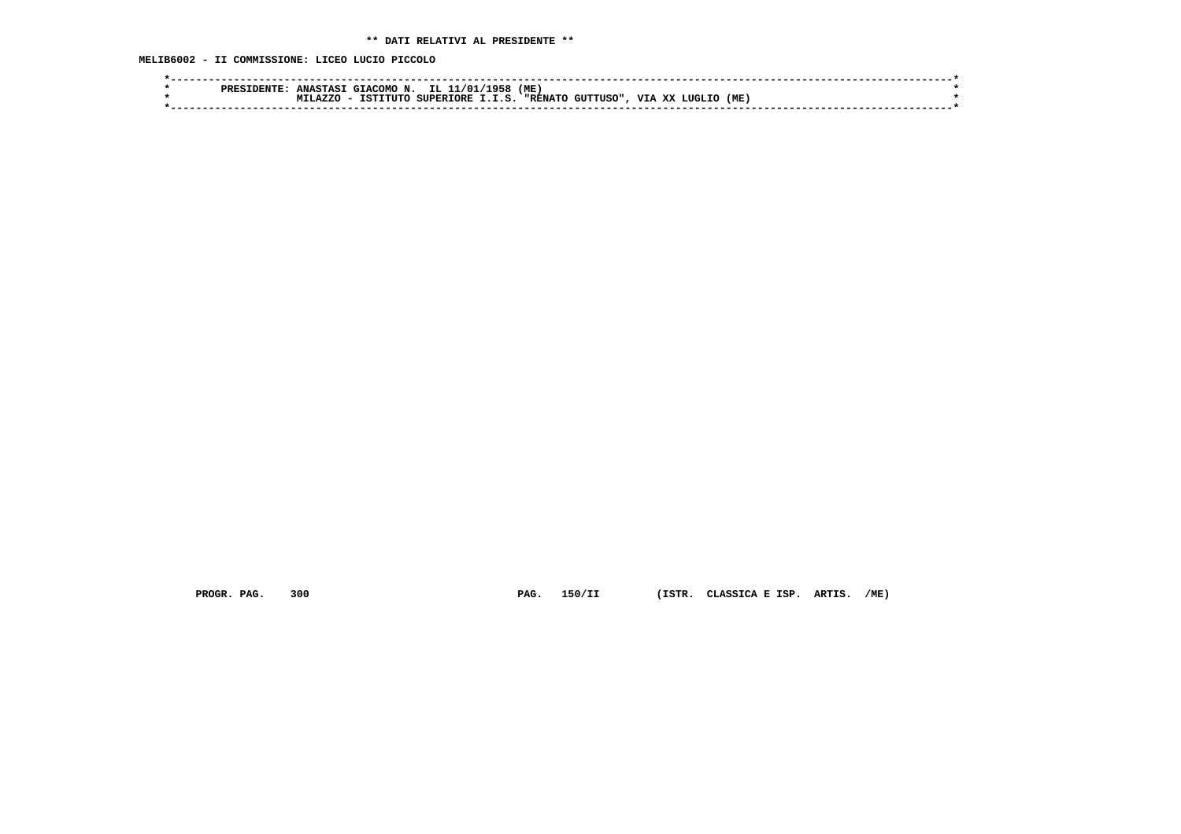**MELIB6002 - II COMMISSIONE: LICEO LUCIO PICCOLO**

| PRES | <b>GIACOMO</b><br><b>ANASTASI</b><br>. אכ | 1958/<br>TT. 1<br>1/01<br>--  | (ME)                                |                            |     |  |
|------|-------------------------------------------|-------------------------------|-------------------------------------|----------------------------|-----|--|
|      | .A 7.7.C<br>/דוזיד<br>TST:                | <b>SUPERTORE</b><br><b>TC</b> | <b>CITTTIISO"</b><br><b>"RENATO</b> | <b>TTT</b><br>xx<br>LUGLIC | (ME |  |
|      |                                           |                               |                                     |                            |     |  |
|      |                                           |                               |                                     |                            |     |  |

 **PROGR. PAG. 300 PAG. 150/II (ISTR. CLASSICA E ISP. ARTIS. /ME)**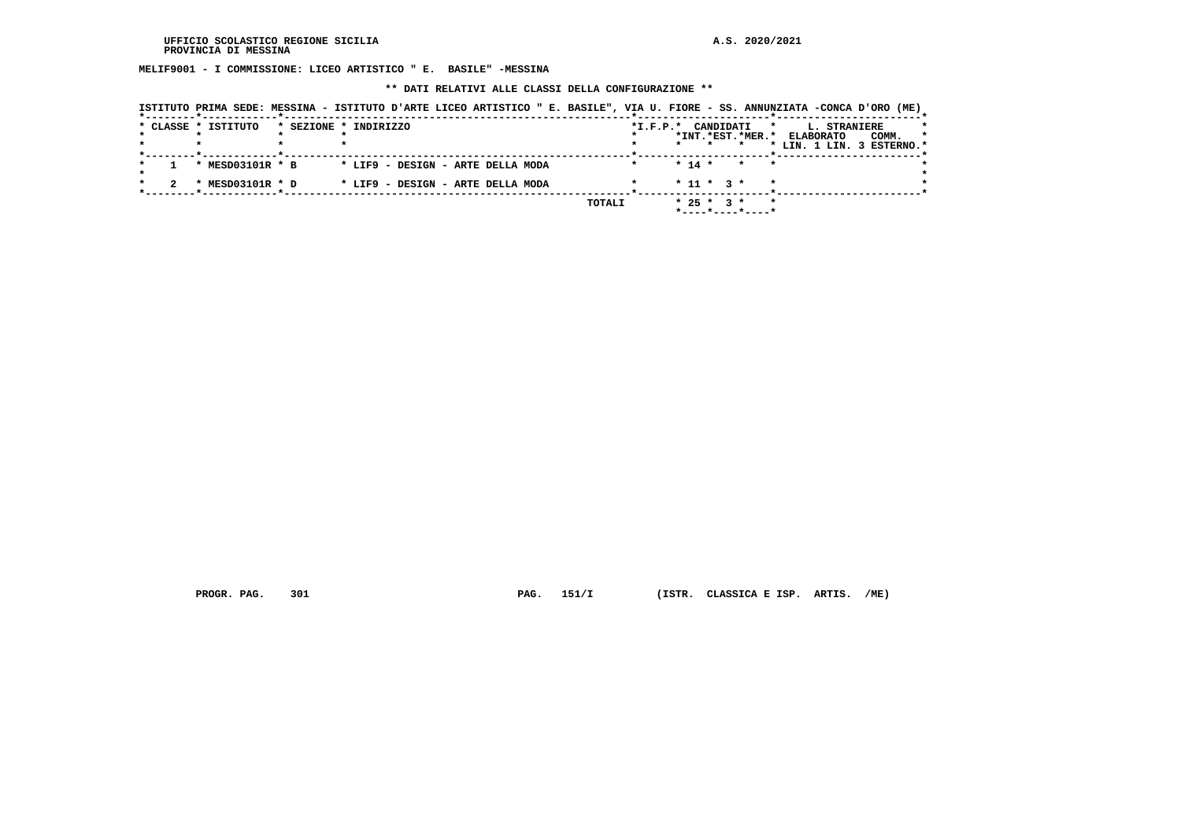**MELIF9001 - I COMMISSIONE: LICEO ARTISTICO " E. BASILE" -MESSINA**

 **\*\* DATI RELATIVI ALLE CLASSI DELLA CONFIGURAZIONE \*\***

|  | * CLASSE * ISTITUTO | * SEZIONE * INDIRIZZO             |  |        | $*$ I.F.P. $*$ |              | CANDIDATI | *INT.*EST.*MER.*                        | $\star$ | L. STRANIERE<br><b>ELABORATO</b> | COMM. | $\star$ |
|--|---------------------|-----------------------------------|--|--------|----------------|--------------|-----------|-----------------------------------------|---------|----------------------------------|-------|---------|
|  |                     |                                   |  |        |                |              |           |                                         |         | * LIN. 1 LIN. 3 ESTERNO.*        |       |         |
|  | * MESD03101R * B    | * LIF9 - DESIGN - ARTE DELLA MODA |  |        |                | $*$ 14 $*$   |           | $\star$                                 |         |                                  |       |         |
|  | * MESD03101R * D    | * LIF9 - DESIGN - ARTE DELLA MODA |  |        |                | $* 11 * 3 *$ |           |                                         |         |                                  |       |         |
|  |                     |                                   |  | TOTALI |                | $* 25 * 3 *$ |           | $*$ - - - - $*$ - - - - $*$ - - - - $*$ | $\star$ |                                  |       |         |

 **PROGR. PAG. 301 PAG. 151/I (ISTR. CLASSICA E ISP. ARTIS. /ME)**